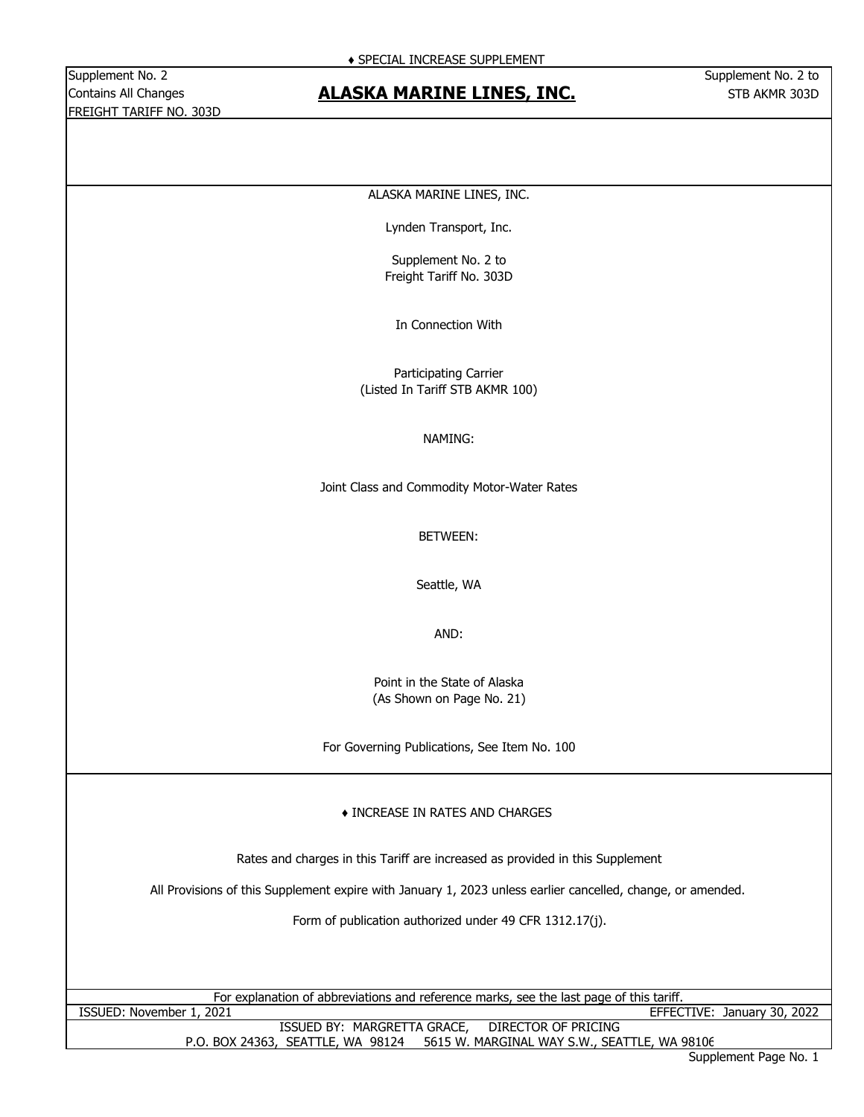Supplement No. 2 Supplement No. 2 to FREIGHT TARIFF NO. 303D

# Contains All Changes **STB ACT ACTES AT ACT ACT ACT ACT ACT ACT A STB AKMR 303D** Contains All Changes

#### ALASKA MARINE LINES, INC.

Lynden Transport, Inc.

Supplement No. 2 to Freight Tariff No. 303D

In Connection With

Participating Carrier (Listed In Tariff STB AKMR 100)

#### NAMING:

Joint Class and Commodity Motor-Water Rates

BETWEEN:

Seattle, WA

AND:

Point in the State of Alaska (As Shown on Page No. 21)

For Governing Publications, See Item No. 100

#### ♦ INCREASE IN RATES AND CHARGES

Rates and charges in this Tariff are increased as provided in this Supplement

All Provisions of this Supplement expire with January 1, 2023 unless earlier cancelled, change, or amended.

Form of publication authorized under 49 CFR 1312.17(j).

|                          | For explanation of abbreviations and reference marks, see the last page of this tariff. |                             |  |
|--------------------------|-----------------------------------------------------------------------------------------|-----------------------------|--|
| ISSUED: November 1, 2021 |                                                                                         | EFFECTIVE: January 30, 2022 |  |

P.O. BOX 24363, SEATTLE, WA 98124 5615 W. MARGINAL WAY S.W., SEATTLE, WA 98106 ISSUED BY: MARGRETTA GRACE, DIRECTOR OF PRICING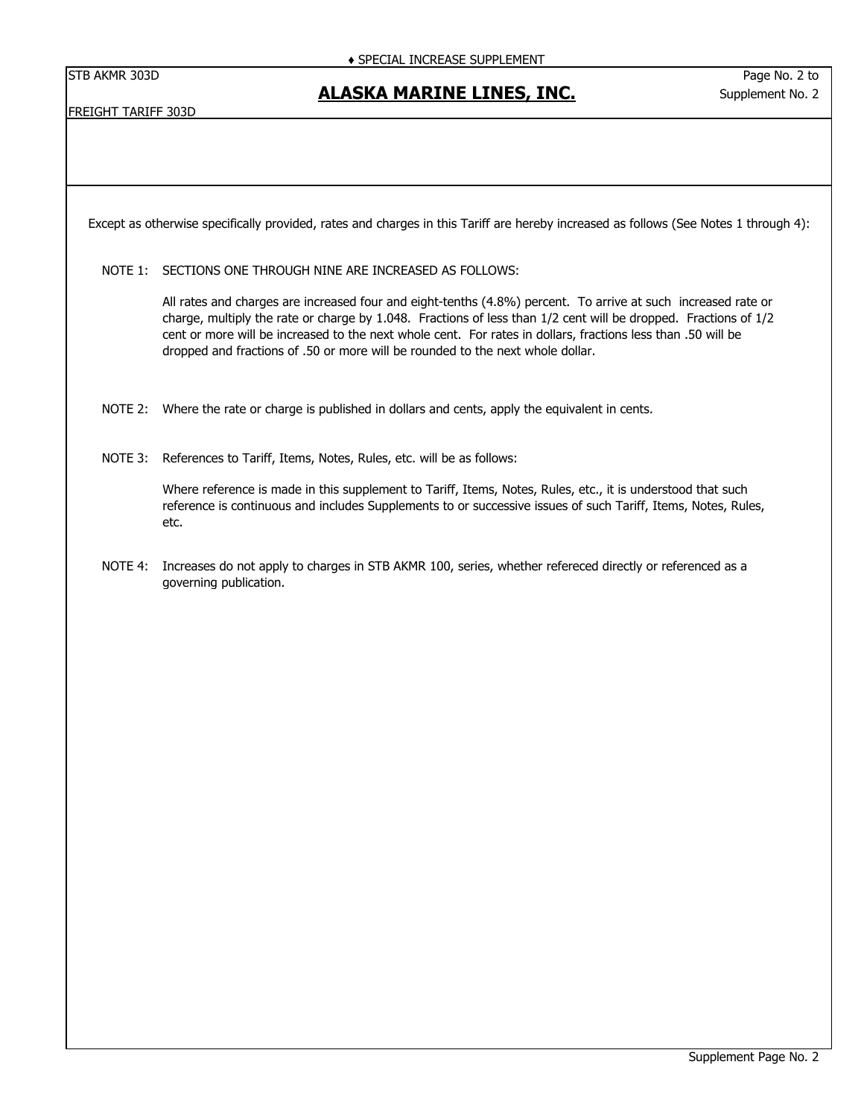# **ALASKA MARINE LINES, INC.**

FREIGHT TARIFF 303D

Except as otherwise specifically provided, rates and charges in this Tariff are hereby increased as follows (See Notes 1 through 4):

NOTE 1: SECTIONS ONE THROUGH NINE ARE INCREASED AS FOLLOWS:

All rates and charges are increased four and eight-tenths (4.8%) percent. To arrive at such increased rate or charge, multiply the rate or charge by 1.048. Fractions of less than 1/2 cent will be dropped. Fractions of 1/2 cent or more will be increased to the next whole cent. For rates in dollars, fractions less than .50 will be dropped and fractions of .50 or more will be rounded to the next whole dollar.

- NOTE 2: Where the rate or charge is published in dollars and cents, apply the equivalent in cents.
- NOTE 3: References to Tariff, Items, Notes, Rules, etc. will be as follows:

Where reference is made in this supplement to Tariff, Items, Notes, Rules, etc., it is understood that such reference is continuous and includes Supplements to or successive issues of such Tariff, Items, Notes, Rules, etc.

NOTE 4: Increases do not apply to charges in STB AKMR 100, series, whether refereced directly or referenced as a governing publication.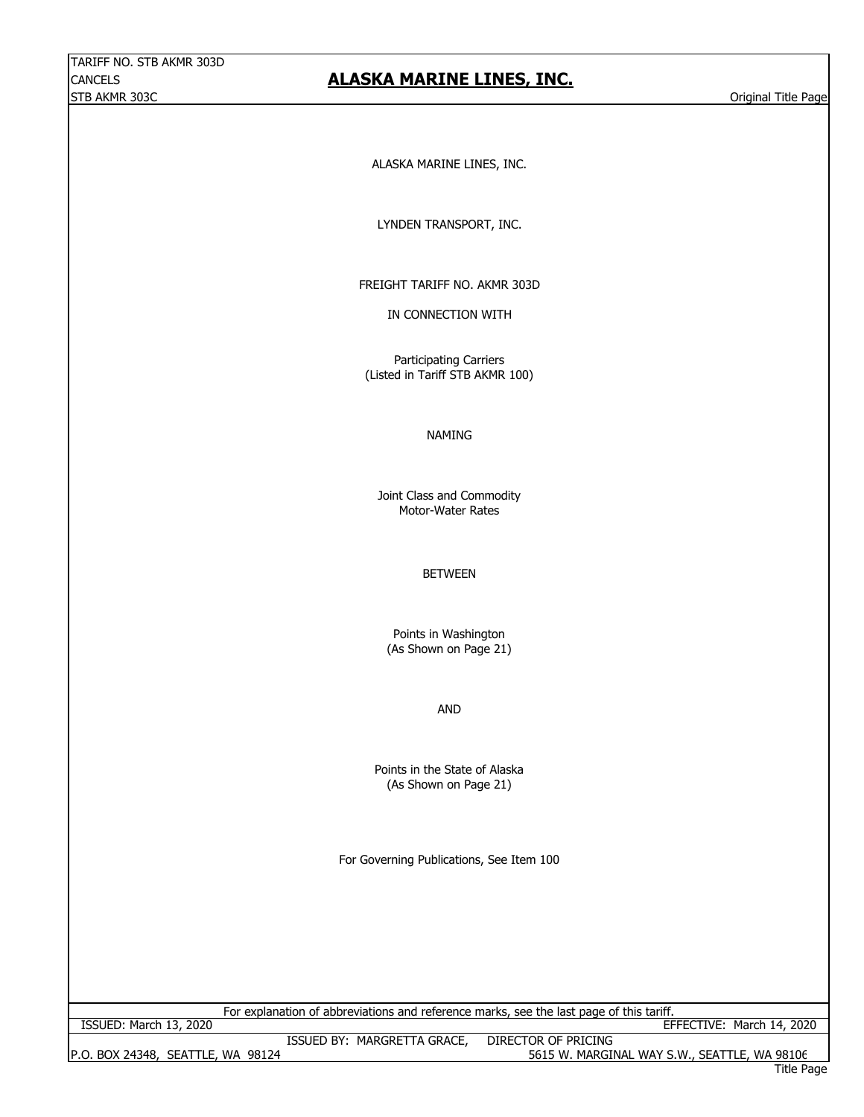# **ALASKA MARINE LINES, INC.**

ALASKA MARINE LINES, INC.

LYNDEN TRANSPORT, INC.

FREIGHT TARIFF NO. AKMR 303D

IN CONNECTION WITH

Participating Carriers (Listed in Tariff STB AKMR 100)

#### NAMING

Joint Class and Commodity Motor-Water Rates

BETWEEN

Points in Washington (As Shown on Page 21)

AND

(As Shown on Page 21) Points in the State of Alaska

For Governing Publications, See Item 100

For explanation of abbreviations and reference marks, see the last page of this tariff.

P.O. BOX 24348, SEATTLE, WA 98124 5615 W. MARGINAL WAY S.W., SEATTLE, WA 98106

ISSUED BY: MARGRETTA GRACE, DIRECTOR OF PRICING ISSUED: March 13, 2020 EFFECTIVE: March 14, 2020

Title Page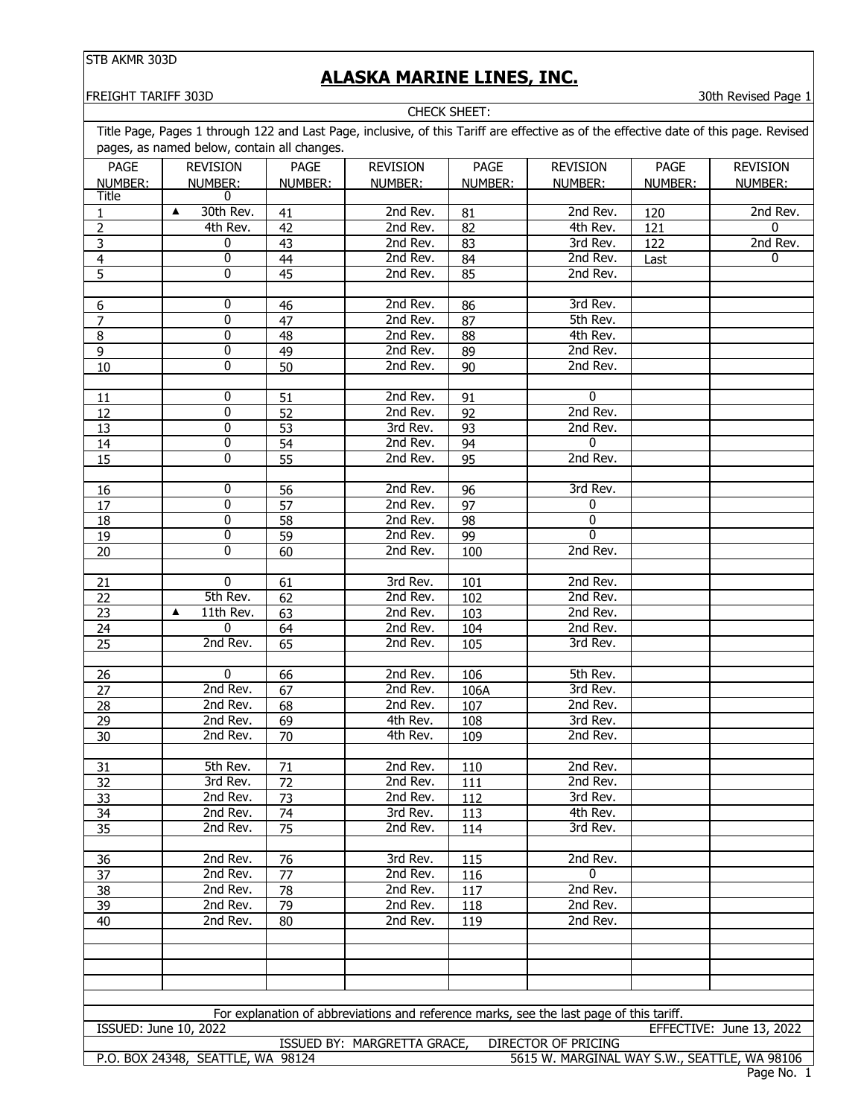# **ALASKA MARINE LINES, INC.**

CHECK SHEET:

#### FREIGHT TARIFF 303D 30th Revised Page 1

| <b>PAGE</b>                       | <b>REVISION</b>                  | PAGE            | <b>REVISION</b>      | PAGE       | <b>REVISION</b>                                                                         | PAGE    | <b>REVISION</b>          |
|-----------------------------------|----------------------------------|-----------------|----------------------|------------|-----------------------------------------------------------------------------------------|---------|--------------------------|
| NUMBER:<br><b>Title</b>           | NUMBER:<br>0                     | NUMBER:         | NUMBER:              | NUMBER:    | NUMBER:                                                                                 | NUMBER: | NUMBER:                  |
|                                   | 30th Rev.<br>▲                   | 41              | 2nd Rev.             | 81         | 2nd Rev.                                                                                | 120     | 2nd Rev.                 |
| $\overline{2}$                    | 4th Rev.                         | 42              | 2nd Rev.             | 82         | 4th Rev.                                                                                | 121     | 0                        |
| $\overline{3}$                    | 0                                | 43              | 2nd Rev.             | 83         | 3rd Rev.                                                                                | 122     | 2nd Rev.                 |
| $\overline{4}$                    | 0                                | 44              | 2nd Rev.             | 84         | 2nd Rev.                                                                                | Last    | 0                        |
| $\overline{5}$                    | 0                                | $\overline{45}$ | 2nd Rev.             | 85         | 2nd Rev.                                                                                |         |                          |
|                                   |                                  |                 |                      |            |                                                                                         |         |                          |
| $6 \overline{}$<br>$\overline{7}$ | 0                                | 46              | 2nd Rev.             | 86         | 3rd Rev.                                                                                |         |                          |
|                                   | $\overline{0}$                   | 47              | 2nd Rev.             | 87         | 5th Rev.                                                                                |         |                          |
| $\overline{8}$<br>$\overline{9}$  | 0<br>$\overline{0}$              | 48              | 2nd Rev.             | 88         | 4th Rev.                                                                                |         |                          |
| 10                                | $\overline{0}$                   | 49              | 2nd Rev.<br>2nd Rev. | 89         | 2nd Rev.<br>2nd Rev.                                                                    |         |                          |
|                                   |                                  | 50              |                      | 90         |                                                                                         |         |                          |
| 11                                | 0                                | 51              | 2nd Rev.             | 91         | 0                                                                                       |         |                          |
| 12                                | $\overline{0}$                   | $\overline{52}$ | 2nd Rev.             | 92         | 2nd Rev.                                                                                |         |                          |
| 13                                | $\overline{0}$                   | $\overline{53}$ | 3rd Rev.             | 93         | 2nd Rev.                                                                                |         |                          |
| 14                                | 0                                | $\overline{54}$ | 2nd Rev.             | 94         | 0                                                                                       |         |                          |
| 15                                | $\overline{0}$                   | $\overline{55}$ | 2nd Rev.             | 95         | 2nd Rev.                                                                                |         |                          |
|                                   |                                  |                 |                      |            |                                                                                         |         |                          |
| <b>16</b>                         | 0                                | 56              | 2nd Rev.             | 96         | 3rd Rev.                                                                                |         |                          |
| 17                                | $\overline{0}$                   | 57              | 2nd Rev.             | 97         | 0                                                                                       |         |                          |
| 18                                | $\overline{0}$                   | $\overline{58}$ | 2nd Rev.             | 98         | $\mathbf{0}$                                                                            |         |                          |
| 19                                | $\overline{0}$<br>$\overline{0}$ | $\overline{59}$ | 2nd Rev.             | 99         | $\overline{0}$                                                                          |         |                          |
| 20                                |                                  | 60              | 2nd Rev.             | 100        | 2nd Rev.                                                                                |         |                          |
| 21                                | 0                                | 61              | 3rd Rev.             | 101        | 2nd Rev.                                                                                |         |                          |
| 22                                | 5th Rev.                         | 62              | 2nd Rev.             | 102        | 2nd Rev.                                                                                |         |                          |
| 23                                | 11th Rev.<br>▲                   | 63              | 2nd Rev.             | 103        | 2nd Rev.                                                                                |         |                          |
| 24                                | $\mathbf{0}$                     | 64              | 2nd Rev.             | 104        | 2nd Rev.                                                                                |         |                          |
| 25                                | 2nd Rev.                         | 65              | 2nd Rev.             | 105        | 3rd Rev.                                                                                |         |                          |
|                                   |                                  |                 |                      |            |                                                                                         |         |                          |
| <u>26</u>                         | $\overline{0}$                   | 66              | 2nd Rev.             | 106        | 5th Rev.                                                                                |         |                          |
| $\overline{27}$                   | 2nd Rev.<br>2nd Rev.             | 67<br>68        | 2nd Rev.             | 106A       | 3rd Rev.<br>2nd Rev.                                                                    |         |                          |
| 28<br>29                          | 2nd Rev.                         | 69              | 2nd Rev.<br>4th Rev. | 107        | 3rd Rev.                                                                                |         |                          |
| 30                                | 2nd Rev.                         | 70              | 4th Rev.             | 108<br>109 | 2nd Rev.                                                                                |         |                          |
|                                   |                                  |                 |                      |            |                                                                                         |         |                          |
| 31                                | 5th Rev.                         | 71              | 2nd Rev.             | 110        | 2nd Rev.                                                                                |         |                          |
| 32                                | 3rd Rev.                         | 72              | 2nd Rev.             | 111        | 2nd Rev.                                                                                |         |                          |
| 33                                | 2nd Rev.                         | $\overline{73}$ | 2nd Rev.             | 112        | 3rd Rev.                                                                                |         |                          |
| 34                                | 2nd Rev.                         | 74              | 3rd Rev.             | 113        | 4th Rev.                                                                                |         |                          |
| 35                                | 2nd Rev.                         | 75              | 2nd Rev.             | 114        | 3rd Rev.                                                                                |         |                          |
|                                   | 2nd Rev.                         |                 |                      |            |                                                                                         |         |                          |
| 36                                | 2nd Rev.                         | 76<br>77        | 3rd Rev.<br>2nd Rev. | 115<br>116 | 2nd Rev.<br>$\mathbf{0}$                                                                |         |                          |
| 37<br>38                          | 2nd Rev.                         |                 | 2nd Rev.             |            | 2nd Rev.                                                                                |         |                          |
| 39                                | 2nd Rev.                         | 78<br>79        | 2nd Rev.             | 117<br>118 | 2nd Rev.                                                                                |         |                          |
| 40                                | 2nd Rev.                         | 80              | 2nd Rev.             | 119        | 2nd Rev.                                                                                |         |                          |
|                                   |                                  |                 |                      |            |                                                                                         |         |                          |
|                                   |                                  |                 |                      |            |                                                                                         |         |                          |
|                                   |                                  |                 |                      |            |                                                                                         |         |                          |
|                                   |                                  |                 |                      |            |                                                                                         |         |                          |
|                                   |                                  |                 |                      |            |                                                                                         |         |                          |
|                                   | <b>ISSUED: June 10, 2022</b>     |                 |                      |            | For explanation of abbreviations and reference marks, see the last page of this tariff. |         | EFFECTIVE: June 13, 2022 |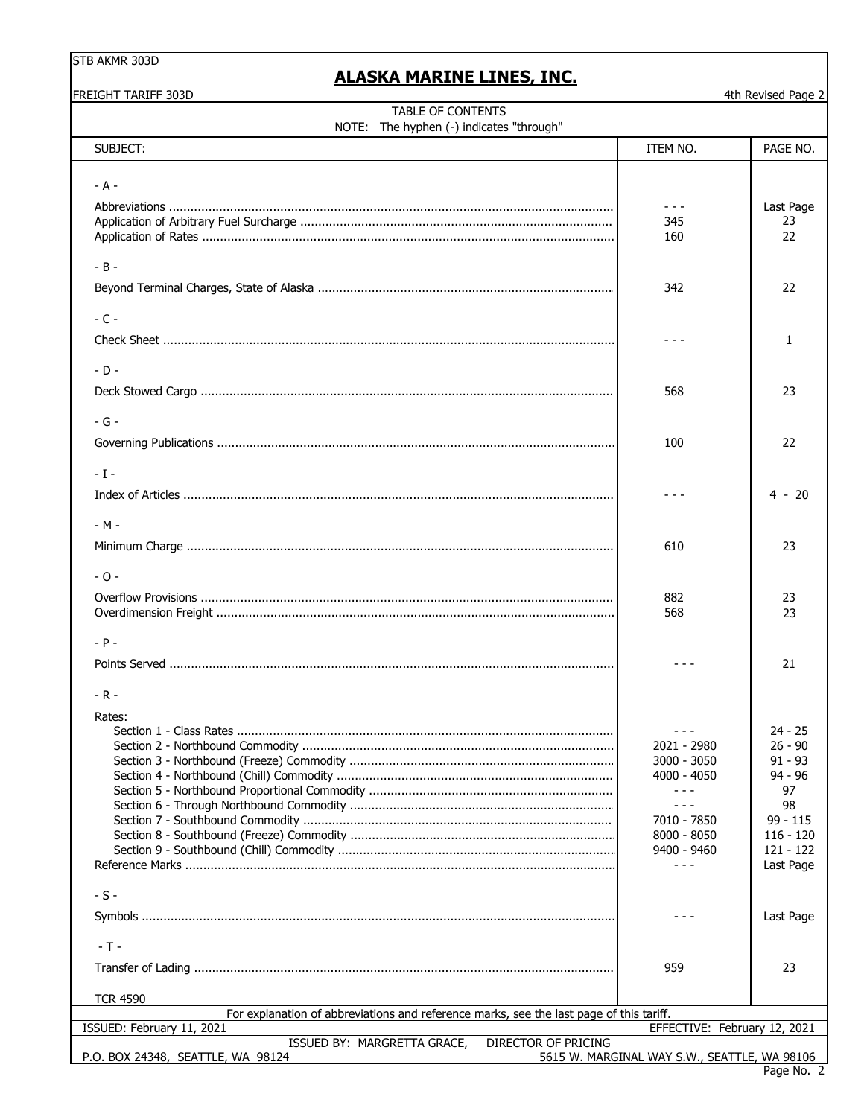# **ALASKA MARINE LINES, INC.**

| <b>FREIGHT TARIFF 303D</b>                                                                                           |                                              | 4th Revised Page 2     |
|----------------------------------------------------------------------------------------------------------------------|----------------------------------------------|------------------------|
| TABLE OF CONTENTS<br>NOTE: The hyphen (-) indicates "through"                                                        |                                              |                        |
| SUBJECT:                                                                                                             | ITEM NO.                                     | PAGE NO.               |
|                                                                                                                      |                                              |                        |
| $- A -$                                                                                                              |                                              |                        |
|                                                                                                                      | $  -$                                        | Last Page              |
|                                                                                                                      | 345                                          | 23                     |
|                                                                                                                      | 160                                          | 22                     |
| $-B -$                                                                                                               |                                              |                        |
|                                                                                                                      | 342                                          | 22                     |
| $-C -$                                                                                                               |                                              |                        |
|                                                                                                                      |                                              | $\mathbf{1}$           |
| $-D -$                                                                                                               |                                              |                        |
|                                                                                                                      | 568                                          | 23                     |
| $-G -$                                                                                                               |                                              |                        |
|                                                                                                                      | 100                                          | 22                     |
| $-1-$                                                                                                                |                                              |                        |
|                                                                                                                      |                                              | $4 - 20$               |
| $-M -$                                                                                                               |                                              |                        |
|                                                                                                                      | 610                                          | 23                     |
| $-0-$                                                                                                                |                                              |                        |
|                                                                                                                      | 882                                          | 23                     |
|                                                                                                                      | 568                                          | 23                     |
| $- P -$                                                                                                              |                                              |                        |
|                                                                                                                      |                                              | 21                     |
| $-R -$                                                                                                               |                                              |                        |
| Rates:                                                                                                               |                                              |                        |
|                                                                                                                      | $\frac{1}{2}$<br>2021 - 2980                 | $24 - 25$<br>$26 - 90$ |
|                                                                                                                      | $3000 - 3050$                                | $91 - 93$              |
|                                                                                                                      | 4000 - 4050                                  | $94 - 96$              |
|                                                                                                                      | - - -                                        | 97                     |
|                                                                                                                      | - - -                                        | 98                     |
|                                                                                                                      | 7010 - 7850                                  | $99 - 115$             |
|                                                                                                                      | 8000 - 8050                                  | $116 - 120$            |
|                                                                                                                      | 9400 - 9460                                  | $121 - 122$            |
|                                                                                                                      | $- - -$                                      | Last Page              |
| $-S -$                                                                                                               |                                              |                        |
|                                                                                                                      |                                              | Last Page              |
| $-T -$                                                                                                               |                                              |                        |
|                                                                                                                      | 959                                          | 23                     |
| <b>TCR 4590</b>                                                                                                      |                                              |                        |
| For explanation of abbreviations and reference marks, see the last page of this tariff.<br>ISSUED: February 11, 2021 | EFFECTIVE: February 12, 2021                 |                        |
| ISSUED BY: MARGRETTA GRACE,<br>DIRECTOR OF PRICING<br>P.O. BOX 24348, SEATTLE, WA 98124                              | 5615 W. MARGINAL WAY S.W., SEATTLE, WA 98106 |                        |
|                                                                                                                      |                                              |                        |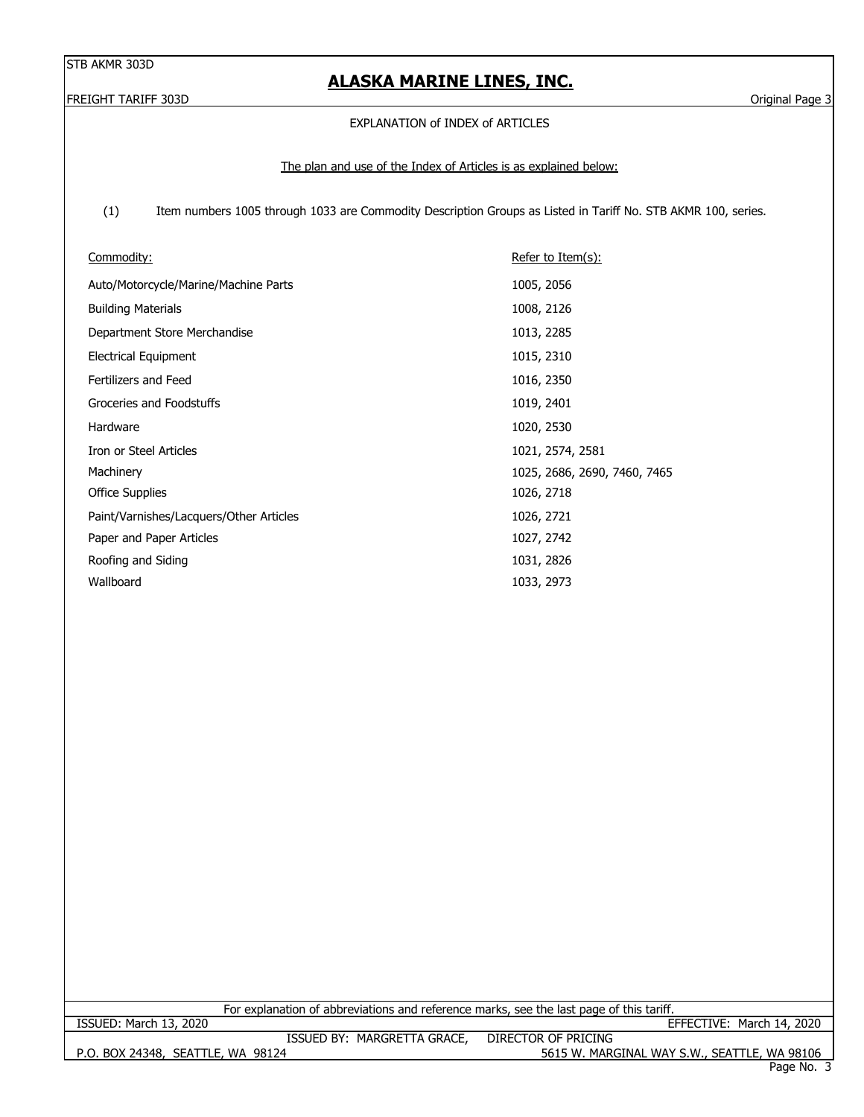# **ALASKA MARINE LINES, INC.**

FREIGHT TARIFF 303D Original Page 3

#### EXPLANATION of INDEX of ARTICLES

#### The plan and use of the Index of Articles is as explained below:

 (1) Item numbers 1005 through 1033 are Commodity Description Groups as Listed in Tariff No. STB AKMR 100, series.

| Commodity:                              | Refer to Item $(s)$ :        |
|-----------------------------------------|------------------------------|
| Auto/Motorcycle/Marine/Machine Parts    | 1005, 2056                   |
| <b>Building Materials</b>               | 1008, 2126                   |
| Department Store Merchandise            | 1013, 2285                   |
| <b>Electrical Equipment</b>             | 1015, 2310                   |
| Fertilizers and Feed                    | 1016, 2350                   |
| Groceries and Foodstuffs                | 1019, 2401                   |
| Hardware                                | 1020, 2530                   |
| Iron or Steel Articles                  | 1021, 2574, 2581             |
| Machinery                               | 1025, 2686, 2690, 7460, 7465 |
| <b>Office Supplies</b>                  | 1026, 2718                   |
| Paint/Varnishes/Lacquers/Other Articles | 1026, 2721                   |
| Paper and Paper Articles                | 1027, 2742                   |
| Roofing and Siding                      | 1031, 2826                   |
| Wallboard                               | 1033, 2973                   |

For explanation of abbreviations and reference marks, see the last page of this tariff.

P.O. BOX 24348, SEATTLE, WA 98124 5615 W. MARGINAL WAY S.W., SEATTLE, WA 98106 ISSUED: March 13, 2020 EFFECTIVE: March 14, 2020 ISSUED BY: MARGRETTA GRACE, DIRECTOR OF PRICING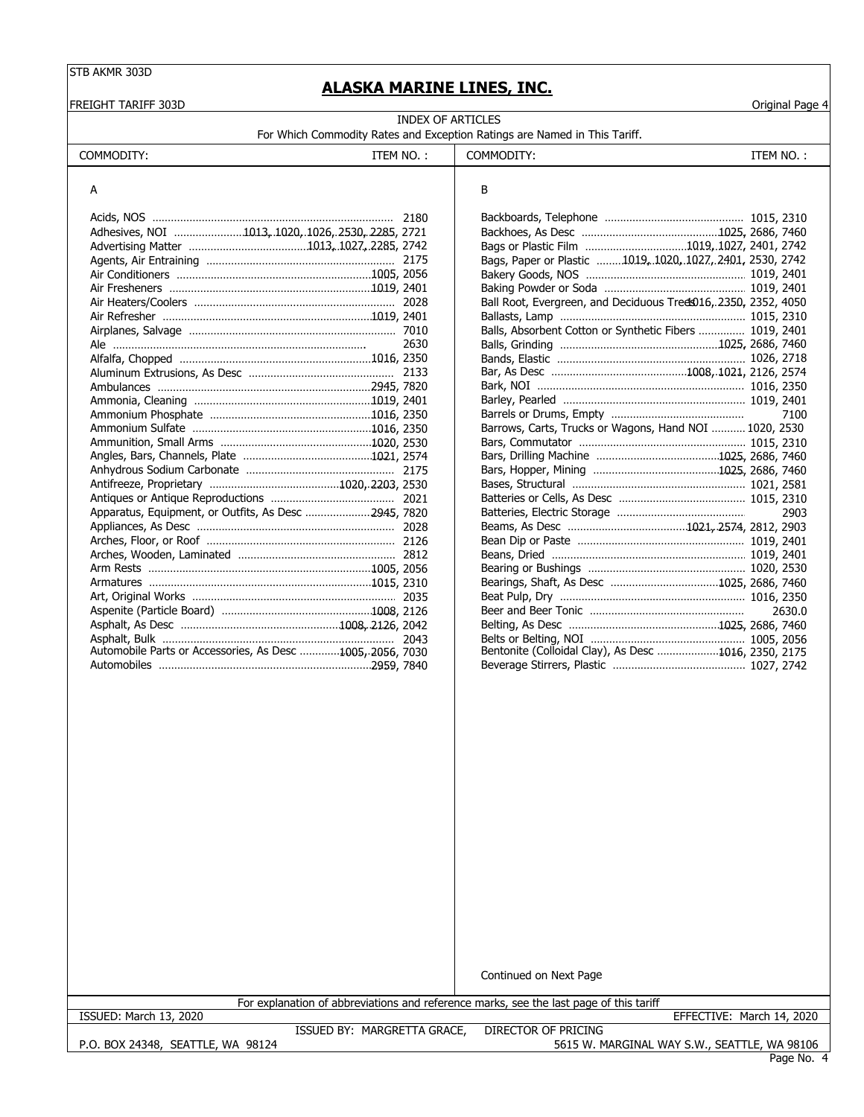FREIGHT TARIFF 303D Original Page 4

# **ALASKA MARINE LINES, INC.**

INDEX OF ARTICLES For Which Commodity Rates and Exception Ratings are Named in This Tariff.

| COMMODITY:<br>' NO.<br>--<br>-M | <b>COMMODITY</b> | TEM NO. |
|---------------------------------|------------------|---------|
|                                 |                  |         |

# A B

| Adhesives, NOI 1013, 1020, 1026, 2530, 2285, 2721         |      |                                                                 |        |
|-----------------------------------------------------------|------|-----------------------------------------------------------------|--------|
|                                                           |      |                                                                 |        |
|                                                           |      | Bags, Paper or Plastic 1019, 1020, 1027, 2401, 2530, 2742       |        |
|                                                           |      |                                                                 |        |
|                                                           |      |                                                                 |        |
|                                                           |      | Ball Root, Evergreen, and Deciduous Tred\$016, 2350, 2352, 4050 |        |
|                                                           |      |                                                                 |        |
|                                                           |      | Balls, Absorbent Cotton or Synthetic Fibers  1019, 2401         |        |
|                                                           | 2630 |                                                                 |        |
|                                                           |      |                                                                 |        |
|                                                           |      |                                                                 |        |
|                                                           |      |                                                                 |        |
|                                                           |      |                                                                 |        |
|                                                           |      |                                                                 |        |
|                                                           |      | Barrows, Carts, Trucks or Wagons, Hand NOI  1020, 2530          |        |
|                                                           |      |                                                                 |        |
|                                                           |      |                                                                 |        |
|                                                           |      |                                                                 |        |
|                                                           |      |                                                                 |        |
|                                                           |      |                                                                 |        |
|                                                           |      |                                                                 | 2903   |
|                                                           |      |                                                                 |        |
|                                                           |      |                                                                 |        |
|                                                           |      |                                                                 |        |
|                                                           |      |                                                                 |        |
|                                                           |      |                                                                 |        |
|                                                           |      |                                                                 |        |
|                                                           |      |                                                                 | 2630.0 |
|                                                           |      |                                                                 |        |
|                                                           |      |                                                                 |        |
| Automobile Parts or Accessories, As Desc 1005, 2056, 7030 |      | Bentonite (Colloidal Clay), As Desc 1016, 2350, 2175            |        |
|                                                           |      |                                                                 |        |

| Adhesives, NOI 1013, 1020, 1026, 2530, 2285, 2721         |      |                                                                |        |
|-----------------------------------------------------------|------|----------------------------------------------------------------|--------|
|                                                           |      |                                                                |        |
|                                                           |      | Bags, Paper or Plastic 1019, 1020, 1027, 2401, 2530, 2742      |        |
|                                                           |      |                                                                |        |
|                                                           |      |                                                                |        |
|                                                           |      | Ball Root, Evergreen, and Deciduous Tred 016, 2350, 2352, 4050 |        |
|                                                           |      |                                                                |        |
|                                                           |      | Balls, Absorbent Cotton or Synthetic Fibers  1019, 2401        |        |
|                                                           | 2630 |                                                                |        |
| Alfalfa, Chopped manumman manumman manumman 1016, 2350    |      |                                                                |        |
|                                                           |      |                                                                |        |
|                                                           |      |                                                                |        |
|                                                           |      |                                                                |        |
|                                                           |      |                                                                | 7100   |
|                                                           |      | Barrows, Carts, Trucks or Wagons, Hand NOI  1020, 2530         |        |
|                                                           |      |                                                                |        |
|                                                           |      |                                                                |        |
|                                                           |      |                                                                |        |
|                                                           |      |                                                                |        |
|                                                           |      |                                                                |        |
| Apparatus, Equipment, or Outfits, As Desc 2945, 7820      |      |                                                                | 2903   |
|                                                           |      |                                                                |        |
|                                                           |      |                                                                |        |
|                                                           |      |                                                                |        |
|                                                           |      |                                                                |        |
|                                                           |      |                                                                |        |
|                                                           |      |                                                                |        |
|                                                           |      |                                                                | 2630.0 |
|                                                           |      |                                                                |        |
|                                                           |      |                                                                |        |
| Automobile Parts or Accessories, As Desc 1005, 2056, 7030 |      | Bentonite (Colloidal Clay), As Desc 1016, 2350, 2175           |        |
|                                                           |      |                                                                |        |

Continued on Next Page

ISSUED: March 13, 2020 EFFECTIVE: March 14, 2020

For explanation of abbreviations and reference marks, see the last page of this tariff

P.O. BOX 24348, SEATTLE, WA 98124

ISSUED BY: MARGRETTA GRACE, DIRECTOR OF PRICING

5615 W. MARGINAL WAY S.W., SEATTLE, WA 98106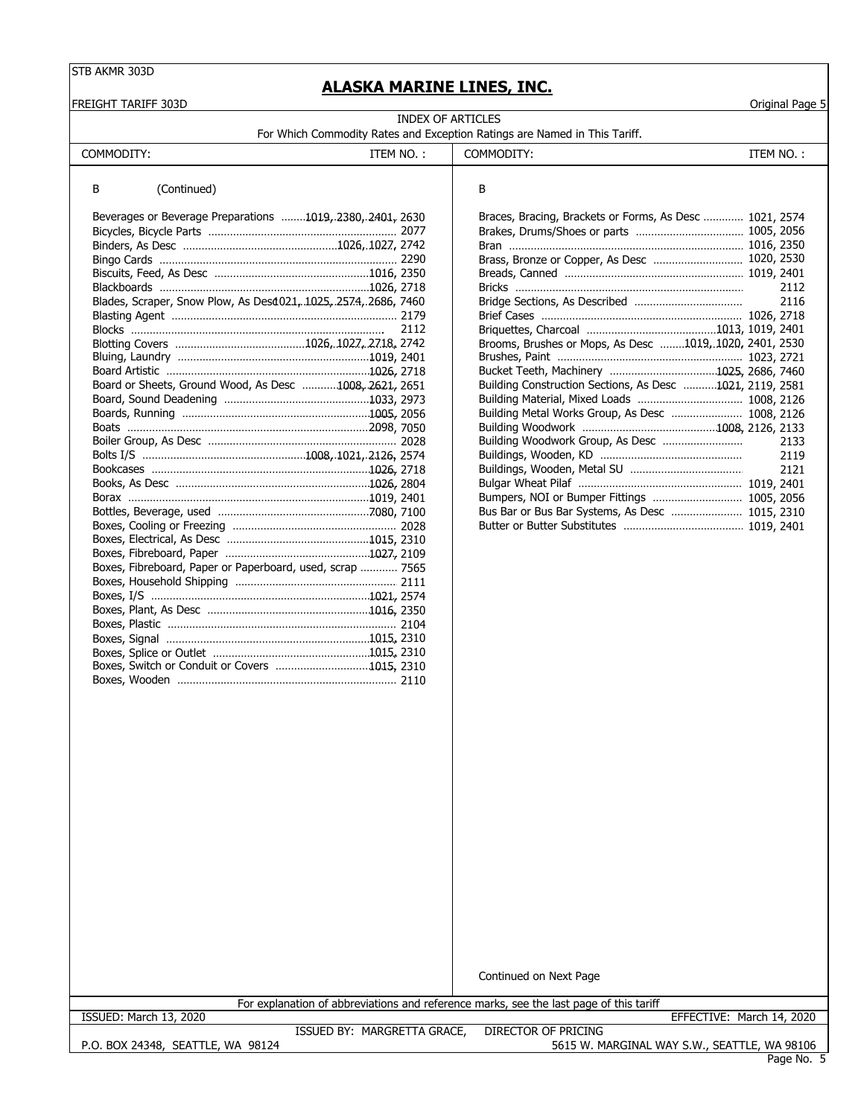FREIGHT TARIFF 303D Original Page 5

# **ALASKA MARINE LINES, INC.**

| INDEX OF ARTICLES                                                         |  |
|---------------------------------------------------------------------------|--|
| For Which Commodity Rates and Exception Ratings are Named in This Tariff. |  |

| COMMODITY:                                                     | ITEM NO.: | COMMODITY:                                               | ITEM NO.: |      |
|----------------------------------------------------------------|-----------|----------------------------------------------------------|-----------|------|
| B<br>(Continued)                                               |           | В                                                        |           |      |
| Beverages or Beverage Preparations 1019, 2380, 2401, 2630      |           | Braces, Bracing, Brackets or Forms, As Desc  1021, 2574  |           |      |
|                                                                |           |                                                          |           |      |
|                                                                |           |                                                          |           |      |
|                                                                |           | Brass, Bronze or Copper, As Desc  1020, 2530             |           |      |
|                                                                |           |                                                          |           |      |
|                                                                |           |                                                          |           | 2112 |
| Blades, Scraper, Snow Plow, As Desd021, 1025, 2574, 2686, 7460 |           |                                                          |           | 2116 |
|                                                                |           |                                                          |           |      |
|                                                                | 2112      |                                                          |           |      |
|                                                                |           | Brooms, Brushes or Mops, As Desc 1019, 1020, 2401, 2530  |           |      |
|                                                                |           |                                                          |           |      |
|                                                                |           |                                                          |           |      |
| Board or Sheets, Ground Wood, As Desc 1008, 2621, 2651         |           | Building Construction Sections, As Desc 1021, 2119, 2581 |           |      |
|                                                                |           |                                                          |           |      |
|                                                                |           | Building Metal Works Group, As Desc  1008, 2126          |           |      |
|                                                                |           |                                                          |           |      |
|                                                                |           |                                                          |           | 2133 |
|                                                                |           |                                                          |           | 2119 |
|                                                                |           |                                                          |           | 2121 |
|                                                                |           |                                                          |           |      |
|                                                                |           | Bumpers, NOI or Bumper Fittings  1005, 2056              |           |      |
|                                                                |           | Bus Bar or Bus Bar Systems, As Desc  1015, 2310          |           |      |
|                                                                |           |                                                          |           |      |
|                                                                |           |                                                          |           |      |
|                                                                |           |                                                          |           |      |
| Boxes, Fibreboard, Paper or Paperboard, used, scrap  7565      |           |                                                          |           |      |
|                                                                |           |                                                          |           |      |
|                                                                |           |                                                          |           |      |
|                                                                |           |                                                          |           |      |
|                                                                |           |                                                          |           |      |
|                                                                |           |                                                          |           |      |
|                                                                |           |                                                          |           |      |
| Boxes, Switch or Conduit or Covers 1015, 2310                  |           |                                                          |           |      |
|                                                                |           |                                                          |           |      |

Continued on Next Page

For explanation of abbreviations and reference marks, see the last page of this tariff

ISSUED: March 13, 2020 EFFECTIVE: March 14, 2020

P.O. BOX 24348, SEATTLE, WA 98124

ISSUED BY: MARGRETTA GRACE, DIRECTOR OF PRICING

5615 W. MARGINAL WAY S.W., SEATTLE, WA 98106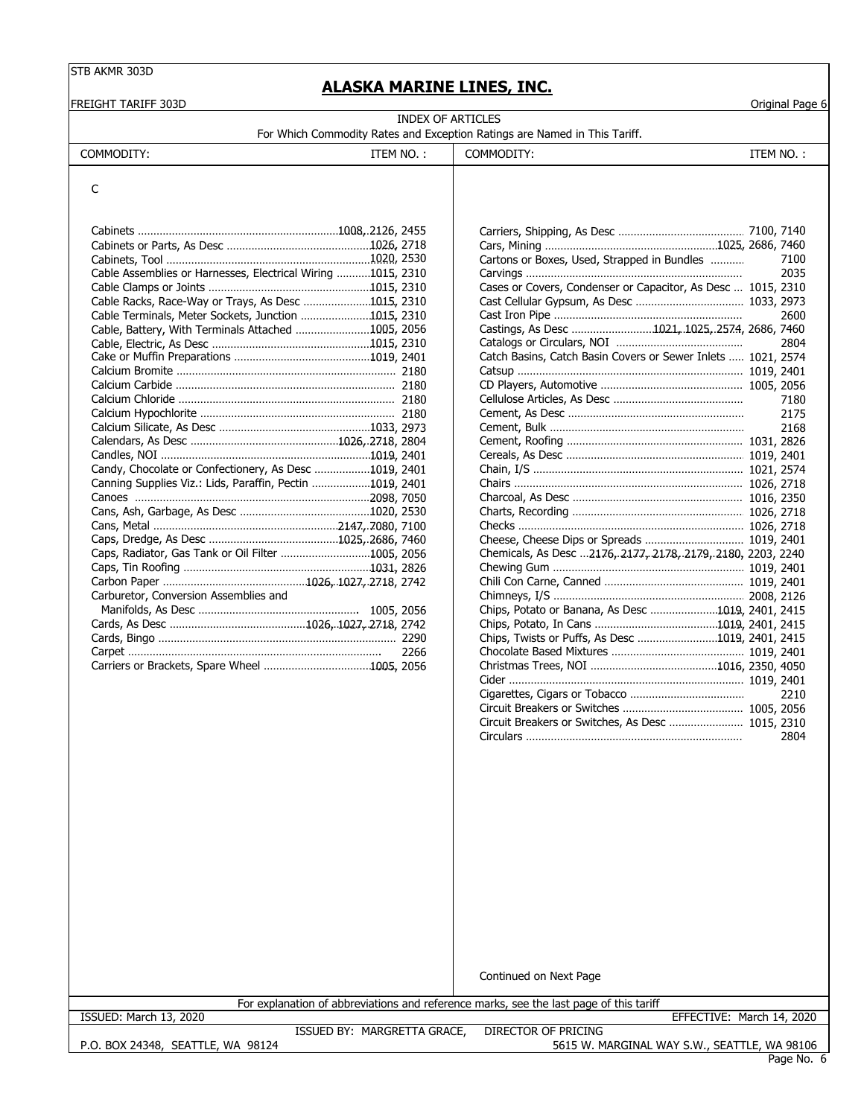# **ALASKA MARINE LINES, INC.**

|                                                                                                           |                          |                                                                           |           | Original Page 6 |
|-----------------------------------------------------------------------------------------------------------|--------------------------|---------------------------------------------------------------------------|-----------|-----------------|
|                                                                                                           | <b>INDEX OF ARTICLES</b> |                                                                           |           |                 |
|                                                                                                           |                          | For Which Commodity Rates and Exception Ratings are Named in This Tariff. |           |                 |
| COMMODITY:                                                                                                | ITEM NO.:                | COMMODITY:                                                                | ITEM NO.: |                 |
| C                                                                                                         |                          |                                                                           |           |                 |
|                                                                                                           |                          |                                                                           |           |                 |
| Cable Assemblies or Harnesses, Electrical Wiring 1015, 2310                                               |                          | Cartons or Boxes, Used, Strapped in Bundles                               |           | 7100<br>2035    |
| Cable Racks, Race-Way or Trays, As Desc 1015, 2310                                                        |                          | Cases or Covers, Condenser or Capacitor, As Desc  1015, 2310              |           |                 |
| Cable Terminals, Meter Sockets, Junction 1015, 2310<br>Cable, Battery, With Terminals Attached 1005, 2056 |                          | Castings, As Desc 1021, 1025, 2574, 2686, 7460                            |           | 2600            |
|                                                                                                           |                          | Catch Basins, Catch Basin Covers or Sewer Inlets  1021, 2574              |           | 2804            |
|                                                                                                           |                          |                                                                           |           |                 |
|                                                                                                           |                          |                                                                           |           | 7180<br>2175    |
|                                                                                                           |                          |                                                                           |           | 2168            |
| Candy, Chocolate or Confectionery, As Desc 1019, 2401                                                     |                          |                                                                           |           |                 |
| Canning Supplies Viz.: Lids, Paraffin, Pectin 1019, 2401                                                  |                          |                                                                           |           |                 |
|                                                                                                           |                          |                                                                           |           |                 |
| Caps, Radiator, Gas Tank or Oil Filter 1005, 2056                                                         |                          | Chemicals, As Desc 2176, 2177, 2178, 2179, 2180, 2203, 2240               |           |                 |
| Carburetor, Conversion Assemblies and                                                                     |                          |                                                                           |           |                 |
|                                                                                                           |                          | Chips, Potato or Banana, As Desc 1019, 2401, 2415                         |           |                 |
|                                                                                                           | 2266                     | Chips, Twists or Puffs, As Desc 1019, 2401, 2415                          |           |                 |
|                                                                                                           |                          |                                                                           |           |                 |
|                                                                                                           |                          |                                                                           |           | 2210            |
|                                                                                                           |                          | Circuit Breakers or Switches, As Desc  1015, 2310                         |           |                 |

Continued on Next Page

For explanation of abbreviations and reference marks, see the last page of this tariff

ISSUED: March 13, 2020 EFFECTIVE: March 14, 2020

P.O. BOX 24348, SEATTLE, WA 98124

ISSUED BY: MARGRETTA GRACE, DIRECTOR OF PRICING 5615 W. MARGINAL WAY S.W., SEATTLE, WA 98106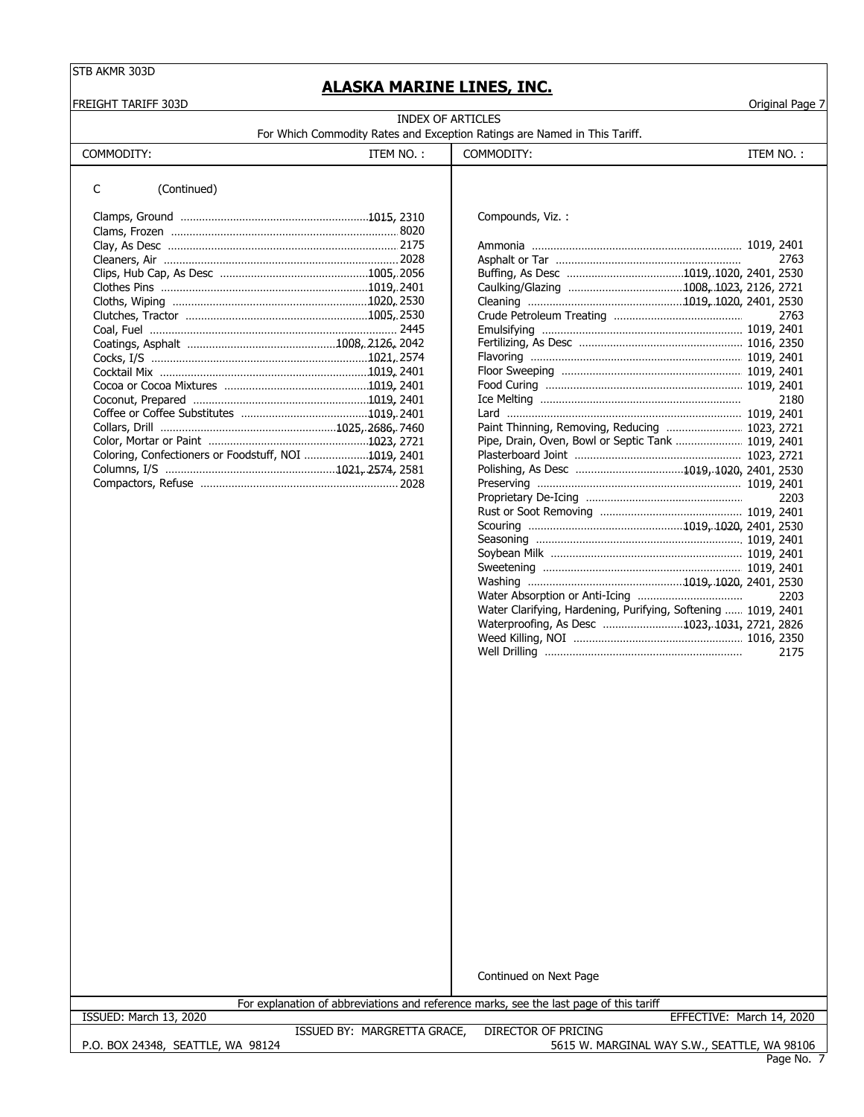# **ALASKA MARINE LINES, INC.**

FREIGHT TARIFF 303D Original Page 7

| INDEX OF ARTICLES                                                         |  |
|---------------------------------------------------------------------------|--|
| For Which Commodity Rates and Exception Ratings are Named in This Tariff. |  |

| For which Commodity Rates and Exception Ratings are Named in This Tariff. |  |  |  |
|---------------------------------------------------------------------------|--|--|--|
|                                                                           |  |  |  |

COMMODITY: ITEM NO. : COMMODITY: ITEM NO. : COMMODITY:

#### C (Continued)

|                                                      | Compounds, Viz. :                                  |      |
|------------------------------------------------------|----------------------------------------------------|------|
|                                                      |                                                    |      |
|                                                      |                                                    |      |
|                                                      |                                                    | 2763 |
|                                                      |                                                    |      |
|                                                      |                                                    |      |
|                                                      |                                                    |      |
|                                                      |                                                    | 2763 |
|                                                      |                                                    |      |
|                                                      |                                                    |      |
|                                                      |                                                    |      |
|                                                      |                                                    |      |
|                                                      |                                                    |      |
|                                                      |                                                    | 2180 |
|                                                      |                                                    |      |
|                                                      | Paint Thinning, Removing, Reducing  1023, 2721     |      |
|                                                      | Pipe, Drain, Oven, Bowl or Septic Tank  1019, 2401 |      |
| Coloring, Confectioners or Foodstuff, NOI 1019, 2401 |                                                    |      |
|                                                      |                                                    |      |
|                                                      |                                                    |      |

|                                                      | 2763                                                          |
|------------------------------------------------------|---------------------------------------------------------------|
|                                                      |                                                               |
|                                                      |                                                               |
|                                                      |                                                               |
|                                                      | 2763                                                          |
|                                                      |                                                               |
|                                                      |                                                               |
|                                                      |                                                               |
|                                                      |                                                               |
|                                                      |                                                               |
|                                                      | 2180                                                          |
|                                                      |                                                               |
|                                                      | Paint Thinning, Removing, Reducing  1023, 2721                |
|                                                      | Pipe, Drain, Oven, Bowl or Septic Tank  1019, 2401            |
| Coloring, Confectioners or Foodstuff, NOI 1019, 2401 |                                                               |
|                                                      |                                                               |
|                                                      |                                                               |
|                                                      | 2203                                                          |
|                                                      |                                                               |
|                                                      |                                                               |
|                                                      |                                                               |
|                                                      |                                                               |
|                                                      |                                                               |
|                                                      |                                                               |
|                                                      | 2203                                                          |
|                                                      | Water Clarifying, Hardening, Purifying, Softening  1019, 2401 |
|                                                      | Waterproofing, As Desc 1023, 1031, 2721, 2826                 |
|                                                      |                                                               |
|                                                      | 2175                                                          |
|                                                      |                                                               |

Continued on Next Page

For explanation of abbreviations and reference marks, see the last page of this tariff

P.O. BOX 24348, SEATTLE, WA 98124 ISSUED BY: MARGRETTA GRACE, DIRECTOR OF PRICING 5615 W. MARGINAL WAY S.W., SEATTLE, WA 98106 ISSUED: March 13, 2020 EFFECTIVE: March 14, 2020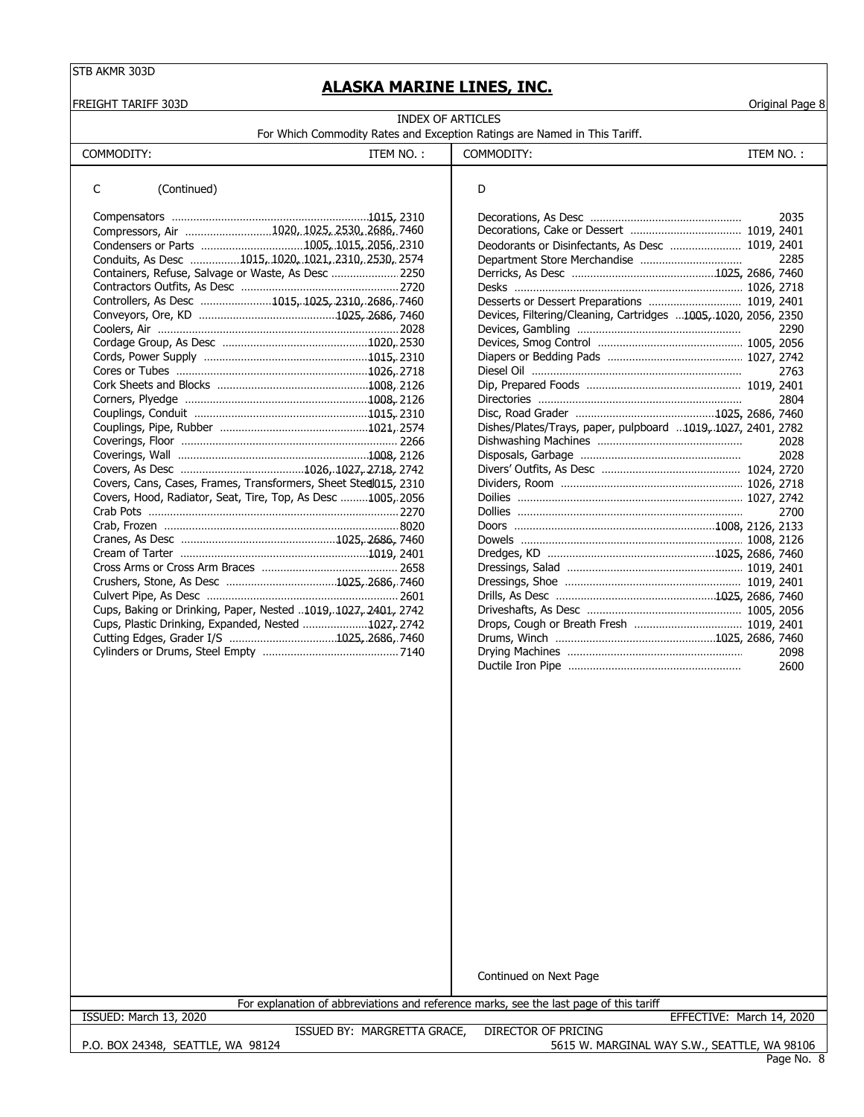**ALASKA MARINE LINES, INC.**

| <b>INDEX OF ARTICLES</b><br>For Which Commodity Rates and Exception Ratings are Named in This Tariff.<br>COMMODITY:<br>ITEM NO.:<br>D<br>C<br>(Continued)<br>Compressors, Air 1020, 1025, 2530, 2686, 7460<br>Conduits, As Desc 1015, 1020, 1021, 2310, 2530, 2574<br>Containers, Refuse, Salvage or Waste, As Desc  2250<br>Controllers, As Desc 1015, 1025, 2310, 2686, 7460 | COMMODITY:<br>Deodorants or Disinfectants, As Desc  1019, 2401 | ITEM NO.: | 2035 |
|--------------------------------------------------------------------------------------------------------------------------------------------------------------------------------------------------------------------------------------------------------------------------------------------------------------------------------------------------------------------------------|----------------------------------------------------------------|-----------|------|
|                                                                                                                                                                                                                                                                                                                                                                                |                                                                |           |      |
|                                                                                                                                                                                                                                                                                                                                                                                |                                                                |           |      |
|                                                                                                                                                                                                                                                                                                                                                                                |                                                                |           |      |
|                                                                                                                                                                                                                                                                                                                                                                                |                                                                |           |      |
|                                                                                                                                                                                                                                                                                                                                                                                |                                                                |           |      |
|                                                                                                                                                                                                                                                                                                                                                                                |                                                                |           |      |
|                                                                                                                                                                                                                                                                                                                                                                                |                                                                |           |      |
|                                                                                                                                                                                                                                                                                                                                                                                |                                                                |           |      |
|                                                                                                                                                                                                                                                                                                                                                                                |                                                                |           | 2285 |
|                                                                                                                                                                                                                                                                                                                                                                                |                                                                |           |      |
|                                                                                                                                                                                                                                                                                                                                                                                |                                                                |           |      |
|                                                                                                                                                                                                                                                                                                                                                                                | Desserts or Dessert Preparations  1019, 2401                   |           |      |
|                                                                                                                                                                                                                                                                                                                                                                                | Devices, Filtering/Cleaning, Cartridges 1005, 1020, 2056, 2350 |           |      |
|                                                                                                                                                                                                                                                                                                                                                                                |                                                                |           | 2290 |
|                                                                                                                                                                                                                                                                                                                                                                                |                                                                |           |      |
|                                                                                                                                                                                                                                                                                                                                                                                |                                                                |           |      |
|                                                                                                                                                                                                                                                                                                                                                                                |                                                                |           | 2763 |
|                                                                                                                                                                                                                                                                                                                                                                                |                                                                |           |      |
|                                                                                                                                                                                                                                                                                                                                                                                |                                                                |           | 2804 |
|                                                                                                                                                                                                                                                                                                                                                                                |                                                                |           |      |
|                                                                                                                                                                                                                                                                                                                                                                                | Dishes/Plates/Trays, paper, pulpboard 1019, 1027, 2401, 2782   |           |      |
|                                                                                                                                                                                                                                                                                                                                                                                |                                                                |           | 2028 |
|                                                                                                                                                                                                                                                                                                                                                                                |                                                                |           | 2028 |
|                                                                                                                                                                                                                                                                                                                                                                                |                                                                |           |      |
| Covers, Cans, Cases, Frames, Transformers, Sheet Stedl015, 2310<br>Covers, Hood, Radiator, Seat, Tire, Top, As Desc 1005, 2056                                                                                                                                                                                                                                                 |                                                                |           |      |
|                                                                                                                                                                                                                                                                                                                                                                                |                                                                |           | 2700 |
|                                                                                                                                                                                                                                                                                                                                                                                |                                                                |           |      |
|                                                                                                                                                                                                                                                                                                                                                                                |                                                                |           |      |
|                                                                                                                                                                                                                                                                                                                                                                                |                                                                |           |      |
|                                                                                                                                                                                                                                                                                                                                                                                |                                                                |           |      |
|                                                                                                                                                                                                                                                                                                                                                                                |                                                                |           |      |
|                                                                                                                                                                                                                                                                                                                                                                                |                                                                |           |      |
| Cups, Baking or Drinking, Paper, Nested 1019, 1027, 2401, 2742                                                                                                                                                                                                                                                                                                                 |                                                                |           |      |
| Cups, Plastic Drinking, Expanded, Nested 1027, 2742                                                                                                                                                                                                                                                                                                                            |                                                                |           |      |
|                                                                                                                                                                                                                                                                                                                                                                                |                                                                |           |      |
|                                                                                                                                                                                                                                                                                                                                                                                |                                                                |           | 2098 |
|                                                                                                                                                                                                                                                                                                                                                                                |                                                                |           | 2600 |

Continued on Next Page

For explanation of abbreviations and reference marks, see the last page of this tariff

ISSUED: March 13, 2020 EFFECTIVE: March 14, 2020

P.O. BOX 24348, SEATTLE, WA 98124

ISSUED BY: MARGRETTA GRACE, DIRECTOR OF PRICING 5615 W. MARGINAL WAY S.W., SEATTLE, WA 98106

Page No. 8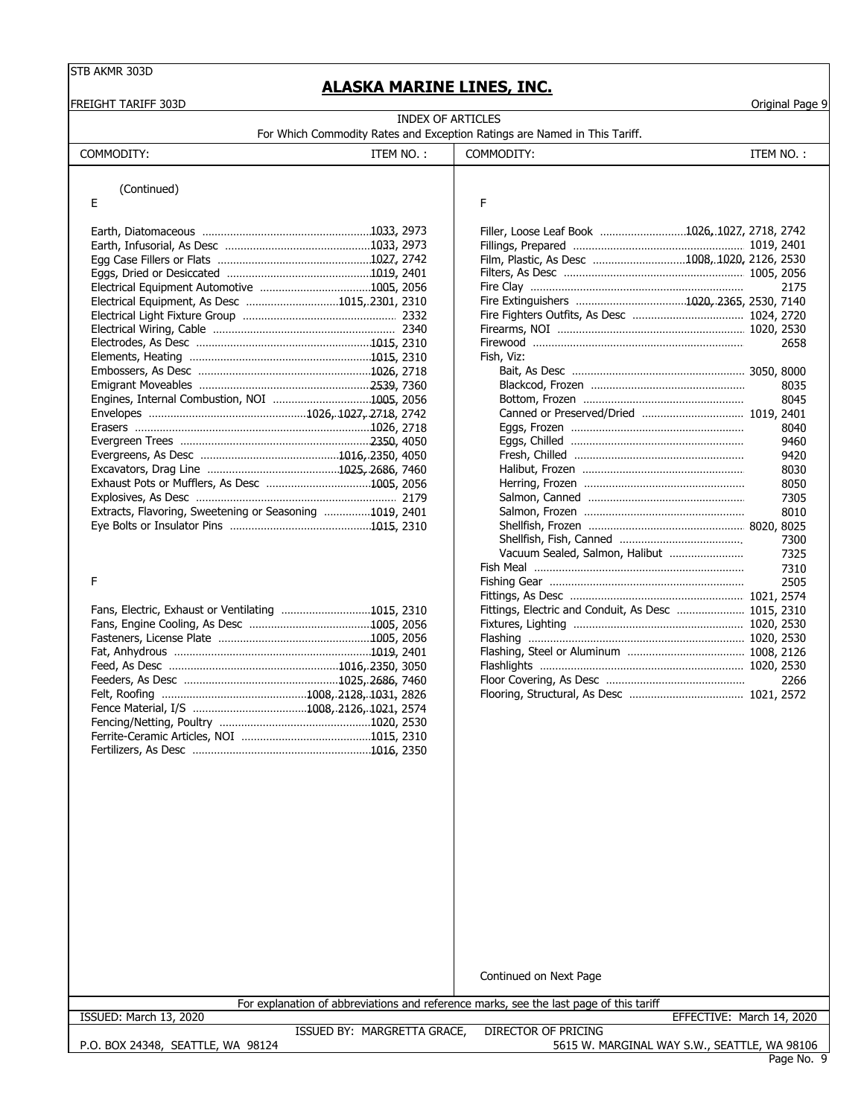# **ACKA MARTNE LINES IN**

|                                                         |           | ALASKA MARINE LINES, INC.                                                                                           |           |                 |
|---------------------------------------------------------|-----------|---------------------------------------------------------------------------------------------------------------------|-----------|-----------------|
| FREIGHT TARIFF 303D                                     |           | <b>INDEX OF ARTICLES</b>                                                                                            |           | Original Page 9 |
|                                                         |           | For Which Commodity Rates and Exception Ratings are Named in This Tariff.                                           |           |                 |
| COMMODITY:                                              | ITEM NO.: | COMMODITY:                                                                                                          | ITEM NO.: |                 |
|                                                         |           |                                                                                                                     |           |                 |
| (Continued)                                             |           |                                                                                                                     |           |                 |
| Е                                                       |           | F                                                                                                                   |           |                 |
|                                                         |           | Filler, Loose Leaf Book 1026,.1027, 2718, 2742                                                                      |           |                 |
|                                                         |           |                                                                                                                     |           |                 |
|                                                         |           | Film, Plastic, As Desc 1008, 1020, 2126, 2530                                                                       |           |                 |
|                                                         |           |                                                                                                                     |           |                 |
|                                                         |           |                                                                                                                     |           | 2175            |
| Electrical Equipment, As Desc 1015, 2301, 2310          |           |                                                                                                                     |           |                 |
|                                                         |           |                                                                                                                     |           |                 |
|                                                         |           |                                                                                                                     |           |                 |
|                                                         |           |                                                                                                                     |           | 2658            |
|                                                         |           | Fish, Viz:                                                                                                          |           |                 |
|                                                         |           |                                                                                                                     |           |                 |
|                                                         |           |                                                                                                                     |           | 8035            |
|                                                         |           |                                                                                                                     |           | 8045            |
|                                                         |           |                                                                                                                     |           |                 |
|                                                         |           |                                                                                                                     |           | 8040            |
|                                                         |           |                                                                                                                     |           | 9460            |
|                                                         |           |                                                                                                                     |           | 9420<br>8030    |
|                                                         |           |                                                                                                                     |           | 8050            |
|                                                         |           |                                                                                                                     |           | 7305            |
| Extracts, Flavoring, Sweetening or Seasoning 1019, 2401 |           |                                                                                                                     |           | 8010            |
|                                                         |           |                                                                                                                     |           |                 |
|                                                         |           |                                                                                                                     |           | 7300            |
|                                                         |           | Vacuum Sealed, Salmon, Halibut                                                                                      |           | 7325            |
|                                                         |           |                                                                                                                     |           | 7310            |
| F                                                       |           |                                                                                                                     |           | 2505            |
|                                                         |           |                                                                                                                     |           |                 |
| Fans, Electric, Exhaust or Ventilating 1015, 2310       |           | Fittings, Electric and Conduit, As Desc  1015, 2310                                                                 |           |                 |
|                                                         |           |                                                                                                                     |           |                 |
|                                                         |           |                                                                                                                     |           |                 |
|                                                         |           |                                                                                                                     |           |                 |
|                                                         |           |                                                                                                                     |           |                 |
|                                                         |           |                                                                                                                     |           | 2266            |
|                                                         |           |                                                                                                                     |           |                 |
|                                                         |           |                                                                                                                     |           |                 |
|                                                         |           |                                                                                                                     |           |                 |
|                                                         |           |                                                                                                                     |           |                 |
|                                                         |           |                                                                                                                     |           |                 |
|                                                         |           |                                                                                                                     |           |                 |
|                                                         |           |                                                                                                                     |           |                 |
|                                                         |           |                                                                                                                     |           |                 |
|                                                         |           |                                                                                                                     |           |                 |
|                                                         |           |                                                                                                                     |           |                 |
|                                                         |           |                                                                                                                     |           |                 |
|                                                         |           |                                                                                                                     |           |                 |
|                                                         |           |                                                                                                                     |           |                 |
|                                                         |           |                                                                                                                     |           |                 |
|                                                         |           |                                                                                                                     |           |                 |
|                                                         |           |                                                                                                                     |           |                 |
|                                                         |           |                                                                                                                     |           |                 |
|                                                         |           |                                                                                                                     |           |                 |
|                                                         |           |                                                                                                                     |           |                 |
|                                                         |           | Continued on Next Page                                                                                              |           |                 |
|                                                         |           |                                                                                                                     |           |                 |
| ISSUED: March 13, 2020                                  |           | For explanation of abbreviations and reference marks, see the last page of this tariff<br>EFFECTIVE: March 14, 2020 |           |                 |
|                                                         |           |                                                                                                                     |           |                 |

P.O. BOX 24348, SEATTLE, WA 98124

ISSUED BY: MARGRETTA GRACE, DIRECTOR OF PRICING

5615 W. MARGINAL WAY S.W., SEATTLE, WA 98106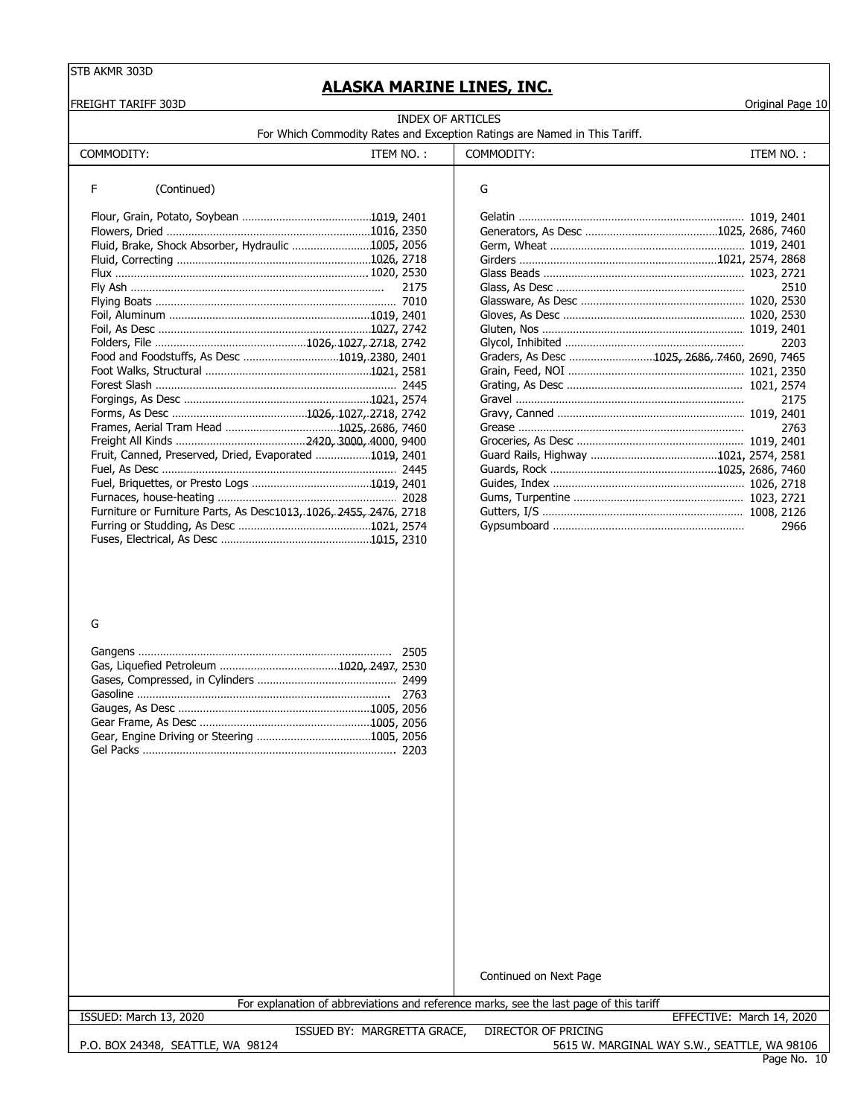# **ALASKA MARINE LINES, INC.**

| <b>FREIGHT TARIFF 303D</b>                                                                                            |                          |                                                                           | Original Page 10             |
|-----------------------------------------------------------------------------------------------------------------------|--------------------------|---------------------------------------------------------------------------|------------------------------|
|                                                                                                                       | <b>INDEX OF ARTICLES</b> |                                                                           |                              |
|                                                                                                                       |                          | For Which Commodity Rates and Exception Ratings are Named in This Tariff. |                              |
| COMMODITY:                                                                                                            | ITEM NO.:                | COMMODITY:                                                                | ITEM NO.:                    |
| F<br>(Continued)<br>Fluid, Brake, Shock Absorber, Hydraulic 1005, 2056<br>Food and Foodstuffs, As Desc 10192380, 2401 | 2175                     | G<br>Graders, As Desc 1025, 2686, 7460, 2690, 7465                        | 2510<br>2203<br>2175<br>2763 |
| Fruit, Canned, Preserved, Dried, Evaporated 1019, 2401                                                                |                          |                                                                           |                              |
|                                                                                                                       |                          |                                                                           |                              |
|                                                                                                                       |                          |                                                                           |                              |
|                                                                                                                       |                          |                                                                           |                              |
| Furniture or Furniture Parts, As Desc1013, 1026, 2455, 2476, 2718                                                     |                          |                                                                           |                              |
|                                                                                                                       |                          |                                                                           | 2966                         |
|                                                                                                                       |                          |                                                                           |                              |

#### G

Continued on Next Page

For explanation of abbreviations and reference marks, see the last page of this tariff

ISSUED: March 13, 2020 EFFECTIVE: March 14, 2020

P.O. BOX 24348, SEATTLE, WA 98124

ISSUED BY: MARGRETTA GRACE, DIRECTOR OF PRICING

5615 W. MARGINAL WAY S.W., SEATTLE, WA 98106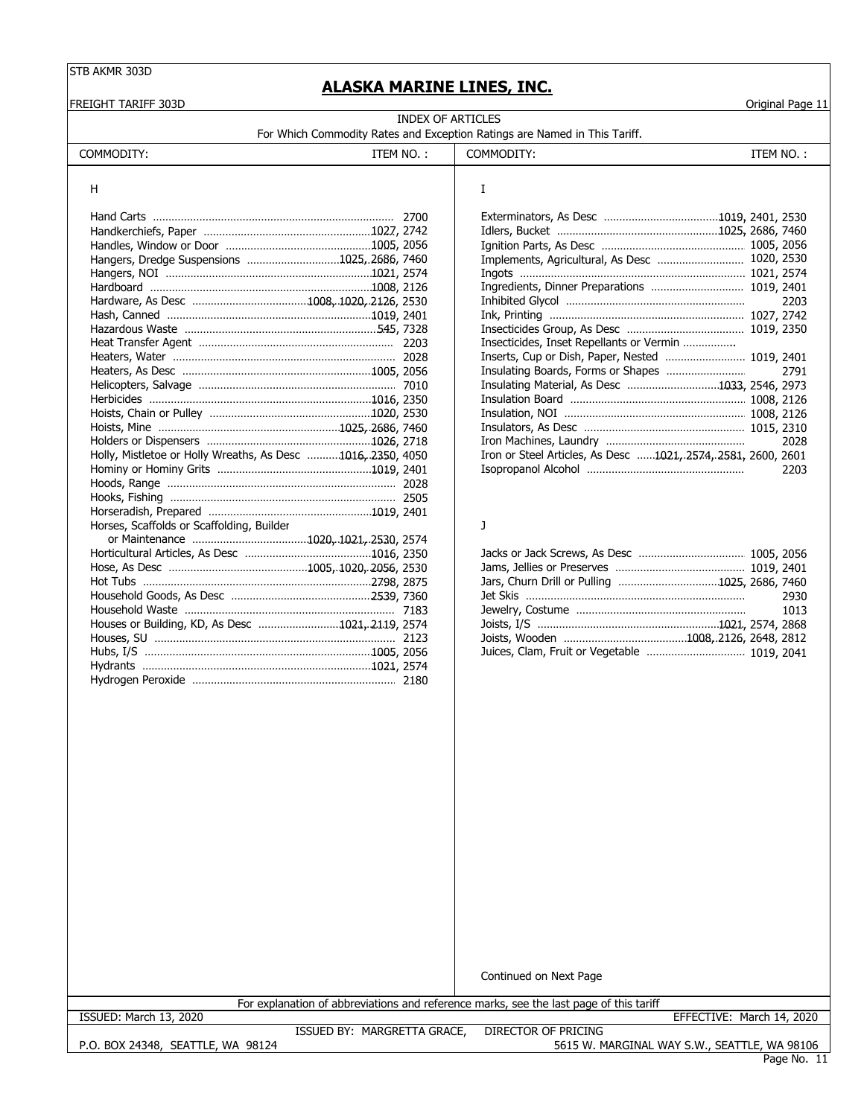FREIGHT TARIFF 303D Original Page 11

# **ALASKA MARINE LINES, INC.**

| INDEX OF ARTICLES                                                         |  |
|---------------------------------------------------------------------------|--|
| For Which Commodity Rates and Exception Ratings are Named in This Tariff. |  |

| COMMODITY:                                                  | ITEM NO.: | COMMODITY:                                                    | ITEM NO.: |      |
|-------------------------------------------------------------|-----------|---------------------------------------------------------------|-----------|------|
| н                                                           |           | I                                                             |           |      |
|                                                             |           |                                                               |           |      |
|                                                             |           |                                                               |           |      |
|                                                             |           |                                                               |           |      |
|                                                             |           |                                                               |           |      |
| Hangers, Dredge Suspensions 1025, 2686, 7460                |           |                                                               |           |      |
|                                                             |           |                                                               |           |      |
|                                                             |           |                                                               |           |      |
|                                                             |           |                                                               |           | 2203 |
|                                                             |           |                                                               |           |      |
|                                                             |           |                                                               |           |      |
|                                                             |           | Insecticides, Inset Repellants or Vermin                      |           |      |
|                                                             |           | Inserts, Cup or Dish, Paper, Nested  1019, 2401               |           |      |
|                                                             |           |                                                               |           | 2791 |
|                                                             |           | Insulating Material, As Desc 1033, 2546, 2973                 |           |      |
|                                                             |           |                                                               |           |      |
|                                                             |           |                                                               |           |      |
|                                                             |           |                                                               |           |      |
|                                                             |           |                                                               |           | 2028 |
| Holly, Mistletoe or Holly Wreaths, As Desc 1016, 2350, 4050 |           | Iron or Steel Articles, As Desc  1021, 2574, 2581, 2600, 2601 |           |      |
|                                                             |           |                                                               |           | 2203 |
|                                                             |           |                                                               |           |      |
|                                                             |           |                                                               |           |      |
|                                                             |           |                                                               |           |      |
| Horses, Scaffolds or Scaffolding, Builder                   |           | J                                                             |           |      |
|                                                             |           |                                                               |           |      |
|                                                             |           |                                                               |           |      |
|                                                             |           |                                                               |           |      |
|                                                             |           |                                                               |           |      |
|                                                             |           |                                                               |           | 2930 |
|                                                             |           |                                                               |           | 1013 |
| Houses or Building, KD, As Desc 1021, 2119, 2574            |           |                                                               |           |      |
|                                                             |           |                                                               |           |      |
|                                                             |           | Juices, Clam, Fruit or Vegetable  1019, 2041                  |           |      |
|                                                             |           |                                                               |           |      |
|                                                             |           |                                                               |           |      |

| Implements, Agricultural, As Desc                            | 1020, 2530 |
|--------------------------------------------------------------|------------|
|                                                              | 1021, 2574 |
| Ingredients, Dinner Preparations  1019, 2401                 |            |
|                                                              | 2203       |
|                                                              | 1027, 2742 |
|                                                              |            |
| Insecticides, Inset Repellants or Vermin                     |            |
| Inserts, Cup or Dish, Paper, Nested  1019, 2401              |            |
|                                                              | 2791       |
| Insulating Material, As Desc 1033, 2546, 2973                |            |
|                                                              |            |
|                                                              |            |
|                                                              |            |
|                                                              | 2028       |
| Iron or Steel Articles, As Desc 1021, 2574, 2581, 2600, 2601 |            |
|                                                              | 2203       |

| Jars, Churn Drill or Pulling 1025, 2686, 7460 |  |  |
|-----------------------------------------------|--|--|
|                                               |  |  |
|                                               |  |  |
|                                               |  |  |
|                                               |  |  |
| Juices, Clam, Fruit or Vegetable  1019, 2041  |  |  |

Continued on Next Page

For explanation of abbreviations and reference marks, see the last page of this tariff

ISSUED: March 13, 2020 EFFECTIVE: March 14, 2020

P.O. BOX 24348, SEATTLE, WA 98124

ISSUED BY: MARGRETTA GRACE, DIRECTOR OF PRICING 5615 W. MARGINAL WAY S.W., SEATTLE, WA 98106

Page No. 11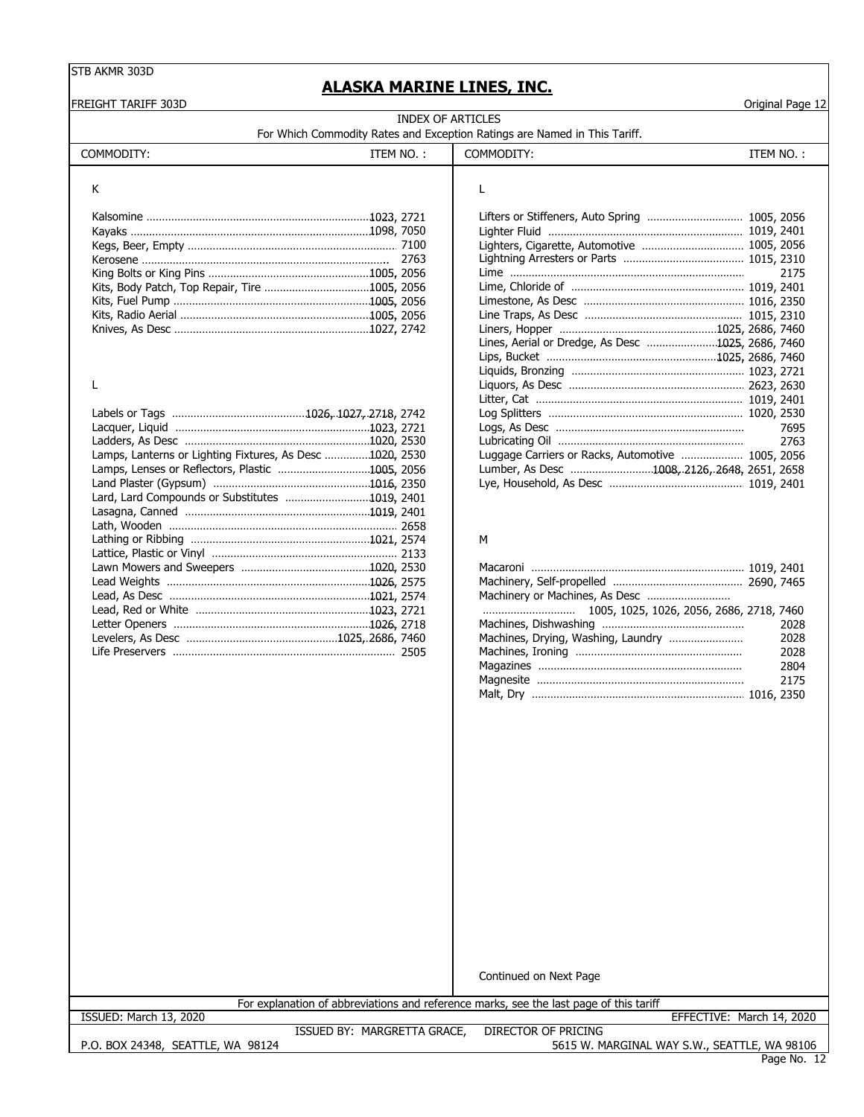# **ALASKA MARINE LINES, INC.**

FREIGHT TARIFF 303D Original Page 12

| INDEX OF ARTICLES                                                         |  |
|---------------------------------------------------------------------------|--|
| For Which Commodity Rates and Exception Ratings are Named in This Tariff. |  |

| COMMODITY: | ITEM NO. | COMMODITY: | TEM NO. |
|------------|----------|------------|---------|

Lard, Lard Compounds or Substitutes ……………………………… 1019, 2401 Lasagna, Canned …………………………………………………………1019…, 2401 Lath, Wooden …………………………………………………………………2658

Lattice, Plastic or Vinyl …………………………………………………… 2133 Lawn Mowers and Sweepers ………………………………………… 1020, 2530 Macaroni ………………………………………………………… … … 1019, 2401 Lead Weights ……………………………………………………… 1026, 2575 Lead, As Desc …………………………………………………………1021, 2574 Lead, Red or White ………………………………………………1023. 2721 Letter Openers ……………………………………………………… 1026, 2718 Levelers, As Desc ………………………………………… 1025, 2686, 7460 Life Preservers …………………………………………………………………… 2505

# K L

|                                                          | Lifters or Stiffeners, Auto Spring  1005, 2056    |
|----------------------------------------------------------|---------------------------------------------------|
|                                                          |                                                   |
|                                                          | Lighters, Cigarette, Automotive  1005, 2056       |
|                                                          |                                                   |
|                                                          | 2175                                              |
|                                                          |                                                   |
|                                                          |                                                   |
|                                                          |                                                   |
|                                                          |                                                   |
|                                                          | Lines, Aerial or Dredge, As Desc 1025, 2686, 7460 |
|                                                          |                                                   |
|                                                          |                                                   |
|                                                          |                                                   |
|                                                          |                                                   |
|                                                          |                                                   |
|                                                          | 7695                                              |
|                                                          | 2763                                              |
| Lamps, Lanterns or Lighting Fixtures, As Desc 1020, 2530 | Luggage Carriers or Racks, Automotive  1005, 2056 |
| Lamps, Lenses or Reflectors, Plastic 1005, 2056          | Lumber, As Desc 1008, 2126, 2648, 2651, 2658      |

#### Lathing or Ribbing …………………………………………………1021, 2574 | M

Land Plaster (Gypsum) …………………………………………………1016…, 2350 Lye, Household, As Desc ………………………………………1019, 2401

| Machinery or Machines, As Desc |      |
|--------------------------------|------|
|                                |      |
|                                | 2028 |
|                                | 2028 |
|                                | 2028 |
|                                | 2804 |
|                                | 2175 |
|                                |      |

Continued on Next Page

For explanation of abbreviations and reference marks, see the last page of this tariff

ISSUED: March 13, 2020 EFFECTIVE: March 14, 2020

P.O. BOX 24348, SEATTLE, WA 98124

ISSUED BY: MARGRETTA GRACE, DIRECTOR OF PRICING

Page No. 12 5615 W. MARGINAL WAY S.W., SEATTLE, WA 98106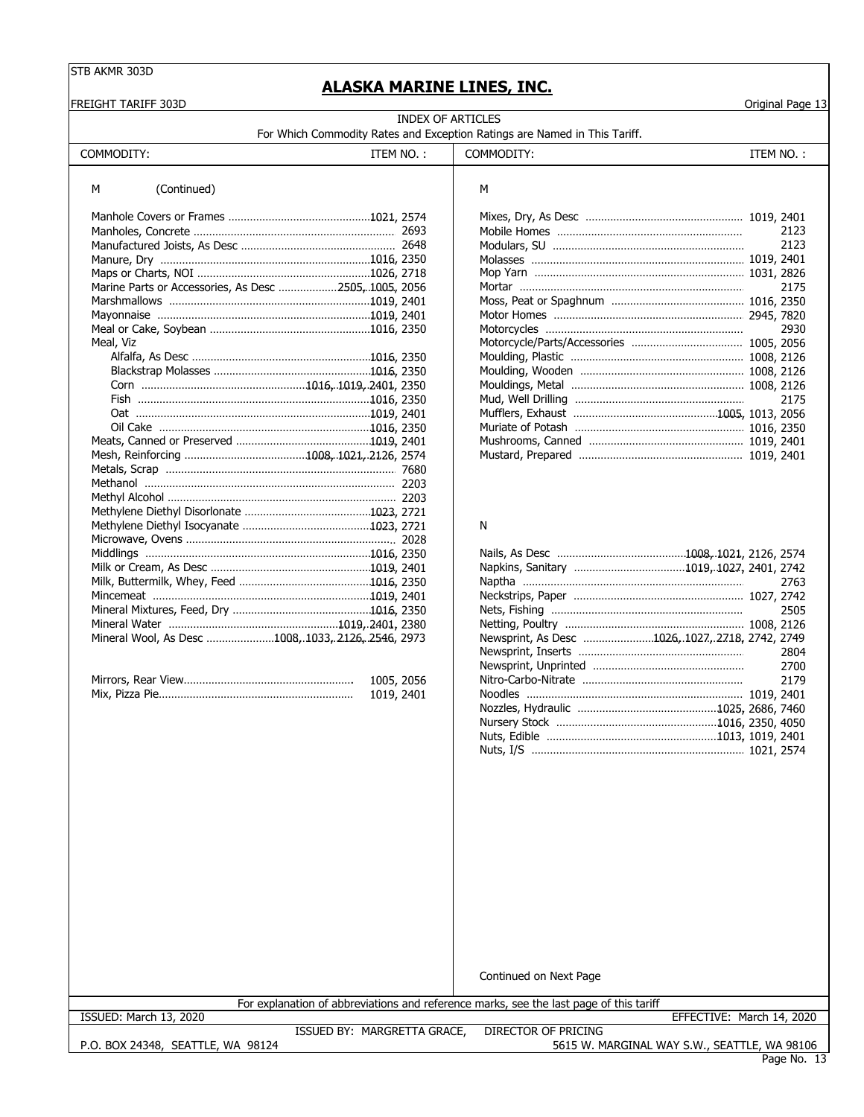# **ALASKA MARINE LINES, INC.**

|           | <b>INDEX OF ARTICLES</b><br>For Which Commodity Rates and Exception Ratings are Named in This Tariff.                                   |                                                 |
|-----------|-----------------------------------------------------------------------------------------------------------------------------------------|-------------------------------------------------|
|           |                                                                                                                                         |                                                 |
| ITEM NO.: | COMMODITY:                                                                                                                              | ITEM NO.:                                       |
|           | М                                                                                                                                       |                                                 |
|           |                                                                                                                                         |                                                 |
|           |                                                                                                                                         | 2123                                            |
|           |                                                                                                                                         | 2123                                            |
|           |                                                                                                                                         |                                                 |
|           |                                                                                                                                         |                                                 |
|           |                                                                                                                                         | 2175                                            |
|           |                                                                                                                                         |                                                 |
|           |                                                                                                                                         |                                                 |
|           |                                                                                                                                         | 2930                                            |
|           |                                                                                                                                         |                                                 |
|           |                                                                                                                                         |                                                 |
|           |                                                                                                                                         |                                                 |
|           |                                                                                                                                         |                                                 |
|           |                                                                                                                                         | 2175                                            |
|           |                                                                                                                                         |                                                 |
|           |                                                                                                                                         |                                                 |
|           |                                                                                                                                         |                                                 |
|           |                                                                                                                                         |                                                 |
|           |                                                                                                                                         |                                                 |
|           |                                                                                                                                         |                                                 |
|           |                                                                                                                                         |                                                 |
|           | N                                                                                                                                       |                                                 |
|           |                                                                                                                                         |                                                 |
|           |                                                                                                                                         |                                                 |
|           |                                                                                                                                         |                                                 |
|           |                                                                                                                                         | 2763                                            |
|           |                                                                                                                                         |                                                 |
|           |                                                                                                                                         | 2505                                            |
|           |                                                                                                                                         |                                                 |
|           |                                                                                                                                         | 2804                                            |
|           |                                                                                                                                         | 2700                                            |
|           |                                                                                                                                         | 2179                                            |
|           |                                                                                                                                         |                                                 |
|           |                                                                                                                                         |                                                 |
|           |                                                                                                                                         |                                                 |
|           |                                                                                                                                         |                                                 |
|           |                                                                                                                                         |                                                 |
|           | Marine Parts or Accessories, As Desc 2505, 1005, 2056<br>Mineral Wool, As Desc 1008, 1033, 2126, 2546, 2973<br>1005, 2056<br>1019, 2401 | Newsprint, As Desc 1026, 1027, 2718, 2742, 2749 |

For explanation of abbreviations and reference marks, see the last page of this tariff

ISSUED: March 13, 2020 EFFECTIVE: March 14, 2020

P.O. BOX 24348, SEATTLE, WA 98124

ISSUED BY: MARGRETTA GRACE, DIRECTOR OF PRICING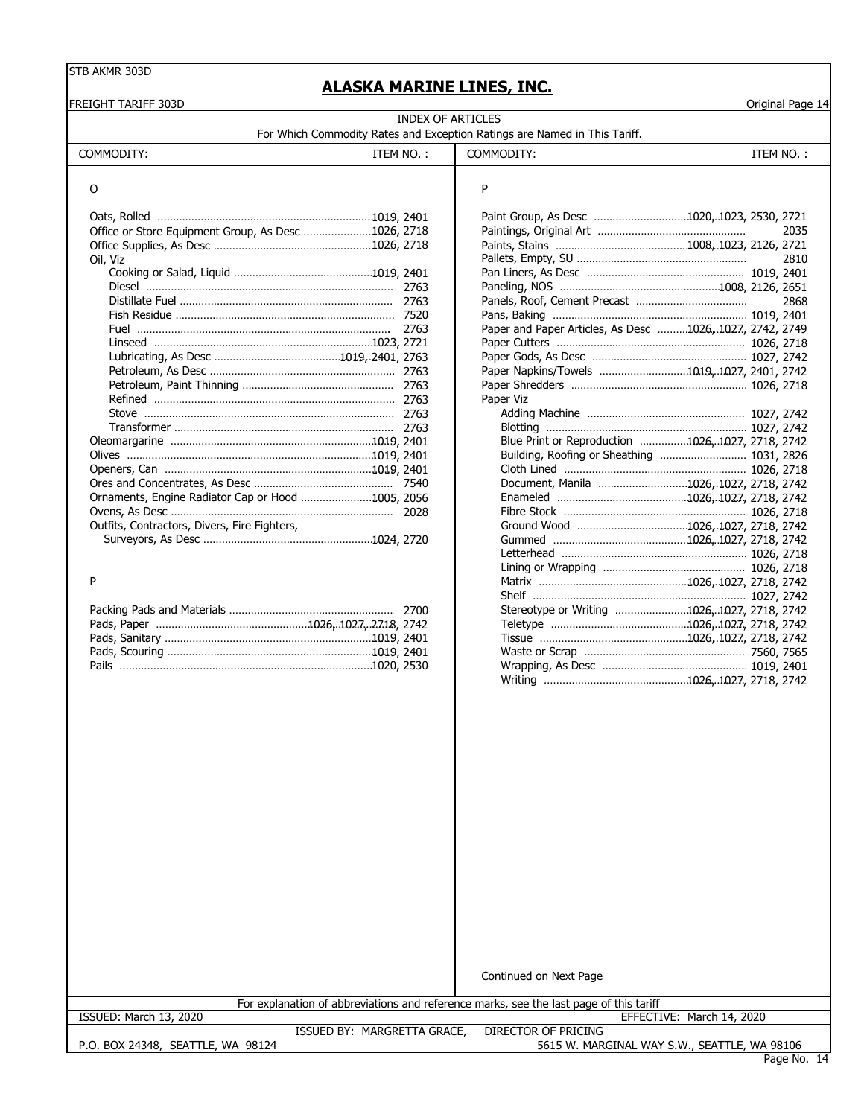FREIGHT TARIFF 303D Original Page 14

# **ALASKA MARINE LINES, INC.**

| INDEX OF ARTICLES                                                         |  |
|---------------------------------------------------------------------------|--|
| For Which Commodity Rates and Exception Ratings are Named in This Tariff. |  |

|                                                     |            | For Which Commodity Rates and Exception Ratings are Named in This Tariff. |                                             |
|-----------------------------------------------------|------------|---------------------------------------------------------------------------|---------------------------------------------|
| COMMODITY:                                          | ITEM NO. : | COMMODITY:                                                                | ITEM NO.:                                   |
|                                                     |            |                                                                           |                                             |
| Office or Store Equipment Group, As Desc 1026, 2718 |            |                                                                           | Paint Group, As Desc 1020, 1023, 2530, 2721 |
| $\bigcap_{i=1}^{n}$ $\bigcup_{i=1}^{n}$             |            | $D$ allate Empty $C11$                                                    | <b>DO10</b>                                 |

| Oil, Viz                                          |                                                          | 2810 |
|---------------------------------------------------|----------------------------------------------------------|------|
|                                                   |                                                          |      |
|                                                   |                                                          |      |
|                                                   |                                                          |      |
|                                                   |                                                          |      |
|                                                   | Paper and Paper Articles, As Desc 1026, 1027, 2742, 2749 |      |
|                                                   |                                                          |      |
|                                                   |                                                          |      |
|                                                   | Paper Napkins/Towels 1019, 1027, 2401, 2742              |      |
|                                                   |                                                          |      |
|                                                   | Paper Viz                                                |      |
|                                                   |                                                          |      |
|                                                   |                                                          |      |
|                                                   | Blue Print or Reproduction 1026, 1027, 2718, 2742        |      |
|                                                   | Building, Roofing or Sheathing  1031, 2826               |      |
|                                                   |                                                          |      |
|                                                   | Document, Manila 1026, 1027, 2718, 2742                  |      |
| Ornaments, Engine Radiator Cap or Hood 1005, 2056 |                                                          |      |
|                                                   |                                                          |      |
| Outfits, Contractors, Divers, Fire Fighters,      |                                                          |      |
|                                                   |                                                          |      |

|  | Stereotype or Writing 1026, 1027, 2718, 2742 |  |
|--|----------------------------------------------|--|
|  |                                              |  |
|  |                                              |  |
|  |                                              |  |
|  |                                              |  |

|                                                     |  | Paint Group, As Desc 1020, 1023, 2530, 2721              |      |
|-----------------------------------------------------|--|----------------------------------------------------------|------|
| Office or Store Equipment Group, As Desc 1026, 2718 |  |                                                          | 2035 |
|                                                     |  |                                                          |      |
| Oil, Viz                                            |  |                                                          | 2810 |
|                                                     |  |                                                          |      |
|                                                     |  |                                                          |      |
|                                                     |  |                                                          | 2868 |
|                                                     |  |                                                          |      |
|                                                     |  | Paper and Paper Articles, As Desc 1026, 1027, 2742, 2749 |      |
|                                                     |  |                                                          |      |
|                                                     |  |                                                          |      |
|                                                     |  | Paper Napkins/Towels 1019, 1027, 2401, 2742              |      |
|                                                     |  |                                                          |      |
|                                                     |  | Paper Viz                                                |      |
|                                                     |  |                                                          |      |
|                                                     |  |                                                          |      |
|                                                     |  | Blue Print or Reproduction 1026, 1027, 2718, 2742        |      |
|                                                     |  |                                                          |      |
|                                                     |  |                                                          |      |
|                                                     |  | Document, Manila 1026, 1027, 2718, 2742                  |      |
| Ornaments, Engine Radiator Cap or Hood 1005, 2056   |  |                                                          |      |
|                                                     |  |                                                          |      |
| Outfits, Contractors, Divers, Fire Fighters,        |  |                                                          |      |
|                                                     |  |                                                          |      |
|                                                     |  |                                                          |      |
|                                                     |  |                                                          |      |
| Þ                                                   |  |                                                          |      |
|                                                     |  |                                                          |      |
|                                                     |  | Stereotype or Writing 1026, 1027, 2718, 2742             |      |
|                                                     |  |                                                          |      |
|                                                     |  |                                                          |      |
|                                                     |  |                                                          |      |
|                                                     |  |                                                          |      |
|                                                     |  |                                                          |      |
|                                                     |  |                                                          |      |

Continued on Next Page

|                        | For explanation of abbreviations and reference marks, see the last page of this tariff |                     |            |                |
|------------------------|----------------------------------------------------------------------------------------|---------------------|------------|----------------|
| ISSUED: March 13, 2020 |                                                                                        |                     | EFFECTIVE: | March 14, 2020 |
|                        | MARGRETTA GRACE.<br>ISSUED BY:                                                         | DIRECTOR OF PRICING |            |                |

P.O. BOX 24348, SEATTLE, WA 98124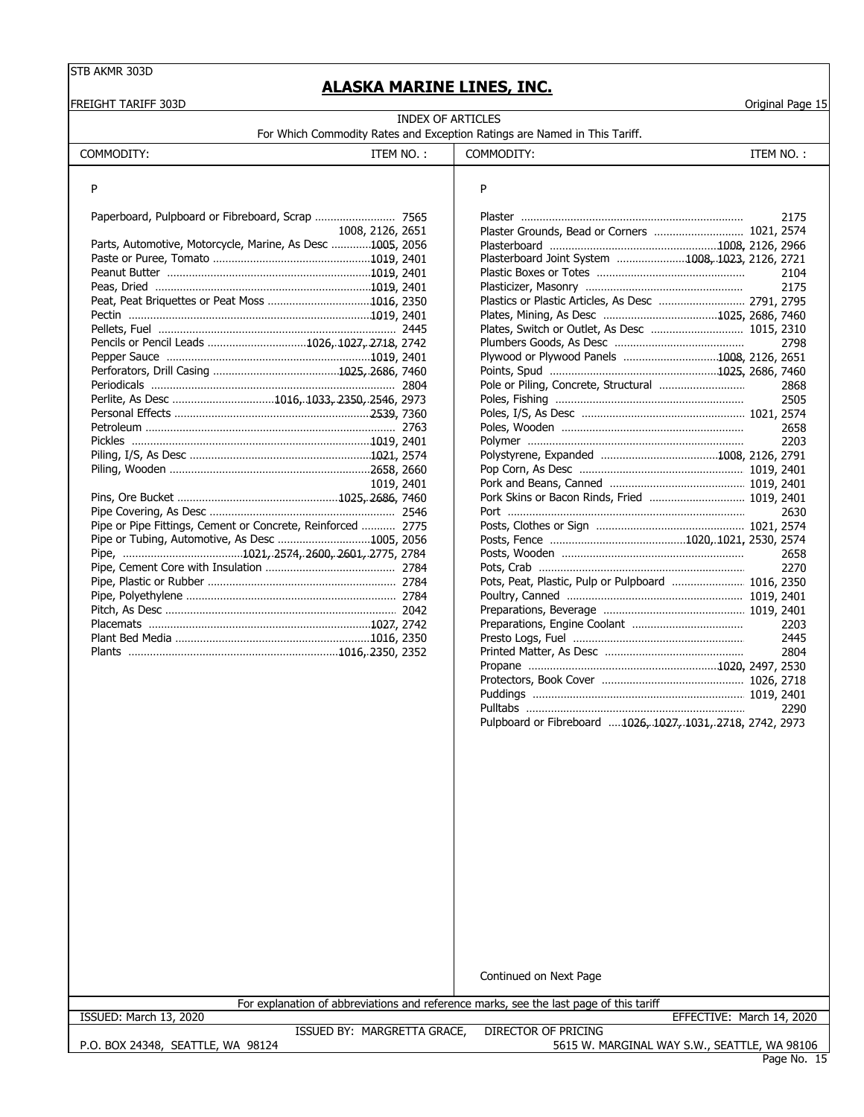# **ALASKA MARINE LINES, INC.**

| INDEX OF ARTICLES<br>For Which Commodity Rates and Exception Ratings are Named in This Tariff.<br>COMMODITY:<br>ITEM NO.:<br>COMMODITY:<br>ITEM NO.:<br>P<br>P<br>2175<br>Plaster Grounds, Bead or Corners  1021, 2574<br>1008, 2126, 2651<br>Parts, Automotive, Motorcycle, Marine, As Desc 1005, 2056<br>Plasterboard Joint System 1008, 1023, 2126, 2721<br>2104<br>2175<br>Plastics or Plastic Articles, As Desc  2791, 2795<br>Pencils or Pencil Leads 1026, 1027, 2718, 2742<br>2798<br>Plywood or Plywood Panels 1008, 2126, 2651<br>2868<br>Perlite, As Desc 1016, 1033, 2350, 2546, 2973<br>2505<br>2658<br>2203<br>1019, 2401<br>Pork Skins or Bacon Rinds, Fried  1019, 2401<br>2630<br>Pipe or Pipe Fittings, Cement or Concrete, Reinforced  2775<br>2658<br>2270<br>Pots, Peat, Plastic, Pulp or Pulpboard  1016, 2350<br>2203<br>2445<br>2804<br>2290<br>Pulpboard or Fibreboard 1026, 1027, 1031, 2718, 2742, 2973<br>Continued on Next Page<br>For explanation of abbreviations and reference marks, see the last page of this tariff | FREIGHT TARIFF 303D |  | Original Page 15 |
|--------------------------------------------------------------------------------------------------------------------------------------------------------------------------------------------------------------------------------------------------------------------------------------------------------------------------------------------------------------------------------------------------------------------------------------------------------------------------------------------------------------------------------------------------------------------------------------------------------------------------------------------------------------------------------------------------------------------------------------------------------------------------------------------------------------------------------------------------------------------------------------------------------------------------------------------------------------------------------------------------------------------------------------------------------|---------------------|--|------------------|
|                                                                                                                                                                                                                                                                                                                                                                                                                                                                                                                                                                                                                                                                                                                                                                                                                                                                                                                                                                                                                                                        |                     |  |                  |
|                                                                                                                                                                                                                                                                                                                                                                                                                                                                                                                                                                                                                                                                                                                                                                                                                                                                                                                                                                                                                                                        |                     |  |                  |
|                                                                                                                                                                                                                                                                                                                                                                                                                                                                                                                                                                                                                                                                                                                                                                                                                                                                                                                                                                                                                                                        |                     |  |                  |
|                                                                                                                                                                                                                                                                                                                                                                                                                                                                                                                                                                                                                                                                                                                                                                                                                                                                                                                                                                                                                                                        |                     |  |                  |
|                                                                                                                                                                                                                                                                                                                                                                                                                                                                                                                                                                                                                                                                                                                                                                                                                                                                                                                                                                                                                                                        |                     |  |                  |
|                                                                                                                                                                                                                                                                                                                                                                                                                                                                                                                                                                                                                                                                                                                                                                                                                                                                                                                                                                                                                                                        |                     |  |                  |
|                                                                                                                                                                                                                                                                                                                                                                                                                                                                                                                                                                                                                                                                                                                                                                                                                                                                                                                                                                                                                                                        |                     |  |                  |
|                                                                                                                                                                                                                                                                                                                                                                                                                                                                                                                                                                                                                                                                                                                                                                                                                                                                                                                                                                                                                                                        |                     |  |                  |
|                                                                                                                                                                                                                                                                                                                                                                                                                                                                                                                                                                                                                                                                                                                                                                                                                                                                                                                                                                                                                                                        |                     |  |                  |
|                                                                                                                                                                                                                                                                                                                                                                                                                                                                                                                                                                                                                                                                                                                                                                                                                                                                                                                                                                                                                                                        |                     |  |                  |
|                                                                                                                                                                                                                                                                                                                                                                                                                                                                                                                                                                                                                                                                                                                                                                                                                                                                                                                                                                                                                                                        |                     |  |                  |
|                                                                                                                                                                                                                                                                                                                                                                                                                                                                                                                                                                                                                                                                                                                                                                                                                                                                                                                                                                                                                                                        |                     |  |                  |
|                                                                                                                                                                                                                                                                                                                                                                                                                                                                                                                                                                                                                                                                                                                                                                                                                                                                                                                                                                                                                                                        |                     |  |                  |
|                                                                                                                                                                                                                                                                                                                                                                                                                                                                                                                                                                                                                                                                                                                                                                                                                                                                                                                                                                                                                                                        |                     |  |                  |
|                                                                                                                                                                                                                                                                                                                                                                                                                                                                                                                                                                                                                                                                                                                                                                                                                                                                                                                                                                                                                                                        |                     |  |                  |
|                                                                                                                                                                                                                                                                                                                                                                                                                                                                                                                                                                                                                                                                                                                                                                                                                                                                                                                                                                                                                                                        |                     |  |                  |
|                                                                                                                                                                                                                                                                                                                                                                                                                                                                                                                                                                                                                                                                                                                                                                                                                                                                                                                                                                                                                                                        |                     |  |                  |
|                                                                                                                                                                                                                                                                                                                                                                                                                                                                                                                                                                                                                                                                                                                                                                                                                                                                                                                                                                                                                                                        |                     |  |                  |
|                                                                                                                                                                                                                                                                                                                                                                                                                                                                                                                                                                                                                                                                                                                                                                                                                                                                                                                                                                                                                                                        |                     |  |                  |
|                                                                                                                                                                                                                                                                                                                                                                                                                                                                                                                                                                                                                                                                                                                                                                                                                                                                                                                                                                                                                                                        |                     |  |                  |
|                                                                                                                                                                                                                                                                                                                                                                                                                                                                                                                                                                                                                                                                                                                                                                                                                                                                                                                                                                                                                                                        |                     |  |                  |
|                                                                                                                                                                                                                                                                                                                                                                                                                                                                                                                                                                                                                                                                                                                                                                                                                                                                                                                                                                                                                                                        |                     |  |                  |
|                                                                                                                                                                                                                                                                                                                                                                                                                                                                                                                                                                                                                                                                                                                                                                                                                                                                                                                                                                                                                                                        |                     |  |                  |
|                                                                                                                                                                                                                                                                                                                                                                                                                                                                                                                                                                                                                                                                                                                                                                                                                                                                                                                                                                                                                                                        |                     |  |                  |
|                                                                                                                                                                                                                                                                                                                                                                                                                                                                                                                                                                                                                                                                                                                                                                                                                                                                                                                                                                                                                                                        |                     |  |                  |
|                                                                                                                                                                                                                                                                                                                                                                                                                                                                                                                                                                                                                                                                                                                                                                                                                                                                                                                                                                                                                                                        |                     |  |                  |
|                                                                                                                                                                                                                                                                                                                                                                                                                                                                                                                                                                                                                                                                                                                                                                                                                                                                                                                                                                                                                                                        |                     |  |                  |
|                                                                                                                                                                                                                                                                                                                                                                                                                                                                                                                                                                                                                                                                                                                                                                                                                                                                                                                                                                                                                                                        |                     |  |                  |
|                                                                                                                                                                                                                                                                                                                                                                                                                                                                                                                                                                                                                                                                                                                                                                                                                                                                                                                                                                                                                                                        |                     |  |                  |
|                                                                                                                                                                                                                                                                                                                                                                                                                                                                                                                                                                                                                                                                                                                                                                                                                                                                                                                                                                                                                                                        |                     |  |                  |
|                                                                                                                                                                                                                                                                                                                                                                                                                                                                                                                                                                                                                                                                                                                                                                                                                                                                                                                                                                                                                                                        |                     |  |                  |
|                                                                                                                                                                                                                                                                                                                                                                                                                                                                                                                                                                                                                                                                                                                                                                                                                                                                                                                                                                                                                                                        |                     |  |                  |
|                                                                                                                                                                                                                                                                                                                                                                                                                                                                                                                                                                                                                                                                                                                                                                                                                                                                                                                                                                                                                                                        |                     |  |                  |
|                                                                                                                                                                                                                                                                                                                                                                                                                                                                                                                                                                                                                                                                                                                                                                                                                                                                                                                                                                                                                                                        |                     |  |                  |
|                                                                                                                                                                                                                                                                                                                                                                                                                                                                                                                                                                                                                                                                                                                                                                                                                                                                                                                                                                                                                                                        |                     |  |                  |
|                                                                                                                                                                                                                                                                                                                                                                                                                                                                                                                                                                                                                                                                                                                                                                                                                                                                                                                                                                                                                                                        |                     |  |                  |
|                                                                                                                                                                                                                                                                                                                                                                                                                                                                                                                                                                                                                                                                                                                                                                                                                                                                                                                                                                                                                                                        |                     |  |                  |
|                                                                                                                                                                                                                                                                                                                                                                                                                                                                                                                                                                                                                                                                                                                                                                                                                                                                                                                                                                                                                                                        |                     |  |                  |
|                                                                                                                                                                                                                                                                                                                                                                                                                                                                                                                                                                                                                                                                                                                                                                                                                                                                                                                                                                                                                                                        |                     |  |                  |
|                                                                                                                                                                                                                                                                                                                                                                                                                                                                                                                                                                                                                                                                                                                                                                                                                                                                                                                                                                                                                                                        |                     |  |                  |
|                                                                                                                                                                                                                                                                                                                                                                                                                                                                                                                                                                                                                                                                                                                                                                                                                                                                                                                                                                                                                                                        |                     |  |                  |
|                                                                                                                                                                                                                                                                                                                                                                                                                                                                                                                                                                                                                                                                                                                                                                                                                                                                                                                                                                                                                                                        |                     |  |                  |
|                                                                                                                                                                                                                                                                                                                                                                                                                                                                                                                                                                                                                                                                                                                                                                                                                                                                                                                                                                                                                                                        |                     |  |                  |
|                                                                                                                                                                                                                                                                                                                                                                                                                                                                                                                                                                                                                                                                                                                                                                                                                                                                                                                                                                                                                                                        |                     |  |                  |
|                                                                                                                                                                                                                                                                                                                                                                                                                                                                                                                                                                                                                                                                                                                                                                                                                                                                                                                                                                                                                                                        |                     |  |                  |
|                                                                                                                                                                                                                                                                                                                                                                                                                                                                                                                                                                                                                                                                                                                                                                                                                                                                                                                                                                                                                                                        |                     |  |                  |
|                                                                                                                                                                                                                                                                                                                                                                                                                                                                                                                                                                                                                                                                                                                                                                                                                                                                                                                                                                                                                                                        |                     |  |                  |
|                                                                                                                                                                                                                                                                                                                                                                                                                                                                                                                                                                                                                                                                                                                                                                                                                                                                                                                                                                                                                                                        |                     |  |                  |
|                                                                                                                                                                                                                                                                                                                                                                                                                                                                                                                                                                                                                                                                                                                                                                                                                                                                                                                                                                                                                                                        |                     |  |                  |
|                                                                                                                                                                                                                                                                                                                                                                                                                                                                                                                                                                                                                                                                                                                                                                                                                                                                                                                                                                                                                                                        |                     |  |                  |
|                                                                                                                                                                                                                                                                                                                                                                                                                                                                                                                                                                                                                                                                                                                                                                                                                                                                                                                                                                                                                                                        |                     |  |                  |
|                                                                                                                                                                                                                                                                                                                                                                                                                                                                                                                                                                                                                                                                                                                                                                                                                                                                                                                                                                                                                                                        |                     |  |                  |
|                                                                                                                                                                                                                                                                                                                                                                                                                                                                                                                                                                                                                                                                                                                                                                                                                                                                                                                                                                                                                                                        |                     |  |                  |
|                                                                                                                                                                                                                                                                                                                                                                                                                                                                                                                                                                                                                                                                                                                                                                                                                                                                                                                                                                                                                                                        |                     |  |                  |
|                                                                                                                                                                                                                                                                                                                                                                                                                                                                                                                                                                                                                                                                                                                                                                                                                                                                                                                                                                                                                                                        |                     |  |                  |
|                                                                                                                                                                                                                                                                                                                                                                                                                                                                                                                                                                                                                                                                                                                                                                                                                                                                                                                                                                                                                                                        |                     |  |                  |
|                                                                                                                                                                                                                                                                                                                                                                                                                                                                                                                                                                                                                                                                                                                                                                                                                                                                                                                                                                                                                                                        |                     |  |                  |
|                                                                                                                                                                                                                                                                                                                                                                                                                                                                                                                                                                                                                                                                                                                                                                                                                                                                                                                                                                                                                                                        |                     |  |                  |

P.O. BOX 24348, SEATTLE, WA 98124

ISSUED: March 13, 2020 EFFECTIVE: March 14, 2020

ISSUED BY: MARGRETTA GRACE, DIRECTOR OF PRICING 5615 W. MARGINAL WAY S.W., SEATTLE, WA 98106

Page No. 15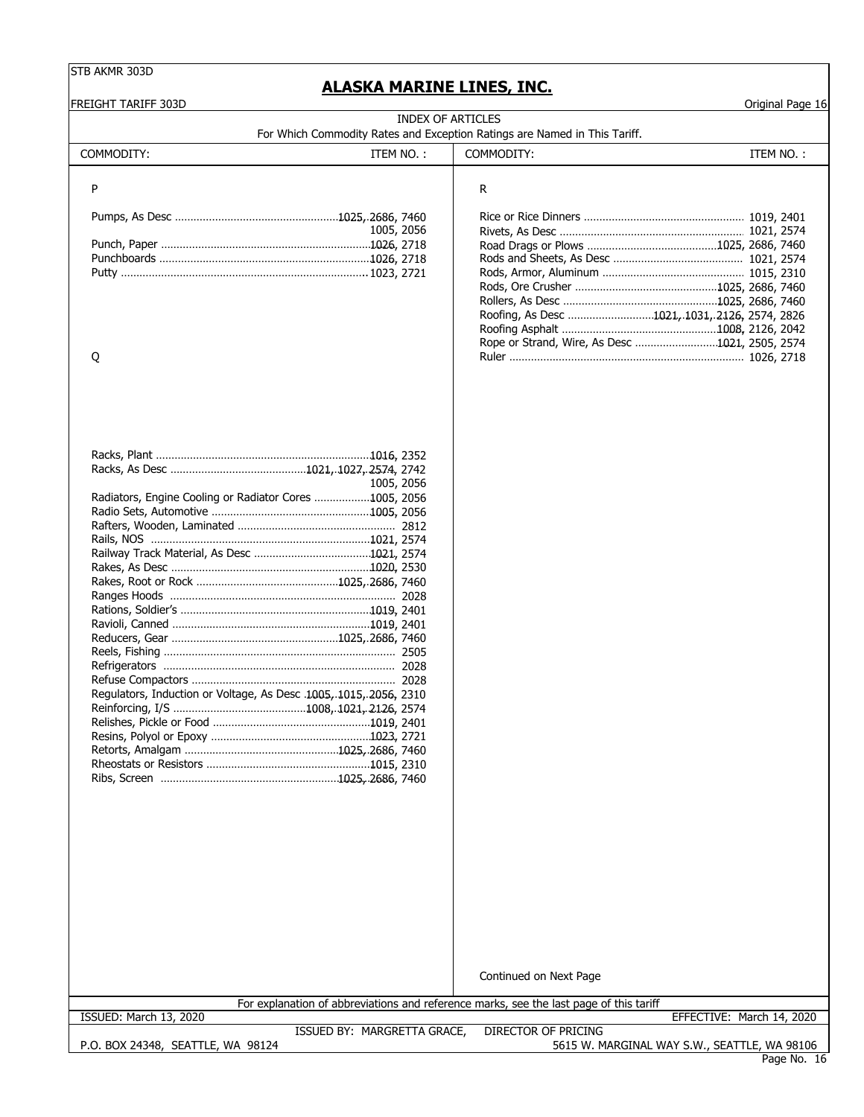**ALASKA MARINE LINES, INC.**

| FREIGHT TARIFF 303D                                               |                             |                                                                                         | Original Page 16                             |
|-------------------------------------------------------------------|-----------------------------|-----------------------------------------------------------------------------------------|----------------------------------------------|
|                                                                   |                             | INDEX OF ARTICLES                                                                       |                                              |
| COMMODITY:                                                        | ITEM NO.:                   | For Which Commodity Rates and Exception Ratings are Named in This Tariff.<br>COMMODITY: | ITEM NO.:                                    |
|                                                                   |                             |                                                                                         |                                              |
| P                                                                 |                             | R                                                                                       |                                              |
|                                                                   |                             |                                                                                         |                                              |
|                                                                   | 1005, 2056                  |                                                                                         |                                              |
|                                                                   |                             |                                                                                         |                                              |
|                                                                   |                             |                                                                                         |                                              |
|                                                                   |                             |                                                                                         |                                              |
|                                                                   |                             |                                                                                         |                                              |
|                                                                   |                             |                                                                                         |                                              |
|                                                                   |                             | Roofing, As Desc 1021,.1031,.2126, 2574, 2826                                           |                                              |
|                                                                   |                             |                                                                                         |                                              |
|                                                                   |                             | Rope or Strand, Wire, As Desc 1021, 2505, 2574                                          |                                              |
| Q                                                                 |                             |                                                                                         |                                              |
|                                                                   |                             |                                                                                         |                                              |
|                                                                   |                             |                                                                                         |                                              |
|                                                                   |                             |                                                                                         |                                              |
|                                                                   |                             |                                                                                         |                                              |
|                                                                   | 1005, 2056                  |                                                                                         |                                              |
| Radiators, Engine Cooling or Radiator Cores 1005, 2056            |                             |                                                                                         |                                              |
|                                                                   |                             |                                                                                         |                                              |
|                                                                   |                             |                                                                                         |                                              |
|                                                                   |                             |                                                                                         |                                              |
|                                                                   |                             |                                                                                         |                                              |
|                                                                   |                             |                                                                                         |                                              |
|                                                                   |                             |                                                                                         |                                              |
|                                                                   |                             |                                                                                         |                                              |
|                                                                   |                             |                                                                                         |                                              |
|                                                                   |                             |                                                                                         |                                              |
|                                                                   |                             |                                                                                         |                                              |
|                                                                   |                             |                                                                                         |                                              |
|                                                                   |                             |                                                                                         |                                              |
| Regulators, Induction or Voltage, As Desc .1005, 1015, 2056, 2310 |                             |                                                                                         |                                              |
|                                                                   |                             |                                                                                         |                                              |
|                                                                   |                             |                                                                                         |                                              |
|                                                                   |                             |                                                                                         |                                              |
|                                                                   |                             |                                                                                         |                                              |
|                                                                   |                             |                                                                                         |                                              |
|                                                                   |                             |                                                                                         |                                              |
|                                                                   |                             |                                                                                         |                                              |
|                                                                   |                             |                                                                                         |                                              |
|                                                                   |                             |                                                                                         |                                              |
|                                                                   |                             |                                                                                         |                                              |
|                                                                   |                             |                                                                                         |                                              |
|                                                                   |                             |                                                                                         |                                              |
|                                                                   |                             |                                                                                         |                                              |
|                                                                   |                             |                                                                                         |                                              |
|                                                                   |                             |                                                                                         |                                              |
|                                                                   |                             |                                                                                         |                                              |
|                                                                   |                             |                                                                                         |                                              |
|                                                                   |                             | Continued on Next Page                                                                  |                                              |
|                                                                   |                             | For explanation of abbreviations and reference marks, see the last page of this tariff  |                                              |
| ISSUED: March 13, 2020                                            |                             |                                                                                         | EFFECTIVE: March 14, 2020                    |
| P.O. BOX 24348, SEATTLE, WA 98124                                 | ISSUED BY: MARGRETTA GRACE, | DIRECTOR OF PRICING                                                                     | 5615 W. MARGINAL WAY S.W., SEATTLE, WA 98106 |
|                                                                   |                             |                                                                                         |                                              |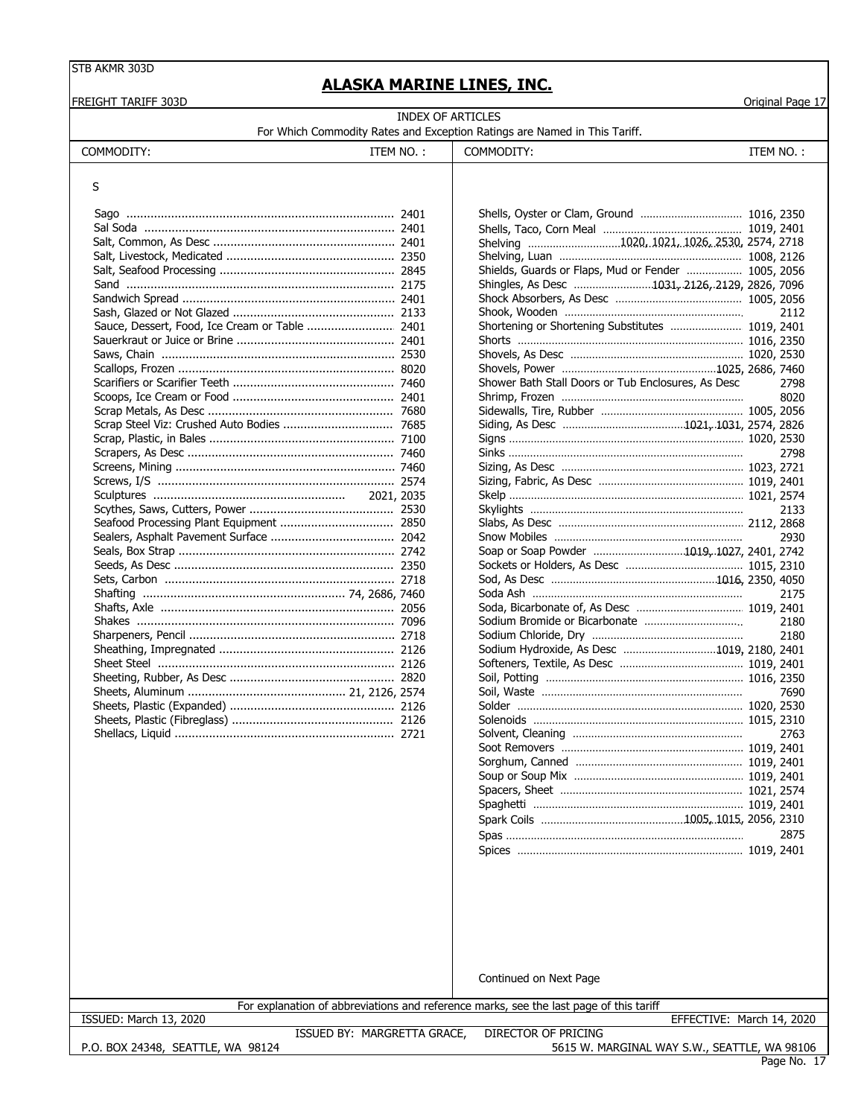# **ALASKA MARINE LINES, INC.**

FREIGHT TARIFF 303D Original Page 17

INDEX OF ARTICLES

COMMODITY: ITEM NO. : | COMMODITY: ITEM NO. :

| INDEX OF ARTICLES |                                                                           |  |  |  |
|-------------------|---------------------------------------------------------------------------|--|--|--|
|                   | For Which Commodity Rates and Exception Ratings are Named in This Tariff. |  |  |  |

|                                                                                                             | 2112                                                                                                                                                                                                                                             |
|-------------------------------------------------------------------------------------------------------------|--------------------------------------------------------------------------------------------------------------------------------------------------------------------------------------------------------------------------------------------------|
|                                                                                                             |                                                                                                                                                                                                                                                  |
|                                                                                                             |                                                                                                                                                                                                                                                  |
|                                                                                                             |                                                                                                                                                                                                                                                  |
|                                                                                                             |                                                                                                                                                                                                                                                  |
|                                                                                                             | 2798                                                                                                                                                                                                                                             |
|                                                                                                             | 8020                                                                                                                                                                                                                                             |
|                                                                                                             |                                                                                                                                                                                                                                                  |
|                                                                                                             |                                                                                                                                                                                                                                                  |
|                                                                                                             |                                                                                                                                                                                                                                                  |
|                                                                                                             | 2798                                                                                                                                                                                                                                             |
|                                                                                                             |                                                                                                                                                                                                                                                  |
|                                                                                                             |                                                                                                                                                                                                                                                  |
|                                                                                                             |                                                                                                                                                                                                                                                  |
|                                                                                                             | 2133                                                                                                                                                                                                                                             |
|                                                                                                             |                                                                                                                                                                                                                                                  |
|                                                                                                             | 2930                                                                                                                                                                                                                                             |
|                                                                                                             |                                                                                                                                                                                                                                                  |
|                                                                                                             |                                                                                                                                                                                                                                                  |
|                                                                                                             |                                                                                                                                                                                                                                                  |
|                                                                                                             | 2175                                                                                                                                                                                                                                             |
|                                                                                                             |                                                                                                                                                                                                                                                  |
|                                                                                                             | 2180                                                                                                                                                                                                                                             |
|                                                                                                             | 2180                                                                                                                                                                                                                                             |
|                                                                                                             |                                                                                                                                                                                                                                                  |
|                                                                                                             |                                                                                                                                                                                                                                                  |
|                                                                                                             |                                                                                                                                                                                                                                                  |
|                                                                                                             | 7690                                                                                                                                                                                                                                             |
|                                                                                                             |                                                                                                                                                                                                                                                  |
|                                                                                                             |                                                                                                                                                                                                                                                  |
|                                                                                                             | 2763                                                                                                                                                                                                                                             |
|                                                                                                             |                                                                                                                                                                                                                                                  |
|                                                                                                             |                                                                                                                                                                                                                                                  |
|                                                                                                             |                                                                                                                                                                                                                                                  |
|                                                                                                             |                                                                                                                                                                                                                                                  |
|                                                                                                             |                                                                                                                                                                                                                                                  |
|                                                                                                             |                                                                                                                                                                                                                                                  |
|                                                                                                             |                                                                                                                                                                                                                                                  |
|                                                                                                             | 2875                                                                                                                                                                                                                                             |
| Sal Soda ………………………………………………………………… 2401<br>Shower Bath Stall Doors or Tub Enclosures, As Desc<br>2021, 2035 | Shelving 1020, 1021, 1026, 2530, 2574, 2718<br>Shields, Guards or Flaps, Mud or Fender  1005, 2056<br>Shingles, As Desc 1031, 2126, 2129, 2826, 7096<br>Soap or Soap Powder 1019, 1027, 2401, 2742<br>Sodium Hydroxide, As Desc 1019, 2180, 2401 |

P.O. BOX 24348, SEATTLE, WA 98124

ISSUED BY: MARGRETTA GRACE,

ISSUED: March 13, 2020<br>ISSUED BY: MARGRETTA GRACE, DIRECTOR OF PRICING EFFECTIVE: March 14, 2020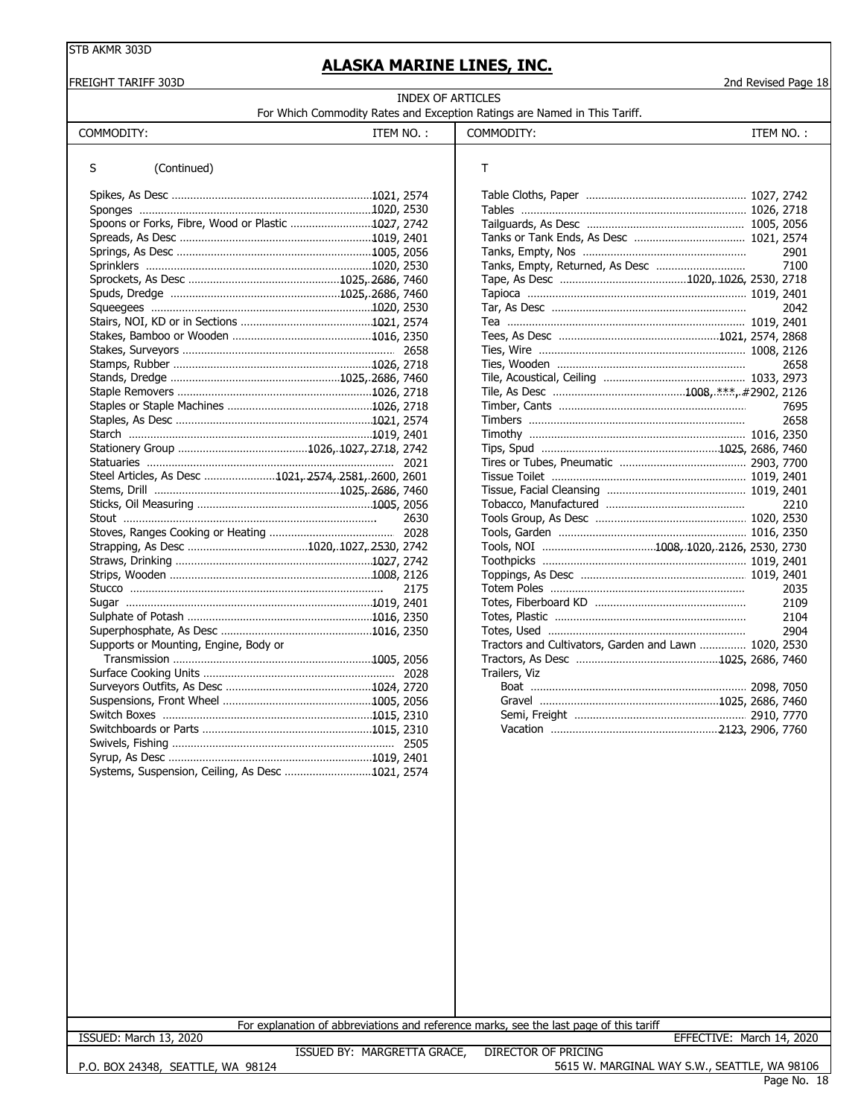#### FREIGHT TARIFF 303D 2nd Revised Page 18

# **ALASKA MARINE LINES, INC.**

| INDEX OF ARTICLES                                                         |  |  |  |  |
|---------------------------------------------------------------------------|--|--|--|--|
| For Which Commodity Rates and Exception Ratings are Named in This Tariff. |  |  |  |  |

| COMMODITY:                                           | ITEM NO.: | COMMODITY:                                            | ITEM NO.: |
|------------------------------------------------------|-----------|-------------------------------------------------------|-----------|
| (Continued)<br>S                                     |           | Τ                                                     |           |
|                                                      |           |                                                       |           |
|                                                      |           |                                                       |           |
| Spoons or Forks, Fibre, Wood or Plastic 1027, 2742   |           |                                                       |           |
|                                                      |           |                                                       |           |
|                                                      |           |                                                       | 2901      |
|                                                      |           |                                                       | 7100      |
|                                                      |           |                                                       |           |
|                                                      |           |                                                       |           |
|                                                      |           |                                                       | 2042      |
|                                                      |           |                                                       |           |
|                                                      |           |                                                       |           |
|                                                      |           |                                                       |           |
|                                                      |           |                                                       | 2658      |
|                                                      |           |                                                       |           |
|                                                      |           |                                                       |           |
|                                                      |           |                                                       | 7695      |
|                                                      |           |                                                       | 2658      |
|                                                      |           |                                                       |           |
|                                                      |           |                                                       |           |
|                                                      | 2021      |                                                       |           |
| Steel Articles, As Desc 1021, 2574, 2581, 2600, 2601 |           |                                                       |           |
|                                                      |           |                                                       |           |
|                                                      |           |                                                       | 2210      |
|                                                      | 2630      |                                                       |           |
|                                                      |           |                                                       |           |
|                                                      |           |                                                       |           |
|                                                      |           |                                                       |           |
|                                                      |           |                                                       |           |
|                                                      | 2175      |                                                       | 2035      |
|                                                      |           |                                                       | 2109      |
|                                                      |           |                                                       | 2104      |
|                                                      |           |                                                       | 2904      |
| Supports or Mounting, Engine, Body or                |           | Tractors and Cultivators, Garden and Lawn  1020, 2530 |           |
|                                                      |           |                                                       |           |
|                                                      |           | Trailers, Viz                                         |           |
|                                                      |           |                                                       |           |
|                                                      |           |                                                       |           |
|                                                      |           |                                                       |           |
|                                                      |           |                                                       |           |
|                                                      |           |                                                       |           |
|                                                      |           |                                                       |           |
| Systems, Suspension, Ceiling, As Desc 1021, 2574     |           |                                                       |           |
|                                                      |           |                                                       |           |

| т                                                     |      |
|-------------------------------------------------------|------|
|                                                       |      |
|                                                       |      |
|                                                       |      |
|                                                       |      |
|                                                       | 2901 |
| Tanks, Empty, Returned, As Desc                       | 7100 |
|                                                       |      |
|                                                       |      |
|                                                       | 2042 |
|                                                       |      |
|                                                       |      |
|                                                       |      |
|                                                       | 2658 |
|                                                       |      |
|                                                       |      |
|                                                       |      |
|                                                       | 2658 |
|                                                       |      |
|                                                       |      |
|                                                       |      |
|                                                       |      |
|                                                       |      |
|                                                       | 2210 |
|                                                       |      |
|                                                       |      |
|                                                       |      |
|                                                       |      |
|                                                       |      |
|                                                       | 2035 |
|                                                       | 2109 |
|                                                       | 2104 |
|                                                       | 2904 |
| Tractors and Cultivators, Garden and Lawn  1020, 2530 |      |
|                                                       |      |
| Trailers, Viz                                         |      |
|                                                       |      |
|                                                       |      |
|                                                       |      |
|                                                       |      |

For explanation of abbreviations and reference marks, see the last page of this tariff

ISSUED BY: MARGRETTA GRACE, DIRECTOR OF PRICING ISSUED: March 13, 2020 EFFECTIVE: March 14, 2020

P.O. BOX 24348, SEATTLE, WA 98124

5615 W. MARGINAL WAY S.W., SEATTLE, WA 98106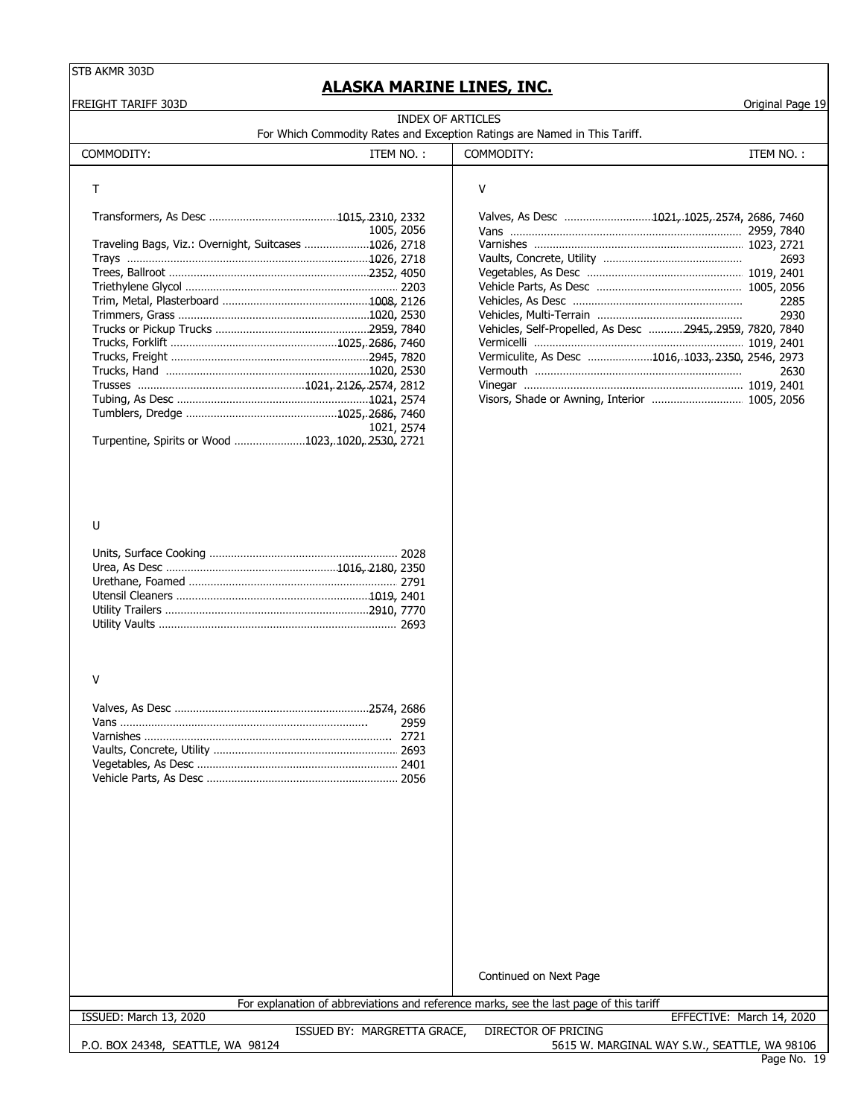# **ALASKA MARINE LINES, INC.**

FREIGHT TARIFF 303D Original Page 19

**INDEX OF ARTICLES**<br>S and Excention Patin For Which Commodity Rates and Exception Ratings are Named in This Tariff.

| For Writer Commodity Rates and Exception Ratings are Named in This Tami |  |  |  |
|-------------------------------------------------------------------------|--|--|--|
|                                                                         |  |  |  |

| COMMODITY:                                            | ITEM NO.:  | COMMODITY:                                               | ITEM NO.: |
|-------------------------------------------------------|------------|----------------------------------------------------------|-----------|
|                                                       |            | v                                                        |           |
|                                                       |            | Valves, As Desc 1021, 1025, 2574, 2686, 7460             |           |
|                                                       | 1005, 2056 |                                                          |           |
| Traveling Bags, Viz.: Overnight, Suitcases 1026, 2718 |            |                                                          |           |
|                                                       |            |                                                          | 2693      |
|                                                       |            |                                                          |           |
|                                                       |            |                                                          |           |
|                                                       |            |                                                          | 2285      |
|                                                       |            |                                                          | 2930      |
|                                                       |            | Vehicles, Self-Propelled, As Desc 2945, 2959, 7820, 7840 |           |
|                                                       |            |                                                          |           |
|                                                       |            | Vermiculite, As Desc 1016, 1033, 2350, 2546, 2973        |           |
|                                                       |            |                                                          | 2630      |
|                                                       |            |                                                          |           |
|                                                       |            | Visors, Shade or Awning, Interior  1005, 2056            |           |
|                                                       |            |                                                          |           |
|                                                       | 1021, 2574 |                                                          |           |
| Turpentine, Spirits or Wood 1023, 1020, 2530, 2721    |            |                                                          |           |

#### U

#### V

Continued on Next Page

| ISSUED: March 13, 2020 |  |  |
|------------------------|--|--|

For explanation of abbreviations and reference marks, see the last page of this tariff

EFFECTIVE: March 14, 2020

P.O. BOX 24348, SEATTLE, WA 98124

ISSUED BY: MARGRETTA GRACE, DIRECTOR OF PRICING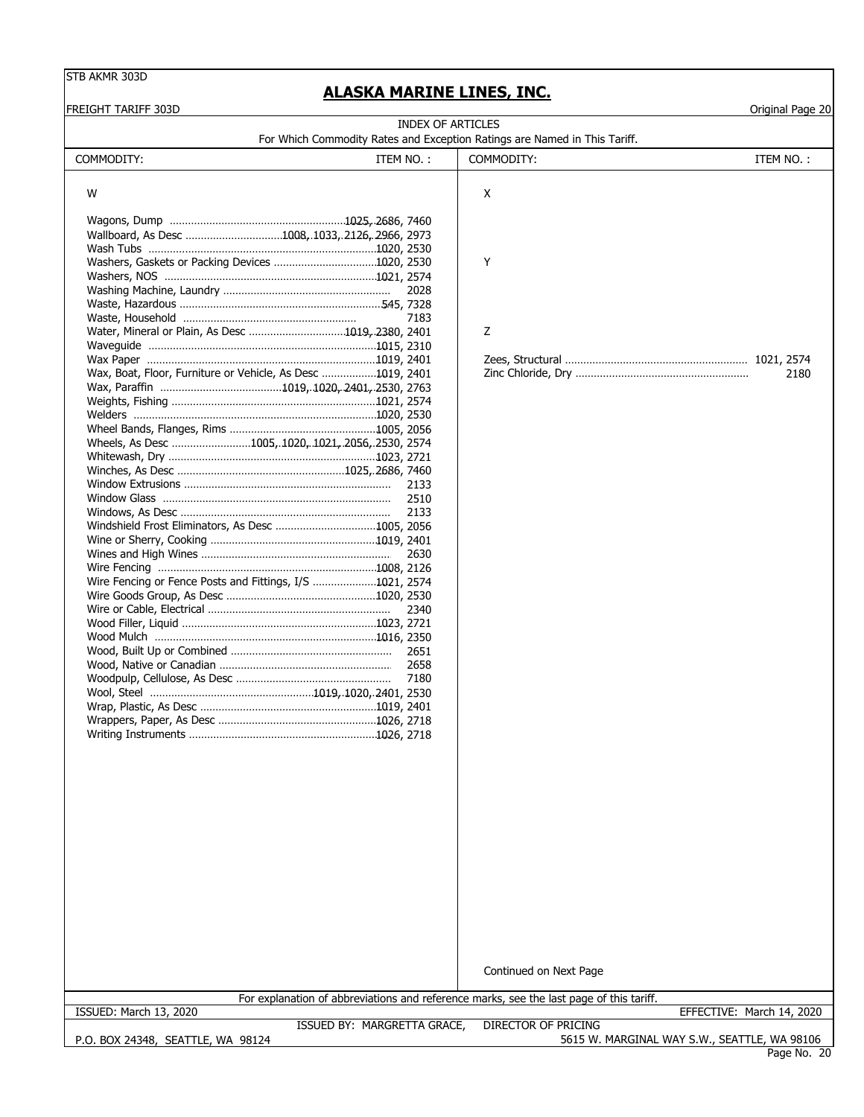# **ALASKA MARINE LINES, INC.**

| <b>FREIGHT TARIFF 303D</b>                                                                            |                            | Original Page 20          |
|-------------------------------------------------------------------------------------------------------|----------------------------|---------------------------|
| <b>INDEX OF ARTICLES</b><br>For Which Commodity Rates and Exception Ratings are Named in This Tariff. |                            |                           |
| COMMODITY:<br>ITEM NO.:                                                                               | COMMODITY:                 | ITEM NO.:                 |
|                                                                                                       |                            |                           |
| W                                                                                                     | X                          |                           |
|                                                                                                       |                            |                           |
|                                                                                                       |                            |                           |
| Wallboard, As Desc 1008, 1033, 2126, 2966, 2973                                                       |                            |                           |
|                                                                                                       |                            |                           |
|                                                                                                       | Y                          |                           |
|                                                                                                       |                            |                           |
| 2028                                                                                                  |                            |                           |
| 7183                                                                                                  |                            |                           |
| Water, Mineral or Plain, As Desc 1019, 2380, 2401                                                     | Z                          |                           |
|                                                                                                       |                            |                           |
|                                                                                                       |                            |                           |
| Wax, Boat, Floor, Furniture or Vehicle, As Desc 1019, 2401                                            |                            | 2180                      |
|                                                                                                       |                            |                           |
|                                                                                                       |                            |                           |
|                                                                                                       |                            |                           |
|                                                                                                       |                            |                           |
| Wheels, As Desc 1005, 1020, 1021, 2056, 2530, 2574                                                    |                            |                           |
|                                                                                                       |                            |                           |
|                                                                                                       |                            |                           |
| 2133                                                                                                  |                            |                           |
| 2510                                                                                                  |                            |                           |
| 2133                                                                                                  |                            |                           |
|                                                                                                       |                            |                           |
|                                                                                                       |                            |                           |
| 2630                                                                                                  |                            |                           |
|                                                                                                       |                            |                           |
| Wire Fencing or Fence Posts and Fittings, I/S 1021, 2574                                              |                            |                           |
|                                                                                                       |                            |                           |
| 2340                                                                                                  |                            |                           |
|                                                                                                       |                            |                           |
|                                                                                                       |                            |                           |
| 2651                                                                                                  |                            |                           |
|                                                                                                       |                            |                           |
| 7180                                                                                                  |                            |                           |
|                                                                                                       |                            |                           |
|                                                                                                       |                            |                           |
|                                                                                                       |                            |                           |
|                                                                                                       |                            |                           |
|                                                                                                       |                            |                           |
|                                                                                                       |                            |                           |
|                                                                                                       |                            |                           |
|                                                                                                       |                            |                           |
|                                                                                                       |                            |                           |
|                                                                                                       |                            |                           |
|                                                                                                       |                            |                           |
|                                                                                                       |                            |                           |
|                                                                                                       |                            |                           |
|                                                                                                       |                            |                           |
|                                                                                                       |                            |                           |
|                                                                                                       |                            |                           |
|                                                                                                       |                            |                           |
|                                                                                                       |                            |                           |
|                                                                                                       |                            |                           |
|                                                                                                       | Continued on Next Page     |                           |
| For explanation of abbreviations and reference marks, see the last page of this tariff.               |                            |                           |
| ISSUED: March 13, 2020                                                                                |                            | EFFECTIVE: March 14, 2020 |
| ISSUED BY: MARGRETTA GRACE,                                                                           | <b>DIRECTOR OF PRICING</b> |                           |

P.O. BOX 24348, SEATTLE, WA 98124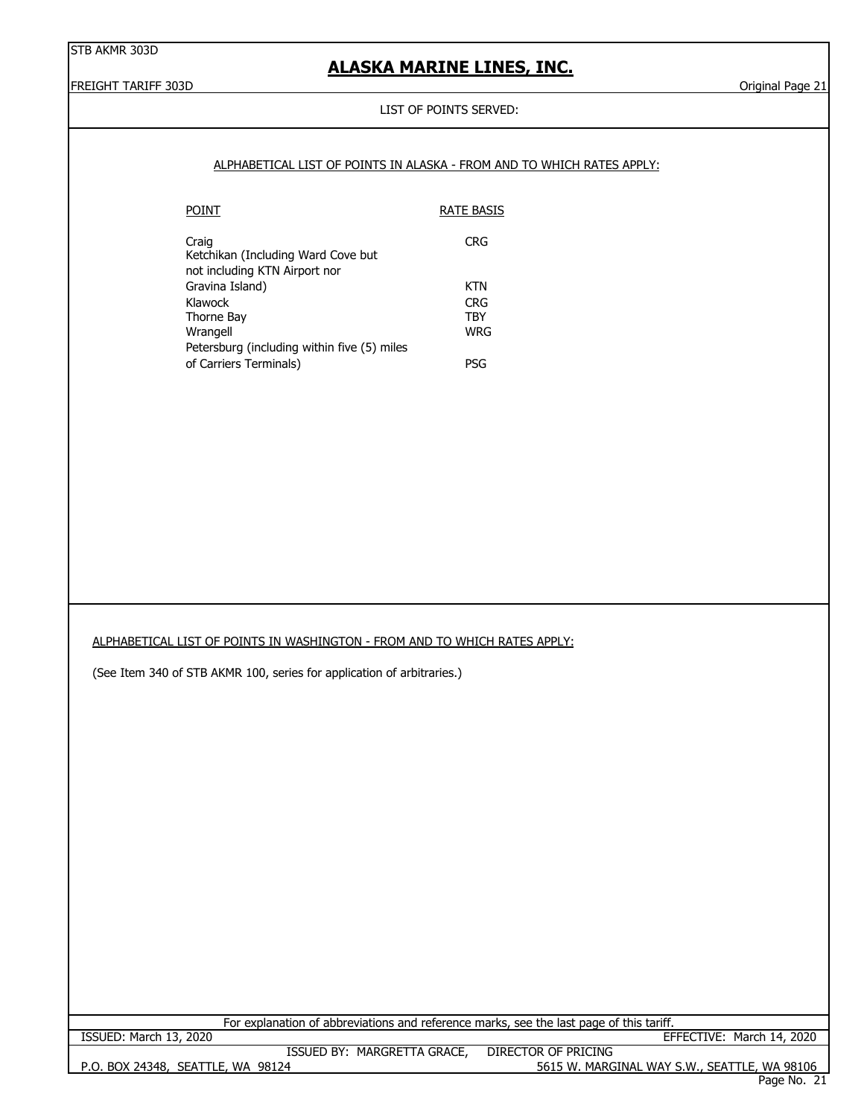# **ALASKA MARINE LINES, INC.**

FREIGHT TARIFF 303D Original Page 21

#### LIST OF POINTS SERVED:

|                                                                              | ALPHABETICAL LIST OF POINTS IN ALASKA - FROM AND TO WHICH RATES APPLY:                  |
|------------------------------------------------------------------------------|-----------------------------------------------------------------------------------------|
| <b>POINT</b>                                                                 | <b>RATE BASIS</b>                                                                       |
| Craig<br>Ketchikan (Including Ward Cove but<br>not including KTN Airport nor | <b>CRG</b>                                                                              |
| Gravina Island)                                                              | <b>KTN</b>                                                                              |
| Klawock                                                                      | <b>CRG</b>                                                                              |
| Thorne Bay<br>Wrangell                                                       | <b>TBY</b><br><b>WRG</b>                                                                |
| Petersburg (including within five (5) miles                                  |                                                                                         |
| of Carriers Terminals)                                                       | PSG                                                                                     |
|                                                                              |                                                                                         |
|                                                                              |                                                                                         |
| ALPHABETICAL LIST OF POINTS IN WASHINGTON - FROM AND TO WHICH RATES APPLY:   |                                                                                         |
| (See Item 340 of STB AKMR 100, series for application of arbitraries.)       |                                                                                         |
|                                                                              |                                                                                         |
|                                                                              |                                                                                         |
|                                                                              |                                                                                         |
|                                                                              |                                                                                         |
|                                                                              |                                                                                         |
|                                                                              | For explanation of abbreviations and reference marks, see the last page of this tariff. |
| ISSUED: March 13, 2020<br>ISSUED BY: MARGRETTA GRACE,                        | EFFECTIVE: March 14, 2020<br><b>DIRECTOR OF PRICING</b>                                 |
| P.O. BOX 24348, SEATTLE, WA 98124                                            | 5615 W. MARGINAL WAY S.W., SEATTLE, WA 98106                                            |
|                                                                              |                                                                                         |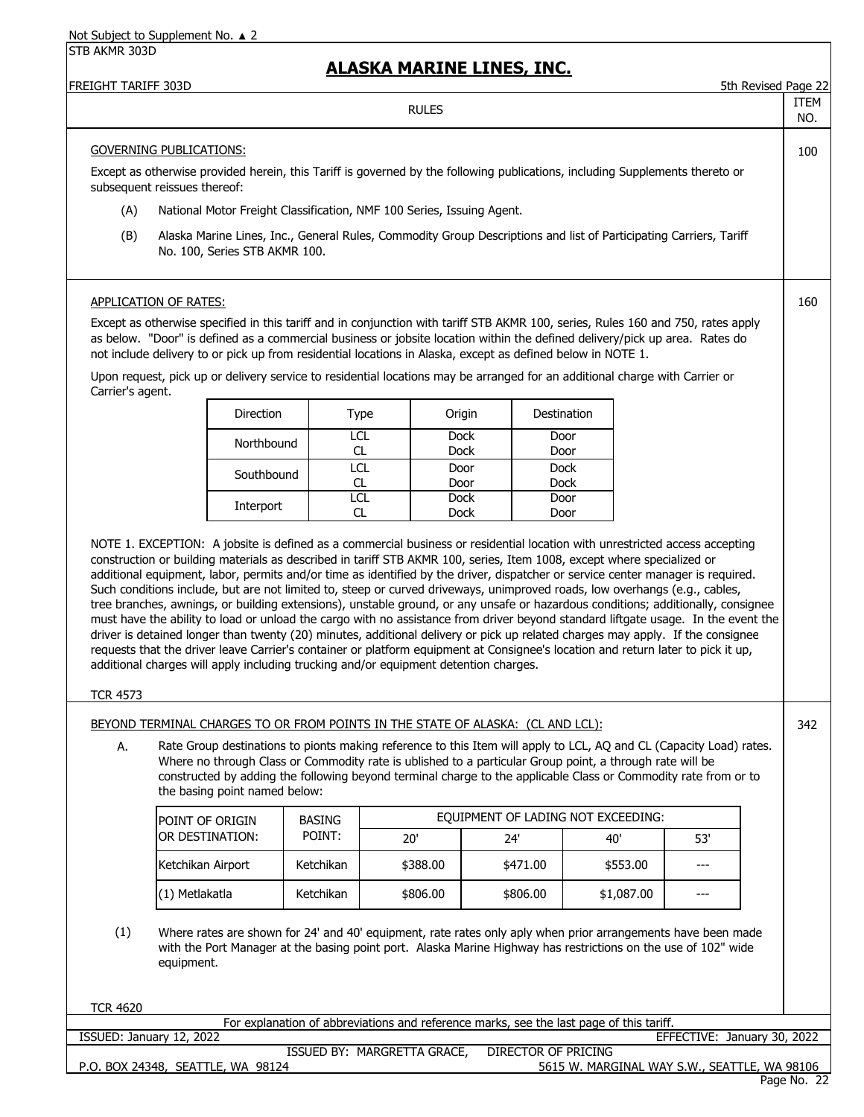# **ALASKA MARINE LINES, INC.**

|                          |                                                                                                                                                                                                                                                                                                                                                                                                                                                                                                                                                                                                                                     |               | <u>mlajna i'ianiinl liinly, iinj.</u>                                                   |                            |                                              |                             |                     |             |
|--------------------------|-------------------------------------------------------------------------------------------------------------------------------------------------------------------------------------------------------------------------------------------------------------------------------------------------------------------------------------------------------------------------------------------------------------------------------------------------------------------------------------------------------------------------------------------------------------------------------------------------------------------------------------|---------------|-----------------------------------------------------------------------------------------|----------------------------|----------------------------------------------|-----------------------------|---------------------|-------------|
| FREIGHT TARIFF 303D      |                                                                                                                                                                                                                                                                                                                                                                                                                                                                                                                                                                                                                                     |               | <b>RULES</b>                                                                            |                            |                                              |                             | 5th Revised Page 22 | ITEM<br>NO. |
|                          | <b>GOVERNING PUBLICATIONS:</b>                                                                                                                                                                                                                                                                                                                                                                                                                                                                                                                                                                                                      |               |                                                                                         |                            |                                              |                             |                     | 100         |
|                          | Except as otherwise provided herein, this Tariff is governed by the following publications, including Supplements thereto or<br>subsequent reissues thereof:                                                                                                                                                                                                                                                                                                                                                                                                                                                                        |               |                                                                                         |                            |                                              |                             |                     |             |
| (A)                      | National Motor Freight Classification, NMF 100 Series, Issuing Agent.                                                                                                                                                                                                                                                                                                                                                                                                                                                                                                                                                               |               |                                                                                         |                            |                                              |                             |                     |             |
| (B)                      | Alaska Marine Lines, Inc., General Rules, Commodity Group Descriptions and list of Participating Carriers, Tariff<br>No. 100, Series STB AKMR 100.                                                                                                                                                                                                                                                                                                                                                                                                                                                                                  |               |                                                                                         |                            |                                              |                             |                     |             |
|                          | <b>APPLICATION OF RATES:</b>                                                                                                                                                                                                                                                                                                                                                                                                                                                                                                                                                                                                        |               |                                                                                         |                            |                                              |                             |                     | 160         |
|                          | Except as otherwise specified in this tariff and in conjunction with tariff STB AKMR 100, series, Rules 160 and 750, rates apply<br>as below. "Door" is defined as a commercial business or jobsite location within the defined delivery/pick up area. Rates do<br>not include delivery to or pick up from residential locations in Alaska, except as defined below in NOTE 1.                                                                                                                                                                                                                                                      |               |                                                                                         |                            |                                              |                             |                     |             |
| Carrier's agent.         | Upon request, pick up or delivery service to residential locations may be arranged for an additional charge with Carrier or                                                                                                                                                                                                                                                                                                                                                                                                                                                                                                         |               |                                                                                         |                            |                                              |                             |                     |             |
|                          | Direction                                                                                                                                                                                                                                                                                                                                                                                                                                                                                                                                                                                                                           |               | Origin<br>Type                                                                          |                            | Destination                                  |                             |                     |             |
|                          | Northbound                                                                                                                                                                                                                                                                                                                                                                                                                                                                                                                                                                                                                          |               | LCL<br>CL.<br><b>Dock</b>                                                               | <b>Dock</b>                | Door<br>Door                                 |                             |                     |             |
|                          | Southbound                                                                                                                                                                                                                                                                                                                                                                                                                                                                                                                                                                                                                          |               | <b>LCL</b><br>Door                                                                      |                            | <b>Dock</b>                                  |                             |                     |             |
|                          |                                                                                                                                                                                                                                                                                                                                                                                                                                                                                                                                                                                                                                     |               | CL.<br>Door<br><b>LCL</b><br><b>Dock</b>                                                |                            | <b>Dock</b><br>Door                          |                             |                     |             |
|                          | Interport                                                                                                                                                                                                                                                                                                                                                                                                                                                                                                                                                                                                                           |               | CL<br><b>Dock</b>                                                                       |                            | Door                                         |                             |                     |             |
|                          | tree branches, awnings, or building extensions), unstable ground, or any unsafe or hazardous conditions; additionally, consignee<br>must have the ability to load or unload the cargo with no assistance from driver beyond standard liftgate usage. In the event the<br>driver is detained longer than twenty (20) minutes, additional delivery or pick up related charges may apply. If the consignee<br>requests that the driver leave Carrier's container or platform equipment at Consignee's location and return later to pick it up,<br>additional charges will apply including trucking and/or equipment detention charges. |               |                                                                                         |                            |                                              |                             |                     |             |
| <b>TCR 4573</b>          |                                                                                                                                                                                                                                                                                                                                                                                                                                                                                                                                                                                                                                     |               |                                                                                         |                            |                                              |                             |                     |             |
|                          | BEYOND TERMINAL CHARGES TO OR FROM POINTS IN THE STATE OF ALASKA: (CL AND LCL):                                                                                                                                                                                                                                                                                                                                                                                                                                                                                                                                                     |               |                                                                                         |                            |                                              |                             |                     | 342         |
| A.                       | Rate Group destinations to pionts making reference to this Item will apply to LCL, AQ and CL (Capacity Load) rates.<br>Where no through Class or Commodity rate is ublished to a particular Group point, a through rate will be<br>constructed by adding the following beyond terminal charge to the applicable Class or Commodity rate from or to<br>the basing point named below:                                                                                                                                                                                                                                                 |               |                                                                                         |                            |                                              |                             |                     |             |
|                          | POINT OF ORIGIN                                                                                                                                                                                                                                                                                                                                                                                                                                                                                                                                                                                                                     | <b>BASING</b> |                                                                                         |                            | EQUIPMENT OF LADING NOT EXCEEDING:           |                             |                     |             |
|                          | OR DESTINATION:                                                                                                                                                                                                                                                                                                                                                                                                                                                                                                                                                                                                                     | POINT:        | 20'                                                                                     | 24'                        | 40'                                          | 53'                         |                     |             |
|                          | Ketchikan Airport                                                                                                                                                                                                                                                                                                                                                                                                                                                                                                                                                                                                                   | Ketchikan     | \$388.00                                                                                | \$471.00                   | \$553.00                                     | $---$                       |                     |             |
|                          | (1) Metlakatla                                                                                                                                                                                                                                                                                                                                                                                                                                                                                                                                                                                                                      | Ketchikan     | \$806.00                                                                                | \$806.00                   | \$1,087.00                                   | ---                         |                     |             |
| (1)                      | Where rates are shown for 24' and 40' equipment, rate rates only aply when prior arrangements have been made<br>with the Port Manager at the basing point port. Alaska Marine Highway has restrictions on the use of 102" wide<br>equipment.                                                                                                                                                                                                                                                                                                                                                                                        |               |                                                                                         |                            |                                              |                             |                     |             |
| <b>TCR 4620</b>          |                                                                                                                                                                                                                                                                                                                                                                                                                                                                                                                                                                                                                                     |               |                                                                                         |                            |                                              |                             |                     |             |
|                          |                                                                                                                                                                                                                                                                                                                                                                                                                                                                                                                                                                                                                                     |               | For explanation of abbreviations and reference marks, see the last page of this tariff. |                            |                                              | EFFECTIVE: January 30, 2022 |                     |             |
| ISSUED: January 12, 2022 |                                                                                                                                                                                                                                                                                                                                                                                                                                                                                                                                                                                                                                     |               | ISSUED BY: MARGRETTA GRACE,                                                             | <b>DIRECTOR OF PRICING</b> |                                              |                             |                     |             |
|                          | P.O. BOX 24348, SEATTLE, WA 98124                                                                                                                                                                                                                                                                                                                                                                                                                                                                                                                                                                                                   |               |                                                                                         |                            | 5615 W. MARGINAL WAY S.W., SEATTLE, WA 98106 |                             | Page No. 22         |             |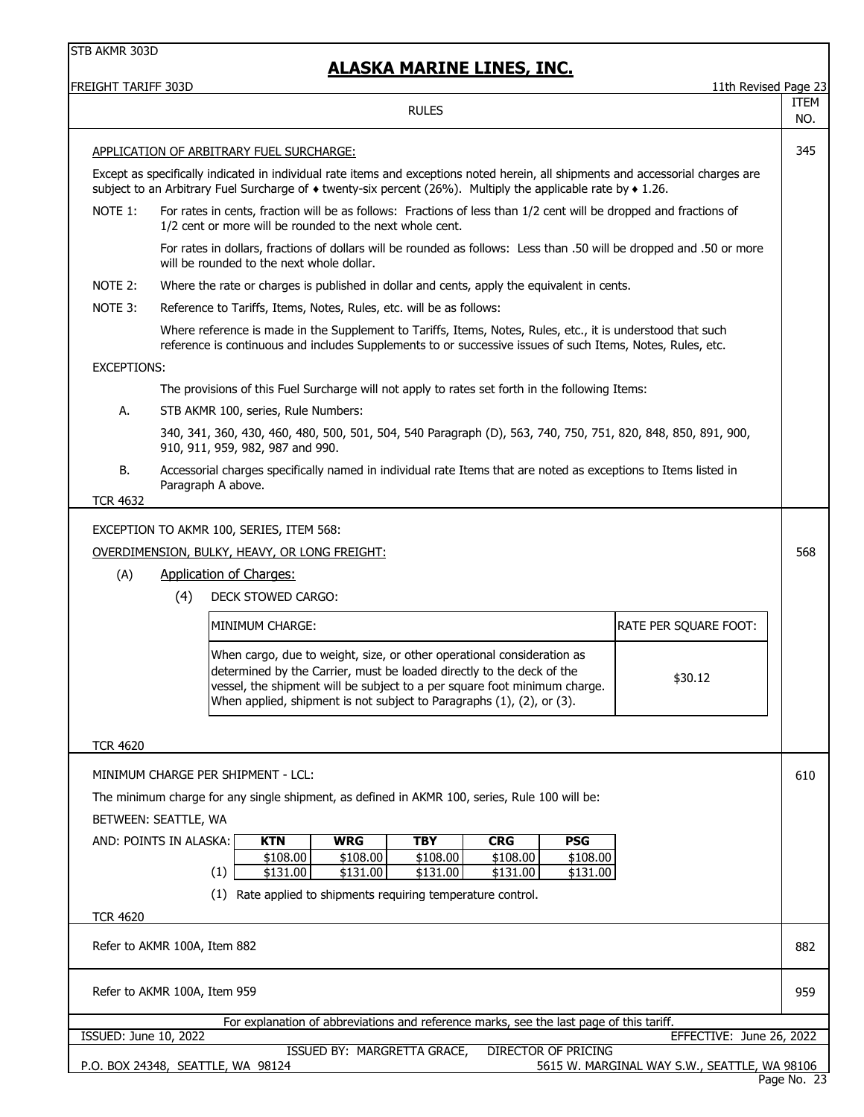# **ALASKA MARINE LINES, INC.**

| FREIGHT TARIFF 303D                                                                                                                                                                                                       |                                                                                                                                                                                                                                                                                                                  | 11th Revised Page 23 |  |  |  |  |
|---------------------------------------------------------------------------------------------------------------------------------------------------------------------------------------------------------------------------|------------------------------------------------------------------------------------------------------------------------------------------------------------------------------------------------------------------------------------------------------------------------------------------------------------------|----------------------|--|--|--|--|
|                                                                                                                                                                                                                           | <b>RULES</b>                                                                                                                                                                                                                                                                                                     | ITEM<br>NO.          |  |  |  |  |
|                                                                                                                                                                                                                           | APPLICATION OF ARBITRARY FUEL SURCHARGE:                                                                                                                                                                                                                                                                         | 345                  |  |  |  |  |
|                                                                                                                                                                                                                           | Except as specifically indicated in individual rate items and exceptions noted herein, all shipments and accessorial charges are<br>subject to an Arbitrary Fuel Surcharge of $\bullet$ twenty-six percent (26%). Multiply the applicable rate by $\bullet$ 1.26.                                                |                      |  |  |  |  |
| NOTE 1:                                                                                                                                                                                                                   | For rates in cents, fraction will be as follows: Fractions of less than 1/2 cent will be dropped and fractions of<br>1/2 cent or more will be rounded to the next whole cent.                                                                                                                                    |                      |  |  |  |  |
|                                                                                                                                                                                                                           | For rates in dollars, fractions of dollars will be rounded as follows: Less than .50 will be dropped and .50 or more<br>will be rounded to the next whole dollar.                                                                                                                                                |                      |  |  |  |  |
| NOTE 2:                                                                                                                                                                                                                   | Where the rate or charges is published in dollar and cents, apply the equivalent in cents.                                                                                                                                                                                                                       |                      |  |  |  |  |
| NOTE 3:                                                                                                                                                                                                                   | Reference to Tariffs, Items, Notes, Rules, etc. will be as follows:                                                                                                                                                                                                                                              |                      |  |  |  |  |
| Where reference is made in the Supplement to Tariffs, Items, Notes, Rules, etc., it is understood that such<br>reference is continuous and includes Supplements to or successive issues of such Items, Notes, Rules, etc. |                                                                                                                                                                                                                                                                                                                  |                      |  |  |  |  |
| EXCEPTIONS:                                                                                                                                                                                                               |                                                                                                                                                                                                                                                                                                                  |                      |  |  |  |  |
|                                                                                                                                                                                                                           | The provisions of this Fuel Surcharge will not apply to rates set forth in the following Items:                                                                                                                                                                                                                  |                      |  |  |  |  |
| А.                                                                                                                                                                                                                        | STB AKMR 100, series, Rule Numbers:                                                                                                                                                                                                                                                                              |                      |  |  |  |  |
|                                                                                                                                                                                                                           | 340, 341, 360, 430, 460, 480, 500, 501, 504, 540 Paragraph (D), 563, 740, 750, 751, 820, 848, 850, 891, 900,<br>910, 911, 959, 982, 987 and 990.                                                                                                                                                                 |                      |  |  |  |  |
| В.                                                                                                                                                                                                                        | Accessorial charges specifically named in individual rate Items that are noted as exceptions to Items listed in<br>Paragraph A above.                                                                                                                                                                            |                      |  |  |  |  |
| <b>TCR 4632</b>                                                                                                                                                                                                           |                                                                                                                                                                                                                                                                                                                  |                      |  |  |  |  |
|                                                                                                                                                                                                                           | EXCEPTION TO AKMR 100, SERIES, ITEM 568:                                                                                                                                                                                                                                                                         |                      |  |  |  |  |
|                                                                                                                                                                                                                           | OVERDIMENSION, BULKY, HEAVY, OR LONG FREIGHT:                                                                                                                                                                                                                                                                    | 568                  |  |  |  |  |
| (A)                                                                                                                                                                                                                       | <b>Application of Charges:</b>                                                                                                                                                                                                                                                                                   |                      |  |  |  |  |
|                                                                                                                                                                                                                           | (4)<br>DECK STOWED CARGO:                                                                                                                                                                                                                                                                                        |                      |  |  |  |  |
|                                                                                                                                                                                                                           | MINIMUM CHARGE:<br>RATE PER SQUARE FOOT:                                                                                                                                                                                                                                                                         |                      |  |  |  |  |
|                                                                                                                                                                                                                           | When cargo, due to weight, size, or other operational consideration as<br>determined by the Carrier, must be loaded directly to the deck of the<br>\$30.12<br>vessel, the shipment will be subject to a per square foot minimum charge.<br>When applied, shipment is not subject to Paragraphs (1), (2), or (3). |                      |  |  |  |  |
| <b>TCR 4620</b>                                                                                                                                                                                                           |                                                                                                                                                                                                                                                                                                                  |                      |  |  |  |  |
|                                                                                                                                                                                                                           | MINIMUM CHARGE PER SHIPMENT - LCL:                                                                                                                                                                                                                                                                               | 610                  |  |  |  |  |
|                                                                                                                                                                                                                           | The minimum charge for any single shipment, as defined in AKMR 100, series, Rule 100 will be:                                                                                                                                                                                                                    |                      |  |  |  |  |
|                                                                                                                                                                                                                           | BETWEEN: SEATTLE, WA                                                                                                                                                                                                                                                                                             |                      |  |  |  |  |
|                                                                                                                                                                                                                           | AND: POINTS IN ALASKA:<br><b>KTN</b><br><b>WRG</b><br><b>TBY</b><br><b>CRG</b><br><b>PSG</b>                                                                                                                                                                                                                     |                      |  |  |  |  |
|                                                                                                                                                                                                                           | \$108.00<br>\$108.00<br>\$108.00<br>\$108.00<br>\$108.00<br>(1)<br>\$131.00<br>\$131.00                                                                                                                                                                                                                          |                      |  |  |  |  |
|                                                                                                                                                                                                                           | \$131.00<br>\$131.00<br>\$131.00<br>Rate applied to shipments requiring temperature control.<br>(1)                                                                                                                                                                                                              |                      |  |  |  |  |
| <b>TCR 4620</b>                                                                                                                                                                                                           |                                                                                                                                                                                                                                                                                                                  |                      |  |  |  |  |
|                                                                                                                                                                                                                           | Refer to AKMR 100A, Item 882                                                                                                                                                                                                                                                                                     | 882                  |  |  |  |  |
|                                                                                                                                                                                                                           | Refer to AKMR 100A, Item 959                                                                                                                                                                                                                                                                                     | 959                  |  |  |  |  |
|                                                                                                                                                                                                                           | For explanation of abbreviations and reference marks, see the last page of this tariff.                                                                                                                                                                                                                          |                      |  |  |  |  |
| ISSUED: June 10, 2022                                                                                                                                                                                                     | EFFECTIVE: June 26, 2022<br><b>DIRECTOR OF PRICING</b><br>ISSUED BY: MARGRETTA GRACE,                                                                                                                                                                                                                            |                      |  |  |  |  |
|                                                                                                                                                                                                                           | P.O. BOX 24348, SEATTLE, WA 98124<br>5615 W. MARGINAL WAY S.W., SEATTLE, WA 98106                                                                                                                                                                                                                                |                      |  |  |  |  |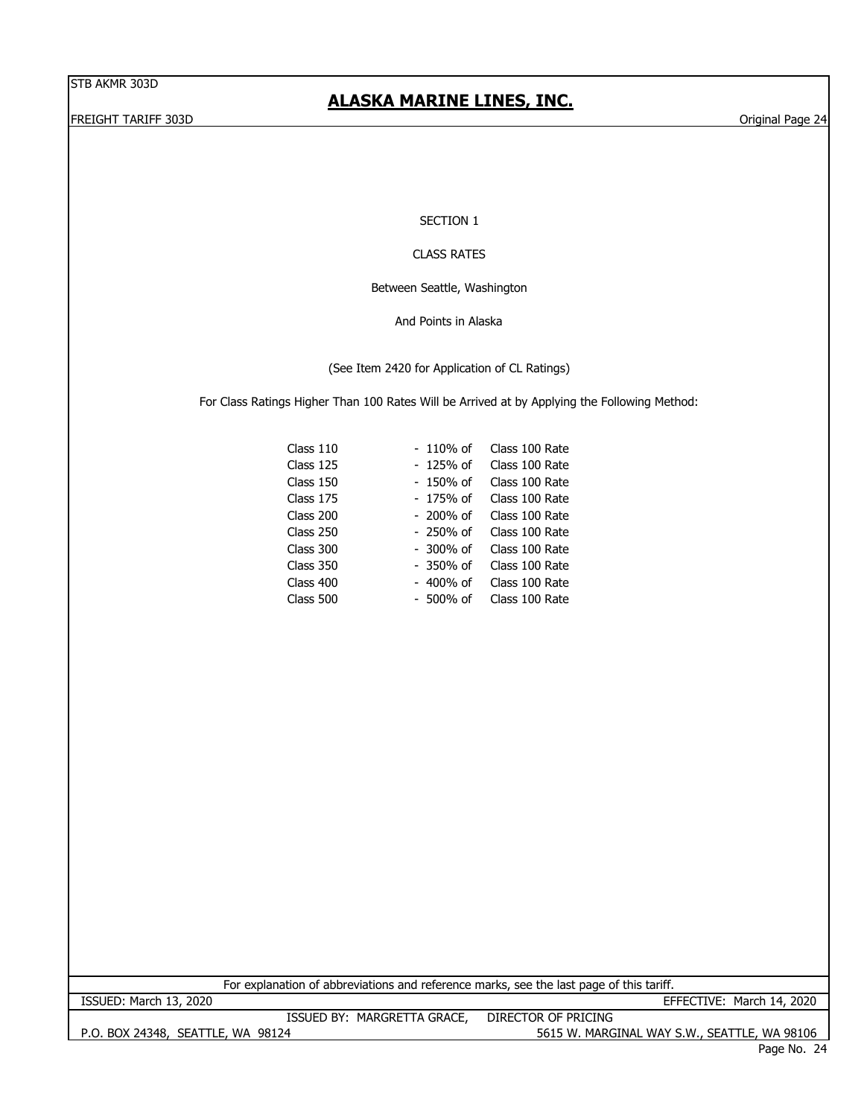# **ALASKA MARINE LINES, INC.**

FREIGHT TARIFF 303D Original Page 24

SECTION 1

#### CLASS RATES

Between Seattle, Washington

And Points in Alaska

(See Item 2420 for Application of CL Ratings)

For Class Ratings Higher Than 100 Rates Will be Arrived at by Applying the Following Method:

| Class 110 | - 110% of   | Class 100 Rate |
|-----------|-------------|----------------|
| Class 125 | - 125% of   | Class 100 Rate |
| Class 150 | $-150%$ of  | Class 100 Rate |
| Class 175 | - 175% of   | Class 100 Rate |
| Class 200 | $-200%$ of  | Class 100 Rate |
| Class 250 | $-250%$ of  | Class 100 Rate |
| Class 300 | $-300\%$ of | Class 100 Rate |
| Class 350 | - 350% of   | Class 100 Rate |
| Class 400 | $-400%$ of  | Class 100 Rate |
| Class 500 | $-500\%$ of | Class 100 Rate |
|           |             |                |

For explanation of abbreviations and reference marks, see the last page of this tariff.

ISSUED: March 13, 2020 EFFECTIVE: March 14, 2020 ISSUED BY: MARGRETTA GRACE, DIRECTOR OF PRICING

P.O. BOX 24348, SEATTLE, WA 98124 5615 W. MARGINAL WAY S.W., SEATTLE, WA 98106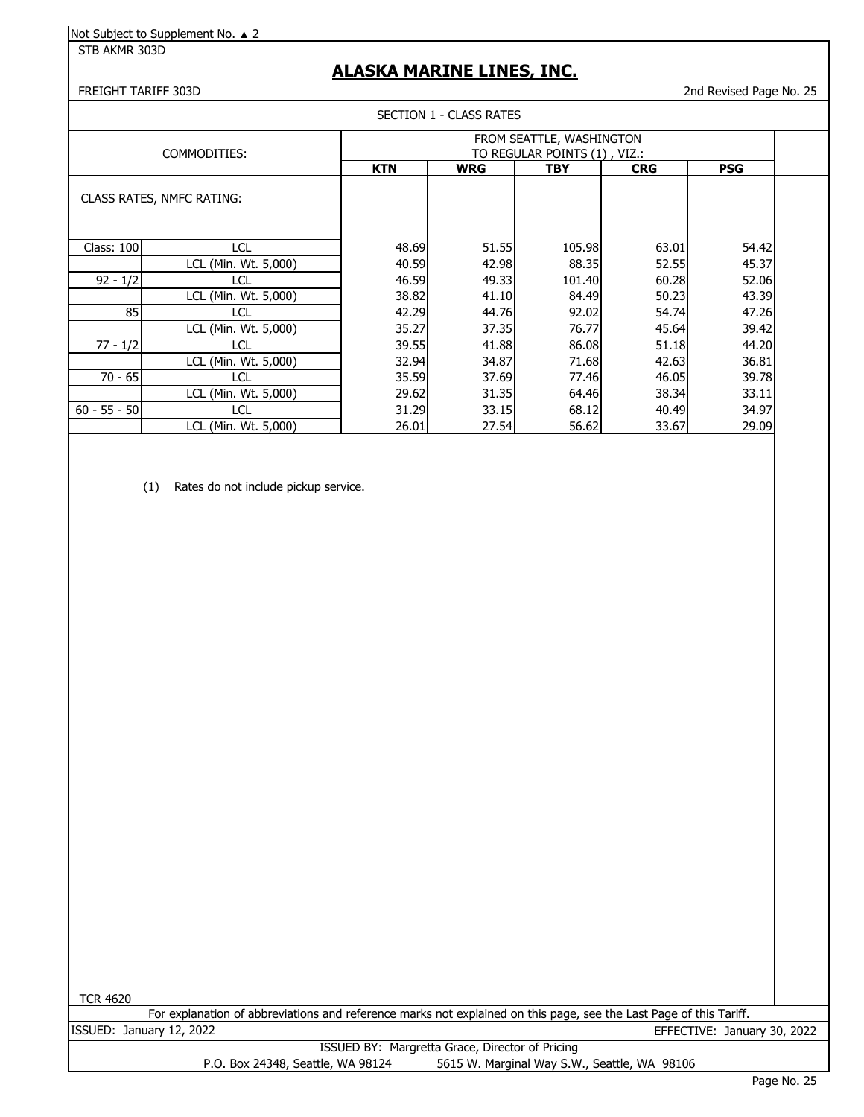STB AKMR 303D

# **ALASKA MARINE LINES, INC.**

#### FREIGHT TARIFF 303D 2nd Revised Page No. 25

#### SECTION 1 - CLASS RATES

|                   |                                  | FROM SEATTLE, WASHINGTON<br>TO REGULAR POINTS (1), VIZ.: |            |        |            |            |  |
|-------------------|----------------------------------|----------------------------------------------------------|------------|--------|------------|------------|--|
|                   | COMMODITIES:                     |                                                          |            |        |            |            |  |
|                   |                                  | <b>KTN</b>                                               | <b>WRG</b> | TBY    | <b>CRG</b> | <b>PSG</b> |  |
|                   | <b>CLASS RATES, NMFC RATING:</b> |                                                          |            |        |            |            |  |
| <b>Class: 100</b> | <b>LCL</b>                       | 48.69                                                    | 51.55      | 105.98 | 63.01      | 54.42      |  |
|                   | LCL (Min. Wt. 5,000)             | 40.59                                                    | 42.98      | 88.35  | 52.55      | 45.37      |  |
| $92 - 1/2$        | LCL                              | 46.59                                                    | 49.33      | 101.40 | 60.28      | 52.06      |  |
|                   | LCL (Min. Wt. 5,000)             | 38.82                                                    | 41.10      | 84.49  | 50.23      | 43.39      |  |
| 85                | <b>LCL</b>                       | 42.29                                                    | 44.76      | 92.02  | 54.74      | 47.26      |  |
|                   | LCL (Min. Wt. 5,000)             | 35.27                                                    | 37.35      | 76.77  | 45.64      | 39.42      |  |
| $77 - 1/2$        | <b>LCL</b>                       | 39.55                                                    | 41.88      | 86.08  | 51.18      | 44.20      |  |
|                   | LCL (Min. Wt. 5,000)             | 32.94                                                    | 34.87      | 71.68  | 42.63      | 36.81      |  |
| $70 - 65$         | <b>LCL</b>                       | 35.59                                                    | 37.69      | 77.46  | 46.05      | 39.78      |  |
|                   | LCL (Min. Wt. 5,000)             | 29.62                                                    | 31.35      | 64.46  | 38.34      | 33.11      |  |
| $60 - 55 - 50$    | LCL                              | 31.29                                                    | 33.15      | 68.12  | 40.49      | 34.97      |  |
|                   | LCL (Min. Wt. 5,000)             | 26.01                                                    | 27.54      | 56.62  | 33.67      | 29.09      |  |

(1) Rates do not include pickup service.

TCR 4620

| For explanation of abbreviations and reference marks not explained on this page, see the Last Page of this Tariff. |                             |  |
|--------------------------------------------------------------------------------------------------------------------|-----------------------------|--|
| ISSUED: January 12, 2022                                                                                           | EFFECTIVE: January 30, 2022 |  |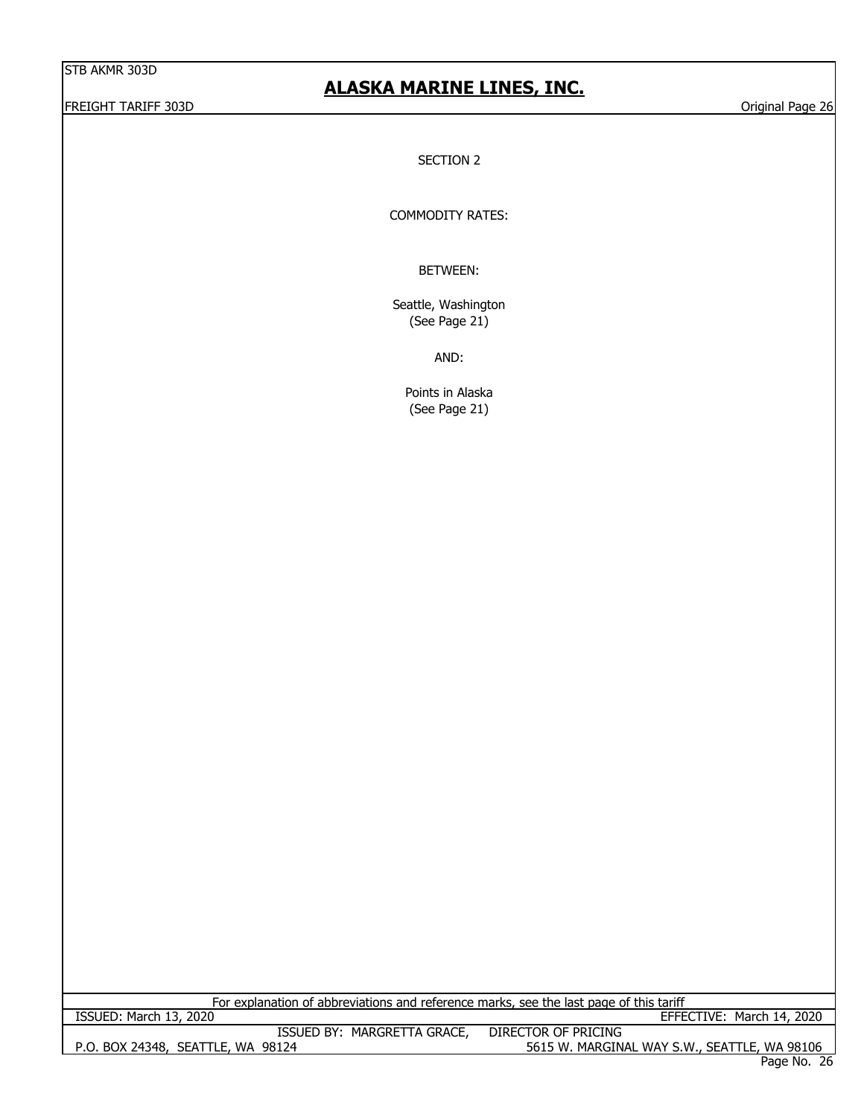#### FREIGHT TARIFF 303D Original Page 26

# **ALASKA MARINE LINES, INC.**

SECTION 2

COMMODITY RATES:

BETWEEN:

Seattle, Washington (See Page 21)

AND:

Points in Alaska (See Page 21)

For explanation of abbreviations and reference marks, see the last page of this tariff

P.O. BOX 24348, SEATTLE, WA 98124 5615 W. MARGINAL WAY S.W., SEATTLE, WA 98106 ISSUED BY: MARGRETTA GRACE, DIRECTOR OF PRICING ISSUED: March 13, 2020 EFFECTIVE: March 14, 2020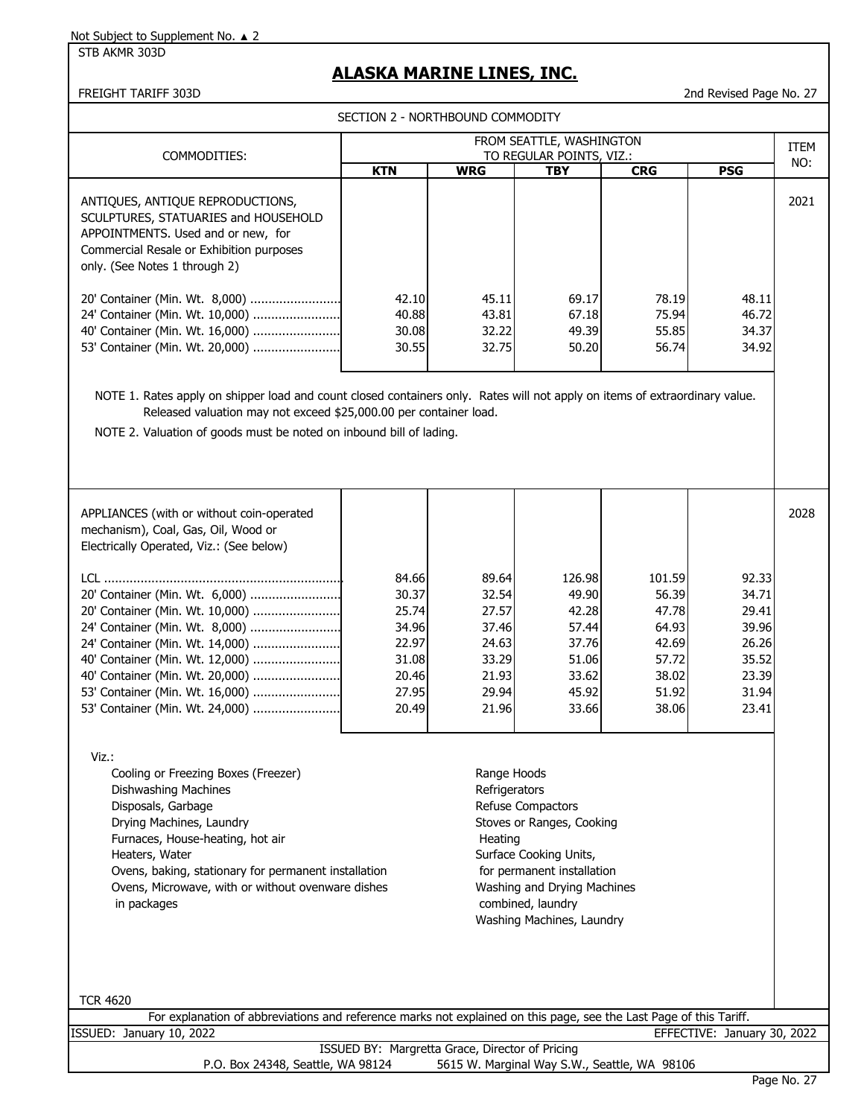STB AKMR 303D

# **ALASKA MARINE LINES, INC.**

FREIGHT TARIFF 303D 2nd Revised Page No. 27

SECTION 2 - NORTHBOUND COMMODITY

| COMMODITIES:                                                                                                                                                                                | FROM SEATTLE, WASHINGTON<br>TO REGULAR POINTS, VIZ.: |                                  |                                  |                                  |                                  |      |
|---------------------------------------------------------------------------------------------------------------------------------------------------------------------------------------------|------------------------------------------------------|----------------------------------|----------------------------------|----------------------------------|----------------------------------|------|
|                                                                                                                                                                                             | <b>KTN</b>                                           | <b>WRG</b>                       | TBY                              | <b>CRG</b>                       | <b>PSG</b>                       | NO:  |
| ANTIQUES, ANTIQUE REPRODUCTIONS,<br>SCULPTURES, STATUARIES and HOUSEHOLD<br>APPOINTMENTS. Used and or new, for<br>Commercial Resale or Exhibition purposes<br>only. (See Notes 1 through 2) |                                                      |                                  |                                  |                                  |                                  | 2021 |
| 20' Container (Min. Wt. 8,000)<br>24' Container (Min. Wt. 10,000)<br>40' Container (Min. Wt. 16,000)<br>53' Container (Min. Wt. 20,000)                                                     | 42.10<br>40.88<br>30.08<br>30.55                     | 45.11<br>43.81<br>32.22<br>32.75 | 69.17<br>67.18<br>49.39<br>50.20 | 78.19<br>75.94<br>55.85<br>56.74 | 48.11<br>46.72<br>34.37<br>34.92 |      |

NOTE 1. Rates apply on shipper load and count closed containers only. Rates will not apply on items of extraordinary value. Released valuation may not exceed \$25,000.00 per container load.

NOTE 2. Valuation of goods must be noted on inbound bill of lading.

| APPLIANCES (with or without coin-operated<br>mechanism), Coal, Gas, Oil, Wood or<br>Electrically Operated, Viz.: (See below) |       |       |        |        |       | 2028 |
|------------------------------------------------------------------------------------------------------------------------------|-------|-------|--------|--------|-------|------|
| LCL.                                                                                                                         | 84.66 | 89.64 | 126.98 | 101.59 | 92.33 |      |
| 20' Container (Min. Wt. 6,000)                                                                                               | 30.37 | 32.54 | 49.90  | 56.39  | 34.71 |      |
| 20' Container (Min. Wt. 10,000)                                                                                              | 25.74 | 27.57 | 42.28  | 47.78  | 29.41 |      |
| 24' Container (Min. Wt. 8,000)                                                                                               | 34.96 | 37.46 | 57.44  | 64.93  | 39.96 |      |
|                                                                                                                              | 22.97 | 24.63 | 37.76  | 42.69  | 26.26 |      |
| 40' Container (Min. Wt. 12,000)                                                                                              | 31.08 | 33.29 | 51.06  | 57.72  | 35.52 |      |
|                                                                                                                              | 20.46 | 21.93 | 33.62  | 38.02  | 23.39 |      |
|                                                                                                                              | 27.95 | 29.94 | 45.92  | 51.92  | 31.94 |      |
|                                                                                                                              | 20.49 | 21.96 | 33.66  | 38.06  | 23.41 |      |
|                                                                                                                              |       |       |        |        |       |      |

Viz.:

Cooling or Freezing Boxes (Freezer) Manual Schools Range Hoods Dishwashing Machines **Refrigerators** Refrigerators Disposals, Garbage **Refuse Compactors** Refuse Compactors Drying Machines, Laundry Nation Stoves or Ranges, Cooking Furnaces, House-heating, hot air **Heating** Heating Heaters, Water Surface Cooking Units, Ovens, baking, stationary for permanent installation for permanent installation Ovens, Microwave, with or without ovenware dishes Washing and Drying Machines in packages combined, laundry

# Washing Machines, Laundry

TCR 4620

|                          | For explanation of abbreviations and reference marks not explained on this page, see the Last Page of this Tariff. |                             |  |
|--------------------------|--------------------------------------------------------------------------------------------------------------------|-----------------------------|--|
| ISSUED: January 10, 2022 |                                                                                                                    | EFFECTIVE: January 30, 2022 |  |

ISSUED BY: Margretta Grace, Director of Pricing P.O. Box 24348, Seattle, WA 98124 5615 W. Marginal Way S.W., Seattle, WA 98106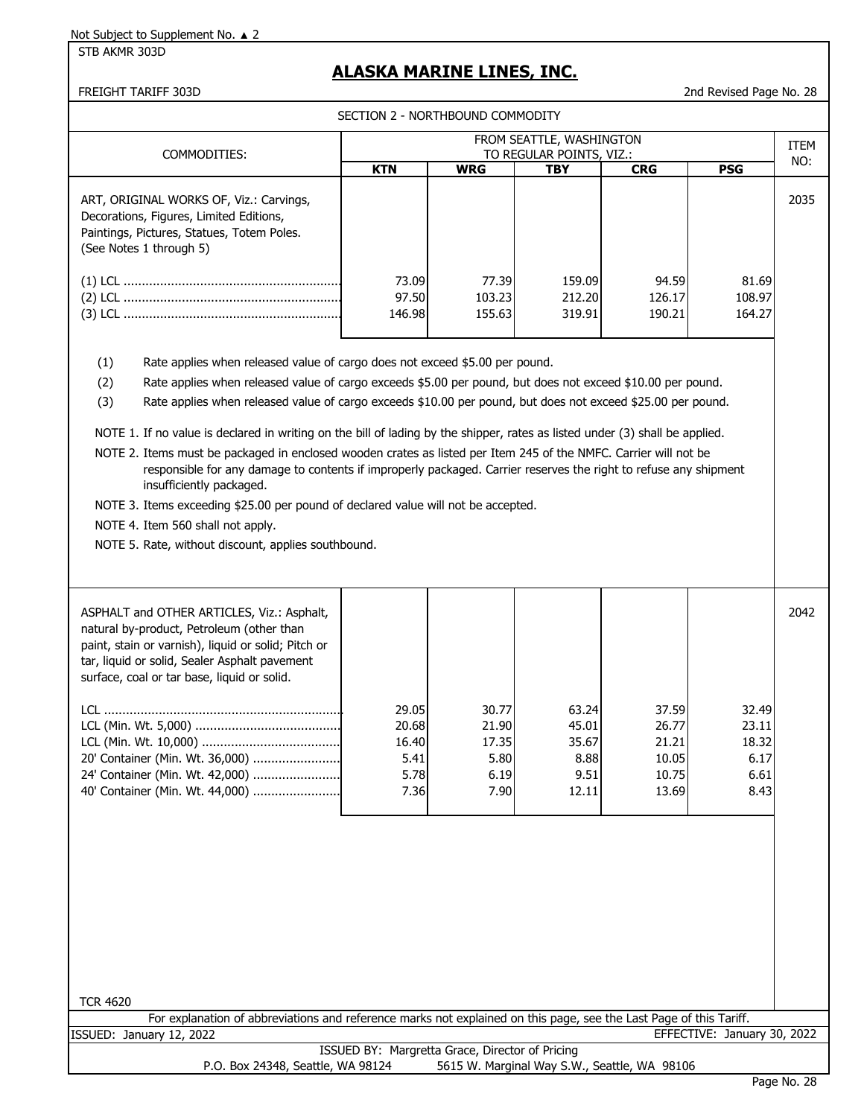STB AKMR 303D

# **ALASKA MARINE LINES, INC.**

FREIGHT TARIFF 303D 2nd Revised Page No. 28

SECTION 2 - NORTHROUND COMMODITY

| SECTION Z - NORTHBOUND COMPUDIT<br>FROM SEATTLE, WASHINGTON                                                                                                                                                                                                                                                                                                                                                                                                                                                                                                                                                                                                                                                                                                                                                                                                                                                        |                                                 |                                                 |                                                  |                                                    |                                                 |             |  |
|--------------------------------------------------------------------------------------------------------------------------------------------------------------------------------------------------------------------------------------------------------------------------------------------------------------------------------------------------------------------------------------------------------------------------------------------------------------------------------------------------------------------------------------------------------------------------------------------------------------------------------------------------------------------------------------------------------------------------------------------------------------------------------------------------------------------------------------------------------------------------------------------------------------------|-------------------------------------------------|-------------------------------------------------|--------------------------------------------------|----------------------------------------------------|-------------------------------------------------|-------------|--|
| COMMODITIES:                                                                                                                                                                                                                                                                                                                                                                                                                                                                                                                                                                                                                                                                                                                                                                                                                                                                                                       |                                                 |                                                 | TO REGULAR POINTS, VIZ.:                         |                                                    |                                                 | <b>ITEM</b> |  |
|                                                                                                                                                                                                                                                                                                                                                                                                                                                                                                                                                                                                                                                                                                                                                                                                                                                                                                                    | <b>KTN</b>                                      | <b>WRG</b>                                      | <b>TBY</b>                                       | <b>CRG</b>                                         | <b>PSG</b>                                      | NO:         |  |
| ART, ORIGINAL WORKS OF, Viz.: Carvings,<br>Decorations, Figures, Limited Editions,<br>Paintings, Pictures, Statues, Totem Poles.<br>(See Notes 1 through 5)                                                                                                                                                                                                                                                                                                                                                                                                                                                                                                                                                                                                                                                                                                                                                        |                                                 |                                                 |                                                  |                                                    |                                                 | 2035        |  |
|                                                                                                                                                                                                                                                                                                                                                                                                                                                                                                                                                                                                                                                                                                                                                                                                                                                                                                                    | 73.09                                           | 77.39                                           | 159.09                                           | 94.59                                              | 81.69                                           |             |  |
|                                                                                                                                                                                                                                                                                                                                                                                                                                                                                                                                                                                                                                                                                                                                                                                                                                                                                                                    | 97.50<br>146.98                                 | 103.23<br>155.63                                | 212.20<br>319.91                                 | 126.17<br>190.21                                   | 108.97<br>164.27                                |             |  |
|                                                                                                                                                                                                                                                                                                                                                                                                                                                                                                                                                                                                                                                                                                                                                                                                                                                                                                                    |                                                 |                                                 |                                                  |                                                    |                                                 |             |  |
| Rate applies when released value of cargo does not exceed \$5.00 per pound.<br>(1)<br>Rate applies when released value of cargo exceeds \$5.00 per pound, but does not exceed \$10.00 per pound.<br>(2)<br>Rate applies when released value of cargo exceeds \$10.00 per pound, but does not exceed \$25.00 per pound.<br>(3)<br>NOTE 1. If no value is declared in writing on the bill of lading by the shipper, rates as listed under (3) shall be applied.<br>NOTE 2. Items must be packaged in enclosed wooden crates as listed per Item 245 of the NMFC. Carrier will not be<br>responsible for any damage to contents if improperly packaged. Carrier reserves the right to refuse any shipment<br>insufficiently packaged.<br>NOTE 3. Items exceeding \$25.00 per pound of declared value will not be accepted.<br>NOTE 4. Item 560 shall not apply.<br>NOTE 5. Rate, without discount, applies southbound. |                                                 |                                                 |                                                  |                                                    |                                                 |             |  |
| ASPHALT and OTHER ARTICLES, Viz.: Asphalt,<br>natural by-product, Petroleum (other than<br>paint, stain or varnish), liquid or solid; Pitch or<br>tar, liquid or solid, Sealer Asphalt pavement<br>surface, coal or tar base, liquid or solid.<br>20' Container (Min. Wt. 36,000)<br>24' Container (Min. Wt. 42,000)<br>40' Container (Min. Wt. 44,000)<br><b>TCR 4620</b>                                                                                                                                                                                                                                                                                                                                                                                                                                                                                                                                         | 29.05<br>20.68<br>16.40<br>5.41<br>5.78<br>7.36 | 30.77<br>21.90<br>17.35<br>5.80<br>6.19<br>7.90 | 63.24<br>45.01<br>35.67<br>8.88<br>9.51<br>12.11 | 37.59<br>26.77<br>21.21<br>10.05<br>10.75<br>13.69 | 32.49<br>23.11<br>18.32<br>6.17<br>6.61<br>8.43 | 2042        |  |
| For explanation of abbreviations and reference marks not explained on this page, see the Last Page of this Tariff.                                                                                                                                                                                                                                                                                                                                                                                                                                                                                                                                                                                                                                                                                                                                                                                                 |                                                 |                                                 |                                                  |                                                    |                                                 |             |  |
| ISSUED: January 12, 2022                                                                                                                                                                                                                                                                                                                                                                                                                                                                                                                                                                                                                                                                                                                                                                                                                                                                                           |                                                 |                                                 |                                                  |                                                    | EFFECTIVE: January 30, 2022                     |             |  |
| P.O. Box 24348, Seattle, WA 98124                                                                                                                                                                                                                                                                                                                                                                                                                                                                                                                                                                                                                                                                                                                                                                                                                                                                                  | ISSUED BY: Margretta Grace, Director of Pricing |                                                 | 5615 W. Marginal Way S.W., Seattle, WA 98106     |                                                    |                                                 |             |  |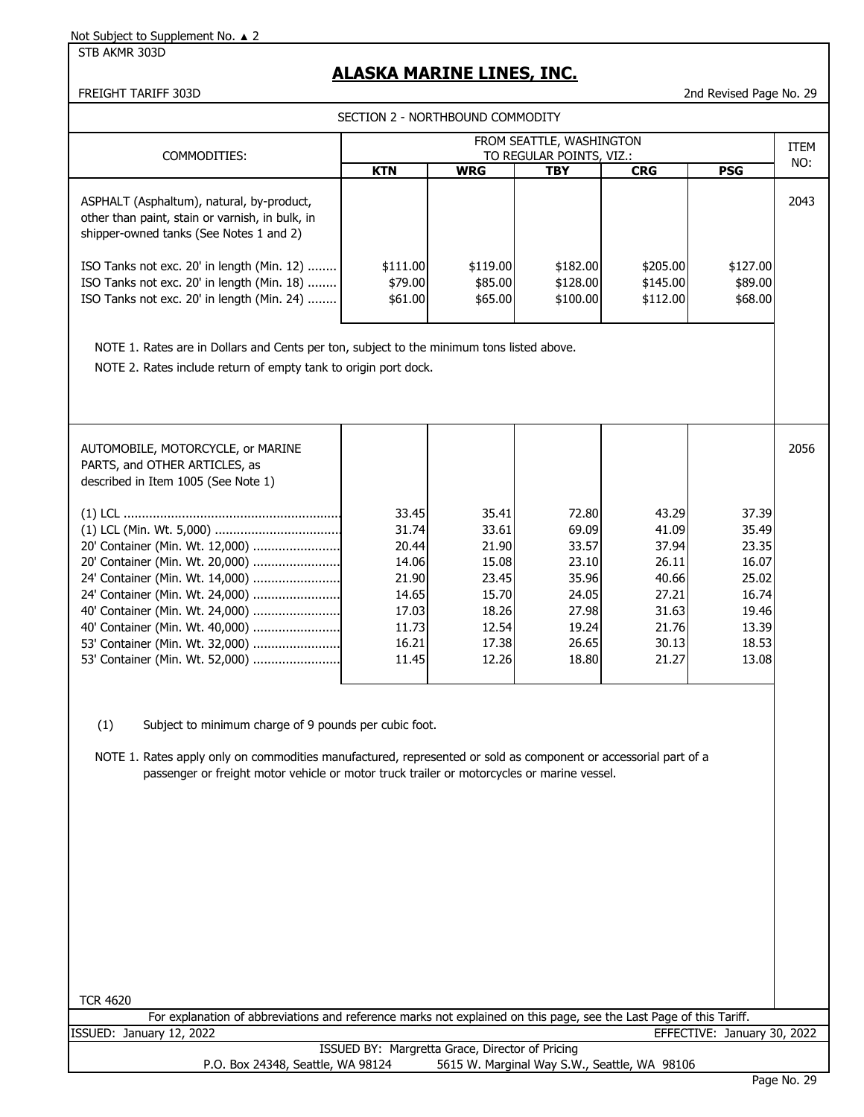STB AKMR 303D

# **ALASKA MARINE LINES, INC.**

FREIGHT TARIFF 303D 2nd Revised Page No. 29

SECTION 2 - NORTHBOUND COMMODITY

| COMMODITIES:                                                                                                                            | FROM SEATTLE, WASHINGTON<br>TO REGULAR POINTS, VIZ.: |                                |                                  |                                  |                                | <b>ITEM</b><br>NO: |
|-----------------------------------------------------------------------------------------------------------------------------------------|------------------------------------------------------|--------------------------------|----------------------------------|----------------------------------|--------------------------------|--------------------|
|                                                                                                                                         | <b>KTN</b>                                           | <b>WRG</b>                     | <b>TBY</b>                       | <b>CRG</b>                       | <b>PSG</b>                     |                    |
| ASPHALT (Asphaltum), natural, by-product,<br>other than paint, stain or varnish, in bulk, in<br>shipper-owned tanks (See Notes 1 and 2) |                                                      |                                |                                  |                                  |                                | 2043               |
| ISO Tanks not exc. 20' in length (Min. 12)<br>ISO Tanks not exc. 20' in length (Min. 18)<br>ISO Tanks not exc. 20' in length (Min. 24)  | \$111.00<br>\$79.00<br>\$61.00                       | \$119.00<br>\$85.00<br>\$65.00 | \$182.00<br>\$128.00<br>\$100.00 | \$205.00<br>\$145.00<br>\$112.00 | \$127.00<br>\$89.00<br>\$68.00 |                    |
|                                                                                                                                         |                                                      |                                |                                  |                                  |                                |                    |

NOTE 1. Rates are in Dollars and Cents per ton, subject to the minimum tons listed above.

NOTE 2. Rates include return of empty tank to origin port dock.

| AUTOMOBILE, MOTORCYCLE, or MARINE<br>PARTS, and OTHER ARTICLES, as<br>described in Item 1005 (See Note 1) |       |       |       |       |       | 2056 |
|-----------------------------------------------------------------------------------------------------------|-------|-------|-------|-------|-------|------|
|                                                                                                           | 33.45 | 35.41 | 72.80 | 43.29 | 37.39 |      |
|                                                                                                           | 31.74 | 33.61 | 69.09 | 41.09 | 35.49 |      |
| 20' Container (Min. Wt. 12,000)                                                                           | 20.44 | 21.90 | 33.57 | 37.94 | 23.35 |      |
| 20' Container (Min. Wt. 20,000)                                                                           | 14.06 | 15.08 | 23.10 | 26.11 | 16.07 |      |
| 24' Container (Min. Wt. 14,000)                                                                           | 21.90 | 23.45 | 35.96 | 40.66 | 25.02 |      |
| 24' Container (Min. Wt. 24,000)                                                                           | 14.65 | 15.70 | 24.05 | 27.21 | 16.74 |      |
|                                                                                                           | 17.03 | 18.26 | 27.98 | 31.63 | 19.46 |      |
|                                                                                                           | 11.73 | 12.54 | 19.24 | 21.76 | 13.39 |      |
| 53' Container (Min. Wt. 32,000)                                                                           | 16.21 | 17.38 | 26.65 | 30.13 | 18.53 |      |
|                                                                                                           | 11.45 | 12.26 | 18.80 | 21.27 | 13.08 |      |
|                                                                                                           |       |       |       |       |       |      |

(1) Subject to minimum charge of 9 pounds per cubic foot.

NOTE 1. Rates apply only on commodities manufactured, represented or sold as component or accessorial part of a passenger or freight motor vehicle or motor truck trailer or motorcycles or marine vessel.

For explanation of abbreviations and reference marks not explained on this page, see the Last Page of this Tariff. ISSUED: January 12, 2022 EFFECTIVE: January 30, 2022

|                                   | ISSUED BY: Margretta Grace, Director of Pricing |
|-----------------------------------|-------------------------------------------------|
| P.O. Box 24348, Seattle, WA 98124 | 5615 W. Marginal Way S.W., Seattle, WA 98106    |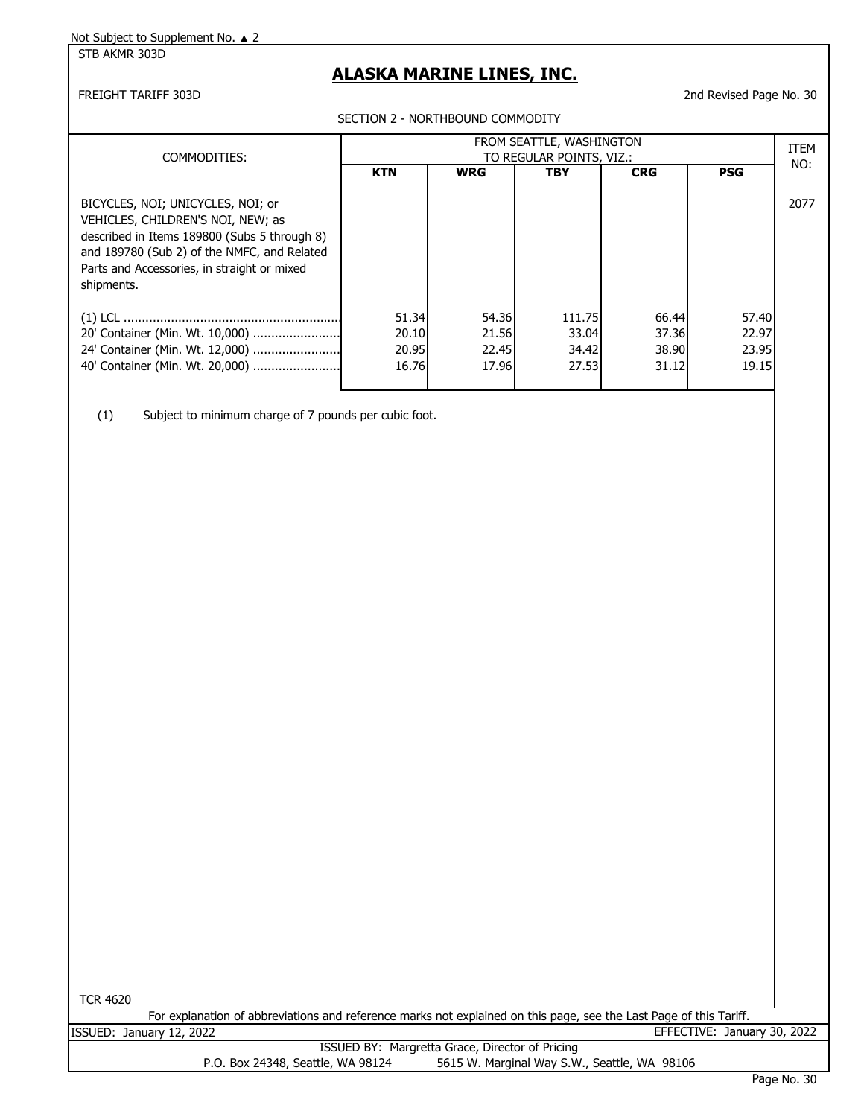STB AKMR 303D

# **ALASKA MARINE LINES, INC.**

#### FREIGHT TARIFF 303D 2nd Revised Page No. 30

SECTION 2 - NORTHBOUND COMMODITY

| COMMODITIES:                                                                                                                                                                                                                       | FROM SEATTLE, WASHINGTON<br>TO REGULAR POINTS, VIZ.: |                                  |                                   |                                  |                                  |      |  |  |
|------------------------------------------------------------------------------------------------------------------------------------------------------------------------------------------------------------------------------------|------------------------------------------------------|----------------------------------|-----------------------------------|----------------------------------|----------------------------------|------|--|--|
|                                                                                                                                                                                                                                    | <b>KTN</b>                                           | <b>WRG</b>                       | <b>TBY</b>                        | <b>CRG</b>                       | <b>PSG</b>                       |      |  |  |
| BICYCLES, NOI; UNICYCLES, NOI; or<br>VEHICLES, CHILDREN'S NOI, NEW; as<br>described in Items 189800 (Subs 5 through 8)<br>and 189780 (Sub 2) of the NMFC, and Related<br>Parts and Accessories, in straight or mixed<br>shipments. |                                                      |                                  |                                   |                                  |                                  | 2077 |  |  |
| 20' Container (Min. Wt. 10,000)<br>24' Container (Min. Wt. 12,000)<br>40' Container (Min. Wt. 20,000)                                                                                                                              | 51.34<br>20.10<br>20.95<br>16.76                     | 54.36<br>21.56<br>22.45<br>17.96 | 111.75<br>33.04<br>34.42<br>27.53 | 66.44<br>37.36<br>38.90<br>31.12 | 57.40<br>22.97<br>23.95<br>19.15 |      |  |  |

(1) Subject to minimum charge of 7 pounds per cubic foot.

TCR 4620

For explanation of abbreviations and reference marks not explained on this page, see the Last Page of this Tariff. ISSUED: January 12, 2022 EFFECTIVE: January 30, 2022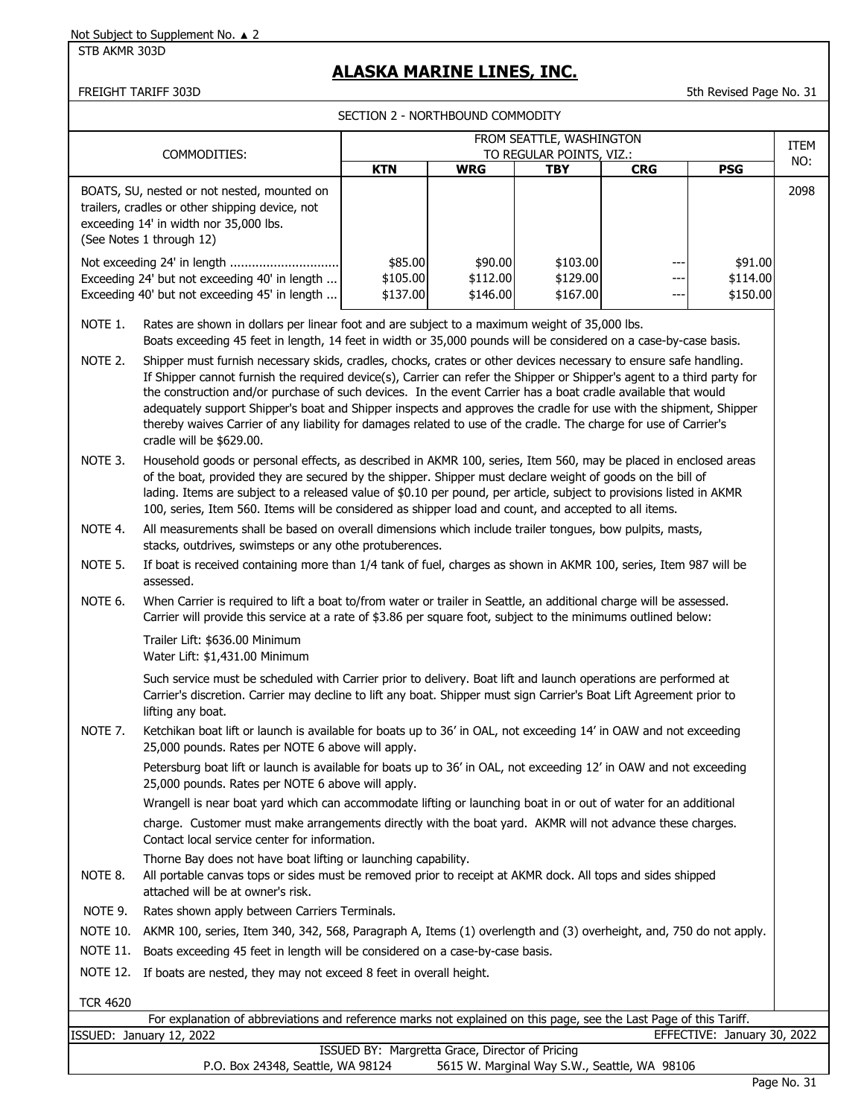STB AKMR 303D

# **ALASKA MARINE LINES, INC.**

#### FREIGHT TARIFF 303D 5th Revised Page No. 31

SECTION 2 - NORTHBOUND COMMODITY

|                                                                                                                                                                                                                              | FROM SEATTLE, WASHINGTON                                                                                                                                                                                                                                                                                                                                                                                                                                                                                                                                                                                                            |                                 |                                                 |                                              |            |                                 |                    |  |  |
|------------------------------------------------------------------------------------------------------------------------------------------------------------------------------------------------------------------------------|-------------------------------------------------------------------------------------------------------------------------------------------------------------------------------------------------------------------------------------------------------------------------------------------------------------------------------------------------------------------------------------------------------------------------------------------------------------------------------------------------------------------------------------------------------------------------------------------------------------------------------------|---------------------------------|-------------------------------------------------|----------------------------------------------|------------|---------------------------------|--------------------|--|--|
| COMMODITIES:                                                                                                                                                                                                                 |                                                                                                                                                                                                                                                                                                                                                                                                                                                                                                                                                                                                                                     | TO REGULAR POINTS, VIZ.:        |                                                 |                                              |            |                                 | <b>ITEM</b><br>NO: |  |  |
|                                                                                                                                                                                                                              | BOATS, SU, nested or not nested, mounted on<br>trailers, cradles or other shipping device, not<br>exceeding 14' in width nor 35,000 lbs.<br>(See Notes 1 through 12)                                                                                                                                                                                                                                                                                                                                                                                                                                                                | <b>KTN</b>                      | <b>WRG</b>                                      | <b>TBY</b>                                   | <b>CRG</b> | <b>PSG</b>                      | 2098               |  |  |
|                                                                                                                                                                                                                              | Exceeding 24' but not exceeding 40' in length<br>Exceeding 40' but not exceeding 45' in length                                                                                                                                                                                                                                                                                                                                                                                                                                                                                                                                      | \$85.00<br>\$105.00<br>\$137.00 | \$90.00<br>\$112.00<br>\$146.00                 | \$103.00<br>\$129.00<br>\$167.00             | ---        | \$91.00<br>\$114.00<br>\$150.00 |                    |  |  |
| NOTE 1.<br>Rates are shown in dollars per linear foot and are subject to a maximum weight of 35,000 lbs.<br>Boats exceeding 45 feet in length, 14 feet in width or 35,000 pounds will be considered on a case-by-case basis. |                                                                                                                                                                                                                                                                                                                                                                                                                                                                                                                                                                                                                                     |                                 |                                                 |                                              |            |                                 |                    |  |  |
| NOTE 2.                                                                                                                                                                                                                      | Shipper must furnish necessary skids, cradles, chocks, crates or other devices necessary to ensure safe handling.<br>If Shipper cannot furnish the required device(s), Carrier can refer the Shipper or Shipper's agent to a third party for<br>the construction and/or purchase of such devices. In the event Carrier has a boat cradle available that would<br>adequately support Shipper's boat and Shipper inspects and approves the cradle for use with the shipment, Shipper<br>thereby waives Carrier of any liability for damages related to use of the cradle. The charge for use of Carrier's<br>cradle will be \$629.00. |                                 |                                                 |                                              |            |                                 |                    |  |  |
| NOTE 3.                                                                                                                                                                                                                      | Household goods or personal effects, as described in AKMR 100, series, Item 560, may be placed in enclosed areas<br>of the boat, provided they are secured by the shipper. Shipper must declare weight of goods on the bill of<br>lading. Items are subject to a released value of \$0.10 per pound, per article, subject to provisions listed in AKMR<br>100, series, Item 560. Items will be considered as shipper load and count, and accepted to all items.                                                                                                                                                                     |                                 |                                                 |                                              |            |                                 |                    |  |  |
| NOTE 4.                                                                                                                                                                                                                      | All measurements shall be based on overall dimensions which include trailer tongues, bow pulpits, masts,<br>stacks, outdrives, swimsteps or any othe protuberences.                                                                                                                                                                                                                                                                                                                                                                                                                                                                 |                                 |                                                 |                                              |            |                                 |                    |  |  |
| NOTE 5.                                                                                                                                                                                                                      | If boat is received containing more than 1/4 tank of fuel, charges as shown in AKMR 100, series, Item 987 will be<br>assessed.                                                                                                                                                                                                                                                                                                                                                                                                                                                                                                      |                                 |                                                 |                                              |            |                                 |                    |  |  |
| NOTE 6.                                                                                                                                                                                                                      | When Carrier is required to lift a boat to/from water or trailer in Seattle, an additional charge will be assessed.<br>Carrier will provide this service at a rate of \$3.86 per square foot, subject to the minimums outlined below:                                                                                                                                                                                                                                                                                                                                                                                               |                                 |                                                 |                                              |            |                                 |                    |  |  |
|                                                                                                                                                                                                                              | Trailer Lift: \$636.00 Minimum<br>Water Lift: \$1,431.00 Minimum                                                                                                                                                                                                                                                                                                                                                                                                                                                                                                                                                                    |                                 |                                                 |                                              |            |                                 |                    |  |  |
|                                                                                                                                                                                                                              | Such service must be scheduled with Carrier prior to delivery. Boat lift and launch operations are performed at<br>Carrier's discretion. Carrier may decline to lift any boat. Shipper must sign Carrier's Boat Lift Agreement prior to<br>lifting any boat.                                                                                                                                                                                                                                                                                                                                                                        |                                 |                                                 |                                              |            |                                 |                    |  |  |
| NOTE 7.                                                                                                                                                                                                                      | Ketchikan boat lift or launch is available for boats up to 36' in OAL, not exceeding 14' in OAW and not exceeding<br>25,000 pounds. Rates per NOTE 6 above will apply.                                                                                                                                                                                                                                                                                                                                                                                                                                                              |                                 |                                                 |                                              |            |                                 |                    |  |  |
|                                                                                                                                                                                                                              | Petersburg boat lift or launch is available for boats up to 36' in OAL, not exceeding 12' in OAW and not exceeding<br>25,000 pounds. Rates per NOTE 6 above will apply.                                                                                                                                                                                                                                                                                                                                                                                                                                                             |                                 |                                                 |                                              |            |                                 |                    |  |  |
|                                                                                                                                                                                                                              | Wrangell is near boat yard which can accommodate lifting or launching boat in or out of water for an additional                                                                                                                                                                                                                                                                                                                                                                                                                                                                                                                     |                                 |                                                 |                                              |            |                                 |                    |  |  |
|                                                                                                                                                                                                                              | charge. Customer must make arrangements directly with the boat yard. AKMR will not advance these charges.<br>Contact local service center for information.                                                                                                                                                                                                                                                                                                                                                                                                                                                                          |                                 |                                                 |                                              |            |                                 |                    |  |  |
| NOTE 8.                                                                                                                                                                                                                      | Thorne Bay does not have boat lifting or launching capability.<br>All portable canvas tops or sides must be removed prior to receipt at AKMR dock. All tops and sides shipped<br>attached will be at owner's risk.                                                                                                                                                                                                                                                                                                                                                                                                                  |                                 |                                                 |                                              |            |                                 |                    |  |  |
| NOTE 9.                                                                                                                                                                                                                      | Rates shown apply between Carriers Terminals.                                                                                                                                                                                                                                                                                                                                                                                                                                                                                                                                                                                       |                                 |                                                 |                                              |            |                                 |                    |  |  |
|                                                                                                                                                                                                                              | NOTE 10. AKMR 100, series, Item 340, 342, 568, Paragraph A, Items (1) overlength and (3) overheight, and, 750 do not apply.                                                                                                                                                                                                                                                                                                                                                                                                                                                                                                         |                                 |                                                 |                                              |            |                                 |                    |  |  |
| NOTE 11.                                                                                                                                                                                                                     | Boats exceeding 45 feet in length will be considered on a case-by-case basis.                                                                                                                                                                                                                                                                                                                                                                                                                                                                                                                                                       |                                 |                                                 |                                              |            |                                 |                    |  |  |
| <b>NOTE 12.</b>                                                                                                                                                                                                              | If boats are nested, they may not exceed 8 feet in overall height.                                                                                                                                                                                                                                                                                                                                                                                                                                                                                                                                                                  |                                 |                                                 |                                              |            |                                 |                    |  |  |
| <b>TCR 4620</b>                                                                                                                                                                                                              |                                                                                                                                                                                                                                                                                                                                                                                                                                                                                                                                                                                                                                     |                                 |                                                 |                                              |            |                                 |                    |  |  |
|                                                                                                                                                                                                                              | For explanation of abbreviations and reference marks not explained on this page, see the Last Page of this Tariff.                                                                                                                                                                                                                                                                                                                                                                                                                                                                                                                  |                                 |                                                 |                                              |            |                                 |                    |  |  |
|                                                                                                                                                                                                                              | ISSUED: January 12, 2022                                                                                                                                                                                                                                                                                                                                                                                                                                                                                                                                                                                                            |                                 | ISSUED BY: Margretta Grace, Director of Pricing |                                              |            | EFFECTIVE: January 30, 2022     |                    |  |  |
|                                                                                                                                                                                                                              | P.O. Box 24348, Seattle, WA 98124                                                                                                                                                                                                                                                                                                                                                                                                                                                                                                                                                                                                   |                                 |                                                 | 5615 W. Marginal Way S.W., Seattle, WA 98106 |            |                                 |                    |  |  |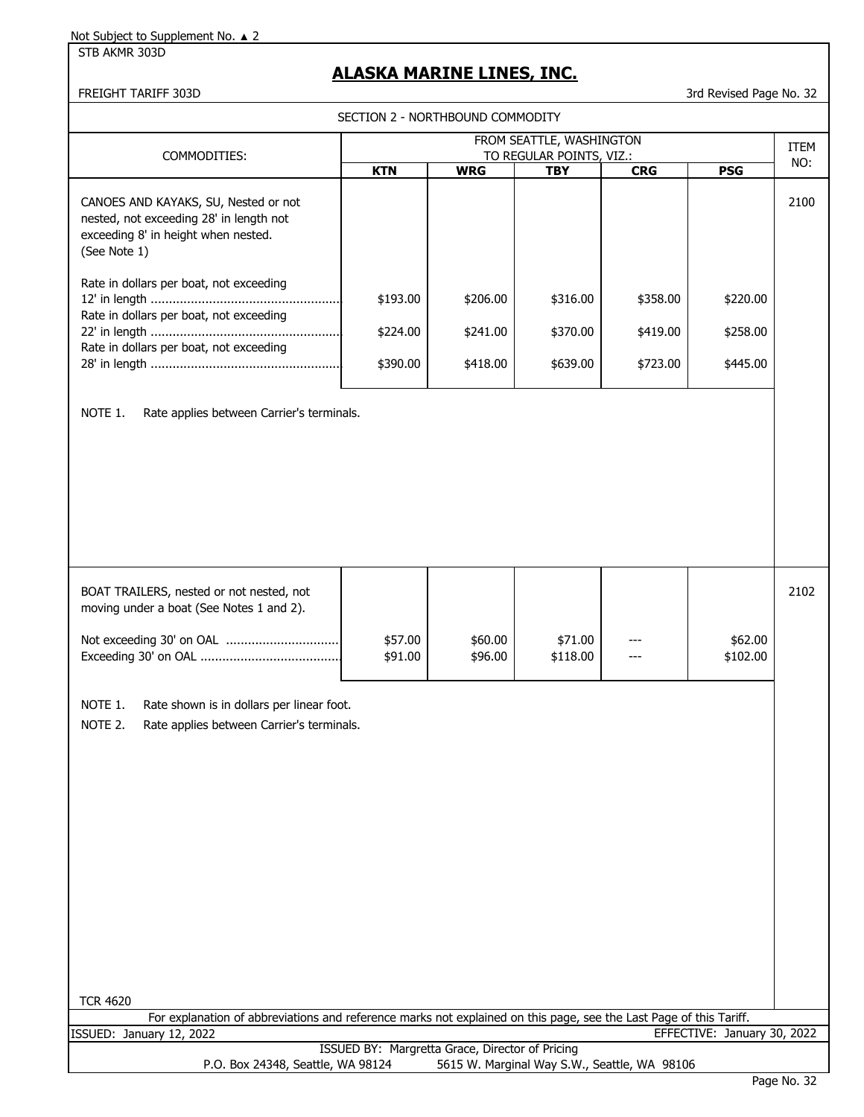STB AKMR 303D

# **ALASKA MARINE LINES, INC.**

FREIGHT TARIFF 303D 3rd Revised Page No. 32

SECTION 2 - NORTHBOUND COMMODITY

|                                                                                                                                                                                                                                                       | FROM SEATTLE, WASHINGTON                        |                    |                          |            |                             |      |  |  |
|-------------------------------------------------------------------------------------------------------------------------------------------------------------------------------------------------------------------------------------------------------|-------------------------------------------------|--------------------|--------------------------|------------|-----------------------------|------|--|--|
| COMMODITIES:                                                                                                                                                                                                                                          |                                                 |                    | TO REGULAR POINTS, VIZ.: |            | <b>ITEM</b><br>NO:          |      |  |  |
|                                                                                                                                                                                                                                                       | <b>KTN</b>                                      | <b>WRG</b>         | <b>TBY</b>               | <b>CRG</b> | <b>PSG</b>                  |      |  |  |
| CANOES AND KAYAKS, SU, Nested or not<br>nested, not exceeding 28' in length not<br>exceeding 8' in height when nested.<br>(See Note 1)                                                                                                                |                                                 |                    |                          |            |                             | 2100 |  |  |
| Rate in dollars per boat, not exceeding<br>Rate in dollars per boat, not exceeding                                                                                                                                                                    | \$193.00                                        | \$206.00           | \$316.00                 | \$358.00   | \$220.00                    |      |  |  |
| Rate in dollars per boat, not exceeding                                                                                                                                                                                                               | \$224.00                                        | \$241.00           | \$370.00                 | \$419.00   | \$258.00                    |      |  |  |
|                                                                                                                                                                                                                                                       | \$390.00                                        | \$418.00           | \$639.00                 | \$723.00   | \$445.00                    |      |  |  |
| BOAT TRAILERS, nested or not nested, not                                                                                                                                                                                                              |                                                 |                    |                          |            |                             | 2102 |  |  |
| moving under a boat (See Notes 1 and 2).<br>Not exceeding 30' on OAL                                                                                                                                                                                  | \$57.00<br>\$91.00                              | \$60.00<br>\$96.00 | \$71.00<br>\$118.00      |            | \$62.00<br>\$102.00         |      |  |  |
| NOTE 1.<br>Rate shown is in dollars per linear foot.<br>NOTE 2.<br>Rate applies between Carrier's terminals.<br><b>TCR 4620</b><br>For explanation of abbreviations and reference marks not explained on this page, see the Last Page of this Tariff. |                                                 |                    |                          |            |                             |      |  |  |
| ISSUED: January 12, 2022                                                                                                                                                                                                                              |                                                 |                    |                          |            | EFFECTIVE: January 30, 2022 |      |  |  |
|                                                                                                                                                                                                                                                       | ISSUED BY: Margretta Grace, Director of Pricing |                    |                          |            |                             |      |  |  |
| P.O. Box 24348, Seattle, WA 98124<br>5615 W. Marginal Way S.W., Seattle, WA 98106                                                                                                                                                                     |                                                 |                    |                          |            |                             |      |  |  |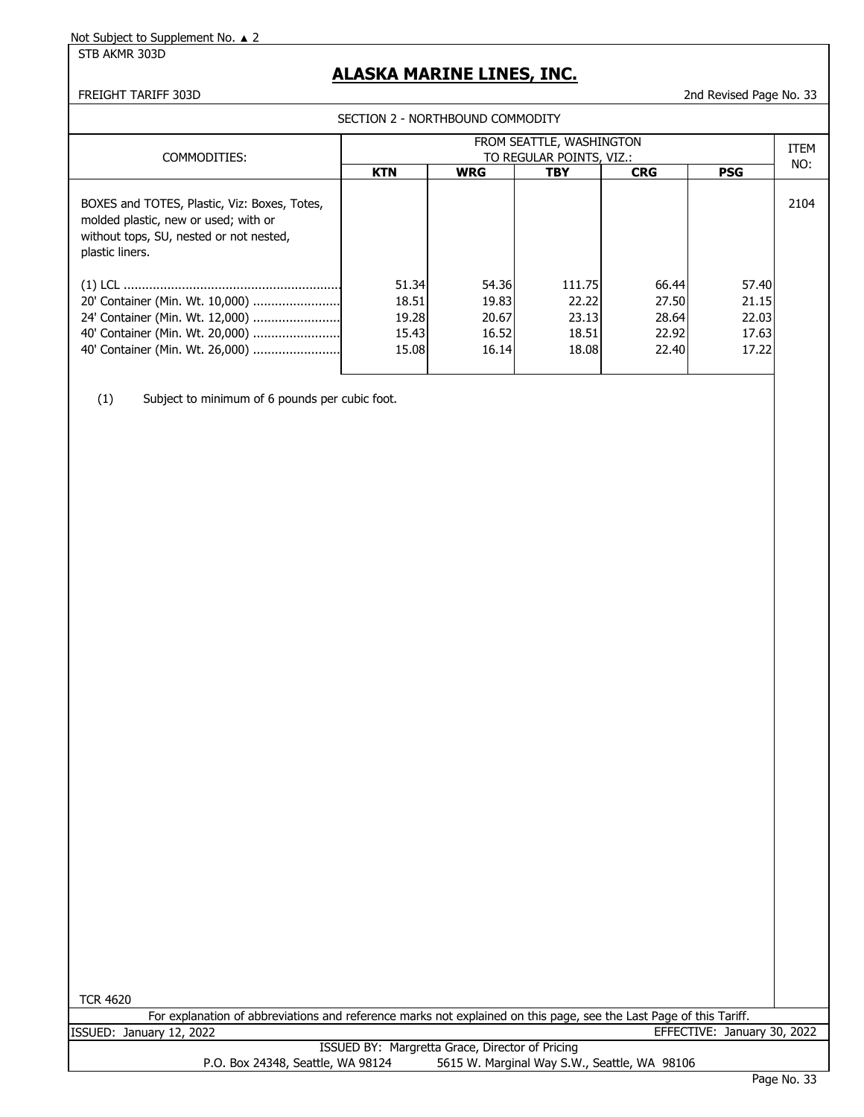STB AKMR 303D

# **ALASKA MARINE LINES, INC.**

#### FREIGHT TARIFF 303D 2nd Revised Page No. 33

SECTION 2 - NORTHBOUND COMMODITY

| COMMODITIES:                                                                                                                                       | FROM SEATTLE, WASHINGTON<br>TO REGULAR POINTS, VIZ.: |            |            |            |            |      |  |
|----------------------------------------------------------------------------------------------------------------------------------------------------|------------------------------------------------------|------------|------------|------------|------------|------|--|
|                                                                                                                                                    | <b>KTN</b>                                           | <b>WRG</b> | <b>TBY</b> | <b>CRG</b> | <b>PSG</b> | NO:  |  |
| BOXES and TOTES, Plastic, Viz: Boxes, Totes,<br>molded plastic, new or used; with or<br>without tops, SU, nested or not nested,<br>plastic liners. |                                                      |            |            |            |            | 2104 |  |
|                                                                                                                                                    | 51.34                                                | 54.36      | 111.75     | 66.44      | 57.40      |      |  |
| 20' Container (Min. Wt. 10,000)                                                                                                                    | 18.51                                                | 19.83      | 22.22      | 27.50      | 21.15      |      |  |
|                                                                                                                                                    | 19.28                                                | 20.67      | 23.13      | 28.64      | 22.03      |      |  |
| 40' Container (Min. Wt. 20,000)                                                                                                                    | 15.43                                                | 16.52      | 18.51      | 22.92      | 17.63      |      |  |
| 40' Container (Min. Wt. 26,000)                                                                                                                    | 15.08                                                | 16.14      | 18.08      | 22.40      | 17.22      |      |  |

(1) Subject to minimum of 6 pounds per cubic foot.

TCR 4620

|         | For explanation of abbreviations and reference marks not explained on this page, see the Last Page of this Tariff. |  |  |  |                             |  |
|---------|--------------------------------------------------------------------------------------------------------------------|--|--|--|-----------------------------|--|
| ISSUED: | January 12, 2022                                                                                                   |  |  |  | EFFECTIVE: January 30, 2022 |  |
|         |                                                                                                                    |  |  |  |                             |  |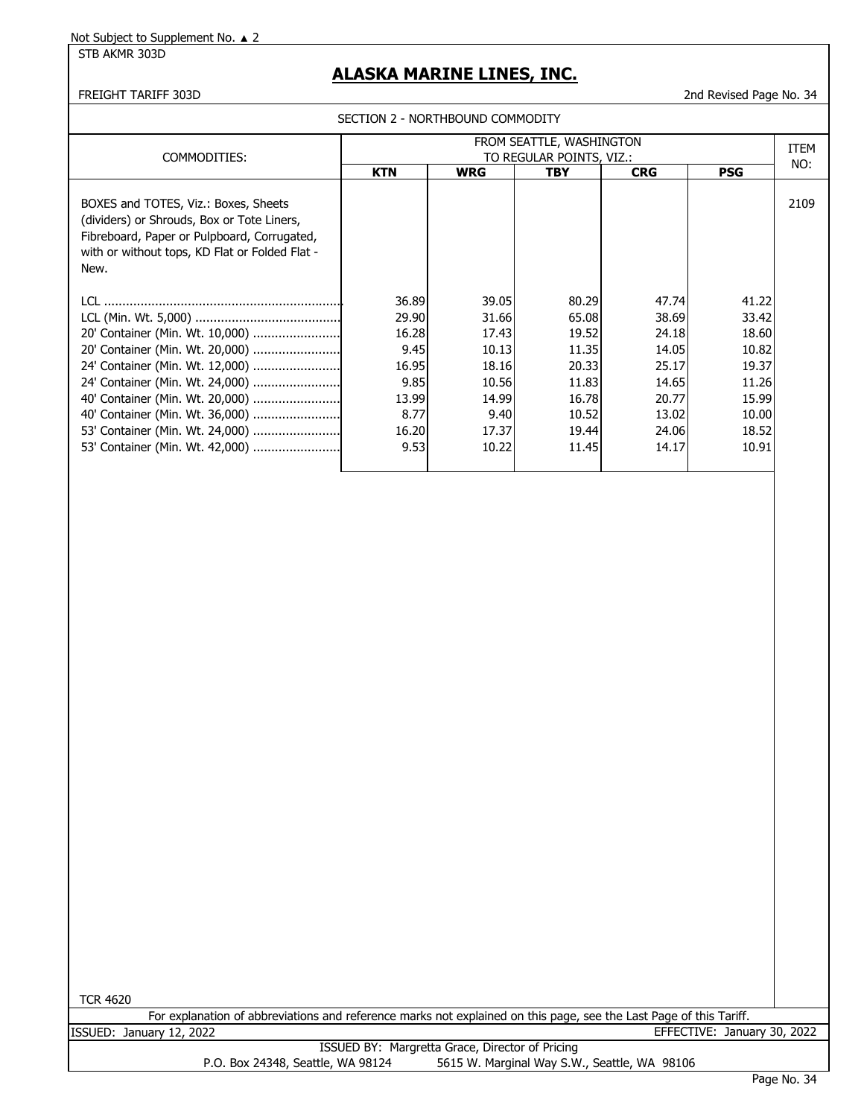STB AKMR 303D

## **ALASKA MARINE LINES, INC.**

### FREIGHT TARIFF 303D 2nd Revised Page No. 34

SECTION 2 - NORTHBOUND COMMODITY

| COMMODITIES:                                                                                                                                                                                | FROM SEATTLE, WASHINGTON<br>TO REGULAR POINTS, VIZ.:                               |                                                                                       |                                                                                        |                                                                                        |                                                                                        |      |
|---------------------------------------------------------------------------------------------------------------------------------------------------------------------------------------------|------------------------------------------------------------------------------------|---------------------------------------------------------------------------------------|----------------------------------------------------------------------------------------|----------------------------------------------------------------------------------------|----------------------------------------------------------------------------------------|------|
|                                                                                                                                                                                             | <b>KTN</b>                                                                         | <b>WRG</b>                                                                            | <b>TBY</b>                                                                             | <b>CRG</b>                                                                             | <b>PSG</b>                                                                             | NO:  |
| BOXES and TOTES, Viz.: Boxes, Sheets<br>(dividers) or Shrouds, Box or Tote Liners,<br>Fibreboard, Paper or Pulpboard, Corrugated,<br>with or without tops, KD Flat or Folded Flat -<br>New. |                                                                                    |                                                                                       |                                                                                        |                                                                                        |                                                                                        | 2109 |
| LCL.<br>24' Container (Min. Wt. 12,000)<br>40' Container (Min. Wt. 36,000)<br>53' Container (Min. Wt. 42,000)                                                                               | 36.89<br>29.90<br>16.28<br>9.45<br>16.95<br>9.85<br>13.99<br>8.77<br>16.20<br>9.53 | 39.05<br>31.66<br>17.43<br>10.13<br>18.16<br>10.56<br>14.99<br>9.40<br>17.37<br>10.22 | 80.29<br>65.08<br>19.52<br>11.35<br>20.33<br>11.83<br>16.78<br>10.52<br>19.44<br>11.45 | 47.74<br>38.69<br>24.18<br>14.05<br>25.17<br>14.65<br>20.77<br>13.02<br>24.06<br>14.17 | 41.22<br>33.42<br>18.60<br>10.82<br>19.37<br>11.26<br>15.99<br>10.00<br>18.52<br>10.91 |      |

TCR 4620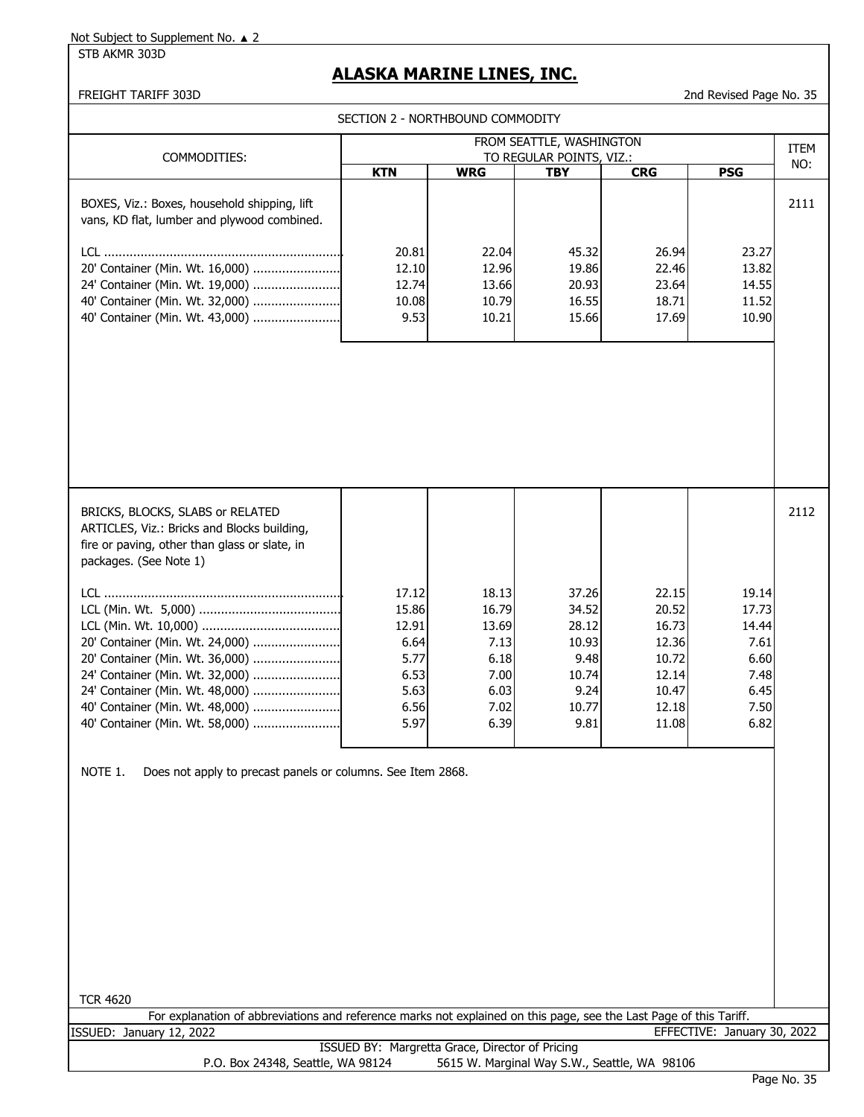STB AKMR 303D

## **ALASKA MARINE LINES, INC.**

#### FREIGHT TARIFF 303D 2nd Revised Page No. 35

SECTION 2 - NORTHBOUND COMMODITY

|                                                                                                                                                                                                                                                                                                                                                                                                                                                                           | FROM SEATTLE, WASHINGTON                                                |                                                                         |                                                                            |                                                                               |                                                                         |                    |  |
|---------------------------------------------------------------------------------------------------------------------------------------------------------------------------------------------------------------------------------------------------------------------------------------------------------------------------------------------------------------------------------------------------------------------------------------------------------------------------|-------------------------------------------------------------------------|-------------------------------------------------------------------------|----------------------------------------------------------------------------|-------------------------------------------------------------------------------|-------------------------------------------------------------------------|--------------------|--|
| COMMODITIES:                                                                                                                                                                                                                                                                                                                                                                                                                                                              | <b>KTN</b>                                                              | <b>WRG</b>                                                              | TO REGULAR POINTS, VIZ.:<br><b>TBY</b>                                     | <b>CRG</b>                                                                    | <b>PSG</b>                                                              | <b>ITEM</b><br>NO: |  |
| BOXES, Viz.: Boxes, household shipping, lift<br>vans, KD flat, lumber and plywood combined.<br>20' Container (Min. Wt. 16,000)<br>24' Container (Min. Wt. 19,000)<br>40' Container (Min. Wt. 32,000)<br>40' Container (Min. Wt. 43,000)                                                                                                                                                                                                                                   | 20.81<br>12.10<br>12.74<br>10.08<br>9.53                                | 22.04<br>12.96<br>13.66<br>10.79<br>10.21                               | 45.32<br>19.86<br>20.93<br>16.55<br>15.66                                  | 26.94<br>22.46<br>23.64<br>18.71<br>17.69                                     | 23.27<br>13.82<br>14.55<br>11.52<br>10.90                               | 2111               |  |
| BRICKS, BLOCKS, SLABS or RELATED<br>ARTICLES, Viz.: Bricks and Blocks building,<br>fire or paving, other than glass or slate, in<br>packages. (See Note 1)<br>20' Container (Min. Wt. 24,000)<br>20' Container (Min. Wt. 36,000)<br>24' Container (Min. Wt. 32,000)<br>24' Container (Min. Wt. 48,000)<br>40' Container (Min. Wt. 48,000)<br>40' Container (Min. Wt. 58,000)<br>NOTE 1.<br>Does not apply to precast panels or columns. See Item 2868.<br><b>TCR 4620</b> | 17.12<br>15.86<br>12.91<br>6.64<br>5.77<br>6.53<br>5.63<br>6.56<br>5.97 | 18.13<br>16.79<br>13.69<br>7.13<br>6.18<br>7.00<br>6.03<br>7.02<br>6.39 | 37.26<br>34.52<br>28.12<br>10.93<br>9.48<br>10.74<br>9.24<br>10.77<br>9.81 | 22.15<br>20.52<br>16.73<br>12.36<br>10.72<br>12.14<br>10.47<br>12.18<br>11.08 | 19.14<br>17.73<br>14.44<br>7.61<br>6.60<br>7.48<br>6.45<br>7.50<br>6.82 | 2112               |  |
| For explanation of abbreviations and reference marks not explained on this page, see the Last Page of this Tariff.                                                                                                                                                                                                                                                                                                                                                        |                                                                         |                                                                         |                                                                            |                                                                               |                                                                         |                    |  |
| ISSUED: January 12, 2022                                                                                                                                                                                                                                                                                                                                                                                                                                                  |                                                                         |                                                                         |                                                                            |                                                                               | EFFECTIVE: January 30, 2022                                             |                    |  |
| P.O. Box 24348, Seattle, WA 98124                                                                                                                                                                                                                                                                                                                                                                                                                                         | ISSUED BY: Margretta Grace, Director of Pricing                         |                                                                         | 5615 W. Marginal Way S.W., Seattle, WA 98106                               |                                                                               |                                                                         |                    |  |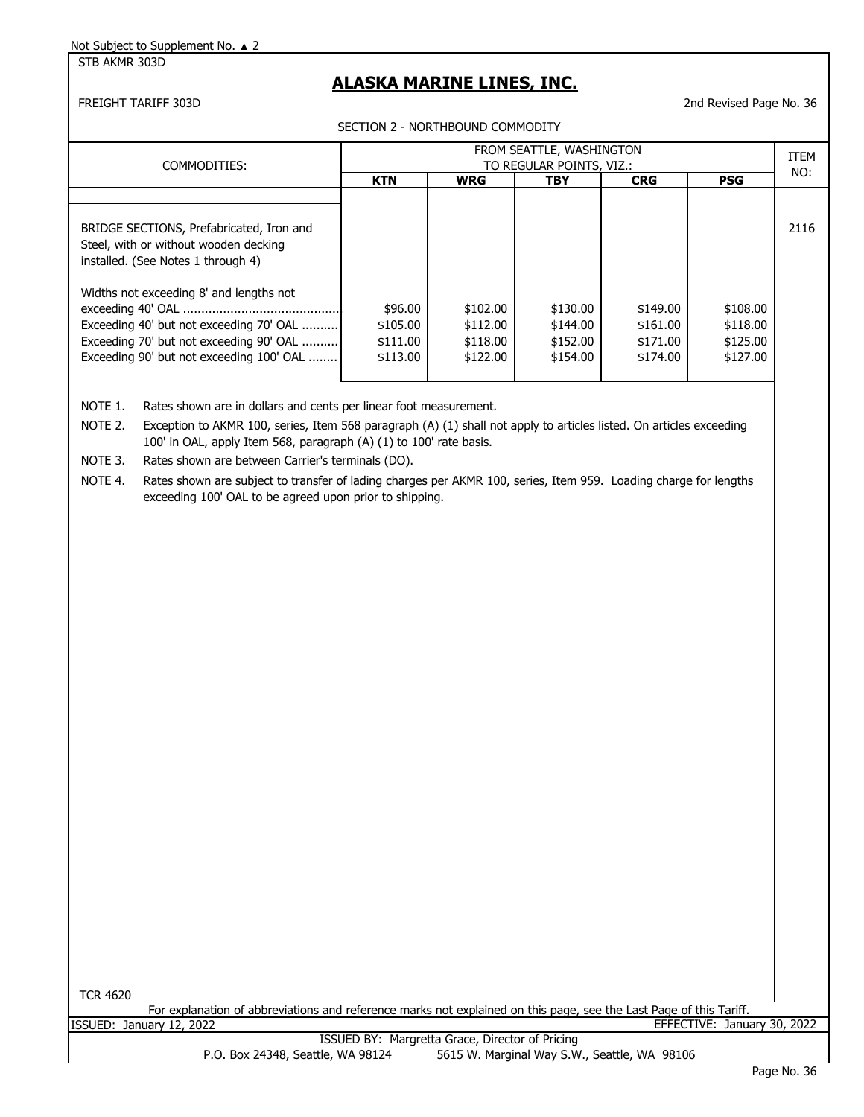STB AKMR 303D

## **ALASKA MARINE LINES, INC.**

#### SECTION 2 - NORTHBOUND COMMODITY

FREIGHT TARIFF 303D 2nd Revised Page No. 36

|                                                                                                                                                                           |                                                      | ו ונשט וויטט שווטטשעווויטו                   |                                              |                                              |                                              |      |  |
|---------------------------------------------------------------------------------------------------------------------------------------------------------------------------|------------------------------------------------------|----------------------------------------------|----------------------------------------------|----------------------------------------------|----------------------------------------------|------|--|
| COMMODITIES:                                                                                                                                                              | FROM SEATTLE, WASHINGTON<br>TO REGULAR POINTS, VIZ.: |                                              |                                              |                                              |                                              |      |  |
|                                                                                                                                                                           | <b>KTN</b>                                           | <b>WRG</b>                                   | <b>TBY</b>                                   | <b>CRG</b>                                   | <b>PSG</b>                                   | NO:  |  |
|                                                                                                                                                                           |                                                      |                                              |                                              |                                              |                                              |      |  |
| BRIDGE SECTIONS, Prefabricated, Iron and<br>Steel, with or without wooden decking<br>installed. (See Notes 1 through 4)                                                   |                                                      |                                              |                                              |                                              |                                              | 2116 |  |
| Widths not exceeding 8' and lengths not<br>Exceeding 40' but not exceeding 70' OAL<br>Exceeding 70' but not exceeding 90' OAL<br>Exceeding 90' but not exceeding 100' OAL | \$96.00<br>\$105.00<br>\$111.00<br>\$113.00          | \$102.00<br>\$112.00<br>\$118.00<br>\$122.00 | \$130.00<br>\$144.00<br>\$152.00<br>\$154.00 | \$149.00<br>\$161.00<br>\$171.00<br>\$174.00 | \$108.00<br>\$118.00<br>\$125.00<br>\$127.00 |      |  |

NOTE 1. Rates shown are in dollars and cents per linear foot measurement.

NOTE 2. Exception to AKMR 100, series, Item 568 paragraph (A) (1) shall not apply to articles listed. On articles exceeding 100' in OAL, apply Item 568, paragraph (A) (1) to 100' rate basis.

NOTE 3. Rates shown are between Carrier's terminals (DO).

NOTE 4. Rates shown are subject to transfer of lading charges per AKMR 100, series, Item 959. Loading charge for lengths exceeding 100' OAL to be agreed upon prior to shipping.

TCR 4620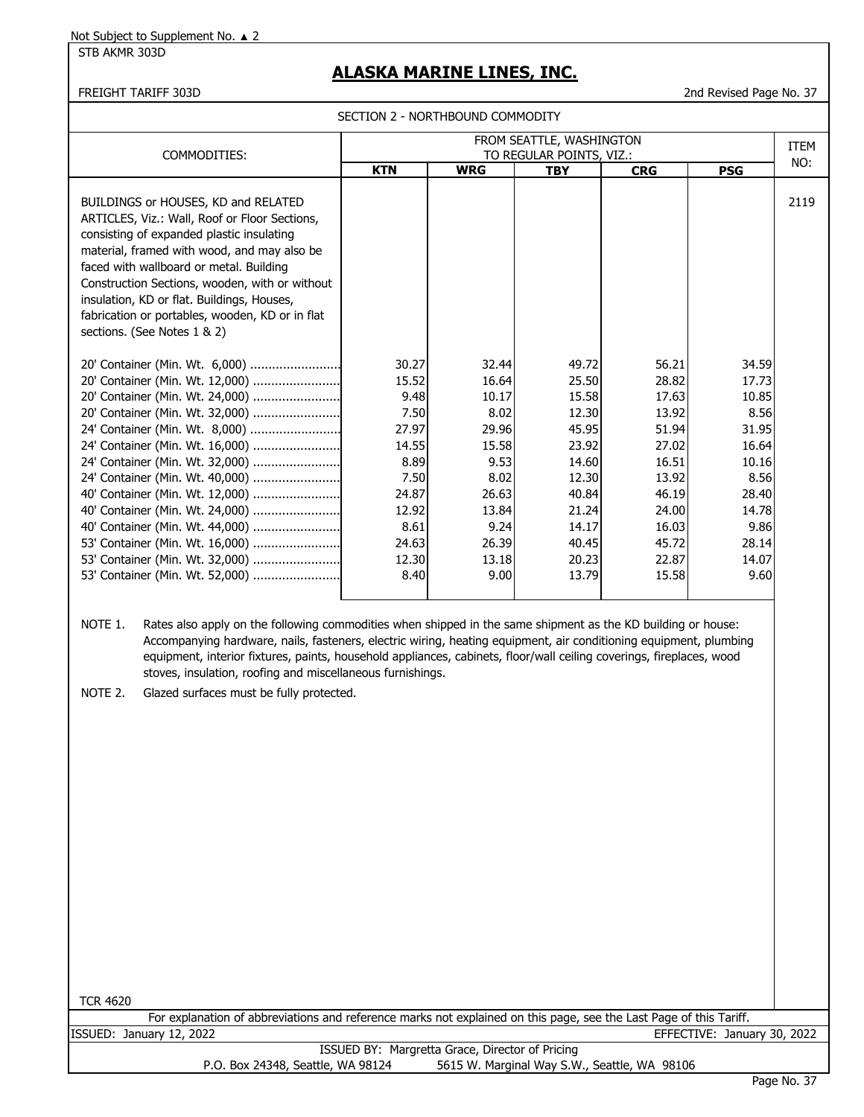STB AKMR 303D

# **ALASKA MARINE LINES, INC.**

FREIGHT TARIFF 303D 2nd Revised Page No. 37

SECTION 2 - NORTHBOUND COMMODITY

| COMMODITIES:                                                                                                                                                                                                                                                                                                                                                                                                                                                                              | FROM SEATTLE, WASHINGTON<br>TO REGULAR POINTS, VIZ.:                                                                 |                                                                                                                       |                                                                                                                            |                                                                                                                            |                                                                                                                        |      |  |
|-------------------------------------------------------------------------------------------------------------------------------------------------------------------------------------------------------------------------------------------------------------------------------------------------------------------------------------------------------------------------------------------------------------------------------------------------------------------------------------------|----------------------------------------------------------------------------------------------------------------------|-----------------------------------------------------------------------------------------------------------------------|----------------------------------------------------------------------------------------------------------------------------|----------------------------------------------------------------------------------------------------------------------------|------------------------------------------------------------------------------------------------------------------------|------|--|
|                                                                                                                                                                                                                                                                                                                                                                                                                                                                                           | <b>KTN</b>                                                                                                           | <b>WRG</b>                                                                                                            | <b>TBY</b>                                                                                                                 | <b>CRG</b>                                                                                                                 | <b>PSG</b>                                                                                                             | NO:  |  |
| BUILDINGS or HOUSES, KD and RELATED<br>ARTICLES, Viz.: Wall, Roof or Floor Sections,<br>consisting of expanded plastic insulating<br>material, framed with wood, and may also be<br>faced with wallboard or metal. Building<br>Construction Sections, wooden, with or without<br>insulation, KD or flat. Buildings, Houses,<br>fabrication or portables, wooden, KD or in flat<br>sections. (See Notes 1 & 2)                                                                             |                                                                                                                      |                                                                                                                       |                                                                                                                            |                                                                                                                            |                                                                                                                        | 2119 |  |
| 20' Container (Min. Wt. 6,000)<br>20' Container (Min. Wt. 12,000)<br>20' Container (Min. Wt. 24,000)<br>24' Container (Min. Wt. 8,000)<br>24' Container (Min. Wt. 16,000)<br>24' Container (Min. Wt. 32,000)<br>24' Container (Min. Wt. 40,000)<br>40' Container (Min. Wt. 12,000)<br>40' Container (Min. Wt. 24,000)<br>40' Container (Min. Wt. 44,000)<br>53' Container (Min. Wt. 16,000)<br>53' Container (Min. Wt. 52,000)                                                            | 30.27<br>15.52<br>9.48<br>7.50<br>27.97<br>14.55<br>8.89<br>7.50<br>24.87<br>12.92<br>8.61<br>24.63<br>12.30<br>8.40 | 32.44<br>16.64<br>10.17<br>8.02<br>29.96<br>15.58<br>9.53<br>8.02<br>26.63<br>13.84<br>9.24<br>26.39<br>13.18<br>9.00 | 49.72<br>25.50<br>15.58<br>12.30<br>45.95<br>23.92<br>14.60<br>12.30<br>40.84<br>21.24<br>14.17<br>40.45<br>20.23<br>13.79 | 56.21<br>28.82<br>17.63<br>13.92<br>51.94<br>27.02<br>16.51<br>13.92<br>46.19<br>24.00<br>16.03<br>45.72<br>22.87<br>15.58 | 34.59<br>17.73<br>10.85<br>8.56<br>31.95<br>16.64<br>10.16<br>8.56<br>28.40<br>14.78<br>9.86<br>28.14<br>14.07<br>9.60 |      |  |
| NOTE 1.<br>Rates also apply on the following commodities when shipped in the same shipment as the KD building or house:<br>Accompanying hardware, nails, fasteners, electric wiring, heating equipment, air conditioning equipment, plumbing<br>equipment, interior fixtures, paints, household appliances, cabinets, floor/wall ceiling coverings, fireplaces, wood<br>stoves, insulation, roofing and miscellaneous furnishings.<br>NOTE 2.<br>Glazed surfaces must be fully protected. |                                                                                                                      |                                                                                                                       |                                                                                                                            |                                                                                                                            |                                                                                                                        |      |  |

TCR 4620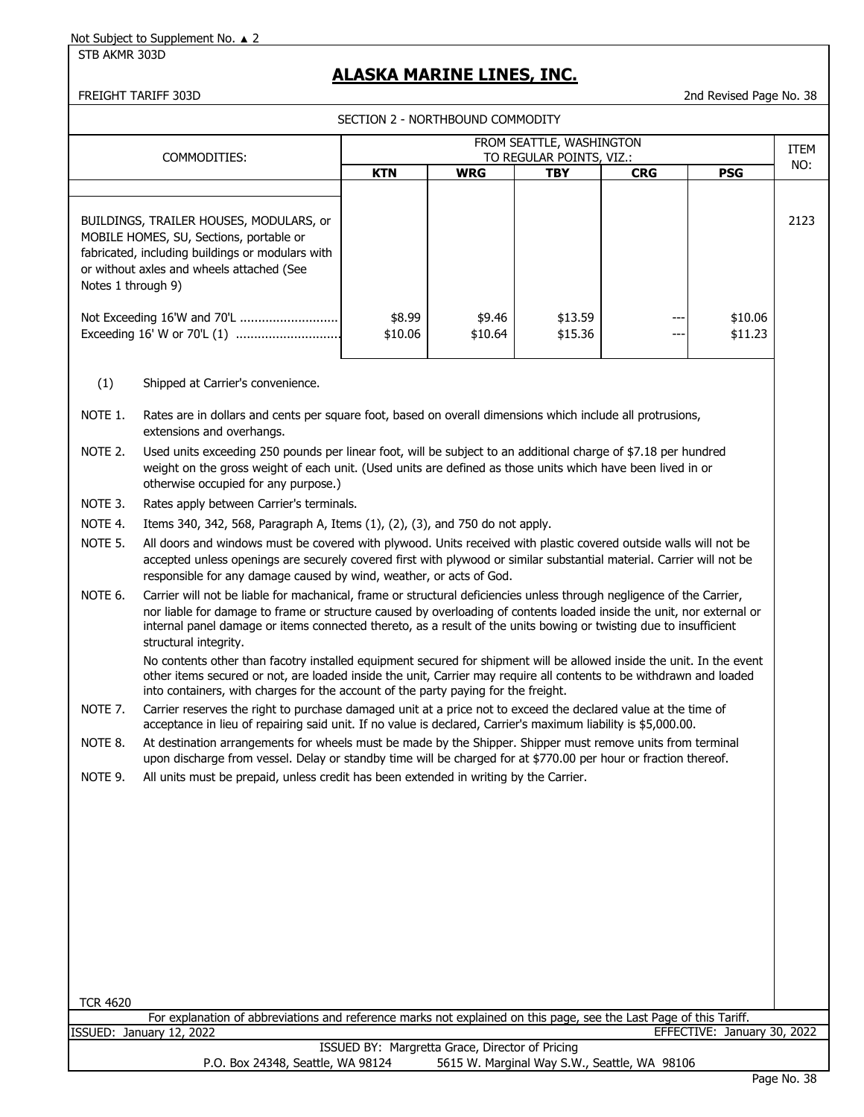STB AKMR 303D

## **ALASKA MARINE LINES, INC.**

FREIGHT TARIFF 303D 2nd Revised Page No. 38

|                    |                                                                                                                                                                                                                                                                                                                                                                                              | SECTION 2 - NORTHBOUND COMMODITY |                   |                                                      |            |                    |      |  |  |  |
|--------------------|----------------------------------------------------------------------------------------------------------------------------------------------------------------------------------------------------------------------------------------------------------------------------------------------------------------------------------------------------------------------------------------------|----------------------------------|-------------------|------------------------------------------------------|------------|--------------------|------|--|--|--|
|                    | COMMODITIES:                                                                                                                                                                                                                                                                                                                                                                                 |                                  |                   | FROM SEATTLE, WASHINGTON<br>TO REGULAR POINTS, VIZ.: |            |                    | ITEM |  |  |  |
|                    |                                                                                                                                                                                                                                                                                                                                                                                              | <b>KTN</b>                       | <b>WRG</b>        | <b>TBY</b>                                           | <b>CRG</b> | <b>PSG</b>         | NO:  |  |  |  |
| Notes 1 through 9) | BUILDINGS, TRAILER HOUSES, MODULARS, or<br>MOBILE HOMES, SU, Sections, portable or<br>fabricated, including buildings or modulars with<br>or without axles and wheels attached (See<br>Not Exceeding 16'W and 70'L<br>Exceeding 16' W or 70'L (1)                                                                                                                                            | \$8.99<br>\$10.06                | \$9.46<br>\$10.64 | \$13.59<br>\$15.36                                   |            | \$10.06<br>\$11.23 | 2123 |  |  |  |
| (1)                | Shipped at Carrier's convenience.                                                                                                                                                                                                                                                                                                                                                            |                                  |                   |                                                      |            |                    |      |  |  |  |
| NOTE 1.            | Rates are in dollars and cents per square foot, based on overall dimensions which include all protrusions,<br>extensions and overhangs.                                                                                                                                                                                                                                                      |                                  |                   |                                                      |            |                    |      |  |  |  |
| NOTE 2.            | Used units exceeding 250 pounds per linear foot, will be subject to an additional charge of \$7.18 per hundred<br>weight on the gross weight of each unit. (Used units are defined as those units which have been lived in or<br>otherwise occupied for any purpose.)                                                                                                                        |                                  |                   |                                                      |            |                    |      |  |  |  |
| NOTE 3.            | Rates apply between Carrier's terminals.                                                                                                                                                                                                                                                                                                                                                     |                                  |                   |                                                      |            |                    |      |  |  |  |
| NOTE 4.            | Items 340, 342, 568, Paragraph A, Items (1), (2), (3), and 750 do not apply.                                                                                                                                                                                                                                                                                                                 |                                  |                   |                                                      |            |                    |      |  |  |  |
| NOTE 5.            | All doors and windows must be covered with plywood. Units received with plastic covered outside walls will not be<br>accepted unless openings are securely covered first with plywood or similar substantial material. Carrier will not be<br>responsible for any damage caused by wind, weather, or acts of God.                                                                            |                                  |                   |                                                      |            |                    |      |  |  |  |
| NOTE 6.            | Carrier will not be liable for machanical, frame or structural deficiencies unless through negligence of the Carrier,<br>nor liable for damage to frame or structure caused by overloading of contents loaded inside the unit, nor external or<br>internal panel damage or items connected thereto, as a result of the units bowing or twisting due to insufficient<br>structural integrity. |                                  |                   |                                                      |            |                    |      |  |  |  |
|                    | No contents other than facotry installed equipment secured for shipment will be allowed inside the unit. In the event<br>other items secured or not, are loaded inside the unit, Carrier may require all contents to be withdrawn and loaded<br>into containers, with charges for the account of the party paying for the freight.                                                           |                                  |                   |                                                      |            |                    |      |  |  |  |
| NOTE 7.            | Carrier reserves the right to purchase damaged unit at a price not to exceed the declared value at the time of<br>acceptance in lieu of repairing said unit. If no value is declared, Carrier's maximum liability is \$5,000.00.                                                                                                                                                             |                                  |                   |                                                      |            |                    |      |  |  |  |
| NOTE 8.            | At destination arrangements for wheels must be made by the Shipper. Shipper must remove units from terminal<br>upon discharge from vessel. Delay or standby time will be charged for at \$770.00 per hour or fraction thereof.                                                                                                                                                               |                                  |                   |                                                      |            |                    |      |  |  |  |
| NOTE 9.            | All units must be prepaid, unless credit has been extended in writing by the Carrier.                                                                                                                                                                                                                                                                                                        |                                  |                   |                                                      |            |                    |      |  |  |  |
|                    |                                                                                                                                                                                                                                                                                                                                                                                              |                                  |                   |                                                      |            |                    |      |  |  |  |
|                    |                                                                                                                                                                                                                                                                                                                                                                                              |                                  |                   |                                                      |            |                    |      |  |  |  |
|                    |                                                                                                                                                                                                                                                                                                                                                                                              |                                  |                   |                                                      |            |                    |      |  |  |  |
|                    |                                                                                                                                                                                                                                                                                                                                                                                              |                                  |                   |                                                      |            |                    |      |  |  |  |
|                    |                                                                                                                                                                                                                                                                                                                                                                                              |                                  |                   |                                                      |            |                    |      |  |  |  |
|                    |                                                                                                                                                                                                                                                                                                                                                                                              |                                  |                   |                                                      |            |                    |      |  |  |  |
|                    |                                                                                                                                                                                                                                                                                                                                                                                              |                                  |                   |                                                      |            |                    |      |  |  |  |

TCR 4620 For explanation of abbreviations and reference marks not explained on this page, see the Last Page of this Tariff.<br>EFFECTIVE: January 12, 2022 EFFECTIVE: January 30, 2022

ISSUED BY: Margretta Grace, Director of Pricing<br>P.O. Box 24348, Seattle, WA 98124 5615 W. Marginal Way S.W 5615 W. Marginal Way S.W., Seattle, WA 98106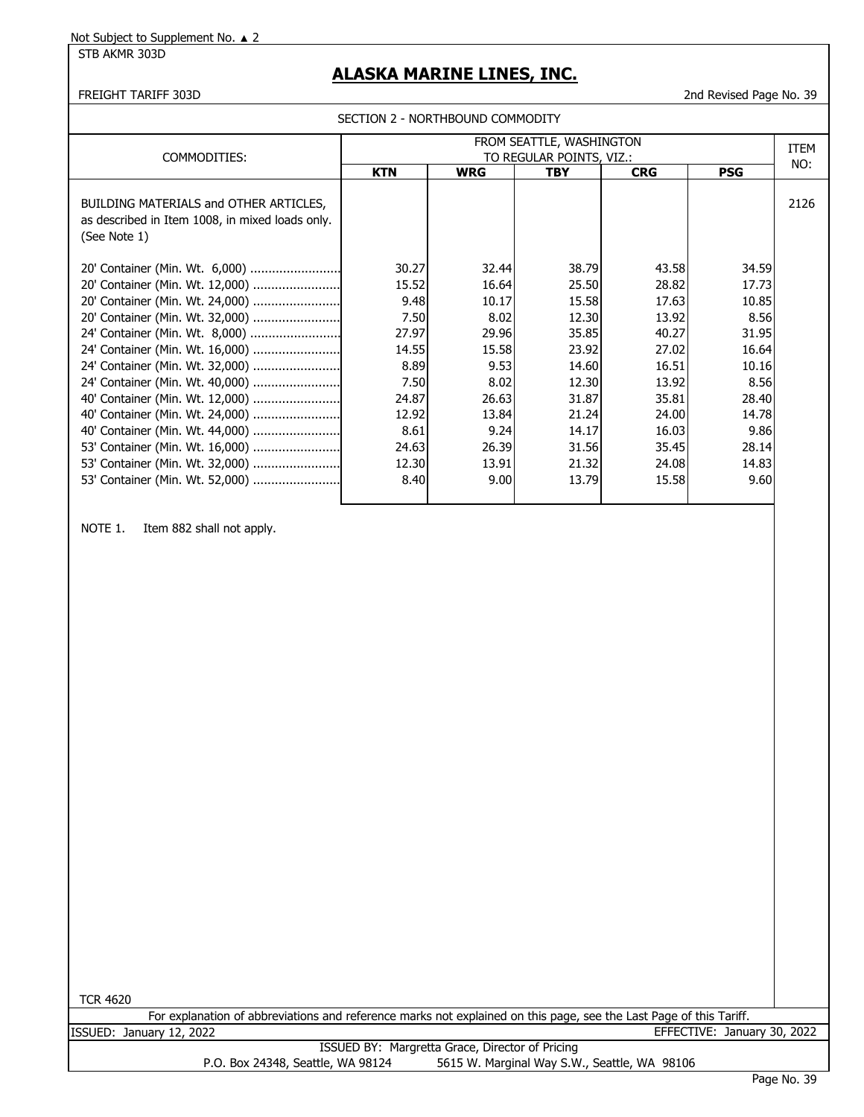STB AKMR 303D

## **ALASKA MARINE LINES, INC.**

FREIGHT TARIFF 303D 2nd Revised Page No. 39

SECTION 2 - NORTHBOUND COMMODITY

| COMMODITIES:                                                                                              | FROM SEATTLE, WASHINGTON<br>TO REGULAR POINTS, VIZ.: |            |            |            |            |      |
|-----------------------------------------------------------------------------------------------------------|------------------------------------------------------|------------|------------|------------|------------|------|
|                                                                                                           | <b>KTN</b>                                           | <b>WRG</b> | <b>TBY</b> | <b>CRG</b> | <b>PSG</b> | NO:  |
| BUILDING MATERIALS and OTHER ARTICLES,<br>as described in Item 1008, in mixed loads only.<br>(See Note 1) |                                                      |            |            |            |            | 2126 |
| 20' Container (Min. Wt. 6,000)                                                                            | 30.27                                                | 32.44      | 38.79      | 43.58      | 34.59      |      |
| 20' Container (Min. Wt. 12,000)                                                                           | 15.52                                                | 16.64      | 25.50      | 28.82      | 17.73      |      |
| 20' Container (Min. Wt. 24,000)                                                                           | 9.48                                                 | 10.17      | 15.58      | 17.63      | 10.85      |      |
| 20' Container (Min. Wt. 32,000)                                                                           | 7.50                                                 | 8.02       | 12.30      | 13.92      | 8.56       |      |
| 24' Container (Min. Wt. 8,000)                                                                            | 27.97                                                | 29.96      | 35.85      | 40.27      | 31.95      |      |
| 24' Container (Min. Wt. 16,000)                                                                           | 14.55                                                | 15.58      | 23.92      | 27.02      | 16.64      |      |
| 24' Container (Min. Wt. 32,000)                                                                           | 8.89                                                 | 9.53       | 14.60      | 16.51      | 10.16      |      |
| 24' Container (Min. Wt. 40,000)                                                                           | 7.50                                                 | 8.02       | 12.30      | 13.92      | 8.56       |      |
| 40' Container (Min. Wt. 12,000)                                                                           | 24.87                                                | 26.63      | 31.87      | 35.81      | 28.40      |      |
| 40' Container (Min. Wt. 24,000)                                                                           | 12.92                                                | 13.84      | 21.24      | 24.00      | 14.78      |      |
| 40' Container (Min. Wt. 44,000)                                                                           | 8.61                                                 | 9.24       | 14.17      | 16.03      | 9.86       |      |
| 53' Container (Min. Wt. 16,000)                                                                           | 24.63                                                | 26.39      | 31.56      | 35.45      | 28.14      |      |
| 53' Container (Min. Wt. 32,000)                                                                           | 12.30                                                | 13.91      | 21.32      | 24.08      | 14.83      |      |
| 53' Container (Min. Wt. 52,000)                                                                           | 8.40                                                 | 9.00       | 13.79      | 15.58      | 9.60       |      |

NOTE 1. Item 882 shall not apply.

TCR 4620

|         | For explanation of abbreviations and reference marks not explained on this page, see the Last Page of this Tariff. |  |  |  |                             |  |
|---------|--------------------------------------------------------------------------------------------------------------------|--|--|--|-----------------------------|--|
| ISSUED: | January 12, 2022                                                                                                   |  |  |  | EFFECTIVE: January 30, 2022 |  |
|         |                                                                                                                    |  |  |  |                             |  |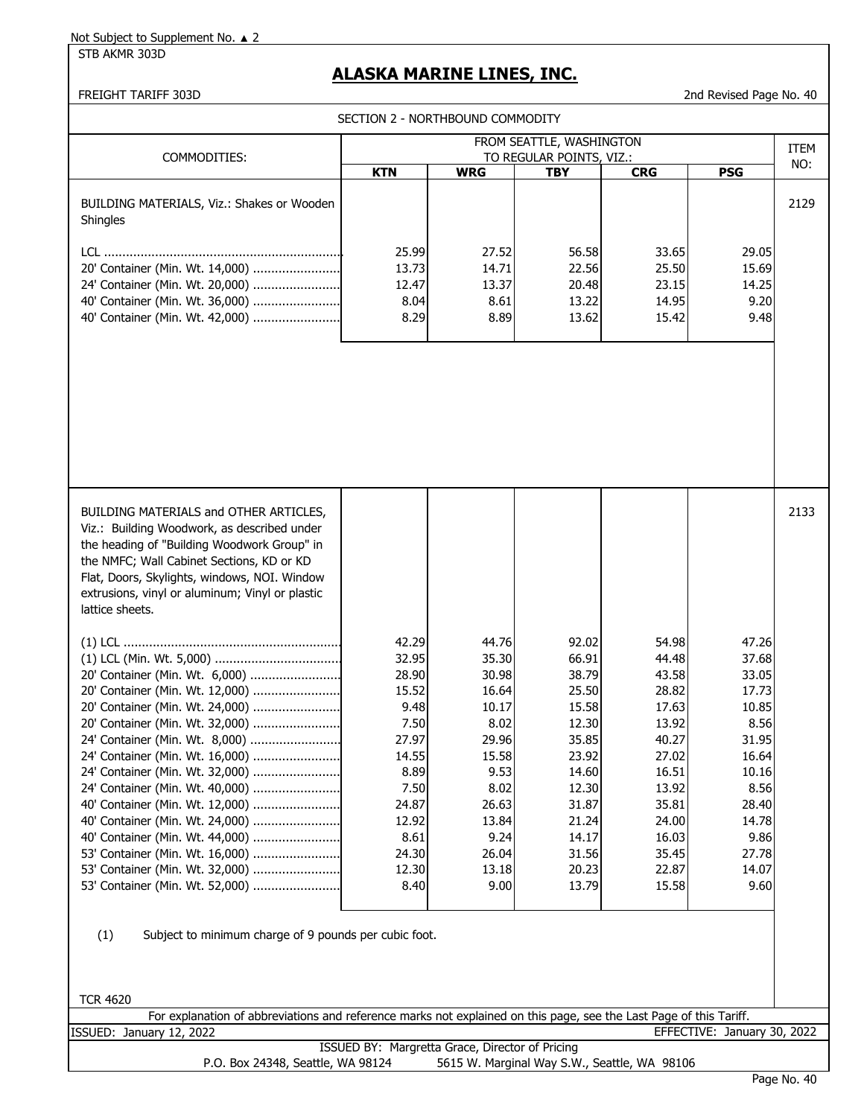STB AKMR 303D

## **ALASKA MARINE LINES, INC.**

#### FREIGHT TARIFF 303D 2nd Revised Page No. 40

SECTION 2 - NORTHROUND COMMODITY

| SECTION 2 - NORTHBOUND COMMODITY                                                                                   |                                                 |                |                                        |                |                             |             |  |  |
|--------------------------------------------------------------------------------------------------------------------|-------------------------------------------------|----------------|----------------------------------------|----------------|-----------------------------|-------------|--|--|
|                                                                                                                    |                                                 |                | FROM SEATTLE, WASHINGTON               |                |                             | <b>ITEM</b> |  |  |
| COMMODITIES:                                                                                                       | <b>KTN</b>                                      | <b>WRG</b>     | TO REGULAR POINTS, VIZ.:<br><b>TBY</b> | <b>CRG</b>     | <b>PSG</b>                  | NO:         |  |  |
|                                                                                                                    |                                                 |                |                                        |                |                             |             |  |  |
| BUILDING MATERIALS, Viz.: Shakes or Wooden                                                                         |                                                 |                |                                        |                |                             | 2129        |  |  |
| Shingles                                                                                                           |                                                 |                |                                        |                |                             |             |  |  |
|                                                                                                                    |                                                 |                |                                        |                |                             |             |  |  |
|                                                                                                                    | 25.99                                           | 27.52          | 56.58                                  | 33.65          | 29.05                       |             |  |  |
| 20' Container (Min. Wt. 14,000)                                                                                    | 13.73<br>12.47                                  | 14.71<br>13.37 | 22.56<br>20.48                         | 25.50<br>23.15 | 15.69<br>14.25              |             |  |  |
| 24' Container (Min. Wt. 20,000)<br>40' Container (Min. Wt. 36,000)                                                 | 8.04                                            | 8.61           | 13.22                                  | 14.95          | 9.20                        |             |  |  |
| 40' Container (Min. Wt. 42,000)                                                                                    | 8.29                                            | 8.89           | 13.62                                  | 15.42          | 9.48                        |             |  |  |
|                                                                                                                    |                                                 |                |                                        |                |                             |             |  |  |
|                                                                                                                    |                                                 |                |                                        |                |                             |             |  |  |
|                                                                                                                    |                                                 |                |                                        |                |                             |             |  |  |
|                                                                                                                    |                                                 |                |                                        |                |                             |             |  |  |
|                                                                                                                    |                                                 |                |                                        |                |                             |             |  |  |
|                                                                                                                    |                                                 |                |                                        |                |                             |             |  |  |
|                                                                                                                    |                                                 |                |                                        |                |                             |             |  |  |
|                                                                                                                    |                                                 |                |                                        |                |                             |             |  |  |
|                                                                                                                    |                                                 |                |                                        |                |                             |             |  |  |
|                                                                                                                    |                                                 |                |                                        |                |                             |             |  |  |
|                                                                                                                    |                                                 |                |                                        |                |                             |             |  |  |
| BUILDING MATERIALS and OTHER ARTICLES,                                                                             |                                                 |                |                                        |                |                             | 2133        |  |  |
| Viz.: Building Woodwork, as described under                                                                        |                                                 |                |                                        |                |                             |             |  |  |
| the heading of "Building Woodwork Group" in                                                                        |                                                 |                |                                        |                |                             |             |  |  |
| the NMFC; Wall Cabinet Sections, KD or KD                                                                          |                                                 |                |                                        |                |                             |             |  |  |
| Flat, Doors, Skylights, windows, NOI. Window                                                                       |                                                 |                |                                        |                |                             |             |  |  |
| extrusions, vinyl or aluminum; Vinyl or plastic                                                                    |                                                 |                |                                        |                |                             |             |  |  |
| lattice sheets.                                                                                                    |                                                 |                |                                        |                |                             |             |  |  |
|                                                                                                                    |                                                 |                |                                        |                |                             |             |  |  |
|                                                                                                                    | 42.29                                           | 44.76          | 92.02                                  | 54.98          | 47.26                       |             |  |  |
|                                                                                                                    | 32.95                                           | 35.30          | 66.91                                  | 44.48          | 37.68                       |             |  |  |
| 20' Container (Min. Wt. 6,000)                                                                                     | 28.90                                           | 30.98          | 38.79                                  | 43.58          | 33.05                       |             |  |  |
| 20' Container (Min. Wt. 12,000)                                                                                    | 15.52                                           | 16.64          | 25.50                                  | 28.82          | 17.73                       |             |  |  |
| 20' Container (Min. Wt. 24,000)                                                                                    | 9.48                                            | 10.17          | 15.58                                  | 17.63          | 10.85                       |             |  |  |
| 20' Container (Min. Wt. 32,000)                                                                                    | 7.50                                            | 8.02           | 12.30                                  | 13.92          | 8.56                        |             |  |  |
| 24' Container (Min. Wt. 8,000)                                                                                     | 27.97                                           | 29.96          | 35.85                                  | 40.27          | 31.95                       |             |  |  |
| 24' Container (Min. Wt. 16,000)                                                                                    | 14.55                                           | 15.58          | 23.92                                  | 27.02          | 16.64                       |             |  |  |
| 24' Container (Min. Wt. 32,000)                                                                                    | 8.89                                            | 9.53           | 14.60                                  | 16.51          | 10.16                       |             |  |  |
| 24' Container (Min. Wt. 40,000)                                                                                    | 7.50                                            | 8.02           | 12.30                                  | 13.92          | 8.56                        |             |  |  |
| 40' Container (Min. Wt. 12,000)<br>40' Container (Min. Wt. 24,000)                                                 | 24.87<br>12.92                                  | 26.63<br>13.84 | 31.87<br>21.24                         | 35.81<br>24.00 | 28.40<br>14.78              |             |  |  |
| 40' Container (Min. Wt. 44,000)                                                                                    | 8.61                                            | 9.24           | 14.17                                  | 16.03          | 9.86                        |             |  |  |
| 53' Container (Min. Wt. 16,000)                                                                                    | 24.30                                           | 26.04          | 31.56                                  | 35.45          | 27.78                       |             |  |  |
| 53' Container (Min. Wt. 32,000)                                                                                    | 12.30                                           | 13.18          | 20.23                                  | 22.87          | 14.07                       |             |  |  |
| 53' Container (Min. Wt. 52,000)                                                                                    | 8.40                                            | 9.00           | 13.79                                  | 15.58          | 9.60                        |             |  |  |
|                                                                                                                    |                                                 |                |                                        |                |                             |             |  |  |
|                                                                                                                    |                                                 |                |                                        |                |                             |             |  |  |
| (1)<br>Subject to minimum charge of 9 pounds per cubic foot.                                                       |                                                 |                |                                        |                |                             |             |  |  |
|                                                                                                                    |                                                 |                |                                        |                |                             |             |  |  |
|                                                                                                                    |                                                 |                |                                        |                |                             |             |  |  |
|                                                                                                                    |                                                 |                |                                        |                |                             |             |  |  |
| <b>TCR 4620</b>                                                                                                    |                                                 |                |                                        |                |                             |             |  |  |
| For explanation of abbreviations and reference marks not explained on this page, see the Last Page of this Tariff. |                                                 |                |                                        |                |                             |             |  |  |
| ISSUED: January 12, 2022                                                                                           |                                                 |                |                                        |                | EFFECTIVE: January 30, 2022 |             |  |  |
|                                                                                                                    | ISSUED BY: Margretta Grace, Director of Pricing |                |                                        |                |                             |             |  |  |

P.O. Box 24348, Seattle, WA 98124 5615 W. Marginal Way S.W., Seattle, WA 98106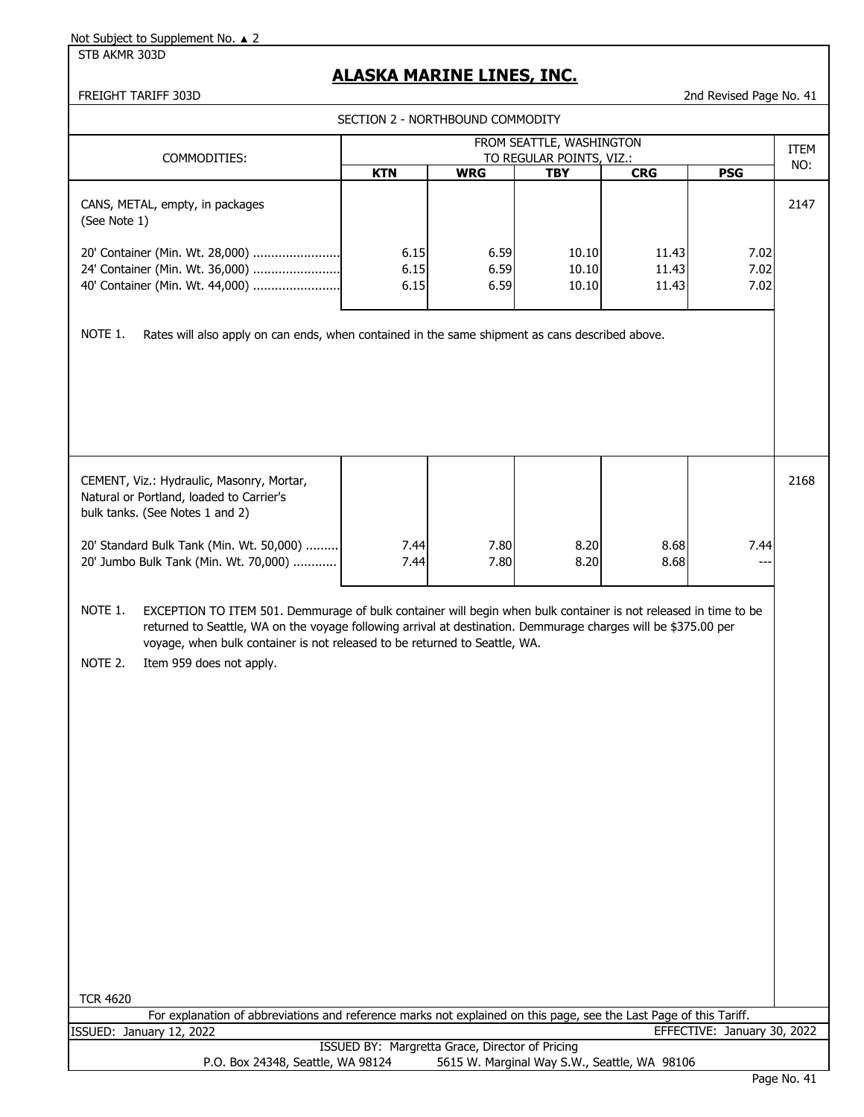STB AKMR 303D

## **ALASKA MARINE LINES, INC.**

|                                                                                                                                                                                                                                                                                                                                                                   | SECTION 2 - NORTHBOUND COMMODITY |                      |                                                      |                         |                             |      |
|-------------------------------------------------------------------------------------------------------------------------------------------------------------------------------------------------------------------------------------------------------------------------------------------------------------------------------------------------------------------|----------------------------------|----------------------|------------------------------------------------------|-------------------------|-----------------------------|------|
| COMMODITIES:                                                                                                                                                                                                                                                                                                                                                      |                                  |                      | FROM SEATTLE, WASHINGTON<br>TO REGULAR POINTS, VIZ.: |                         |                             | ITEM |
|                                                                                                                                                                                                                                                                                                                                                                   | <b>KTN</b>                       | <b>WRG</b>           | <b>TBY</b>                                           | <b>CRG</b>              | <b>PSG</b>                  | NO:  |
| CANS, METAL, empty, in packages<br>(See Note 1)<br>20' Container (Min. Wt. 28,000)<br>24' Container (Min. Wt. 36,000)<br>40' Container (Min. Wt. 44,000)                                                                                                                                                                                                          | 6.15<br>6.15<br>6.15             | 6.59<br>6.59<br>6.59 | 10.10<br>10.10<br>10.10                              | 11.43<br>11.43<br>11.43 | 7.02<br>7.02<br>7.02        | 2147 |
|                                                                                                                                                                                                                                                                                                                                                                   |                                  |                      |                                                      |                         |                             |      |
| NOTE 1.<br>Rates will also apply on can ends, when contained in the same shipment as cans described above.                                                                                                                                                                                                                                                        |                                  |                      |                                                      |                         |                             |      |
| CEMENT, Viz.: Hydraulic, Masonry, Mortar,<br>Natural or Portland, loaded to Carrier's<br>bulk tanks. (See Notes 1 and 2)                                                                                                                                                                                                                                          |                                  |                      |                                                      |                         |                             | 2168 |
| 20' Standard Bulk Tank (Min. Wt. 50,000)<br>20' Jumbo Bulk Tank (Min. Wt. 70,000)                                                                                                                                                                                                                                                                                 | 7.44<br>7.44                     | 7.80<br>7.80         | 8.20<br>8.20                                         | 8.68<br>8.68            | 7.44                        |      |
| NOTE 1.<br>EXCEPTION TO ITEM 501. Demmurage of bulk container will begin when bulk container is not released in time to be<br>returned to Seattle, WA on the voyage following arrival at destination. Demmurage charges will be \$375.00 per<br>voyage, when bulk container is not released to be returned to Seattle, WA.<br>NOTE 2.<br>Item 959 does not apply. |                                  |                      |                                                      |                         |                             |      |
| <b>TCR 4620</b><br>For explanation of abbreviations and reference marks not explained on this page, see the Last Page of this Tariff.                                                                                                                                                                                                                             |                                  |                      |                                                      |                         |                             |      |
| ISSUED: January 12, 2022                                                                                                                                                                                                                                                                                                                                          |                                  |                      |                                                      |                         | EFFECTIVE: January 30, 2022 |      |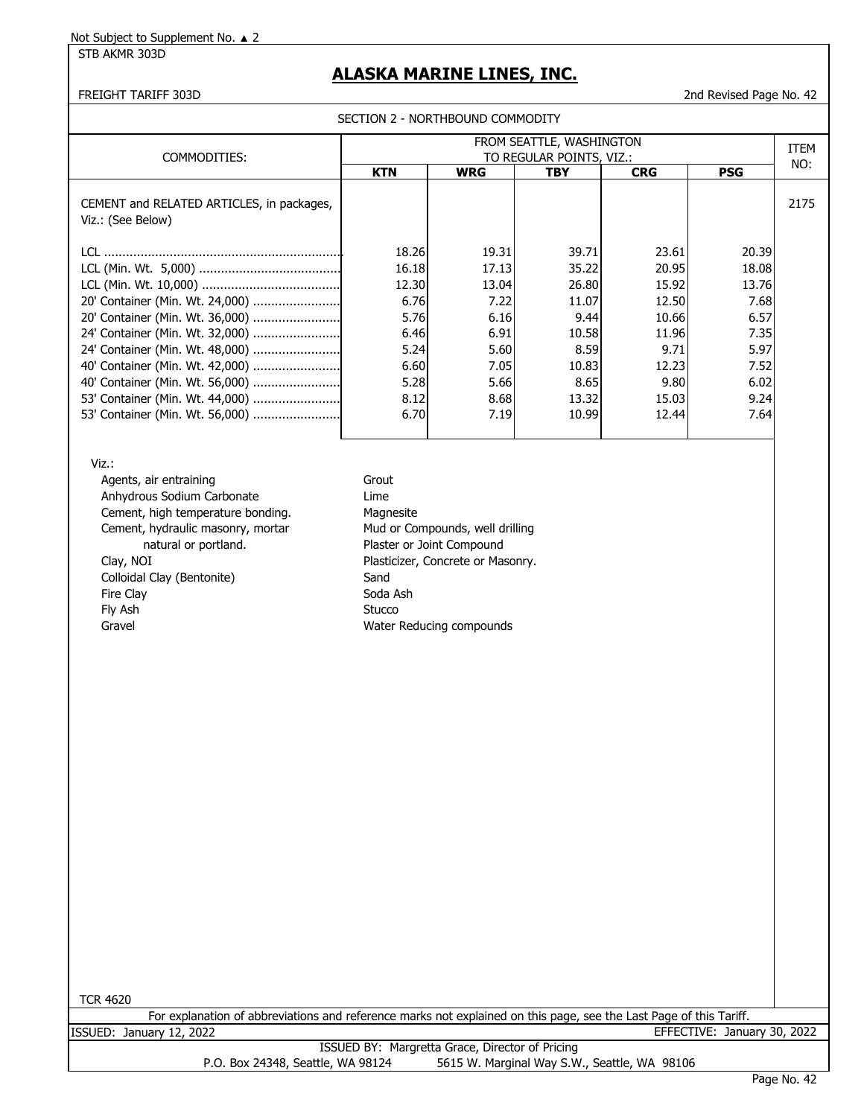STB AKMR 303D

## **ALASKA MARINE LINES, INC.**

FREIGHT TARIFF 303D 2nd Revised Page No. 42

| SECTION 2 - NORTHBOUND COMMODITY |  |
|----------------------------------|--|
|----------------------------------|--|

| COMMODITIES:                                                   | FROM SEATTLE, WASHINGTON<br>TO REGULAR POINTS, VIZ.: |            |            |            |             |      |
|----------------------------------------------------------------|------------------------------------------------------|------------|------------|------------|-------------|------|
|                                                                | <b>KTN</b>                                           | <b>WRG</b> | <b>TBY</b> | <b>CRG</b> | <b>PSG</b>  | NO:  |
| CEMENT and RELATED ARTICLES, in packages,<br>Viz.: (See Below) |                                                      |            |            |            |             | 2175 |
| TCL.                                                           | 18.26                                                | 19.31      | 39.71      | 23.61      | 20.39       |      |
|                                                                | 16.18                                                | 17.13      | 35.22      | 20.95      | 18.08       |      |
|                                                                | 12.30                                                | 13.04      | 26.80      | 15.92      | 13.76       |      |
| 20' Container (Min. Wt. 24,000)                                | 6.76                                                 | 7.22       | 11.07      | 12.50      | 7.68        |      |
|                                                                | 5.76                                                 | 6.16       | 9.44       | 10.66      | 6.57        |      |
| 24' Container (Min. Wt. 32,000)                                | 6.46                                                 | 6.91       | 10.58      | 11.96      | <b>7.35</b> |      |
|                                                                | 5.24                                                 | 5.60       | 8.59       | 9.71       | 5.97        |      |
|                                                                | 6.60                                                 | 7.05       | 10.83      | 12.23      | 7.52        |      |
| 40' Container (Min. Wt. 56,000)                                | 5.28                                                 | 5.66       | 8.65       | 9.80       | 6.02        |      |
|                                                                | 8.12                                                 | 8.68       | 13.32      | 15.03      | 9.24        |      |
| 53' Container (Min. Wt. 56,000)                                | 6.70                                                 | 7.19       | 10.99      | 12.44      | 7.64        |      |

Viz.:

Agents, air entraining Grout Anhydrous Sodium Carbonate **Lime** Cement, high temperature bonding. Magnesite Cement, hydraulic masonry, mortar Mud or Compounds, well drilling natural or portland. The process of Plaster or Joint Compound Clay, NOI Clay, NOI Plasticizer, Concrete or Masonry. Colloidal Clay (Bentonite) Sand Fire Clay Soda Ash Fly Ash Stucco Gravel Gravel **Gravel Compounds Water Reducing compounds** 

TCR 4620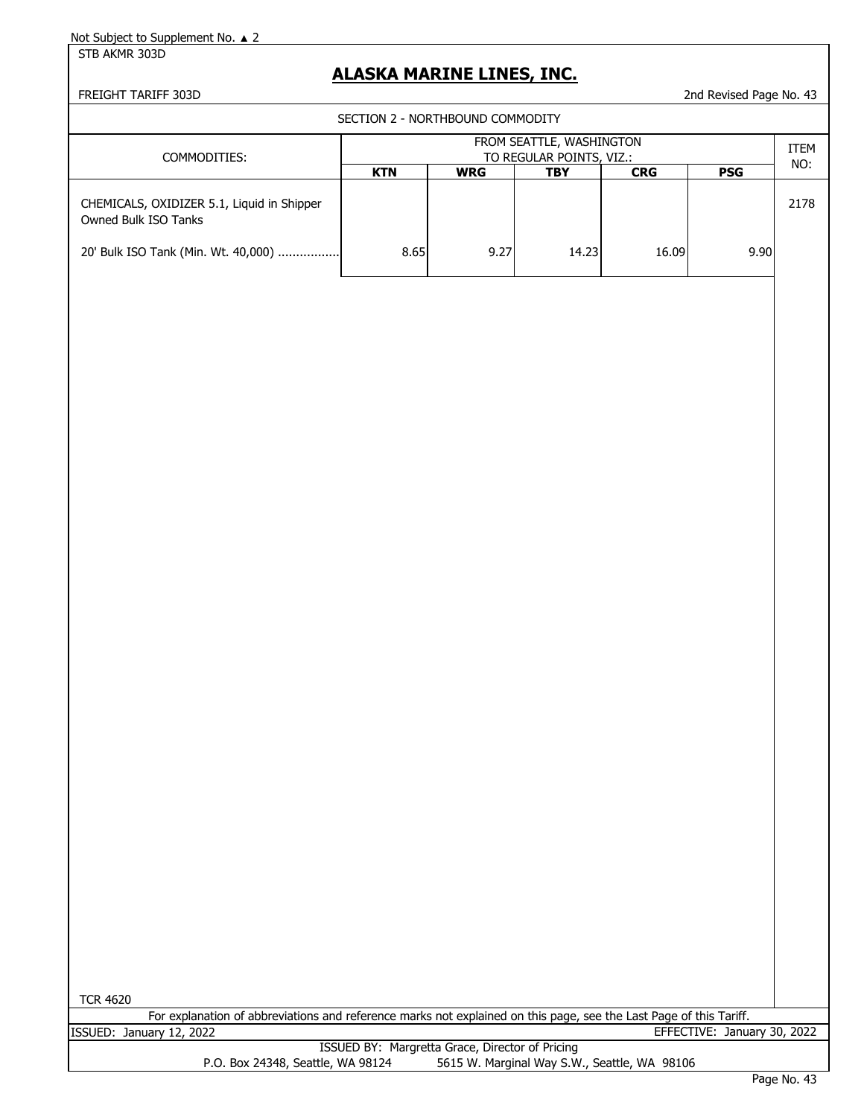STB AKMR 303D

## **ALASKA MARINE LINES, INC.**

FREIGHT TARIFF 303D 2nd Revised Page No. 43

SECTION 2 - NORTHBOUND COMMODITY

| COMMODITIES:                                                                                              | FROM SEATTLE, WASHINGTON<br>TO REGULAR POINTS, VIZ.: |            |       |            |            |      |
|-----------------------------------------------------------------------------------------------------------|------------------------------------------------------|------------|-------|------------|------------|------|
|                                                                                                           | <b>KTN</b>                                           | <b>WRG</b> | TBY   | <b>CRG</b> | <b>PSG</b> | NO:  |
| CHEMICALS, OXIDIZER 5.1, Liquid in Shipper<br>Owned Bulk ISO Tanks<br>20' Bulk ISO Tank (Min. Wt. 40,000) | 8.65                                                 | 9.27       | 14.23 | 16.09      | 9.90       | 2178 |

TCR 4620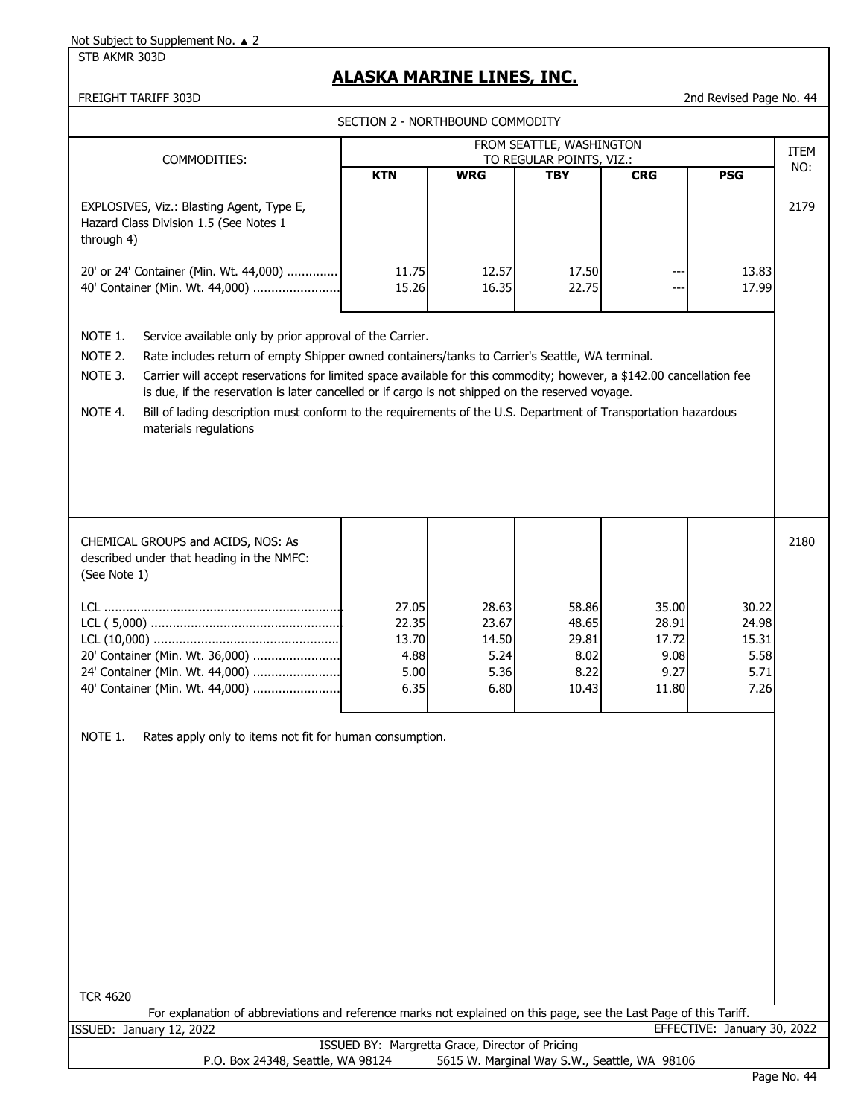STB AKMR 303D

# **ALASKA MARINE LINES, INC.**

| FROM SEATTLE, WASHINGTON                                                                                                                                                                                                                                                                                                                                                                                                                                                                                                                                                        |  |  |  |  |  |  |
|---------------------------------------------------------------------------------------------------------------------------------------------------------------------------------------------------------------------------------------------------------------------------------------------------------------------------------------------------------------------------------------------------------------------------------------------------------------------------------------------------------------------------------------------------------------------------------|--|--|--|--|--|--|
| ITEM<br>COMMODITIES:<br>TO REGULAR POINTS, VIZ.:                                                                                                                                                                                                                                                                                                                                                                                                                                                                                                                                |  |  |  |  |  |  |
| NO:<br><b>KTN</b><br><b>WRG</b><br><b>TBY</b><br><b>CRG</b><br><b>PSG</b>                                                                                                                                                                                                                                                                                                                                                                                                                                                                                                       |  |  |  |  |  |  |
| 2179<br>EXPLOSIVES, Viz.: Blasting Agent, Type E,<br>Hazard Class Division 1.5 (See Notes 1<br>through 4)<br>20' or 24' Container (Min. Wt. 44,000)<br>11.75<br>12.57<br>17.50<br>13.83                                                                                                                                                                                                                                                                                                                                                                                         |  |  |  |  |  |  |
| 40' Container (Min. Wt. 44,000)<br>22.75<br>17.99<br>15.26<br>16.35<br>$---$                                                                                                                                                                                                                                                                                                                                                                                                                                                                                                    |  |  |  |  |  |  |
| NOTE 1.<br>Service available only by prior approval of the Carrier.<br>NOTE 2.<br>Rate includes return of empty Shipper owned containers/tanks to Carrier's Seattle, WA terminal.<br>Carrier will accept reservations for limited space available for this commodity; however, a \$142.00 cancellation fee<br>NOTE 3.<br>is due, if the reservation is later cancelled or if cargo is not shipped on the reserved voyage.<br>NOTE 4.<br>Bill of lading description must conform to the requirements of the U.S. Department of Transportation hazardous<br>materials regulations |  |  |  |  |  |  |
| 2180<br>CHEMICAL GROUPS and ACIDS, NOS: As<br>described under that heading in the NMFC:<br>(See Note 1)<br>27.05<br>28.63<br>58.86<br>35.00<br>30.22<br>22.35<br>23.67<br>48.65<br>28.91<br>24.98<br>13.70<br>14.50<br>29.81<br>17.72<br>15.31<br>8.02<br>20' Container (Min. Wt. 36,000)<br>4.88<br>5.24<br>5.58<br>9.08                                                                                                                                                                                                                                                       |  |  |  |  |  |  |
| 9.27<br>24' Container (Min. Wt. 44,000)<br>5.00<br>5.36<br>8.22<br>5.71<br>40' Container (Min. Wt. 44,000)<br>6.35<br>6.80<br>11.80<br>7.26<br>10.43                                                                                                                                                                                                                                                                                                                                                                                                                            |  |  |  |  |  |  |
| NOTE 1.<br>Rates apply only to items not fit for human consumption.<br><b>TCR 4620</b>                                                                                                                                                                                                                                                                                                                                                                                                                                                                                          |  |  |  |  |  |  |
| For explanation of abbreviations and reference marks not explained on this page, see the Last Page of this Tariff.<br>EFFECTIVE: January 30, 2022<br>ISSUED: January 12, 2022                                                                                                                                                                                                                                                                                                                                                                                                   |  |  |  |  |  |  |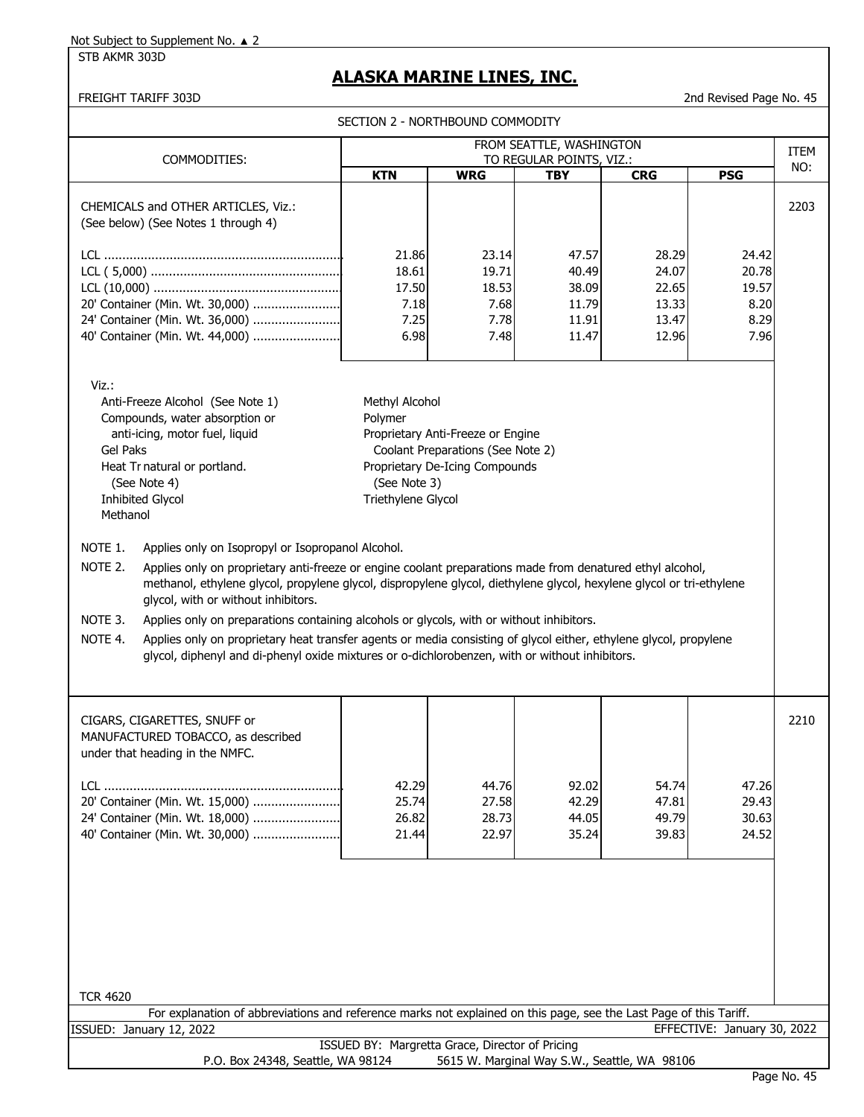## STB AKMR 303D

# **ALASKA MARINE LINES, INC.**

|                                                                                                                                                                                                                                                                                                                                                                                                                                                                                                                                                                                                                                                                                                                                                                                                                                                                                                                                                            | SECTION 2 - NORTHBOUND COMMODITY                                        |                                                                                                                  |                                           |                                              |                                         |      |
|------------------------------------------------------------------------------------------------------------------------------------------------------------------------------------------------------------------------------------------------------------------------------------------------------------------------------------------------------------------------------------------------------------------------------------------------------------------------------------------------------------------------------------------------------------------------------------------------------------------------------------------------------------------------------------------------------------------------------------------------------------------------------------------------------------------------------------------------------------------------------------------------------------------------------------------------------------|-------------------------------------------------------------------------|------------------------------------------------------------------------------------------------------------------|-------------------------------------------|----------------------------------------------|-----------------------------------------|------|
|                                                                                                                                                                                                                                                                                                                                                                                                                                                                                                                                                                                                                                                                                                                                                                                                                                                                                                                                                            |                                                                         |                                                                                                                  | FROM SEATTLE, WASHINGTON                  |                                              |                                         | ITEM |
| COMMODITIES:                                                                                                                                                                                                                                                                                                                                                                                                                                                                                                                                                                                                                                                                                                                                                                                                                                                                                                                                               | <b>KTN</b>                                                              | <b>WRG</b>                                                                                                       | TO REGULAR POINTS, VIZ.:<br><b>TBY</b>    | <b>CRG</b>                                   | <b>PSG</b>                              | NO:  |
| CHEMICALS and OTHER ARTICLES, Viz.:<br>(See below) (See Notes 1 through 4)<br>20' Container (Min. Wt. 30,000)<br>24' Container (Min. Wt. 36,000)                                                                                                                                                                                                                                                                                                                                                                                                                                                                                                                                                                                                                                                                                                                                                                                                           | 21.86<br>18.61<br>17.50<br>7.18<br>7.25                                 | 23.14<br>19.71<br>18.53<br>7.68<br>7.78                                                                          | 47.57<br>40.49<br>38.09<br>11.79<br>11.91 | 28.29<br>24.07<br>22.65<br>13.33<br>13.47    | 24.42<br>20.78<br>19.57<br>8.20<br>8.29 | 2203 |
| 40' Container (Min. Wt. 44,000)<br>Viz.:<br>Anti-Freeze Alcohol (See Note 1)<br>Compounds, water absorption or<br>anti-icing, motor fuel, liquid<br><b>Gel Paks</b><br>Heat Tr natural or portland.<br>(See Note 4)<br><b>Inhibited Glycol</b><br>Methanol<br>NOTE 1.<br>Applies only on Isopropyl or Isopropanol Alcohol.<br>NOTE 2.<br>Applies only on proprietary anti-freeze or engine coolant preparations made from denatured ethyl alcohol,<br>methanol, ethylene glycol, propylene glycol, dispropylene glycol, diethylene glycol, hexylene glycol or tri-ethylene<br>glycol, with or without inhibitors.<br>NOTE 3.<br>Applies only on preparations containing alcohols or glycols, with or without inhibitors.<br>NOTE 4.<br>Applies only on proprietary heat transfer agents or media consisting of glycol either, ethylene glycol, propylene<br>glycol, diphenyl and di-phenyl oxide mixtures or o-dichlorobenzen, with or without inhibitors. | 6.98<br>Methyl Alcohol<br>Polymer<br>(See Note 3)<br>Triethylene Glycol | 7.48<br>Proprietary Anti-Freeze or Engine<br>Coolant Preparations (See Note 2)<br>Proprietary De-Icing Compounds | 11.47                                     | 12.96                                        | 7.96                                    |      |
| CIGARS, CIGARETTES, SNUFF or<br>MANUFACTURED TOBACCO, as described<br>under that heading in the NMFC.<br>20' Container (Min. Wt. 15,000)<br>24' Container (Min. Wt. 18,000)<br>40' Container (Min. Wt. 30,000)                                                                                                                                                                                                                                                                                                                                                                                                                                                                                                                                                                                                                                                                                                                                             | 42.29<br>25.74<br>26.82<br>21.44                                        | 44.76<br>27.58<br>28.73<br>22.97                                                                                 | 92.02<br>42.29<br>44.05<br>35.24          | 54.74<br>47.81<br>49.79<br>39.83             | 47.26<br>29.43<br>30.63<br>24.52        | 2210 |
| <b>TCR 4620</b><br>For explanation of abbreviations and reference marks not explained on this page, see the Last Page of this Tariff.                                                                                                                                                                                                                                                                                                                                                                                                                                                                                                                                                                                                                                                                                                                                                                                                                      |                                                                         |                                                                                                                  |                                           |                                              |                                         |      |
| ISSUED: January 12, 2022                                                                                                                                                                                                                                                                                                                                                                                                                                                                                                                                                                                                                                                                                                                                                                                                                                                                                                                                   |                                                                         |                                                                                                                  |                                           |                                              | EFFECTIVE: January 30, 2022             |      |
|                                                                                                                                                                                                                                                                                                                                                                                                                                                                                                                                                                                                                                                                                                                                                                                                                                                                                                                                                            | ISSUED BY: Margretta Grace, Director of Pricing                         |                                                                                                                  |                                           |                                              |                                         |      |
| P.O. Box 24348, Seattle, WA 98124                                                                                                                                                                                                                                                                                                                                                                                                                                                                                                                                                                                                                                                                                                                                                                                                                                                                                                                          |                                                                         |                                                                                                                  |                                           | 5615 W. Marginal Way S.W., Seattle, WA 98106 |                                         |      |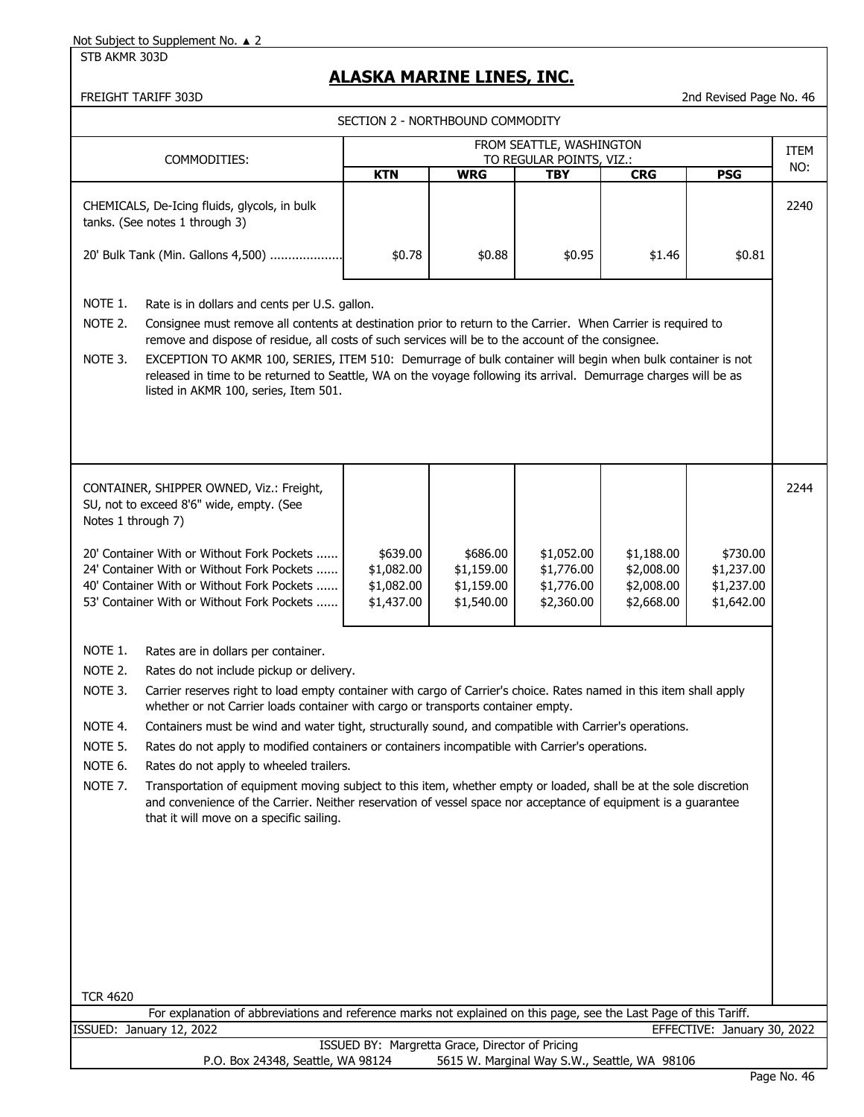#### STB AKMR 303D

# **ALASKA MARINE LINES, INC.**

|                               |                                                                                                                                                                                                                                                                                                                                                                                                                                                                                                                                                 |                                                    | SECTION 2 - NORTHBOUND COMMODITY                   |                                                      |                                                      |                                                    |      |
|-------------------------------|-------------------------------------------------------------------------------------------------------------------------------------------------------------------------------------------------------------------------------------------------------------------------------------------------------------------------------------------------------------------------------------------------------------------------------------------------------------------------------------------------------------------------------------------------|----------------------------------------------------|----------------------------------------------------|------------------------------------------------------|------------------------------------------------------|----------------------------------------------------|------|
|                               |                                                                                                                                                                                                                                                                                                                                                                                                                                                                                                                                                 |                                                    |                                                    | FROM SEATTLE, WASHINGTON                             |                                                      |                                                    | ITEM |
|                               | COMMODITIES:                                                                                                                                                                                                                                                                                                                                                                                                                                                                                                                                    | <b>KTN</b>                                         | <b>WRG</b>                                         | TO REGULAR POINTS, VIZ.:<br><b>TBY</b>               | <b>CRG</b>                                           | <b>PSG</b>                                         | NO:  |
|                               | CHEMICALS, De-Icing fluids, glycols, in bulk<br>tanks. (See notes 1 through 3)                                                                                                                                                                                                                                                                                                                                                                                                                                                                  |                                                    |                                                    |                                                      |                                                      |                                                    | 2240 |
|                               | 20' Bulk Tank (Min. Gallons 4,500)                                                                                                                                                                                                                                                                                                                                                                                                                                                                                                              | \$0.78                                             | \$0.88                                             | \$0.95                                               | \$1.46                                               | \$0.81                                             |      |
| NOTE 1.<br>NOTE 2.<br>NOTE 3. | Rate is in dollars and cents per U.S. gallon.<br>Consignee must remove all contents at destination prior to return to the Carrier. When Carrier is required to<br>remove and dispose of residue, all costs of such services will be to the account of the consignee.<br>EXCEPTION TO AKMR 100, SERIES, ITEM 510: Demurrage of bulk container will begin when bulk container is not<br>released in time to be returned to Seattle, WA on the voyage following its arrival. Demurrage charges will be as<br>listed in AKMR 100, series, Item 501. |                                                    |                                                    |                                                      |                                                      |                                                    |      |
| Notes 1 through 7)            | CONTAINER, SHIPPER OWNED, Viz.: Freight,<br>SU, not to exceed 8'6" wide, empty. (See                                                                                                                                                                                                                                                                                                                                                                                                                                                            |                                                    |                                                    |                                                      |                                                      |                                                    | 2244 |
|                               | 20' Container With or Without Fork Pockets<br>24' Container With or Without Fork Pockets<br>40' Container With or Without Fork Pockets<br>53' Container With or Without Fork Pockets                                                                                                                                                                                                                                                                                                                                                            | \$639.00<br>\$1,082.00<br>\$1,082.00<br>\$1,437.00 | \$686.00<br>\$1,159.00<br>\$1,159.00<br>\$1,540.00 | \$1,052.00<br>\$1,776.00<br>\$1,776.00<br>\$2,360.00 | \$1,188.00<br>\$2,008.00<br>\$2,008.00<br>\$2,668.00 | \$730.00<br>\$1,237.00<br>\$1,237.00<br>\$1,642.00 |      |
| NOTE 1.                       | Rates are in dollars per container.                                                                                                                                                                                                                                                                                                                                                                                                                                                                                                             |                                                    |                                                    |                                                      |                                                      |                                                    |      |
| NOTE 2.                       | Rates do not include pickup or delivery.                                                                                                                                                                                                                                                                                                                                                                                                                                                                                                        |                                                    |                                                    |                                                      |                                                      |                                                    |      |
| NOTE 3.                       | Carrier reserves right to load empty container with cargo of Carrier's choice. Rates named in this item shall apply<br>whether or not Carrier loads container with cargo or transports container empty.                                                                                                                                                                                                                                                                                                                                         |                                                    |                                                    |                                                      |                                                      |                                                    |      |
| NOTE 4.                       | Containers must be wind and water tight, structurally sound, and compatible with Carrier's operations.                                                                                                                                                                                                                                                                                                                                                                                                                                          |                                                    |                                                    |                                                      |                                                      |                                                    |      |
| NOTE 5.                       | Rates do not apply to modified containers or containers incompatible with Carrier's operations.                                                                                                                                                                                                                                                                                                                                                                                                                                                 |                                                    |                                                    |                                                      |                                                      |                                                    |      |
| NOTE 6.                       | Rates do not apply to wheeled trailers.                                                                                                                                                                                                                                                                                                                                                                                                                                                                                                         |                                                    |                                                    |                                                      |                                                      |                                                    |      |
| NOTE 7.                       | Transportation of equipment moving subject to this item, whether empty or loaded, shall be at the sole discretion<br>and convenience of the Carrier. Neither reservation of vessel space nor acceptance of equipment is a guarantee<br>that it will move on a specific sailing.                                                                                                                                                                                                                                                                 |                                                    |                                                    |                                                      |                                                      |                                                    |      |
|                               |                                                                                                                                                                                                                                                                                                                                                                                                                                                                                                                                                 |                                                    |                                                    |                                                      |                                                      |                                                    |      |
|                               |                                                                                                                                                                                                                                                                                                                                                                                                                                                                                                                                                 |                                                    |                                                    |                                                      |                                                      |                                                    |      |
| <b>TCR 4620</b>               | For explanation of abbreviations and reference marks not explained on this page, see the Last Page of this Tariff.                                                                                                                                                                                                                                                                                                                                                                                                                              |                                                    |                                                    |                                                      |                                                      |                                                    |      |
|                               | ISSUED: January 12, 2022                                                                                                                                                                                                                                                                                                                                                                                                                                                                                                                        |                                                    |                                                    |                                                      |                                                      | EFFECTIVE: January 30, 2022                        |      |
|                               | P.O. Box 24348, Seattle, WA 98124                                                                                                                                                                                                                                                                                                                                                                                                                                                                                                               |                                                    | ISSUED BY: Margretta Grace, Director of Pricing    | 5615 W. Marginal Way S.W., Seattle, WA 98106         |                                                      |                                                    |      |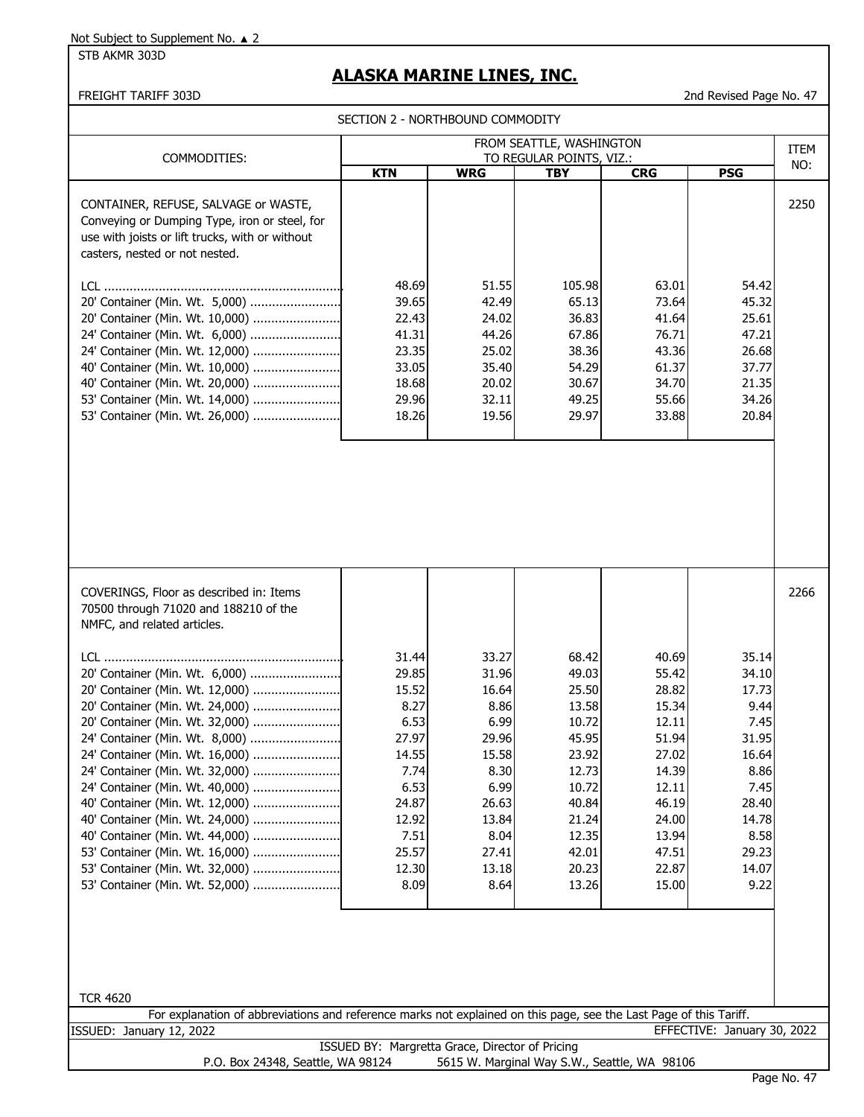STB AKMR 303D

# **ALASKA MARINE LINES, INC.**

## FREIGHT TARIFF 303D 2nd Revised Page No. 47

SECTION 2 - NORTHROUND COMMODITY

| SECTION 2 - NORTHBOUND COMMODITY                                                                                                                                                                                                                                                                                                                                                                                                                                                                                                                                                                                                                                                                                                                                 |                                                                                                                               |                                                                                                                               |                                                                                                                                     |                                                                                                                                     |                                                                                                                               |               |
|------------------------------------------------------------------------------------------------------------------------------------------------------------------------------------------------------------------------------------------------------------------------------------------------------------------------------------------------------------------------------------------------------------------------------------------------------------------------------------------------------------------------------------------------------------------------------------------------------------------------------------------------------------------------------------------------------------------------------------------------------------------|-------------------------------------------------------------------------------------------------------------------------------|-------------------------------------------------------------------------------------------------------------------------------|-------------------------------------------------------------------------------------------------------------------------------------|-------------------------------------------------------------------------------------------------------------------------------------|-------------------------------------------------------------------------------------------------------------------------------|---------------|
| COMMODITIES:                                                                                                                                                                                                                                                                                                                                                                                                                                                                                                                                                                                                                                                                                                                                                     |                                                                                                                               |                                                                                                                               | FROM SEATTLE, WASHINGTON<br>TO REGULAR POINTS, VIZ.:                                                                                |                                                                                                                                     |                                                                                                                               | ITEM          |
|                                                                                                                                                                                                                                                                                                                                                                                                                                                                                                                                                                                                                                                                                                                                                                  | <b>KTN</b>                                                                                                                    | <b>WRG</b>                                                                                                                    | <b>TBY</b>                                                                                                                          | <b>CRG</b>                                                                                                                          | <b>PSG</b>                                                                                                                    | NO:           |
| CONTAINER, REFUSE, SALVAGE or WASTE,<br>Conveying or Dumping Type, iron or steel, for<br>use with joists or lift trucks, with or without<br>casters, nested or not nested.<br>20' Container (Min. Wt. 5,000)<br>20' Container (Min. Wt. 10,000)<br>24' Container (Min. Wt. 6,000)<br>24' Container (Min. Wt. 12,000)<br>40' Container (Min. Wt. 10,000)<br>40' Container (Min. Wt. 20,000)<br>53' Container (Min. Wt. 14,000)<br>53' Container (Min. Wt. 26,000)                                                                                                                                                                                                                                                                                                 | 48.69<br>39.65<br>22.43<br>41.31<br>23.35<br>33.05<br>18.68<br>29.96<br>18.26                                                 | 51.55<br>42.49<br>24.02<br>44.26<br>25.02<br>35.40<br>20.02<br>32.11<br>19.56                                                 | 105.98<br>65.13<br>36.83<br>67.86<br>38.36<br>54.29<br>30.67<br>49.25<br>29.97                                                      | 63.01<br>73.64<br>41.64<br>76.71<br>43.36<br>61.37<br>34.70<br>55.66<br>33.88                                                       | 54.42<br>45.32<br>25.61<br>47.21<br>26.68<br>37.77<br>21.35<br>34.26<br>20.84                                                 | 2250          |
| COVERINGS, Floor as described in: Items<br>70500 through 71020 and 188210 of the<br>NMFC, and related articles.<br>20' Container (Min. Wt. 6,000)<br>20' Container (Min. Wt. 12,000)<br>20' Container (Min. Wt. 24,000)<br>20' Container (Min. Wt. 32,000)<br>24' Container (Min. Wt. 8,000)<br>24' Container (Min. Wt. 16,000)<br>24' Container (Min. Wt. 32,000)<br>24' Container (Min. Wt. 40,000)<br>40' Container (Min. Wt. 12,000)<br>40' Container (Min. Wt. 24,000)<br>40' Container (Min. Wt. 44,000)<br>53' Container (Min. Wt. 16,000)<br>53' Container (Min. Wt. 32,000)<br>53' Container (Min. Wt. 52,000)<br><b>TCR 4620</b><br>For explanation of abbreviations and reference marks not explained on this page, see the Last Page of this Tariff. | 31.44<br>29.85<br>15.52<br>8.27<br>6.53<br>27.97<br>14.55<br>7.74<br>6.53<br>24.87<br>12.92<br>7.51<br>25.57<br>12.30<br>8.09 | 33.27<br>31.96<br>16.64<br>8.86<br>6.99<br>29.96<br>15.58<br>8.30<br>6.99<br>26.63<br>13.84<br>8.04<br>27.41<br>13.18<br>8.64 | 68.42<br>49.03<br>25.50<br>13.58<br>10.72<br>45.95<br>23.92<br>12.73<br>10.72<br>40.84<br>21.24<br>12.35<br>42.01<br>20.23<br>13.26 | 40.69<br>55.42<br>28.82<br>15.34<br>12.11<br>51.94<br>27.02<br>14.39<br>12.11<br>46.19<br>24.00<br>13.94<br>47.51<br>22.87<br>15.00 | 35.14<br>34.10<br>17.73<br>9.44<br>7.45<br>31.95<br>16.64<br>8.86<br>7.45<br>28.40<br>14.78<br>8.58<br>29.23<br>14.07<br>9.22 | 2266          |
| ISSUED: January 12, 2022                                                                                                                                                                                                                                                                                                                                                                                                                                                                                                                                                                                                                                                                                                                                         |                                                                                                                               |                                                                                                                               |                                                                                                                                     |                                                                                                                                     | EFFECTIVE: January 30, 2022                                                                                                   |               |
| P.O. Box 24348, Seattle, WA 98124                                                                                                                                                                                                                                                                                                                                                                                                                                                                                                                                                                                                                                                                                                                                | ISSUED BY: Margretta Grace, Director of Pricing                                                                               |                                                                                                                               |                                                                                                                                     | 5615 W. Marginal Way S.W., Seattle, WA 98106                                                                                        |                                                                                                                               | Dage No. $47$ |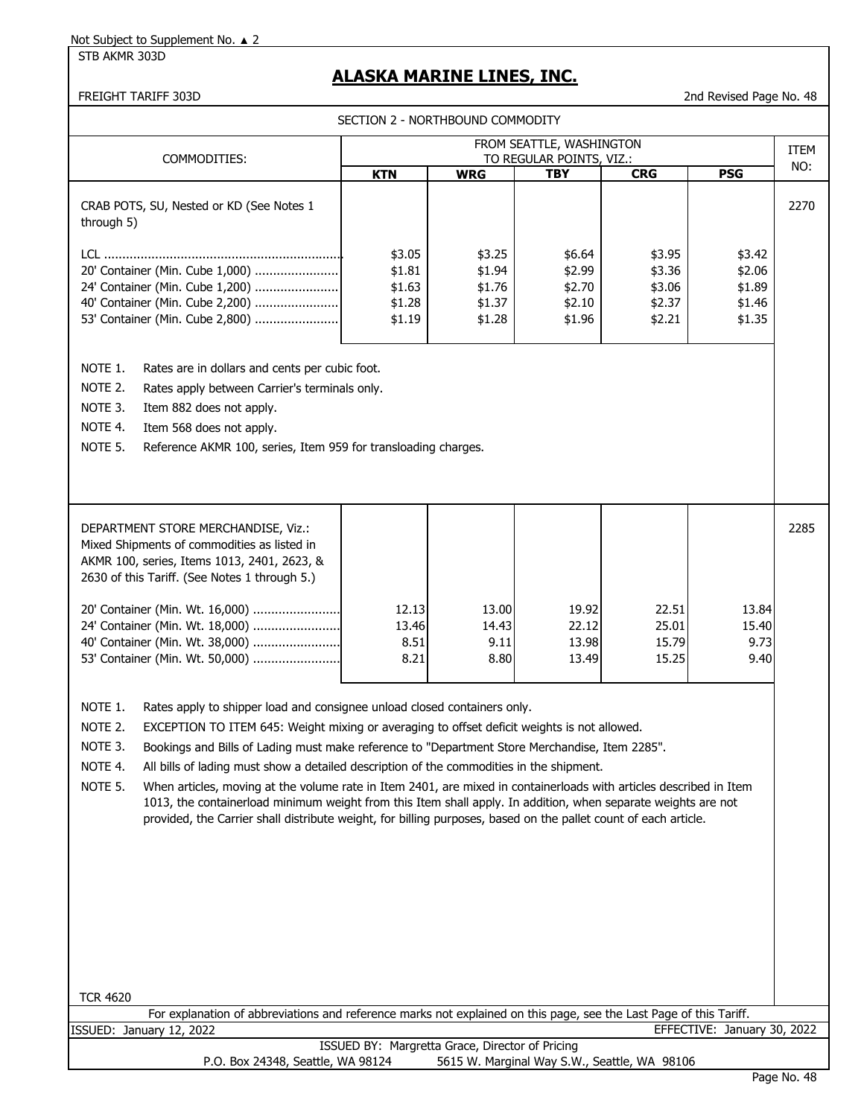STB AKMR 303D

# **ALASKA MARINE LINES, INC.**

| SECTION 2 - NORTHBOUND COMMODITY                                                                                                                                                                                                                                                                                                                                                                                                                                                                                                                                                                                                                                                                                                                                                                          |                                                 |                                                |                                                |                                                |                                                |             |  |
|-----------------------------------------------------------------------------------------------------------------------------------------------------------------------------------------------------------------------------------------------------------------------------------------------------------------------------------------------------------------------------------------------------------------------------------------------------------------------------------------------------------------------------------------------------------------------------------------------------------------------------------------------------------------------------------------------------------------------------------------------------------------------------------------------------------|-------------------------------------------------|------------------------------------------------|------------------------------------------------|------------------------------------------------|------------------------------------------------|-------------|--|
|                                                                                                                                                                                                                                                                                                                                                                                                                                                                                                                                                                                                                                                                                                                                                                                                           |                                                 |                                                | FROM SEATTLE, WASHINGTON                       |                                                |                                                | <b>ITEM</b> |  |
| COMMODITIES:                                                                                                                                                                                                                                                                                                                                                                                                                                                                                                                                                                                                                                                                                                                                                                                              | <b>KTN</b>                                      | <b>WRG</b>                                     | TO REGULAR POINTS, VIZ.:<br><b>TBY</b>         | <b>CRG</b>                                     | <b>PSG</b>                                     | NO:         |  |
| CRAB POTS, SU, Nested or KD (See Notes 1<br>through 5)                                                                                                                                                                                                                                                                                                                                                                                                                                                                                                                                                                                                                                                                                                                                                    |                                                 |                                                |                                                |                                                |                                                | 2270        |  |
| 20' Container (Min. Cube 1,000)<br>24' Container (Min. Cube 1,200)<br>40' Container (Min. Cube 2,200)<br>53' Container (Min. Cube 2,800)                                                                                                                                                                                                                                                                                                                                                                                                                                                                                                                                                                                                                                                                  | \$3.05<br>\$1.81<br>\$1.63<br>\$1.28<br>\$1.19  | \$3.25<br>\$1.94<br>\$1.76<br>\$1.37<br>\$1.28 | \$6.64<br>\$2.99<br>\$2.70<br>\$2.10<br>\$1.96 | \$3.95<br>\$3.36<br>\$3.06<br>\$2.37<br>\$2.21 | \$3.42<br>\$2.06<br>\$1.89<br>\$1.46<br>\$1.35 |             |  |
| NOTE 1.<br>Rates are in dollars and cents per cubic foot.<br>NOTE 2.<br>Rates apply between Carrier's terminals only.<br>NOTE 3.<br>Item 882 does not apply.<br>NOTE 4.<br>Item 568 does not apply.<br>NOTE 5.<br>Reference AKMR 100, series, Item 959 for transloading charges.                                                                                                                                                                                                                                                                                                                                                                                                                                                                                                                          |                                                 |                                                |                                                |                                                |                                                |             |  |
| DEPARTMENT STORE MERCHANDISE, Viz.:<br>Mixed Shipments of commodities as listed in<br>AKMR 100, series, Items 1013, 2401, 2623, &<br>2630 of this Tariff. (See Notes 1 through 5.)                                                                                                                                                                                                                                                                                                                                                                                                                                                                                                                                                                                                                        |                                                 |                                                |                                                |                                                |                                                | 2285        |  |
| 20' Container (Min. Wt. 16,000)<br>24' Container (Min. Wt. 18,000)<br>40' Container (Min. Wt. 38,000)<br>53' Container (Min. Wt. 50,000)                                                                                                                                                                                                                                                                                                                                                                                                                                                                                                                                                                                                                                                                  | 12.13<br>13.46<br>8.51<br>8.21                  | 13.00<br>14.43<br>9.11<br>8.80                 | 19.92<br>22.12<br>13.98<br>13.49               | 22.51<br>25.01<br>15.79<br>15.25               | 13.84<br>15.40<br>9.73<br>9.40                 |             |  |
| NOTE 1.<br>Rates apply to shipper load and consignee unload closed containers only.<br>NOTE 2.<br>EXCEPTION TO ITEM 645: Weight mixing or averaging to offset deficit weights is not allowed.<br>NOTE 3.<br>Bookings and Bills of Lading must make reference to "Department Store Merchandise, Item 2285".<br>NOTE 4.<br>All bills of lading must show a detailed description of the commodities in the shipment.<br>NOTE 5.<br>When articles, moving at the volume rate in Item 2401, are mixed in containerloads with articles described in Item<br>1013, the containerload minimum weight from this Item shall apply. In addition, when separate weights are not<br>provided, the Carrier shall distribute weight, for billing purposes, based on the pallet count of each article.<br><b>TCR 4620</b> |                                                 |                                                |                                                |                                                |                                                |             |  |
| For explanation of abbreviations and reference marks not explained on this page, see the Last Page of this Tariff.<br>ISSUED: January 12, 2022                                                                                                                                                                                                                                                                                                                                                                                                                                                                                                                                                                                                                                                            |                                                 |                                                |                                                |                                                | EFFECTIVE: January 30, 2022                    |             |  |
|                                                                                                                                                                                                                                                                                                                                                                                                                                                                                                                                                                                                                                                                                                                                                                                                           | ISSUED BY: Margretta Grace, Director of Pricing |                                                |                                                |                                                |                                                |             |  |
| P.O. Box 24348, Seattle, WA 98124                                                                                                                                                                                                                                                                                                                                                                                                                                                                                                                                                                                                                                                                                                                                                                         |                                                 |                                                | 5615 W. Marginal Way S.W., Seattle, WA 98106   |                                                |                                                |             |  |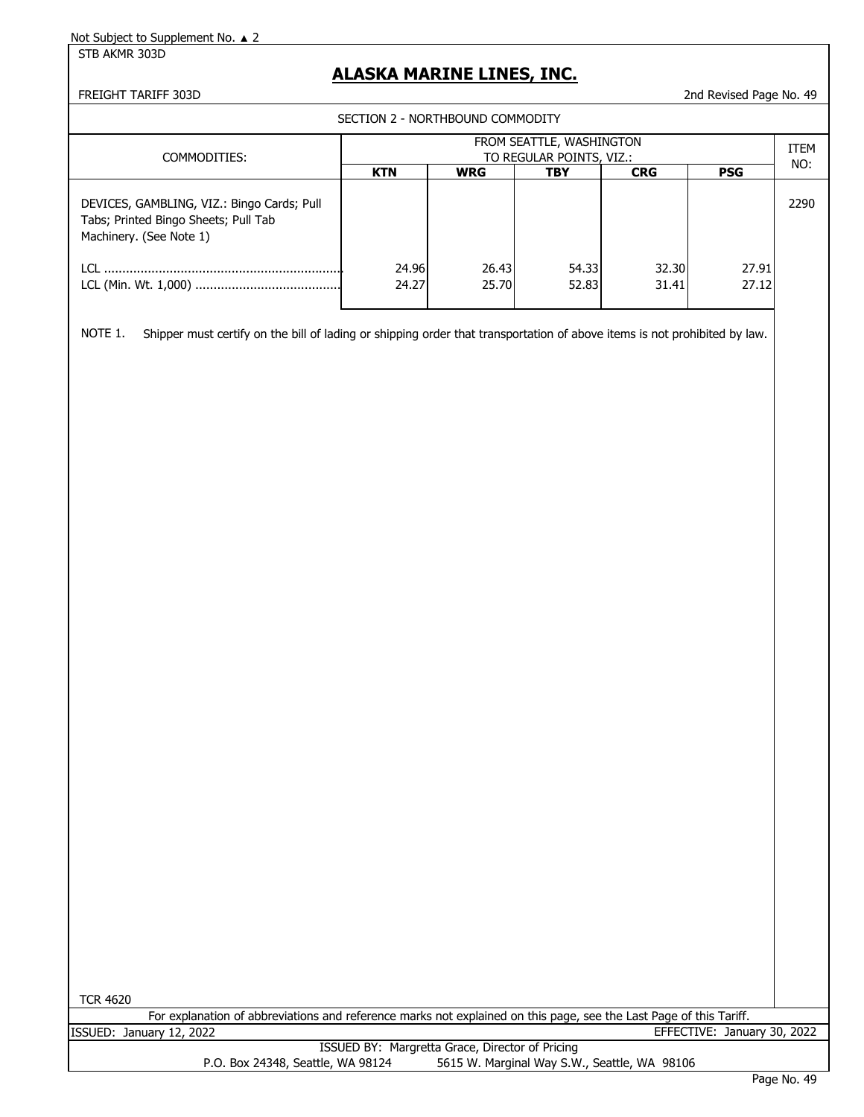STB AKMR 303D

## **ALASKA MARINE LINES, INC.**

#### FREIGHT TARIFF 303D 2nd Revised Page No. 49

SECTION 2 - NORTHBOUND COMMODITY

| COMMODITIES:                                                                                                          | FROM SEATTLE, WASHINGTON<br>TO REGULAR POINTS, VIZ.:<br><b>KTN</b><br><b>PSG</b><br><b>CRG</b><br><b>WRG</b><br><b>TBY</b> |                |                |                |                | ITEM<br>NO: |
|-----------------------------------------------------------------------------------------------------------------------|----------------------------------------------------------------------------------------------------------------------------|----------------|----------------|----------------|----------------|-------------|
| DEVICES, GAMBLING, VIZ.: Bingo Cards; Pull<br>Tabs; Printed Bingo Sheets; Pull Tab<br>Machinery. (See Note 1)<br>LCI. | 24.96<br>24.27                                                                                                             | 26.43<br>25.70 | 54.33<br>52.83 | 32.30<br>31.41 | 27.91<br>27.12 | 2290        |

NOTE 1. Shipper must certify on the bill of lading or shipping order that transportation of above items is not prohibited by law.

TCR 4620

|                          | For explanation of abbreviations and reference marks not explained on this page, see the Last Page of this Tariff. |  |  |                             |  |  |
|--------------------------|--------------------------------------------------------------------------------------------------------------------|--|--|-----------------------------|--|--|
| ISSUED: January 12, 2022 |                                                                                                                    |  |  | EFFECTIVE: January 30, 2022 |  |  |
|                          |                                                                                                                    |  |  |                             |  |  |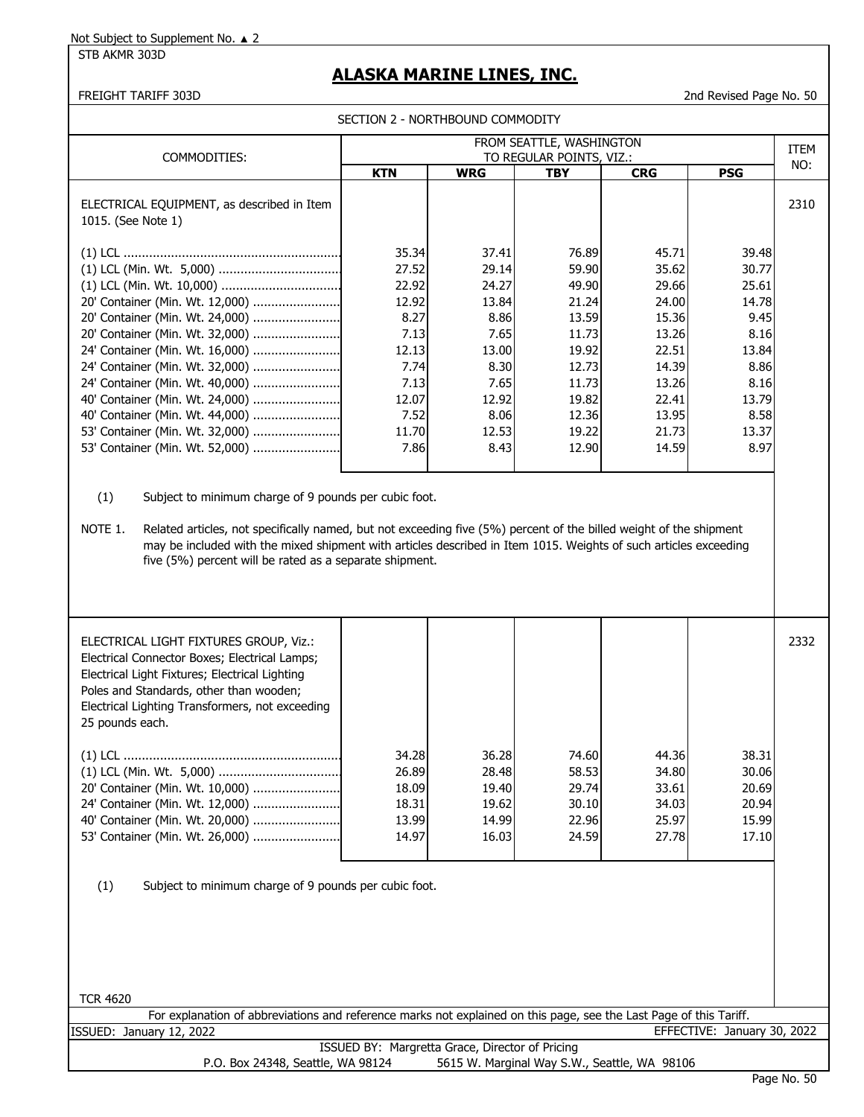STB AKMR 303D

## **ALASKA MARINE LINES, INC.**

FREIGHT TARIFF 303D 2nd Revised Page No. 50

| SECTION 2 - NORTHBOUND COMMODITY                                 |                                                      |            |            |            |            |      |
|------------------------------------------------------------------|------------------------------------------------------|------------|------------|------------|------------|------|
| COMMODITIES:                                                     | FROM SEATTLE, WASHINGTON<br>TO REGULAR POINTS, VIZ.: |            |            |            |            |      |
|                                                                  | <b>KTN</b>                                           | <b>WRG</b> | <b>TBY</b> | <b>CRG</b> | <b>PSG</b> | NO:  |
| ELECTRICAL EQUIPMENT, as described in Item<br>1015. (See Note 1) |                                                      |            |            |            |            | 2310 |
|                                                                  | 35.34                                                | 37.41      | 76.89      | 45.71      | 39.48      |      |
|                                                                  | 27.52                                                | 29.14      | 59.90      | 35.62      | 30.77      |      |
|                                                                  | 22.92                                                | 24.27      | 49.90      | 29.66      | 25.61      |      |
| 20' Container (Min. Wt. 12,000)                                  | 12.92                                                | 13.84      | 21.24      | 24.00      | 14.78      |      |
| 20' Container (Min. Wt. 24,000)                                  | 8.27                                                 | 8.86       | 13.59      | 15.36      | 9.45       |      |
| 20' Container (Min. Wt. 32,000)                                  | 7.13                                                 | 7.65       | 11.73      | 13.26      | 8.16       |      |
| 24' Container (Min. Wt. 16,000)                                  | 12.13                                                | 13.00      | 19.92      | 22.51      | 13.84      |      |
| 24' Container (Min. Wt. 32,000)                                  | 7.74                                                 | 8.30       | 12.73      | 14.39      | 8.86       |      |
| 24' Container (Min. Wt. 40,000)                                  | 7.13                                                 | 7.65       | 11.73      | 13.26      | 8.16       |      |
| 40' Container (Min. Wt. 24,000)                                  | 12.07                                                | 12.92      | 19.82      | 22.41      | 13.79      |      |
| 40' Container (Min. Wt. 44,000)                                  | 7.52                                                 | 8.06       | 12.36      | 13.95      | 8.58       |      |
| 53' Container (Min. Wt. 32,000)                                  | 11.70                                                | 12.53      | 19.22      | 21.73      | 13.37      |      |
| 53' Container (Min. Wt. 52,000)                                  | 7.86                                                 | 8.43       | 12.90      | 14.59      | 8.97       |      |

(1) Subject to minimum charge of 9 pounds per cubic foot.

NOTE 1. Related articles, not specifically named, but not exceeding five (5%) percent of the billed weight of the shipment may be included with the mixed shipment with articles described in Item 1015. Weights of such articles exceeding five (5%) percent will be rated as a separate shipment.

| ELECTRICAL LIGHT FIXTURES GROUP, Viz.:<br>Electrical Connector Boxes; Electrical Lamps;<br>Electrical Light Fixtures; Electrical Lighting<br>Poles and Standards, other than wooden;<br>Electrical Lighting Transformers, not exceeding<br>25 pounds each. |                                                    |                                                    |                                                    |                                                    |                                                    | 2332 |
|------------------------------------------------------------------------------------------------------------------------------------------------------------------------------------------------------------------------------------------------------------|----------------------------------------------------|----------------------------------------------------|----------------------------------------------------|----------------------------------------------------|----------------------------------------------------|------|
| 24' Container (Min. Wt. 12,000)<br>53' Container (Min. Wt. 26,000)                                                                                                                                                                                         | 34.28<br>26.89<br>18.09<br>18.31<br>13.99<br>14.97 | 36.28<br>28.48<br>19.40<br>19.62<br>14.99<br>16.03 | 74.60<br>58.53<br>29.74<br>30.10<br>22.96<br>24.59 | 44.36<br>34.80<br>33.61<br>34.03<br>25.97<br>27.78 | 38.31<br>30.06<br>20.69<br>20.94<br>15.99<br>17.10 |      |
|                                                                                                                                                                                                                                                            |                                                    |                                                    |                                                    |                                                    |                                                    |      |

(1) Subject to minimum charge of 9 pounds per cubic foot.

TCR 4620

|                                                 |                          | For explanation of abbreviations and reference marks not explained on this page, see the Last Page of this Tariff. |                                              |  |  |                             |  |
|-------------------------------------------------|--------------------------|--------------------------------------------------------------------------------------------------------------------|----------------------------------------------|--|--|-----------------------------|--|
|                                                 | ISSUED: January 12, 2022 |                                                                                                                    |                                              |  |  | EFFECTIVE: January 30, 2022 |  |
| ISSUED BY: Margretta Grace, Director of Pricing |                          |                                                                                                                    |                                              |  |  |                             |  |
|                                                 |                          | P.O. Box 24348, Seattle, WA 98124                                                                                  | 5615 W. Marginal Way S.W., Seattle, WA 98106 |  |  |                             |  |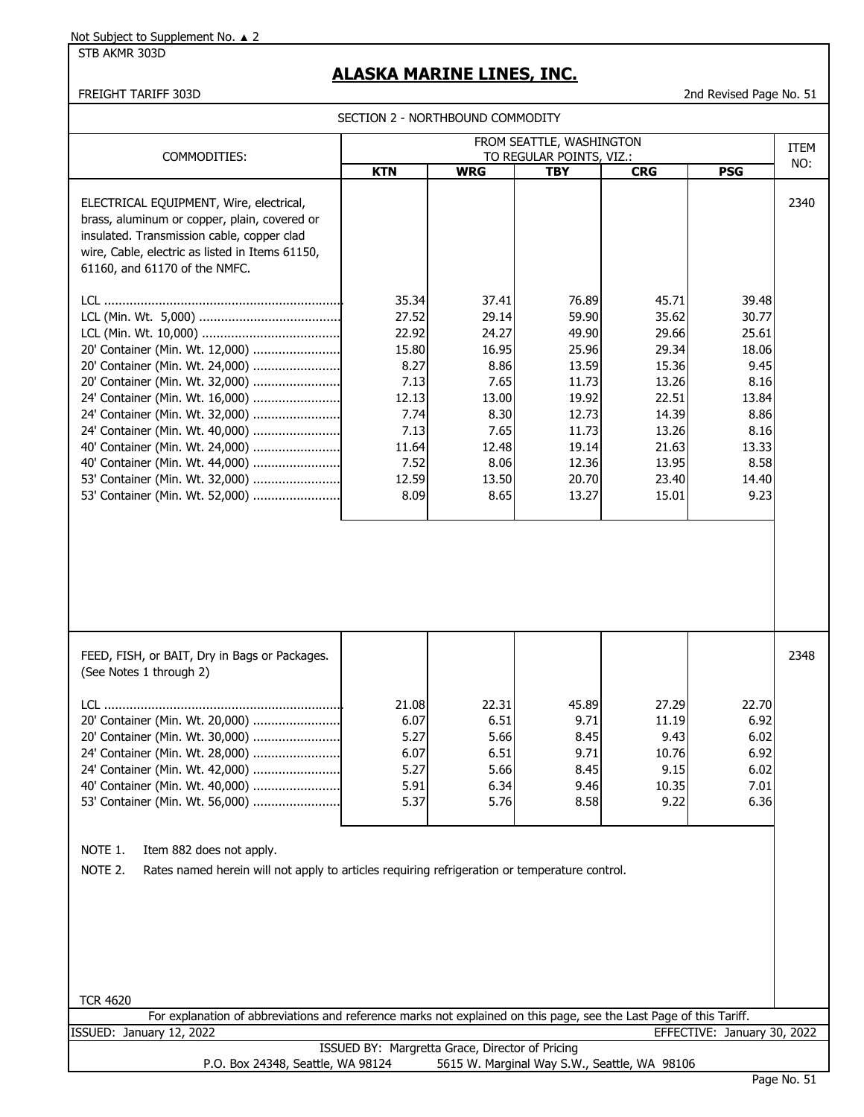STB AKMR 303D

## **ALASKA MARINE LINES, INC.**

FREIGHT TARIFF 303D 2nd Revised Page No. 51

SECTION 2 - NORTHBOUND COMMODITY

| FROM SEATTLE, WASHINGTON                                                                                                                                                                                                                                                                                                                                   |                                                                                                             |                                                                                                             |                                                                                                                   |                                                                                                                   |                                                                                                             | ITEM |
|------------------------------------------------------------------------------------------------------------------------------------------------------------------------------------------------------------------------------------------------------------------------------------------------------------------------------------------------------------|-------------------------------------------------------------------------------------------------------------|-------------------------------------------------------------------------------------------------------------|-------------------------------------------------------------------------------------------------------------------|-------------------------------------------------------------------------------------------------------------------|-------------------------------------------------------------------------------------------------------------|------|
| COMMODITIES:                                                                                                                                                                                                                                                                                                                                               |                                                                                                             |                                                                                                             | TO REGULAR POINTS, VIZ.:                                                                                          |                                                                                                                   |                                                                                                             | NO:  |
|                                                                                                                                                                                                                                                                                                                                                            | <b>KTN</b>                                                                                                  | <b>WRG</b>                                                                                                  | <b>TBY</b>                                                                                                        | <b>CRG</b>                                                                                                        | <b>PSG</b>                                                                                                  |      |
| ELECTRICAL EQUIPMENT, Wire, electrical,<br>brass, aluminum or copper, plain, covered or<br>insulated. Transmission cable, copper clad<br>wire, Cable, electric as listed in Items 61150,<br>61160, and 61170 of the NMFC.                                                                                                                                  |                                                                                                             |                                                                                                             |                                                                                                                   |                                                                                                                   |                                                                                                             | 2340 |
| 20' Container (Min. Wt. 12,000)<br>20' Container (Min. Wt. 24,000)<br>20' Container (Min. Wt. 32,000)<br>24' Container (Min. Wt. 16,000)<br>24' Container (Min. Wt. 32,000)<br>24' Container (Min. Wt. 40,000)<br>40' Container (Min. Wt. 24,000)<br>40' Container (Min. Wt. 44,000)<br>53' Container (Min. Wt. 32,000)<br>53' Container (Min. Wt. 52,000) | 35.34<br>27.52<br>22.92<br>15.80<br>8.27<br>7.13<br>12.13<br>7.74<br>7.13<br>11.64<br>7.52<br>12.59<br>8.09 | 37.41<br>29.14<br>24.27<br>16.95<br>8.86<br>7.65<br>13.00<br>8.30<br>7.65<br>12.48<br>8.06<br>13.50<br>8.65 | 76.89<br>59.90<br>49.90<br>25.96<br>13.59<br>11.73<br>19.92<br>12.73<br>11.73<br>19.14<br>12.36<br>20.70<br>13.27 | 45.71<br>35.62<br>29.66<br>29.34<br>15.36<br>13.26<br>22.51<br>14.39<br>13.26<br>21.63<br>13.95<br>23.40<br>15.01 | 39.48<br>30.77<br>25.61<br>18.06<br>9.45<br>8.16<br>13.84<br>8.86<br>8.16<br>13.33<br>8.58<br>14.40<br>9.23 |      |
| FEED, FISH, or BAIT, Dry in Bags or Packages.<br>(See Notes 1 through 2)                                                                                                                                                                                                                                                                                   |                                                                                                             |                                                                                                             |                                                                                                                   |                                                                                                                   |                                                                                                             | 2348 |
| 20' Container (Min. Wt. 20,000)<br>20' Container (Min. Wt. 30,000)<br>24' Container (Min. Wt. 28,000)<br>24' Container (Min. Wt. 42,000)<br>40' Container (Min. Wt. 40,000)<br>53' Container (Min. Wt. 56,000)                                                                                                                                             | 21.08<br>6.07<br>5.27<br>6.07<br>5.27<br>5.91<br>5.37                                                       | 22.31<br>6.51<br>5.66<br>6.51<br>5.66<br>6.34<br>5.76                                                       | 45.89<br>9.71<br>8.45<br>9.71<br>8.45<br>9.46<br>8.58                                                             | 27.29<br>11.19<br>9.43<br>10.76<br>9.15<br>10.35<br>9.22                                                          | 22.70<br>6.92<br>6.02<br>6.92<br>6.02<br>7.01<br>6.36                                                       |      |
| NOTE 1.<br>Item 882 does not apply.<br>NOTE 2.<br>Rates named herein will not apply to articles requiring refrigeration or temperature control.                                                                                                                                                                                                            |                                                                                                             |                                                                                                             |                                                                                                                   |                                                                                                                   |                                                                                                             |      |
| <b>TCR 4620</b>                                                                                                                                                                                                                                                                                                                                            |                                                                                                             |                                                                                                             |                                                                                                                   |                                                                                                                   |                                                                                                             |      |
| For explanation of abbreviations and reference marks not explained on this page, see the Last Page of this Tariff.                                                                                                                                                                                                                                         |                                                                                                             |                                                                                                             |                                                                                                                   |                                                                                                                   |                                                                                                             |      |
| ISSUED: January 12, 2022                                                                                                                                                                                                                                                                                                                                   |                                                                                                             |                                                                                                             |                                                                                                                   |                                                                                                                   | EFFECTIVE: January 30, 2022                                                                                 |      |
|                                                                                                                                                                                                                                                                                                                                                            |                                                                                                             |                                                                                                             |                                                                                                                   |                                                                                                                   |                                                                                                             |      |
| ISSUED BY: Margretta Grace, Director of Pricing<br>5615 W. Marginal Way S.W., Seattle, WA 98106<br>P.O. Box 24348, Seattle, WA 98124                                                                                                                                                                                                                       |                                                                                                             |                                                                                                             |                                                                                                                   |                                                                                                                   |                                                                                                             |      |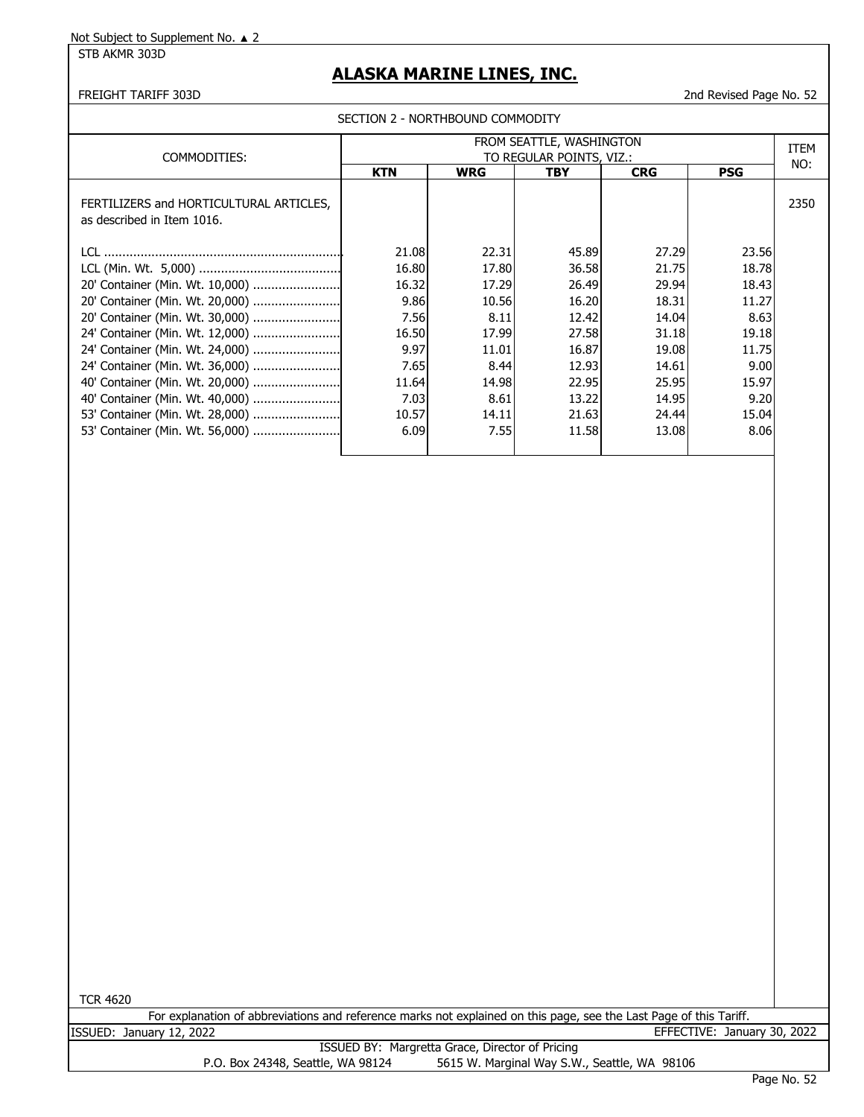STB AKMR 303D

## **ALASKA MARINE LINES, INC.**

FREIGHT TARIFF 303D 2nd Revised Page No. 52

|  | SECTION 2 - NORTHBOUND COMMODITY |  |
|--|----------------------------------|--|
|  |                                  |  |

| COMMODITIES:                                                          | FROM SEATTLE, WASHINGTON<br>TO REGULAR POINTS, VIZ.: |            |       |            |            |      |  |
|-----------------------------------------------------------------------|------------------------------------------------------|------------|-------|------------|------------|------|--|
|                                                                       | <b>KTN</b>                                           | <b>WRG</b> | TBY   | <b>CRG</b> | <b>PSG</b> | NO:  |  |
| FERTILIZERS and HORTICULTURAL ARTICLES,<br>as described in Item 1016. |                                                      |            |       |            |            | 2350 |  |
|                                                                       | 21.08                                                | 22.31      | 45.89 | 27.29      | 23.56      |      |  |
|                                                                       | 16.80                                                | 17.80      | 36.58 | 21.75      | 18.78      |      |  |
| 20' Container (Min. Wt. 10,000)                                       | 16.32                                                | 17.29      | 26.49 | 29.94      | 18.43      |      |  |
| 20' Container (Min. Wt. 20,000)                                       | 9.86                                                 | 10.56      | 16.20 | 18.31      | 11.27      |      |  |
| 20' Container (Min. Wt. 30,000)                                       | 7.56                                                 | 8.11       | 12.42 | 14.04      | 8.63       |      |  |
| 24' Container (Min. Wt. 12,000)                                       | 16.50                                                | 17.99      | 27.58 | 31.18      | 19.18      |      |  |
| 24' Container (Min. Wt. 24,000)                                       | 9.97                                                 | 11.01      | 16.87 | 19.08      | 11.75      |      |  |
| 24' Container (Min. Wt. 36,000)                                       | 7.65                                                 | 8.44       | 12.93 | 14.61      | 9.00       |      |  |
|                                                                       | 11.64                                                | 14.98      | 22.95 | 25.95      | 15.97      |      |  |
|                                                                       | 7.03                                                 | 8.61       | 13.22 | 14.95      | 9.20       |      |  |
|                                                                       | 10.57                                                | 14.11      | 21.63 | 24.44      | 15.04      |      |  |
| 53' Container (Min. Wt. 56,000)                                       | 6.09                                                 | 7.55       | 11.58 | 13.08      | 8.06       |      |  |
|                                                                       |                                                      |            |       |            |            |      |  |

TCR 4620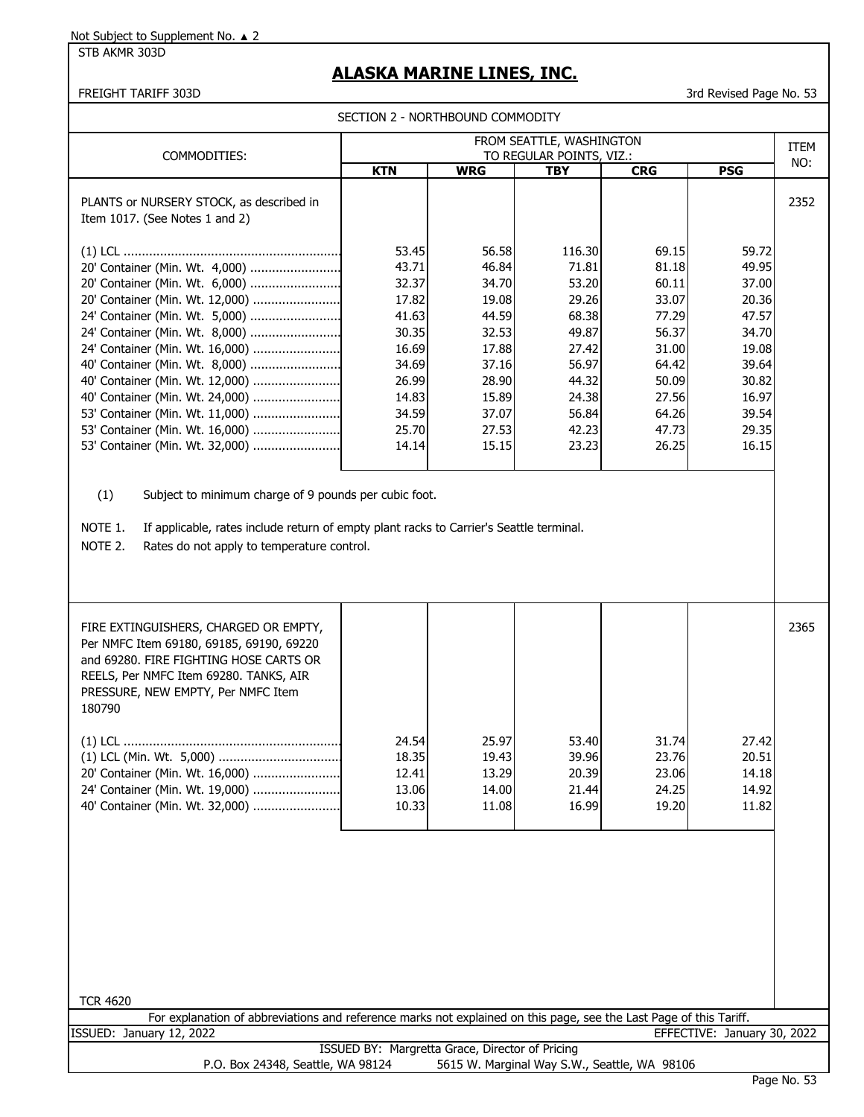STB AKMR 303D

# **ALASKA MARINE LINES, INC.**

FREIGHT TARIFF 303D 3rd Revised Page No. 53

| SECTION 2 - NORTHBOUND COMMODITY |
|----------------------------------|
|----------------------------------|

| COMMODITIES:                                                               |            |            | FROM SEATTLE, WASHINGTON<br>TO REGULAR POINTS, VIZ.: |            |            | <b>ITEM</b><br>NO: |
|----------------------------------------------------------------------------|------------|------------|------------------------------------------------------|------------|------------|--------------------|
|                                                                            | <b>KTN</b> | <b>WRG</b> | <b>TBY</b>                                           | <b>CRG</b> | <b>PSG</b> |                    |
| PLANTS or NURSERY STOCK, as described in<br>Item 1017. (See Notes 1 and 2) |            |            |                                                      |            |            | 2352               |
|                                                                            | 53.45      | 56.58      | 116.30                                               | 69.15      | 59.72      |                    |
| 20' Container (Min. Wt. 4,000)                                             | 43.71      | 46.84      | 71.81                                                | 81.18      | 49.95      |                    |
| 20' Container (Min. Wt. 6,000)                                             | 32.37      | 34.70      | 53.20                                                | 60.11      | 37.00      |                    |
| 20' Container (Min. Wt. 12,000)                                            | 17.82      | 19.08      | 29.26                                                | 33.07      | 20.36      |                    |
| 24' Container (Min. Wt. 5,000)                                             | 41.63      | 44.59      | 68.38                                                | 77.29      | 47.57      |                    |
| 24' Container (Min. Wt. 8,000)                                             | 30.35      | 32.53      | 49.87                                                | 56.37      | 34.70      |                    |
| 24' Container (Min. Wt. 16,000)                                            | 16.69      | 17.88      | 27.42                                                | 31.00      | 19.08      |                    |
| 40' Container (Min. Wt. 8,000)                                             | 34.69      | 37.16      | 56.97                                                | 64.42      | 39.64      |                    |
| 40' Container (Min. Wt. 12,000)                                            | 26.99      | 28.90      | 44.32                                                | 50.09      | 30.82      |                    |
| 40' Container (Min. Wt. 24,000)                                            | 14.83      | 15.89      | 24.38                                                | 27.56      | 16.97      |                    |
| 53' Container (Min. Wt. 11,000)                                            | 34.59      | 37.07      | 56.84                                                | 64.26      | 39.54      |                    |
| 53' Container (Min. Wt. 16,000)                                            | 25.70      | 27.53      | 42.23                                                | 47.73      | 29.35      |                    |
| 53' Container (Min. Wt. 32,000)                                            | 14.14      | 15.15      | 23.23                                                | 26.25      | 16.15      |                    |
|                                                                            |            |            |                                                      |            |            |                    |

(1) Subject to minimum charge of 9 pounds per cubic foot.

NOTE 1. If applicable, rates include return of empty plant racks to Carrier's Seattle terminal.

NOTE 2. Rates do not apply to temperature control.

| FIRE EXTINGUISHERS, CHARGED OR EMPTY,<br>Per NMFC Item 69180, 69185, 69190, 69220<br>and 69280. FIRE FIGHTING HOSE CARTS OR<br>REELS, Per NMFC Item 69280. TANKS, AIR<br>PRESSURE, NEW EMPTY, Per NMFC Item<br>180790 |                                  |                                  |                                  |                                  |                                  | 2365 |
|-----------------------------------------------------------------------------------------------------------------------------------------------------------------------------------------------------------------------|----------------------------------|----------------------------------|----------------------------------|----------------------------------|----------------------------------|------|
| 20' Container (Min. Wt. 16,000)<br>24' Container (Min. Wt. 19,000)                                                                                                                                                    | 24.54<br>18.35<br>12.41<br>13.06 | 25.97<br>19.43<br>13.29<br>14.00 | 53.40<br>39.96<br>20.39<br>21.44 | 31.74<br>23.76<br>23.06<br>24.25 | 27.42<br>20.51<br>14.18<br>14.92 |      |
| 40' Container (Min. Wt. 32,000)                                                                                                                                                                                       | 10.33                            | 11.08                            | 16.99                            | 19.20                            | 11.82                            |      |

| <b>TCR 4620</b>                                 |  |                                   |                                                                                                                    |                                              |                             |  |  |
|-------------------------------------------------|--|-----------------------------------|--------------------------------------------------------------------------------------------------------------------|----------------------------------------------|-----------------------------|--|--|
|                                                 |  |                                   | For explanation of abbreviations and reference marks not explained on this page, see the Last Page of this Tariff. |                                              |                             |  |  |
| ISSUED: January 12, 2022                        |  |                                   |                                                                                                                    |                                              | EFFECTIVE: January 30, 2022 |  |  |
| ISSUED BY: Margretta Grace, Director of Pricing |  |                                   |                                                                                                                    |                                              |                             |  |  |
|                                                 |  | P.O. Box 24348, Seattle, WA 98124 |                                                                                                                    | 5615 W. Marginal Way S.W., Seattle, WA 98106 |                             |  |  |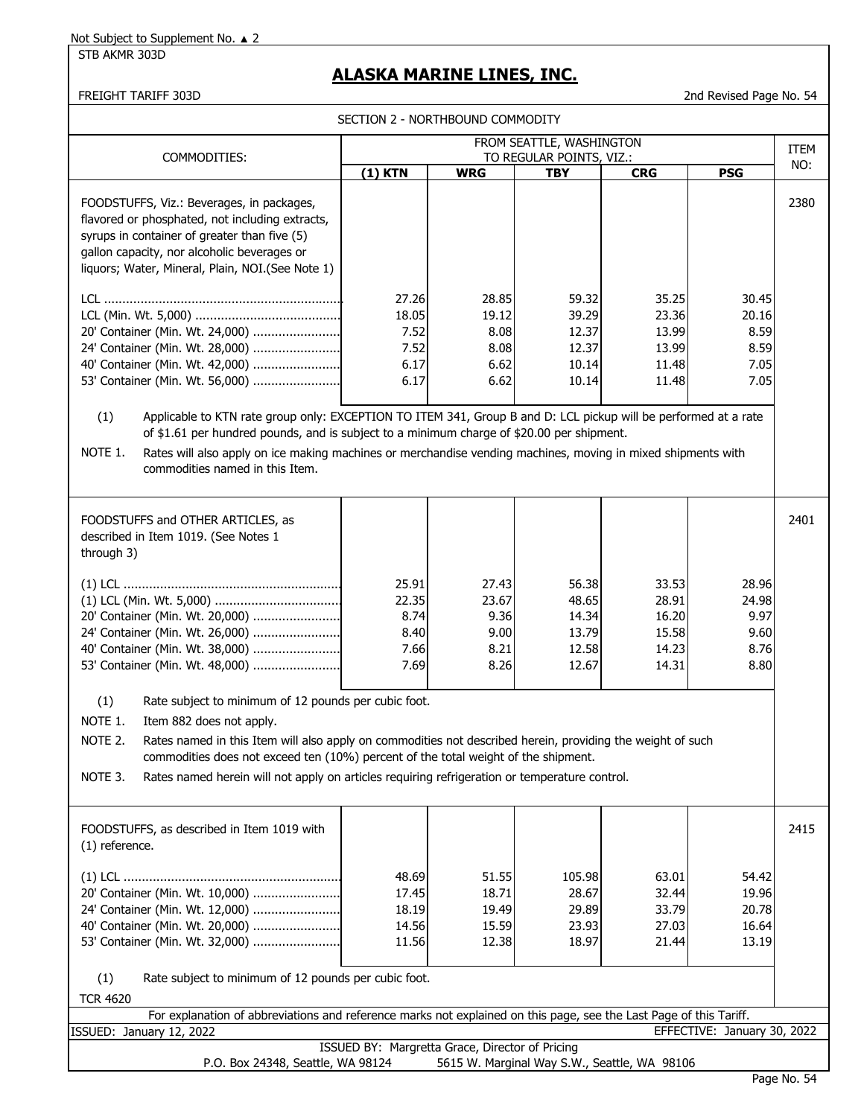STB AKMR 303D

## **ALASKA MARINE LINES, INC.**

FREIGHT TARIFF 303D 2nd Revised Page No. 54

SECTION 2 - NORTHROUND COMMODITY

|                                                                                                                                                                                                                                                                                                                                                                                                                               | SECTION Z - NORTHBOUND COMPUDIT                |                                                |                                                    |                                                    |                                                |             |
|-------------------------------------------------------------------------------------------------------------------------------------------------------------------------------------------------------------------------------------------------------------------------------------------------------------------------------------------------------------------------------------------------------------------------------|------------------------------------------------|------------------------------------------------|----------------------------------------------------|----------------------------------------------------|------------------------------------------------|-------------|
|                                                                                                                                                                                                                                                                                                                                                                                                                               |                                                |                                                | FROM SEATTLE, WASHINGTON                           |                                                    |                                                | <b>ITEM</b> |
| COMMODITIES:                                                                                                                                                                                                                                                                                                                                                                                                                  | $(1)$ KTN                                      | <b>WRG</b>                                     | TO REGULAR POINTS, VIZ.:<br><b>TBY</b>             | <b>CRG</b>                                         | <b>PSG</b>                                     | NO:         |
| FOODSTUFFS, Viz.: Beverages, in packages,<br>flavored or phosphated, not including extracts,<br>syrups in container of greater than five (5)<br>gallon capacity, nor alcoholic beverages or<br>liquors; Water, Mineral, Plain, NOI.(See Note 1)                                                                                                                                                                               |                                                |                                                |                                                    |                                                    |                                                | 2380        |
| 20' Container (Min. Wt. 24,000)<br>24' Container (Min. Wt. 28,000)<br>40' Container (Min. Wt. 42,000)<br>53' Container (Min. Wt. 56,000)                                                                                                                                                                                                                                                                                      | 27.26<br>18.05<br>7.52<br>7.52<br>6.17<br>6.17 | 28.85<br>19.12<br>8.08<br>8.08<br>6.62<br>6.62 | 59.32<br>39.29<br>12.37<br>12.37<br>10.14<br>10.14 | 35.25<br>23.36<br>13.99<br>13.99<br>11.48<br>11.48 | 30.45<br>20.16<br>8.59<br>8.59<br>7.05<br>7.05 |             |
| Applicable to KTN rate group only: EXCEPTION TO ITEM 341, Group B and D: LCL pickup will be performed at a rate<br>(1)                                                                                                                                                                                                                                                                                                        |                                                |                                                |                                                    |                                                    |                                                |             |
| of \$1.61 per hundred pounds, and is subject to a minimum charge of \$20.00 per shipment.<br>NOTE 1.<br>Rates will also apply on ice making machines or merchandise vending machines, moving in mixed shipments with<br>commodities named in this Item.                                                                                                                                                                       |                                                |                                                |                                                    |                                                    |                                                |             |
| FOODSTUFFS and OTHER ARTICLES, as<br>described in Item 1019. (See Notes 1<br>through 3)                                                                                                                                                                                                                                                                                                                                       |                                                |                                                |                                                    |                                                    |                                                | 2401        |
| 20' Container (Min. Wt. 20,000)<br>24' Container (Min. Wt. 26,000)<br>40' Container (Min. Wt. 38,000)<br>53' Container (Min. Wt. 48,000)                                                                                                                                                                                                                                                                                      | 25.91<br>22.35<br>8.74<br>8.40<br>7.66<br>7.69 | 27.43<br>23.67<br>9.36<br>9.00<br>8.21<br>8.26 | 56.38<br>48.65<br>14.34<br>13.79<br>12.58<br>12.67 | 33.53<br>28.91<br>16.20<br>15.58<br>14.23<br>14.31 | 28.96<br>24.98<br>9.97<br>9.60<br>8.76<br>8.80 |             |
| (1)<br>Rate subject to minimum of 12 pounds per cubic foot.<br>NOTE 1.<br>Item 882 does not apply.<br>NOTE 2.<br>Rates named in this Item will also apply on commodities not described herein, providing the weight of such<br>commodities does not exceed ten (10%) percent of the total weight of the shipment.<br>NOTE 3.<br>Rates named herein will not apply on articles requiring refrigeration or temperature control. |                                                |                                                |                                                    |                                                    |                                                |             |
| FOODSTUFFS, as described in Item 1019 with<br>(1) reference.                                                                                                                                                                                                                                                                                                                                                                  |                                                |                                                |                                                    |                                                    |                                                | 2415        |
| 20' Container (Min. Wt. 10,000)<br>24' Container (Min. Wt. 12,000)<br>40' Container (Min. Wt. 20,000)<br>53' Container (Min. Wt. 32,000)<br>(1)<br>Rate subject to minimum of 12 pounds per cubic foot.                                                                                                                                                                                                                       | 48.69<br>17.45<br>18.19<br>14.56<br>11.56      | 51.55<br>18.71<br>19.49<br>15.59<br>12.38      | 105.98<br>28.67<br>29.89<br>23.93<br>18.97         | 63.01<br>32.44<br>33.79<br>27.03<br>21.44          | 54.42<br>19.96<br>20.78<br>16.64<br>13.19      |             |
| <b>TCR 4620</b>                                                                                                                                                                                                                                                                                                                                                                                                               |                                                |                                                |                                                    |                                                    |                                                |             |

For explanation of abbreviations and reference marks not explained on this page, see the Last Page of this Tariff. ISSUED: January 12, 2022 EFFECTIVE: January 30, 2022 ISSUED BY: Margretta Grace, Director of Pricing

P.O. Box 24348, Seattle, WA 98124 5615 W. Marginal Way S.W., Seattle, WA 98106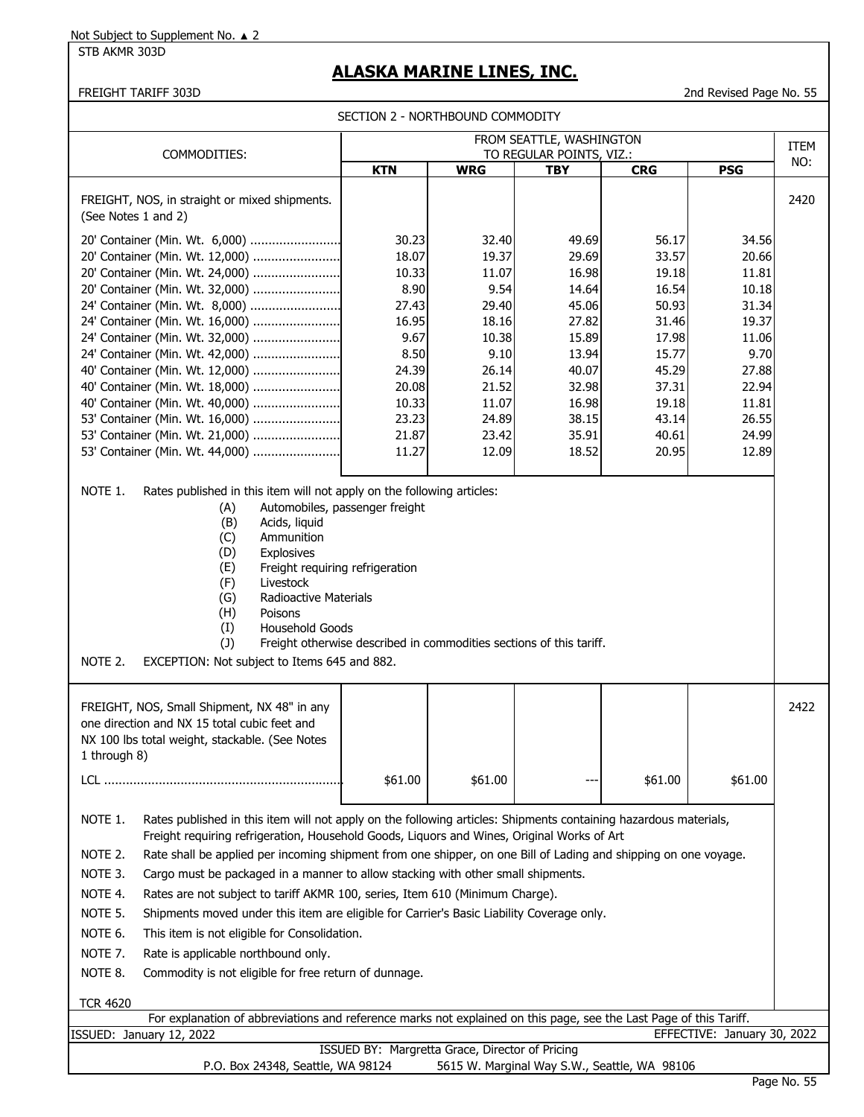STB AKMR 303D

# **ALASKA MARINE LINES, INC.**

FREIGHT TARIFF 303D 2nd Revised Page No. 55

|                                                                                                                                                                                                                                                                                                                                                                                                                                                                                                                                                                                                                                                                                                                                                                                                                                                               |                                                                                                                         | SECTION 2 - NORTHBOUND COMMODITY                                                                                         |                                                                                                                            |                                                                                                                            |                                                                                                                           |             |
|---------------------------------------------------------------------------------------------------------------------------------------------------------------------------------------------------------------------------------------------------------------------------------------------------------------------------------------------------------------------------------------------------------------------------------------------------------------------------------------------------------------------------------------------------------------------------------------------------------------------------------------------------------------------------------------------------------------------------------------------------------------------------------------------------------------------------------------------------------------|-------------------------------------------------------------------------------------------------------------------------|--------------------------------------------------------------------------------------------------------------------------|----------------------------------------------------------------------------------------------------------------------------|----------------------------------------------------------------------------------------------------------------------------|---------------------------------------------------------------------------------------------------------------------------|-------------|
|                                                                                                                                                                                                                                                                                                                                                                                                                                                                                                                                                                                                                                                                                                                                                                                                                                                               |                                                                                                                         |                                                                                                                          | FROM SEATTLE, WASHINGTON<br>TO REGULAR POINTS, VIZ.:                                                                       |                                                                                                                            |                                                                                                                           | <b>ITEM</b> |
| COMMODITIES:                                                                                                                                                                                                                                                                                                                                                                                                                                                                                                                                                                                                                                                                                                                                                                                                                                                  | <b>KTN</b>                                                                                                              | <b>WRG</b>                                                                                                               | <b>TBY</b>                                                                                                                 | <b>CRG</b>                                                                                                                 | <b>PSG</b>                                                                                                                | NO:         |
| FREIGHT, NOS, in straight or mixed shipments.<br>(See Notes 1 and 2)                                                                                                                                                                                                                                                                                                                                                                                                                                                                                                                                                                                                                                                                                                                                                                                          |                                                                                                                         |                                                                                                                          |                                                                                                                            |                                                                                                                            |                                                                                                                           | 2420        |
| 20' Container (Min. Wt. 6,000)<br>20' Container (Min. Wt. 12,000)<br>20' Container (Min. Wt. 24,000)<br>20' Container (Min. Wt. 32,000)<br>24' Container (Min. Wt. 8,000)<br>24' Container (Min. Wt. 16,000)<br>24' Container (Min. Wt. 32,000)<br>24' Container (Min. Wt. 42,000)<br>40' Container (Min. Wt. 12,000)<br>40' Container (Min. Wt. 18,000)<br>40' Container (Min. Wt. 40,000)<br>53' Container (Min. Wt. 16,000)<br>53' Container (Min. Wt. 21,000)<br>53' Container (Min. Wt. 44,000)                                                                                                                                                                                                                                                                                                                                                          | 30.23<br>18.07<br>10.33<br>8.90<br>27.43<br>16.95<br>9.67<br>8.50<br>24.39<br>20.08<br>10.33<br>23.23<br>21.87<br>11.27 | 32.40<br>19.37<br>11.07<br>9.54<br>29.40<br>18.16<br>10.38<br>9.10<br>26.14<br>21.52<br>11.07<br>24.89<br>23.42<br>12.09 | 49.69<br>29.69<br>16.98<br>14.64<br>45.06<br>27.82<br>15.89<br>13.94<br>40.07<br>32.98<br>16.98<br>38.15<br>35.91<br>18.52 | 56.17<br>33.57<br>19.18<br>16.54<br>50.93<br>31.46<br>17.98<br>15.77<br>45.29<br>37.31<br>19.18<br>43.14<br>40.61<br>20.95 | 34.56<br>20.66<br>11.81<br>10.18<br>31.34<br>19.37<br>11.06<br>9.70<br>27.88<br>22.94<br>11.81<br>26.55<br>24.99<br>12.89 |             |
| NOTE 1.<br>Rates published in this item will not apply on the following articles:<br>Automobiles, passenger freight<br>(A)<br>(B)<br>Acids, liquid<br>Ammunition<br>(C)<br>(D)<br>Explosives<br>Freight requiring refrigeration<br>(E)<br>(F)<br>Livestock<br>(G)<br><b>Radioactive Materials</b><br>(H)<br>Poisons<br>(I)<br>Household Goods<br>(1)<br>NOTE 2.<br>EXCEPTION: Not subject to Items 645 and 882.                                                                                                                                                                                                                                                                                                                                                                                                                                               |                                                                                                                         | Freight otherwise described in commodities sections of this tariff.                                                      |                                                                                                                            |                                                                                                                            |                                                                                                                           |             |
| FREIGHT, NOS, Small Shipment, NX 48" in any<br>one direction and NX 15 total cubic feet and<br>NX 100 lbs total weight, stackable. (See Notes<br>1 through 8)                                                                                                                                                                                                                                                                                                                                                                                                                                                                                                                                                                                                                                                                                                 |                                                                                                                         |                                                                                                                          |                                                                                                                            |                                                                                                                            |                                                                                                                           | 2422        |
|                                                                                                                                                                                                                                                                                                                                                                                                                                                                                                                                                                                                                                                                                                                                                                                                                                                               | \$61.00                                                                                                                 | \$61.00                                                                                                                  |                                                                                                                            | \$61.00                                                                                                                    | \$61.00                                                                                                                   |             |
| NOTE 1.<br>Rates published in this item will not apply on the following articles: Shipments containing hazardous materials,<br>Freight requiring refrigeration, Household Goods, Liquors and Wines, Original Works of Art<br>NOTE 2.<br>Rate shall be applied per incoming shipment from one shipper, on one Bill of Lading and shipping on one voyage.<br>NOTE 3.<br>Cargo must be packaged in a manner to allow stacking with other small shipments.<br>NOTE 4.<br>Rates are not subject to tariff AKMR 100, series, Item 610 (Minimum Charge).<br>NOTE 5.<br>Shipments moved under this item are eligible for Carrier's Basic Liability Coverage only.<br>NOTE 6.<br>This item is not eligible for Consolidation.<br>NOTE 7.<br>Rate is applicable northbound only.<br>NOTE 8.<br>Commodity is not eligible for free return of dunnage.<br><b>TCR 4620</b> |                                                                                                                         |                                                                                                                          |                                                                                                                            |                                                                                                                            |                                                                                                                           |             |
| For explanation of abbreviations and reference marks not explained on this page, see the Last Page of this Tariff.                                                                                                                                                                                                                                                                                                                                                                                                                                                                                                                                                                                                                                                                                                                                            |                                                                                                                         |                                                                                                                          |                                                                                                                            |                                                                                                                            |                                                                                                                           |             |
| ISSUED: January 12, 2022                                                                                                                                                                                                                                                                                                                                                                                                                                                                                                                                                                                                                                                                                                                                                                                                                                      |                                                                                                                         | ISSUED BY: Margretta Grace, Director of Pricing                                                                          |                                                                                                                            |                                                                                                                            | EFFECTIVE: January 30, 2022                                                                                               |             |
|                                                                                                                                                                                                                                                                                                                                                                                                                                                                                                                                                                                                                                                                                                                                                                                                                                                               |                                                                                                                         |                                                                                                                          |                                                                                                                            |                                                                                                                            |                                                                                                                           |             |

P.O. Box 24348, Seattle, WA 98124 5615 W. Marginal Way S.W., Seattle, WA 98106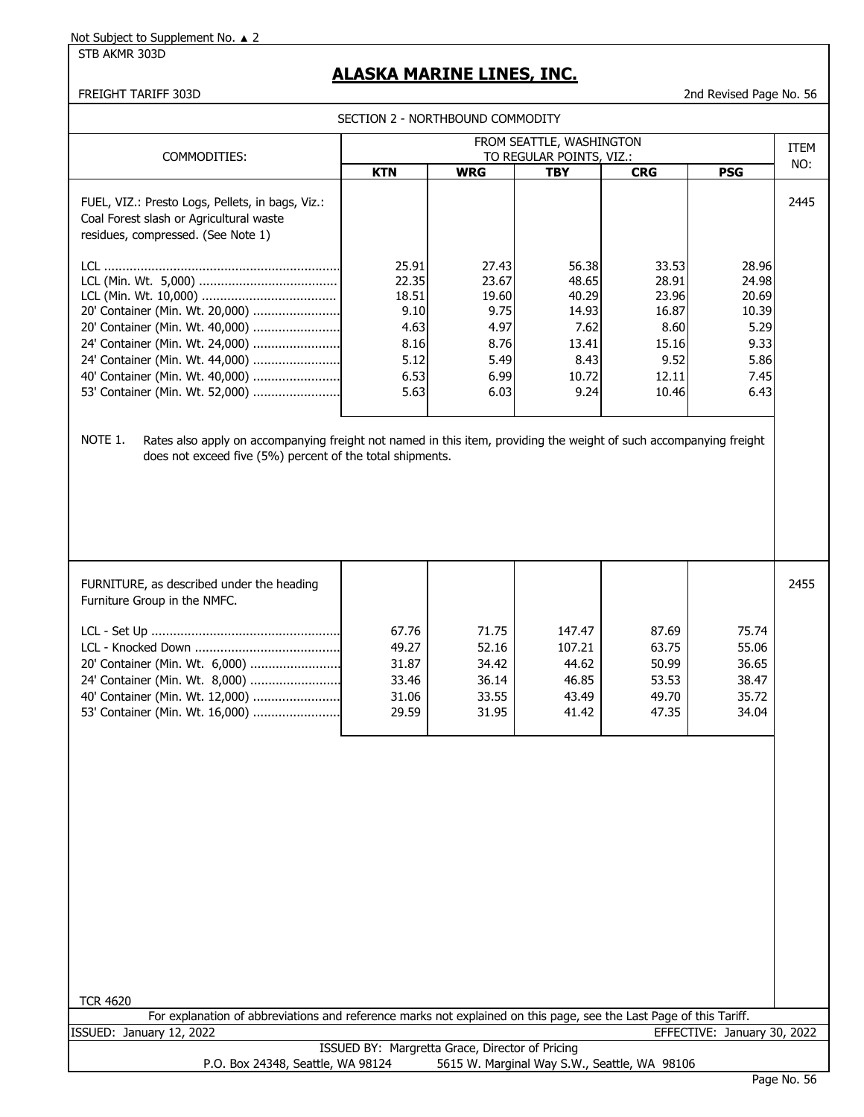STB AKMR 303D

## **ALASKA MARINE LINES, INC.**

## FREIGHT TARIFF 303D 2nd Revised Page No. 56

SECTION 2 - NORTHBOUND COMMODITY

|                                                                                                                                   | SECTION 2 - NORTHBOUND COMMODITY |            | FROM SEATTLE, WASHINGTON |            |              |                    |
|-----------------------------------------------------------------------------------------------------------------------------------|----------------------------------|------------|--------------------------|------------|--------------|--------------------|
| COMMODITIES:                                                                                                                      |                                  |            | TO REGULAR POINTS, VIZ.: |            |              | <b>ITEM</b><br>NO: |
|                                                                                                                                   | <b>KTN</b>                       | <b>WRG</b> | <b>TBY</b>               | <b>CRG</b> | <b>PSG</b>   |                    |
| FUEL, VIZ.: Presto Logs, Pellets, in bags, Viz.:<br>Coal Forest slash or Agricultural waste<br>residues, compressed. (See Note 1) |                                  |            |                          |            |              | 2445               |
|                                                                                                                                   | 25.91                            | 27.43      | 56.38                    | 33.53      | 28.96        |                    |
|                                                                                                                                   | 22.35                            | 23.67      | 48.65                    | 28.91      | 24.98        |                    |
|                                                                                                                                   | 18.51                            | 19.60      | 40.29                    | 23.96      | 20.69        |                    |
| 20' Container (Min. Wt. 20,000)                                                                                                   | 9.10                             | 9.75       | 14.93                    | 16.87      | 10.39        |                    |
| 20' Container (Min. Wt. 40,000)                                                                                                   | 4.63                             | 4.97       | 7.62                     | 8.60       | 5.29         |                    |
| 24' Container (Min. Wt. 24,000)                                                                                                   | 8.16<br>5.12                     | 8.76       | 13.41                    | 15.16      | 9.33         |                    |
| 24' Container (Min. Wt. 44,000)                                                                                                   | 6.53                             | 5.49       | 8.43                     | 9.52       | 5.86         |                    |
| 40' Container (Min. Wt. 40,000)                                                                                                   |                                  | 6.99       | 10.72                    | 12.11      | 7.45<br>6.43 |                    |
| 53' Container (Min. Wt. 52,000)                                                                                                   | 5.63                             | 6.03       | 9.24                     | 10.46      |              |                    |
|                                                                                                                                   |                                  |            |                          |            |              |                    |
| FURNITURE, as described under the heading<br>Furniture Group in the NMFC.                                                         |                                  |            |                          |            |              | 2455               |
|                                                                                                                                   | 67.76                            | 71.75      | 147.47                   | 87.69      | 75.74        |                    |
|                                                                                                                                   | 49.27                            | 52.16      | 107.21                   | 63.75      | 55.06        |                    |
| 20' Container (Min. Wt. 6,000)                                                                                                    | 31.87                            | 34.42      | 44.62                    | 50.99      | 36.65        |                    |
| 24' Container (Min. Wt. 8,000)                                                                                                    | 33.46                            | 36.14      | 46.85                    | 53.53      | 38.47        |                    |
| 40' Container (Min. Wt. 12,000)                                                                                                   | 31.06                            | 33.55      | 43.49                    | 49.70      | 35.72        |                    |
| 53' Container (Min. Wt. 16,000)                                                                                                   | 29.59                            | 31.95      | 41.42                    | 47.35      | 34.04        |                    |
|                                                                                                                                   |                                  |            |                          |            |              |                    |

TCR 4620

For explanation of abbreviations and reference marks not explained on this page, see the Last Page of this Tariff. ISSUED: January 12, 2022 EFFECTIVE: January 30, 2022

> ISSUED BY: Margretta Grace, Director of Pricing P.O. Box 24348, Seattle, WA 98124 5615 W. Marginal Way S.W., Seattle, WA 98106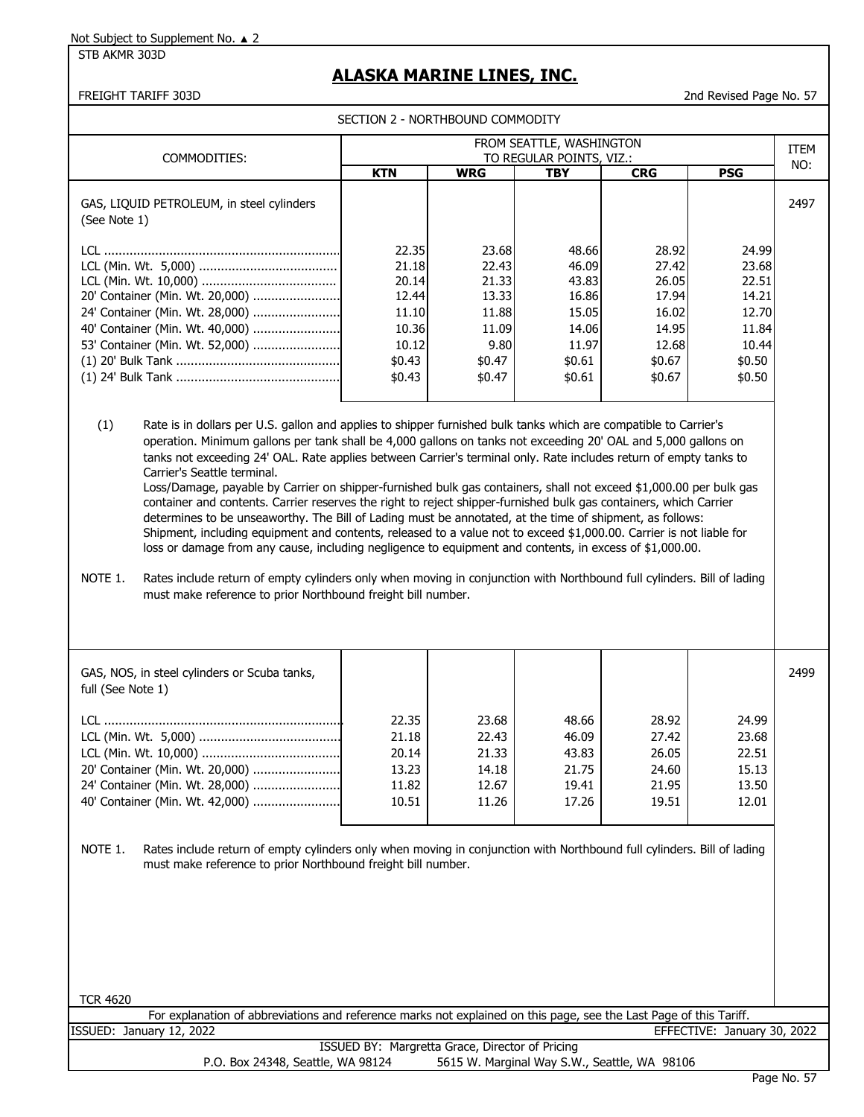STB AKMR 303D

## **ALASKA MARINE LINES, INC.**

SECTION 2 - NORTHROUND COMMODITY

FREIGHT TARIFF 303D 2nd Revised Page No. 57

| COMMODITIES:                                              | FROM SEATTLE, WASHINGTON<br>TO REGULAR POINTS, VIZ.:                            |                                                                                |                                                                                 |                                                                                 |                                                                                 |      |  |
|-----------------------------------------------------------|---------------------------------------------------------------------------------|--------------------------------------------------------------------------------|---------------------------------------------------------------------------------|---------------------------------------------------------------------------------|---------------------------------------------------------------------------------|------|--|
|                                                           | <b>KTN</b>                                                                      | <b>WRG</b>                                                                     | TBY                                                                             | <b>CRG</b>                                                                      | <b>PSG</b>                                                                      | NO:  |  |
| GAS, LIQUID PETROLEUM, in steel cylinders<br>(See Note 1) |                                                                                 |                                                                                |                                                                                 |                                                                                 |                                                                                 | 2497 |  |
| 24' Container (Min. Wt. 28,000)                           | 22.35<br>21.18<br>20.14<br>12.44<br>11.10<br>10.36<br>10.12<br>\$0.43<br>\$0.43 | 23.68<br>22.43<br>21.33<br>13.33<br>11.88<br>11.09<br>9.80<br>\$0.47<br>\$0.47 | 48.66<br>46.09<br>43.83<br>16.86<br>15.05<br>14.06<br>11.97<br>\$0.61<br>\$0.61 | 28.92<br>27.42<br>26.05<br>17.94<br>16.02<br>14.95<br>12.68<br>\$0.67<br>\$0.67 | 24.99<br>23.68<br>22.51<br>14.21<br>12.70<br>11.84<br>10.44<br>\$0.50<br>\$0.50 |      |  |

(1) Rate is in dollars per U.S. gallon and applies to shipper furnished bulk tanks which are compatible to Carrier's operation. Minimum gallons per tank shall be 4,000 gallons on tanks not exceeding 20' OAL and 5,000 gallons on tanks not exceeding 24' OAL. Rate applies between Carrier's terminal only. Rate includes return of empty tanks to Carrier's Seattle terminal.

Loss/Damage, payable by Carrier on shipper-furnished bulk gas containers, shall not exceed \$1,000.00 per bulk gas container and contents. Carrier reserves the right to reject shipper-furnished bulk gas containers, which Carrier determines to be unseaworthy. The Bill of Lading must be annotated, at the time of shipment, as follows: Shipment, including equipment and contents, released to a value not to exceed \$1,000.00. Carrier is not liable for loss or damage from any cause, including negligence to equipment and contents, in excess of \$1,000.00.

NOTE 1. Rates include return of empty cylinders only when moving in conjunction with Northbound full cylinders. Bill of lading must make reference to prior Northbound freight bill number.

| GAS, NOS, in steel cylinders or Scuba tanks,<br>full (See Note 1)                                                                                                                            |                                           |                                           |                                           |                                           |                                           | 2499 |
|----------------------------------------------------------------------------------------------------------------------------------------------------------------------------------------------|-------------------------------------------|-------------------------------------------|-------------------------------------------|-------------------------------------------|-------------------------------------------|------|
| <u>I Clarence and the contract of the contract of the contract of the contract of the contract of the contract of </u><br>20' Container (Min. Wt. 20,000)<br>24' Container (Min. Wt. 28,000) | 22.35<br>21.18<br>20.14<br>13.23<br>11.82 | 23.68<br>22.43<br>21.33<br>14.18<br>12.67 | 48.66<br>46.09<br>43.83<br>21.75<br>19.41 | 28.92<br>27.42<br>26.05<br>24.60<br>21.95 | 24.99<br>23.68<br>22.51<br>15.13<br>13.50 |      |
|                                                                                                                                                                                              | 10.51                                     | 11.26                                     | 17.26                                     | 19.51                                     | 12.01                                     |      |

NOTE 1. Rates include return of empty cylinders only when moving in conjunction with Northbound full cylinders. Bill of lading must make reference to prior Northbound freight bill number.

| TCR 4620                                        |                                                                                                                    |                             |  |  |  |  |  |  |
|-------------------------------------------------|--------------------------------------------------------------------------------------------------------------------|-----------------------------|--|--|--|--|--|--|
|                                                 | For explanation of abbreviations and reference marks not explained on this page, see the Last Page of this Tariff. |                             |  |  |  |  |  |  |
|                                                 | ISSUED: January 12, 2022                                                                                           | EFFECTIVE: January 30, 2022 |  |  |  |  |  |  |
| ISSUED BY: Margretta Grace, Director of Pricing |                                                                                                                    |                             |  |  |  |  |  |  |
|                                                 | 5615 W. Marginal Way S.W., Seattle, WA 98106<br>P.O. Box 24348, Seattle, WA 98124                                  |                             |  |  |  |  |  |  |
|                                                 |                                                                                                                    |                             |  |  |  |  |  |  |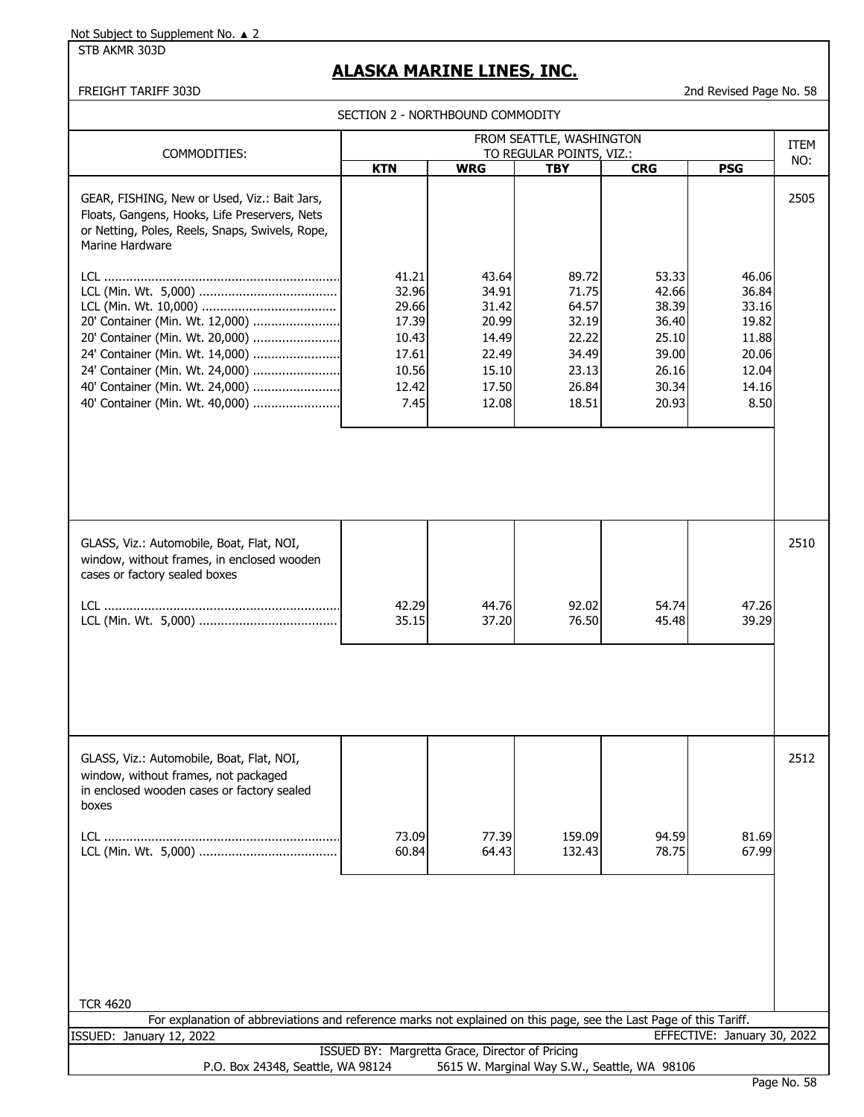STB AKMR 303D

# **ALASKA MARINE LINES, INC.**

| SECTION 2 - NORTHBOUND COMMODITY |  |
|----------------------------------|--|
|----------------------------------|--|

|                                                                                                                                                                                                                                                                                                                                                                                       | FROM SEATTLE, WASHINGTON                                                     |                                                                               |                                                                               |                                                                               |                                                                              |                    |  |  |  |  |
|---------------------------------------------------------------------------------------------------------------------------------------------------------------------------------------------------------------------------------------------------------------------------------------------------------------------------------------------------------------------------------------|------------------------------------------------------------------------------|-------------------------------------------------------------------------------|-------------------------------------------------------------------------------|-------------------------------------------------------------------------------|------------------------------------------------------------------------------|--------------------|--|--|--|--|
| COMMODITIES:                                                                                                                                                                                                                                                                                                                                                                          |                                                                              |                                                                               | TO REGULAR POINTS, VIZ.:                                                      |                                                                               |                                                                              | <b>ITEM</b><br>NO: |  |  |  |  |
|                                                                                                                                                                                                                                                                                                                                                                                       | <b>KTN</b>                                                                   | <b>WRG</b>                                                                    | <b>TBY</b>                                                                    | <b>CRG</b>                                                                    | <b>PSG</b>                                                                   |                    |  |  |  |  |
| GEAR, FISHING, New or Used, Viz.: Bait Jars,<br>Floats, Gangens, Hooks, Life Preservers, Nets<br>or Netting, Poles, Reels, Snaps, Swivels, Rope,<br>Marine Hardware<br>20' Container (Min. Wt. 12,000)<br>20' Container (Min. Wt. 20,000)<br>24' Container (Min. Wt. 14,000)<br>24' Container (Min. Wt. 24,000)<br>40' Container (Min. Wt. 24,000)<br>40' Container (Min. Wt. 40,000) | 41.21<br>32.96<br>29.66<br>17.39<br>10.43<br>17.61<br>10.56<br>12.42<br>7.45 | 43.64<br>34.91<br>31.42<br>20.99<br>14.49<br>22.49<br>15.10<br>17.50<br>12.08 | 89.72<br>71.75<br>64.57<br>32.19<br>22.22<br>34.49<br>23.13<br>26.84<br>18.51 | 53.33<br>42.66<br>38.39<br>36.40<br>25.10<br>39.00<br>26.16<br>30.34<br>20.93 | 46.06<br>36.84<br>33.16<br>19.82<br>11.88<br>20.06<br>12.04<br>14.16<br>8.50 | 2505               |  |  |  |  |
|                                                                                                                                                                                                                                                                                                                                                                                       |                                                                              |                                                                               |                                                                               |                                                                               |                                                                              |                    |  |  |  |  |
| GLASS, Viz.: Automobile, Boat, Flat, NOI,<br>window, without frames, in enclosed wooden<br>cases or factory sealed boxes                                                                                                                                                                                                                                                              |                                                                              |                                                                               |                                                                               |                                                                               |                                                                              | 2510               |  |  |  |  |
|                                                                                                                                                                                                                                                                                                                                                                                       | 42.29<br>35.15                                                               | 44.76<br>37.20                                                                | 92.02<br>76.50                                                                | 54.74<br>45.48                                                                | 47.26<br>39.29                                                               |                    |  |  |  |  |
|                                                                                                                                                                                                                                                                                                                                                                                       |                                                                              |                                                                               |                                                                               |                                                                               |                                                                              |                    |  |  |  |  |
| GLASS, Viz.: Automobile, Boat, Flat, NOI,<br>window, without frames, not packaged<br>in enclosed wooden cases or factory sealed<br>boxes                                                                                                                                                                                                                                              |                                                                              |                                                                               |                                                                               |                                                                               |                                                                              | 2512               |  |  |  |  |
|                                                                                                                                                                                                                                                                                                                                                                                       | 73.09<br>60.84                                                               | 77.39<br>64.43                                                                | 159.09<br>132.43                                                              | 94.59<br>78.75                                                                | 81.69<br>67.99                                                               |                    |  |  |  |  |
| <b>TCR 4620</b><br>For explanation of abbreviations and reference marks not explained on this page, see the Last Page of this Tariff.                                                                                                                                                                                                                                                 |                                                                              |                                                                               |                                                                               |                                                                               |                                                                              |                    |  |  |  |  |
| ISSUED: January 12, 2022                                                                                                                                                                                                                                                                                                                                                              |                                                                              |                                                                               |                                                                               |                                                                               | EFFECTIVE: January 30, 2022                                                  |                    |  |  |  |  |
|                                                                                                                                                                                                                                                                                                                                                                                       | ISSUED BY: Margretta Grace, Director of Pricing                              |                                                                               |                                                                               |                                                                               |                                                                              |                    |  |  |  |  |
| P.O. Box 24348, Seattle, WA 98124                                                                                                                                                                                                                                                                                                                                                     |                                                                              |                                                                               |                                                                               | 5615 W. Marginal Way S.W., Seattle, WA 98106                                  |                                                                              |                    |  |  |  |  |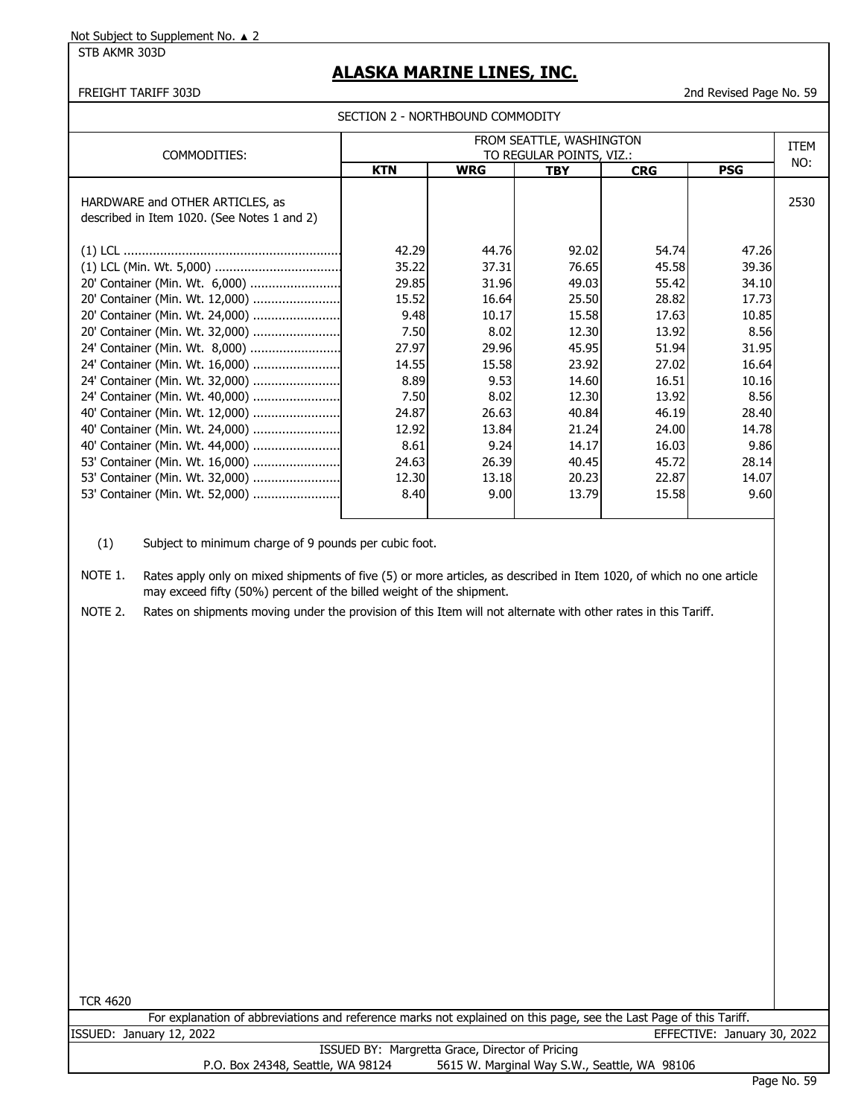STB AKMR 303D

# **ALASKA MARINE LINES, INC.**

FREIGHT TARIFF 303D 2nd Revised Page No. 59

| COMMODITIES:                                                                   | FROM SEATTLE, WASHINGTON<br>TO REGULAR POINTS, VIZ.: |            |            |            |            |      |  |  |  |
|--------------------------------------------------------------------------------|------------------------------------------------------|------------|------------|------------|------------|------|--|--|--|
|                                                                                | <b>KTN</b>                                           | <b>WRG</b> | <b>TBY</b> | <b>CRG</b> | <b>PSG</b> | NO:  |  |  |  |
| HARDWARE and OTHER ARTICLES, as<br>described in Item 1020. (See Notes 1 and 2) |                                                      |            |            |            |            | 2530 |  |  |  |
|                                                                                | 42.29                                                | 44.76      | 92.02      | 54.74      | 47.26      |      |  |  |  |
|                                                                                | 35.22                                                | 37.31      | 76.65      | 45.58      | 39.36      |      |  |  |  |
| 20' Container (Min. Wt. 6,000)                                                 | 29.85                                                | 31.96      | 49.03      | 55.42      | 34.10      |      |  |  |  |
| 20' Container (Min. Wt. 12,000)                                                | 15.52                                                | 16.64      | 25.50      | 28.82      | 17.73      |      |  |  |  |
| 20' Container (Min. Wt. 24,000)                                                | 9.48                                                 | 10.17      | 15.58      | 17.63      | 10.85      |      |  |  |  |
| 20' Container (Min. Wt. 32,000)                                                | 7.50                                                 | 8.02       | 12.30      | 13.92      | 8.56       |      |  |  |  |
| 24' Container (Min. Wt. 8,000)                                                 | 27.97                                                | 29.96      | 45.95      | 51.94      | 31.95      |      |  |  |  |
| 24' Container (Min. Wt. 16,000)                                                | 14.55                                                | 15.58      | 23.92      | 27.02      | 16.64      |      |  |  |  |
| 24' Container (Min. Wt. 32,000)                                                | 8.89                                                 | 9.53       | 14.60      | 16.51      | 10.16      |      |  |  |  |
| 24' Container (Min. Wt. 40,000)                                                | 7.50                                                 | 8.02       | 12.30      | 13.92      | 8.56       |      |  |  |  |
| 40' Container (Min. Wt. 12,000)                                                | 24.87                                                | 26.63      | 40.84      | 46.19      | 28.40      |      |  |  |  |
| 40' Container (Min. Wt. 24,000)                                                | 12.92                                                | 13.84      | 21.24      | 24.00      | 14.78      |      |  |  |  |
| 40' Container (Min. Wt. 44,000)                                                | 8.61                                                 | 9.24       | 14.17      | 16.03      | 9.86       |      |  |  |  |
| 53' Container (Min. Wt. 16,000)                                                | 24.63                                                | 26.39      | 40.45      | 45.72      | 28.14      |      |  |  |  |
| 53' Container (Min. Wt. 32,000)                                                | 12.30                                                | 13.18      | 20.23      | 22.87      | 14.07      |      |  |  |  |
| 53' Container (Min. Wt. 52,000)                                                | 8.40                                                 | 9.00       | 13.79      | 15.58      | 9.60       |      |  |  |  |

(1) Subject to minimum charge of 9 pounds per cubic foot.

NOTE 1. Rates apply only on mixed shipments of five (5) or more articles, as described in Item 1020, of which no one article may exceed fifty (50%) percent of the billed weight of the shipment.

NOTE 2. Rates on shipments moving under the provision of this Item will not alternate with other rates in this Tariff.

| 0<br>r.<br><br>ν<br>u<br>×<br>v<br>۰. |  |
|---------------------------------------|--|
|                                       |  |

|                          | For explanation of abbreviations and reference marks not explained on this page, see the Last Page of this Tariff. |  |  |                             |  |
|--------------------------|--------------------------------------------------------------------------------------------------------------------|--|--|-----------------------------|--|
| ISSUED: January 12, 2022 |                                                                                                                    |  |  | EFFECTIVE: January 30, 2022 |  |
|                          |                                                                                                                    |  |  |                             |  |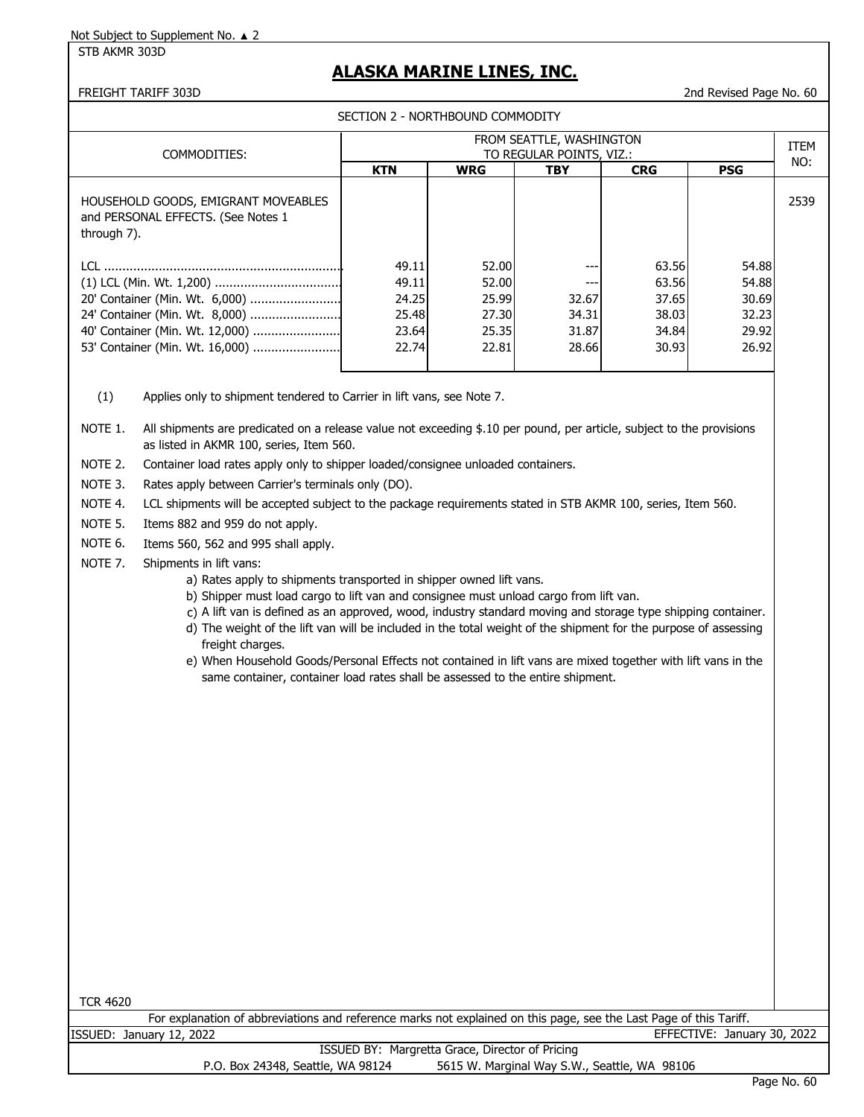STB AKMR 303D

## **ALASKA MARINE LINES, INC.**

FREIGHT TARIFF 303D 2nd Revised Page No. 60

SECTION 2 - NORTHBOUND COMMODITY

| COMMODITIES:                                                                             | FROM SEATTLE, WASHINGTON<br>TO REGULAR POINTS, VIZ.: |            |            |            |            |      |  |  |  |
|------------------------------------------------------------------------------------------|------------------------------------------------------|------------|------------|------------|------------|------|--|--|--|
|                                                                                          | <b>KTN</b>                                           | <b>WRG</b> | <b>TBY</b> | <b>CRG</b> | <b>PSG</b> | NO:  |  |  |  |
| HOUSEHOLD GOODS, EMIGRANT MOVEABLES<br>and PERSONAL EFFECTS. (See Notes 1<br>through 7). |                                                      |            |            |            |            | 2539 |  |  |  |
|                                                                                          | 49.11                                                | 52.00      |            | 63.56      | 54.88      |      |  |  |  |
|                                                                                          | 49.11                                                | 52.00      |            | 63.56      | 54.88      |      |  |  |  |
|                                                                                          | 24.25                                                | 25.99      | 32.67      | 37.65      | 30.69      |      |  |  |  |
| 24' Container (Min. Wt. 8,000)                                                           | 25.48                                                | 27.30      | 34.31      | 38.03      | 32.23      |      |  |  |  |
|                                                                                          | 23.64                                                | 25.35      | 31.87      | 34.84      | 29.92      |      |  |  |  |
|                                                                                          | 22.74                                                | 22.81      | 28.66      | 30.93      | 26.92      |      |  |  |  |

(1) Applies only to shipment tendered to Carrier in lift vans, see Note 7.

NOTE 1. All shipments are predicated on a release value not exceeding \$.10 per pound, per article, subject to the provisions as listed in AKMR 100, series, Item 560.

NOTE 2. Container load rates apply only to shipper loaded/consignee unloaded containers.

NOTE 3. Rates apply between Carrier's terminals only (DO).

NOTE 4. LCL shipments will be accepted subject to the package requirements stated in STB AKMR 100, series, Item 560.

NOTE 5. Items 882 and 959 do not apply.

NOTE 6. Items 560, 562 and 995 shall apply.

- NOTE 7. Shipments in lift vans:
	- a) Rates apply to shipments transported in shipper owned lift vans.
	- b) Shipper must load cargo to lift van and consignee must unload cargo from lift van.
	- c) A lift van is defined as an approved, wood, industry standard moving and storage type shipping container.
	- d) The weight of the lift van will be included in the total weight of the shipment for the purpose of assessing freight charges.
	- e) When Household Goods/Personal Effects not contained in lift vans are mixed together with lift vans in the same container, container load rates shall be assessed to the entire shipment.

| °CR 4620 |  |
|----------|--|
|          |  |

|         |         |      |  |              |  |  |  |  |  | For explanation of abbreviations and reference marks not explained on this page, see the Last Page of this Tariff. |                  |  |
|---------|---------|------|--|--------------|--|--|--|--|--|--------------------------------------------------------------------------------------------------------------------|------------------|--|
| ISSUED: | January | 2022 |  |              |  |  |  |  |  | <b>TIVE</b>                                                                                                        | January 30, 2022 |  |
|         |         |      |  | $\mathbf{r}$ |  |  |  |  |  |                                                                                                                    |                  |  |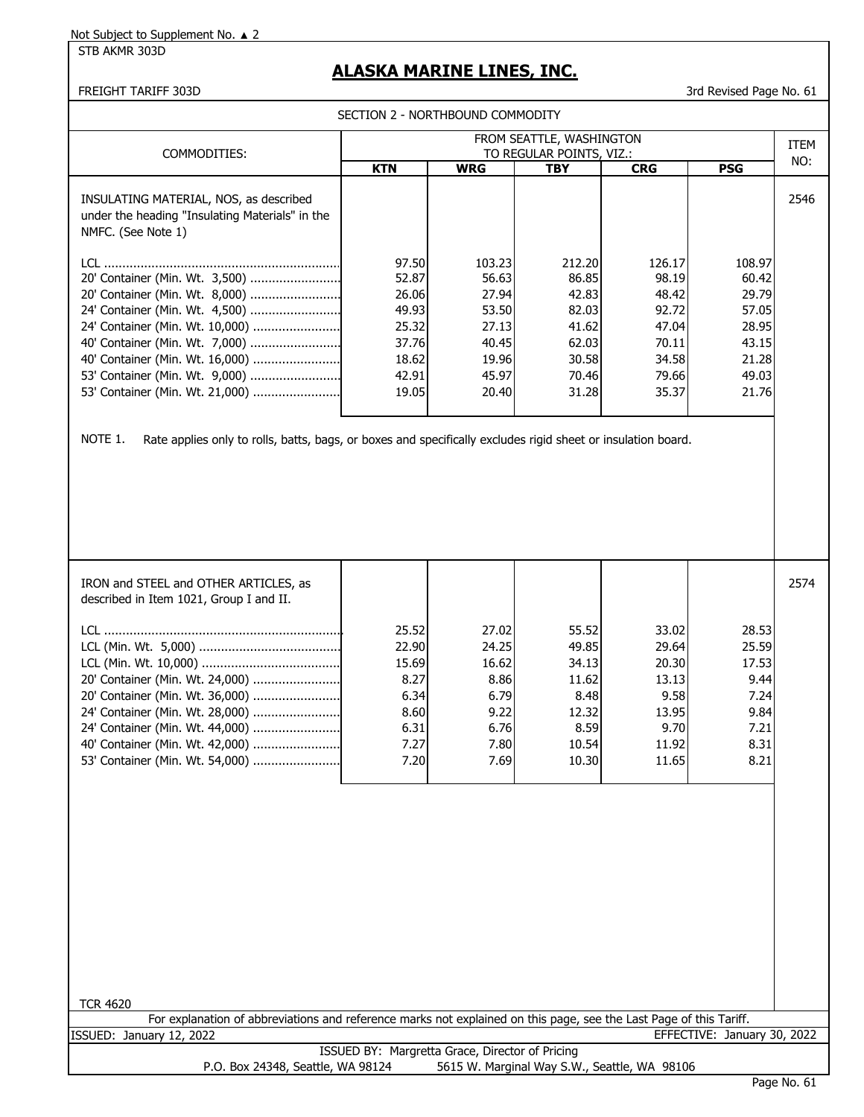STB AKMR 303D

## **ALASKA MARINE LINES, INC.**

#### FREIGHT TARIFF 303D 3rd Revised Page No. 61

SECTION 2 - NORTHROUND COMMODITY

| FROM SEATTLE, WASHINGTON                                                                                                                                                                                                                                                        |                                                                               |                                                                                |                                                                                |                                                                                |                                                                                |      |  |  |  |  |  |
|---------------------------------------------------------------------------------------------------------------------------------------------------------------------------------------------------------------------------------------------------------------------------------|-------------------------------------------------------------------------------|--------------------------------------------------------------------------------|--------------------------------------------------------------------------------|--------------------------------------------------------------------------------|--------------------------------------------------------------------------------|------|--|--|--|--|--|
| COMMODITIES:                                                                                                                                                                                                                                                                    | TO REGULAR POINTS, VIZ.:                                                      |                                                                                |                                                                                |                                                                                |                                                                                |      |  |  |  |  |  |
|                                                                                                                                                                                                                                                                                 | <b>KTN</b>                                                                    | <b>WRG</b>                                                                     | TBY                                                                            | <b>CRG</b>                                                                     | <b>PSG</b>                                                                     | NO:  |  |  |  |  |  |
| INSULATING MATERIAL, NOS, as described<br>under the heading "Insulating Materials" in the<br>NMFC. (See Note 1)                                                                                                                                                                 |                                                                               |                                                                                |                                                                                |                                                                                |                                                                                | 2546 |  |  |  |  |  |
| 20' Container (Min. Wt. 3,500)<br>20' Container (Min. Wt. 8,000)<br>24' Container (Min. Wt. 4,500)<br>24' Container (Min. Wt. 10,000)<br>40' Container (Min. Wt. 7,000)<br>40' Container (Min. Wt. 16,000)<br>53' Container (Min. Wt. 9,000)<br>53' Container (Min. Wt. 21,000) | 97.50<br>52.87<br>26.06<br>49.93<br>25.32<br>37.76<br>18.62<br>42.91<br>19.05 | 103.23<br>56.63<br>27.94<br>53.50<br>27.13<br>40.45<br>19.96<br>45.97<br>20.40 | 212.20<br>86.85<br>42.83<br>82.03<br>41.62<br>62.03<br>30.58<br>70.46<br>31.28 | 126.17<br>98.19<br>48.42<br>92.72<br>47.04<br>70.11<br>34.58<br>79.66<br>35.37 | 108.97<br>60.42<br>29.79<br>57.05<br>28.95<br>43.15<br>21.28<br>49.03<br>21.76 |      |  |  |  |  |  |

NOTE 1. Rate applies only to rolls, batts, bags, or boxes and specifically excludes rigid sheet or insulation board.

| IRON and STEEL and OTHER ARTICLES, as<br>described in Item 1021, Group I and II. |       |       |       |       |       | 2574 |
|----------------------------------------------------------------------------------|-------|-------|-------|-------|-------|------|
| LCL.                                                                             | 25.52 | 27.02 | 55.52 | 33.02 | 28.53 |      |
|                                                                                  | 22.90 | 24.25 | 49.85 | 29.64 | 25.59 |      |
|                                                                                  | 15.69 | 16.62 | 34.13 | 20.30 | 17.53 |      |
| 20' Container (Min. Wt. 24,000)                                                  | 8.27  | 8.86  | 11.62 | 13.13 | 9.44  |      |
|                                                                                  | 6.34  | 6.79  | 8.48  | 9.58  | 7.24  |      |
| 24' Container (Min. Wt. 28,000)                                                  | 8.60  | 9.22  | 12.32 | 13.95 | 9.84  |      |
| 24' Container (Min. Wt. 44,000)                                                  | 6.31  | 6.76  | 8.59  | 9.70  | 7.21  |      |
| 40' Container (Min. Wt. 42,000)                                                  | 7.27  | 7.80  | 10.54 | 11.92 | 8.31  |      |
| 53' Container (Min. Wt. 54,000)                                                  | 7.20  | 7.69  | 10.30 | 11.65 | 8.21  |      |
|                                                                                  |       |       |       |       |       |      |

| <b>TCR 4620</b>                                 |                                                                                                                    |  |  |  |  |  |  |  |  |
|-------------------------------------------------|--------------------------------------------------------------------------------------------------------------------|--|--|--|--|--|--|--|--|
|                                                 | For explanation of abbreviations and reference marks not explained on this page, see the Last Page of this Tariff. |  |  |  |  |  |  |  |  |
| ISSUED: January 12, 2022                        | EFFECTIVE: January 30, 2022                                                                                        |  |  |  |  |  |  |  |  |
| ISSUED BY: Margretta Grace, Director of Pricing |                                                                                                                    |  |  |  |  |  |  |  |  |
| P.O. Box 24348, Seattle, WA 98124               | 5615 W. Marginal Way S.W., Seattle, WA 98106                                                                       |  |  |  |  |  |  |  |  |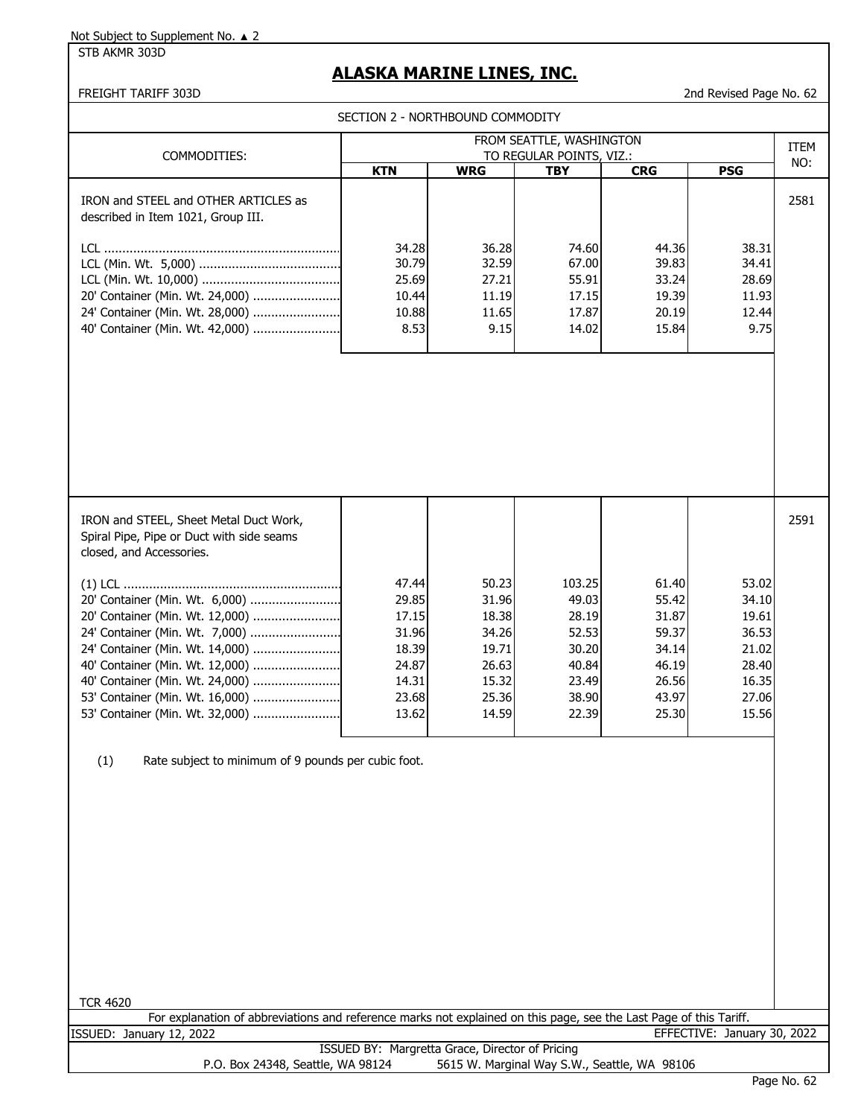STB AKMR 303D

# **ALASKA MARINE LINES, INC.**

|                                                                                                                                                                                                                                                                                    | SECTION 2 - NORTHBOUND COMMODITY                                              |                                                                               |                                                                                |                                                                               |                                                                               |             |
|------------------------------------------------------------------------------------------------------------------------------------------------------------------------------------------------------------------------------------------------------------------------------------|-------------------------------------------------------------------------------|-------------------------------------------------------------------------------|--------------------------------------------------------------------------------|-------------------------------------------------------------------------------|-------------------------------------------------------------------------------|-------------|
| COMMODITIES:                                                                                                                                                                                                                                                                       |                                                                               |                                                                               | FROM SEATTLE, WASHINGTON<br>TO REGULAR POINTS, VIZ.:                           |                                                                               |                                                                               | <b>ITEM</b> |
|                                                                                                                                                                                                                                                                                    | <b>KTN</b>                                                                    | <b>WRG</b>                                                                    | <b>TBY</b>                                                                     | <b>CRG</b>                                                                    | <b>PSG</b>                                                                    | NO:         |
| IRON and STEEL and OTHER ARTICLES as<br>described in Item 1021, Group III.<br>20' Container (Min. Wt. 24,000)<br>24' Container (Min. Wt. 28,000)<br>40' Container (Min. Wt. 42,000)                                                                                                | 34.28<br>30.79<br>25.69<br>10.44<br>10.88<br>8.53                             | 36.28<br>32.59<br>27.21<br>11.19<br>11.65<br>9.15                             | 74.60<br>67.00<br>55.91<br>17.15<br>17.87<br>14.02                             | 44.36<br>39.83<br>33.24<br>19.39<br>20.19<br>15.84                            | 38.31<br>34.41<br>28.69<br>11.93<br>12.44<br>9.75                             | 2581        |
|                                                                                                                                                                                                                                                                                    |                                                                               |                                                                               |                                                                                |                                                                               |                                                                               |             |
| IRON and STEEL, Sheet Metal Duct Work,<br>Spiral Pipe, Pipe or Duct with side seams<br>closed, and Accessories.                                                                                                                                                                    |                                                                               |                                                                               |                                                                                |                                                                               |                                                                               | 2591        |
| 20' Container (Min. Wt. 6,000)<br>20' Container (Min. Wt. 12,000)<br>24' Container (Min. Wt. 7,000)<br>24' Container (Min. Wt. 14,000)<br>40' Container (Min. Wt. 12,000)<br>40' Container (Min. Wt. 24,000)<br>53' Container (Min. Wt. 16,000)<br>53' Container (Min. Wt. 32,000) | 47.44<br>29.85<br>17.15<br>31.96<br>18.39<br>24.87<br>14.31<br>23.68<br>13.62 | 50.23<br>31.96<br>18.38<br>34.26<br>19.71<br>26.63<br>15.32<br>25.36<br>14.59 | 103.25<br>49.03<br>28.19<br>52.53<br>30.20<br>40.84<br>23.49<br>38.90<br>22.39 | 61.40<br>55.42<br>31.87<br>59.37<br>34.14<br>46.19<br>26.56<br>43.97<br>25.30 | 53.02<br>34.10<br>19.61<br>36.53<br>21.02<br>28.40<br>16.35<br>27.06<br>15.56 |             |
| Rate subject to minimum of 9 pounds per cubic foot.<br>(1)                                                                                                                                                                                                                         |                                                                               |                                                                               |                                                                                |                                                                               |                                                                               |             |
| <b>TCR 4620</b><br>For explanation of abbreviations and reference marks not explained on this page, see the Last Page of this Tariff.                                                                                                                                              |                                                                               |                                                                               |                                                                                |                                                                               |                                                                               |             |
| ISSUED: January 12, 2022                                                                                                                                                                                                                                                           |                                                                               |                                                                               |                                                                                |                                                                               | EFFECTIVE: January 30, 2022                                                   |             |
| P.O. Box 24348, Seattle, WA 98124                                                                                                                                                                                                                                                  | ISSUED BY: Margretta Grace, Director of Pricing                               |                                                                               |                                                                                | 5615 W. Marginal Way S.W., Seattle, WA 98106                                  |                                                                               |             |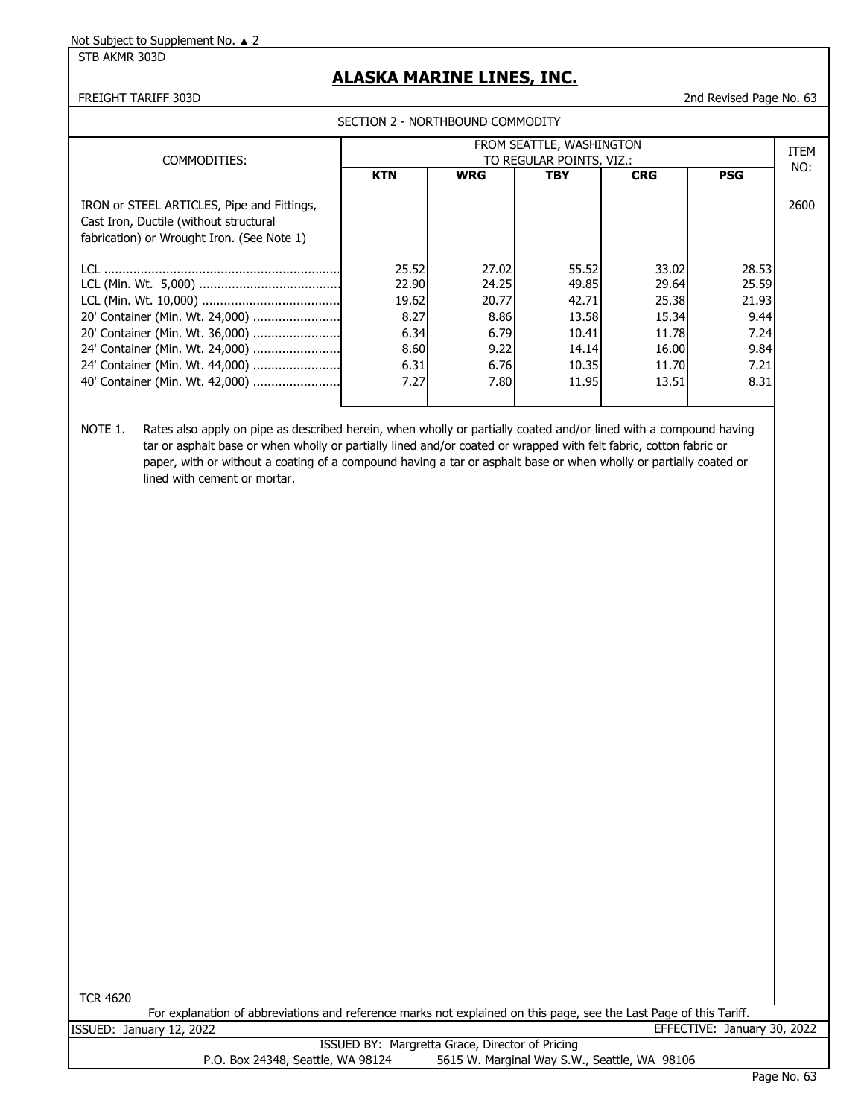#### STB AKMR 303D

## **ALASKA MARINE LINES, INC.**

FREIGHT TARIFF 303D 2nd Revised Page No. 63

|                                                                                                                                                                             | SECTION 2 - NORTHBOUND COMMODITY                                |                                                                 |                                                                      |                                                                      |                                                                 |      |
|-----------------------------------------------------------------------------------------------------------------------------------------------------------------------------|-----------------------------------------------------------------|-----------------------------------------------------------------|----------------------------------------------------------------------|----------------------------------------------------------------------|-----------------------------------------------------------------|------|
| COMMODITIES:                                                                                                                                                                | FROM SEATTLE, WASHINGTON<br>TO REGULAR POINTS, VIZ.:            |                                                                 |                                                                      |                                                                      |                                                                 | ITEM |
|                                                                                                                                                                             | <b>KTN</b>                                                      | <b>WRG</b>                                                      | TBY                                                                  | <b>CRG</b>                                                           | <b>PSG</b>                                                      | NO:  |
| IRON or STEEL ARTICLES, Pipe and Fittings,<br>Cast Iron, Ductile (without structural<br>fabrication) or Wrought Iron. (See Note 1)                                          |                                                                 |                                                                 |                                                                      |                                                                      |                                                                 | 2600 |
| 20' Container (Min. Wt. 24,000)<br>20' Container (Min. Wt. 36,000)<br>24' Container (Min. Wt. 24,000)<br>24' Container (Min. Wt. 44,000)<br>40' Container (Min. Wt. 42,000) | 25.52<br>22.90<br>19.62<br>8.27<br>6.34<br>8.60<br>6.31<br>7.27 | 27.02<br>24.25<br>20.77<br>8.86<br>6.79<br>9.22<br>6.76<br>7.80 | 55.52<br>49.85<br>42.71<br>13.58<br>10.41<br>14.14<br>10.35<br>11.95 | 33.02<br>29.64<br>25.38<br>15.34<br>11.78<br>16.00<br>11.70<br>13.51 | 28.53<br>25.59<br>21.93<br>9.44<br>7.24<br>9.84<br>7.21<br>8.31 |      |
|                                                                                                                                                                             |                                                                 |                                                                 |                                                                      |                                                                      |                                                                 |      |

NOTE 1. Rates also apply on pipe as described herein, when wholly or partially coated and/or lined with a compound having tar or asphalt base or when wholly or partially lined and/or coated or wrapped with felt fabric, cotton fabric or paper, with or without a coating of a compound having a tar or asphalt base or when wholly or partially coated or lined with cement or mortar.

TCR 4620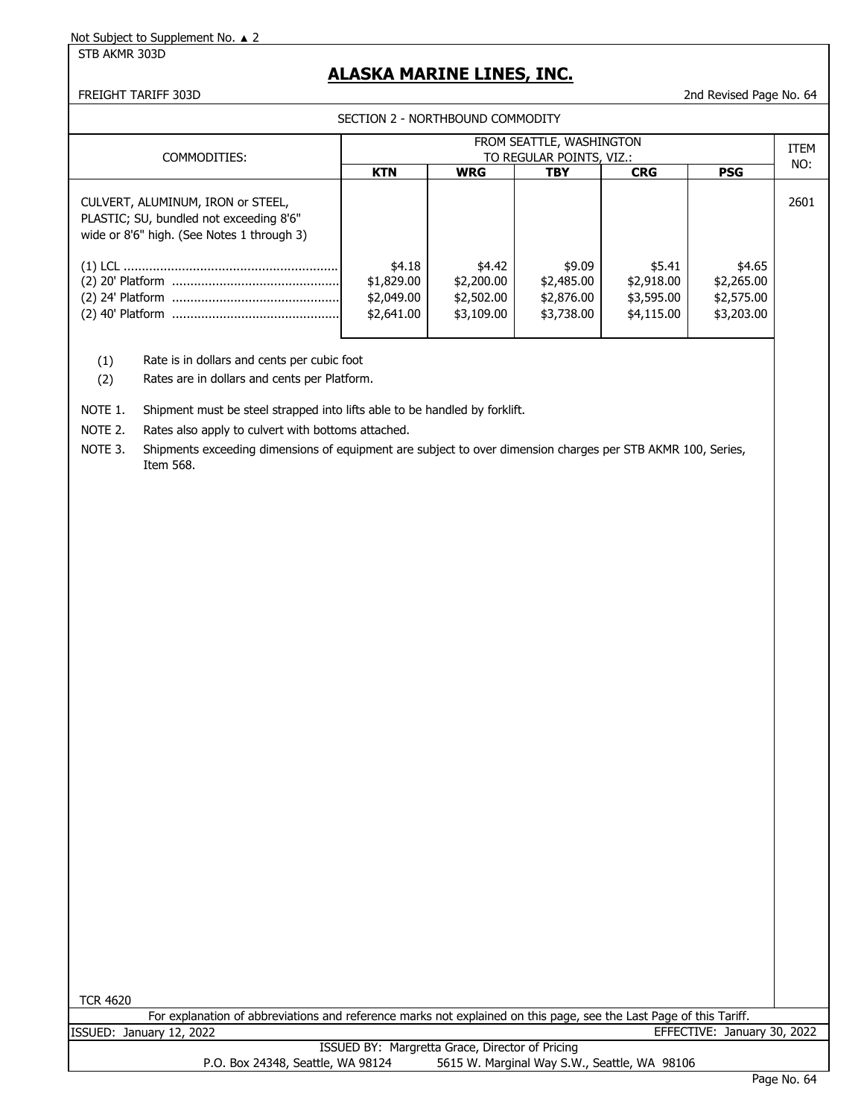STB AKMR 303D

## **ALASKA MARINE LINES, INC.**

FREIGHT TARIFF 303D 2nd Revised Page No. 64

SECTION 2 - NORTHBOUND COMMODITY

| COMMODITIES:                                                                                                               | FROM SEATTLE, WASHINGTON<br>TO REGULAR POINTS, VIZ.: |                                                  |                                                  |                                                  |                                                  |      |
|----------------------------------------------------------------------------------------------------------------------------|------------------------------------------------------|--------------------------------------------------|--------------------------------------------------|--------------------------------------------------|--------------------------------------------------|------|
|                                                                                                                            | <b>KTN</b>                                           | <b>WRG</b>                                       | <b>TBY</b>                                       | <b>CRG</b>                                       | <b>PSG</b>                                       | NO:  |
| CULVERT, ALUMINUM, IRON or STEEL,<br>PLASTIC; SU, bundled not exceeding 8'6"<br>wide or 8'6" high. (See Notes 1 through 3) |                                                      |                                                  |                                                  |                                                  |                                                  | 2601 |
|                                                                                                                            | \$4.18<br>\$1,829.00<br>\$2,049.00<br>\$2,641.00     | \$4.42<br>\$2,200.00<br>\$2,502.00<br>\$3,109.00 | \$9.09<br>\$2,485.00<br>\$2,876.00<br>\$3,738.00 | \$5.41<br>\$2,918.00<br>\$3,595.00<br>\$4,115.00 | \$4.65<br>\$2,265.00<br>\$2,575.00<br>\$3,203.00 |      |

(1) Rate is in dollars and cents per cubic foot

(2) Rates are in dollars and cents per Platform.

- NOTE 1. Shipment must be steel strapped into lifts able to be handled by forklift.
- NOTE 2. Rates also apply to culvert with bottoms attached.

NOTE 3. Shipments exceeding dimensions of equipment are subject to over dimension charges per STB AKMR 100, Series, Item 568.

TCR 4620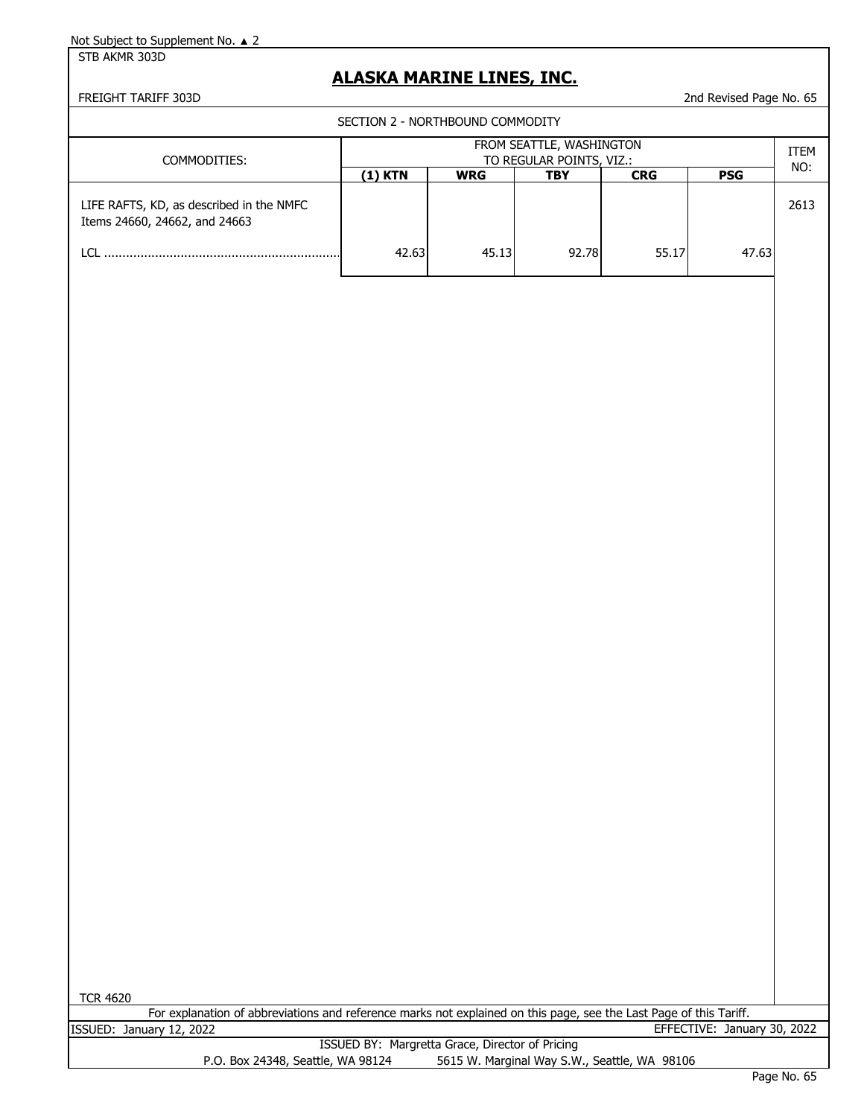STB AKMR 303D

## **ALASKA MARINE LINES, INC.**

FREIGHT TARIFF 303D 2nd Revised Page No. 65

|                                                                           | SECTION 2 - NORTHBOUND COMMODITY                     |            |       |            |            |      |
|---------------------------------------------------------------------------|------------------------------------------------------|------------|-------|------------|------------|------|
| COMMODITIES:                                                              | FROM SEATTLE, WASHINGTON<br>TO REGULAR POINTS, VIZ.: |            |       |            |            |      |
|                                                                           | (1) KTN                                              | <b>WRG</b> | TBY   | <b>CRG</b> | <b>PSG</b> | NO:  |
| LIFE RAFTS, KD, as described in the NMFC<br>Items 24660, 24662, and 24663 |                                                      |            |       |            |            | 2613 |
| ו רו                                                                      | 42.63                                                | 45.13      | 92.78 | 55.17      | 47.63      |      |
|                                                                           |                                                      |            |       |            |            |      |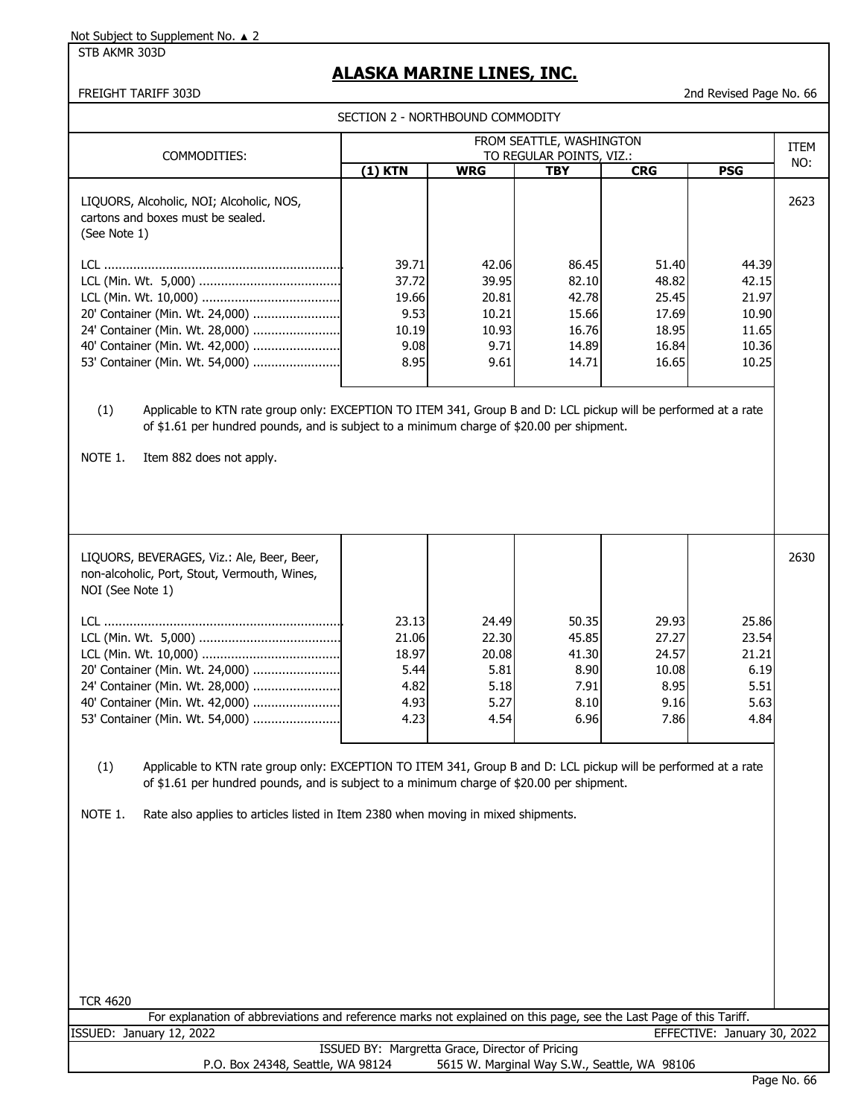STB AKMR 303D

# **ALASKA MARINE LINES, INC.**

FREIGHT TARIFF 303D 2nd Revised Page No. 66

SECTION 2 - NORTHBOUND COMMODITY

| SECTION 2 - NORTHBOUND COMMODITY                                                                                                                                                                                                                                                                                                |                                                          |                                                           |                                                             |                                                             |                                                             |             |  |
|---------------------------------------------------------------------------------------------------------------------------------------------------------------------------------------------------------------------------------------------------------------------------------------------------------------------------------|----------------------------------------------------------|-----------------------------------------------------------|-------------------------------------------------------------|-------------------------------------------------------------|-------------------------------------------------------------|-------------|--|
|                                                                                                                                                                                                                                                                                                                                 |                                                          |                                                           | FROM SEATTLE, WASHINGTON                                    |                                                             |                                                             | <b>ITEM</b> |  |
| COMMODITIES:                                                                                                                                                                                                                                                                                                                    | $(1)$ KTN                                                | <b>WRG</b>                                                | TO REGULAR POINTS, VIZ.:<br><b>TBY</b>                      | <b>CRG</b>                                                  | <b>PSG</b>                                                  | NO:         |  |
|                                                                                                                                                                                                                                                                                                                                 |                                                          |                                                           |                                                             |                                                             |                                                             |             |  |
| LIQUORS, Alcoholic, NOI; Alcoholic, NOS,<br>cartons and boxes must be sealed.<br>(See Note 1)                                                                                                                                                                                                                                   |                                                          |                                                           |                                                             |                                                             |                                                             | 2623        |  |
| 20' Container (Min. Wt. 24,000)<br>24' Container (Min. Wt. 28,000)<br>40' Container (Min. Wt. 42,000)<br>53' Container (Min. Wt. 54,000)                                                                                                                                                                                        | 39.71<br>37.72<br>19.66<br>9.53<br>10.19<br>9.08<br>8.95 | 42.06<br>39.95<br>20.81<br>10.21<br>10.93<br>9.71<br>9.61 | 86.45<br>82.10<br>42.78<br>15.66<br>16.76<br>14.89<br>14.71 | 51.40<br>48.82<br>25.45<br>17.69<br>18.95<br>16.84<br>16.65 | 44.39<br>42.15<br>21.97<br>10.90<br>11.65<br>10.36<br>10.25 |             |  |
| (1)<br>Applicable to KTN rate group only: EXCEPTION TO ITEM 341, Group B and D: LCL pickup will be performed at a rate<br>of \$1.61 per hundred pounds, and is subject to a minimum charge of \$20.00 per shipment.<br>NOTE 1.<br>Item 882 does not apply.                                                                      |                                                          |                                                           |                                                             |                                                             |                                                             |             |  |
| LIQUORS, BEVERAGES, Viz.: Ale, Beer, Beer,<br>non-alcoholic, Port, Stout, Vermouth, Wines,<br>NOI (See Note 1)                                                                                                                                                                                                                  |                                                          |                                                           |                                                             |                                                             |                                                             | 2630        |  |
| 20' Container (Min. Wt. 24,000)<br>24' Container (Min. Wt. 28,000)<br>40' Container (Min. Wt. 42,000)<br>53' Container (Min. Wt. 54,000)                                                                                                                                                                                        | 23.13<br>21.06<br>18.97<br>5.44<br>4.82<br>4.93<br>4.23  | 24.49<br>22.30<br>20.08<br>5.81<br>5.18<br>5.27<br>4.54   | 50.35<br>45.85<br>41.30<br>8.90<br>7.91<br>8.10<br>6.96     | 29.93<br>27.27<br>24.57<br>10.08<br>8.95<br>9.16<br>7.86    | 25.86<br>23.54<br>21.21<br>6.19<br>5.51<br>5.63<br>4.84     |             |  |
| (1)<br>Applicable to KTN rate group only: EXCEPTION TO ITEM 341, Group B and D: LCL pickup will be performed at a rate<br>of \$1.61 per hundred pounds, and is subject to a minimum charge of \$20.00 per shipment.<br>NOTE 1.<br>Rate also applies to articles listed in Item 2380 when moving in mixed shipments.<br>TCR 4620 |                                                          |                                                           |                                                             |                                                             |                                                             |             |  |

ISSUED BY: Margretta Grace, Director of Pricing For explanation of abbreviations and reference marks not explained on this page, see the Last Page of this Tariff. ISSUED: January 12, 2022 EFFECTIVE: January 30, 2022

P.O. Box 24348, Seattle, WA 98124 5615 W. Marginal Way S.W., Seattle, WA 98106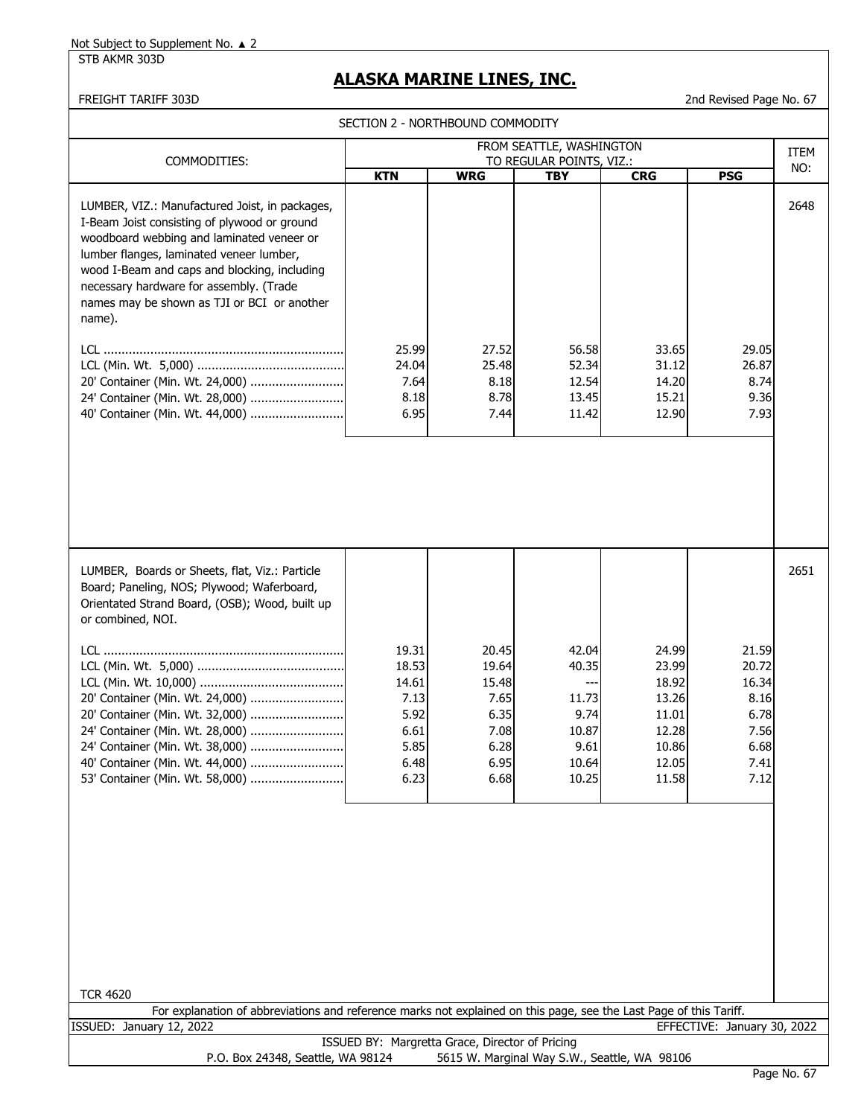STB AKMR 303D

# **ALASKA MARINE LINES, INC.**

|                                                                                                                                                                                                                                                                                                                                             | SECTION 2 - NORTHBOUND COMMODITY                                        |                                                                         |                                                                           |                                                                               |                                                                         |      |
|---------------------------------------------------------------------------------------------------------------------------------------------------------------------------------------------------------------------------------------------------------------------------------------------------------------------------------------------|-------------------------------------------------------------------------|-------------------------------------------------------------------------|---------------------------------------------------------------------------|-------------------------------------------------------------------------------|-------------------------------------------------------------------------|------|
|                                                                                                                                                                                                                                                                                                                                             |                                                                         |                                                                         | FROM SEATTLE, WASHINGTON                                                  |                                                                               |                                                                         | ITEM |
| COMMODITIES:                                                                                                                                                                                                                                                                                                                                | <b>KTN</b>                                                              | <b>WRG</b>                                                              | TO REGULAR POINTS, VIZ.:<br><b>TBY</b>                                    | <b>CRG</b>                                                                    | <b>PSG</b>                                                              | NO:  |
| LUMBER, VIZ.: Manufactured Joist, in packages,<br>I-Beam Joist consisting of plywood or ground<br>woodboard webbing and laminated veneer or<br>lumber flanges, laminated veneer lumber,<br>wood I-Beam and caps and blocking, including<br>necessary hardware for assembly. (Trade<br>names may be shown as TJI or BCI or another<br>name). |                                                                         |                                                                         |                                                                           |                                                                               |                                                                         | 2648 |
|                                                                                                                                                                                                                                                                                                                                             | 25.99                                                                   | 27.52                                                                   | 56.58                                                                     | 33.65                                                                         | 29.05                                                                   |      |
| 20' Container (Min. Wt. 24,000)<br>24' Container (Min. Wt. 28,000)<br>40' Container (Min. Wt. 44,000)                                                                                                                                                                                                                                       | 24.04<br>7.64<br>8.18<br>6.95                                           | 25.48<br>8.18<br>8.78<br>7.44                                           | 52.34<br>12.54<br>13.45<br>11.42                                          | 31.12<br>14.20<br>15.21<br>12.90                                              | 26.87<br>8.74<br>9.36<br>7.93                                           |      |
| LUMBER, Boards or Sheets, flat, Viz.: Particle<br>Board; Paneling, NOS; Plywood; Waferboard,                                                                                                                                                                                                                                                |                                                                         |                                                                         |                                                                           |                                                                               |                                                                         | 2651 |
| Orientated Strand Board, (OSB); Wood, built up<br>or combined, NOI.                                                                                                                                                                                                                                                                         |                                                                         |                                                                         |                                                                           |                                                                               |                                                                         |      |
| 20' Container (Min. Wt. 24,000)<br>20' Container (Min. Wt. 32,000)<br>24' Container (Min. Wt. 28,000)<br>24' Container (Min. Wt. 38,000)<br>53' Container (Min. Wt. 58,000)                                                                                                                                                                 | 19.31<br>18.53<br>14.61<br>7.13<br>5.92<br>6.61<br>5.85<br>6.48<br>6.23 | 20.45<br>19.64<br>15.48<br>7.65<br>6.35<br>7.08<br>6.28<br>6.95<br>6.68 | 42.04<br>40.35<br>---<br>11.73<br>9.74<br>10.87<br>9.61<br>10.64<br>10.25 | 24.99<br>23.99<br>18.92<br>13.26<br>11.01<br>12.28<br>10.86<br>12.05<br>11.58 | 21.59<br>20.72<br>16.34<br>8.16<br>6.78<br>7.56<br>6.68<br>7.41<br>7.12 |      |
| <b>TCR 4620</b>                                                                                                                                                                                                                                                                                                                             |                                                                         |                                                                         |                                                                           |                                                                               |                                                                         |      |
| For explanation of abbreviations and reference marks not explained on this page, see the Last Page of this Tariff.                                                                                                                                                                                                                          |                                                                         |                                                                         |                                                                           |                                                                               |                                                                         |      |
| ISSUED: January 12, 2022                                                                                                                                                                                                                                                                                                                    |                                                                         |                                                                         |                                                                           |                                                                               | EFFECTIVE: January 30, 2022                                             |      |
| P.O. Box 24348, Seattle, WA 98124                                                                                                                                                                                                                                                                                                           | ISSUED BY: Margretta Grace, Director of Pricing                         |                                                                         | 5615 W. Marginal Way S.W., Seattle, WA 98106                              |                                                                               |                                                                         |      |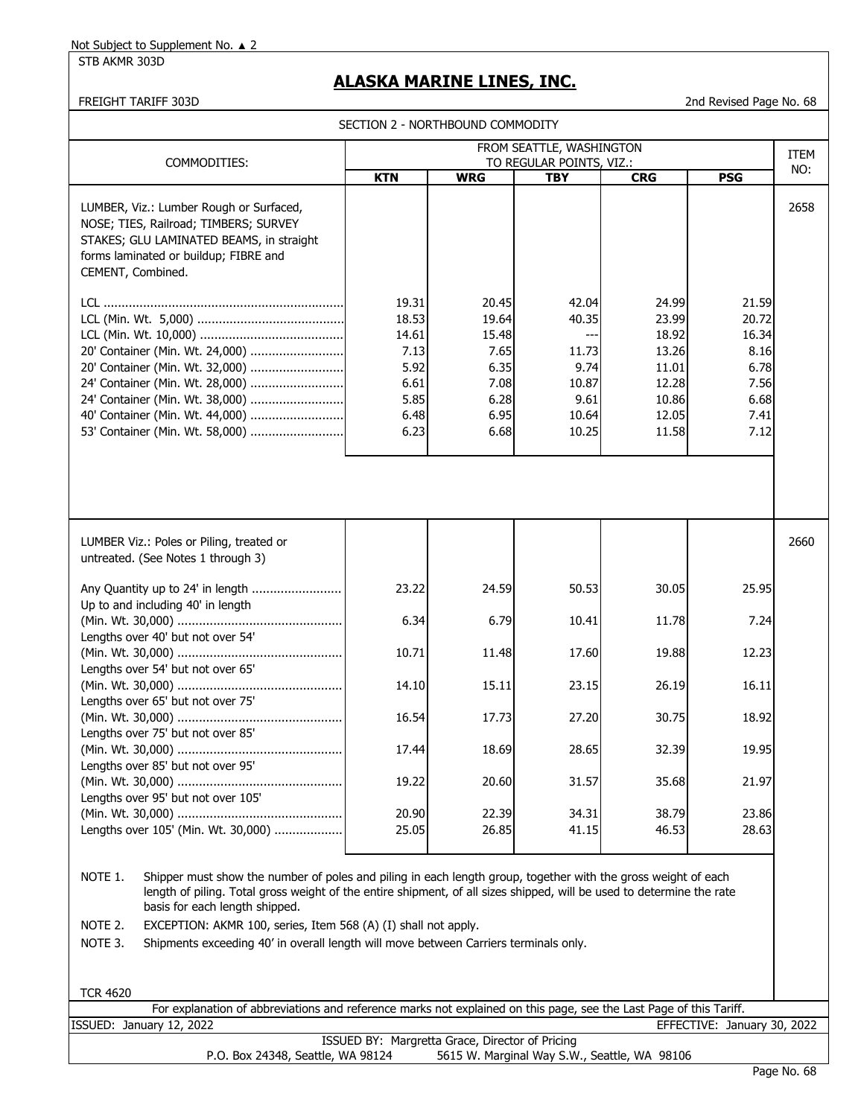STB AKMR 303D

# **ALASKA MARINE LINES, INC.**

|                                                                                                                                                                                                                                                                                                                                                                                                                                                                     |                                                                         | SECTION 2 - NORTHBOUND COMMODITY                                        |                                                                    |                                                                               |                                                                         |      |
|---------------------------------------------------------------------------------------------------------------------------------------------------------------------------------------------------------------------------------------------------------------------------------------------------------------------------------------------------------------------------------------------------------------------------------------------------------------------|-------------------------------------------------------------------------|-------------------------------------------------------------------------|--------------------------------------------------------------------|-------------------------------------------------------------------------------|-------------------------------------------------------------------------|------|
|                                                                                                                                                                                                                                                                                                                                                                                                                                                                     | FROM SEATTLE, WASHINGTON<br>TO REGULAR POINTS, VIZ.:                    |                                                                         |                                                                    |                                                                               |                                                                         |      |
| COMMODITIES:                                                                                                                                                                                                                                                                                                                                                                                                                                                        | <b>KTN</b>                                                              | <b>WRG</b>                                                              | <b>TBY</b>                                                         | <b>CRG</b>                                                                    | <b>PSG</b>                                                              | NO:  |
| LUMBER, Viz.: Lumber Rough or Surfaced,<br>NOSE; TIES, Railroad; TIMBERS; SURVEY<br>STAKES; GLU LAMINATED BEAMS, in straight<br>forms laminated or buildup; FIBRE and<br>CEMENT, Combined.                                                                                                                                                                                                                                                                          |                                                                         |                                                                         |                                                                    |                                                                               |                                                                         | 2658 |
| 20' Container (Min. Wt. 24,000)<br>20' Container (Min. Wt. 32,000)<br>24' Container (Min. Wt. 28,000)<br>24' Container (Min. Wt. 38,000)<br>40' Container (Min. Wt. 44,000)<br>53' Container (Min. Wt. 58,000)                                                                                                                                                                                                                                                      | 19.31<br>18.53<br>14.61<br>7.13<br>5.92<br>6.61<br>5.85<br>6.48<br>6.23 | 20.45<br>19.64<br>15.48<br>7.65<br>6.35<br>7.08<br>6.28<br>6.95<br>6.68 | 42.04<br>40.35<br>11.73<br>9.74<br>10.87<br>9.61<br>10.64<br>10.25 | 24.99<br>23.99<br>18.92<br>13.26<br>11.01<br>12.28<br>10.86<br>12.05<br>11.58 | 21.59<br>20.72<br>16.34<br>8.16<br>6.78<br>7.56<br>6.68<br>7.41<br>7.12 |      |
| LUMBER Viz.: Poles or Piling, treated or<br>untreated. (See Notes 1 through 3)                                                                                                                                                                                                                                                                                                                                                                                      |                                                                         |                                                                         |                                                                    |                                                                               |                                                                         | 2660 |
| Any Quantity up to 24' in length<br>Up to and including 40' in length                                                                                                                                                                                                                                                                                                                                                                                               | 23.22                                                                   | 24.59                                                                   | 50.53                                                              | 30.05                                                                         | 25.95                                                                   |      |
| Lengths over 40' but not over 54'                                                                                                                                                                                                                                                                                                                                                                                                                                   | 6.34                                                                    | 6.79                                                                    | 10.41                                                              | 11.78                                                                         | 7.24                                                                    |      |
| Lengths over 54' but not over 65'                                                                                                                                                                                                                                                                                                                                                                                                                                   | 10.71                                                                   | 11.48                                                                   | 17.60                                                              | 19.88                                                                         | 12.23                                                                   |      |
| Lengths over 65' but not over 75'                                                                                                                                                                                                                                                                                                                                                                                                                                   | 14.10                                                                   | 15.11                                                                   | 23.15                                                              | 26.19                                                                         | 16.11                                                                   |      |
| Lengths over 75' but not over 85'                                                                                                                                                                                                                                                                                                                                                                                                                                   | 16.54                                                                   | 17.73                                                                   | 27.20                                                              | 30.75                                                                         | 18.92                                                                   |      |
| Lengths over 85' but not over 95'                                                                                                                                                                                                                                                                                                                                                                                                                                   | 17.44                                                                   | 18.69                                                                   | 28.65                                                              | 32.39                                                                         | 19.95                                                                   |      |
| Lengths over 95' but not over 105'                                                                                                                                                                                                                                                                                                                                                                                                                                  | 19.22                                                                   | 20.60                                                                   | 31.57                                                              | 35.68                                                                         | 21.97                                                                   |      |
|                                                                                                                                                                                                                                                                                                                                                                                                                                                                     | 20.90                                                                   | 22.39                                                                   | 34.31                                                              | 38.79                                                                         | 23.86                                                                   |      |
| Lengths over 105' (Min. Wt. 30,000)                                                                                                                                                                                                                                                                                                                                                                                                                                 | 25.05                                                                   | 26.85                                                                   | 41.15                                                              | 46.53                                                                         | 28.63                                                                   |      |
| NOTE 1.<br>Shipper must show the number of poles and piling in each length group, together with the gross weight of each<br>length of piling. Total gross weight of the entire shipment, of all sizes shipped, will be used to determine the rate<br>basis for each length shipped.<br>NOTE 2.<br>EXCEPTION: AKMR 100, series, Item 568 (A) (I) shall not apply.<br>NOTE 3.<br>Shipments exceeding 40' in overall length will move between Carriers terminals only. |                                                                         |                                                                         |                                                                    |                                                                               |                                                                         |      |

| <b>TCR 4620</b>          |                                                                                                                    |                             |    |
|--------------------------|--------------------------------------------------------------------------------------------------------------------|-----------------------------|----|
|                          | For explanation of abbreviations and reference marks not explained on this page, see the Last Page of this Tariff. |                             |    |
| ISSUED: January 12, 2022 |                                                                                                                    | EFFECTIVE: January 30, 2022 |    |
|                          | ISSUED BY: Margretta Grace, Director of Pricing                                                                    |                             |    |
|                          | 5615 W. Marginal Way S.W., Seattle, WA 98106<br>P.O. Box 24348, Seattle, WA 98124                                  |                             |    |
|                          |                                                                                                                    |                             | -- |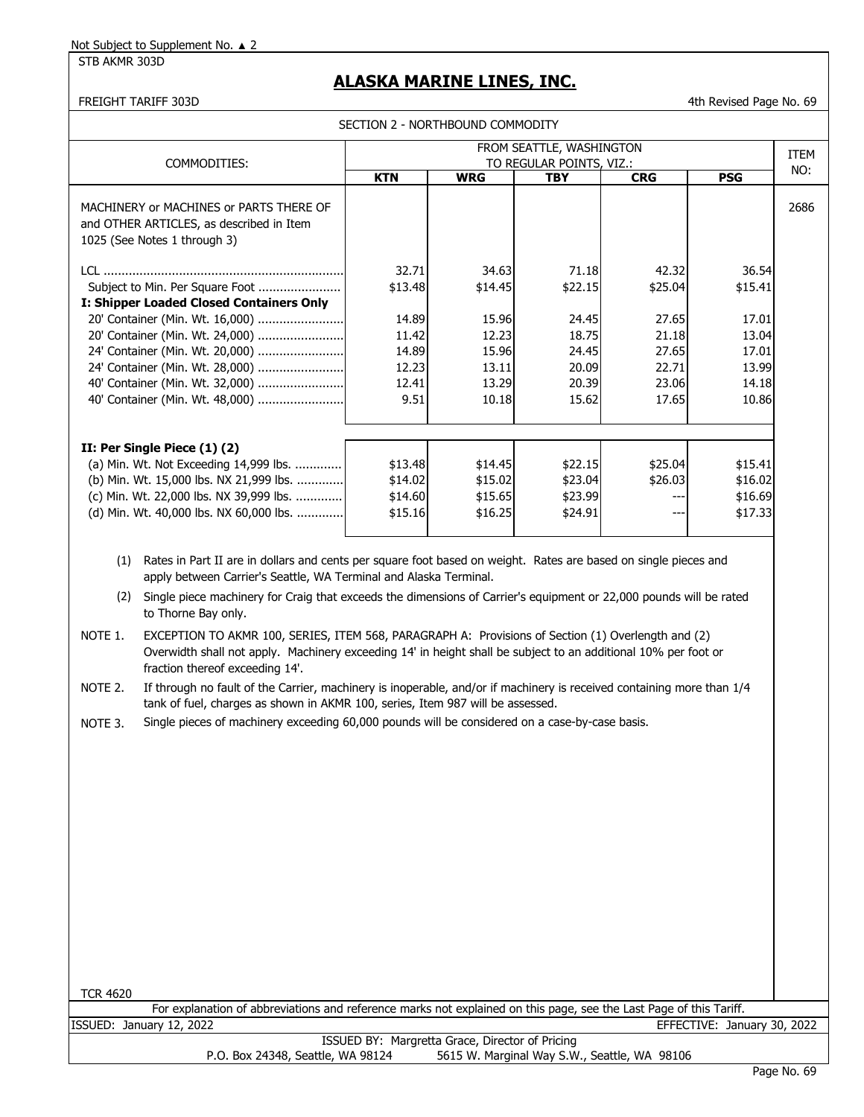STB AKMR 303D

## **ALASKA MARINE LINES, INC.**

FREIGHT TARIFF 303D 4th Revised Page No. 69

| COMMODITIES:                                                                                                        |            |            | FROM SEATTLE, WASHINGTON<br>TO REGULAR POINTS, VIZ.: |            |            | ITEM |
|---------------------------------------------------------------------------------------------------------------------|------------|------------|------------------------------------------------------|------------|------------|------|
|                                                                                                                     | <b>KTN</b> | <b>WRG</b> | <b>TBY</b>                                           | <b>CRG</b> | <b>PSG</b> | NO:  |
| MACHINERY or MACHINES or PARTS THERE OF<br>and OTHER ARTICLES, as described in Item<br>1025 (See Notes 1 through 3) |            |            |                                                      |            |            | 2686 |
|                                                                                                                     | 32.71      | 34.63      | 71.18                                                | 42.32      | 36.54      |      |
|                                                                                                                     | \$13.48    | \$14.45    | \$22.15                                              | \$25.04    | \$15.41    |      |
| I: Shipper Loaded Closed Containers Only                                                                            |            |            |                                                      |            |            |      |
| 20' Container (Min. Wt. 16,000)                                                                                     | 14.89      | 15.96      | 24.45                                                | 27.65      | 17.01      |      |
| 20' Container (Min. Wt. 24,000)                                                                                     | 11.42      | 12.23      | 18.75                                                | 21.18      | 13.04      |      |
| 24' Container (Min. Wt. 20,000)                                                                                     | 14.89      | 15.96      | 24.45                                                | 27.65      | 17.01      |      |
| 24' Container (Min. Wt. 28,000)                                                                                     | 12.23      | 13.11      | 20.09                                                | 22.71      | 13.99      |      |
| 40' Container (Min. Wt. 32,000)                                                                                     | 12.41      | 13.29      | 20.39                                                | 23.06      | 14.18      |      |
| 40' Container (Min. Wt. 48,000)                                                                                     | 9.51       | 10.18      | 15.62                                                | 17.65      | 10.86      |      |
| II: Per Single Piece (1) (2)                                                                                        |            |            |                                                      |            |            |      |
| (a) Min. Wt. Not Exceeding 14,999 lbs.                                                                              | \$13.48    | \$14.45    | \$22.15                                              | \$25.04    | \$15.41    |      |
| (b) Min. Wt. 15,000 lbs. NX 21,999 lbs.                                                                             | \$14.02    | \$15.02    | \$23.04                                              | \$26.03    | \$16.02    |      |
| (c) Min. Wt. 22,000 lbs. NX 39,999 lbs.                                                                             | \$14.60    | \$15.65    | \$23.99                                              | ---        | \$16.69    |      |
| (d) Min. Wt. 40,000 lbs. NX 60,000 lbs.                                                                             | \$15.16    | \$16.25    | \$24.91                                              | $- -$      | \$17.33    |      |

 (2) Single piece machinery for Craig that exceeds the dimensions of Carrier's equipment or 22,000 pounds will be rated to Thorne Bay only.

NOTE 1. EXCEPTION TO AKMR 100, SERIES, ITEM 568, PARAGRAPH A: Provisions of Section (1) Overlength and (2) Overwidth shall not apply. Machinery exceeding 14' in height shall be subject to an additional 10% per foot or fraction thereof exceeding 14'.

NOTE 2. If through no fault of the Carrier, machinery is inoperable, and/or if machinery is received containing more than 1/4 tank of fuel, charges as shown in AKMR 100, series, Item 987 will be assessed.

NOTE 3. Single pieces of machinery exceeding 60,000 pounds will be considered on a case-by-case basis.

| <b>TCR 4620</b>                                                                                                    |                  |
|--------------------------------------------------------------------------------------------------------------------|------------------|
| For explanation of abbreviations and reference marks not explained on this page, see the Last Page of this Tariff. |                  |
| EFFECTIVE: January 30, 2022<br>ISSUED: January 12, 2022                                                            |                  |
| ISSUED BY: Margretta Grace, Director of Pricing                                                                    |                  |
| 5615 W. Marginal Way S.W., Seattle, WA 98106<br>P.O. Box 24348, Seattle, WA 98124                                  |                  |
|                                                                                                                    | $D - - - M - 70$ |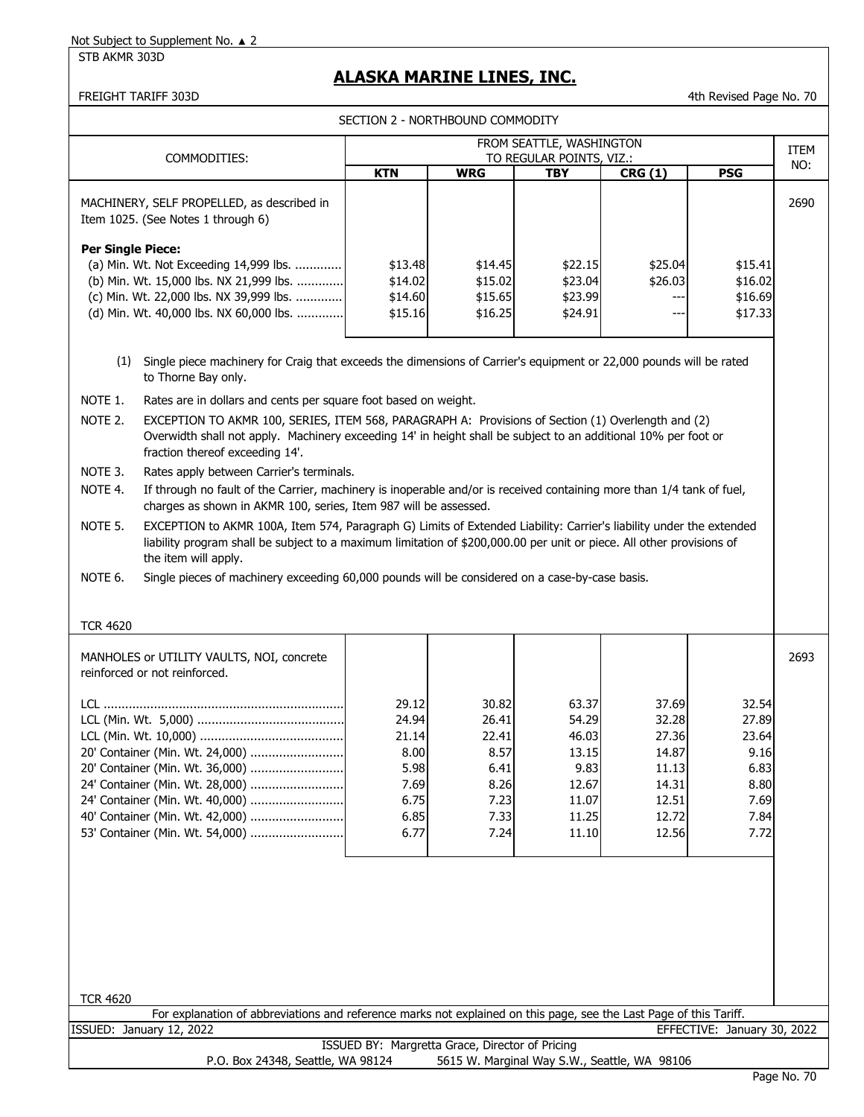# **ALASKA MARINE LINES, INC.**

FREIGHT TARIFF 303D **All Accord 2018** 4th Revised Page No. 70

SECTION 2 - NORTHBOUND COMMODITY

| COMMODITIES:<br>TO REGULAR POINTS, VIZ.:<br>NO:<br><b>WRG</b><br><b>PSG</b><br><b>KTN</b><br><b>TBY</b><br>CRG(1)<br>2690<br>MACHINERY, SELF PROPELLED, as described in<br>Item 1025. (See Notes 1 through 6)<br><b>Per Single Piece:</b><br>(a) Min. Wt. Not Exceeding 14,999 lbs.<br>\$13.48<br>\$14.45<br>\$22.15<br>\$25.04<br>\$15.41<br>(b) Min. Wt. 15,000 lbs. NX 21,999 lbs.<br>\$14.02<br>\$15.02<br>\$23.04<br>\$26.03<br>\$16.02<br>(c) Min. Wt. 22,000 lbs. NX 39,999 lbs.<br>\$23.99<br>\$16.69<br>\$14.60<br>\$15.65<br>---<br>(d) Min. Wt. 40,000 lbs. NX 60,000 lbs.<br>\$17.33<br>\$15.16<br>\$16.25<br>\$24.91<br>$---$<br>(1)<br>Single piece machinery for Craig that exceeds the dimensions of Carrier's equipment or 22,000 pounds will be rated<br>to Thorne Bay only.<br>NOTE 1.<br>Rates are in dollars and cents per square foot based on weight.<br>NOTE 2.<br>EXCEPTION TO AKMR 100, SERIES, ITEM 568, PARAGRAPH A: Provisions of Section (1) Overlength and (2)<br>Overwidth shall not apply. Machinery exceeding 14' in height shall be subject to an additional 10% per foot or<br>fraction thereof exceeding 14'.<br>NOTE 3.<br>Rates apply between Carrier's terminals.<br>NOTE 4.<br>If through no fault of the Carrier, machinery is inoperable and/or is received containing more than 1/4 tank of fuel,<br>charges as shown in AKMR 100, series, Item 987 will be assessed.<br>NOTE 5.<br>EXCEPTION to AKMR 100A, Item 574, Paragraph G) Limits of Extended Liability: Carrier's liability under the extended<br>liability program shall be subject to a maximum limitation of \$200,000.00 per unit or piece. All other provisions of<br>the item will apply.<br>Single pieces of machinery exceeding 60,000 pounds will be considered on a case-by-case basis.<br>NOTE 6.<br><b>TCR 4620</b><br>2693<br>MANHOLES or UTILITY VAULTS, NOI, concrete<br>reinforced or not reinforced.<br>37.69<br>29.12<br>30.82<br>63.37<br>32.54<br>24.94<br>26.41<br>54.29<br>32.28<br>27.89<br>27.36<br>21.14<br>22.41<br>46.03<br>23.64<br>8.57<br>8.00<br>13.15<br>14.87<br>9.16<br>20' Container (Min. Wt. 24,000)<br>5.98<br>6.83<br>20' Container (Min. Wt. 36,000)<br>6.41<br>9.83<br>11.13<br>24' Container (Min. Wt. 28,000)<br>7.69<br>14.31<br>8.80<br>8.26<br>12.67<br>24' Container (Min. Wt. 40,000)<br>6.75<br>12.51<br>7.69<br>7.23<br>11.07<br>40' Container (Min. Wt. 42,000)<br>6.85<br>12.72<br>7.33<br>11.25<br>7.84<br>53' Container (Min. Wt. 54,000)<br>6.77<br>12.56<br>7.24<br>11.10<br>7.72 |                                   |                                                 | ו ונשטויוויוטט שאוטטשטו וואטאר באנטגרטבע | FROM SEATTLE, WASHINGTON                     |  | <b>ITEM</b> |
|------------------------------------------------------------------------------------------------------------------------------------------------------------------------------------------------------------------------------------------------------------------------------------------------------------------------------------------------------------------------------------------------------------------------------------------------------------------------------------------------------------------------------------------------------------------------------------------------------------------------------------------------------------------------------------------------------------------------------------------------------------------------------------------------------------------------------------------------------------------------------------------------------------------------------------------------------------------------------------------------------------------------------------------------------------------------------------------------------------------------------------------------------------------------------------------------------------------------------------------------------------------------------------------------------------------------------------------------------------------------------------------------------------------------------------------------------------------------------------------------------------------------------------------------------------------------------------------------------------------------------------------------------------------------------------------------------------------------------------------------------------------------------------------------------------------------------------------------------------------------------------------------------------------------------------------------------------------------------------------------------------------------------------------------------------------------------------------------------------------------------------------------------------------------------------------------------------------------------------------------------------------------------------------------------------------------------------------------------------------------------------------------------------------------------------------------------------------------------------------------------------------------------------------------|-----------------------------------|-------------------------------------------------|------------------------------------------|----------------------------------------------|--|-------------|
|                                                                                                                                                                                                                                                                                                                                                                                                                                                                                                                                                                                                                                                                                                                                                                                                                                                                                                                                                                                                                                                                                                                                                                                                                                                                                                                                                                                                                                                                                                                                                                                                                                                                                                                                                                                                                                                                                                                                                                                                                                                                                                                                                                                                                                                                                                                                                                                                                                                                                                                                                |                                   |                                                 |                                          |                                              |  |             |
|                                                                                                                                                                                                                                                                                                                                                                                                                                                                                                                                                                                                                                                                                                                                                                                                                                                                                                                                                                                                                                                                                                                                                                                                                                                                                                                                                                                                                                                                                                                                                                                                                                                                                                                                                                                                                                                                                                                                                                                                                                                                                                                                                                                                                                                                                                                                                                                                                                                                                                                                                |                                   |                                                 |                                          |                                              |  |             |
|                                                                                                                                                                                                                                                                                                                                                                                                                                                                                                                                                                                                                                                                                                                                                                                                                                                                                                                                                                                                                                                                                                                                                                                                                                                                                                                                                                                                                                                                                                                                                                                                                                                                                                                                                                                                                                                                                                                                                                                                                                                                                                                                                                                                                                                                                                                                                                                                                                                                                                                                                |                                   |                                                 |                                          |                                              |  |             |
|                                                                                                                                                                                                                                                                                                                                                                                                                                                                                                                                                                                                                                                                                                                                                                                                                                                                                                                                                                                                                                                                                                                                                                                                                                                                                                                                                                                                                                                                                                                                                                                                                                                                                                                                                                                                                                                                                                                                                                                                                                                                                                                                                                                                                                                                                                                                                                                                                                                                                                                                                |                                   |                                                 |                                          |                                              |  |             |
|                                                                                                                                                                                                                                                                                                                                                                                                                                                                                                                                                                                                                                                                                                                                                                                                                                                                                                                                                                                                                                                                                                                                                                                                                                                                                                                                                                                                                                                                                                                                                                                                                                                                                                                                                                                                                                                                                                                                                                                                                                                                                                                                                                                                                                                                                                                                                                                                                                                                                                                                                |                                   |                                                 |                                          |                                              |  |             |
|                                                                                                                                                                                                                                                                                                                                                                                                                                                                                                                                                                                                                                                                                                                                                                                                                                                                                                                                                                                                                                                                                                                                                                                                                                                                                                                                                                                                                                                                                                                                                                                                                                                                                                                                                                                                                                                                                                                                                                                                                                                                                                                                                                                                                                                                                                                                                                                                                                                                                                                                                |                                   |                                                 |                                          |                                              |  |             |
|                                                                                                                                                                                                                                                                                                                                                                                                                                                                                                                                                                                                                                                                                                                                                                                                                                                                                                                                                                                                                                                                                                                                                                                                                                                                                                                                                                                                                                                                                                                                                                                                                                                                                                                                                                                                                                                                                                                                                                                                                                                                                                                                                                                                                                                                                                                                                                                                                                                                                                                                                |                                   |                                                 |                                          |                                              |  |             |
|                                                                                                                                                                                                                                                                                                                                                                                                                                                                                                                                                                                                                                                                                                                                                                                                                                                                                                                                                                                                                                                                                                                                                                                                                                                                                                                                                                                                                                                                                                                                                                                                                                                                                                                                                                                                                                                                                                                                                                                                                                                                                                                                                                                                                                                                                                                                                                                                                                                                                                                                                |                                   |                                                 |                                          |                                              |  |             |
|                                                                                                                                                                                                                                                                                                                                                                                                                                                                                                                                                                                                                                                                                                                                                                                                                                                                                                                                                                                                                                                                                                                                                                                                                                                                                                                                                                                                                                                                                                                                                                                                                                                                                                                                                                                                                                                                                                                                                                                                                                                                                                                                                                                                                                                                                                                                                                                                                                                                                                                                                |                                   |                                                 |                                          |                                              |  |             |
|                                                                                                                                                                                                                                                                                                                                                                                                                                                                                                                                                                                                                                                                                                                                                                                                                                                                                                                                                                                                                                                                                                                                                                                                                                                                                                                                                                                                                                                                                                                                                                                                                                                                                                                                                                                                                                                                                                                                                                                                                                                                                                                                                                                                                                                                                                                                                                                                                                                                                                                                                |                                   |                                                 |                                          |                                              |  |             |
|                                                                                                                                                                                                                                                                                                                                                                                                                                                                                                                                                                                                                                                                                                                                                                                                                                                                                                                                                                                                                                                                                                                                                                                                                                                                                                                                                                                                                                                                                                                                                                                                                                                                                                                                                                                                                                                                                                                                                                                                                                                                                                                                                                                                                                                                                                                                                                                                                                                                                                                                                |                                   |                                                 |                                          |                                              |  |             |
| <b>TCR 4620</b>                                                                                                                                                                                                                                                                                                                                                                                                                                                                                                                                                                                                                                                                                                                                                                                                                                                                                                                                                                                                                                                                                                                                                                                                                                                                                                                                                                                                                                                                                                                                                                                                                                                                                                                                                                                                                                                                                                                                                                                                                                                                                                                                                                                                                                                                                                                                                                                                                                                                                                                                |                                   |                                                 |                                          |                                              |  |             |
| For explanation of abbreviations and reference marks not explained on this page, see the Last Page of this Tariff.<br>EFFECTIVE: January 30, 2022<br>ISSUED: January 12, 2022                                                                                                                                                                                                                                                                                                                                                                                                                                                                                                                                                                                                                                                                                                                                                                                                                                                                                                                                                                                                                                                                                                                                                                                                                                                                                                                                                                                                                                                                                                                                                                                                                                                                                                                                                                                                                                                                                                                                                                                                                                                                                                                                                                                                                                                                                                                                                                  |                                   |                                                 |                                          |                                              |  |             |
|                                                                                                                                                                                                                                                                                                                                                                                                                                                                                                                                                                                                                                                                                                                                                                                                                                                                                                                                                                                                                                                                                                                                                                                                                                                                                                                                                                                                                                                                                                                                                                                                                                                                                                                                                                                                                                                                                                                                                                                                                                                                                                                                                                                                                                                                                                                                                                                                                                                                                                                                                | P.O. Box 24348, Seattle, WA 98124 | ISSUED BY: Margretta Grace, Director of Pricing |                                          | 5615 W. Marginal Way S.W., Seattle, WA 98106 |  |             |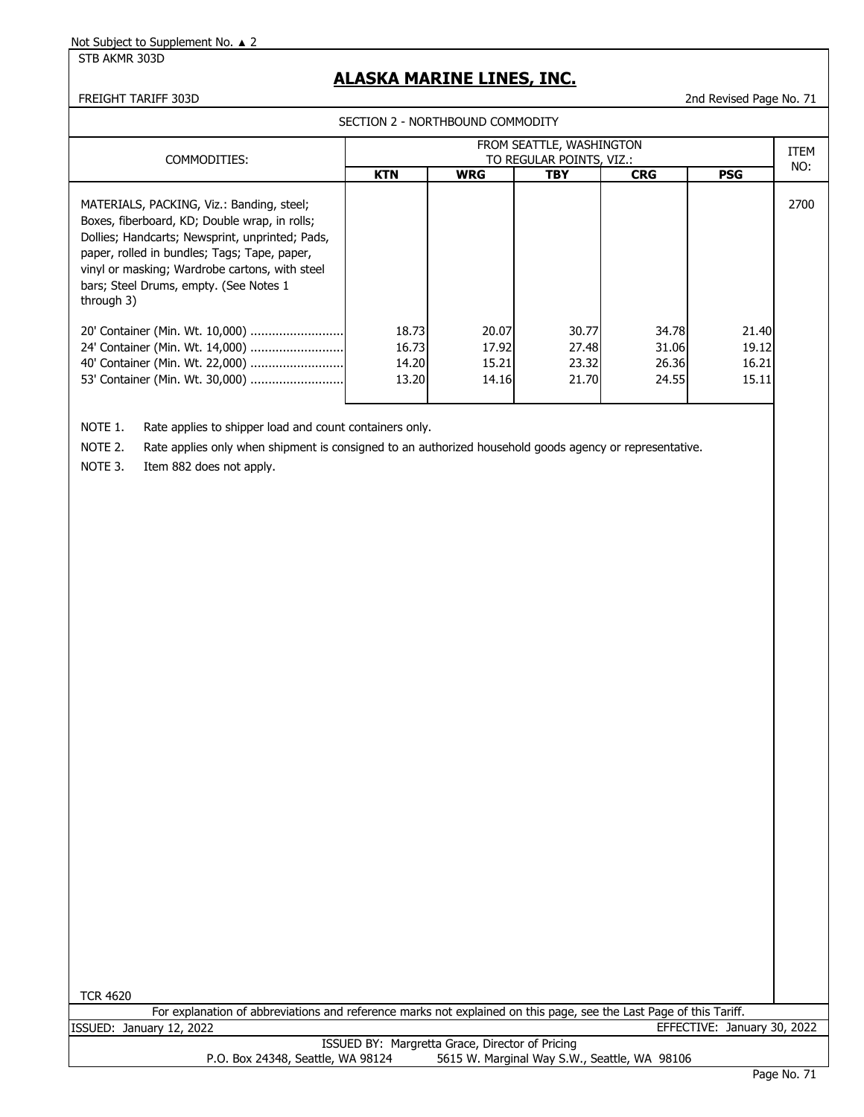#### STB AKMR 303D

### **ALASKA MARINE LINES, INC.**

FREIGHT TARIFF 303D 2nd Revised Page No. 71

|                                                                                                                                                                                                                                                                                                         |                                  | SECTION 2 - NORTHBOUND COMMODITY                     |                                  |                                  |                                  |      |  |  |
|---------------------------------------------------------------------------------------------------------------------------------------------------------------------------------------------------------------------------------------------------------------------------------------------------------|----------------------------------|------------------------------------------------------|----------------------------------|----------------------------------|----------------------------------|------|--|--|
| COMMODITIES:                                                                                                                                                                                                                                                                                            |                                  | FROM SEATTLE, WASHINGTON<br>TO REGULAR POINTS, VIZ.: |                                  |                                  |                                  |      |  |  |
|                                                                                                                                                                                                                                                                                                         | <b>KTN</b>                       | <b>WRG</b>                                           | TBY                              | <b>CRG</b>                       | <b>PSG</b>                       | NO:  |  |  |
| MATERIALS, PACKING, Viz.: Banding, steel;<br>Boxes, fiberboard, KD; Double wrap, in rolls;<br>Dollies; Handcarts; Newsprint, unprinted; Pads,<br>paper, rolled in bundles; Tags; Tape, paper,<br>vinyl or masking; Wardrobe cartons, with steel<br>bars; Steel Drums, empty. (See Notes 1<br>through 3) |                                  |                                                      |                                  |                                  |                                  | 2700 |  |  |
| 40' Container (Min. Wt. 22,000)<br>53' Container (Min. Wt. 30,000)                                                                                                                                                                                                                                      | 18.73<br>16.73<br>14.20<br>13.20 | 20.07<br>17.92<br>15.21<br>14.16                     | 30.77<br>27.48<br>23.32<br>21.70 | 34.78<br>31.06<br>26.36<br>24.55 | 21.40<br>19.12<br>16.21<br>15.11 |      |  |  |

NOTE 1. Rate applies to shipper load and count containers only.

NOTE 2. Rate applies only when shipment is consigned to an authorized household goods agency or representative.

NOTE 3. Item 882 does not apply.

TCR 4620

For explanation of abbreviations and reference marks not explained on this page, see the Last Page of this Tariff. ISSUED: January 12, 2022 EFFECTIVE: January 30, 2022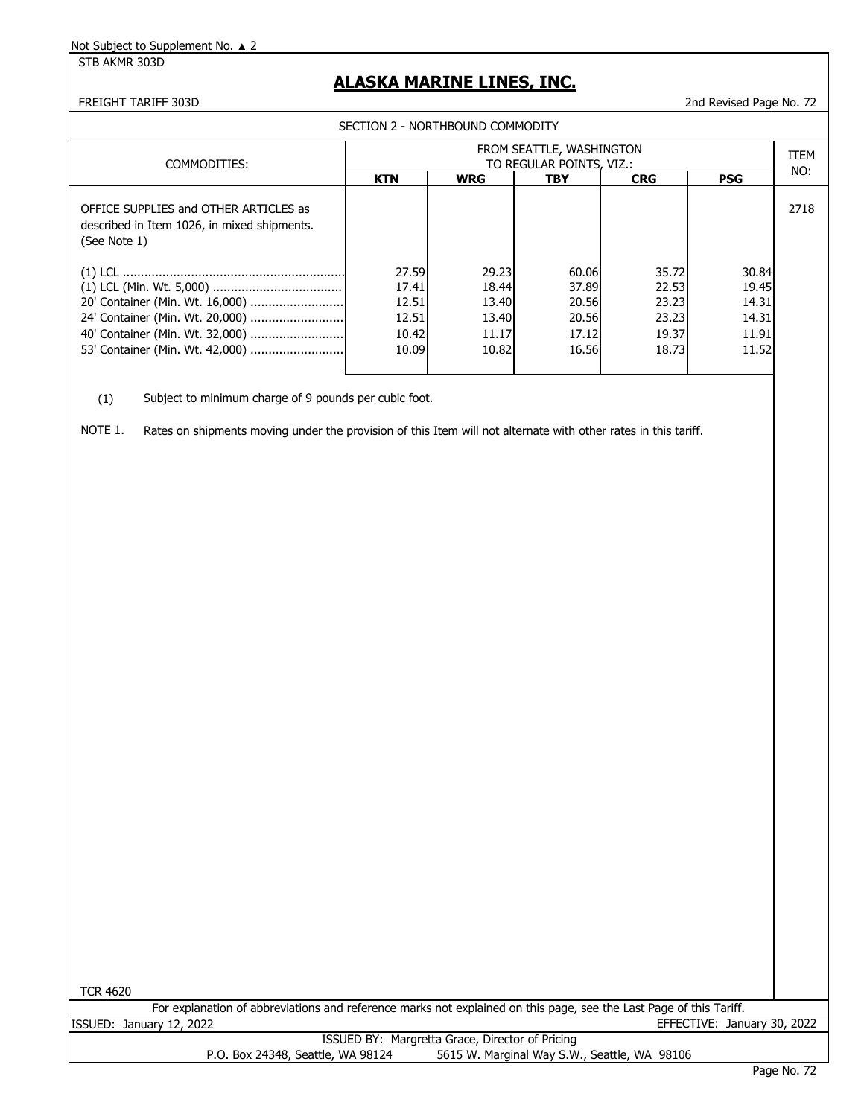STB AKMR 303D

### **ALASKA MARINE LINES, INC.**

#### FREIGHT TARIFF 303D 2nd Revised Page No. 72

SECTION 2 - NORTHBOUND COMMODITY

| COMMODITIES:                                                                                         |            |            | FROM SEATTLE, WASHINGTON<br>TO REGULAR POINTS, VIZ.: |            |            | <b>ITEM</b> |
|------------------------------------------------------------------------------------------------------|------------|------------|------------------------------------------------------|------------|------------|-------------|
|                                                                                                      | <b>KTN</b> | <b>WRG</b> | <b>TBY</b>                                           | <b>CRG</b> | <b>PSG</b> | NO:         |
| OFFICE SUPPLIES and OTHER ARTICLES as<br>described in Item 1026, in mixed shipments.<br>(See Note 1) |            |            |                                                      |            |            | 2718        |
|                                                                                                      | 27.59      | 29.23      | 60.06                                                | 35.72      | 30.84      |             |
|                                                                                                      | 17.41      | 18.44      | 37.89                                                | 22.53      | 19.45      |             |
| 20' Container (Min. Wt. 16,000)                                                                      | 12.51      | 13.40      | 20.56                                                | 23.23      | 14.31      |             |
| 24' Container (Min. Wt. 20,000)                                                                      | 12.51      | 13.40      | 20.56                                                | 23.23      | 14.31      |             |
| 40' Container (Min. Wt. 32,000)                                                                      | 10.42      | 11.17      | 17.12                                                | 19.37      | 11.91      |             |
| 53' Container (Min. Wt. 42,000)                                                                      | 10.09      | 10.82      | 16.56                                                | 18.73      | 11.52      |             |

(1) Subject to minimum charge of 9 pounds per cubic foot.

NOTE 1. Rates on shipments moving under the provision of this Item will not alternate with other rates in this tariff.

TCR 4620

For explanation of abbreviations and reference marks not explained on this page, see the Last Page of this Tariff. ISSUED: January 12, 2022 EFFECTIVE: January 30, 2022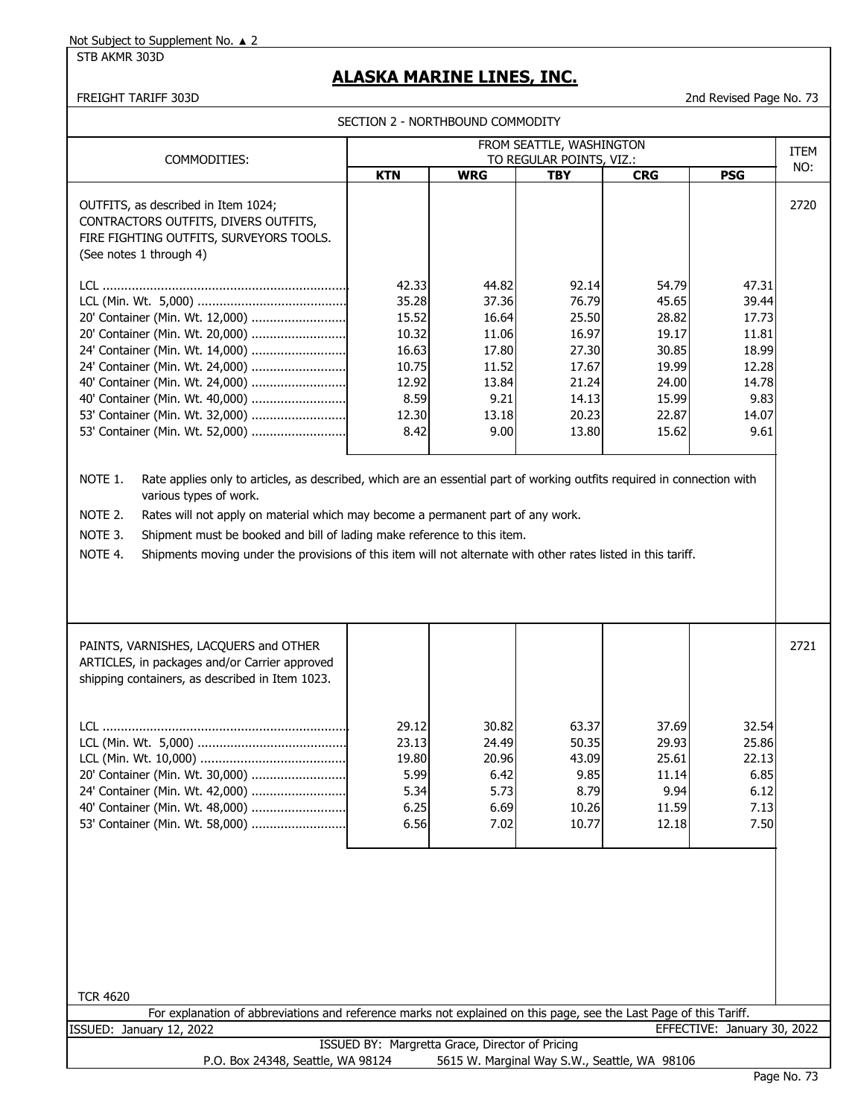#### STB AKMR 303D

## **ALASKA MARINE LINES, INC.**

FREIGHT TARIFF 303D 2nd Revised Page No. 73

|                                                                                                                                                                                                                                                                                                                                                                                                                                                                              |                                                                                      | SECTION 2 - NORTHBOUND COMMODITY                                                     |                                                                                        |                                                                                        |                                                                                      |      |
|------------------------------------------------------------------------------------------------------------------------------------------------------------------------------------------------------------------------------------------------------------------------------------------------------------------------------------------------------------------------------------------------------------------------------------------------------------------------------|--------------------------------------------------------------------------------------|--------------------------------------------------------------------------------------|----------------------------------------------------------------------------------------|----------------------------------------------------------------------------------------|--------------------------------------------------------------------------------------|------|
|                                                                                                                                                                                                                                                                                                                                                                                                                                                                              |                                                                                      |                                                                                      | FROM SEATTLE, WASHINGTON                                                               |                                                                                        |                                                                                      | ITEM |
| COMMODITIES:                                                                                                                                                                                                                                                                                                                                                                                                                                                                 |                                                                                      |                                                                                      | TO REGULAR POINTS, VIZ.:                                                               |                                                                                        |                                                                                      | NO:  |
|                                                                                                                                                                                                                                                                                                                                                                                                                                                                              | <b>KTN</b>                                                                           | <b>WRG</b>                                                                           | <b>TBY</b>                                                                             | <b>CRG</b>                                                                             | <b>PSG</b>                                                                           |      |
| OUTFITS, as described in Item 1024;<br>CONTRACTORS OUTFITS, DIVERS OUTFITS,<br>FIRE FIGHTING OUTFITS, SURVEYORS TOOLS.<br>(See notes 1 through 4)                                                                                                                                                                                                                                                                                                                            |                                                                                      |                                                                                      |                                                                                        |                                                                                        |                                                                                      | 2720 |
| 20' Container (Min. Wt. 12,000)<br>20' Container (Min. Wt. 20,000)<br>24' Container (Min. Wt. 14,000)<br>24' Container (Min. Wt. 24,000)<br>40' Container (Min. Wt. 24,000)<br>40' Container (Min. Wt. 40,000)<br>53' Container (Min. Wt. 32,000)<br>53' Container (Min. Wt. 52,000)                                                                                                                                                                                         | 42.33<br>35.28<br>15.52<br>10.32<br>16.63<br>10.75<br>12.92<br>8.59<br>12.30<br>8.42 | 44.82<br>37.36<br>16.64<br>11.06<br>17.80<br>11.52<br>13.84<br>9.21<br>13.18<br>9.00 | 92.14<br>76.79<br>25.50<br>16.97<br>27.30<br>17.67<br>21.24<br>14.13<br>20.23<br>13.80 | 54.79<br>45.65<br>28.82<br>19.17<br>30.85<br>19.99<br>24.00<br>15.99<br>22.87<br>15.62 | 47.31<br>39.44<br>17.73<br>11.81<br>18.99<br>12.28<br>14.78<br>9.83<br>14.07<br>9.61 |      |
| NOTE 1.<br>Rate applies only to articles, as described, which are an essential part of working outfits required in connection with<br>various types of work.<br>NOTE 2.<br>Rates will not apply on material which may become a permanent part of any work.<br>NOTE 3.<br>Shipment must be booked and bill of lading make reference to this item.<br>NOTE 4.<br>Shipments moving under the provisions of this item will not alternate with other rates listed in this tariff. |                                                                                      |                                                                                      |                                                                                        |                                                                                        |                                                                                      |      |
| PAINTS, VARNISHES, LACQUERS and OTHER<br>ARTICLES, in packages and/or Carrier approved<br>shipping containers, as described in Item 1023.<br>20' Container (Min. Wt. 30,000)<br>24' Container (Min. Wt. 42,000)<br>40' Container (Min. Wt. 48,000)<br>53' Container (Min. Wt. 58,000)                                                                                                                                                                                        | 29.12<br>23.13<br>19.80<br>5.99<br>5.34<br>6.25<br>6.56                              | 30.82<br>24.49<br>20.96<br>6.42<br>5.73<br>6.69<br>7.02                              | 63.37<br>50.35<br>43.09<br>9.85<br>8.79<br>10.26<br>10.77                              | 37.69<br>29.93<br>25.61<br>11.14<br>9.94<br>11.59<br>12.18                             | 32.54<br>25.86<br>22.13<br>6.85<br>6.12<br>7.13<br>7.50                              | 2721 |
| <b>TCR 4620</b><br>For explanation of abbreviations and reference marks not explained on this page, see the Last Page of this Tariff.<br>ISSUED: January 12, 2022                                                                                                                                                                                                                                                                                                            |                                                                                      |                                                                                      |                                                                                        |                                                                                        | EFFECTIVE: January 30, 2022                                                          |      |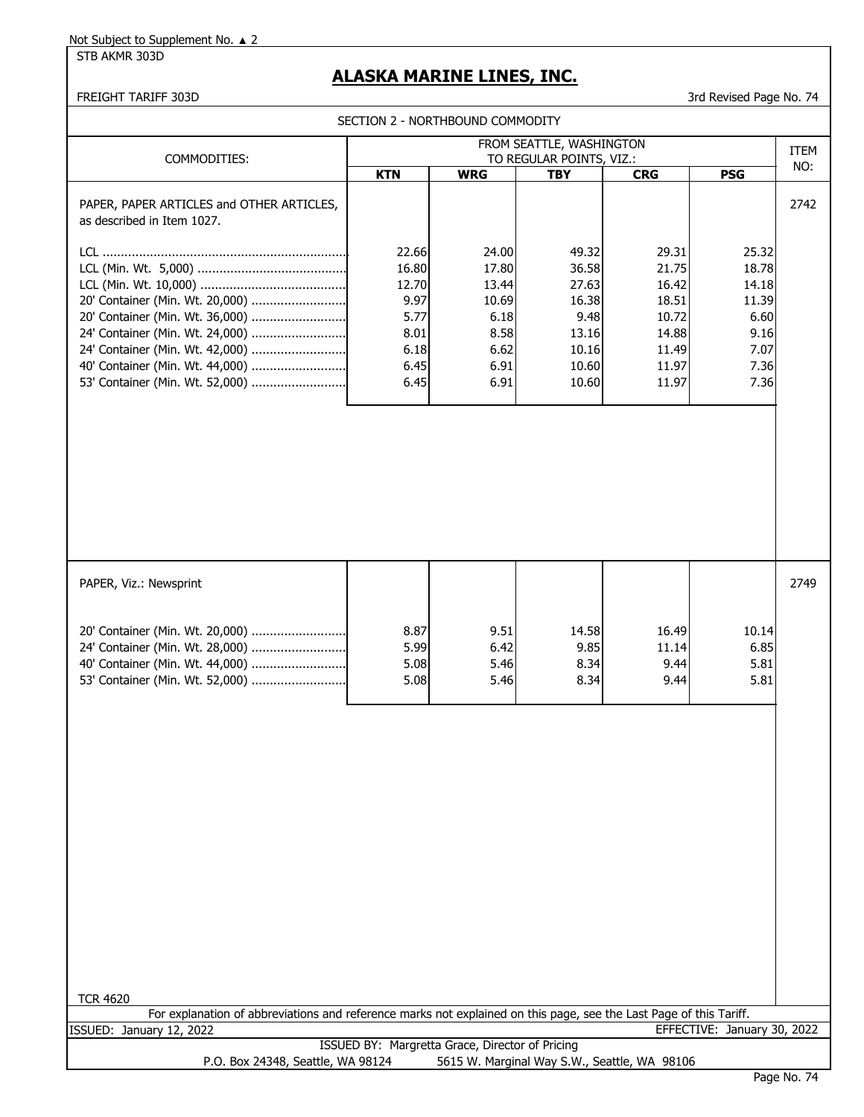STB AKMR 303D

# **ALASKA MARINE LINES, INC.**

FREIGHT TARIFF 303D 3rd Revised Page No. 74

|                                                                                                                                                                                                                |                                                                         | SECTION 2 - NORTHBOUND COMMODITY                                         |                                                                              |                                                                               |                                                                          |      |
|----------------------------------------------------------------------------------------------------------------------------------------------------------------------------------------------------------------|-------------------------------------------------------------------------|--------------------------------------------------------------------------|------------------------------------------------------------------------------|-------------------------------------------------------------------------------|--------------------------------------------------------------------------|------|
|                                                                                                                                                                                                                |                                                                         |                                                                          | FROM SEATTLE, WASHINGTON                                                     |                                                                               |                                                                          | ITEM |
| COMMODITIES:                                                                                                                                                                                                   | <b>KTN</b>                                                              | <b>WRG</b>                                                               | TO REGULAR POINTS, VIZ.:<br><b>TBY</b>                                       | <b>CRG</b>                                                                    | <b>PSG</b>                                                               | NO:  |
| PAPER, PAPER ARTICLES and OTHER ARTICLES,<br>as described in Item 1027.                                                                                                                                        |                                                                         |                                                                          |                                                                              |                                                                               |                                                                          | 2742 |
| 20' Container (Min. Wt. 20,000)<br>20' Container (Min. Wt. 36,000)<br>24' Container (Min. Wt. 24,000)<br>24' Container (Min. Wt. 42,000)<br>40' Container (Min. Wt. 44,000)<br>53' Container (Min. Wt. 52,000) | 22.66<br>16.80<br>12.70<br>9.97<br>5.77<br>8.01<br>6.18<br>6.45<br>6.45 | 24.00<br>17.80<br>13.44<br>10.69<br>6.18<br>8.58<br>6.62<br>6.91<br>6.91 | 49.32<br>36.58<br>27.63<br>16.38<br>9.48<br>13.16<br>10.16<br>10.60<br>10.60 | 29.31<br>21.75<br>16.42<br>18.51<br>10.72<br>14.88<br>11.49<br>11.97<br>11.97 | 25.32<br>18.78<br>14.18<br>11.39<br>6.60<br>9.16<br>7.07<br>7.36<br>7.36 |      |
| PAPER, Viz.: Newsprint                                                                                                                                                                                         |                                                                         |                                                                          |                                                                              |                                                                               |                                                                          | 2749 |
| 20' Container (Min. Wt. 20,000)<br>24' Container (Min. Wt. 28,000)<br>40' Container (Min. Wt. 44,000)<br>53' Container (Min. Wt. 52,000)                                                                       | 8.87<br>5.99<br>5.08<br>5.08                                            | 9.51<br>6.42<br>5.46<br>5.46                                             | 14.58<br>9.85<br>8.34<br>8.34                                                | 16.49<br>11.14<br>9.44<br>9.44                                                | 10.14<br>6.85<br>5.81<br>5.81                                            |      |
| <b>TCR 4620</b>                                                                                                                                                                                                |                                                                         |                                                                          |                                                                              |                                                                               |                                                                          |      |
| For explanation of abbreviations and reference marks not explained on this page, see the Last Page of this Tariff.                                                                                             |                                                                         |                                                                          |                                                                              |                                                                               |                                                                          |      |
| ISSUED: January 12, 2022                                                                                                                                                                                       |                                                                         |                                                                          |                                                                              |                                                                               | EFFECTIVE: January 30, 2022                                              |      |
| P.O. Box 24348, Seattle, WA 98124                                                                                                                                                                              |                                                                         | ISSUED BY: Margretta Grace, Director of Pricing                          |                                                                              | 5615 W. Marginal Way S.W., Seattle, WA 98106                                  |                                                                          |      |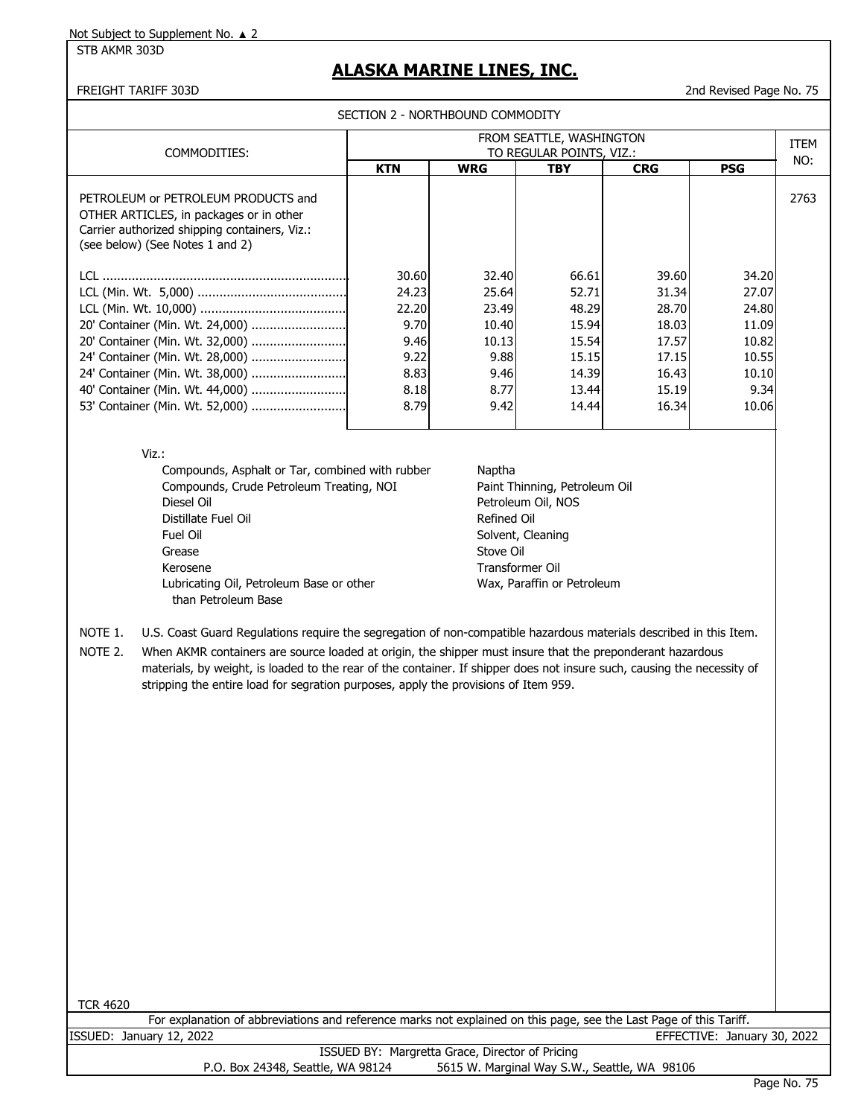#### STB AKMR 303D

### **ALASKA MARINE LINES, INC.**

#### FREIGHT TARIFF 303D 2nd Revised Page No. 75

SECTION 2 - NORTHBOUND COMMODITY

| <b>KTN</b><br>PETROLEUM or PETROLEUM PRODUCTS and<br>OTHER ARTICLES, in packages or in other<br>Carrier authorized shipping containers, Viz.:<br>(see below) (See Notes 1 and 2) | <b>WRG</b>     | <b>TBY</b> | <b>CRG</b> | <b>PSG</b> | NO:  |
|----------------------------------------------------------------------------------------------------------------------------------------------------------------------------------|----------------|------------|------------|------------|------|
|                                                                                                                                                                                  |                |            |            |            |      |
|                                                                                                                                                                                  |                |            |            |            | 2763 |
|                                                                                                                                                                                  | 30.60<br>32.40 | 66.61      | 39.60      | 34.20      |      |
|                                                                                                                                                                                  | 24.23<br>25.64 | 52.71      | 31.34      | 27.07      |      |
|                                                                                                                                                                                  | 22.20<br>23.49 | 48.29      | 28.70      | 24.80      |      |
| 20' Container (Min. Wt. 24,000)                                                                                                                                                  | 9.70<br>10.40  | 15.94      | 18.03      | 11.09      |      |
| 20' Container (Min. Wt. 32,000)                                                                                                                                                  | 9.46<br>10.13  | 15.54      | 17.57      | 10.82      |      |
| 24' Container (Min. Wt. 28,000)                                                                                                                                                  | 9.22<br>9.88   | 15.15      | 17.15      | 10.55      |      |
| 24' Container (Min. Wt. 38,000)                                                                                                                                                  | 8.83<br>9.46   | 14.39      | 16.43      | 10.10      |      |
| 40' Container (Min. Wt. 44,000)                                                                                                                                                  | 8.18<br>8.77   | 13.44      | 15.19      | 9.34       |      |
| 53' Container (Min. Wt. 52,000)                                                                                                                                                  | 8.79<br>9.42   | 14.44      | 16.34      | 10.06      |      |

Compounds, Asphalt or Tar, combined with rubber Naptha Compounds, Crude Petroleum Treating, NOI Paint Thinning, Petroleum Oil Diesel Oil **Petroleum Oil, NOS** Distillate Fuel Oil and The Communication of the Refined Oil Refined Oil Fuel Oil **Solvent, Cleaning** Grease Stove Oil Kerosene Transformer Oil Lubricating Oil, Petroleum Base or other Wax, Paraffin or Petroleum than Petroleum Base

NOTE 1. U.S. Coast Guard Regulations require the segregation of non-compatible hazardous materials described in this Item.

NOTE 2. When AKMR containers are source loaded at origin, the shipper must insure that the preponderant hazardous materials, by weight, is loaded to the rear of the container. If shipper does not insure such, causing the necessity of stripping the entire load for segration purposes, apply the provisions of Item 959.

| 462<br>O |  |
|----------|--|
|          |  |

| For explanation of abbreviations and reference marks not explained on this page, see the Last Page of this Tariff. |                             |
|--------------------------------------------------------------------------------------------------------------------|-----------------------------|
| ISSUED: Januarv 12, 2022                                                                                           | EFFECTIVE: January 30, 2022 |
| ISSUED BY: Margretta Grace, Director of Pricing                                                                    |                             |
| 5615 W. Marginal Way S.W., Seattle, WA 98106<br>P.O. Box 24348, Seattle, WA 98124                                  |                             |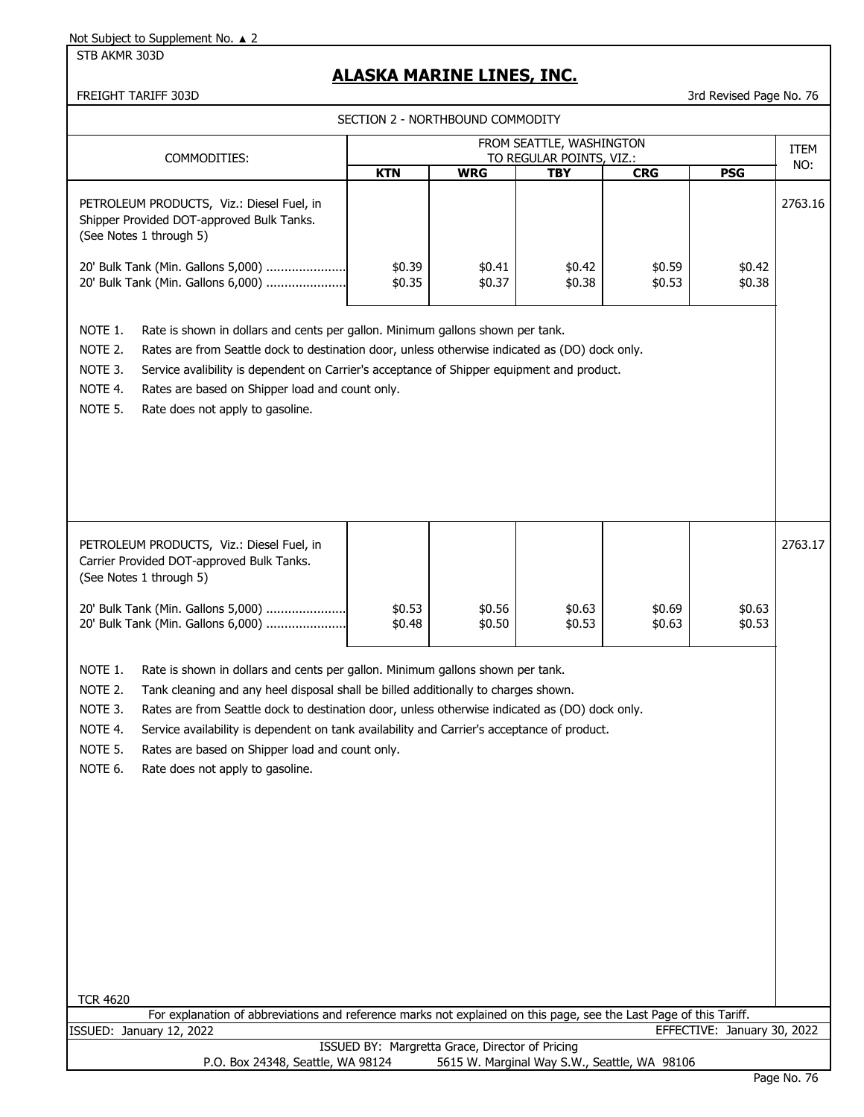STB AKMR 303D

## **ALASKA MARINE LINES, INC.**

#### FREIGHT TARIFF 303D 3rd Revised Page No. 76

SECTION 2 - NORTHBOUND COMMODITY

|                                                                |                                                                                                                                                                                                                                                                                                                                                                                                                                                              |                  | SECTION Z - NORTHBOUND COMMODITY                |                                                      |                  |                             |             |
|----------------------------------------------------------------|--------------------------------------------------------------------------------------------------------------------------------------------------------------------------------------------------------------------------------------------------------------------------------------------------------------------------------------------------------------------------------------------------------------------------------------------------------------|------------------|-------------------------------------------------|------------------------------------------------------|------------------|-----------------------------|-------------|
|                                                                | COMMODITIES:                                                                                                                                                                                                                                                                                                                                                                                                                                                 |                  |                                                 | FROM SEATTLE, WASHINGTON<br>TO REGULAR POINTS, VIZ.: |                  |                             | <b>ITEM</b> |
|                                                                |                                                                                                                                                                                                                                                                                                                                                                                                                                                              | <b>KTN</b>       | <b>WRG</b>                                      | <b>TBY</b>                                           | <b>CRG</b>       | <b>PSG</b>                  | NO:         |
|                                                                | PETROLEUM PRODUCTS, Viz.: Diesel Fuel, in<br>Shipper Provided DOT-approved Bulk Tanks.<br>(See Notes 1 through 5)                                                                                                                                                                                                                                                                                                                                            |                  |                                                 |                                                      |                  |                             | 2763.16     |
|                                                                | 20' Bulk Tank (Min. Gallons 5,000)<br>20' Bulk Tank (Min. Gallons 6,000)                                                                                                                                                                                                                                                                                                                                                                                     | \$0.39<br>\$0.35 | \$0.41<br>\$0.37                                | \$0.42<br>\$0.38                                     | \$0.59<br>\$0.53 | \$0.42<br>\$0.38            |             |
| NOTE 1.<br>NOTE 2.<br>NOTE 3.<br>NOTE 4.<br>NOTE 5.            | Rate is shown in dollars and cents per gallon. Minimum gallons shown per tank.<br>Rates are from Seattle dock to destination door, unless otherwise indicated as (DO) dock only.<br>Service avalibility is dependent on Carrier's acceptance of Shipper equipment and product.<br>Rates are based on Shipper load and count only.<br>Rate does not apply to gasoline.                                                                                        |                  |                                                 |                                                      |                  |                             |             |
|                                                                | PETROLEUM PRODUCTS, Viz.: Diesel Fuel, in<br>Carrier Provided DOT-approved Bulk Tanks.<br>(See Notes 1 through 5)                                                                                                                                                                                                                                                                                                                                            |                  |                                                 |                                                      |                  |                             | 2763.17     |
|                                                                | 20' Bulk Tank (Min. Gallons 5,000)<br>20' Bulk Tank (Min. Gallons 6,000)                                                                                                                                                                                                                                                                                                                                                                                     | \$0.53<br>\$0.48 | \$0.56<br>\$0.50                                | \$0.63<br>\$0.53                                     | \$0.69<br>\$0.63 | \$0.63<br>\$0.53            |             |
| NOTE 1.<br>NOTE 2.<br>NOTE 3.<br>NOTE 4.<br>Note 5.<br>NOTE 6. | Rate is shown in dollars and cents per gallon. Minimum gallons shown per tank.<br>Tank cleaning and any heel disposal shall be billed additionally to charges shown.<br>Rates are from Seattle dock to destination door, unless otherwise indicated as (DO) dock only.<br>Service availability is dependent on tank availability and Carrier's acceptance of product.<br>Rates are based on Shipper load and count only.<br>Rate does not apply to gasoline. |                  |                                                 |                                                      |                  |                             |             |
| <b>TCR 4620</b>                                                | For explanation of abbreviations and reference marks not explained on this page, see the Last Page of this Tariff.                                                                                                                                                                                                                                                                                                                                           |                  |                                                 |                                                      |                  |                             |             |
|                                                                | ISSUED: January 12, 2022                                                                                                                                                                                                                                                                                                                                                                                                                                     |                  |                                                 |                                                      |                  | EFFECTIVE: January 30, 2022 |             |
|                                                                | P.O. Box 24348, Seattle, WA 98124                                                                                                                                                                                                                                                                                                                                                                                                                            |                  | ISSUED BY: Margretta Grace, Director of Pricing | 5615 W. Marginal Way S.W., Seattle, WA 98106         |                  |                             |             |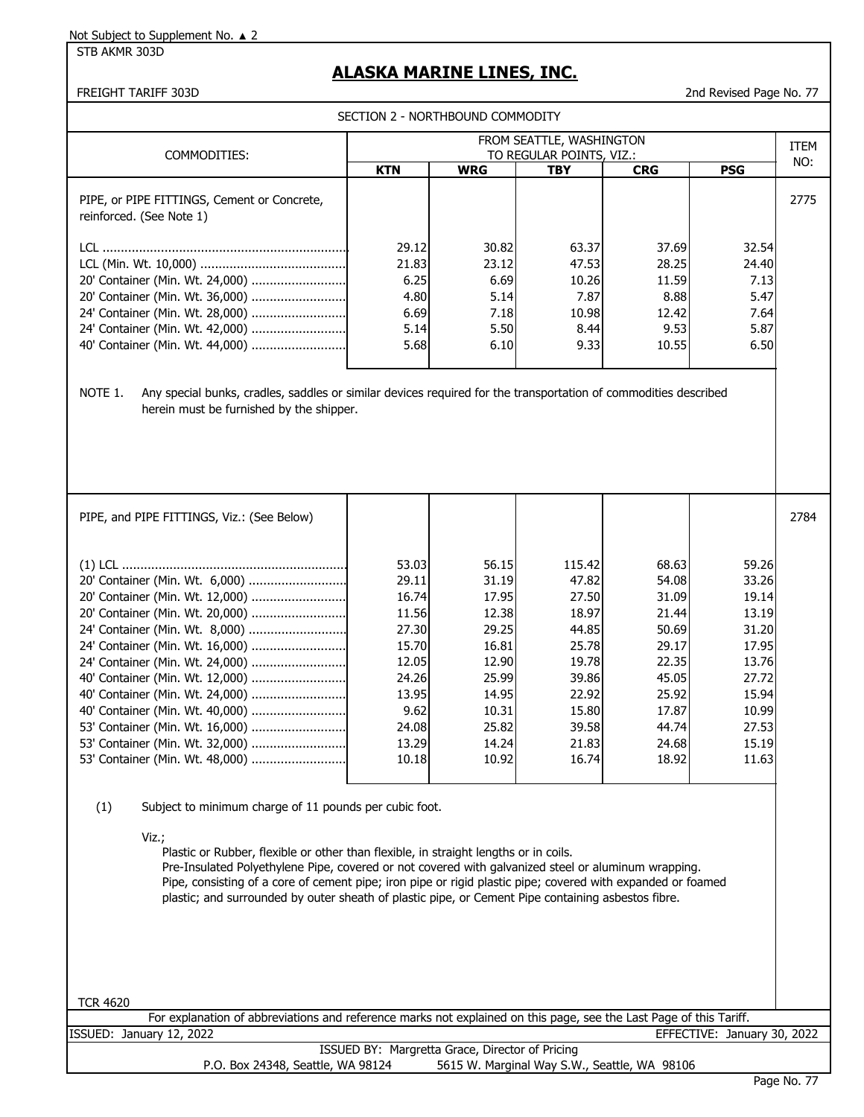STB AKMR 303D

# **ALASKA MARINE LINES, INC.**

FREIGHT TARIFF 303D 2nd Revised Page No. 77

| SECTION 2 - NORTHBOUND COMMODITY                                                                                                                                                                                                                                                                                                                                                                                                                                                                                                                                                                                                                                                                                                                                                                                                                                                                                                                |                                                                                                                  |                                                                                                                   |                                                                                                                    |                                                                                                                   |                                                                                                                   |             |
|-------------------------------------------------------------------------------------------------------------------------------------------------------------------------------------------------------------------------------------------------------------------------------------------------------------------------------------------------------------------------------------------------------------------------------------------------------------------------------------------------------------------------------------------------------------------------------------------------------------------------------------------------------------------------------------------------------------------------------------------------------------------------------------------------------------------------------------------------------------------------------------------------------------------------------------------------|------------------------------------------------------------------------------------------------------------------|-------------------------------------------------------------------------------------------------------------------|--------------------------------------------------------------------------------------------------------------------|-------------------------------------------------------------------------------------------------------------------|-------------------------------------------------------------------------------------------------------------------|-------------|
|                                                                                                                                                                                                                                                                                                                                                                                                                                                                                                                                                                                                                                                                                                                                                                                                                                                                                                                                                 |                                                                                                                  |                                                                                                                   | FROM SEATTLE, WASHINGTON                                                                                           |                                                                                                                   |                                                                                                                   | <b>ITEM</b> |
| COMMODITIES:                                                                                                                                                                                                                                                                                                                                                                                                                                                                                                                                                                                                                                                                                                                                                                                                                                                                                                                                    | <b>KTN</b>                                                                                                       | <b>WRG</b>                                                                                                        | TO REGULAR POINTS, VIZ.:<br><b>TBY</b>                                                                             | <b>CRG</b>                                                                                                        | <b>PSG</b>                                                                                                        | NO:         |
| PIPE, or PIPE FITTINGS, Cement or Concrete,<br>reinforced. (See Note 1)                                                                                                                                                                                                                                                                                                                                                                                                                                                                                                                                                                                                                                                                                                                                                                                                                                                                         |                                                                                                                  |                                                                                                                   |                                                                                                                    |                                                                                                                   |                                                                                                                   | 2775        |
| 20' Container (Min. Wt. 24,000)<br>20' Container (Min. Wt. 36,000)<br>24' Container (Min. Wt. 28,000)<br>24' Container (Min. Wt. 42,000)<br>40' Container (Min. Wt. 44,000)                                                                                                                                                                                                                                                                                                                                                                                                                                                                                                                                                                                                                                                                                                                                                                     | 29.12<br>21.83<br>6.25<br>4.80<br>6.69<br>5.14<br>5.68                                                           | 30.82<br>23.12<br>6.69<br>5.14<br>7.18<br>5.50<br>6.10                                                            | 63.37<br>47.53<br>10.26<br>7.87<br>10.98<br>8.44<br>9.33                                                           | 37.69<br>28.25<br>11.59<br>8.88<br>12.42<br>9.53<br>10.55                                                         | 32.54<br>24.40<br>7.13<br>5.47<br>7.64<br>5.87<br>6.50                                                            |             |
| NOTE 1.<br>Any special bunks, cradles, saddles or similar devices required for the transportation of commodities described<br>herein must be furnished by the shipper.                                                                                                                                                                                                                                                                                                                                                                                                                                                                                                                                                                                                                                                                                                                                                                          |                                                                                                                  |                                                                                                                   |                                                                                                                    |                                                                                                                   |                                                                                                                   |             |
| PIPE, and PIPE FITTINGS, Viz.: (See Below)                                                                                                                                                                                                                                                                                                                                                                                                                                                                                                                                                                                                                                                                                                                                                                                                                                                                                                      |                                                                                                                  |                                                                                                                   |                                                                                                                    |                                                                                                                   |                                                                                                                   | 2784        |
| 20' Container (Min. Wt. 6,000)<br>20' Container (Min. Wt. 12,000)<br>20' Container (Min. Wt. 20,000)<br>24' Container (Min. Wt. 8,000)<br>24' Container (Min. Wt. 16,000)<br>24' Container (Min. Wt. 24,000)<br>40' Container (Min. Wt. 12,000)<br>40' Container (Min. Wt. 24,000)<br>40' Container (Min. Wt. 40,000)<br>53' Container (Min. Wt. 16,000)<br>53' Container (Min. Wt. 32,000)<br>53' Container (Min. Wt. 48,000)<br>(1)<br>Subject to minimum charge of 11 pounds per cubic foot.<br>Viz.;<br>Plastic or Rubber, flexible or other than flexible, in straight lengths or in coils.<br>Pre-Insulated Polyethylene Pipe, covered or not covered with galvanized steel or aluminum wrapping.<br>Pipe, consisting of a core of cement pipe; iron pipe or rigid plastic pipe; covered with expanded or foamed<br>plastic; and surrounded by outer sheath of plastic pipe, or Cement Pipe containing asbestos fibre.<br><b>TCR 4620</b> | 53.03<br>29.11<br>16.74<br>11.56<br>27.30<br>15.70<br>12.05<br>24.26<br>13.95<br>9.62<br>24.08<br>13.29<br>10.18 | 56.15<br>31.19<br>17.95<br>12.38<br>29.25<br>16.81<br>12.90<br>25.99<br>14.95<br>10.31<br>25.82<br>14.24<br>10.92 | 115.42<br>47.82<br>27.50<br>18.97<br>44.85<br>25.78<br>19.78<br>39.86<br>22.92<br>15.80<br>39.58<br>21.83<br>16.74 | 68.63<br>54.08<br>31.09<br>21.44<br>50.69<br>29.17<br>22.35<br>45.05<br>25.92<br>17.87<br>44.74<br>24.68<br>18.92 | 59.26<br>33.26<br>19.14<br>13.19<br>31.20<br>17.95<br>13.76<br>27.72<br>15.94<br>10.99<br>27.53<br>15.19<br>11.63 |             |
| For explanation of abbreviations and reference marks not explained on this page, see the Last Page of this Tariff.                                                                                                                                                                                                                                                                                                                                                                                                                                                                                                                                                                                                                                                                                                                                                                                                                              |                                                                                                                  |                                                                                                                   |                                                                                                                    |                                                                                                                   |                                                                                                                   |             |
| ISSUED: January 12, 2022                                                                                                                                                                                                                                                                                                                                                                                                                                                                                                                                                                                                                                                                                                                                                                                                                                                                                                                        |                                                                                                                  | ISSUED BY: Margretta Grace, Director of Pricing                                                                   |                                                                                                                    |                                                                                                                   | EFFECTIVE: January 30, 2022                                                                                       |             |
| P.O. Box 24348, Seattle, WA 98124                                                                                                                                                                                                                                                                                                                                                                                                                                                                                                                                                                                                                                                                                                                                                                                                                                                                                                               |                                                                                                                  |                                                                                                                   | 5615 W. Marginal Way S.W., Seattle, WA 98106                                                                       |                                                                                                                   |                                                                                                                   |             |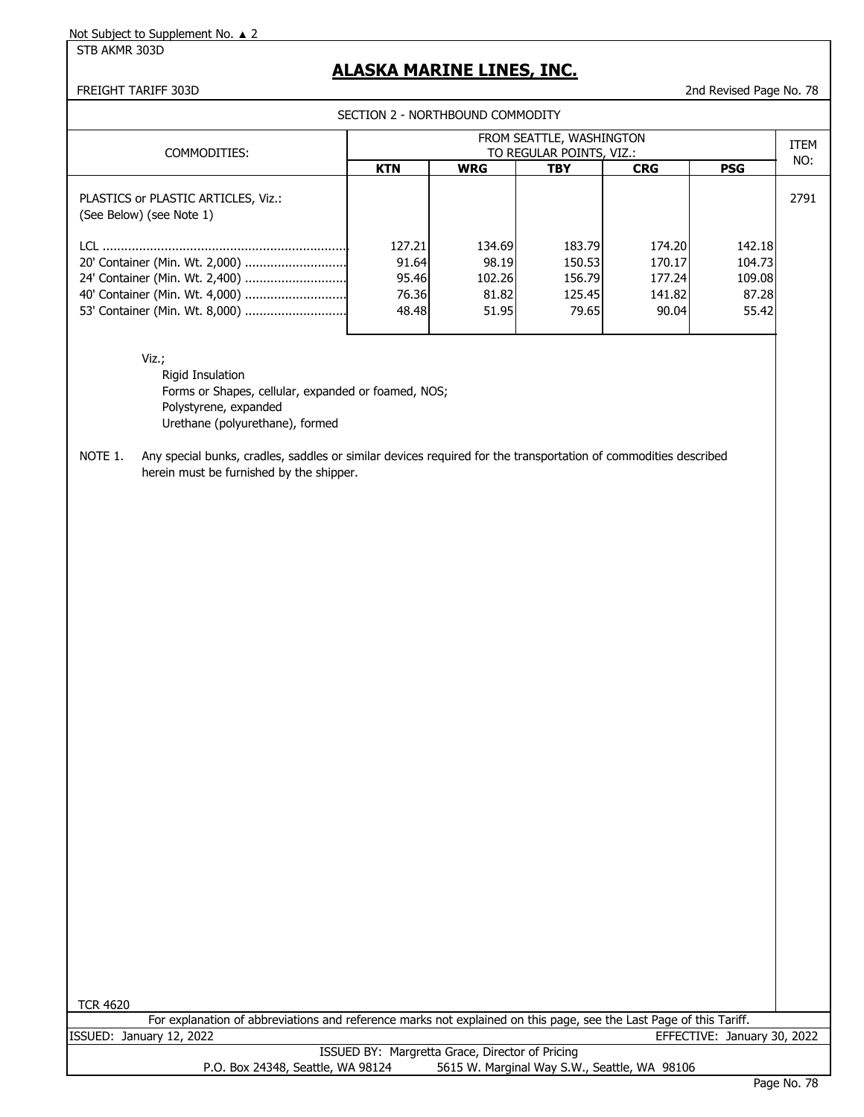STB AKMR 303D

### **ALASKA MARINE LINES, INC.**

FREIGHT TARIFF 303D 2nd Revised Page No. 78

SECTION 2 - NORTHBOUND COMMODITY

|                                                                 |            |            | FROM SEATTLE, WASHINGTON |            |            | <b>ITEM</b> |
|-----------------------------------------------------------------|------------|------------|--------------------------|------------|------------|-------------|
| COMMODITIES:                                                    |            |            | TO REGULAR POINTS, VIZ.: |            |            | NO:         |
|                                                                 | <b>KTN</b> | <b>WRG</b> | TBY                      | <b>CRG</b> | <b>PSG</b> |             |
| PLASTICS or PLASTIC ARTICLES, Viz.:<br>(See Below) (see Note 1) |            |            |                          |            |            | 2791        |
| $\overline{a}$                                                  | 127.21     | 134.69     | 183.79                   | 174.20     | 142.18     |             |
|                                                                 | 91.64      | 98.19      | 150.53                   | 170.17     | 104.73     |             |
| 24' Container (Min. Wt. 2,400)                                  | 95.46      | 102.26     | 156.79                   | 177.24     | 109.08     |             |
|                                                                 | 76.36      | 81.82      | 125.45                   | 141.82     | 87.28      |             |
|                                                                 | 48.48      | 51.95      | 79.65                    | 90.04      | 55.42      |             |
|                                                                 |            |            |                          |            |            |             |

Viz.;

Rigid Insulation Forms or Shapes, cellular, expanded or foamed, NOS; Polystyrene, expanded Urethane (polyurethane), formed

NOTE 1. Any special bunks, cradles, saddles or similar devices required for the transportation of commodities described herein must be furnished by the shipper.

TCR 4620

| For explanation of abbreviations and reference marks not explained on this page, see the Last Page of this Tariff. |                             |
|--------------------------------------------------------------------------------------------------------------------|-----------------------------|
| ISSUED: January 12, 2022                                                                                           | EFFECTIVE: January 30, 2022 |
| ISSUED BY: Margretta Grace, Director of Pricing                                                                    |                             |
| 5615 W. Marginal Way S.W., Seattle, WA 98106<br>P.O. Box 24348, Seattle, WA 98124                                  |                             |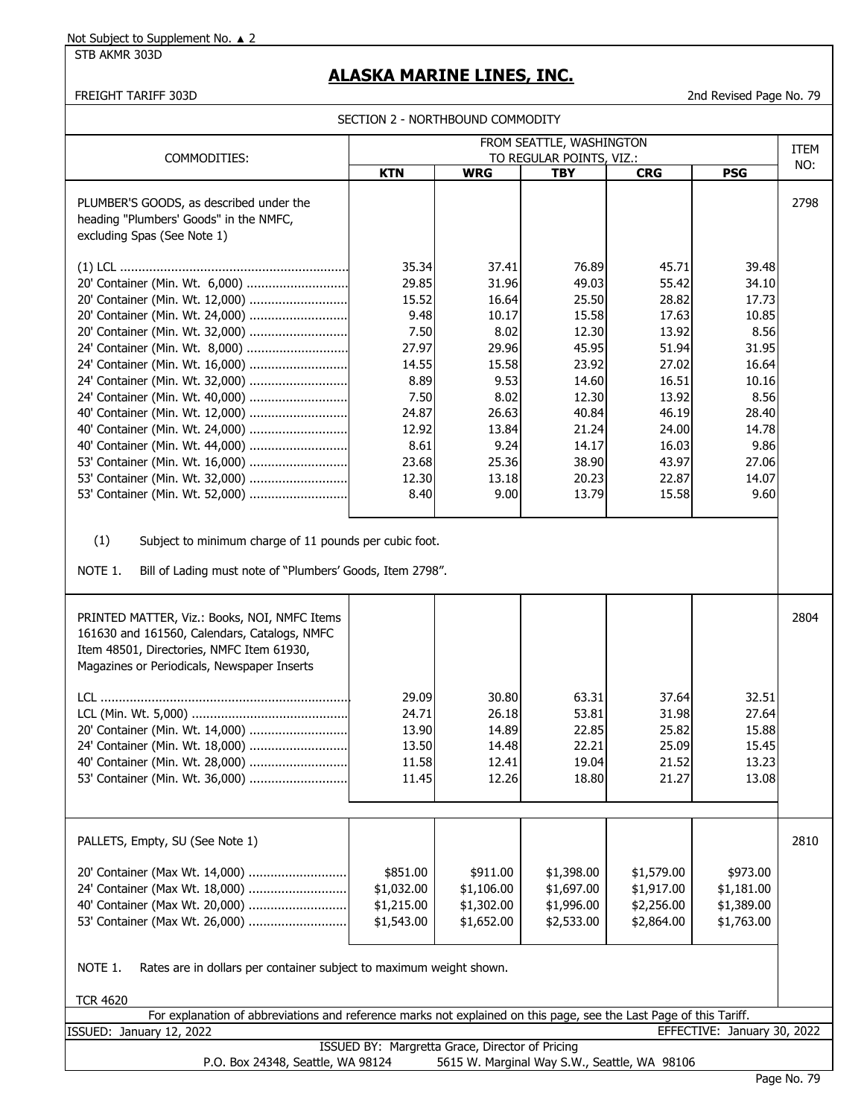STB AKMR 303D

## **ALASKA MARINE LINES, INC.**

FREIGHT TARIFF 303D 2nd Revised Page No. 79

|                                                                                                                                                                                                                                                                                                                                                                                                                                                                                                      | SECTION 2 - NORTHBOUND COMMODITY                                                                                              |                                                                                                                                |                                                                                                                                     |                                                                                                                                     |                                                                                                                                 |             |
|------------------------------------------------------------------------------------------------------------------------------------------------------------------------------------------------------------------------------------------------------------------------------------------------------------------------------------------------------------------------------------------------------------------------------------------------------------------------------------------------------|-------------------------------------------------------------------------------------------------------------------------------|--------------------------------------------------------------------------------------------------------------------------------|-------------------------------------------------------------------------------------------------------------------------------------|-------------------------------------------------------------------------------------------------------------------------------------|---------------------------------------------------------------------------------------------------------------------------------|-------------|
|                                                                                                                                                                                                                                                                                                                                                                                                                                                                                                      |                                                                                                                               |                                                                                                                                | FROM SEATTLE, WASHINGTON                                                                                                            |                                                                                                                                     |                                                                                                                                 | <b>ITEM</b> |
| COMMODITIES:                                                                                                                                                                                                                                                                                                                                                                                                                                                                                         | <b>KTN</b>                                                                                                                    | <b>WRG</b>                                                                                                                     | TO REGULAR POINTS, VIZ.:<br><b>TBY</b>                                                                                              | <b>CRG</b>                                                                                                                          | <b>PSG</b>                                                                                                                      | NO:         |
| PLUMBER'S GOODS, as described under the<br>heading "Plumbers' Goods" in the NMFC,<br>excluding Spas (See Note 1)                                                                                                                                                                                                                                                                                                                                                                                     |                                                                                                                               |                                                                                                                                |                                                                                                                                     |                                                                                                                                     |                                                                                                                                 | 2798        |
| 20' Container (Min. Wt. 6,000)<br>20' Container (Min. Wt. 12,000)<br>20' Container (Min. Wt. 24,000)<br>20' Container (Min. Wt. 32,000)<br>24' Container (Min. Wt. 8,000)<br>24' Container (Min. Wt. 16,000)<br>24' Container (Min. Wt. 32,000)<br>24' Container (Min. Wt. 40,000)<br>40' Container (Min. Wt. 12,000)<br>40' Container (Min. Wt. 24,000)<br>40' Container (Min. Wt. 44,000)<br>53' Container (Min. Wt. 16,000)<br>53' Container (Min. Wt. 32,000)<br>53' Container (Min. Wt. 52,000) | 35.34<br>29.85<br>15.52<br>9.48<br>7.50<br>27.97<br>14.55<br>8.89<br>7.50<br>24.87<br>12.92<br>8.61<br>23.68<br>12.30<br>8.40 | 37.41<br>31.96<br>16.64<br>10.17<br>8.02<br>29.96<br>15.58<br>9.53<br>8.02<br>26.63<br>13.84<br>9.24<br>25.36<br>13.18<br>9.00 | 76.89<br>49.03<br>25.50<br>15.58<br>12.30<br>45.95<br>23.92<br>14.60<br>12.30<br>40.84<br>21.24<br>14.17<br>38.90<br>20.23<br>13.79 | 45.71<br>55.42<br>28.82<br>17.63<br>13.92<br>51.94<br>27.02<br>16.51<br>13.92<br>46.19<br>24.00<br>16.03<br>43.97<br>22.87<br>15.58 | 39.48<br>34.10<br>17.73<br>10.85<br>8.56<br>31.95<br>16.64<br>10.16<br>8.56<br>28.40<br>14.78<br>9.86<br>27.06<br>14.07<br>9.60 |             |
| (1)<br>Subject to minimum charge of 11 pounds per cubic foot.<br>NOTE 1.<br>Bill of Lading must note of "Plumbers' Goods, Item 2798".                                                                                                                                                                                                                                                                                                                                                                |                                                                                                                               |                                                                                                                                |                                                                                                                                     |                                                                                                                                     |                                                                                                                                 |             |
| PRINTED MATTER, Viz.: Books, NOI, NMFC Items<br>161630 and 161560, Calendars, Catalogs, NMFC<br>Item 48501, Directories, NMFC Item 61930,<br>Magazines or Periodicals, Newspaper Inserts<br>20' Container (Min. Wt. 14,000)<br>24' Container (Min. Wt. 18,000)<br>40' Container (Min. Wt. 28,000)<br>53' Container (Min. Wt. 36,000)                                                                                                                                                                 | 29.09<br>24.71<br>13.90<br>13.50<br>11.58<br>11.45                                                                            | 30.80<br>26.18<br>14.89<br>14.48<br>12.41<br>12.26                                                                             | 63.31<br>53.81<br>22.85<br>22.21<br>19.04<br>18.80                                                                                  | 37.64<br>31.98<br>25.82<br>25.09<br>21.52<br>21.27                                                                                  | 32.51<br>27.64<br>15.88<br>15.45<br>13.23<br>13.08                                                                              | 2804        |
| PALLETS, Empty, SU (See Note 1)<br>20' Container (Max Wt. 14,000)<br>24' Container (Max Wt. 18,000)<br>40' Container (Max Wt. 20,000)<br>53' Container (Max Wt. 26,000)<br>NOTE 1.<br>Rates are in dollars per container subject to maximum weight shown.                                                                                                                                                                                                                                            | \$851.00<br>\$1,032.00<br>\$1,215.00<br>\$1,543.00                                                                            | \$911.00<br>\$1,106.00<br>\$1,302.00<br>\$1,652.00                                                                             | \$1,398.00<br>\$1,697.00<br>\$1,996.00<br>\$2,533.00                                                                                | \$1,579.00<br>\$1,917.00<br>\$2,256.00<br>\$2,864.00                                                                                | \$973.00<br>\$1,181.00<br>\$1,389.00<br>\$1,763.00                                                                              | 2810        |
| <b>TCR 4620</b><br>For explanation of abbreviations and reference marks not explained on this page, see the Last Page of this Tariff.                                                                                                                                                                                                                                                                                                                                                                |                                                                                                                               |                                                                                                                                |                                                                                                                                     |                                                                                                                                     |                                                                                                                                 |             |
| ISSUED: January 12, 2022                                                                                                                                                                                                                                                                                                                                                                                                                                                                             |                                                                                                                               |                                                                                                                                |                                                                                                                                     |                                                                                                                                     | EFFECTIVE: January 30, 2022                                                                                                     |             |
| P.O. Box 24348, Seattle, WA 98124                                                                                                                                                                                                                                                                                                                                                                                                                                                                    | ISSUED BY: Margretta Grace, Director of Pricing                                                                               |                                                                                                                                | 5615 W. Marginal Way S.W., Seattle, WA 98106                                                                                        |                                                                                                                                     |                                                                                                                                 |             |

Page No. 79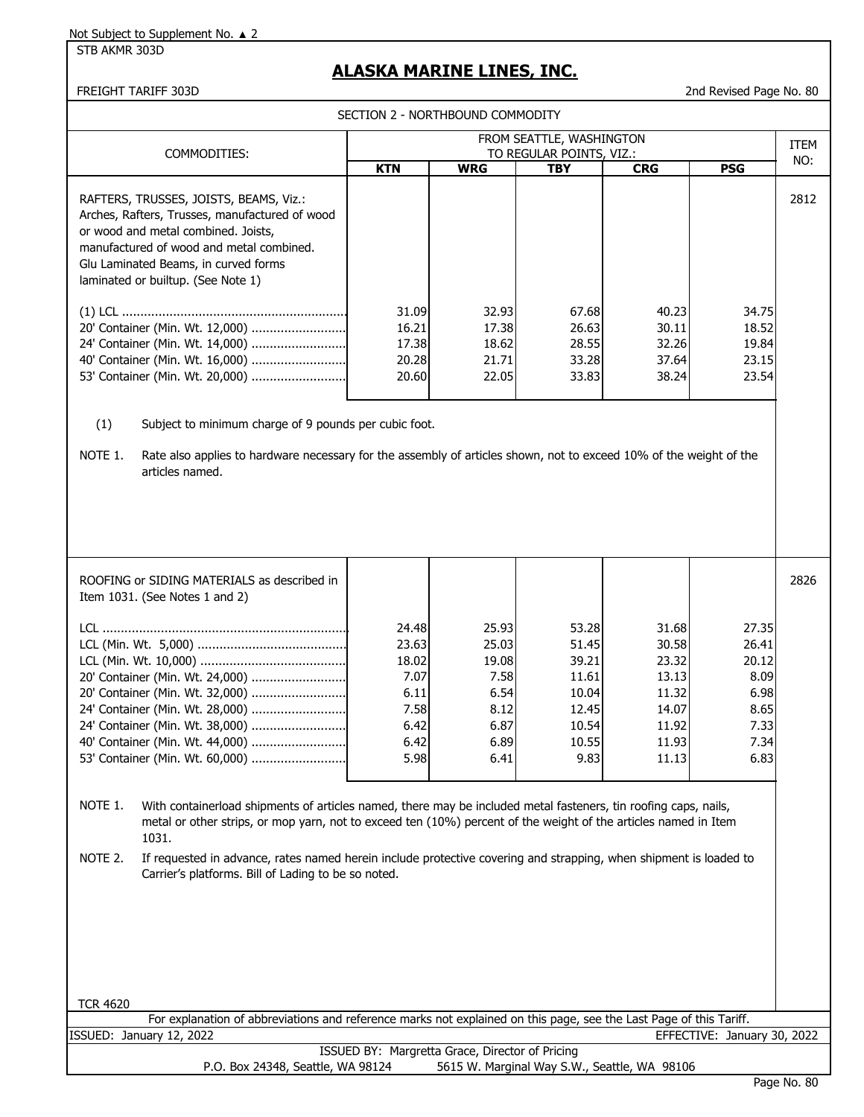STB AKMR 303D

### **ALASKA MARINE LINES, INC.**

2nd Revised Page No. 80

SECTION 2 - NORTHBOUND COMMODITY

| COMMODITIES:                                                                                                                                                                                                                                              |                                                                         |                                                                         | FROM SEATTLE, WASHINGTON<br>TO REGULAR POINTS, VIZ.:                         |                                                                               |                                                                         | <b>ITEM</b> |
|-----------------------------------------------------------------------------------------------------------------------------------------------------------------------------------------------------------------------------------------------------------|-------------------------------------------------------------------------|-------------------------------------------------------------------------|------------------------------------------------------------------------------|-------------------------------------------------------------------------------|-------------------------------------------------------------------------|-------------|
|                                                                                                                                                                                                                                                           | <b>KTN</b>                                                              | <b>WRG</b>                                                              | <b>TBY</b>                                                                   | <b>CRG</b>                                                                    | <b>PSG</b>                                                              | NO:         |
| RAFTERS, TRUSSES, JOISTS, BEAMS, Viz.:<br>Arches, Rafters, Trusses, manufactured of wood<br>or wood and metal combined. Joists,<br>manufactured of wood and metal combined.<br>Glu Laminated Beams, in curved forms<br>laminated or builtup. (See Note 1) |                                                                         |                                                                         |                                                                              |                                                                               |                                                                         | 2812        |
| 20' Container (Min. Wt. 12,000)<br>24' Container (Min. Wt. 14,000)<br>40' Container (Min. Wt. 16,000)<br>53' Container (Min. Wt. 20,000)                                                                                                                  | 31.09<br>16.21<br>17.38<br>20.28<br>20.60                               | 32.93<br>17.38<br>18.62<br>21.71<br>22.05                               | 67.68<br>26.63<br>28.55<br>33.28<br>33.83                                    | 40.23<br>30.11<br>32.26<br>37.64<br>38.24                                     | 34.75<br>18.52<br>19.84<br>23.15<br>23.54                               |             |
| (1)<br>Subject to minimum charge of 9 pounds per cubic foot.<br>NOTE 1.<br>Rate also applies to hardware necessary for the assembly of articles shown, not to exceed 10% of the weight of the<br>articles named.                                          |                                                                         |                                                                         |                                                                              |                                                                               |                                                                         |             |
| ROOFING or SIDING MATERIALS as described in<br>Item 1031. (See Notes 1 and 2)                                                                                                                                                                             |                                                                         |                                                                         |                                                                              |                                                                               |                                                                         | 2826        |
| 20' Container (Min. Wt. 24,000)<br>20' Container (Min. Wt. 32,000)<br>24' Container (Min. Wt. 28,000)<br>24' Container (Min. Wt. 38,000)<br>40' Container (Min. Wt. 44,000)<br>53' Container (Min. Wt. 60,000)                                            | 24.48<br>23.63<br>18.02<br>7.07<br>6.11<br>7.58<br>6.42<br>6.42<br>5.98 | 25.93<br>25.03<br>19.08<br>7.58<br>6.54<br>8.12<br>6.87<br>6.89<br>6.41 | 53.28<br>51.45<br>39.21<br>11.61<br>10.04<br>12.45<br>10.54<br>10.55<br>9.83 | 31.68<br>30.58<br>23.32<br>13.13<br>11.32<br>14.07<br>11.92<br>11.93<br>11.13 | 27.35<br>26.41<br>20.12<br>8.09<br>6.98<br>8.65<br>7.33<br>7.34<br>6.83 |             |
| NOTE 1.<br>With containerload shipments of articles named, there may be included metal fasteners, tin roofing caps, nails,<br>metal or other strips, or mop yarn, not to exceed ten (10%) percent of the weight of the articles named in Item<br>1031.    |                                                                         |                                                                         |                                                                              |                                                                               |                                                                         |             |
| NOTE 2.<br>If requested in advance, rates named herein include protective covering and strapping, when shipment is loaded to<br>Carrier's platforms. Bill of Lading to be so noted.                                                                       |                                                                         |                                                                         |                                                                              |                                                                               |                                                                         |             |
|                                                                                                                                                                                                                                                           |                                                                         |                                                                         |                                                                              |                                                                               |                                                                         |             |
| <b>TCR 4620</b><br>For explanation of abbreviations and reference marks not explained on this page, see the Last Page of this Tariff.                                                                                                                     |                                                                         |                                                                         |                                                                              |                                                                               |                                                                         |             |
| ISSUED: January 12, 2022                                                                                                                                                                                                                                  |                                                                         |                                                                         |                                                                              |                                                                               | EFFECTIVE: January 30, 2022                                             |             |

| $3011001$ , $1272022$             |                                                 | -------------- |
|-----------------------------------|-------------------------------------------------|----------------|
|                                   | ISSUED BY: Margretta Grace, Director of Pricing |                |
| P.O. Box 24348, Seattle, WA 98124 | 5615 W. Marginal Way S.W., Seattle, WA 98106    |                |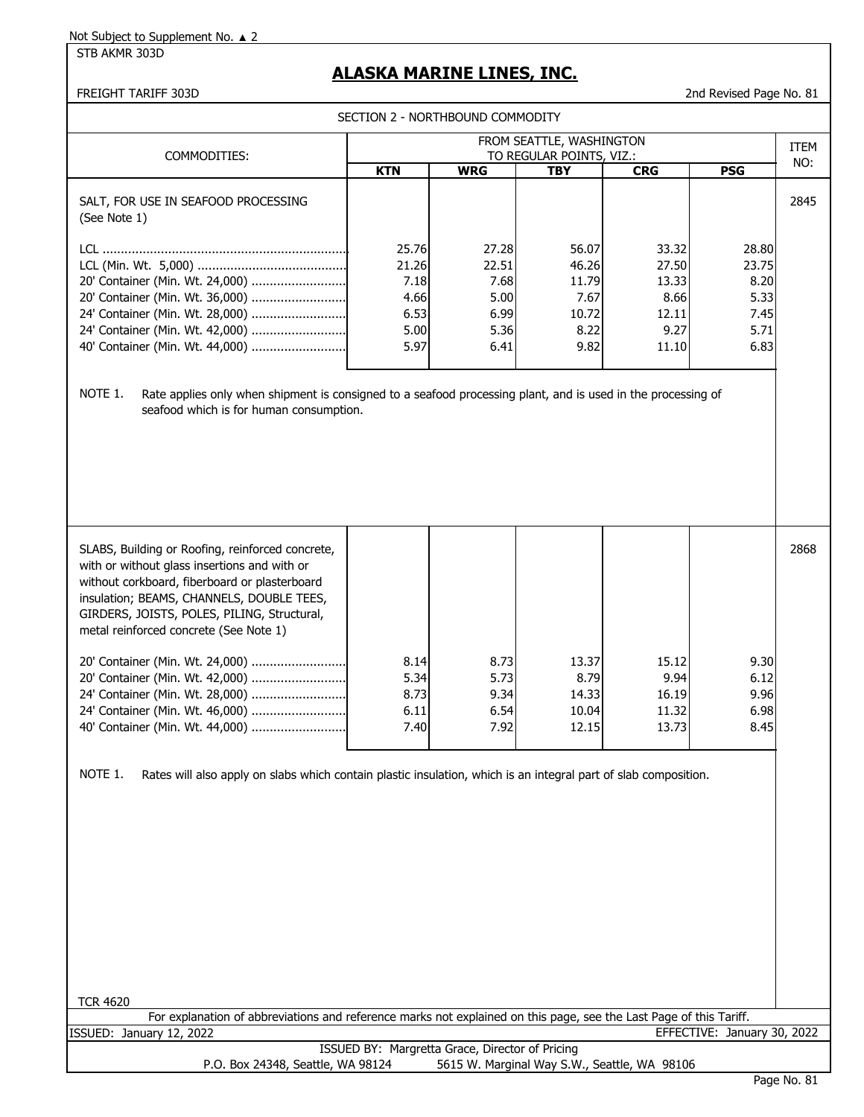STB AKMR 303D

## **ALASKA MARINE LINES, INC.**

FREIGHT TARIFF 303D 2nd Revised Page No. 81

|                                                                                                                                                                                                                                                                                                                                                               | SECTION 2 - NORTHBOUND COMMODITY                       |                                                        |                                                          |                                                           |                                                        |      |
|---------------------------------------------------------------------------------------------------------------------------------------------------------------------------------------------------------------------------------------------------------------------------------------------------------------------------------------------------------------|--------------------------------------------------------|--------------------------------------------------------|----------------------------------------------------------|-----------------------------------------------------------|--------------------------------------------------------|------|
|                                                                                                                                                                                                                                                                                                                                                               |                                                        |                                                        | FROM SEATTLE, WASHINGTON                                 |                                                           |                                                        | ITEM |
| COMMODITIES:                                                                                                                                                                                                                                                                                                                                                  | <b>KTN</b>                                             | <b>WRG</b>                                             | TO REGULAR POINTS, VIZ.:<br><b>TBY</b>                   | <b>CRG</b>                                                | <b>PSG</b>                                             | NO:  |
| SALT, FOR USE IN SEAFOOD PROCESSING<br>(See Note 1)                                                                                                                                                                                                                                                                                                           |                                                        |                                                        |                                                          |                                                           |                                                        | 2845 |
| 20' Container (Min. Wt. 24,000)<br>20' Container (Min. Wt. 36,000)<br>24' Container (Min. Wt. 28,000)<br>24' Container (Min. Wt. 42,000)<br>40' Container (Min. Wt. 44,000)<br>NOTE 1.<br>Rate applies only when shipment is consigned to a seafood processing plant, and is used in the processing of                                                        | 25.76<br>21.26<br>7.18<br>4.66<br>6.53<br>5.00<br>5.97 | 27.28<br>22.51<br>7.68<br>5.00<br>6.99<br>5.36<br>6.41 | 56.07<br>46.26<br>11.79<br>7.67<br>10.72<br>8.22<br>9.82 | 33.32<br>27.50<br>13.33<br>8.66<br>12.11<br>9.27<br>11.10 | 28.80<br>23.75<br>8.20<br>5.33<br>7.45<br>5.71<br>6.83 |      |
| seafood which is for human consumption.                                                                                                                                                                                                                                                                                                                       |                                                        |                                                        |                                                          |                                                           |                                                        |      |
| SLABS, Building or Roofing, reinforced concrete,<br>with or without glass insertions and with or<br>without corkboard, fiberboard or plasterboard<br>insulation; BEAMS, CHANNELS, DOUBLE TEES,<br>GIRDERS, JOISTS, POLES, PILING, Structural,<br>metal reinforced concrete (See Note 1)<br>20' Container (Min. Wt. 24,000)<br>20' Container (Min. Wt. 42,000) | 8.14<br>5.34                                           | 8.73<br>5.73                                           | 13.37<br>8.79                                            | 15.12<br>9.94                                             | 9.30<br>6.12                                           | 2868 |
| 24' Container (Min. Wt. 28,000)<br>24' Container (Min. Wt. 46,000)<br>40' Container (Min. Wt. 44,000)                                                                                                                                                                                                                                                         | 8.73<br>6.11<br>7.40                                   | 9.34<br>6.54<br>7.92                                   | 14.33<br>10.04<br>12.15                                  | 16.19<br>11.32<br>13.73                                   | 9.96<br>6.98<br>8.45                                   |      |
| Rates will also apply on slabs which contain plastic insulation, which is an integral part of slab composition.<br>NOTE 1.<br><b>TCR 4620</b><br>For explanation of abbreviations and reference marks not explained on this page, see the Last Page of this Tariff.                                                                                           |                                                        |                                                        |                                                          |                                                           |                                                        |      |
| ISSUED: January 12, 2022                                                                                                                                                                                                                                                                                                                                      |                                                        |                                                        |                                                          |                                                           | EFFECTIVE: January 30, 2022                            |      |
| P.O. Box 24348, Seattle, WA 98124                                                                                                                                                                                                                                                                                                                             | ISSUED BY: Margretta Grace, Director of Pricing        | 5615 W. Marginal Way S.W., Seattle, WA 98106           |                                                          |                                                           |                                                        |      |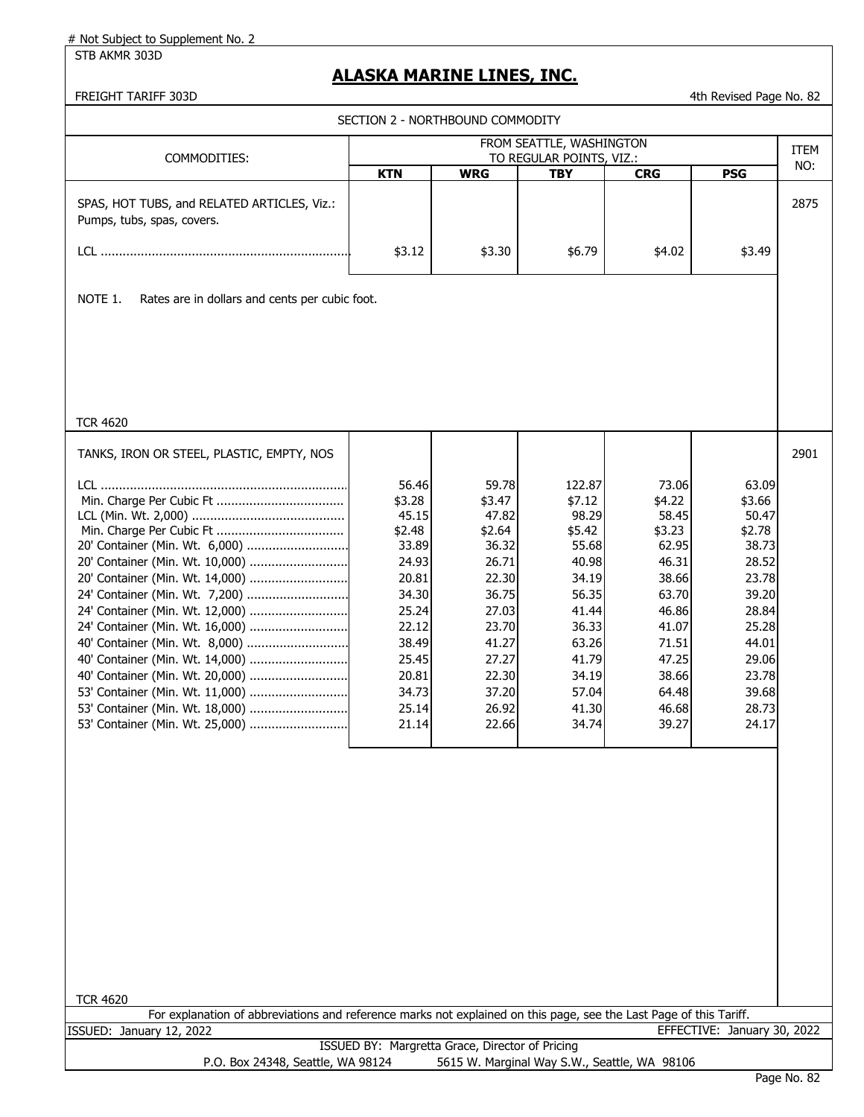STB AKMR 303D

### **ALASKA MARINE LINES, INC.**

| SECTION 2 - NORTHBOUND COMMODITY<br>FROM SEATTLE, WASHINGTON<br>ITEM<br>TO REGULAR POINTS, VIZ.:<br>COMMODITIES:<br>NO:<br><b>WRG</b><br><b>PSG</b><br><b>KTN</b><br><b>TBY</b><br><b>CRG</b><br>SPAS, HOT TUBS, and RELATED ARTICLES, Viz.:<br>Pumps, tubs, spas, covers.<br>\$4.02<br>\$3.12<br>\$3.30<br>\$6.79<br>\$3.49<br>NOTE 1.<br>Rates are in dollars and cents per cubic foot.<br><b>TCR 4620</b><br>2901<br>TANKS, IRON OR STEEL, PLASTIC, EMPTY, NOS<br>59.78<br>73.06<br>56.46<br>122.87<br>63.09<br>\$3.28<br>\$4.22<br>\$3.66<br>\$3.47<br>\$7.12<br>45.15<br>47.82<br>98.29<br>58.45<br>50.47<br>\$2.48<br>\$2.64<br>\$3.23<br>\$2.78<br>\$5.42<br>33.89<br>55.68<br>62.95<br>38.73<br>20' Container (Min. Wt. 6,000)<br>36.32<br>20' Container (Min. Wt. 10,000)<br>24.93<br>26.71<br>40.98<br>46.31<br>28.52<br>20.81<br>22.30<br>34.19<br>38.66<br>23.78<br>24' Container (Min. Wt. 7,200)<br>34.30<br>36.75<br>56.35<br>63.70<br>39.20<br>24' Container (Min. Wt. 12,000)<br>25.24<br>27.03<br>46.86<br>28.84<br>41.44<br>22.12<br>23.70<br>36.33<br>41.07<br>25.28<br>40' Container (Min. Wt. 8,000)<br>38.49<br>41.27<br>71.51<br>44.01<br>63.26<br>25.45<br>27.27<br>41.79<br>47.25<br>29.06<br>20.81<br>22.30<br>34.19<br>38.66<br>23.78<br>34.73<br>64.48<br>53' Container (Min. Wt. 11,000)<br>37.20<br>57.04<br>39.68<br>46.68<br>25.14<br>26.92<br>41.30<br>28.73<br>34.74<br>39.27<br>53' Container (Min. Wt. 25,000)<br>21.14<br>22.66<br>24.17 | FREIGHT TARIFF 303D |  |  | 4th Revised Page No. 82 |      |
|--------------------------------------------------------------------------------------------------------------------------------------------------------------------------------------------------------------------------------------------------------------------------------------------------------------------------------------------------------------------------------------------------------------------------------------------------------------------------------------------------------------------------------------------------------------------------------------------------------------------------------------------------------------------------------------------------------------------------------------------------------------------------------------------------------------------------------------------------------------------------------------------------------------------------------------------------------------------------------------------------------------------------------------------------------------------------------------------------------------------------------------------------------------------------------------------------------------------------------------------------------------------------------------------------------------------------------------------------------------------------------------------------------------------------------------------------------------------------------|---------------------|--|--|-------------------------|------|
|                                                                                                                                                                                                                                                                                                                                                                                                                                                                                                                                                                                                                                                                                                                                                                                                                                                                                                                                                                                                                                                                                                                                                                                                                                                                                                                                                                                                                                                                                |                     |  |  |                         |      |
|                                                                                                                                                                                                                                                                                                                                                                                                                                                                                                                                                                                                                                                                                                                                                                                                                                                                                                                                                                                                                                                                                                                                                                                                                                                                                                                                                                                                                                                                                |                     |  |  |                         |      |
|                                                                                                                                                                                                                                                                                                                                                                                                                                                                                                                                                                                                                                                                                                                                                                                                                                                                                                                                                                                                                                                                                                                                                                                                                                                                                                                                                                                                                                                                                |                     |  |  |                         |      |
|                                                                                                                                                                                                                                                                                                                                                                                                                                                                                                                                                                                                                                                                                                                                                                                                                                                                                                                                                                                                                                                                                                                                                                                                                                                                                                                                                                                                                                                                                |                     |  |  |                         |      |
|                                                                                                                                                                                                                                                                                                                                                                                                                                                                                                                                                                                                                                                                                                                                                                                                                                                                                                                                                                                                                                                                                                                                                                                                                                                                                                                                                                                                                                                                                |                     |  |  |                         | 2875 |
|                                                                                                                                                                                                                                                                                                                                                                                                                                                                                                                                                                                                                                                                                                                                                                                                                                                                                                                                                                                                                                                                                                                                                                                                                                                                                                                                                                                                                                                                                |                     |  |  |                         |      |
|                                                                                                                                                                                                                                                                                                                                                                                                                                                                                                                                                                                                                                                                                                                                                                                                                                                                                                                                                                                                                                                                                                                                                                                                                                                                                                                                                                                                                                                                                |                     |  |  |                         |      |
|                                                                                                                                                                                                                                                                                                                                                                                                                                                                                                                                                                                                                                                                                                                                                                                                                                                                                                                                                                                                                                                                                                                                                                                                                                                                                                                                                                                                                                                                                |                     |  |  |                         |      |
|                                                                                                                                                                                                                                                                                                                                                                                                                                                                                                                                                                                                                                                                                                                                                                                                                                                                                                                                                                                                                                                                                                                                                                                                                                                                                                                                                                                                                                                                                |                     |  |  |                         |      |
|                                                                                                                                                                                                                                                                                                                                                                                                                                                                                                                                                                                                                                                                                                                                                                                                                                                                                                                                                                                                                                                                                                                                                                                                                                                                                                                                                                                                                                                                                |                     |  |  |                         |      |

TCR 4620

For explanation of abbreviations and reference marks not explained on this page, see the Last Page of this Tariff. ISSUED: January 12, 2022 EFFECTIVE: January 30, 2022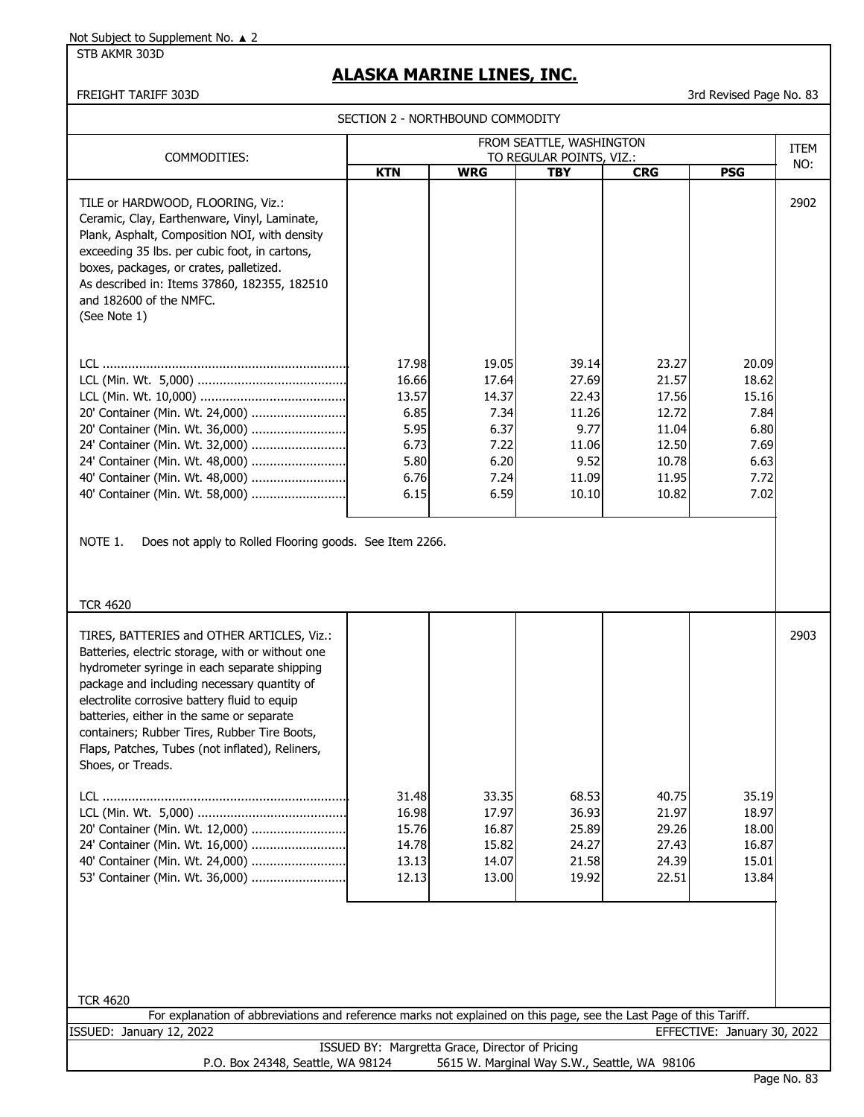STB AKMR 303D

# **ALASKA MARINE LINES, INC.**

FREIGHT TARIFF 303D 3rd Revised Page No. 83

SECTION 2 - NORTHBOUND COMMODITY

|                                                                                                                                                                                                                                                                                                                                                                                                                                                                                                                                                                                                                                                                                                                                                                                                                                                                                                                                                                                                                                                                                                                                                                                                                                                                                                                                                                                                                                                                                                                                                                                                                                                                                                                                                                                                                                                                                                                                                                                                                                                                                                                                                                                 |     | FROM SEATTLE, WASHINGTON |                                                                         | <b>ITEM</b> |
|---------------------------------------------------------------------------------------------------------------------------------------------------------------------------------------------------------------------------------------------------------------------------------------------------------------------------------------------------------------------------------------------------------------------------------------------------------------------------------------------------------------------------------------------------------------------------------------------------------------------------------------------------------------------------------------------------------------------------------------------------------------------------------------------------------------------------------------------------------------------------------------------------------------------------------------------------------------------------------------------------------------------------------------------------------------------------------------------------------------------------------------------------------------------------------------------------------------------------------------------------------------------------------------------------------------------------------------------------------------------------------------------------------------------------------------------------------------------------------------------------------------------------------------------------------------------------------------------------------------------------------------------------------------------------------------------------------------------------------------------------------------------------------------------------------------------------------------------------------------------------------------------------------------------------------------------------------------------------------------------------------------------------------------------------------------------------------------------------------------------------------------------------------------------------------|-----|--------------------------|-------------------------------------------------------------------------|-------------|
| COMMODITIES:<br>TO REGULAR POINTS, VIZ.:<br><b>KTN</b><br><b>WRG</b><br><b>PSG</b><br><b>TBY</b><br><b>CRG</b><br>TILE or HARDWOOD, FLOORING, Viz.:<br>Ceramic, Clay, Earthenware, Vinyl, Laminate,<br>Plank, Asphalt, Composition NOI, with density<br>exceeding 35 lbs. per cubic foot, in cartons,<br>boxes, packages, or crates, palletized.<br>As described in: Items 37860, 182355, 182510<br>and 182600 of the NMFC.<br>(See Note 1)<br>17.98<br>19.05<br>39.14<br>23.27<br>17.64<br>27.69<br>21.57<br>16.66<br>13.57<br>14.37<br>22.43<br>17.56<br>20' Container (Min. Wt. 24,000)<br>6.85<br>12.72<br>7.34<br>11.26<br>5.95<br>6.37<br>9.77<br>11.04<br>6.73<br>12.50<br>24' Container (Min. Wt. 32,000)<br>7.22<br>11.06<br>24' Container (Min. Wt. 48,000)<br>5.80<br>9.52<br>10.78<br>6.20<br>40' Container (Min. Wt. 48,000)<br>6.76<br>11.95<br>7.24<br>11.09<br>6.15<br>6.59<br>40' Container (Min. Wt. 58,000)<br>10.10<br>10.82<br>NOTE 1.<br>Does not apply to Rolled Flooring goods. See Item 2266.<br><b>TCR 4620</b><br>TIRES, BATTERIES and OTHER ARTICLES, Viz.:<br>Batteries, electric storage, with or without one<br>hydrometer syringe in each separate shipping<br>package and including necessary quantity of<br>electrolite corrosive battery fluid to equip<br>batteries, either in the same or separate<br>containers; Rubber Tires, Rubber Tire Boots,<br>Flaps, Patches, Tubes (not inflated), Reliners,<br>Shoes, or Treads.<br>31.48<br>33.35<br>68.53<br>40.75<br>16.98<br>17.97<br>36.93<br>21.97<br>20' Container (Min. Wt. 12,000)<br>29.26<br>15.76<br>16.87<br>25.89<br>24' Container (Min. Wt. 16,000)<br>14.78<br>24.27<br>27.43<br>15.82<br>40' Container (Min. Wt. 24,000)<br>13.13<br>14.07<br>24.39<br>21.58<br>53' Container (Min. Wt. 36,000)<br>22.51<br>12.13<br>13.00<br>19.92<br><b>TCR 4620</b><br>For explanation of abbreviations and reference marks not explained on this page, see the Last Page of this Tariff.<br>ISSUED: January 12, 2022<br>EFFECTIVE: January 30, 2022<br>ISSUED BY: Margretta Grace, Director of Pricing<br>P.O. Box 24348, Seattle, WA 98124<br>5615 W. Marginal Way S.W., Seattle, WA 98106 | NO: |                          |                                                                         |             |
|                                                                                                                                                                                                                                                                                                                                                                                                                                                                                                                                                                                                                                                                                                                                                                                                                                                                                                                                                                                                                                                                                                                                                                                                                                                                                                                                                                                                                                                                                                                                                                                                                                                                                                                                                                                                                                                                                                                                                                                                                                                                                                                                                                                 |     |                          |                                                                         | 2902        |
|                                                                                                                                                                                                                                                                                                                                                                                                                                                                                                                                                                                                                                                                                                                                                                                                                                                                                                                                                                                                                                                                                                                                                                                                                                                                                                                                                                                                                                                                                                                                                                                                                                                                                                                                                                                                                                                                                                                                                                                                                                                                                                                                                                                 |     |                          | 20.09<br>18.62<br>15.16<br>7.84<br>6.80<br>7.69<br>6.63<br>7.72<br>7.02 |             |
|                                                                                                                                                                                                                                                                                                                                                                                                                                                                                                                                                                                                                                                                                                                                                                                                                                                                                                                                                                                                                                                                                                                                                                                                                                                                                                                                                                                                                                                                                                                                                                                                                                                                                                                                                                                                                                                                                                                                                                                                                                                                                                                                                                                 |     |                          |                                                                         |             |
|                                                                                                                                                                                                                                                                                                                                                                                                                                                                                                                                                                                                                                                                                                                                                                                                                                                                                                                                                                                                                                                                                                                                                                                                                                                                                                                                                                                                                                                                                                                                                                                                                                                                                                                                                                                                                                                                                                                                                                                                                                                                                                                                                                                 |     |                          | 35.19<br>18.97<br>18.00<br>16.87<br>15.01<br>13.84                      | 2903        |
|                                                                                                                                                                                                                                                                                                                                                                                                                                                                                                                                                                                                                                                                                                                                                                                                                                                                                                                                                                                                                                                                                                                                                                                                                                                                                                                                                                                                                                                                                                                                                                                                                                                                                                                                                                                                                                                                                                                                                                                                                                                                                                                                                                                 |     |                          |                                                                         |             |
|                                                                                                                                                                                                                                                                                                                                                                                                                                                                                                                                                                                                                                                                                                                                                                                                                                                                                                                                                                                                                                                                                                                                                                                                                                                                                                                                                                                                                                                                                                                                                                                                                                                                                                                                                                                                                                                                                                                                                                                                                                                                                                                                                                                 |     |                          |                                                                         |             |
|                                                                                                                                                                                                                                                                                                                                                                                                                                                                                                                                                                                                                                                                                                                                                                                                                                                                                                                                                                                                                                                                                                                                                                                                                                                                                                                                                                                                                                                                                                                                                                                                                                                                                                                                                                                                                                                                                                                                                                                                                                                                                                                                                                                 |     |                          |                                                                         |             |
|                                                                                                                                                                                                                                                                                                                                                                                                                                                                                                                                                                                                                                                                                                                                                                                                                                                                                                                                                                                                                                                                                                                                                                                                                                                                                                                                                                                                                                                                                                                                                                                                                                                                                                                                                                                                                                                                                                                                                                                                                                                                                                                                                                                 |     |                          |                                                                         |             |
|                                                                                                                                                                                                                                                                                                                                                                                                                                                                                                                                                                                                                                                                                                                                                                                                                                                                                                                                                                                                                                                                                                                                                                                                                                                                                                                                                                                                                                                                                                                                                                                                                                                                                                                                                                                                                                                                                                                                                                                                                                                                                                                                                                                 |     |                          |                                                                         | Page No. 83 |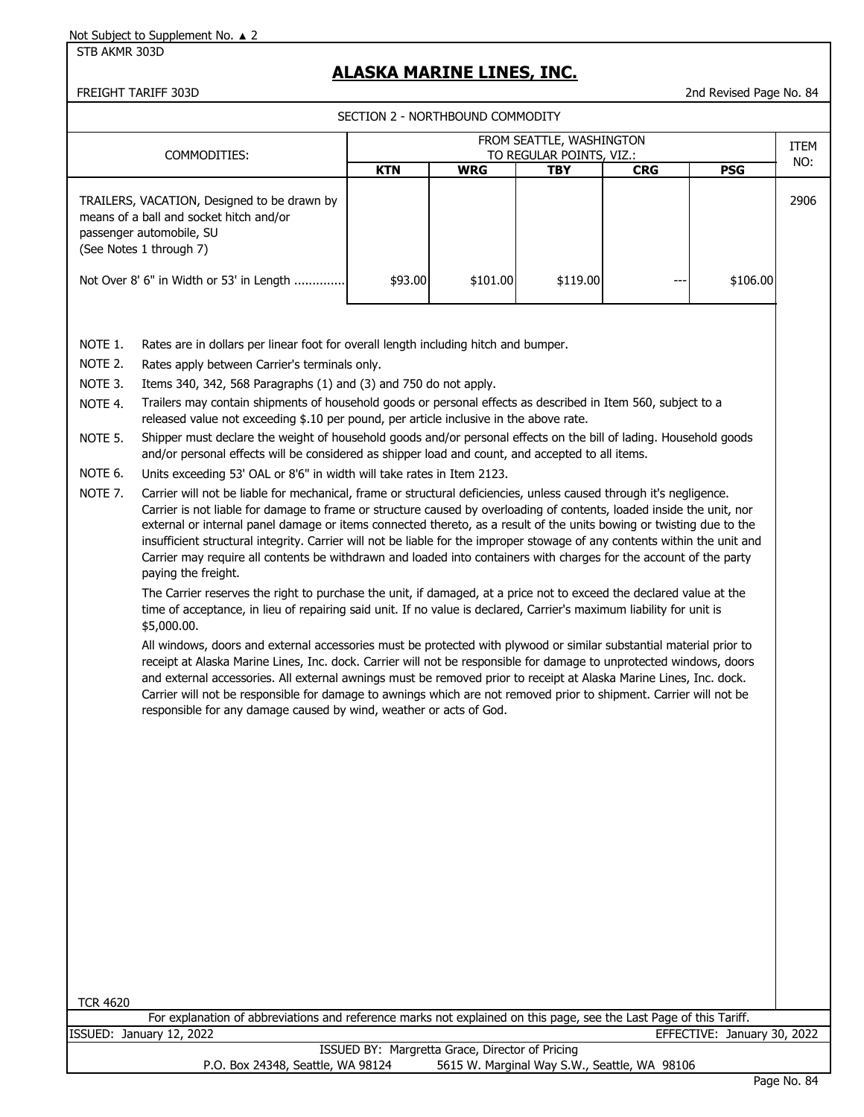STB AKMR 303D

# **ALASKA MARINE LINES, INC.**

#### FREIGHT TARIFF 303D 2nd Revised Page No. 84

SECTION 2 - NORTHBOUND COMMODITY

|                                                                           |                                                                                                                                                                                                                                                                                                                                                                                                                                                                                                                                                                                                                                                                                                                                                                                                                                                                                                                                                                                                                                                                                                                                                                                                                                                                                                                                                                                                                                                                                                                                                                                                                                                                                                                                                                                                                                                                                                                                                                                                                                                                                                                                                                                                        |            |            | FROM SEATTLE, WASHINGTON |            |            | <b>ITEM</b> |
|---------------------------------------------------------------------------|--------------------------------------------------------------------------------------------------------------------------------------------------------------------------------------------------------------------------------------------------------------------------------------------------------------------------------------------------------------------------------------------------------------------------------------------------------------------------------------------------------------------------------------------------------------------------------------------------------------------------------------------------------------------------------------------------------------------------------------------------------------------------------------------------------------------------------------------------------------------------------------------------------------------------------------------------------------------------------------------------------------------------------------------------------------------------------------------------------------------------------------------------------------------------------------------------------------------------------------------------------------------------------------------------------------------------------------------------------------------------------------------------------------------------------------------------------------------------------------------------------------------------------------------------------------------------------------------------------------------------------------------------------------------------------------------------------------------------------------------------------------------------------------------------------------------------------------------------------------------------------------------------------------------------------------------------------------------------------------------------------------------------------------------------------------------------------------------------------------------------------------------------------------------------------------------------------|------------|------------|--------------------------|------------|------------|-------------|
|                                                                           | COMMODITIES:                                                                                                                                                                                                                                                                                                                                                                                                                                                                                                                                                                                                                                                                                                                                                                                                                                                                                                                                                                                                                                                                                                                                                                                                                                                                                                                                                                                                                                                                                                                                                                                                                                                                                                                                                                                                                                                                                                                                                                                                                                                                                                                                                                                           |            |            | TO REGULAR POINTS, VIZ.: |            |            | NO:         |
|                                                                           | TRAILERS, VACATION, Designed to be drawn by<br>means of a ball and socket hitch and/or<br>passenger automobile, SU<br>(See Notes 1 through 7)                                                                                                                                                                                                                                                                                                                                                                                                                                                                                                                                                                                                                                                                                                                                                                                                                                                                                                                                                                                                                                                                                                                                                                                                                                                                                                                                                                                                                                                                                                                                                                                                                                                                                                                                                                                                                                                                                                                                                                                                                                                          | <b>KTN</b> | <b>WRG</b> | <b>TBY</b>               | <b>CRG</b> | <b>PSG</b> | 2906        |
|                                                                           | Not Over 8' 6" in Width or 53' in Length                                                                                                                                                                                                                                                                                                                                                                                                                                                                                                                                                                                                                                                                                                                                                                                                                                                                                                                                                                                                                                                                                                                                                                                                                                                                                                                                                                                                                                                                                                                                                                                                                                                                                                                                                                                                                                                                                                                                                                                                                                                                                                                                                               | \$93.00    | \$101.00   | \$119.00                 |            | \$106.00   |             |
| NOTE 1.<br>NOTE 2.<br>NOTE 3.<br>NOTE 4.<br>NOTE 5.<br>NOTE 6.<br>NOTE 7. | Rates are in dollars per linear foot for overall length including hitch and bumper.<br>Rates apply between Carrier's terminals only.<br>Items 340, 342, 568 Paragraphs (1) and (3) and 750 do not apply.<br>Trailers may contain shipments of household goods or personal effects as described in Item 560, subject to a<br>released value not exceeding \$.10 per pound, per article inclusive in the above rate.<br>Shipper must declare the weight of household goods and/or personal effects on the bill of lading. Household goods<br>and/or personal effects will be considered as shipper load and count, and accepted to all items.<br>Units exceeding 53' OAL or 8'6" in width will take rates in Item 2123.<br>Carrier will not be liable for mechanical, frame or structural deficiencies, unless caused through it's negligence.<br>Carrier is not liable for damage to frame or structure caused by overloading of contents, loaded inside the unit, nor<br>external or internal panel damage or items connected thereto, as a result of the units bowing or twisting due to the<br>insufficient structural integrity. Carrier will not be liable for the improper stowage of any contents within the unit and<br>Carrier may require all contents be withdrawn and loaded into containers with charges for the account of the party<br>paying the freight.<br>The Carrier reserves the right to purchase the unit, if damaged, at a price not to exceed the declared value at the<br>time of acceptance, in lieu of repairing said unit. If no value is declared, Carrier's maximum liability for unit is<br>\$5,000.00.<br>All windows, doors and external accessories must be protected with plywood or similar substantial material prior to<br>receipt at Alaska Marine Lines, Inc. dock. Carrier will not be responsible for damage to unprotected windows, doors<br>and external accessories. All external awnings must be removed prior to receipt at Alaska Marine Lines, Inc. dock.<br>Carrier will not be responsible for damage to awnings which are not removed prior to shipment. Carrier will not be<br>responsible for any damage caused by wind, weather or acts of God. |            |            |                          |            |            |             |

TCR 4620

For explanation of abbreviations and reference marks not explained on this page, see the Last Page of this Tariff. ISSUED: January 12, 2022 EFFECTIVE: January 30, 2022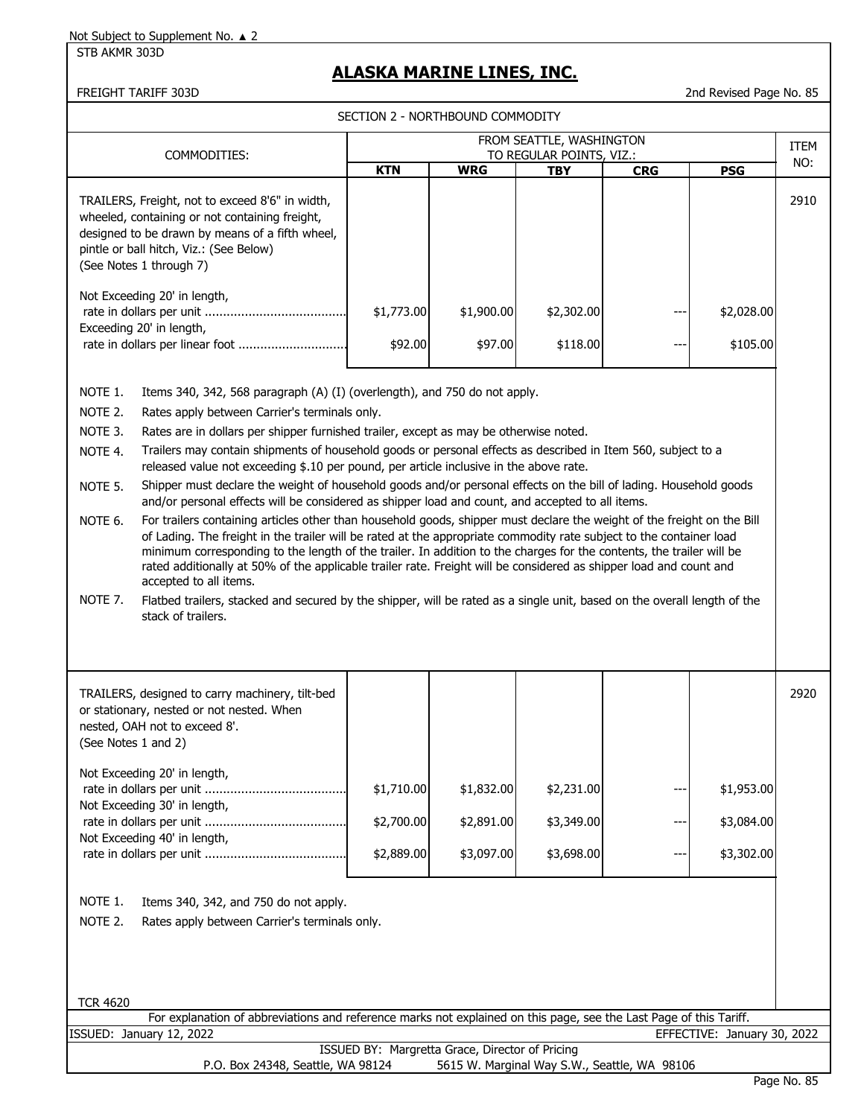STB AKMR 303D

# **ALASKA MARINE LINES, INC.**

FREIGHT TARIFF 303D 2nd Revised Page No. 85

|                     |                                                                                                                                                                                                                                                                      | SECTION 2 - NORTHBOUND COMMODITY                |            |                          |            |                             |      |
|---------------------|----------------------------------------------------------------------------------------------------------------------------------------------------------------------------------------------------------------------------------------------------------------------|-------------------------------------------------|------------|--------------------------|------------|-----------------------------|------|
|                     |                                                                                                                                                                                                                                                                      |                                                 |            | FROM SEATTLE, WASHINGTON |            |                             | ITEM |
|                     | COMMODITIES:                                                                                                                                                                                                                                                         |                                                 |            | TO REGULAR POINTS, VIZ.: |            |                             | NO:  |
|                     |                                                                                                                                                                                                                                                                      | <b>KTN</b>                                      | <b>WRG</b> | <b>TBY</b>               | <b>CRG</b> | <b>PSG</b>                  |      |
|                     | TRAILERS, Freight, not to exceed 8'6" in width,<br>wheeled, containing or not containing freight,<br>designed to be drawn by means of a fifth wheel,<br>pintle or ball hitch, Viz.: (See Below)<br>(See Notes 1 through 7)                                           |                                                 |            |                          |            |                             | 2910 |
|                     |                                                                                                                                                                                                                                                                      |                                                 |            |                          |            |                             |      |
|                     | Not Exceeding 20' in length,<br>Exceeding 20' in length,                                                                                                                                                                                                             | \$1,773.00                                      | \$1,900.00 | \$2,302.00               |            | \$2,028.00                  |      |
|                     | rate in dollars per linear foot                                                                                                                                                                                                                                      | \$92.00                                         | \$97.00    | \$118.00                 |            | \$105.00                    |      |
|                     |                                                                                                                                                                                                                                                                      |                                                 |            |                          |            |                             |      |
| NOTE 1.             | Items 340, 342, 568 paragraph (A) (I) (overlength), and 750 do not apply.                                                                                                                                                                                            |                                                 |            |                          |            |                             |      |
| NOTE 2.             | Rates apply between Carrier's terminals only.                                                                                                                                                                                                                        |                                                 |            |                          |            |                             |      |
| NOTE 3.             | Rates are in dollars per shipper furnished trailer, except as may be otherwise noted.                                                                                                                                                                                |                                                 |            |                          |            |                             |      |
| NOTE 4.             | Trailers may contain shipments of household goods or personal effects as described in Item 560, subject to a<br>released value not exceeding \$.10 per pound, per article inclusive in the above rate.                                                               |                                                 |            |                          |            |                             |      |
| NOTE 5.             | Shipper must declare the weight of household goods and/or personal effects on the bill of lading. Household goods<br>and/or personal effects will be considered as shipper load and count, and accepted to all items.                                                |                                                 |            |                          |            |                             |      |
| NOTE 6.             | For trailers containing articles other than household goods, shipper must declare the weight of the freight on the Bill<br>of Lading. The freight in the trailer will be rated at the appropriate commodity rate subject to the container load                       |                                                 |            |                          |            |                             |      |
|                     | minimum corresponding to the length of the trailer. In addition to the charges for the contents, the trailer will be<br>rated additionally at 50% of the applicable trailer rate. Freight will be considered as shipper load and count and<br>accepted to all items. |                                                 |            |                          |            |                             |      |
| NOTE 7.             | Flatbed trailers, stacked and secured by the shipper, will be rated as a single unit, based on the overall length of the<br>stack of trailers.                                                                                                                       |                                                 |            |                          |            |                             |      |
|                     |                                                                                                                                                                                                                                                                      |                                                 |            |                          |            |                             |      |
|                     | TRAILERS, designed to carry machinery, tilt-bed<br>or stationary, nested or not nested. When<br>nested, OAH not to exceed 8'.                                                                                                                                        |                                                 |            |                          |            |                             | 2920 |
| (See Notes 1 and 2) |                                                                                                                                                                                                                                                                      |                                                 |            |                          |            |                             |      |
|                     | Not Exceeding 20' in length,                                                                                                                                                                                                                                         |                                                 |            |                          |            |                             |      |
|                     | Not Exceeding 30' in length,                                                                                                                                                                                                                                         | \$1,710.00                                      | \$1,832.00 | \$2,231.00               | ---        | \$1,953.00                  |      |
|                     | Not Exceeding 40' in length,                                                                                                                                                                                                                                         | \$2,700.00                                      | \$2,891.00 | \$3,349.00               |            | \$3,084.00                  |      |
|                     |                                                                                                                                                                                                                                                                      | \$2,889.00                                      | \$3,097.00 | \$3,698.00               | ---        | \$3,302.00                  |      |
|                     |                                                                                                                                                                                                                                                                      |                                                 |            |                          |            |                             |      |
| NOTE 1.             | Items 340, 342, and 750 do not apply.                                                                                                                                                                                                                                |                                                 |            |                          |            |                             |      |
| NOTE 2.             | Rates apply between Carrier's terminals only.                                                                                                                                                                                                                        |                                                 |            |                          |            |                             |      |
|                     |                                                                                                                                                                                                                                                                      |                                                 |            |                          |            |                             |      |
|                     |                                                                                                                                                                                                                                                                      |                                                 |            |                          |            |                             |      |
|                     |                                                                                                                                                                                                                                                                      |                                                 |            |                          |            |                             |      |
| <b>TCR 4620</b>     | For explanation of abbreviations and reference marks not explained on this page, see the Last Page of this Tariff.                                                                                                                                                   |                                                 |            |                          |            |                             |      |
|                     | ISSUED: January 12, 2022                                                                                                                                                                                                                                             |                                                 |            |                          |            | EFFECTIVE: January 30, 2022 |      |
|                     |                                                                                                                                                                                                                                                                      | ISSUED BY: Margretta Grace, Director of Pricing |            |                          |            |                             |      |

P.O. Box 24348, Seattle, WA 98124 5615 W. Marginal Way S.W., Seattle, WA 98106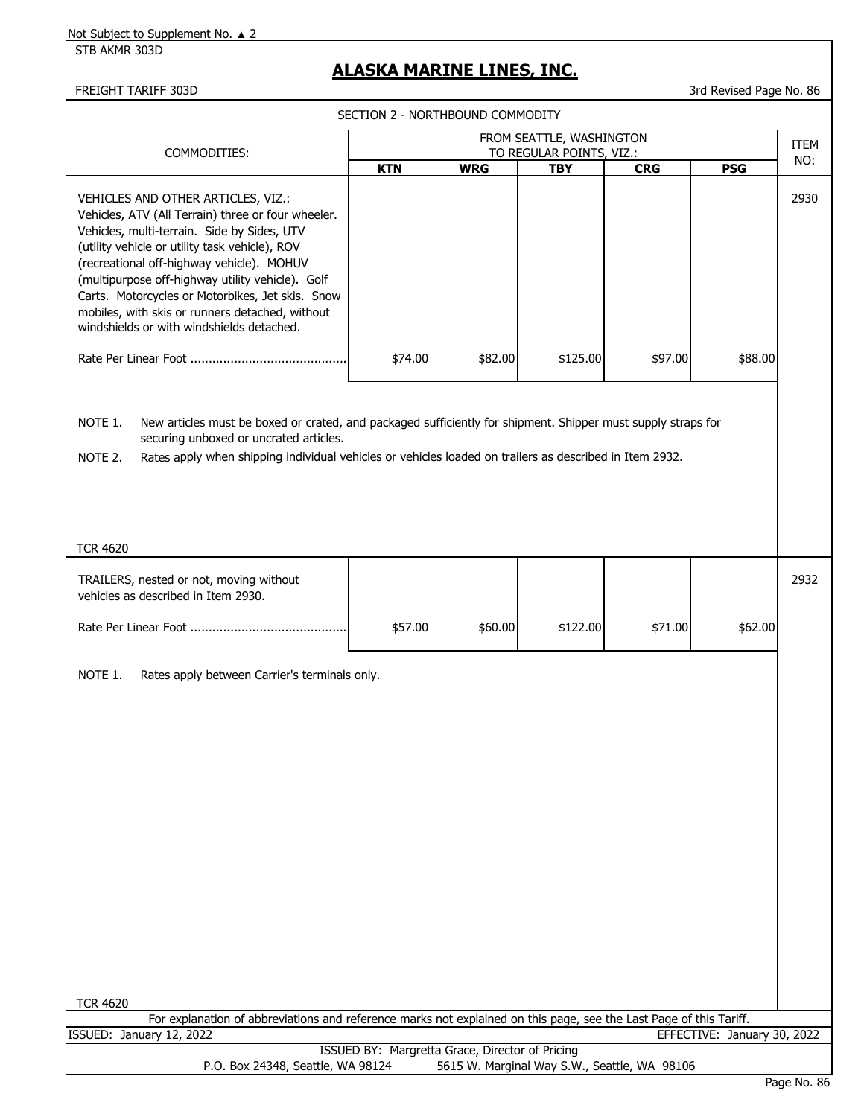STB AKMR 303D

### **ALASKA MARINE LINES, INC.**

#### FREIGHT TARIFF 303D 3rd Revised Page No. 86

SECTION 2 - NORTHBOUND COMMODITY

|                                                                                                                                                                                                                                                                                                                                                                                                                                                |            |                                                 | FROM SEATTLE, WASHINGTON                     |            |                             | ITEM    |
|------------------------------------------------------------------------------------------------------------------------------------------------------------------------------------------------------------------------------------------------------------------------------------------------------------------------------------------------------------------------------------------------------------------------------------------------|------------|-------------------------------------------------|----------------------------------------------|------------|-----------------------------|---------|
| COMMODITIES:                                                                                                                                                                                                                                                                                                                                                                                                                                   | <b>KTN</b> | <b>WRG</b>                                      | TO REGULAR POINTS, VIZ.:                     |            | <b>PSG</b>                  | NO:     |
| VEHICLES AND OTHER ARTICLES, VIZ.:<br>Vehicles, ATV (All Terrain) three or four wheeler.<br>Vehicles, multi-terrain. Side by Sides, UTV<br>(utility vehicle or utility task vehicle), ROV<br>(recreational off-highway vehicle). MOHUV<br>(multipurpose off-highway utility vehicle). Golf<br>Carts. Motorcycles or Motorbikes, Jet skis. Snow<br>mobiles, with skis or runners detached, without<br>windshields or with windshields detached. |            |                                                 | <b>TBY</b>                                   | <b>CRG</b> |                             | 2930    |
|                                                                                                                                                                                                                                                                                                                                                                                                                                                | \$74.00    | \$82.00                                         | \$125.00                                     | \$97.00    | \$88.00                     |         |
| NOTE 1.<br>New articles must be boxed or crated, and packaged sufficiently for shipment. Shipper must supply straps for<br>securing unboxed or uncrated articles.<br>NOTE 2.<br>Rates apply when shipping individual vehicles or vehicles loaded on trailers as described in Item 2932.<br><b>TCR 4620</b>                                                                                                                                     |            |                                                 |                                              |            |                             |         |
| TRAILERS, nested or not, moving without<br>vehicles as described in Item 2930.                                                                                                                                                                                                                                                                                                                                                                 |            |                                                 |                                              |            |                             | 2932    |
|                                                                                                                                                                                                                                                                                                                                                                                                                                                |            |                                                 |                                              |            |                             |         |
|                                                                                                                                                                                                                                                                                                                                                                                                                                                | \$57.00    | \$60.00                                         | \$122.00                                     | \$71.00    | \$62.00                     |         |
| NOTE 1.<br>Rates apply between Carrier's terminals only.<br><b>TCR 4620</b><br>For explanation of abbreviations and reference marks not explained on this page, see the Last Page of this Tariff.                                                                                                                                                                                                                                              |            |                                                 |                                              |            |                             |         |
| ISSUED: January 12, 2022                                                                                                                                                                                                                                                                                                                                                                                                                       |            | ISSUED BY: Margretta Grace, Director of Pricing |                                              |            | EFFECTIVE: January 30, 2022 |         |
| P.O. Box 24348, Seattle, WA 98124                                                                                                                                                                                                                                                                                                                                                                                                              |            |                                                 | 5615 W. Marginal Way S.W., Seattle, WA 98106 |            |                             | Dogo No |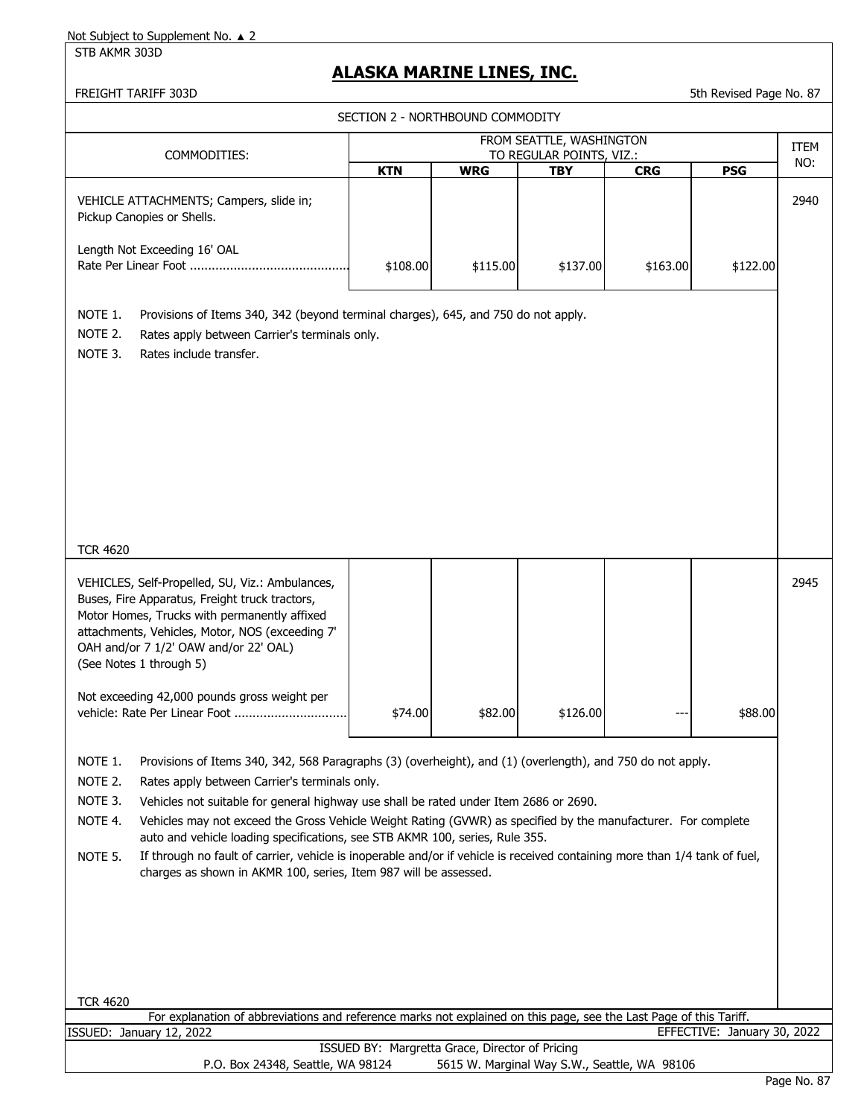STB AKMR 303D

# **ALASKA MARINE LINES, INC.**

FREIGHT TARIFF 303D 5th Revised Page No. 87

| SECTION 2 - NORTHBOUND COMMODITY                                                                                                                                                                                                                                         |                                                                                                                                                                                                                                                                                                                                                                                                                                                                                                                                                                                                                                                         |            |                                                 |            |                                              |                             |      |
|--------------------------------------------------------------------------------------------------------------------------------------------------------------------------------------------------------------------------------------------------------------------------|---------------------------------------------------------------------------------------------------------------------------------------------------------------------------------------------------------------------------------------------------------------------------------------------------------------------------------------------------------------------------------------------------------------------------------------------------------------------------------------------------------------------------------------------------------------------------------------------------------------------------------------------------------|------------|-------------------------------------------------|------------|----------------------------------------------|-----------------------------|------|
|                                                                                                                                                                                                                                                                          | FROM SEATTLE, WASHINGTON<br>TO REGULAR POINTS, VIZ.:                                                                                                                                                                                                                                                                                                                                                                                                                                                                                                                                                                                                    |            |                                                 |            |                                              | <b>ITEM</b>                 |      |
| COMMODITIES:                                                                                                                                                                                                                                                             |                                                                                                                                                                                                                                                                                                                                                                                                                                                                                                                                                                                                                                                         | <b>KTN</b> | <b>WRG</b>                                      | <b>TBY</b> | <b>CRG</b>                                   | <b>PSG</b>                  | NO:  |
| VEHICLE ATTACHMENTS; Campers, slide in;<br>Pickup Canopies or Shells.                                                                                                                                                                                                    |                                                                                                                                                                                                                                                                                                                                                                                                                                                                                                                                                                                                                                                         |            |                                                 |            |                                              |                             | 2940 |
| Length Not Exceeding 16' OAL                                                                                                                                                                                                                                             |                                                                                                                                                                                                                                                                                                                                                                                                                                                                                                                                                                                                                                                         | \$108.00   | \$115.00                                        | \$137.00   | \$163.00                                     | \$122.00                    |      |
| NOTE 1.<br>NOTE 2.<br>NOTE 3.<br>Rates include transfer.                                                                                                                                                                                                                 | Provisions of Items 340, 342 (beyond terminal charges), 645, and 750 do not apply.<br>Rates apply between Carrier's terminals only.                                                                                                                                                                                                                                                                                                                                                                                                                                                                                                                     |            |                                                 |            |                                              |                             |      |
| <b>TCR 4620</b>                                                                                                                                                                                                                                                          |                                                                                                                                                                                                                                                                                                                                                                                                                                                                                                                                                                                                                                                         |            |                                                 |            |                                              |                             |      |
| VEHICLES, Self-Propelled, SU, Viz.: Ambulances,<br>Buses, Fire Apparatus, Freight truck tractors,<br>Motor Homes, Trucks with permanently affixed<br>attachments, Vehicles, Motor, NOS (exceeding 7'<br>OAH and/or 7 1/2' OAW and/or 22' OAL)<br>(See Notes 1 through 5) |                                                                                                                                                                                                                                                                                                                                                                                                                                                                                                                                                                                                                                                         |            |                                                 |            |                                              |                             | 2945 |
| Not exceeding 42,000 pounds gross weight per<br>vehicle: Rate Per Linear Foot                                                                                                                                                                                            |                                                                                                                                                                                                                                                                                                                                                                                                                                                                                                                                                                                                                                                         | \$74.00    | \$82.00                                         | \$126.00   |                                              | \$88.00                     |      |
| NOTE 1.<br>NOTE 2.<br>NOTE 3.<br>NOTE 4.<br>NOTE 5.                                                                                                                                                                                                                      | Provisions of Items 340, 342, 568 Paragraphs (3) (overheight), and (1) (overlength), and 750 do not apply.<br>Rates apply between Carrier's terminals only.<br>Vehicles not suitable for general highway use shall be rated under Item 2686 or 2690.<br>Vehicles may not exceed the Gross Vehicle Weight Rating (GVWR) as specified by the manufacturer. For complete<br>auto and vehicle loading specifications, see STB AKMR 100, series, Rule 355.<br>If through no fault of carrier, vehicle is inoperable and/or if vehicle is received containing more than 1/4 tank of fuel,<br>charges as shown in AKMR 100, series, Item 987 will be assessed. |            |                                                 |            |                                              |                             |      |
| <b>TCR 4620</b>                                                                                                                                                                                                                                                          | For explanation of abbreviations and reference marks not explained on this page, see the Last Page of this Tariff.                                                                                                                                                                                                                                                                                                                                                                                                                                                                                                                                      |            |                                                 |            |                                              |                             |      |
| ISSUED: January 12, 2022                                                                                                                                                                                                                                                 |                                                                                                                                                                                                                                                                                                                                                                                                                                                                                                                                                                                                                                                         |            |                                                 |            |                                              | EFFECTIVE: January 30, 2022 |      |
|                                                                                                                                                                                                                                                                          | P.O. Box 24348, Seattle, WA 98124                                                                                                                                                                                                                                                                                                                                                                                                                                                                                                                                                                                                                       |            | ISSUED BY: Margretta Grace, Director of Pricing |            | 5615 W. Marginal Way S.W., Seattle, WA 98106 |                             |      |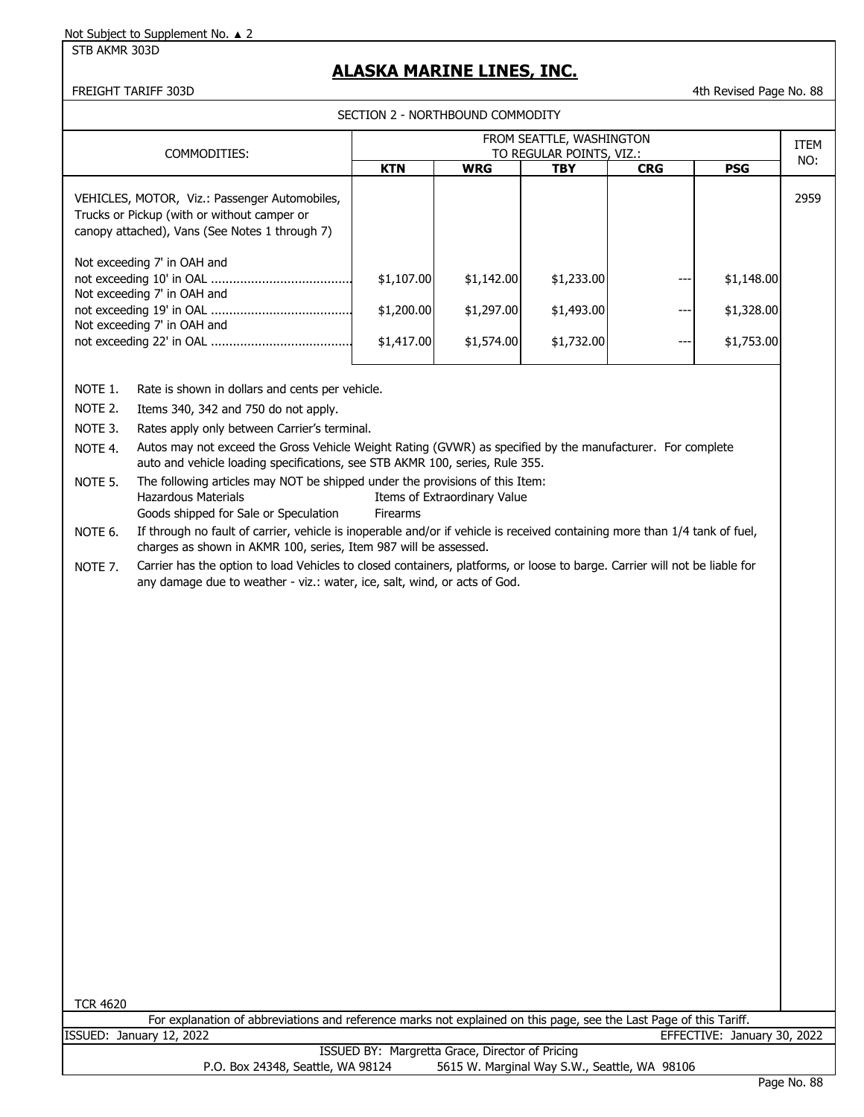#### STB AKMR 303D

### **ALASKA MARINE LINES, INC.**

FREIGHT TARIFF 303D **1988 120 AU 2018 12:30 12:30 12:30 12:30 12:30 12:30 12:30 12:30 12:30 12:30 12:30 12:30 12:30 12:30 12:30 12:30 12:30 12:30 12:30 12:30 12:30 12:30 12:30 12:30 12:30 12:30 12:30 12:30 12:30 12:30 12:3** 

SECTION 2 - NORTHROUND COMMODITY

|                                                                                                                                                                                                                                                                                                                                                                                                                                                                                                                                                                                                                                                                                                                                                                                                                                                                                                                                                                                        |            |                              | FROM SEATTLE, WASHINGTON               |            |            | <b>ITEM</b> |
|----------------------------------------------------------------------------------------------------------------------------------------------------------------------------------------------------------------------------------------------------------------------------------------------------------------------------------------------------------------------------------------------------------------------------------------------------------------------------------------------------------------------------------------------------------------------------------------------------------------------------------------------------------------------------------------------------------------------------------------------------------------------------------------------------------------------------------------------------------------------------------------------------------------------------------------------------------------------------------------|------------|------------------------------|----------------------------------------|------------|------------|-------------|
| COMMODITIES:                                                                                                                                                                                                                                                                                                                                                                                                                                                                                                                                                                                                                                                                                                                                                                                                                                                                                                                                                                           | <b>KTN</b> | <b>WRG</b>                   | TO REGULAR POINTS, VIZ.:<br><b>TBY</b> | <b>CRG</b> | <b>PSG</b> | NO:         |
| VEHICLES, MOTOR, Viz.: Passenger Automobiles,<br>Trucks or Pickup (with or without camper or<br>canopy attached), Vans (See Notes 1 through 7)                                                                                                                                                                                                                                                                                                                                                                                                                                                                                                                                                                                                                                                                                                                                                                                                                                         |            |                              |                                        |            |            | 2959        |
| Not exceeding 7' in OAH and<br>Not exceeding 7' in OAH and                                                                                                                                                                                                                                                                                                                                                                                                                                                                                                                                                                                                                                                                                                                                                                                                                                                                                                                             | \$1,107.00 | \$1,142.00                   | \$1,233.00                             | ---        | \$1,148.00 |             |
| Not exceeding 7' in OAH and                                                                                                                                                                                                                                                                                                                                                                                                                                                                                                                                                                                                                                                                                                                                                                                                                                                                                                                                                            | \$1,200.00 | \$1,297.00                   | \$1,493.00                             | ---        | \$1,328.00 |             |
|                                                                                                                                                                                                                                                                                                                                                                                                                                                                                                                                                                                                                                                                                                                                                                                                                                                                                                                                                                                        | \$1,417.00 | \$1,574.00                   | \$1,732.00                             | ---        | \$1,753.00 |             |
| NOTE 1.<br>Rate is shown in dollars and cents per vehicle.<br>NOTE 2.<br>Items 340, 342 and 750 do not apply.<br>NOTE 3.<br>Rates apply only between Carrier's terminal.<br>Autos may not exceed the Gross Vehicle Weight Rating (GVWR) as specified by the manufacturer. For complete<br>NOTE 4.<br>auto and vehicle loading specifications, see STB AKMR 100, series, Rule 355.<br>The following articles may NOT be shipped under the provisions of this Item:<br>NOTE 5.<br><b>Hazardous Materials</b><br>Goods shipped for Sale or Speculation<br>If through no fault of carrier, vehicle is inoperable and/or if vehicle is received containing more than 1/4 tank of fuel,<br>NOTE 6.<br>charges as shown in AKMR 100, series, Item 987 will be assessed.<br>Carrier has the option to load Vehicles to closed containers, platforms, or loose to barge. Carrier will not be liable for<br>NOTE 7.<br>any damage due to weather - viz.: water, ice, salt, wind, or acts of God. | Firearms   | Items of Extraordinary Value |                                        |            |            |             |
|                                                                                                                                                                                                                                                                                                                                                                                                                                                                                                                                                                                                                                                                                                                                                                                                                                                                                                                                                                                        |            |                              |                                        |            |            |             |

|                                                 | For explanation of abbreviations and reference marks not explained on this page, see the Last Page of this Tariff. |  |  |  |  |  |
|-------------------------------------------------|--------------------------------------------------------------------------------------------------------------------|--|--|--|--|--|
| ISSUED: January 12, 2022                        | EFFECTIVE: January 30, 2022                                                                                        |  |  |  |  |  |
| ISSUED BY: Margretta Grace, Director of Pricing |                                                                                                                    |  |  |  |  |  |
| P.O. Box 24348, Seattle, WA 98124               | 5615 W. Marginal Way S.W., Seattle, WA 98106                                                                       |  |  |  |  |  |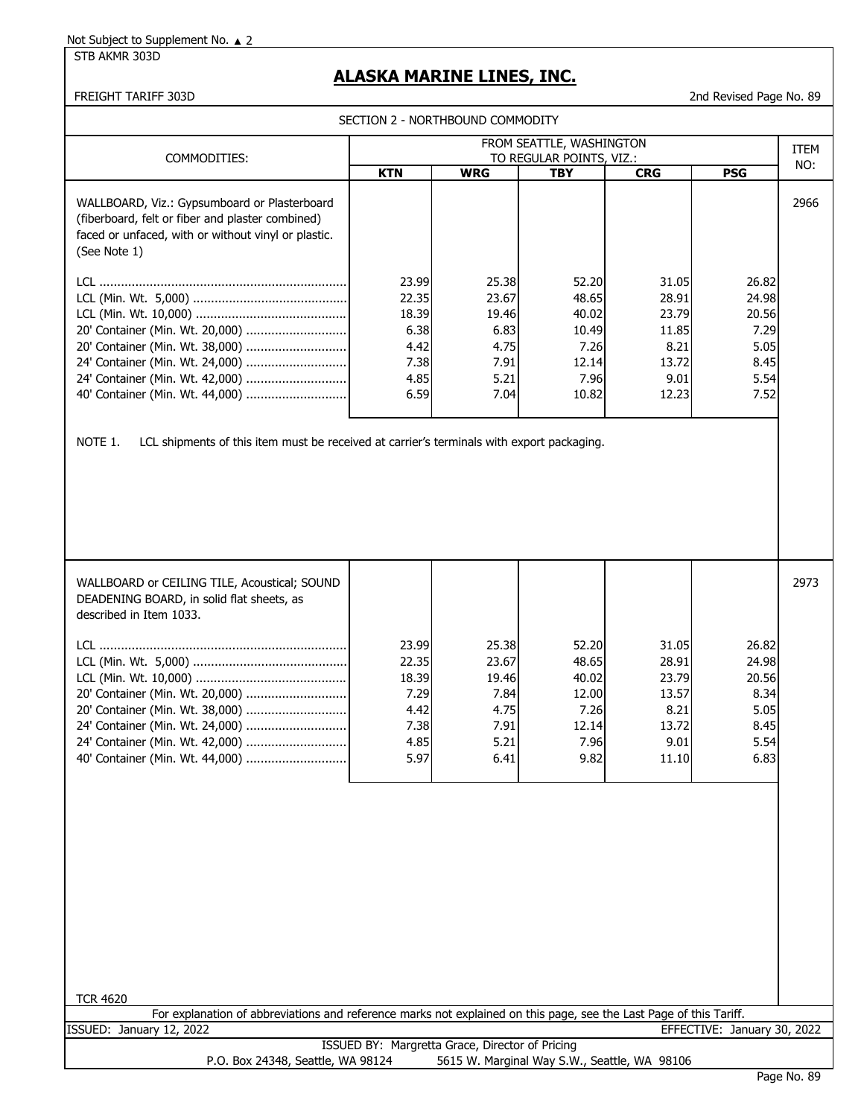STB AKMR 303D

# **ALASKA MARINE LINES, INC.**

FREIGHT TARIFF 303D 2nd Revised Page No. 89

SECTION 2 - NORTHBOUND COMMODITY

| COMMODITIES:                                                                                                                                                                                                                                                                        | FROM SEATTLE, WASHINGTON<br>TO REGULAR POINTS, VIZ.:            |                                                                 |                                                                    |                                                                    |                                                                 |      |
|-------------------------------------------------------------------------------------------------------------------------------------------------------------------------------------------------------------------------------------------------------------------------------------|-----------------------------------------------------------------|-----------------------------------------------------------------|--------------------------------------------------------------------|--------------------------------------------------------------------|-----------------------------------------------------------------|------|
|                                                                                                                                                                                                                                                                                     | <b>KTN</b>                                                      | <b>WRG</b>                                                      | <b>TBY</b>                                                         | <b>CRG</b>                                                         | <b>PSG</b>                                                      | NO:  |
| WALLBOARD, Viz.: Gypsumboard or Plasterboard<br>(fiberboard, felt or fiber and plaster combined)<br>faced or unfaced, with or without vinyl or plastic.<br>(See Note 1)                                                                                                             |                                                                 |                                                                 |                                                                    |                                                                    |                                                                 | 2966 |
| 20' Container (Min. Wt. 20,000)<br>20' Container (Min. Wt. 38,000)<br>24' Container (Min. Wt. 24,000)<br>24' Container (Min. Wt. 42,000)<br>40' Container (Min. Wt. 44,000)<br>NOTE 1.<br>LCL shipments of this item must be received at carrier's terminals with export packaging. | 23.99<br>22.35<br>18.39<br>6.38<br>4.42<br>7.38<br>4.85<br>6.59 | 25.38<br>23.67<br>19.46<br>6.83<br>4.75<br>7.91<br>5.21<br>7.04 | 52.20<br>48.65<br>40.02<br>10.49<br>7.26<br>12.14<br>7.96<br>10.82 | 31.05<br>28.91<br>23.79<br>11.85<br>8.21<br>13.72<br>9.01<br>12.23 | 26.82<br>24.98<br>20.56<br>7.29<br>5.05<br>8.45<br>5.54<br>7.52 |      |

| WALLBOARD or CEILING TILE, Acoustical; SOUND<br>DEADENING BOARD, in solid flat sheets, as<br>described in Item 1033. |       |       |       |       |       | 2973 |
|----------------------------------------------------------------------------------------------------------------------|-------|-------|-------|-------|-------|------|
| LCL.                                                                                                                 | 23.99 | 25.38 | 52.20 | 31.05 | 26.82 |      |
|                                                                                                                      | 22.35 | 23.67 | 48.65 | 28.91 | 24.98 |      |
|                                                                                                                      | 18.39 | 19.46 | 40.02 | 23.79 | 20.56 |      |
|                                                                                                                      | 7.29  | 7.84  | 12.00 | 13.57 | 8.34  |      |
|                                                                                                                      | 4.42  | 4.75  | 7.26  | 8.21  | 5.05  |      |
|                                                                                                                      | 7.38  | 7.91  | 12.14 | 13.72 | 8.45  |      |
|                                                                                                                      | 4.85  | 5.21  | 7.96  | 9.01  | 5.54  |      |
|                                                                                                                      | 5.97  | 6.41  | 9.82  | 11.10 | 6.83  |      |
|                                                                                                                      |       |       |       |       |       |      |

| <b>TCR 4620</b>                                                                                                    |             |
|--------------------------------------------------------------------------------------------------------------------|-------------|
| For explanation of abbreviations and reference marks not explained on this page, see the Last Page of this Tariff. |             |
| EFFECTIVE: January 30, 2022<br>ISSUED: January 12, 2022                                                            |             |
| ISSUED BY: Margretta Grace, Director of Pricing                                                                    |             |
| 5615 W. Marginal Way S.W., Seattle, WA 98106<br>P.O. Box 24348, Seattle, WA 98124                                  |             |
|                                                                                                                    | Page No. 89 |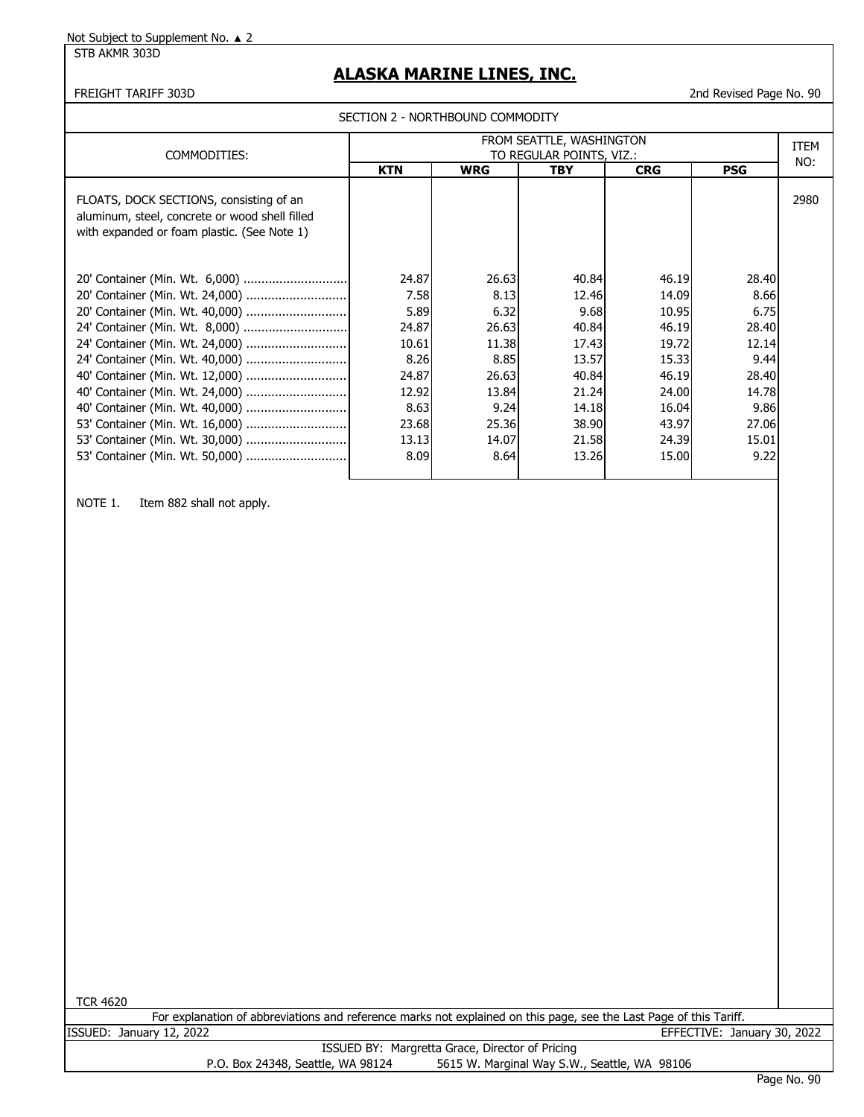STB AKMR 303D

# **ALASKA MARINE LINES, INC.**

#### FREIGHT TARIFF 303D 2nd Revised Page No. 90

SECTION 2 - NORTHBOUND COMMODITY

| COMMODITIES:                                                                                                                                                                                                                                     | FROM SEATTLE, WASHINGTON<br>TO REGULAR POINTS, VIZ.:                                        |                                                                                             |                                                                                                |                                                                                                 |                                                                                             |      |
|--------------------------------------------------------------------------------------------------------------------------------------------------------------------------------------------------------------------------------------------------|---------------------------------------------------------------------------------------------|---------------------------------------------------------------------------------------------|------------------------------------------------------------------------------------------------|-------------------------------------------------------------------------------------------------|---------------------------------------------------------------------------------------------|------|
|                                                                                                                                                                                                                                                  | <b>KTN</b>                                                                                  | <b>WRG</b>                                                                                  | <b>TBY</b>                                                                                     | <b>CRG</b>                                                                                      | <b>PSG</b>                                                                                  | NO:  |
| FLOATS, DOCK SECTIONS, consisting of an<br>aluminum, steel, concrete or wood shell filled<br>with expanded or foam plastic. (See Note 1)                                                                                                         |                                                                                             |                                                                                             |                                                                                                |                                                                                                 |                                                                                             | 2980 |
| 20' Container (Min. Wt. 24,000)<br>24' Container (Min. Wt. 8,000)<br>24' Container (Min. Wt. 24,000)<br>24' Container (Min. Wt. 40,000)<br>40' Container (Min. Wt. 12,000)<br>40' Container (Min. Wt. 40,000)<br>53' Container (Min. Wt. 16,000) | 24.87<br>7.58<br>5.89<br>24.87<br>10.61<br>8.26<br>24.87<br>12.92<br>8.63<br>23.68<br>13.13 | 26.63<br>8.13<br>6.32<br>26.63<br>11.38<br>8.85<br>26.63<br>13.84<br>9.24<br>25.36<br>14.07 | 40.84<br>12.46<br>9.68<br>40.84<br>17.43<br>13.57<br>40.84<br>21.24<br>14.18<br>38.90<br>21.58 | 46.19<br>14.09<br>10.95<br>46.19<br>19.72<br>15.33<br>46.19<br>24.00<br>16.04<br>43.97<br>24.39 | 28.40<br>8.66<br>6.75<br>28.40<br>12.14<br>9.44<br>28.40<br>14.78<br>9.86<br>27.06<br>15.01 |      |
| 53' Container (Min. Wt. 50,000)                                                                                                                                                                                                                  | 8.09                                                                                        | 8.64                                                                                        | 13.26                                                                                          | 15.00                                                                                           | 9.22                                                                                        |      |

NOTE 1. Item 882 shall not apply.

| <b>TCR 4620</b> |                                                                                                                    |  |  |                |  |
|-----------------|--------------------------------------------------------------------------------------------------------------------|--|--|----------------|--|
|                 | For explanation of abbreviations and reference marks not explained on this page, see the Last Page of this Tariff. |  |  |                |  |
|                 | SSUED: January 12, 2022                                                                                            |  |  | FFFFCTIVE: Jar |  |

EFFECTIVE: January 30, 2022

ISSUED BY: Margretta Grace, Director of Pricing P.O. Box 24348, Seattle, WA 98124 5615 W. Marginal Way S.W., Seattle, WA 98106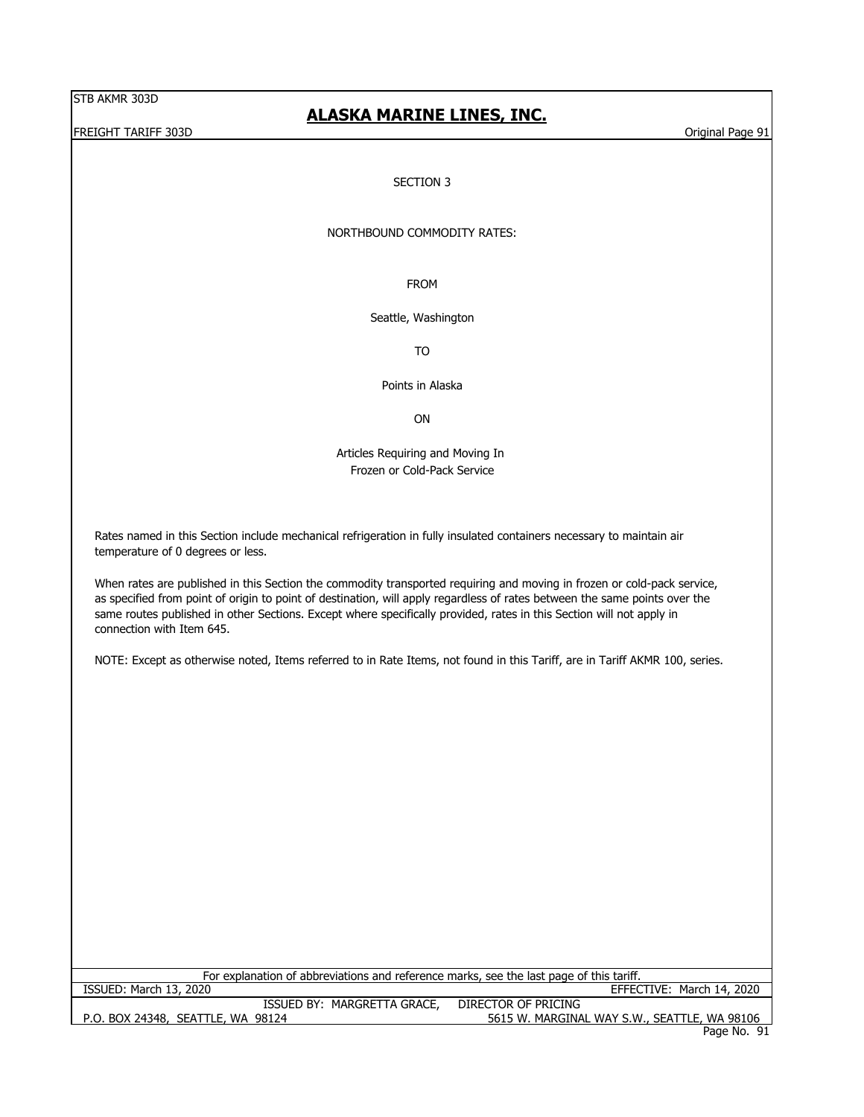#### FREIGHT TARIFF 303D **Original Page 91** Contact the Contact of the Contact of the Contact of the Contact of the Contact of the Contact of the Contact of the Contact of the Contact of the Contact of the Contact of the Contac

### **ALASKA MARINE LINES, INC.**

#### SECTION 3

#### NORTHBOUND COMMODITY RATES:

FROM

#### Seattle, Washington

TO

Points in Alaska

ON

Articles Requiring and Moving In Frozen or Cold-Pack Service

Rates named in this Section include mechanical refrigeration in fully insulated containers necessary to maintain air temperature of 0 degrees or less.

When rates are published in this Section the commodity transported requiring and moving in frozen or cold-pack service, as specified from point of origin to point of destination, will apply regardless of rates between the same points over the same routes published in other Sections. Except where specifically provided, rates in this Section will not apply in connection with Item 645.

NOTE: Except as otherwise noted, Items referred to in Rate Items, not found in this Tariff, are in Tariff AKMR 100, series.

P.O. BOX 24348, SEATTLE, WA 98124 5615 W. MARGINAL WAY S.W., SEATTLE, WA 98106 Page No. 91 ISSUED BY: MARGRETTA GRACE, DIRECTOR OF PRICING For explanation of abbreviations and reference marks, see the last page of this tariff. ISSUED: March 13, 2020 EFFECTIVE: March 14, 2020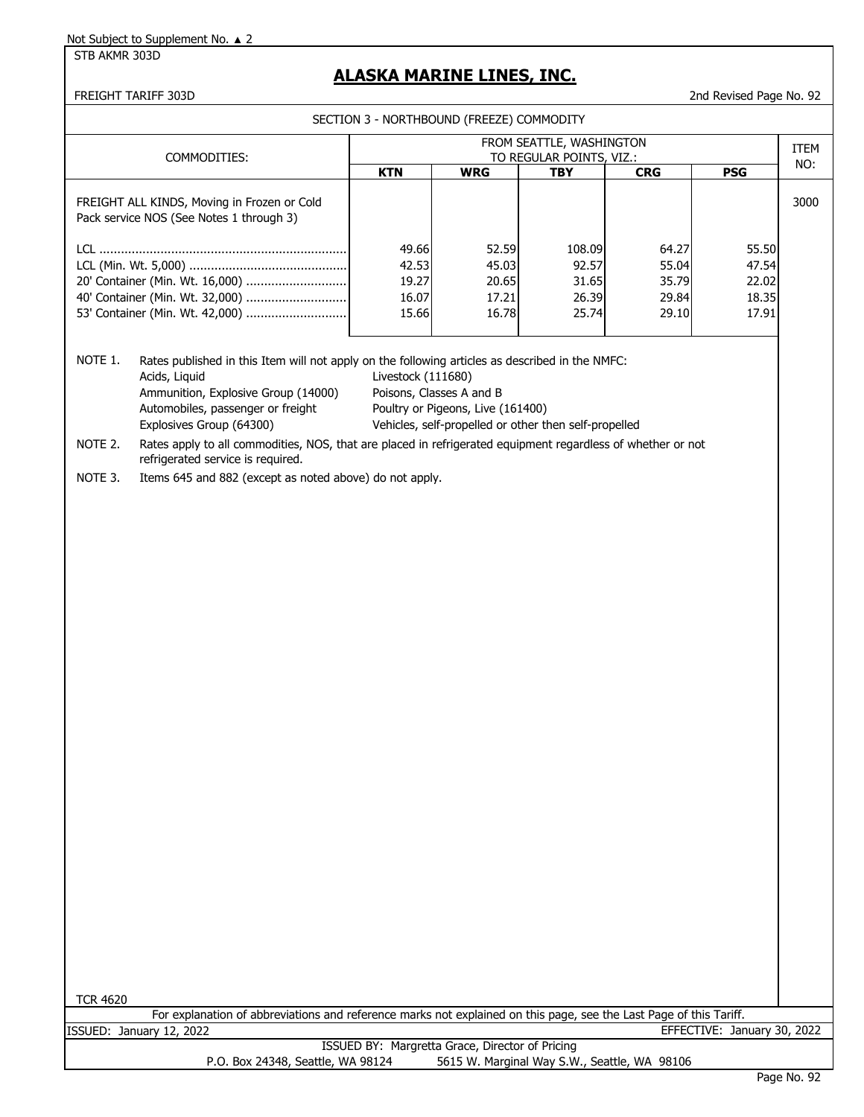STB AKMR 303D

# **ALASKA MARINE LINES, INC.**

FREIGHT TARIFF 303D 2nd Revised Page No. 92

| SECTION 3 - NORTHBOUND (FREEZE) COMMODITY |  |
|-------------------------------------------|--|
|                                           |  |

|                    | COMMODITIES:                                                                                                                                               | FROM SEATTLE, WASHINGTON<br>TO REGULAR POINTS, VIZ.:                                                                                                                                                                                                                                                                                                           |                                                 |                                              |                                           |                                           |      |
|--------------------|------------------------------------------------------------------------------------------------------------------------------------------------------------|----------------------------------------------------------------------------------------------------------------------------------------------------------------------------------------------------------------------------------------------------------------------------------------------------------------------------------------------------------------|-------------------------------------------------|----------------------------------------------|-------------------------------------------|-------------------------------------------|------|
|                    |                                                                                                                                                            | <b>KTN</b>                                                                                                                                                                                                                                                                                                                                                     | <b>WRG</b>                                      | <b>TBY</b>                                   | <b>CRG</b>                                | <b>PSG</b>                                | NO:  |
|                    | FREIGHT ALL KINDS, Moving in Frozen or Cold<br>Pack service NOS (See Notes 1 through 3)                                                                    |                                                                                                                                                                                                                                                                                                                                                                |                                                 |                                              |                                           |                                           | 3000 |
|                    | 20' Container (Min. Wt. 16,000)<br>40' Container (Min. Wt. 32,000)<br>53' Container (Min. Wt. 42,000)                                                      | 49.66<br>42.53<br>19.27<br>16.07<br>15.66                                                                                                                                                                                                                                                                                                                      | 52.59<br>45.03<br>20.65<br>17.21<br>16.78       | 108.09<br>92.57<br>31.65<br>26.39<br>25.74   | 64.27<br>55.04<br>35.79<br>29.84<br>29.10 | 55.50<br>47.54<br>22.02<br>18.35<br>17.91 |      |
| NOTE 1.<br>NOTE 2. | Acids, Liquid<br>Ammunition, Explosive Group (14000)<br>Automobiles, passenger or freight<br>Explosives Group (64300)<br>refrigerated service is required. | Rates published in this Item will not apply on the following articles as described in the NMFC:<br>Livestock (111680)<br>Poisons, Classes A and B<br>Poultry or Pigeons, Live (161400)<br>Vehicles, self-propelled or other then self-propelled<br>Rates apply to all commodities, NOS, that are placed in refrigerated equipment regardless of whether or not |                                                 |                                              |                                           |                                           |      |
|                    |                                                                                                                                                            |                                                                                                                                                                                                                                                                                                                                                                |                                                 |                                              |                                           |                                           |      |
| <b>TCR 4620</b>    | NOTE 3.<br>Items 645 and 882 (except as noted above) do not apply.                                                                                         |                                                                                                                                                                                                                                                                                                                                                                |                                                 |                                              |                                           |                                           |      |
|                    | For explanation of abbreviations and reference marks not explained on this page, see the Last Page of this Tariff.<br>ISSUED: January 12, 2022             |                                                                                                                                                                                                                                                                                                                                                                |                                                 |                                              |                                           | EFFECTIVE: January 30, 2022               |      |
|                    | P.O. Box 24348, Seattle, WA 98124                                                                                                                          |                                                                                                                                                                                                                                                                                                                                                                | ISSUED BY: Margretta Grace, Director of Pricing | 5615 W. Marginal Way S.W., Seattle, WA 98106 |                                           |                                           |      |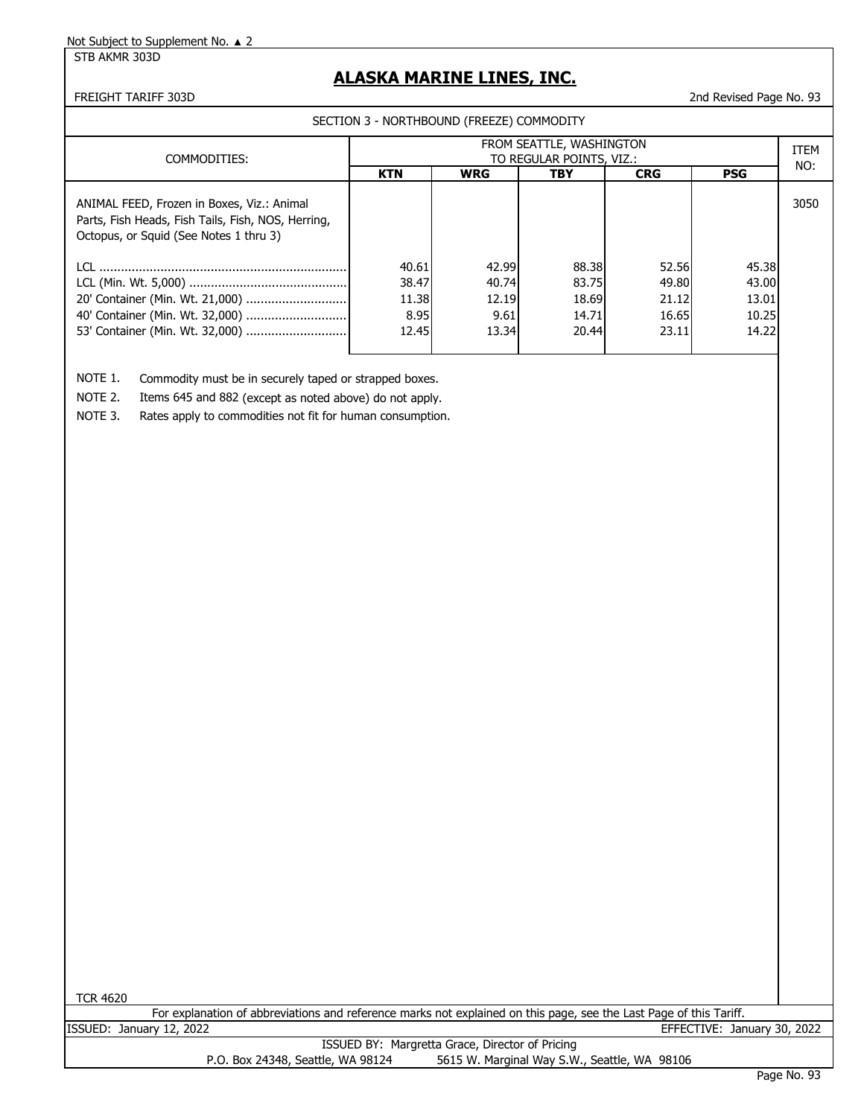#### STB AKMR 303D

### **ALASKA MARINE LINES, INC.**

#### FREIGHT TARIFF 303D 2nd Revised Page No. 93

SECTION 3 - NORTHBOUND (FREEZE) COMMODITY

| COMMODITIES:                                                                                                                               | FROM SEATTLE, WASHINGTON<br>TO REGULAR POINTS, VIZ.: |            |       |            |            |      |  |
|--------------------------------------------------------------------------------------------------------------------------------------------|------------------------------------------------------|------------|-------|------------|------------|------|--|
|                                                                                                                                            | <b>KTN</b>                                           | <b>WRG</b> | TBY   | <b>CRG</b> | <b>PSG</b> | NO:  |  |
| ANIMAL FEED, Frozen in Boxes, Viz.: Animal<br>Parts, Fish Heads, Fish Tails, Fish, NOS, Herring,<br>Octopus, or Squid (See Notes 1 thru 3) |                                                      |            |       |            |            | 3050 |  |
|                                                                                                                                            | 40.61                                                | 42.99      | 88.38 | 52.56      | 45.38      |      |  |
|                                                                                                                                            | 38.47                                                | 40.74      | 83.75 | 49.80      | 43.00      |      |  |
|                                                                                                                                            | 11.38                                                | 12.19      | 18.69 | 21.12      | 13.01      |      |  |
|                                                                                                                                            | 8.95                                                 | 9.61       | 14.71 | 16.65      | 10.25      |      |  |
| 53' Container (Min. Wt. 32,000)                                                                                                            | 12.45                                                | 13.34      | 20.44 | 23.11      | 14.22      |      |  |
|                                                                                                                                            |                                                      |            |       |            |            |      |  |

NOTE 1. Commodity must be in securely taped or strapped boxes.

NOTE 2. Items 645 and 882 (except as noted above) do not apply.

NOTE 3. Rates apply to commodities not fit for human consumption.

For explanation of abbreviations and reference marks not explained on this page, see the Last Page of this Tariff. ISSUED: January 12, 2022 EFFECTIVE: January 30, 2022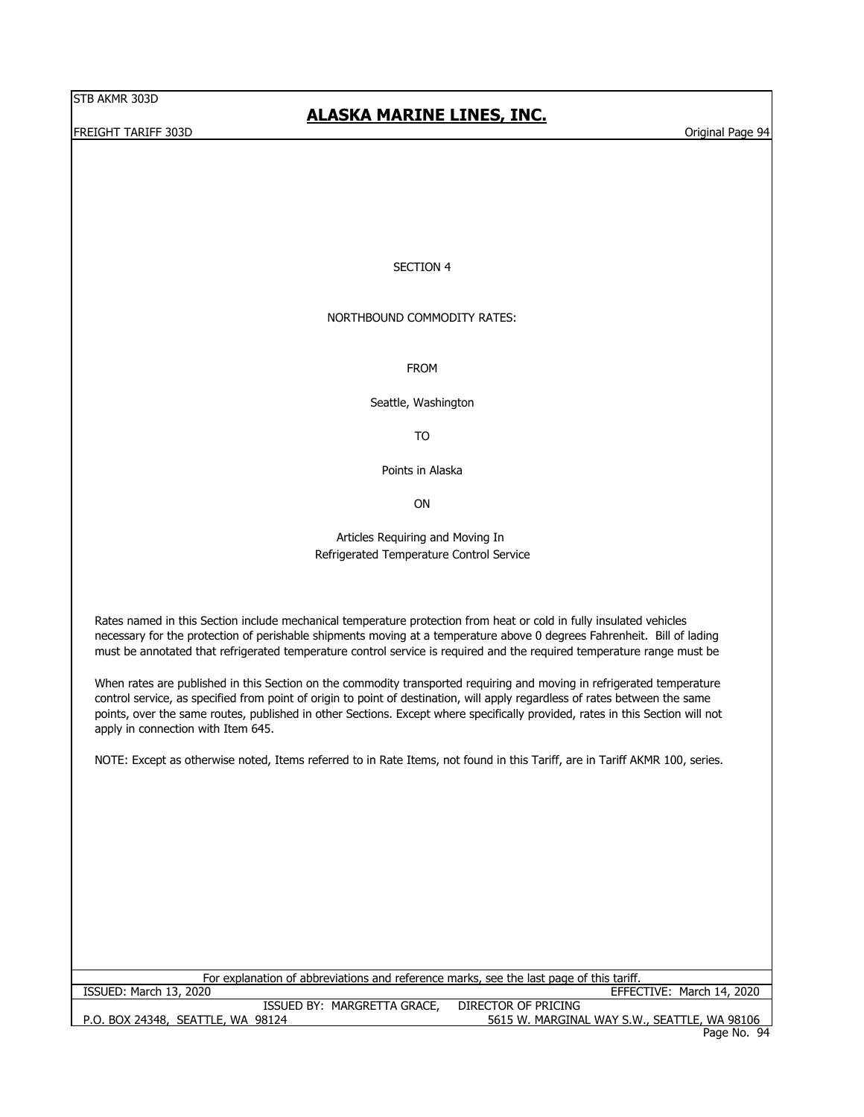FREIGHT TARIFF 303D **External Page 94** Crisis of the United States of the United States of the United States of the United States of the United States of the United States of the United States of the United States of the U

### **ALASKA MARINE LINES, INC.**

#### SECTION 4

#### NORTHBOUND COMMODITY RATES:

FROM

Seattle, Washington

TO

Points in Alaska

ON

#### Articles Requiring and Moving In Refrigerated Temperature Control Service

Rates named in this Section include mechanical temperature protection from heat or cold in fully insulated vehicles necessary for the protection of perishable shipments moving at a temperature above 0 degrees Fahrenheit. Bill of lading must be annotated that refrigerated temperature control service is required and the required temperature range must be

When rates are published in this Section on the commodity transported requiring and moving in refrigerated temperature control service, as specified from point of origin to point of destination, will apply regardless of rates between the same points, over the same routes, published in other Sections. Except where specifically provided, rates in this Section will not apply in connection with Item 645.

NOTE: Except as otherwise noted, Items referred to in Rate Items, not found in this Tariff, are in Tariff AKMR 100, series.

| For explanation of abbreviations and reference marks, see the last page of this tariff. |                                              |  |  |  |  |  |
|-----------------------------------------------------------------------------------------|----------------------------------------------|--|--|--|--|--|
| ISSUED: March 13, 2020                                                                  | EFFECTIVE: March 14, 2020                    |  |  |  |  |  |
| ISSUED BY: MARGRETTA GRACE,                                                             | DIRECTOR OF PRICING                          |  |  |  |  |  |
| P.O. BOX 24348, SEATTLE, WA 98124                                                       | 5615 W. MARGINAL WAY S.W., SEATTLE, WA 98106 |  |  |  |  |  |
|                                                                                         | Page No. 94                                  |  |  |  |  |  |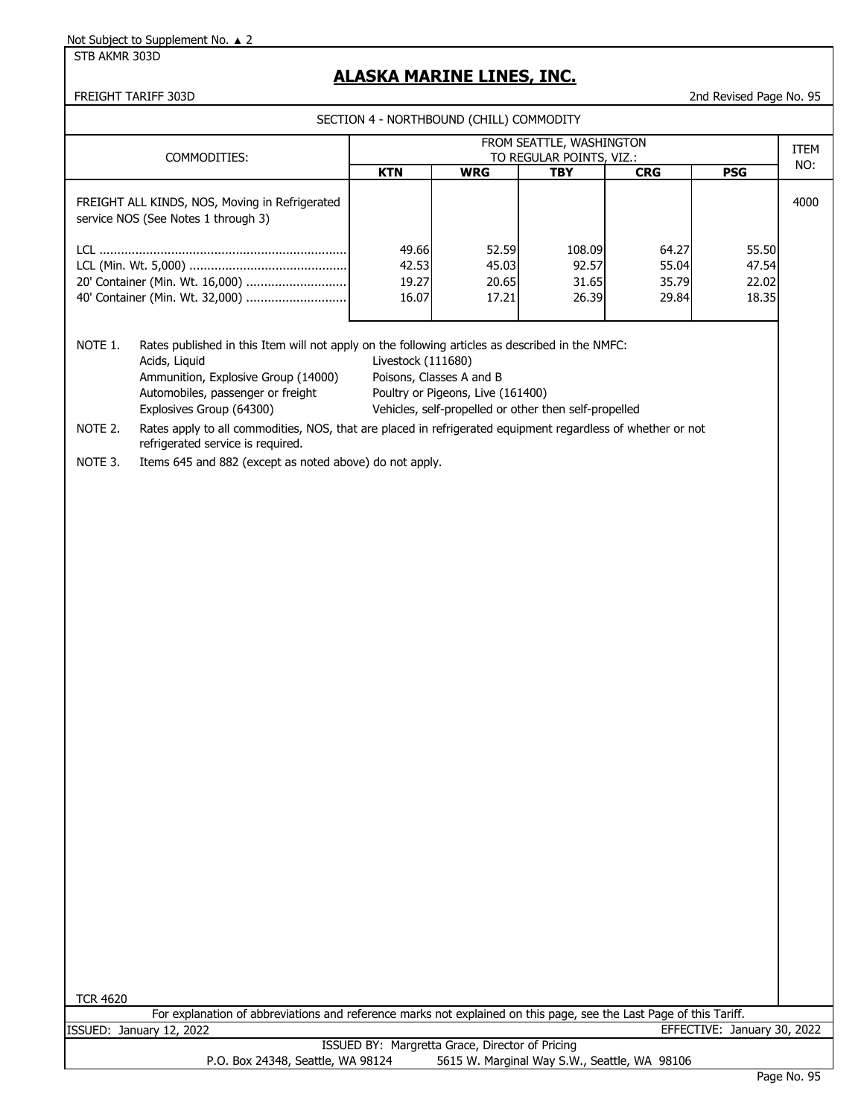STB AKMR 303D

# **ALASKA MARINE LINES, INC.**

FREIGHT TARIFF 303D 2nd Revised Page No. 95

|                 |                                                                                                                                                  | SECTION 4 - NORTHBOUND (CHILL) COMMODITY                                                                                                                                                                                                        |                                  |                                                      |                                  |                                  |      |
|-----------------|--------------------------------------------------------------------------------------------------------------------------------------------------|-------------------------------------------------------------------------------------------------------------------------------------------------------------------------------------------------------------------------------------------------|----------------------------------|------------------------------------------------------|----------------------------------|----------------------------------|------|
|                 | COMMODITIES:                                                                                                                                     |                                                                                                                                                                                                                                                 |                                  | FROM SEATTLE, WASHINGTON<br>TO REGULAR POINTS, VIZ.: |                                  |                                  | ITEM |
|                 |                                                                                                                                                  | <b>KTN</b>                                                                                                                                                                                                                                      | <b>WRG</b>                       | TBY                                                  | <b>CRG</b>                       | <b>PSG</b>                       | NO:  |
|                 | FREIGHT ALL KINDS, NOS, Moving in Refrigerated<br>service NOS (See Notes 1 through 3)                                                            |                                                                                                                                                                                                                                                 |                                  |                                                      |                                  |                                  | 4000 |
|                 | 20' Container (Min. Wt. 16,000)<br>40' Container (Min. Wt. 32,000)                                                                               | 49.66<br>42.53<br>19.27<br>16.07                                                                                                                                                                                                                | 52.59<br>45.03<br>20.65<br>17.21 | 108.09<br>92.57<br>31.65<br>26.39                    | 64.27<br>55.04<br>35.79<br>29.84 | 55.50<br>47.54<br>22.02<br>18.35 |      |
| NOTE 1.         | Acids, Liquid<br>Ammunition, Explosive Group (14000)<br>Automobiles, passenger or freight<br>Explosives Group (64300)                            | Rates published in this Item will not apply on the following articles as described in the NMFC:<br>Livestock (111680)<br>Poisons, Classes A and B<br>Poultry or Pigeons, Live (161400)<br>Vehicles, self-propelled or other then self-propelled |                                  |                                                      |                                  |                                  |      |
| NOTE 2.         | Rates apply to all commodities, NOS, that are placed in refrigerated equipment regardless of whether or not<br>refrigerated service is required. |                                                                                                                                                                                                                                                 |                                  |                                                      |                                  |                                  |      |
| NOTE 3.         | Items 645 and 882 (except as noted above) do not apply.                                                                                          |                                                                                                                                                                                                                                                 |                                  |                                                      |                                  |                                  |      |
|                 |                                                                                                                                                  |                                                                                                                                                                                                                                                 |                                  |                                                      |                                  |                                  |      |
| <b>TCR 4620</b> | For explanation of abbreviations and reference marks not explained on this page, see the Last Page of this Tariff.                               |                                                                                                                                                                                                                                                 |                                  |                                                      |                                  |                                  |      |
|                 | ISSUED: January 12, 2022                                                                                                                         |                                                                                                                                                                                                                                                 |                                  |                                                      |                                  | EFFECTIVE: January 30, 2022      |      |
|                 | P.O. Box 24348, Seattle, WA 98124                                                                                                                | ISSUED BY: Margretta Grace, Director of Pricing                                                                                                                                                                                                 |                                  | 5615 W. Marginal Way S.W., Seattle, WA 98106         |                                  |                                  |      |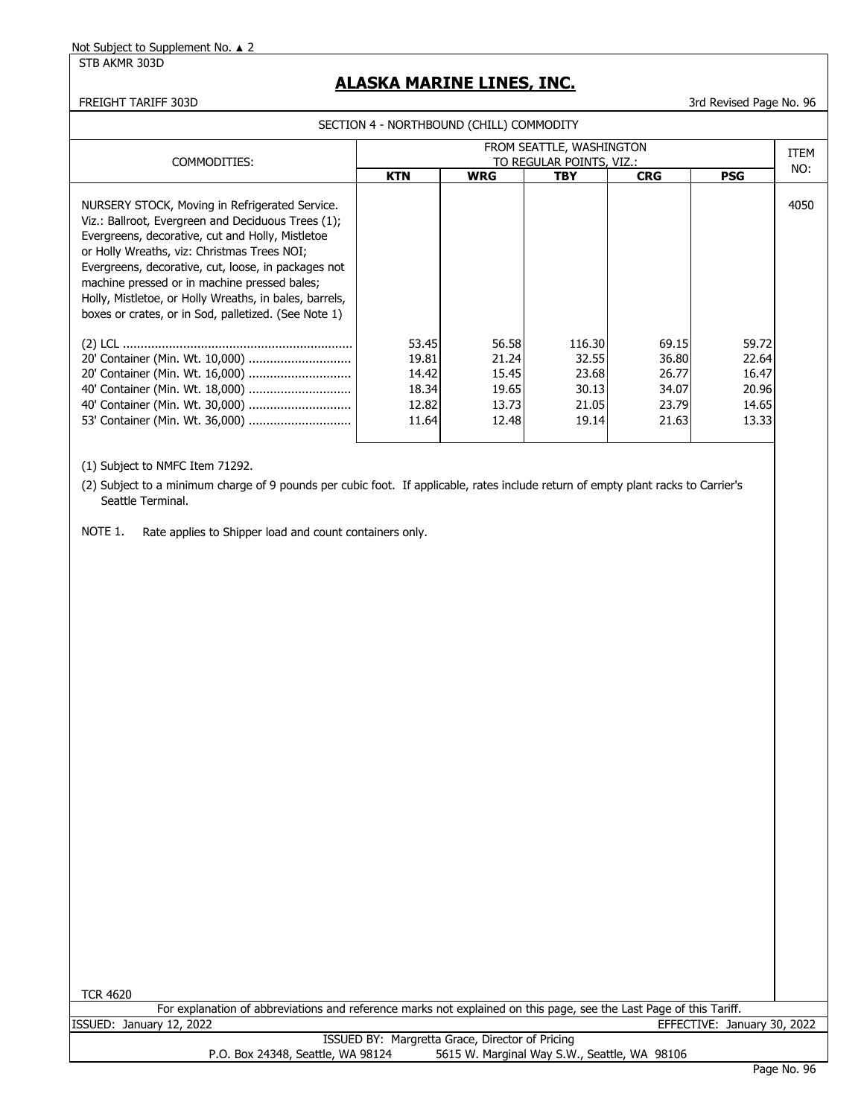STB AKMR 303D

### **ALASKA MARINE LINES, INC.**

#### FREIGHT TARIFF 303D 3rd Revised Page No. 96

SECTION 4 - NORTHBOUND (CHILL) COMMODITY

| COMMODITIES:                                                                                                                                                                                                                                                                                                                                                                                                                     | FROM SEATTLE, WASHINGTON<br>TO REGULAR POINTS, VIZ.: |                                                    |                                                     |                                                    |                                                    |      |
|----------------------------------------------------------------------------------------------------------------------------------------------------------------------------------------------------------------------------------------------------------------------------------------------------------------------------------------------------------------------------------------------------------------------------------|------------------------------------------------------|----------------------------------------------------|-----------------------------------------------------|----------------------------------------------------|----------------------------------------------------|------|
|                                                                                                                                                                                                                                                                                                                                                                                                                                  | <b>KTN</b>                                           | <b>WRG</b>                                         | <b>TBY</b>                                          | <b>CRG</b>                                         | <b>PSG</b>                                         | NO:  |
| NURSERY STOCK, Moving in Refrigerated Service.<br>Viz.: Ballroot, Evergreen and Deciduous Trees (1);<br>Evergreens, decorative, cut and Holly, Mistletoe<br>or Holly Wreaths, viz: Christmas Trees NOI;<br>Evergreens, decorative, cut, loose, in packages not<br>machine pressed or in machine pressed bales;<br>Holly, Mistletoe, or Holly Wreaths, in bales, barrels,<br>boxes or crates, or in Sod, palletized. (See Note 1) |                                                      |                                                    |                                                     |                                                    |                                                    | 4050 |
| 53' Container (Min. Wt. 36,000)                                                                                                                                                                                                                                                                                                                                                                                                  | 53.45<br>19.81<br>14.42<br>18.34<br>12.82<br>11.64   | 56.58<br>21.24<br>15.45<br>19.65<br>13.73<br>12.48 | 116.30<br>32.55<br>23.68<br>30.13<br>21.05<br>19.14 | 69.15<br>36.80<br>26.77<br>34.07<br>23.79<br>21.63 | 59.72<br>22.64<br>16.47<br>20.96<br>14.65<br>13.33 |      |

(1) Subject to NMFC Item 71292.

(2) Subject to a minimum charge of 9 pounds per cubic foot. If applicable, rates include return of empty plant racks to Carrier's Seattle Terminal.

NOTE 1. Rate applies to Shipper load and count containers only.

TCR 4620

For explanation of abbreviations and reference marks not explained on this page, see the Last Page of this Tariff.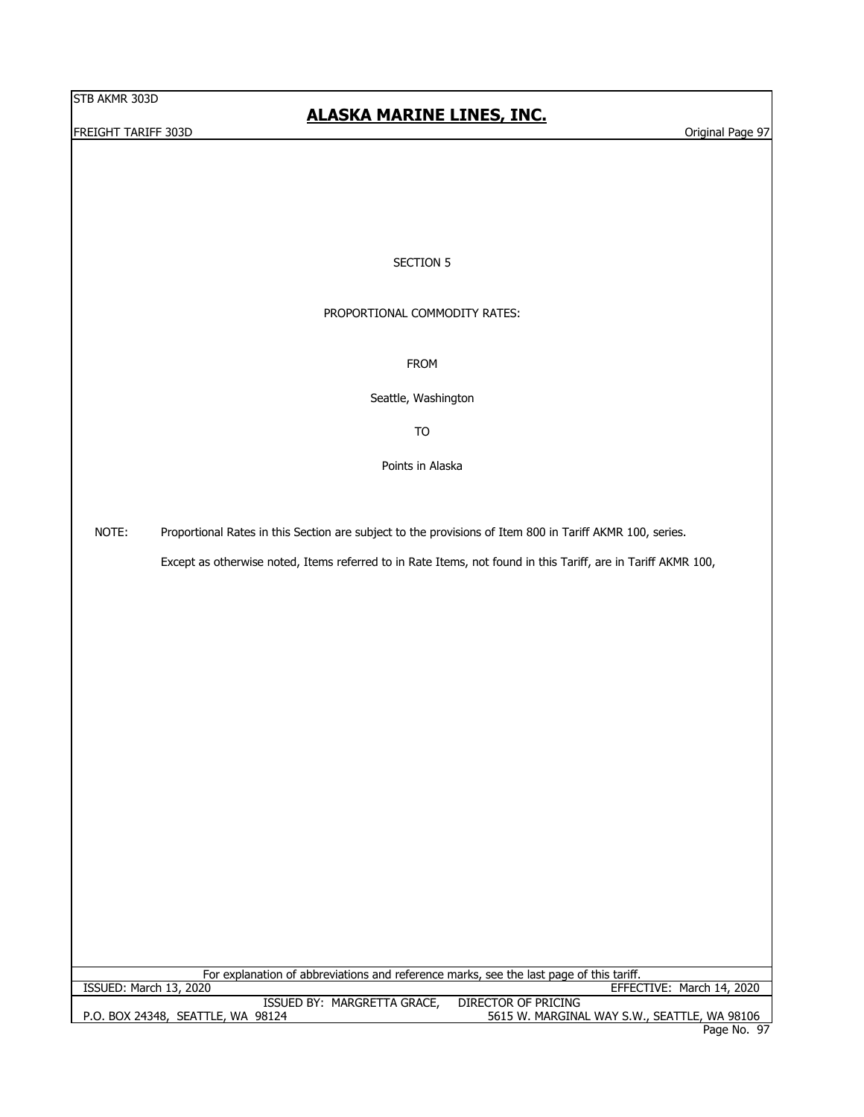#### **FREIGHT TARIFF 303D** Original Page 97

## **ALASKA MARINE LINES, INC.**

#### SECTION 5

#### PROPORTIONAL COMMODITY RATES:

FROM

Seattle, Washington

TO

Points in Alaska

NOTE: Proportional Rates in this Section are subject to the provisions of Item 800 in Tariff AKMR 100, series.

Except as otherwise noted, Items referred to in Rate Items, not found in this Tariff, are in Tariff AKMR 100,

For explanation of abbreviations and reference marks, see the last page of this tariff.<br>ISSUED: March 13, 2020

EFFECTIVE: March 14, 2020

| MARGRETTA GRACE,<br><b>ISSUED BY:</b>  | DIRECTOR OF PRICING                          |
|----------------------------------------|----------------------------------------------|
| , SEATTLE, WA 98124<br>P.O. BOX 24348, | 5615 W. MARGINAL WAY S.W., SEATTLE, WA 98106 |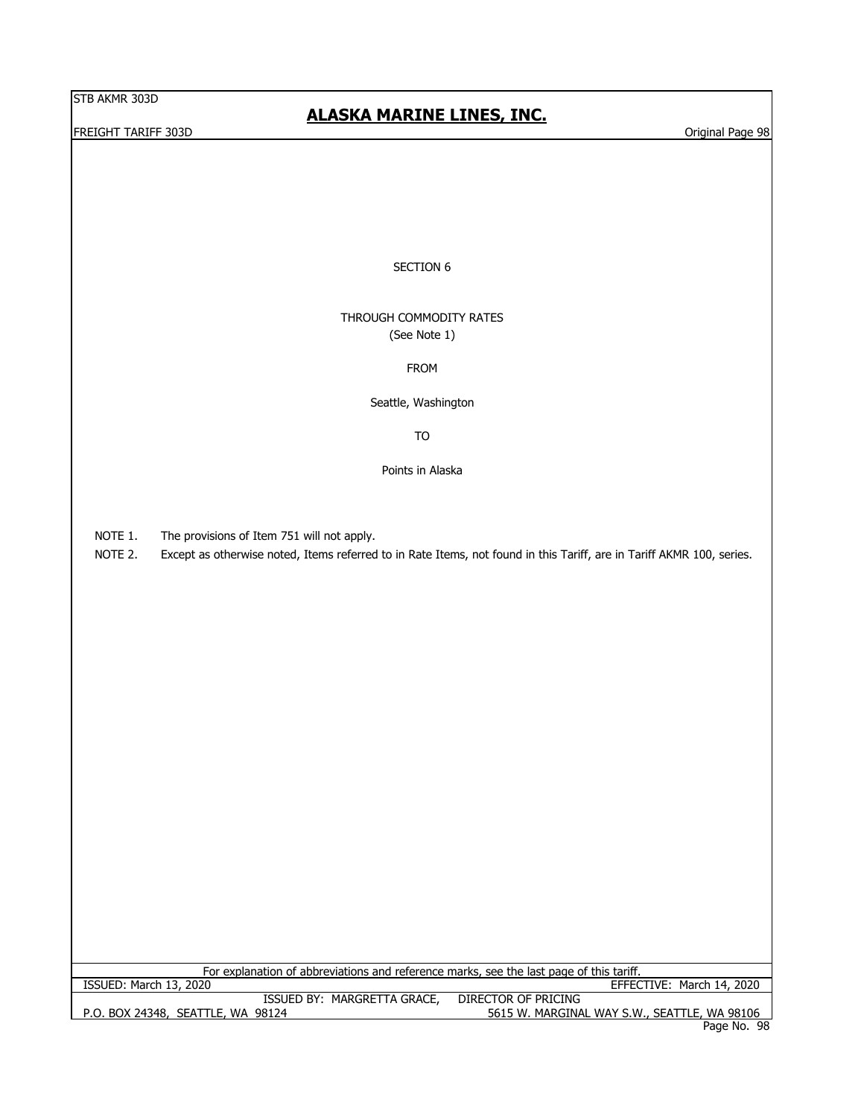**FREIGHT TARIFF 303D** Original Page 98

# **ALASKA MARINE LINES, INC.**

#### SECTION 6

#### THROUGH COMMODITY RATES (See Note 1)

#### FROM

Seattle, Washington

TO

Points in Alaska

NOTE 1. The provisions of Item 751 will not apply.

NOTE 2. Except as otherwise noted, Items referred to in Rate Items, not found in this Tariff, are in Tariff AKMR 100, series.

P.O. BOX 24348, SEATTLE, WA 98124 5615 W. MARGINAL WAY S.W., SEATTLE, WA 98106 Page No. 98 ISSUED BY: MARGRETTA GRACE, DIRECTOR OF PRICING For explanation of abbreviations and reference marks, see the last page of this tariff.<br>ISSUED: March 13, 2020 EFFECTIVE: March 14, 2020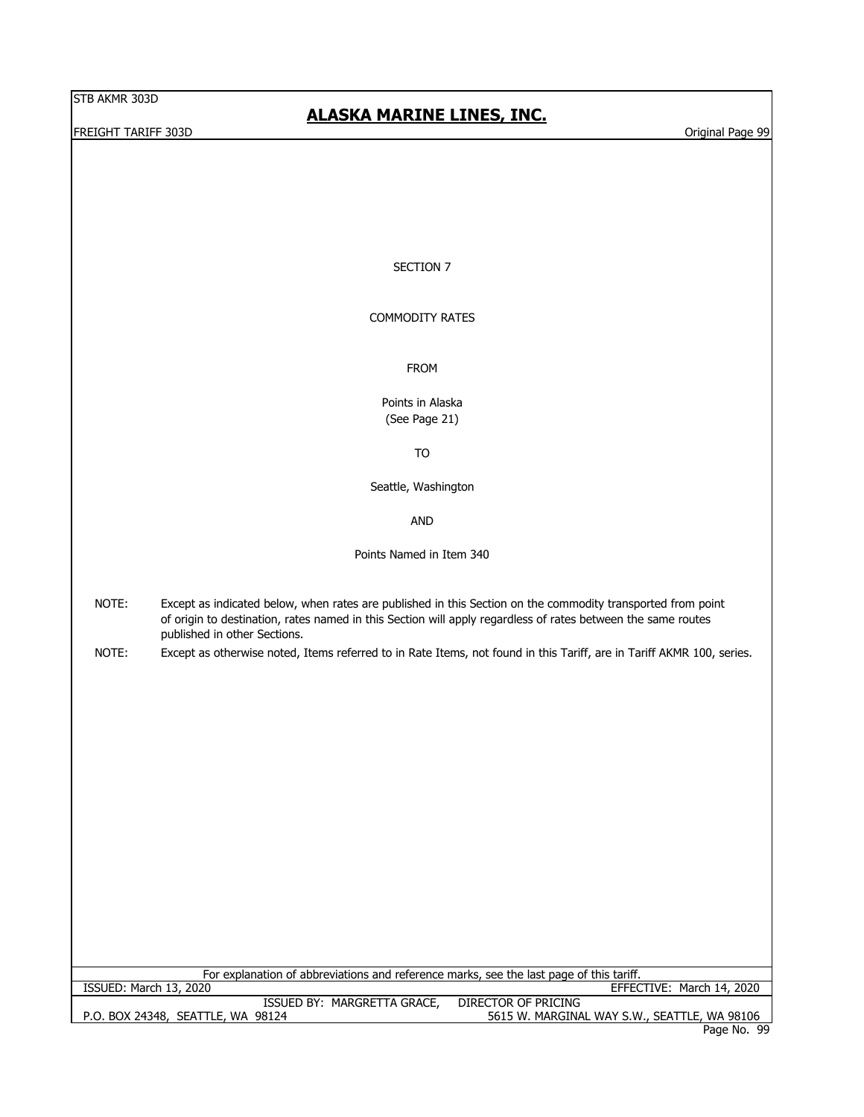**FREIGHT TARIFF 303D** Original Page 99

# **ALASKA MARINE LINES, INC.**

#### SECTION 7

#### COMMODITY RATES

FROM

Points in Alaska (See Page 21)

TO

Seattle, Washington

AND

Points Named in Item 340

- NOTE: Except as indicated below, when rates are published in this Section on the commodity transported from point of origin to destination, rates named in this Section will apply regardless of rates between the same routes published in other Sections.
- NOTE: Except as otherwise noted, Items referred to in Rate Items, not found in this Tariff, are in Tariff AKMR 100, series.

For explanation of abbreviations and reference marks, see the last page of this tariff.

ISSUED: March 13, 2020 EFFECTIVE: March 14, 2020

| MARGRETTA GRACE,<br>ISSUED BY:    | DIRECTOR OF PRICING                          |
|-----------------------------------|----------------------------------------------|
| P.O. BOX 24348, SEATTLE, WA 98124 | 5615 W. MARGINAL WAY S.W., SEATTLE, WA 98106 |
|                                   | Doge Ne OC                                   |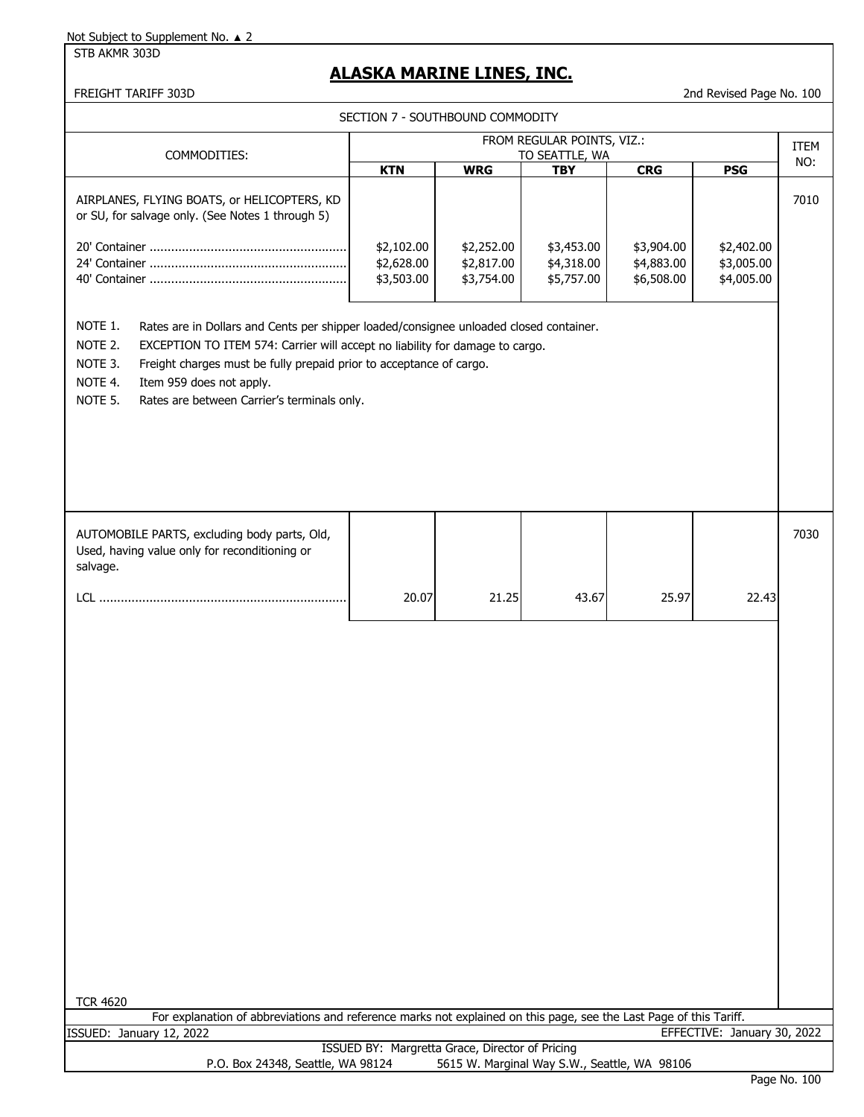STB AKMR 303D

# **ALASKA MARINE LINES, INC.**

FREIGHT TARIFF 303D 2nd Revised Page No. 100

| SECTION 7 - SOUTHBOUND COMMODITY                                                                                                                                                                                                                                                                                                                                                |                                                 |                                        |                                              |                                        |                                        |             |
|---------------------------------------------------------------------------------------------------------------------------------------------------------------------------------------------------------------------------------------------------------------------------------------------------------------------------------------------------------------------------------|-------------------------------------------------|----------------------------------------|----------------------------------------------|----------------------------------------|----------------------------------------|-------------|
| COMMODITIES:                                                                                                                                                                                                                                                                                                                                                                    |                                                 |                                        | FROM REGULAR POINTS, VIZ.:<br>TO SEATTLE, WA |                                        |                                        | <b>ITEM</b> |
|                                                                                                                                                                                                                                                                                                                                                                                 | <b>KTN</b>                                      | <b>WRG</b>                             | <b>TBY</b>                                   | CRG                                    | <b>PSG</b>                             | NO:         |
| AIRPLANES, FLYING BOATS, or HELICOPTERS, KD<br>or SU, for salvage only. (See Notes 1 through 5)                                                                                                                                                                                                                                                                                 | \$2,102.00<br>\$2,628.00<br>\$3,503.00          | \$2,252.00<br>\$2,817.00<br>\$3,754.00 | \$3,453.00<br>\$4,318.00<br>\$5,757.00       | \$3,904.00<br>\$4,883.00<br>\$6,508.00 | \$2,402.00<br>\$3,005.00<br>\$4,005.00 | 7010        |
| NOTE 1.<br>Rates are in Dollars and Cents per shipper loaded/consignee unloaded closed container.<br>NOTE 2.<br>EXCEPTION TO ITEM 574: Carrier will accept no liability for damage to cargo.<br>NOTE 3.<br>Freight charges must be fully prepaid prior to acceptance of cargo.<br>NOTE 4.<br>Item 959 does not apply.<br>NOTE 5.<br>Rates are between Carrier's terminals only. |                                                 |                                        |                                              |                                        |                                        |             |
| AUTOMOBILE PARTS, excluding body parts, Old,<br>Used, having value only for reconditioning or<br>salvage.                                                                                                                                                                                                                                                                       |                                                 |                                        |                                              |                                        |                                        | 7030        |
|                                                                                                                                                                                                                                                                                                                                                                                 | 20.07                                           | 21.25                                  | 43.67                                        | 25.97                                  | 22.43                                  |             |
| <b>TCR 4620</b><br>For explanation of abbreviations and reference marks not explained on this page, see the Last Page of this Tariff.                                                                                                                                                                                                                                           |                                                 |                                        |                                              |                                        |                                        |             |
| ISSUED: January 12, 2022                                                                                                                                                                                                                                                                                                                                                        |                                                 |                                        |                                              |                                        | EFFECTIVE: January 30, 2022            |             |
| P.O. Box 24348, Seattle, WA 98124                                                                                                                                                                                                                                                                                                                                               | ISSUED BY: Margretta Grace, Director of Pricing |                                        | 5615 W. Marginal Way S.W., Seattle, WA 98106 |                                        |                                        |             |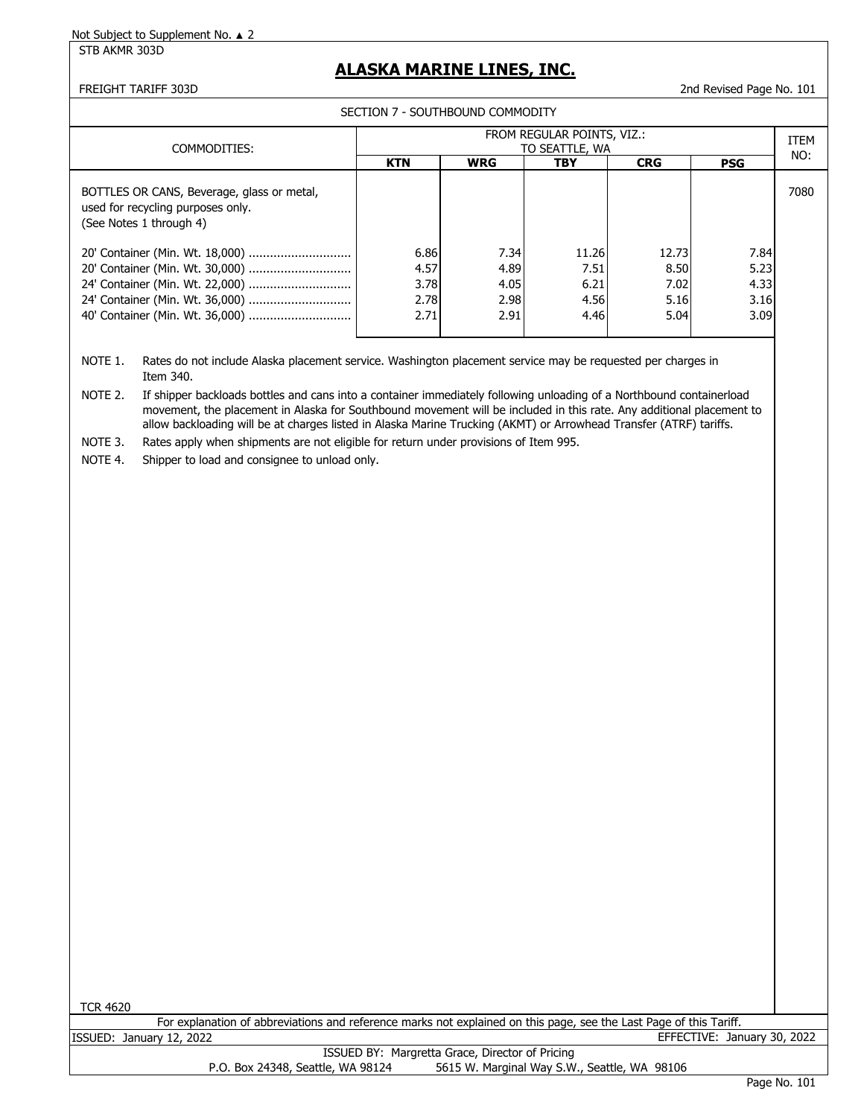STB AKMR 303D

# **ALASKA MARINE LINES, INC.**

FREIGHT TARIFF 303D 2nd Revised Page No. 101

SECTION 7 - SOUTHBOUND COMMODITY

| COMMODITIES:                                                                                               | FROM REGULAR POINTS, VIZ.:<br>TO SEATTLE, WA |            |            |            |            |      |
|------------------------------------------------------------------------------------------------------------|----------------------------------------------|------------|------------|------------|------------|------|
|                                                                                                            | <b>KTN</b>                                   | <b>WRG</b> | <b>TBY</b> | <b>CRG</b> | <b>PSG</b> | NO:  |
| BOTTLES OR CANS, Beverage, glass or metal,<br>used for recycling purposes only.<br>(See Notes 1 through 4) |                                              |            |            |            |            | 7080 |
| 20' Container (Min. Wt. 18,000)                                                                            | 6.86                                         | 7.34       | 11.26      | 12.73      | 7.84       |      |
| 20' Container (Min. Wt. 30,000)                                                                            | 4.57                                         | 4.89       | 7.51       | 8.50       | 5.23       |      |
|                                                                                                            | 3.78                                         | 4.05       | 6.21       | 7.02       | 4.33       |      |
| 24' Container (Min. Wt. 36,000)                                                                            | 2.78                                         | 2.98       | 4.56       | 5.16       | 3.16       |      |
| 40' Container (Min. Wt. 36,000)                                                                            | 2.71                                         | 2.91       | 4.46       | 5.04       | 3.09       |      |
|                                                                                                            |                                              |            |            |            |            |      |

NOTE 1. Rates do not include Alaska placement service. Washington placement service may be requested per charges in Item 340.

NOTE 2. If shipper backloads bottles and cans into a container immediately following unloading of a Northbound containerload movement, the placement in Alaska for Southbound movement will be included in this rate. Any additional placement to allow backloading will be at charges listed in Alaska Marine Trucking (AKMT) or Arrowhead Transfer (ATRF) tariffs.

NOTE 3. Rates apply when shipments are not eligible for return under provisions of Item 995.

NOTE 4. Shipper to load and consignee to unload only.

TCR 4620

| For explanation of abbreviations and reference marks not explained on this page, see the Last Page of this Tariff. |                             |
|--------------------------------------------------------------------------------------------------------------------|-----------------------------|
| ISSUED: January 12, 2022                                                                                           | EFFECTIVE: January 30, 2022 |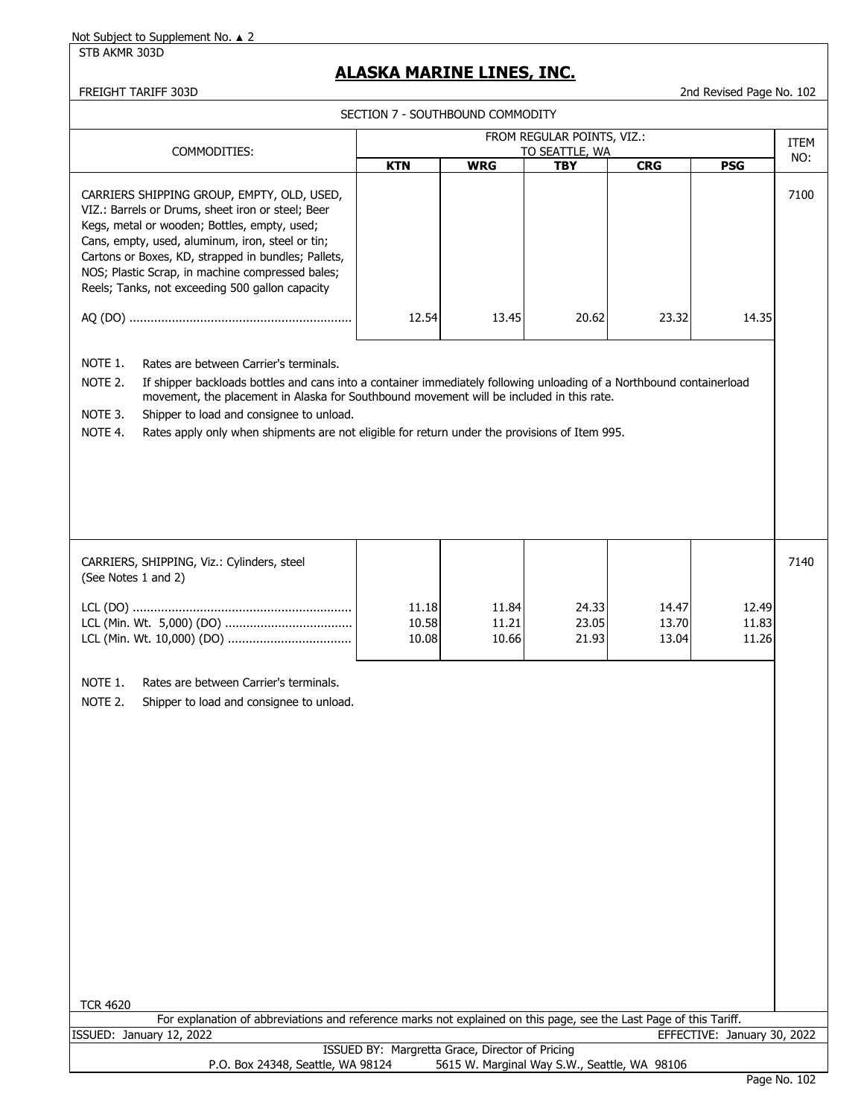STB AKMR 303D

## **ALASKA MARINE LINES, INC.**

FREIGHT TARIFF 303D 2nd Revised Page No. 102

| טכטט וועמדו ורוטובמו                                                                                                                                                                                                                                                                                                                                                                                                                                |                         |                                  |                              |                         | 2110 REVISED LOGE NO. 102 |      |
|-----------------------------------------------------------------------------------------------------------------------------------------------------------------------------------------------------------------------------------------------------------------------------------------------------------------------------------------------------------------------------------------------------------------------------------------------------|-------------------------|----------------------------------|------------------------------|-------------------------|---------------------------|------|
|                                                                                                                                                                                                                                                                                                                                                                                                                                                     |                         | SECTION 7 - SOUTHBOUND COMMODITY |                              |                         |                           |      |
|                                                                                                                                                                                                                                                                                                                                                                                                                                                     |                         |                                  | FROM REGULAR POINTS, VIZ.:   |                         |                           | ITEM |
| COMMODITIES:                                                                                                                                                                                                                                                                                                                                                                                                                                        | <b>KTN</b>              | <b>WRG</b>                       | TO SEATTLE, WA<br><b>TBY</b> | <b>CRG</b>              | <b>PSG</b>                | NO:  |
| CARRIERS SHIPPING GROUP, EMPTY, OLD, USED,<br>VIZ.: Barrels or Drums, sheet iron or steel; Beer<br>Kegs, metal or wooden; Bottles, empty, used;<br>Cans, empty, used, aluminum, iron, steel or tin;<br>Cartons or Boxes, KD, strapped in bundles; Pallets,<br>NOS; Plastic Scrap, in machine compressed bales;<br>Reels; Tanks, not exceeding 500 gallon capacity                                                                                   |                         |                                  |                              |                         |                           | 7100 |
|                                                                                                                                                                                                                                                                                                                                                                                                                                                     | 12.54                   | 13.45                            | 20.62                        | 23.32                   | 14.35                     |      |
| NOTE 1.<br>Rates are between Carrier's terminals.<br>NOTE 2.<br>If shipper backloads bottles and cans into a container immediately following unloading of a Northbound containerload<br>movement, the placement in Alaska for Southbound movement will be included in this rate.<br>NOTE 3.<br>Shipper to load and consignee to unload.<br>NOTE 4.<br>Rates apply only when shipments are not eligible for return under the provisions of Item 995. |                         |                                  |                              |                         |                           |      |
| CARRIERS, SHIPPING, Viz.: Cylinders, steel<br>(See Notes 1 and 2)                                                                                                                                                                                                                                                                                                                                                                                   |                         |                                  |                              |                         |                           | 7140 |
|                                                                                                                                                                                                                                                                                                                                                                                                                                                     | 11.18<br>10.58<br>10.08 | 11.84<br>11.21<br>10.66          | 24.33<br>23.05<br>21.93      | 14.47<br>13.70<br>13.04 | 12.49<br>11.83<br>11.26   |      |
| NOTE 1.<br>Rates are between Carrier's terminals.<br>NOTE 2.<br>Shipper to load and consignee to unload.                                                                                                                                                                                                                                                                                                                                            |                         |                                  |                              |                         |                           |      |

TCR 4620

For explanation of abbreviations and reference marks not explained on this page, see the Last Page of this Tariff. ISSUED: January 12, 2022 EFFECTIVE: January 30, 2022 ISSUED BY: Margretta Grace, Director of Pricing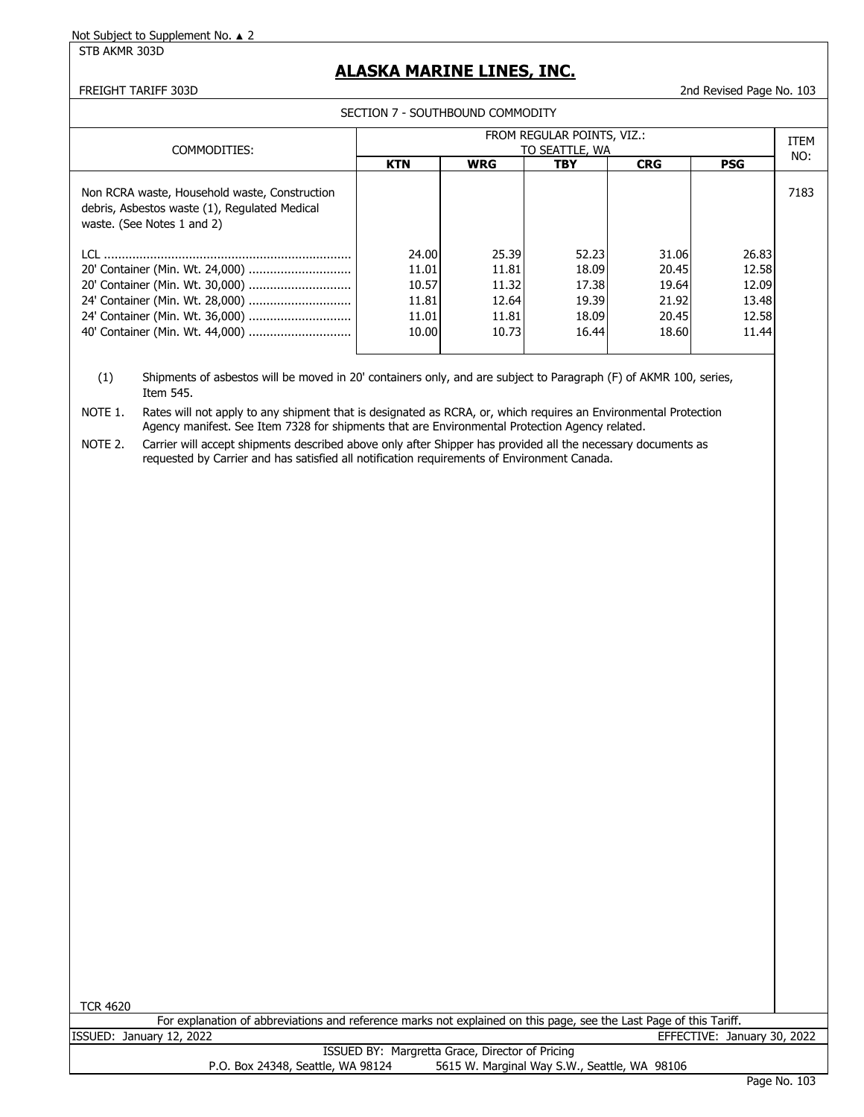STB AKMR 303D

### **ALASKA MARINE LINES, INC.**

FREIGHT TARIFF 303D 2nd Revised Page No. 103

SECTION 7 - SOUTHBOUND COMMODITY

|                                                                                                                              | FROM REGULAR POINTS, VIZ.: |            |                |            |            |                    |
|------------------------------------------------------------------------------------------------------------------------------|----------------------------|------------|----------------|------------|------------|--------------------|
| COMMODITIES:                                                                                                                 |                            |            | TO SEATTLE, WA |            |            | <b>ITEM</b><br>NO: |
|                                                                                                                              | <b>KTN</b>                 | <b>WRG</b> | <b>TBY</b>     | <b>CRG</b> | <b>PSG</b> |                    |
| Non RCRA waste, Household waste, Construction<br>debris, Asbestos waste (1), Regulated Medical<br>waste. (See Notes 1 and 2) |                            |            |                |            |            | 7183               |
| LCL.                                                                                                                         | 24.00                      | 25.39      | 52.23          | 31.06      | 26.83      |                    |
|                                                                                                                              | 11.01                      | 11.81      | 18.09          | 20.45      | 12.58      |                    |
|                                                                                                                              | 10.57                      | 11.32      | 17.38          | 19.64      | 12.09      |                    |
|                                                                                                                              | 11.81                      | 12.64      | 19.39          | 21.92      | 13.48      |                    |
|                                                                                                                              | 11.01                      | 11.81      | 18.09          | 20.45      | 12.58      |                    |
|                                                                                                                              | 10.00                      | 10.73      | 16.44          | 18.60      | 11.44      |                    |
|                                                                                                                              |                            |            |                |            |            |                    |

(1) Shipments of asbestos will be moved in 20' containers only, and are subject to Paragraph (F) of AKMR 100, series, Item 545.

NOTE 1. Rates will not apply to any shipment that is designated as RCRA, or, which requires an Environmental Protection Agency manifest. See Item 7328 for shipments that are Environmental Protection Agency related.

NOTE 2. Carrier will accept shipments described above only after Shipper has provided all the necessary documents as requested by Carrier and has satisfied all notification requirements of Environment Canada.

TCR 4620

For explanation of abbreviations and reference marks not explained on this page, see the Last Page of this Tariff.<br>ISSUED: January 12, 2022 EFFECTIVE: Jan EFFECTIVE: January 30, 2022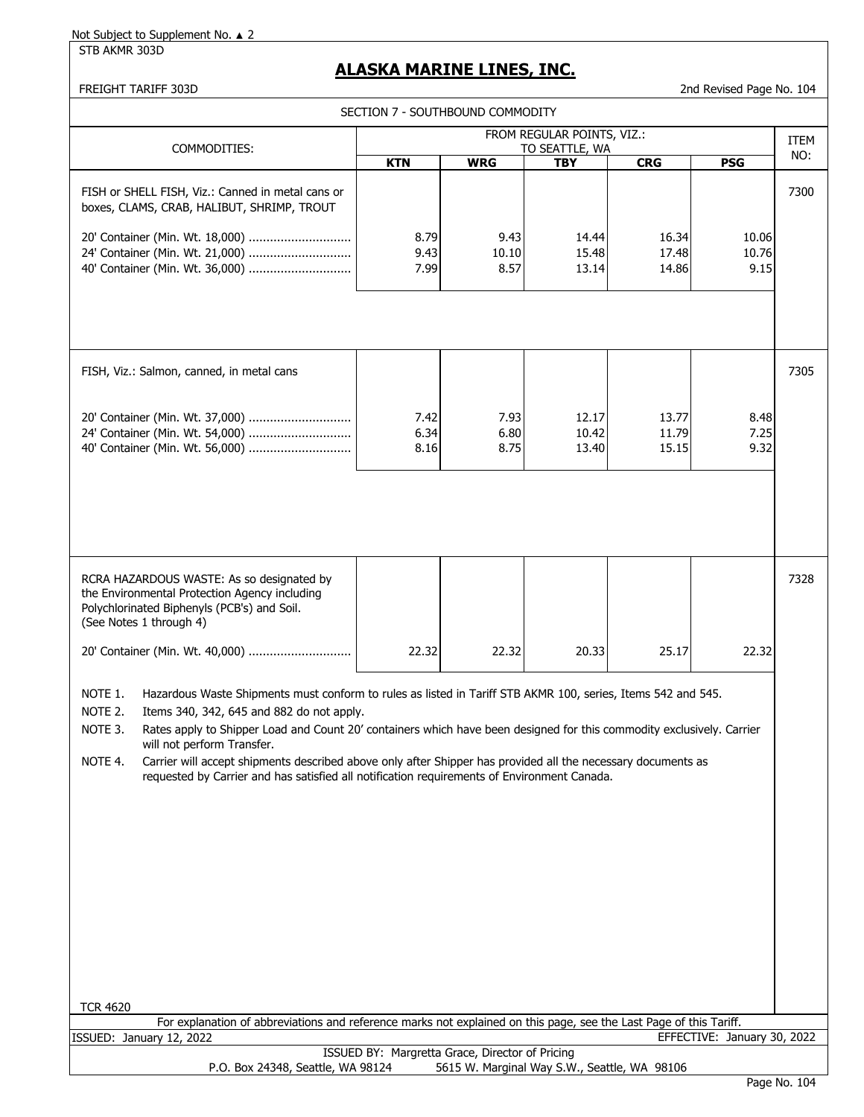STB AKMR 303D

### **ALASKA MARINE LINES, INC.**

FREIGHT TARIFF 303D 2nd Revised Page No. 104

|                                                                                                                                                                                                                                                                                                                                                                                                                                                                              | SECTION 7 - SOUTHBOUND COMMODITY                |                       |                                              |                         |                             |      |
|------------------------------------------------------------------------------------------------------------------------------------------------------------------------------------------------------------------------------------------------------------------------------------------------------------------------------------------------------------------------------------------------------------------------------------------------------------------------------|-------------------------------------------------|-----------------------|----------------------------------------------|-------------------------|-----------------------------|------|
|                                                                                                                                                                                                                                                                                                                                                                                                                                                                              |                                                 |                       | FROM REGULAR POINTS, VIZ.:                   |                         |                             | ITEM |
| COMMODITIES:                                                                                                                                                                                                                                                                                                                                                                                                                                                                 |                                                 |                       | TO SEATTLE, WA                               |                         |                             | NO:  |
| FISH or SHELL FISH, Viz.: Canned in metal cans or<br>boxes, CLAMS, CRAB, HALIBUT, SHRIMP, TROUT                                                                                                                                                                                                                                                                                                                                                                              | <b>KTN</b>                                      | <b>WRG</b>            | <b>TBY</b>                                   | <b>CRG</b>              | <b>PSG</b>                  | 7300 |
| 20' Container (Min. Wt. 18,000)<br>24' Container (Min. Wt. 21,000)<br>40' Container (Min. Wt. 36,000)                                                                                                                                                                                                                                                                                                                                                                        | 8.79<br>9.43<br>7.99                            | 9.43<br>10.10<br>8.57 | 14.44<br>15.48<br>13.14                      | 16.34<br>17.48<br>14.86 | 10.06<br>10.76<br>9.15      |      |
| FISH, Viz.: Salmon, canned, in metal cans<br>20' Container (Min. Wt. 37,000)                                                                                                                                                                                                                                                                                                                                                                                                 | 7.42                                            | 7.93                  | 12.17                                        | 13.77                   | 8.48                        | 7305 |
| 24' Container (Min. Wt. 54,000)<br>40' Container (Min. Wt. 56,000)                                                                                                                                                                                                                                                                                                                                                                                                           | 6.34<br>8.16                                    | 6.80<br>8.75          | 10.42<br>13.40                               | 11.79<br>15.15          | 7.25<br>9.32                |      |
|                                                                                                                                                                                                                                                                                                                                                                                                                                                                              |                                                 |                       |                                              |                         |                             |      |
| RCRA HAZARDOUS WASTE: As so designated by<br>the Environmental Protection Agency including<br>Polychlorinated Biphenyls (PCB's) and Soil.<br>(See Notes 1 through 4)                                                                                                                                                                                                                                                                                                         |                                                 |                       |                                              |                         |                             | 7328 |
| 20' Container (Min. Wt. 40,000)                                                                                                                                                                                                                                                                                                                                                                                                                                              | 22.32                                           | 22.32                 | 20.33                                        | 25.17                   | 22.32                       |      |
| NOTE 1.<br>Hazardous Waste Shipments must conform to rules as listed in Tariff STB AKMR 100, series, Items 542 and 545.<br>NOTE 2.<br>Items 340, 342, 645 and 882 do not apply.<br>NOTE 3.<br>Rates apply to Shipper Load and Count 20' containers which have been designed for this commodity exclusively. Carrier<br>will not perform Transfer.<br>NOTE 4.<br>Carrier will accept shipments described above only after Shipper has provided all the necessary documents as |                                                 |                       |                                              |                         |                             |      |
| requested by Carrier and has satisfied all notification requirements of Environment Canada.                                                                                                                                                                                                                                                                                                                                                                                  |                                                 |                       |                                              |                         |                             |      |
|                                                                                                                                                                                                                                                                                                                                                                                                                                                                              |                                                 |                       |                                              |                         |                             |      |
|                                                                                                                                                                                                                                                                                                                                                                                                                                                                              |                                                 |                       |                                              |                         |                             |      |
| <b>TCR 4620</b><br>For explanation of abbreviations and reference marks not explained on this page, see the Last Page of this Tariff.                                                                                                                                                                                                                                                                                                                                        |                                                 |                       |                                              |                         |                             |      |
| ISSUED: January 12, 2022                                                                                                                                                                                                                                                                                                                                                                                                                                                     |                                                 |                       |                                              |                         | EFFECTIVE: January 30, 2022 |      |
| P.O. Box 24348, Seattle, WA 98124                                                                                                                                                                                                                                                                                                                                                                                                                                            | ISSUED BY: Margretta Grace, Director of Pricing |                       | 5615 W. Marginal Way S.W., Seattle, WA 98106 |                         |                             |      |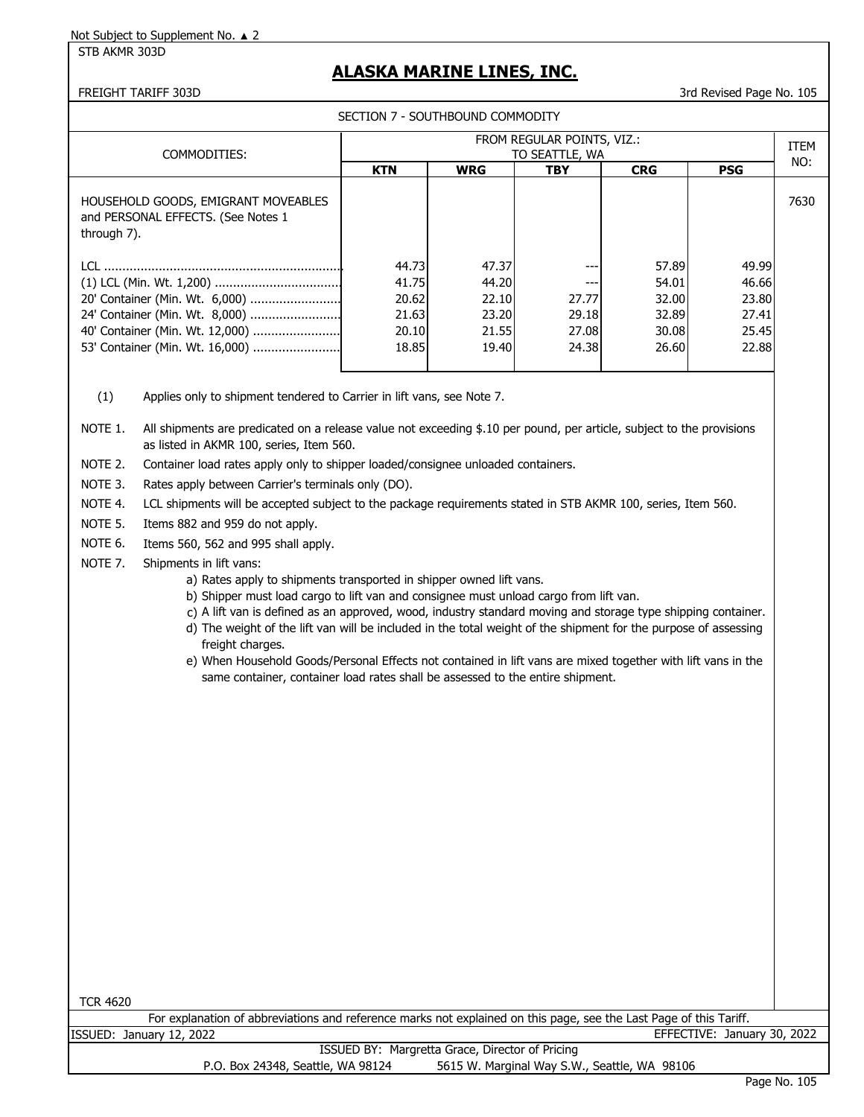STB AKMR 303D

## **ALASKA MARINE LINES, INC.**

FREIGHT TARIFF 303D 3rd Revised Page No. 105

|  | SECTION 7 - SOUTHBOUND COMMODITY |  |
|--|----------------------------------|--|
|--|----------------------------------|--|

| COMMODITIES:                                                                             | FROM REGULAR POINTS, VIZ.:<br>TO SEATTLE, WA |            |            |            |            |      |
|------------------------------------------------------------------------------------------|----------------------------------------------|------------|------------|------------|------------|------|
|                                                                                          | <b>KTN</b>                                   | <b>WRG</b> | <b>TBY</b> | <b>CRG</b> | <b>PSG</b> | NO:  |
| HOUSEHOLD GOODS, EMIGRANT MOVEABLES<br>and PERSONAL EFFECTS. (See Notes 1<br>through 7). |                                              |            |            |            |            | 7630 |
|                                                                                          | 44.73                                        | 47.37      |            | 57.89      | 49.99      |      |
|                                                                                          | 41.75                                        | 44.20      |            | 54.01      | 46.66      |      |
| 20' Container (Min. Wt. 6,000)                                                           | 20.62                                        | 22.10      | 27.77      | 32.00      | 23.80      |      |
| 24' Container (Min. Wt. 8,000)                                                           | 21.63                                        | 23.20      | 29.18      | 32.89      | 27.41      |      |
| 40' Container (Min. Wt. 12,000)                                                          | 20.10                                        | 21.55      | 27.08      | 30.08      | 25.45      |      |
|                                                                                          | 18.85                                        | 19.40      | 24.38      | 26.60      | 22.88      |      |

(1) Applies only to shipment tendered to Carrier in lift vans, see Note 7.

NOTE 1. All shipments are predicated on a release value not exceeding \$.10 per pound, per article, subject to the provisions as listed in AKMR 100, series, Item 560.

NOTE 2. Container load rates apply only to shipper loaded/consignee unloaded containers.

NOTE 3. Rates apply between Carrier's terminals only (DO).

NOTE 4. LCL shipments will be accepted subject to the package requirements stated in STB AKMR 100, series, Item 560.

NOTE 5. Items 882 and 959 do not apply.

NOTE 6. Items 560, 562 and 995 shall apply.

- NOTE 7. Shipments in lift vans:
	- a) Rates apply to shipments transported in shipper owned lift vans.
	- b) Shipper must load cargo to lift van and consignee must unload cargo from lift van.
	- c) A lift van is defined as an approved, wood, industry standard moving and storage type shipping container.
	- d) The weight of the lift van will be included in the total weight of the shipment for the purpose of assessing freight charges.
	- e) When Household Goods/Personal Effects not contained in lift vans are mixed together with lift vans in the same container, container load rates shall be assessed to the entire shipment.

| 4620<br>T R |  |
|-------------|--|
|             |  |
|             |  |

For explanation of abbreviations and reference marks not explained on this page, see the Last Page of this Tariff. ISSUED: January 12, 2022 EFFECTIVE: January 30, 2022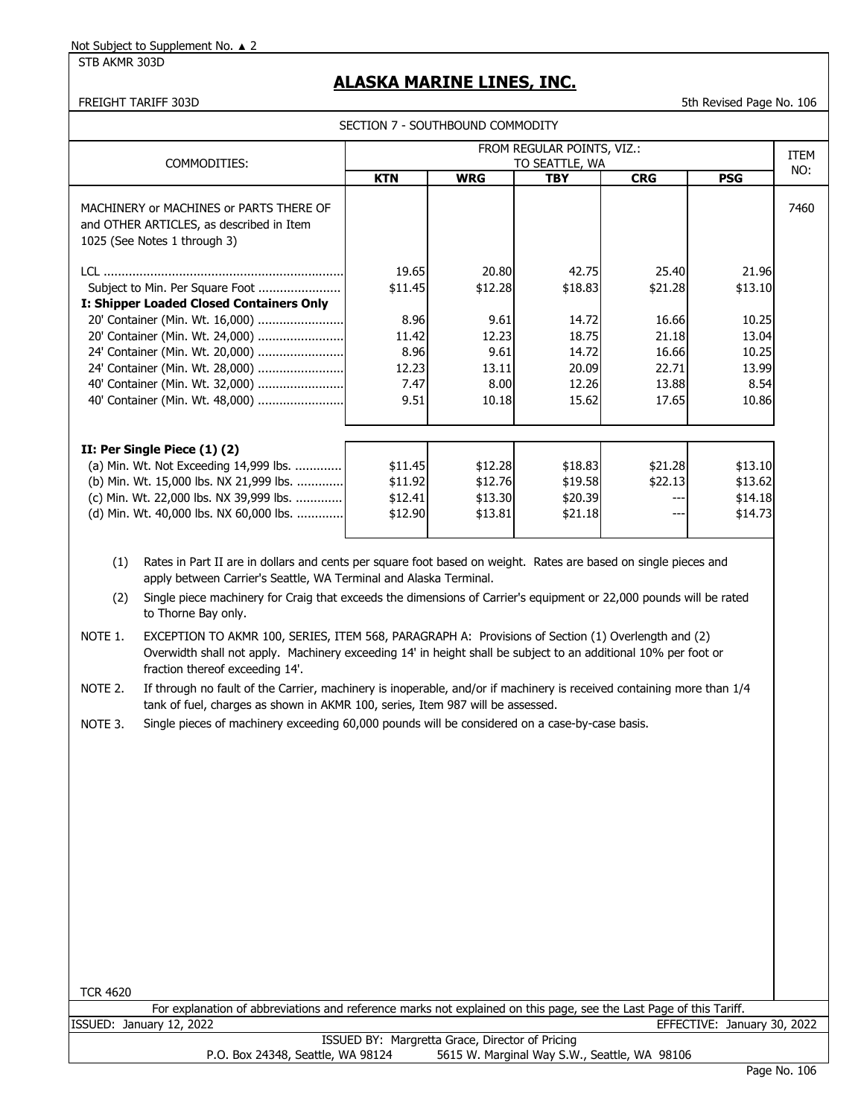STB AKMR 303D

# **ALASKA MARINE LINES, INC.**

FREIGHT TARIFF 303D 5th Revised Page No. 106

| SECTION 7 - SOUTHBOUND COMMODITY            |                                                                                                                                                                                                                                                                                                                                                                                                                                                                                                                                                                                                                                                                                                                                                                                                         |                                                                    |                                                                     |                                                                        |                                                                        |                                                                       |             |  |  |
|---------------------------------------------|---------------------------------------------------------------------------------------------------------------------------------------------------------------------------------------------------------------------------------------------------------------------------------------------------------------------------------------------------------------------------------------------------------------------------------------------------------------------------------------------------------------------------------------------------------------------------------------------------------------------------------------------------------------------------------------------------------------------------------------------------------------------------------------------------------|--------------------------------------------------------------------|---------------------------------------------------------------------|------------------------------------------------------------------------|------------------------------------------------------------------------|-----------------------------------------------------------------------|-------------|--|--|
|                                             |                                                                                                                                                                                                                                                                                                                                                                                                                                                                                                                                                                                                                                                                                                                                                                                                         |                                                                    |                                                                     | FROM REGULAR POINTS, VIZ.:                                             |                                                                        |                                                                       | <b>ITEM</b> |  |  |
|                                             | COMMODITIES:                                                                                                                                                                                                                                                                                                                                                                                                                                                                                                                                                                                                                                                                                                                                                                                            | <b>KTN</b>                                                         | <b>WRG</b>                                                          | TO SEATTLE, WA<br><b>TBY</b>                                           | <b>CRG</b>                                                             | <b>PSG</b>                                                            | NO:         |  |  |
|                                             | MACHINERY or MACHINES or PARTS THERE OF<br>and OTHER ARTICLES, as described in Item<br>1025 (See Notes 1 through 3)                                                                                                                                                                                                                                                                                                                                                                                                                                                                                                                                                                                                                                                                                     |                                                                    |                                                                     |                                                                        |                                                                        |                                                                       | 7460        |  |  |
|                                             | Subject to Min. Per Square Foot<br>I: Shipper Loaded Closed Containers Only<br>20' Container (Min. Wt. 16,000)<br>20' Container (Min. Wt. 24,000)<br>24' Container (Min. Wt. 20,000)<br>24' Container (Min. Wt. 28,000)<br>40' Container (Min. Wt. 32,000)<br>40' Container (Min. Wt. 48,000)                                                                                                                                                                                                                                                                                                                                                                                                                                                                                                           | 19.65<br>\$11.45<br>8.96<br>11.42<br>8.96<br>12.23<br>7.47<br>9.51 | 20.80<br>\$12.28<br>9.61<br>12.23<br>9.61<br>13.11<br>8.00<br>10.18 | 42.75<br>\$18.83<br>14.72<br>18.75<br>14.72<br>20.09<br>12.26<br>15.62 | 25.40<br>\$21.28<br>16.66<br>21.18<br>16.66<br>22.71<br>13.88<br>17.65 | 21.96<br>\$13.10<br>10.25<br>13.04<br>10.25<br>13.99<br>8.54<br>10.86 |             |  |  |
|                                             | II: Per Single Piece (1) (2)<br>(a) Min. Wt. Not Exceeding 14,999 lbs.<br>(b) Min. Wt. 15,000 lbs. NX 21,999 lbs.<br>(c) Min. Wt. 22,000 lbs. NX 39,999 lbs.<br>(d) Min. Wt. 40,000 lbs. NX 60,000 lbs.                                                                                                                                                                                                                                                                                                                                                                                                                                                                                                                                                                                                 | \$11.45<br>\$11.92<br>\$12.41<br>\$12.90                           | \$12.28<br>\$12.76<br>\$13.30<br>\$13.81                            | \$18.83<br>\$19.58<br>\$20.39<br>\$21.18                               | \$21.28<br>\$22.13<br>---<br>$---$                                     | \$13.10<br>\$13.62<br>\$14.18<br>\$14.73                              |             |  |  |
| (1)<br>(2)<br>NOTE 1.<br>NOTE 2.<br>NOTE 3. | Rates in Part II are in dollars and cents per square foot based on weight. Rates are based on single pieces and<br>apply between Carrier's Seattle, WA Terminal and Alaska Terminal.<br>Single piece machinery for Craig that exceeds the dimensions of Carrier's equipment or 22,000 pounds will be rated<br>to Thorne Bay only.<br>EXCEPTION TO AKMR 100, SERIES, ITEM 568, PARAGRAPH A: Provisions of Section (1) Overlength and (2)<br>Overwidth shall not apply. Machinery exceeding 14' in height shall be subject to an additional 10% per foot or<br>fraction thereof exceeding 14'.<br>If through no fault of the Carrier, machinery is inoperable, and/or if machinery is received containing more than 1/4<br>tank of fuel, charges as shown in AKMR 100, series, Item 987 will be assessed. |                                                                    |                                                                     |                                                                        |                                                                        |                                                                       |             |  |  |
| <b>TCR 4620</b>                             | Single pieces of machinery exceeding 60,000 pounds will be considered on a case-by-case basis.                                                                                                                                                                                                                                                                                                                                                                                                                                                                                                                                                                                                                                                                                                          |                                                                    |                                                                     |                                                                        |                                                                        |                                                                       |             |  |  |
|                                             | For explanation of abbreviations and reference marks not explained on this page, see the Last Page of this Tariff.                                                                                                                                                                                                                                                                                                                                                                                                                                                                                                                                                                                                                                                                                      |                                                                    |                                                                     |                                                                        |                                                                        |                                                                       |             |  |  |
|                                             | ISSUED: January 12, 2022                                                                                                                                                                                                                                                                                                                                                                                                                                                                                                                                                                                                                                                                                                                                                                                | ISSUED BY: Margretta Grace, Director of Pricing                    |                                                                     |                                                                        |                                                                        | EFFECTIVE: January 30, 2022                                           |             |  |  |
|                                             | P.O. Box 24348, Seattle, WA 98124                                                                                                                                                                                                                                                                                                                                                                                                                                                                                                                                                                                                                                                                                                                                                                       |                                                                    |                                                                     |                                                                        | 5615 W. Marginal Way S.W., Seattle, WA 98106                           |                                                                       |             |  |  |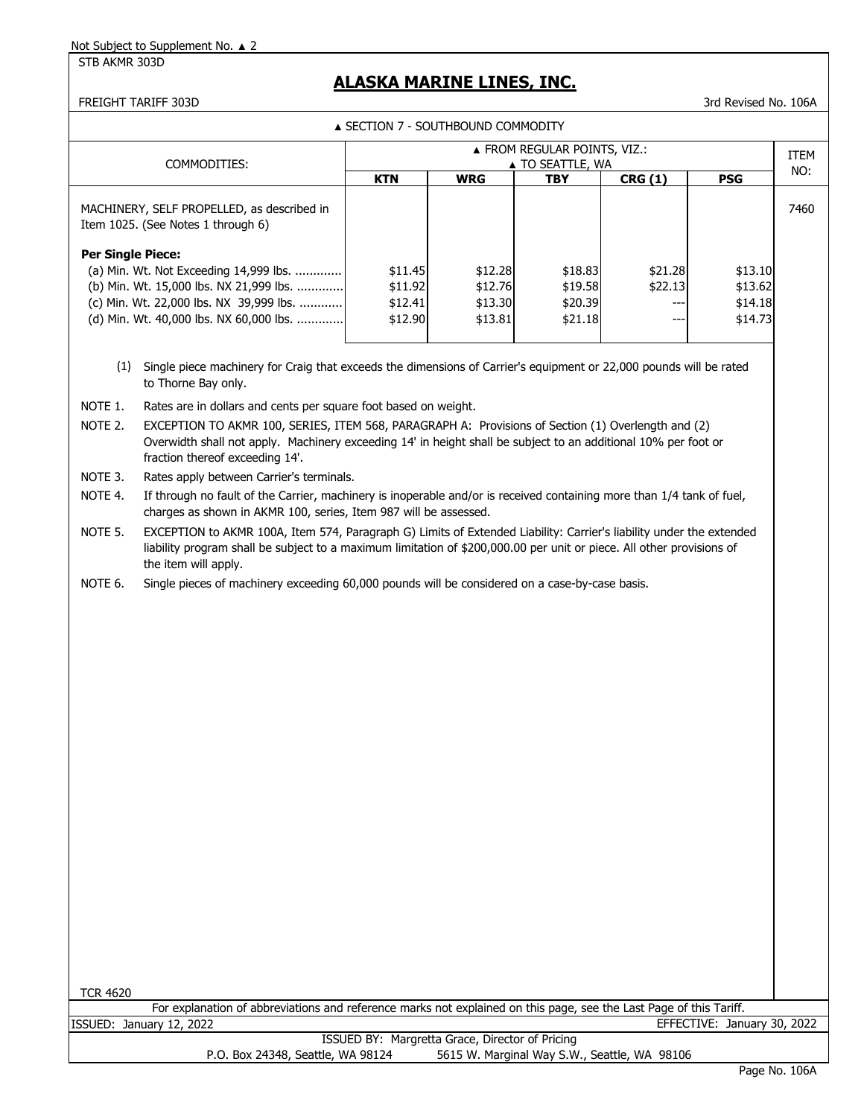STB AKMR 303D

# **ALASKA MARINE LINES, INC.**

FREIGHT TARIFF 303D 3rd Revised No. 106A

▲ SECTION 7 - SOUTHBOUND COMMODITY

|                          |                                                                                                                                                                                                                                                                                                                            | ▲ FROM REGULAR POINTS, VIZ.:                                                               |                                          |                                          |                           |                                          |      |  |  |
|--------------------------|----------------------------------------------------------------------------------------------------------------------------------------------------------------------------------------------------------------------------------------------------------------------------------------------------------------------------|--------------------------------------------------------------------------------------------|------------------------------------------|------------------------------------------|---------------------------|------------------------------------------|------|--|--|
| COMMODITIES:             |                                                                                                                                                                                                                                                                                                                            | ▲ TO SEATTLE, WA<br><b>KTN</b><br><b>WRG</b><br><b>CRG (1)</b><br><b>PSG</b><br><b>TBY</b> |                                          |                                          |                           |                                          | NO:  |  |  |
|                          | MACHINERY, SELF PROPELLED, as described in<br>Item 1025. (See Notes 1 through 6)                                                                                                                                                                                                                                           |                                                                                            |                                          |                                          |                           |                                          | 7460 |  |  |
| <b>Per Single Piece:</b> | (a) Min. Wt. Not Exceeding 14,999 lbs.<br>(b) Min. Wt. 15,000 lbs. NX 21,999 lbs.<br>(c) Min. Wt. 22,000 lbs. NX 39,999 lbs.<br>(d) Min. Wt. 40,000 lbs. NX 60,000 lbs.                                                                                                                                                    | \$11.45<br>\$11.92<br>\$12.41<br>\$12.90                                                   | \$12.28<br>\$12.76<br>\$13.30<br>\$13.81 | \$18.83<br>\$19.58<br>\$20.39<br>\$21.18 | \$21.28<br>\$22.13<br>--- | \$13.10<br>\$13.62<br>\$14.18<br>\$14.73 |      |  |  |
|                          | (1) Single piece machinery for Craig that exceeds the dimensions of Carrier's equipment or 22,000 pounds will be rated<br>to Thorne Bay only.                                                                                                                                                                              |                                                                                            |                                          |                                          |                           |                                          |      |  |  |
| NOTE 1.<br>NOTE 2.       | Rates are in dollars and cents per square foot based on weight.<br>EXCEPTION TO AKMR 100, SERIES, ITEM 568, PARAGRAPH A: Provisions of Section (1) Overlength and (2)<br>Overwidth shall not apply. Machinery exceeding 14' in height shall be subject to an additional 10% per foot or<br>fraction thereof exceeding 14'. |                                                                                            |                                          |                                          |                           |                                          |      |  |  |
| NOTE 3.<br>NOTE 4.       | Rates apply between Carrier's terminals.<br>If through no fault of the Carrier, machinery is inoperable and/or is received containing more than 1/4 tank of fuel,<br>charges as shown in AKMR 100, series, Item 987 will be assessed.                                                                                      |                                                                                            |                                          |                                          |                           |                                          |      |  |  |
| NOTE 5.                  | EXCEPTION to AKMR 100A, Item 574, Paragraph G) Limits of Extended Liability: Carrier's liability under the extended<br>liability program shall be subject to a maximum limitation of \$200,000.00 per unit or piece. All other provisions of<br>the item will apply.                                                       |                                                                                            |                                          |                                          |                           |                                          |      |  |  |
| NOTE 6.                  | Single pieces of machinery exceeding 60,000 pounds will be considered on a case-by-case basis.                                                                                                                                                                                                                             |                                                                                            |                                          |                                          |                           |                                          |      |  |  |
|                          |                                                                                                                                                                                                                                                                                                                            |                                                                                            |                                          |                                          |                           |                                          |      |  |  |
|                          |                                                                                                                                                                                                                                                                                                                            |                                                                                            |                                          |                                          |                           |                                          |      |  |  |
|                          |                                                                                                                                                                                                                                                                                                                            |                                                                                            |                                          |                                          |                           |                                          |      |  |  |
|                          |                                                                                                                                                                                                                                                                                                                            |                                                                                            |                                          |                                          |                           |                                          |      |  |  |
|                          |                                                                                                                                                                                                                                                                                                                            |                                                                                            |                                          |                                          |                           |                                          |      |  |  |
|                          |                                                                                                                                                                                                                                                                                                                            |                                                                                            |                                          |                                          |                           |                                          |      |  |  |
|                          |                                                                                                                                                                                                                                                                                                                            |                                                                                            |                                          |                                          |                           |                                          |      |  |  |
|                          |                                                                                                                                                                                                                                                                                                                            |                                                                                            |                                          |                                          |                           |                                          |      |  |  |
|                          |                                                                                                                                                                                                                                                                                                                            |                                                                                            |                                          |                                          |                           |                                          |      |  |  |

TCR 4620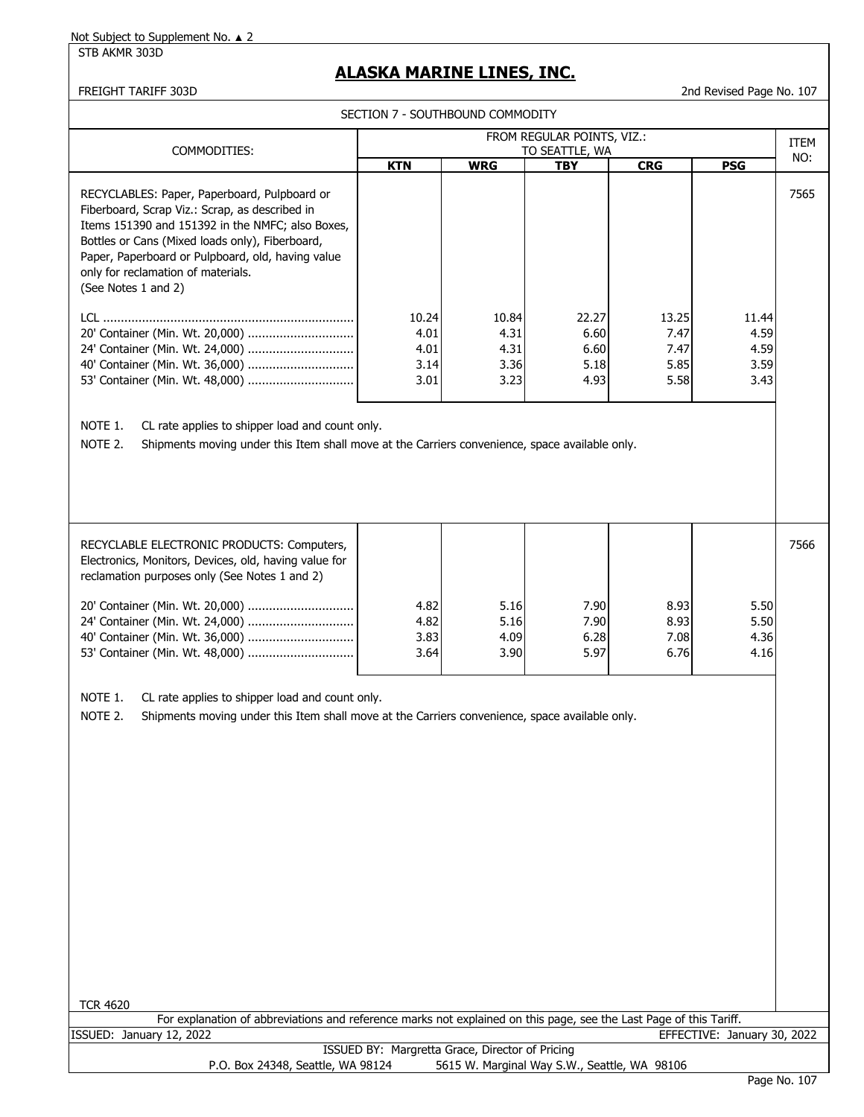STB AKMR 303D

# **ALASKA MARINE LINES, INC.**

FREIGHT TARIFF 303D 2nd Revised Page No. 107

SECTION 7 - SOUTHBOUND COMMODITY

| COMMODITIES:                                                                                                                                                                                                                                                                                                            | FROM REGULAR POINTS, VIZ.:<br>TO SEATTLE, WA |            |            |            |            |      |
|-------------------------------------------------------------------------------------------------------------------------------------------------------------------------------------------------------------------------------------------------------------------------------------------------------------------------|----------------------------------------------|------------|------------|------------|------------|------|
|                                                                                                                                                                                                                                                                                                                         | <b>KTN</b>                                   | <b>WRG</b> | <b>TBY</b> | <b>CRG</b> | <b>PSG</b> | NO:  |
| RECYCLABLES: Paper, Paperboard, Pulpboard or<br>Fiberboard, Scrap Viz.: Scrap, as described in<br>Items 151390 and 151392 in the NMFC; also Boxes,<br>Bottles or Cans (Mixed loads only), Fiberboard,<br>Paper, Paperboard or Pulpboard, old, having value<br>only for reclamation of materials.<br>(See Notes 1 and 2) |                                              |            |            |            |            | 7565 |
| LCL.                                                                                                                                                                                                                                                                                                                    | 10.24                                        | 10.84      | 22.27      | 13.25      | 11.44      |      |
| 20' Container (Min. Wt. 20,000)                                                                                                                                                                                                                                                                                         | 4.01                                         | 4.31       | 6.60       | 7.47       | 4.59       |      |
| 24' Container (Min. Wt. 24,000)                                                                                                                                                                                                                                                                                         | 4.01                                         | 4.31       | 6.60       | 7.47       | 4.59       |      |
|                                                                                                                                                                                                                                                                                                                         | 3.14                                         | 3.36       | 5.18       | 5.85       | 3.59       |      |
|                                                                                                                                                                                                                                                                                                                         | 3.01                                         | 3.23       | 4.93       | 5.58       | 3.43       |      |
| NOTE 1.<br>CL rate applies to shipper load and count only.<br>NOTE 2.<br>Shipments moving under this Item shall move at the Carriers convenience, space available only.                                                                                                                                                 |                                              |            |            |            |            |      |

| RECYCLABLE ELECTRONIC PRODUCTS: Computers,<br>Electronics, Monitors, Devices, old, having value for<br>reclamation purposes only (See Notes 1 and 2) |              |              |              |              |              | 7566 |
|------------------------------------------------------------------------------------------------------------------------------------------------------|--------------|--------------|--------------|--------------|--------------|------|
|                                                                                                                                                      | 4.82<br>4.82 | 5.16<br>5.16 | 7.90<br>7.90 | 8.93<br>8.93 | 5.50<br>5.50 |      |
|                                                                                                                                                      | 3.83         | 4.09         | 6.28         | 7.08         | 4.36         |      |
|                                                                                                                                                      | 3.64         | 3.90         | 5.97         | 6.76         | 4.16         |      |

NOTE 1. CL rate applies to shipper load and count only.

NOTE 2. Shipments moving under this Item shall move at the Carriers convenience, space available only.

| <b>TCR 4620</b>                                                                                                    |  |  |  |  |  |  |  |
|--------------------------------------------------------------------------------------------------------------------|--|--|--|--|--|--|--|
| For explanation of abbreviations and reference marks not explained on this page, see the Last Page of this Tariff. |  |  |  |  |  |  |  |
| ISSUED: January 12, 2022<br>EFFECTIVE: January 30, 2022                                                            |  |  |  |  |  |  |  |
| ISSUED BY: Margretta Grace, Director of Pricing                                                                    |  |  |  |  |  |  |  |
| 5615 W. Marginal Way S.W., Seattle, WA 98106<br>P.O. Box 24348, Seattle, WA 98124                                  |  |  |  |  |  |  |  |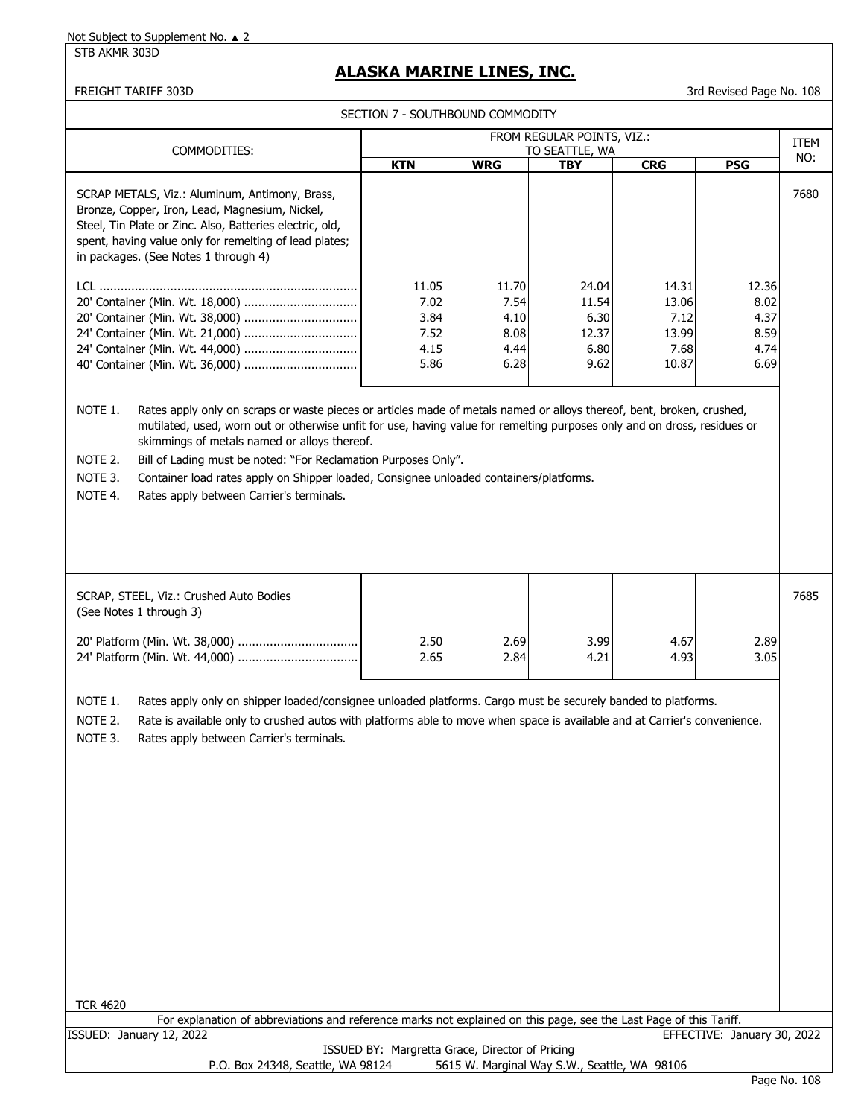STB AKMR 303D

# **ALASKA MARINE LINES, INC.**

FREIGHT TARIFF 303D 3rd Revised Page No. 108

SECTION 7 - SOUTHBOUND COMMODITY

|                                                                                                                                                                                                                                                                                                                                                                                                                                                                                                                                                       | FROM REGULAR POINTS, VIZ.:                      |                                               |                                                 |                                                  |                                               |      |
|-------------------------------------------------------------------------------------------------------------------------------------------------------------------------------------------------------------------------------------------------------------------------------------------------------------------------------------------------------------------------------------------------------------------------------------------------------------------------------------------------------------------------------------------------------|-------------------------------------------------|-----------------------------------------------|-------------------------------------------------|--------------------------------------------------|-----------------------------------------------|------|
| COMMODITIES:                                                                                                                                                                                                                                                                                                                                                                                                                                                                                                                                          | <b>KTN</b>                                      | <b>WRG</b>                                    | TO SEATTLE, WA<br><b>TBY</b>                    | <b>CRG</b>                                       | <b>PSG</b>                                    | NO:  |
| SCRAP METALS, Viz.: Aluminum, Antimony, Brass,<br>Bronze, Copper, Iron, Lead, Magnesium, Nickel,<br>Steel, Tin Plate or Zinc. Also, Batteries electric, old,<br>spent, having value only for remelting of lead plates;<br>in packages. (See Notes 1 through 4)                                                                                                                                                                                                                                                                                        |                                                 |                                               |                                                 |                                                  |                                               | 7680 |
| 40' Container (Min. Wt. 36,000)                                                                                                                                                                                                                                                                                                                                                                                                                                                                                                                       | 11.05<br>7.02<br>3.84<br>7.52<br>4.15<br>5.86   | 11.70<br>7.54<br>4.10<br>8.08<br>4.44<br>6.28 | 24.04<br>11.54<br>6.30<br>12.37<br>6.80<br>9.62 | 14.31<br>13.06<br>7.12<br>13.99<br>7.68<br>10.87 | 12.36<br>8.02<br>4.37<br>8.59<br>4.74<br>6.69 |      |
| NOTE 1.<br>Rates apply only on scraps or waste pieces or articles made of metals named or alloys thereof, bent, broken, crushed,<br>mutilated, used, worn out or otherwise unfit for use, having value for remelting purposes only and on dross, residues or<br>skimmings of metals named or alloys thereof.<br>Bill of Lading must be noted: "For Reclamation Purposes Only".<br>NOTE 2.<br>NOTE 3.<br>Container load rates apply on Shipper loaded, Consignee unloaded containers/platforms.<br>NOTE 4.<br>Rates apply between Carrier's terminals. |                                                 |                                               |                                                 |                                                  |                                               |      |
| SCRAP, STEEL, Viz.: Crushed Auto Bodies<br>(See Notes 1 through 3)                                                                                                                                                                                                                                                                                                                                                                                                                                                                                    |                                                 |                                               |                                                 |                                                  |                                               | 7685 |
|                                                                                                                                                                                                                                                                                                                                                                                                                                                                                                                                                       | 2.50<br>2.65                                    | 2.69<br>2.84                                  | 3.99<br>4.21                                    | 4.67<br>4.93                                     | 2.89<br>3.05                                  |      |
| NOTE 1.<br>Rates apply only on shipper loaded/consignee unloaded platforms. Cargo must be securely banded to platforms.<br>NOTE 2.<br>Rate is available only to crushed autos with platforms able to move when space is available and at Carrier's convenience.<br>NOTE 3.<br>Rates apply between Carrier's terminals.<br><b>TCR 4620</b><br>For explanation of abbreviations and reference marks not explained on this page, see the Last Page of this Tariff.                                                                                       |                                                 |                                               |                                                 |                                                  |                                               |      |
| ISSUED: January 12, 2022                                                                                                                                                                                                                                                                                                                                                                                                                                                                                                                              |                                                 |                                               |                                                 |                                                  | EFFECTIVE: January 30, 2022                   |      |
| P.O. Box 24348, Seattle, WA 98124                                                                                                                                                                                                                                                                                                                                                                                                                                                                                                                     | ISSUED BY: Margretta Grace, Director of Pricing |                                               | 5615 W. Marginal Way S.W., Seattle, WA 98106    |                                                  |                                               |      |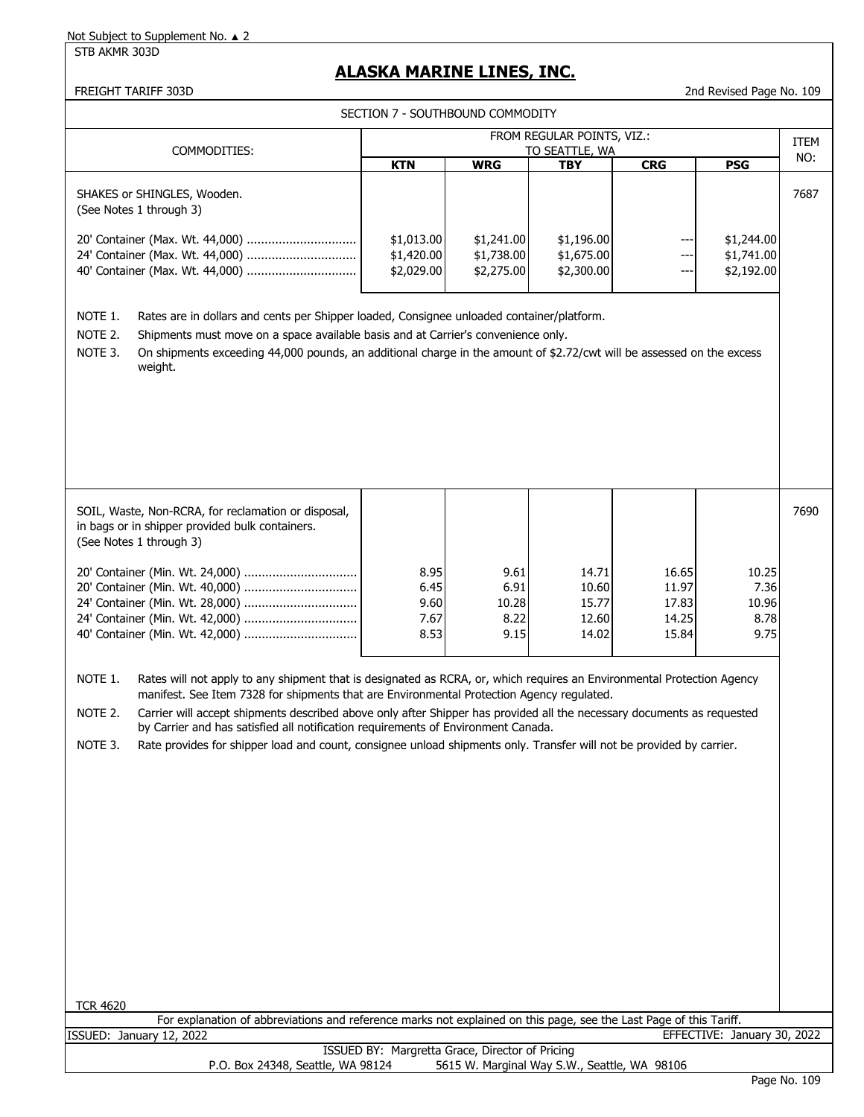STB AKMR 303D

# **ALASKA MARINE LINES, INC.**

|  | SECTION 7 - SOUTHBOUND COMMODITY |  |
|--|----------------------------------|--|
|--|----------------------------------|--|

| COMMODITIES:                                                                                                                                                                                                                                                                                                                                                                                                                                                                                                                                                                                |                                                 |                                        | FROM REGULAR POINTS, VIZ.:<br>TO SEATTLE, WA |                                           |                                        | ITEM |  |
|---------------------------------------------------------------------------------------------------------------------------------------------------------------------------------------------------------------------------------------------------------------------------------------------------------------------------------------------------------------------------------------------------------------------------------------------------------------------------------------------------------------------------------------------------------------------------------------------|-------------------------------------------------|----------------------------------------|----------------------------------------------|-------------------------------------------|----------------------------------------|------|--|
|                                                                                                                                                                                                                                                                                                                                                                                                                                                                                                                                                                                             | <b>KTN</b>                                      | <b>WRG</b>                             | <b>TBY</b>                                   | <b>CRG</b>                                | <b>PSG</b>                             | NO:  |  |
| SHAKES or SHINGLES, Wooden.<br>(See Notes 1 through 3)                                                                                                                                                                                                                                                                                                                                                                                                                                                                                                                                      |                                                 |                                        |                                              |                                           |                                        | 7687 |  |
| 24' Container (Max. Wt. 44,000)                                                                                                                                                                                                                                                                                                                                                                                                                                                                                                                                                             | \$1,013.00<br>\$1,420.00<br>\$2,029.00          | \$1,241.00<br>\$1,738.00<br>\$2,275.00 | \$1,196.00<br>\$1,675.00<br>\$2,300.00       | $--$<br>---<br>$--$                       | \$1,244.00<br>\$1,741.00<br>\$2,192.00 |      |  |
| NOTE 1.<br>Rates are in dollars and cents per Shipper loaded, Consignee unloaded container/platform.<br>NOTE 2.<br>Shipments must move on a space available basis and at Carrier's convenience only.<br>NOTE 3.<br>On shipments exceeding 44,000 pounds, an additional charge in the amount of \$2.72/cwt will be assessed on the excess<br>weight.                                                                                                                                                                                                                                         |                                                 |                                        |                                              |                                           |                                        |      |  |
| SOIL, Waste, Non-RCRA, for reclamation or disposal,<br>in bags or in shipper provided bulk containers.<br>(See Notes 1 through 3)                                                                                                                                                                                                                                                                                                                                                                                                                                                           |                                                 |                                        |                                              |                                           |                                        | 7690 |  |
| 24' Container (Min. Wt. 42,000)                                                                                                                                                                                                                                                                                                                                                                                                                                                                                                                                                             | 8.95<br>6.45<br>9.60<br>7.67<br>8.53            | 9.61<br>6.91<br>10.28<br>8.22<br>9.15  | 14.71<br>10.60<br>15.77<br>12.60<br>14.02    | 16.65<br>11.97<br>17.83<br>14.25<br>15.84 | 10.25<br>7.36<br>10.96<br>8.78<br>9.75 |      |  |
| NOTE 1.<br>Rates will not apply to any shipment that is designated as RCRA, or, which requires an Environmental Protection Agency<br>manifest. See Item 7328 for shipments that are Environmental Protection Agency regulated.<br>NOTE 2.<br>Carrier will accept shipments described above only after Shipper has provided all the necessary documents as requested<br>by Carrier and has satisfied all notification requirements of Environment Canada.<br>Rate provides for shipper load and count, consignee unload shipments only. Transfer will not be provided by carrier.<br>NOTE 3. |                                                 |                                        |                                              |                                           |                                        |      |  |
|                                                                                                                                                                                                                                                                                                                                                                                                                                                                                                                                                                                             |                                                 |                                        |                                              |                                           |                                        |      |  |
|                                                                                                                                                                                                                                                                                                                                                                                                                                                                                                                                                                                             |                                                 |                                        |                                              |                                           |                                        |      |  |
|                                                                                                                                                                                                                                                                                                                                                                                                                                                                                                                                                                                             |                                                 |                                        |                                              |                                           |                                        |      |  |
| <b>TCR 4620</b><br>For explanation of abbreviations and reference marks not explained on this page, see the Last Page of this Tariff.                                                                                                                                                                                                                                                                                                                                                                                                                                                       |                                                 |                                        |                                              |                                           |                                        |      |  |
| ISSUED: January 12, 2022                                                                                                                                                                                                                                                                                                                                                                                                                                                                                                                                                                    |                                                 |                                        |                                              |                                           | EFFECTIVE: January 30, 2022            |      |  |
| P.O. Box 24348, Seattle, WA 98124                                                                                                                                                                                                                                                                                                                                                                                                                                                                                                                                                           | ISSUED BY: Margretta Grace, Director of Pricing |                                        | 5615 W. Marginal Way S.W., Seattle, WA 98106 |                                           |                                        |      |  |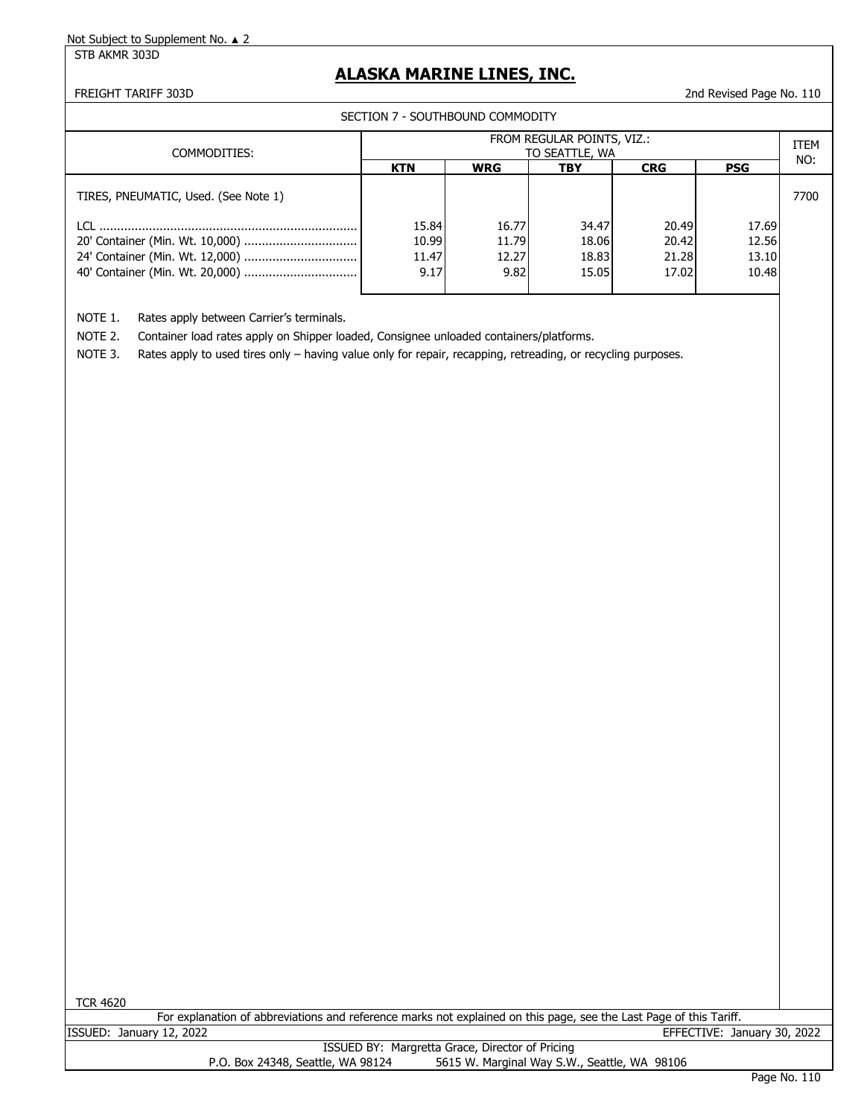STB AKMR 303D

## **ALASKA MARINE LINES, INC.**

FREIGHT TARIFF 303D 2nd Revised Page No. 110

SECTION 7 - SOUTHBOUND COMMODITY

| COMMODITIES:                         | FROM REGULAR POINTS, VIZ.:<br>TO SEATTLE, WA |            |       |            |            |      |
|--------------------------------------|----------------------------------------------|------------|-------|------------|------------|------|
|                                      | <b>KTN</b>                                   | <b>WRG</b> | TBY   | <b>CRG</b> | <b>PSG</b> | NO:  |
| TIRES, PNEUMATIC, Used. (See Note 1) |                                              |            |       |            |            | 7700 |
| $\blacksquare$                       | 15.84                                        | 16.77      | 34.47 | 20.49      | 17.69      |      |
|                                      | 10.99                                        | 11.79      | 18.06 | 20.42      | 12.56      |      |
|                                      | 11.47                                        | 12.27      | 18.83 | 21.28      | 13.10      |      |
|                                      | 9.17                                         | 9.82       | 15.05 | 17.02      | 10.48      |      |
|                                      |                                              |            |       |            |            |      |

NOTE 1. Rates apply between Carrier's terminals.

NOTE 2. Container load rates apply on Shipper loaded, Consignee unloaded containers/platforms.

NOTE 3. Rates apply to used tires only – having value only for repair, recapping, retreading, or recycling purposes.

| <b>TCR 4620</b>                                                                                                    |  |  |  |  |  |  |  |
|--------------------------------------------------------------------------------------------------------------------|--|--|--|--|--|--|--|
| For explanation of abbreviations and reference marks not explained on this page, see the Last Page of this Tariff. |  |  |  |  |  |  |  |
| EFFECTIVE: January 30, 2022<br>ISSUED: January 12, 2022                                                            |  |  |  |  |  |  |  |
| ISSUED BY: Margretta Grace, Director of Pricing                                                                    |  |  |  |  |  |  |  |
| 5615 W. Marginal Way S.W., Seattle, WA 98106<br>P.O. Box 24348, Seattle, WA 98124                                  |  |  |  |  |  |  |  |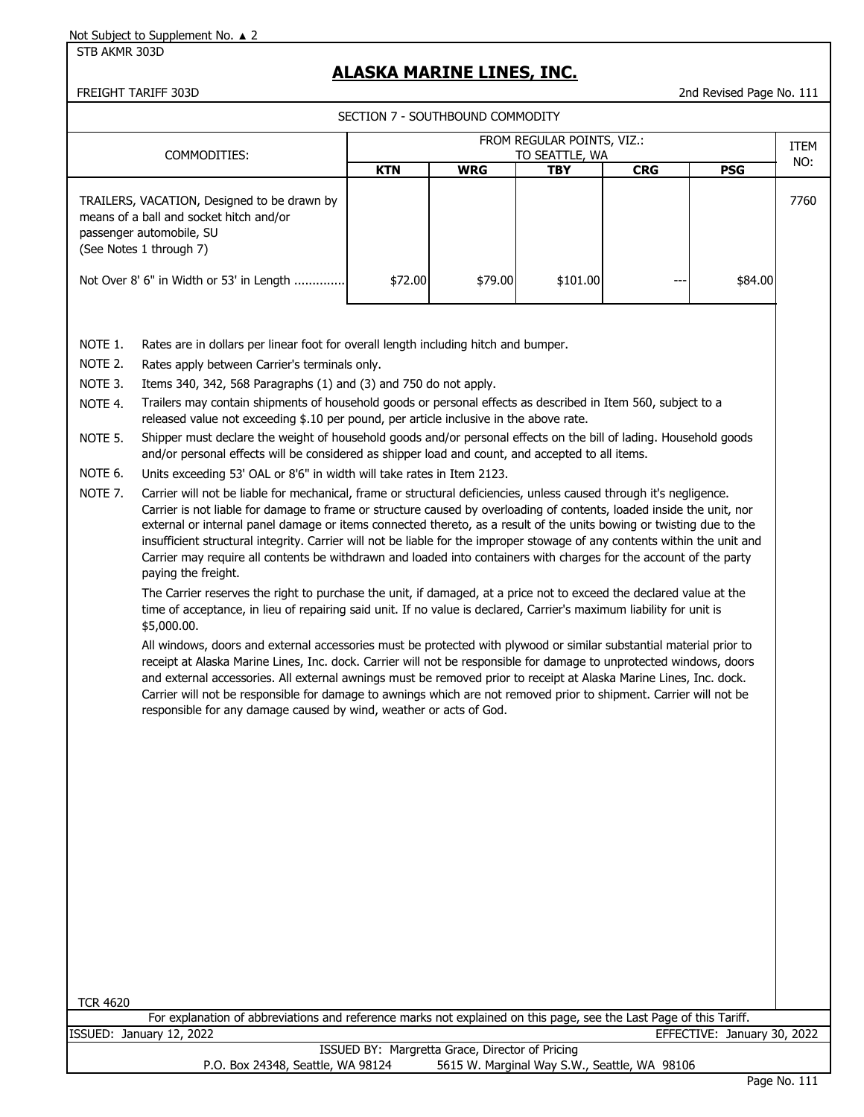STB AKMR 303D

# **ALASKA MARINE LINES, INC.**

FREIGHT TARIFF 303D 2nd Revised Page No. 111

|                                                                           |                                                                                                                                                                                                                                                                                                                                                                                                                                                                                                                                                                                                                                                                                                                                                                                                                                                                                                                                                                                                                                                                                                                                                                                                                                                                                                                                                                                                                                                                                                                                                                                                                                                                                                                                                                                                                                                                                                                                                                                                                                                                                                                                                                                                        | SECTION 7 - SOUTHBOUND COMMODITY |            |            |            |             |      |
|---------------------------------------------------------------------------|--------------------------------------------------------------------------------------------------------------------------------------------------------------------------------------------------------------------------------------------------------------------------------------------------------------------------------------------------------------------------------------------------------------------------------------------------------------------------------------------------------------------------------------------------------------------------------------------------------------------------------------------------------------------------------------------------------------------------------------------------------------------------------------------------------------------------------------------------------------------------------------------------------------------------------------------------------------------------------------------------------------------------------------------------------------------------------------------------------------------------------------------------------------------------------------------------------------------------------------------------------------------------------------------------------------------------------------------------------------------------------------------------------------------------------------------------------------------------------------------------------------------------------------------------------------------------------------------------------------------------------------------------------------------------------------------------------------------------------------------------------------------------------------------------------------------------------------------------------------------------------------------------------------------------------------------------------------------------------------------------------------------------------------------------------------------------------------------------------------------------------------------------------------------------------------------------------|----------------------------------|------------|------------|------------|-------------|------|
| FROM REGULAR POINTS, VIZ.:                                                |                                                                                                                                                                                                                                                                                                                                                                                                                                                                                                                                                                                                                                                                                                                                                                                                                                                                                                                                                                                                                                                                                                                                                                                                                                                                                                                                                                                                                                                                                                                                                                                                                                                                                                                                                                                                                                                                                                                                                                                                                                                                                                                                                                                                        |                                  |            |            |            |             |      |
|                                                                           | COMMODITIES:                                                                                                                                                                                                                                                                                                                                                                                                                                                                                                                                                                                                                                                                                                                                                                                                                                                                                                                                                                                                                                                                                                                                                                                                                                                                                                                                                                                                                                                                                                                                                                                                                                                                                                                                                                                                                                                                                                                                                                                                                                                                                                                                                                                           | <b>TO SEATTLE, WA</b>            |            |            |            | ITEM<br>NO: |      |
|                                                                           |                                                                                                                                                                                                                                                                                                                                                                                                                                                                                                                                                                                                                                                                                                                                                                                                                                                                                                                                                                                                                                                                                                                                                                                                                                                                                                                                                                                                                                                                                                                                                                                                                                                                                                                                                                                                                                                                                                                                                                                                                                                                                                                                                                                                        | <b>KTN</b>                       | <b>WRG</b> | <b>TBY</b> | <b>CRG</b> | <b>PSG</b>  |      |
|                                                                           | TRAILERS, VACATION, Designed to be drawn by<br>means of a ball and socket hitch and/or<br>passenger automobile, SU<br>(See Notes 1 through 7)                                                                                                                                                                                                                                                                                                                                                                                                                                                                                                                                                                                                                                                                                                                                                                                                                                                                                                                                                                                                                                                                                                                                                                                                                                                                                                                                                                                                                                                                                                                                                                                                                                                                                                                                                                                                                                                                                                                                                                                                                                                          |                                  |            |            |            |             | 7760 |
|                                                                           | Not Over 8' 6" in Width or 53' in Length                                                                                                                                                                                                                                                                                                                                                                                                                                                                                                                                                                                                                                                                                                                                                                                                                                                                                                                                                                                                                                                                                                                                                                                                                                                                                                                                                                                                                                                                                                                                                                                                                                                                                                                                                                                                                                                                                                                                                                                                                                                                                                                                                               | \$72.00                          | \$79.00    | \$101.00   |            | \$84.00     |      |
| NOTE 1.<br>NOTE 2.<br>NOTE 3.<br>NOTE 4.<br>NOTE 5.<br>NOTE 6.<br>NOTE 7. | Rates are in dollars per linear foot for overall length including hitch and bumper.<br>Rates apply between Carrier's terminals only.<br>Items 340, 342, 568 Paragraphs (1) and (3) and 750 do not apply.<br>Trailers may contain shipments of household goods or personal effects as described in Item 560, subject to a<br>released value not exceeding \$.10 per pound, per article inclusive in the above rate.<br>Shipper must declare the weight of household goods and/or personal effects on the bill of lading. Household goods<br>and/or personal effects will be considered as shipper load and count, and accepted to all items.<br>Units exceeding 53' OAL or 8'6" in width will take rates in Item 2123.<br>Carrier will not be liable for mechanical, frame or structural deficiencies, unless caused through it's negligence.<br>Carrier is not liable for damage to frame or structure caused by overloading of contents, loaded inside the unit, nor<br>external or internal panel damage or items connected thereto, as a result of the units bowing or twisting due to the<br>insufficient structural integrity. Carrier will not be liable for the improper stowage of any contents within the unit and<br>Carrier may require all contents be withdrawn and loaded into containers with charges for the account of the party<br>paying the freight.<br>The Carrier reserves the right to purchase the unit, if damaged, at a price not to exceed the declared value at the<br>time of acceptance, in lieu of repairing said unit. If no value is declared, Carrier's maximum liability for unit is<br>\$5,000.00.<br>All windows, doors and external accessories must be protected with plywood or similar substantial material prior to<br>receipt at Alaska Marine Lines, Inc. dock. Carrier will not be responsible for damage to unprotected windows, doors<br>and external accessories. All external awnings must be removed prior to receipt at Alaska Marine Lines, Inc. dock.<br>Carrier will not be responsible for damage to awnings which are not removed prior to shipment. Carrier will not be<br>responsible for any damage caused by wind, weather or acts of God. |                                  |            |            |            |             |      |

TCR 4620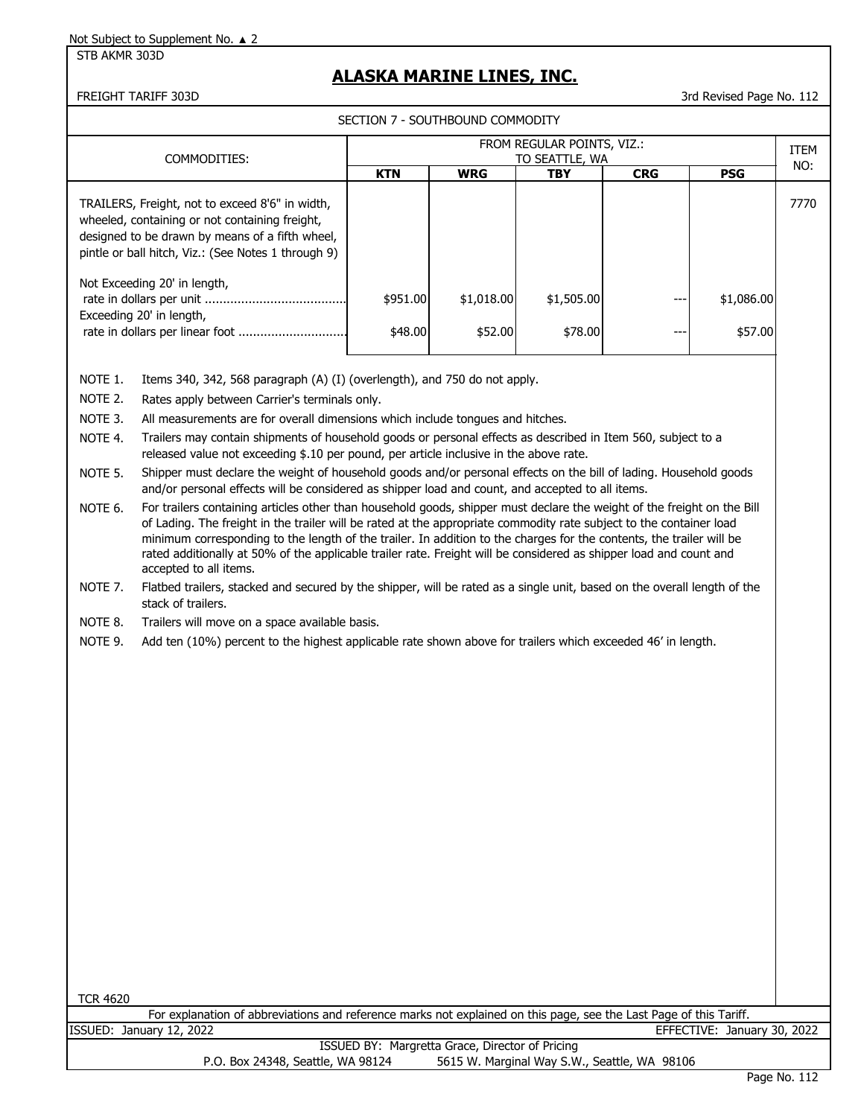STB AKMR 303D

# **ALASKA MARINE LINES, INC.**

FREIGHT TARIFF 303D 3rd Revised Page No. 112

| FROM REGULAR POINTS, VIZ.:<br>COMMODITIES:<br>TO SEATTLE, WA<br><b>WRG</b><br><b>KTN</b><br><b>CRG</b><br><b>PSG</b><br><b>TBY</b><br>7770<br>TRAILERS, Freight, not to exceed 8'6" in width,<br>wheeled, containing or not containing freight,<br>designed to be drawn by means of a fifth wheel,<br>pintle or ball hitch, Viz.: (See Notes 1 through 9)<br>Not Exceeding 20' in length,<br>\$1,018.00<br>\$1,505.00<br>\$1,086.00<br>\$951.00<br>Exceeding 20' in length,<br>rate in dollars per linear foot<br>\$78.00<br>\$57.00<br>\$48.00<br>\$52.00<br>NOTE 1.<br>Items 340, 342, 568 paragraph (A) (I) (overlength), and 750 do not apply.<br>NOTE 2.<br>Rates apply between Carrier's terminals only.<br>NOTE 3.<br>All measurements are for overall dimensions which include tongues and hitches.<br>Trailers may contain shipments of household goods or personal effects as described in Item 560, subject to a<br>NOTE 4.                                                                                                                                                                                                                                                                              | SECTION 7 - SOUTHBOUND COMMODITY |  |  |  |  |  |  |      |  |  |
|---------------------------------------------------------------------------------------------------------------------------------------------------------------------------------------------------------------------------------------------------------------------------------------------------------------------------------------------------------------------------------------------------------------------------------------------------------------------------------------------------------------------------------------------------------------------------------------------------------------------------------------------------------------------------------------------------------------------------------------------------------------------------------------------------------------------------------------------------------------------------------------------------------------------------------------------------------------------------------------------------------------------------------------------------------------------------------------------------------------------------------------------------------------------------------------------------------------------|----------------------------------|--|--|--|--|--|--|------|--|--|
|                                                                                                                                                                                                                                                                                                                                                                                                                                                                                                                                                                                                                                                                                                                                                                                                                                                                                                                                                                                                                                                                                                                                                                                                                     |                                  |  |  |  |  |  |  | ITEM |  |  |
|                                                                                                                                                                                                                                                                                                                                                                                                                                                                                                                                                                                                                                                                                                                                                                                                                                                                                                                                                                                                                                                                                                                                                                                                                     |                                  |  |  |  |  |  |  | NO:  |  |  |
|                                                                                                                                                                                                                                                                                                                                                                                                                                                                                                                                                                                                                                                                                                                                                                                                                                                                                                                                                                                                                                                                                                                                                                                                                     |                                  |  |  |  |  |  |  |      |  |  |
|                                                                                                                                                                                                                                                                                                                                                                                                                                                                                                                                                                                                                                                                                                                                                                                                                                                                                                                                                                                                                                                                                                                                                                                                                     |                                  |  |  |  |  |  |  |      |  |  |
|                                                                                                                                                                                                                                                                                                                                                                                                                                                                                                                                                                                                                                                                                                                                                                                                                                                                                                                                                                                                                                                                                                                                                                                                                     |                                  |  |  |  |  |  |  |      |  |  |
| released value not exceeding \$.10 per pound, per article inclusive in the above rate.<br>Shipper must declare the weight of household goods and/or personal effects on the bill of lading. Household goods<br>NOTE 5.<br>and/or personal effects will be considered as shipper load and count, and accepted to all items.<br>For trailers containing articles other than household goods, shipper must declare the weight of the freight on the Bill<br>NOTE 6.<br>of Lading. The freight in the trailer will be rated at the appropriate commodity rate subject to the container load<br>minimum corresponding to the length of the trailer. In addition to the charges for the contents, the trailer will be<br>rated additionally at 50% of the applicable trailer rate. Freight will be considered as shipper load and count and<br>accepted to all items.<br>NOTE 7.<br>Flatbed trailers, stacked and secured by the shipper, will be rated as a single unit, based on the overall length of the<br>stack of trailers.<br>NOTE 8.<br>Trailers will move on a space available basis.<br>NOTE 9.<br>Add ten (10%) percent to the highest applicable rate shown above for trailers which exceeded 46' in length. |                                  |  |  |  |  |  |  |      |  |  |

TCR 4620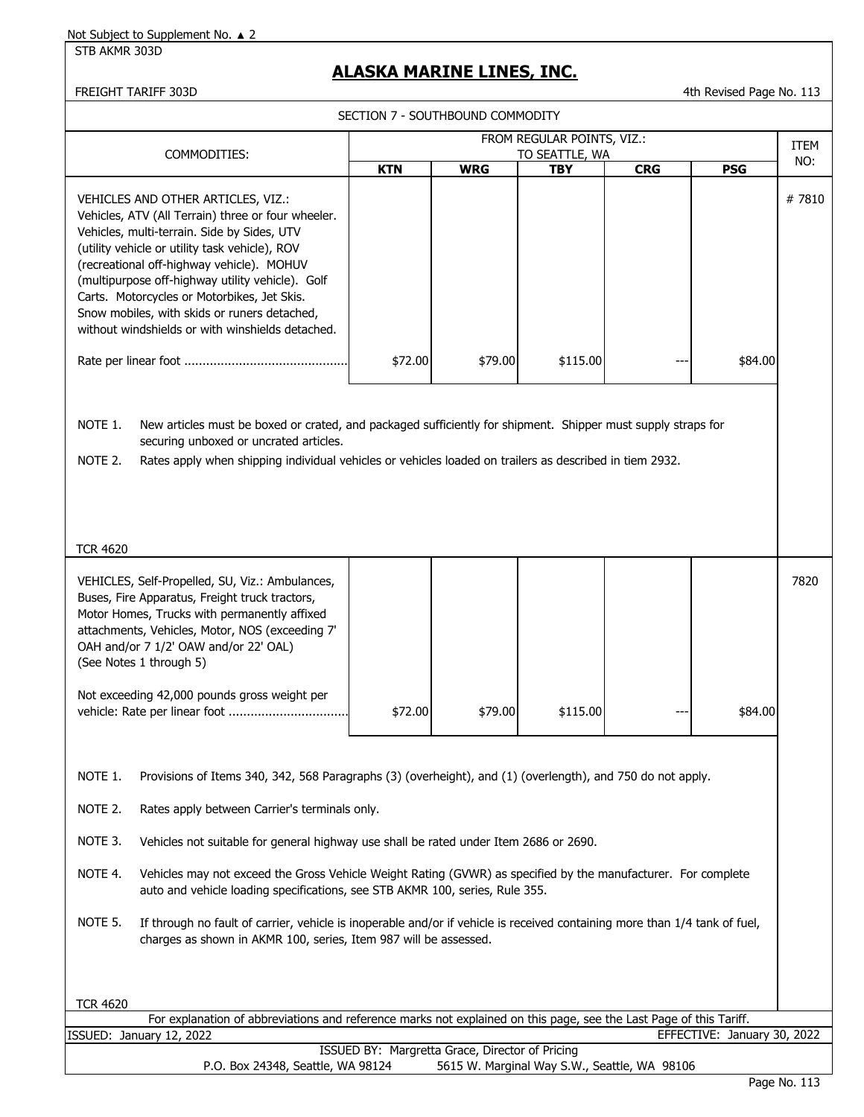STB AKMR 303D

# **ALASKA MARINE LINES, INC.**

| SECTION 7 - SOUTHBOUND COMMODITY                                                                                                                                                                                                                                                                                                                                                                                                              |                                                                                                                                                                                                                                                                                                                                                                                                                                                                                                                                                                                                                                                                                                              |                                                 |                                              |            |                             |             |  |  |
|-----------------------------------------------------------------------------------------------------------------------------------------------------------------------------------------------------------------------------------------------------------------------------------------------------------------------------------------------------------------------------------------------------------------------------------------------|--------------------------------------------------------------------------------------------------------------------------------------------------------------------------------------------------------------------------------------------------------------------------------------------------------------------------------------------------------------------------------------------------------------------------------------------------------------------------------------------------------------------------------------------------------------------------------------------------------------------------------------------------------------------------------------------------------------|-------------------------------------------------|----------------------------------------------|------------|-----------------------------|-------------|--|--|
|                                                                                                                                                                                                                                                                                                                                                                                                                                               |                                                                                                                                                                                                                                                                                                                                                                                                                                                                                                                                                                                                                                                                                                              |                                                 | FROM REGULAR POINTS, VIZ.:                   |            |                             | <b>ITEM</b> |  |  |
| COMMODITIES:                                                                                                                                                                                                                                                                                                                                                                                                                                  | <b>KTN</b>                                                                                                                                                                                                                                                                                                                                                                                                                                                                                                                                                                                                                                                                                                   | <b>WRG</b>                                      | TO SEATTLE, WA<br><b>TBY</b>                 | <b>CRG</b> | <b>PSG</b>                  | NO:         |  |  |
| VEHICLES AND OTHER ARTICLES, VIZ.:<br>Vehicles, ATV (All Terrain) three or four wheeler.<br>Vehicles, multi-terrain. Side by Sides, UTV<br>(utility vehicle or utility task vehicle), ROV<br>(recreational off-highway vehicle). MOHUV<br>(multipurpose off-highway utility vehicle). Golf<br>Carts. Motorcycles or Motorbikes, Jet Skis.<br>Snow mobiles, with skids or runers detached,<br>without windshields or with winshields detached. | \$72.00                                                                                                                                                                                                                                                                                                                                                                                                                                                                                                                                                                                                                                                                                                      | \$79.00                                         | \$115.00                                     |            | \$84.00                     | #7810       |  |  |
| NOTE 1.<br>New articles must be boxed or crated, and packaged sufficiently for shipment. Shipper must supply straps for<br>securing unboxed or uncrated articles.<br>NOTE 2.<br>Rates apply when shipping individual vehicles or vehicles loaded on trailers as described in tiem 2932.<br><b>TCR 4620</b>                                                                                                                                    |                                                                                                                                                                                                                                                                                                                                                                                                                                                                                                                                                                                                                                                                                                              |                                                 |                                              |            |                             |             |  |  |
| VEHICLES, Self-Propelled, SU, Viz.: Ambulances,<br>Buses, Fire Apparatus, Freight truck tractors,<br>Motor Homes, Trucks with permanently affixed<br>attachments, Vehicles, Motor, NOS (exceeding 7'<br>OAH and/or 7 1/2' OAW and/or 22' OAL)<br>(See Notes 1 through 5)<br>Not exceeding 42,000 pounds gross weight per<br>NOTE 1.<br>NOTE 2.<br>NOTE 3.<br>NOTE 4.<br>NOTE 5.                                                               | 7820<br>\$115.00<br>\$72.00<br>\$79.00<br>\$84.00<br>Provisions of Items 340, 342, 568 Paragraphs (3) (overheight), and (1) (overlength), and 750 do not apply.<br>Rates apply between Carrier's terminals only.<br>Vehicles not suitable for general highway use shall be rated under Item 2686 or 2690.<br>Vehicles may not exceed the Gross Vehicle Weight Rating (GVWR) as specified by the manufacturer. For complete<br>auto and vehicle loading specifications, see STB AKMR 100, series, Rule 355.<br>If through no fault of carrier, vehicle is inoperable and/or if vehicle is received containing more than 1/4 tank of fuel,<br>charges as shown in AKMR 100, series, Item 987 will be assessed. |                                                 |                                              |            |                             |             |  |  |
| <b>TCR 4620</b><br>For explanation of abbreviations and reference marks not explained on this page, see the Last Page of this Tariff.                                                                                                                                                                                                                                                                                                         |                                                                                                                                                                                                                                                                                                                                                                                                                                                                                                                                                                                                                                                                                                              |                                                 |                                              |            |                             |             |  |  |
| ISSUED: January 12, 2022                                                                                                                                                                                                                                                                                                                                                                                                                      |                                                                                                                                                                                                                                                                                                                                                                                                                                                                                                                                                                                                                                                                                                              |                                                 |                                              |            | EFFECTIVE: January 30, 2022 |             |  |  |
| P.O. Box 24348, Seattle, WA 98124                                                                                                                                                                                                                                                                                                                                                                                                             |                                                                                                                                                                                                                                                                                                                                                                                                                                                                                                                                                                                                                                                                                                              | ISSUED BY: Margretta Grace, Director of Pricing | 5615 W. Marginal Way S.W., Seattle, WA 98106 |            |                             |             |  |  |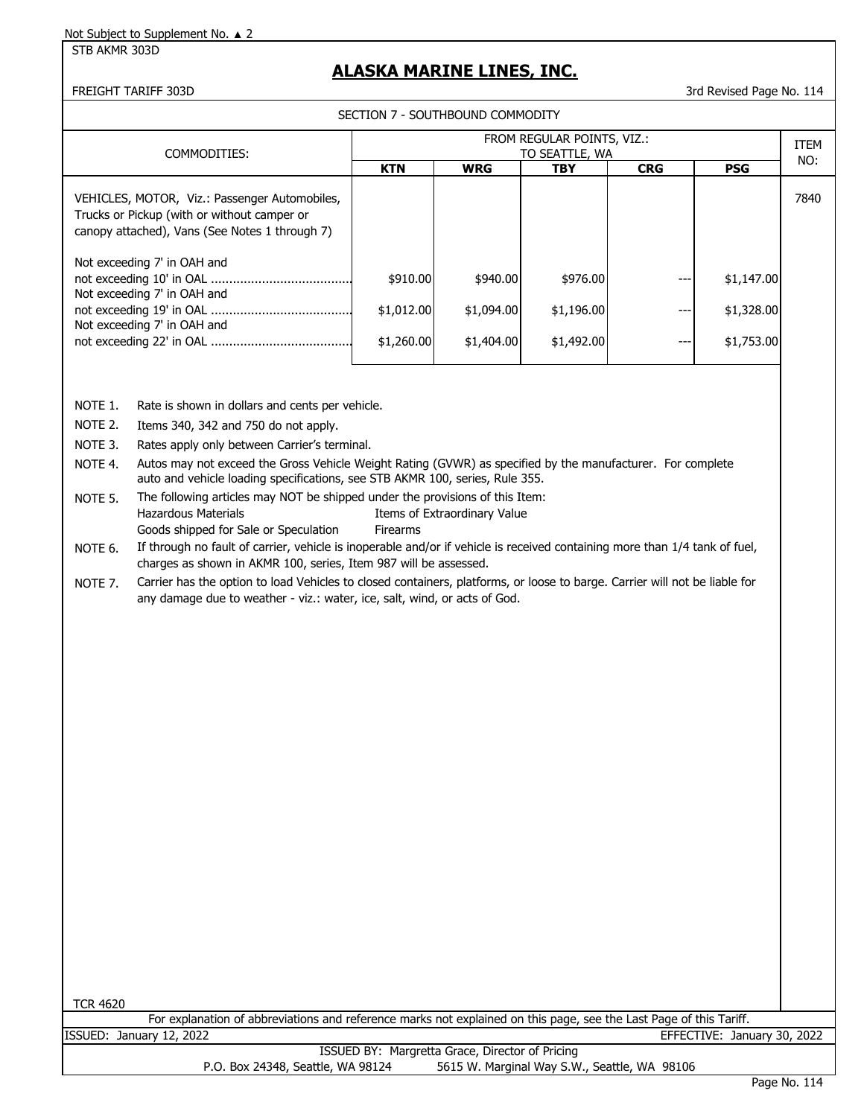#### STB AKMR 303D

## **ALASKA MARINE LINES, INC.**

FREIGHT TARIFF 303D 3rd Revised Page No. 114

| SECTION 7 - SOUTHBOUND COMMODITY                                                                                                               |                                              |            |            |            |            |      |  |
|------------------------------------------------------------------------------------------------------------------------------------------------|----------------------------------------------|------------|------------|------------|------------|------|--|
| COMMODITIES:                                                                                                                                   | FROM REGULAR POINTS, VIZ.:<br>TO SEATTLE, WA |            |            |            |            |      |  |
|                                                                                                                                                | <b>KTN</b>                                   | <b>WRG</b> | <b>TBY</b> | <b>CRG</b> | <b>PSG</b> | NO:  |  |
| VEHICLES, MOTOR, Viz.: Passenger Automobiles,<br>Trucks or Pickup (with or without camper or<br>canopy attached), Vans (See Notes 1 through 7) |                                              |            |            |            |            | 7840 |  |
| Not exceeding 7' in OAH and<br>Not exceeding 7' in OAH and                                                                                     | \$910.00                                     | \$940.00   | \$976.00   |            | \$1,147.00 |      |  |
| Not exceeding 7' in OAH and                                                                                                                    | \$1,012.00                                   | \$1,094.00 | \$1,196.00 |            | \$1,328.00 |      |  |
|                                                                                                                                                | \$1,260.00                                   | \$1,404.00 | \$1,492.00 |            | \$1,753.00 |      |  |
|                                                                                                                                                |                                              |            |            |            |            |      |  |

NOTE 1. Rate is shown in dollars and cents per vehicle.

- NOTE 2. Items 340, 342 and 750 do not apply.
- NOTE 3. Rates apply only between Carrier's terminal.

NOTE 4. Autos may not exceed the Gross Vehicle Weight Rating (GVWR) as specified by the manufacturer. For complete auto and vehicle loading specifications, see STB AKMR 100, series, Rule 355.

NOTE 5. The following articles may NOT be shipped under the provisions of this Item: Hazardous Materials **Items of Extraordinary Value** Goods shipped for Sale or Speculation Firearms

NOTE 6. If through no fault of carrier, vehicle is inoperable and/or if vehicle is received containing more than 1/4 tank of fuel, charges as shown in AKMR 100, series, Item 987 will be assessed.

NOTE 7. Carrier has the option to load Vehicles to closed containers, platforms, or loose to barge. Carrier will not be liable for any damage due to weather - viz.: water, ice, salt, wind, or acts of God.

TCR 4620

|                                                 | For explanation of abbreviations and reference marks not explained on this page, see the Last Page of this Tariff. |                             |  |  |  |  |  |
|-------------------------------------------------|--------------------------------------------------------------------------------------------------------------------|-----------------------------|--|--|--|--|--|
|                                                 | ISSUED: January 12, 2022                                                                                           | EFFECTIVE: January 30, 2022 |  |  |  |  |  |
| ISSUED BY: Margretta Grace, Director of Pricing |                                                                                                                    |                             |  |  |  |  |  |
|                                                 | 5615 W. Marginal Way S.W., Seattle, WA 98106<br>P.O. Box 24348, Seattle, WA 98124                                  |                             |  |  |  |  |  |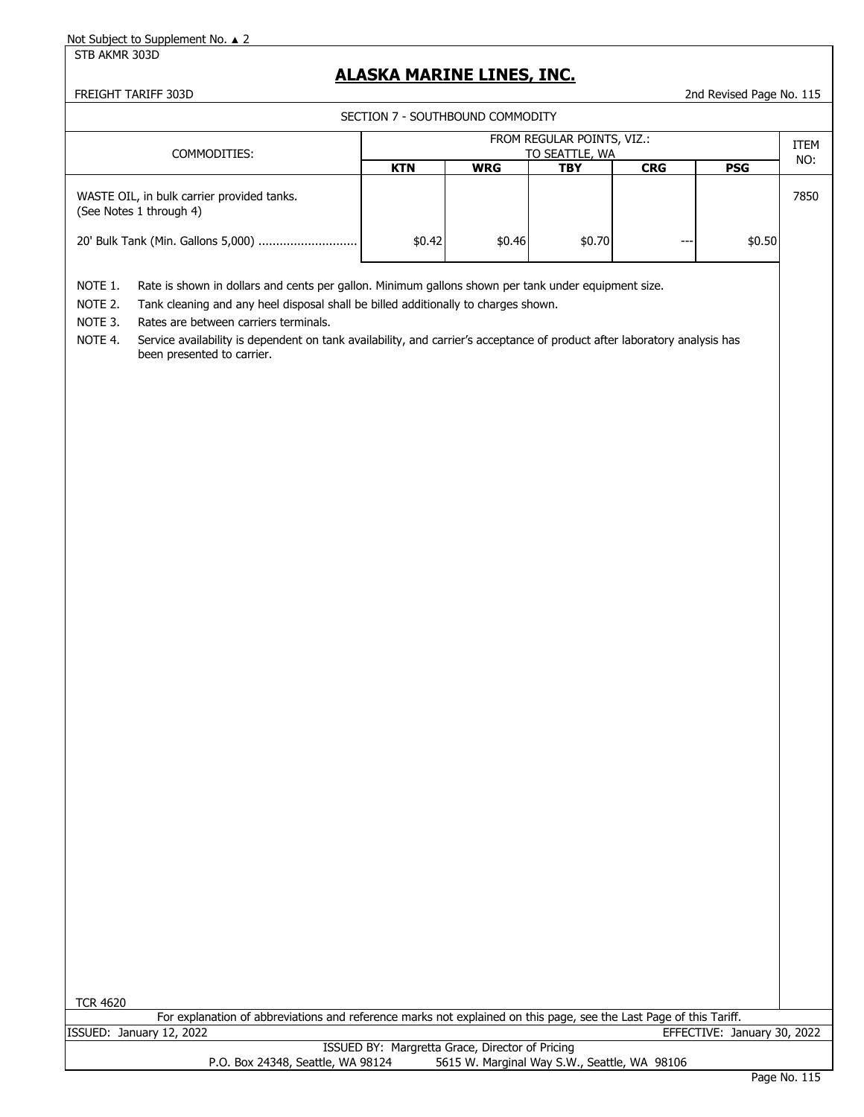STB AKMR 303D

## **ALASKA MARINE LINES, INC.**

FREIGHT TARIFF 303D 2nd Revised Page No. 115

SECTION 7 - SOUTHBOUND COMMODITY

| COMMODITIES:                                                          | FROM REGULAR POINTS, VIZ.:<br>TO SEATTLE, WA |            |        |            |            |      |  |
|-----------------------------------------------------------------------|----------------------------------------------|------------|--------|------------|------------|------|--|
|                                                                       | <b>KTN</b>                                   | <b>WRG</b> | TBY    | <b>CRG</b> | <b>PSG</b> | NO:  |  |
| WASTE OIL, in bulk carrier provided tanks.<br>(See Notes 1 through 4) |                                              |            |        |            |            | 7850 |  |
|                                                                       | \$0.42                                       | \$0.46     | \$0.70 | ---        | \$0.50     |      |  |

NOTE 1. Rate is shown in dollars and cents per gallon. Minimum gallons shown per tank under equipment size.

NOTE 2. Tank cleaning and any heel disposal shall be billed additionally to charges shown.

NOTE 3. Rates are between carriers terminals.

NOTE 4. Service availability is dependent on tank availability, and carrier's acceptance of product after laboratory analysis has been presented to carrier.

|  | TCR 4620 |  |
|--|----------|--|
|  |          |  |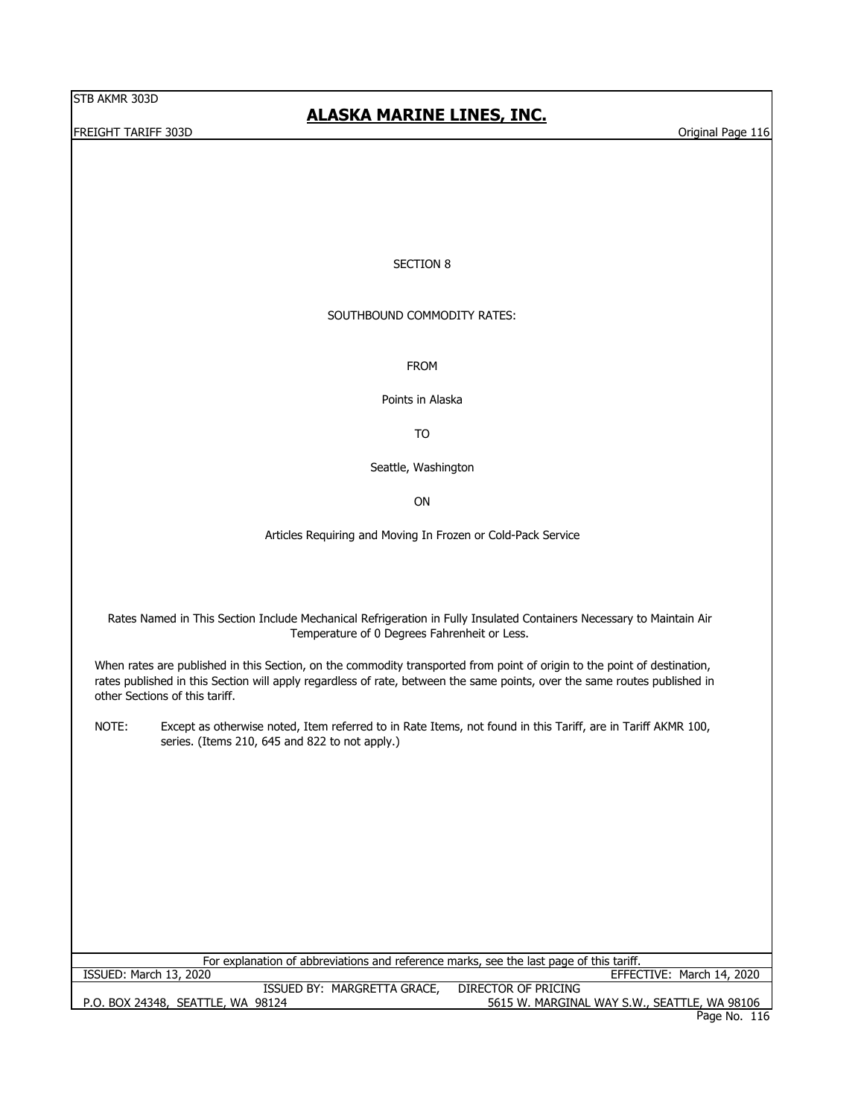STB AKMR 303D

FREIGHT TARIFF 303D Original Page 116

# **ALASKA MARINE LINES, INC.**

## SECTION 8

### SOUTHBOUND COMMODITY RATES:

FROM

Points in Alaska

TO

Seattle, Washington

ON

Articles Requiring and Moving In Frozen or Cold-Pack Service

Rates Named in This Section Include Mechanical Refrigeration in Fully Insulated Containers Necessary to Maintain Air Temperature of 0 Degrees Fahrenheit or Less.

When rates are published in this Section, on the commodity transported from point of origin to the point of destination, rates published in this Section will apply regardless of rate, between the same points, over the same routes published in other Sections of this tariff.

NOTE: Except as otherwise noted, Item referred to in Rate Items, not found in this Tariff, are in Tariff AKMR 100, series. (Items 210, 645 and 822 to not apply.)

| For explanation of abbreviations and reference marks, see the last page of this tariff. |                                              |  |  |  |  |  |
|-----------------------------------------------------------------------------------------|----------------------------------------------|--|--|--|--|--|
| ISSUED: March 13, 2020                                                                  | EFFECTIVE: March 14, 2020                    |  |  |  |  |  |
| ISSUED BY: MARGRETTA GRACE,                                                             | DIRECTOR OF PRICING                          |  |  |  |  |  |
| P.O. BOX 24348, SEATTLE, WA 98124                                                       | 5615 W. MARGINAL WAY S.W., SEATTLE, WA 98106 |  |  |  |  |  |
|                                                                                         | Page No. 116                                 |  |  |  |  |  |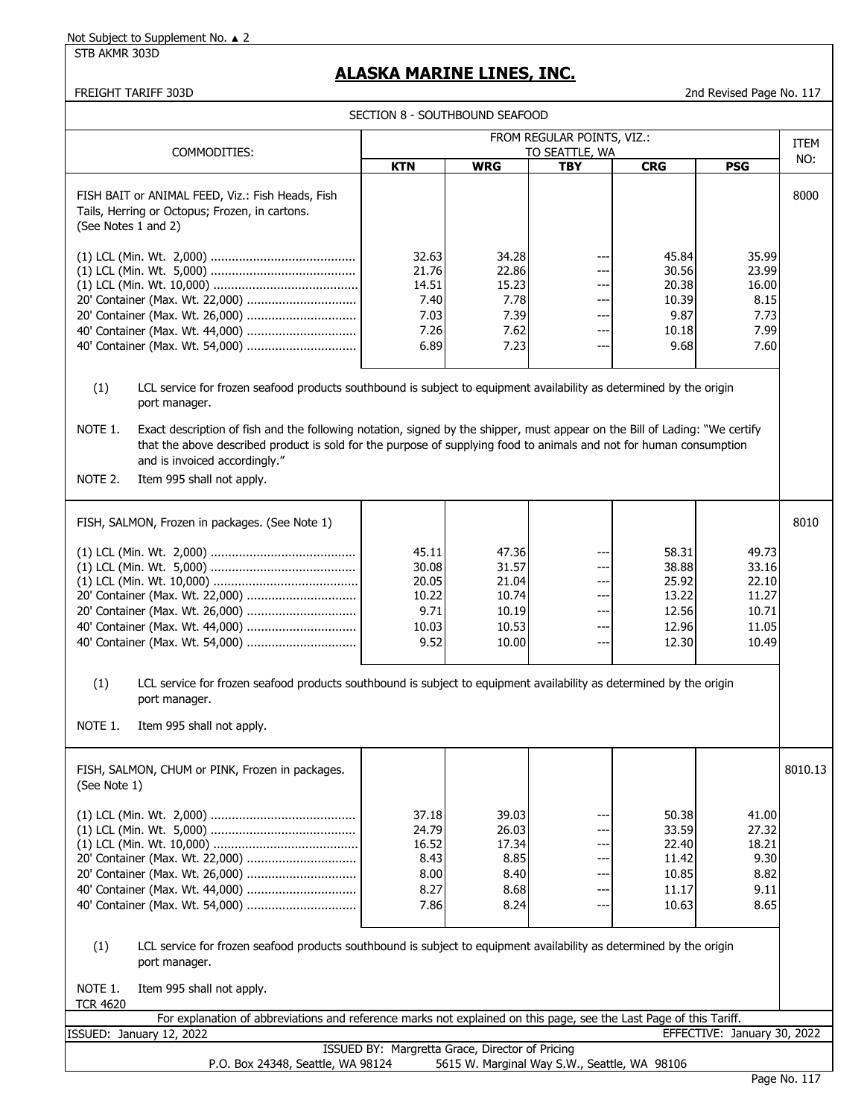STB AKMR 303D

# **ALASKA MARINE LINES, INC.**

|                                                                                                                                                                                                                                                                                                                                                                                                                                                                                       | SECTION 8 - SOUTHBOUND SEAFOOD                            |                                                             |                                               |                                                             |                                                             |                    |
|---------------------------------------------------------------------------------------------------------------------------------------------------------------------------------------------------------------------------------------------------------------------------------------------------------------------------------------------------------------------------------------------------------------------------------------------------------------------------------------|-----------------------------------------------------------|-------------------------------------------------------------|-----------------------------------------------|-------------------------------------------------------------|-------------------------------------------------------------|--------------------|
|                                                                                                                                                                                                                                                                                                                                                                                                                                                                                       |                                                           |                                                             | FROM REGULAR POINTS, VIZ.:                    |                                                             |                                                             |                    |
| COMMODITIES:                                                                                                                                                                                                                                                                                                                                                                                                                                                                          |                                                           |                                                             | TO SEATTLE, WA                                |                                                             |                                                             | <b>ITEM</b><br>NO: |
|                                                                                                                                                                                                                                                                                                                                                                                                                                                                                       | <b>KTN</b>                                                | <b>WRG</b>                                                  | TBY                                           | <b>CRG</b>                                                  | <b>PSG</b>                                                  |                    |
| FISH BAIT or ANIMAL FEED, Viz.: Fish Heads, Fish<br>Tails, Herring or Octopus; Frozen, in cartons.<br>(See Notes 1 and 2)                                                                                                                                                                                                                                                                                                                                                             |                                                           |                                                             |                                               |                                                             |                                                             | 8000               |
| 20' Container (Max. Wt. 22,000)<br>20' Container (Max. Wt. 26,000)<br>40' Container (Max. Wt. 44,000)                                                                                                                                                                                                                                                                                                                                                                                 | 32.63<br>21.76<br>14.51<br>7.40<br>7.03<br>7.26<br>6.89   | 34.28<br>22.86<br>15.23<br>7.78<br>7.39<br>7.62<br>7.23     | ---<br>---<br>---<br>---<br>---<br>---<br>--- | 45.84<br>30.56<br>20.38<br>10.39<br>9.87<br>10.18<br>9.68   | 35.99<br>23.99<br>16.00<br>8.15<br>7.73<br>7.99<br>7.60     |                    |
| (1)<br>LCL service for frozen seafood products southbound is subject to equipment availability as determined by the origin<br>port manager.<br>NOTE 1.<br>Exact description of fish and the following notation, signed by the shipper, must appear on the Bill of Lading: "We certify<br>that the above described product is sold for the purpose of supplying food to animals and not for human consumption<br>and is invoiced accordingly."<br>NOTE 2.<br>Item 995 shall not apply. |                                                           |                                                             |                                               |                                                             |                                                             |                    |
| FISH, SALMON, Frozen in packages. (See Note 1)                                                                                                                                                                                                                                                                                                                                                                                                                                        |                                                           |                                                             |                                               |                                                             |                                                             | 8010               |
| 20' Container (Max. Wt. 22,000)<br>20' Container (Max. Wt. 26,000)                                                                                                                                                                                                                                                                                                                                                                                                                    | 45.11<br>30.08<br>20.05<br>10.22<br>9.71<br>10.03<br>9.52 | 47.36<br>31.57<br>21.04<br>10.74<br>10.19<br>10.53<br>10.00 | ---<br>---<br>---<br>---<br>---<br>---<br>--- | 58.31<br>38.88<br>25.92<br>13.22<br>12.56<br>12.96<br>12.30 | 49.73<br>33.16<br>22.10<br>11.27<br>10.71<br>11.05<br>10.49 |                    |
| LCL service for frozen seafood products southbound is subject to equipment availability as determined by the origin<br>(1)<br>port manager.                                                                                                                                                                                                                                                                                                                                           |                                                           |                                                             |                                               |                                                             |                                                             |                    |
| NOTE 1.<br>Item 995 shall not apply.                                                                                                                                                                                                                                                                                                                                                                                                                                                  |                                                           |                                                             |                                               |                                                             |                                                             |                    |
| FISH, SALMON, CHUM or PINK, Frozen in packages.<br>(See Note 1)                                                                                                                                                                                                                                                                                                                                                                                                                       |                                                           |                                                             |                                               |                                                             |                                                             | 8010.13            |
| 20' Container (Max. Wt. 22,000)<br>20' Container (Max. Wt. 26,000)                                                                                                                                                                                                                                                                                                                                                                                                                    | 37.18<br>24.79<br>16.52<br>8.43<br>8.00<br>8.27<br>7.86   | 39.03<br>26.03<br>17.34<br>8.85<br>8.40<br>8.68<br>8.24     | ---<br>---<br>---<br>---<br>---<br>---<br>--  | 50.38<br>33.59<br>22.40<br>11.42<br>10.85<br>11.17<br>10.63 | 41.00<br>27.32<br>18.21<br>9.30<br>8.82<br>9.11<br>8.65     |                    |
| LCL service for frozen seafood products southbound is subject to equipment availability as determined by the origin<br>(1)<br>port manager.                                                                                                                                                                                                                                                                                                                                           |                                                           |                                                             |                                               |                                                             |                                                             |                    |
| NOTE 1.<br>Item 995 shall not apply.<br><b>TCR 4620</b><br>For explanation of abbreviations and reference marks not explained on this page, see the Last Page of this Tariff.                                                                                                                                                                                                                                                                                                         |                                                           |                                                             |                                               |                                                             |                                                             |                    |
| ISSUED: January 12, 2022                                                                                                                                                                                                                                                                                                                                                                                                                                                              |                                                           |                                                             |                                               |                                                             | EFFECTIVE: January 30, 2022                                 |                    |
|                                                                                                                                                                                                                                                                                                                                                                                                                                                                                       | ISSUED BY: Margretta Grace, Director of Pricing           |                                                             |                                               |                                                             |                                                             |                    |
| P.O. Box 24348, Seattle, WA 98124                                                                                                                                                                                                                                                                                                                                                                                                                                                     |                                                           |                                                             | 5615 W. Marginal Way S.W., Seattle, WA 98106  |                                                             |                                                             |                    |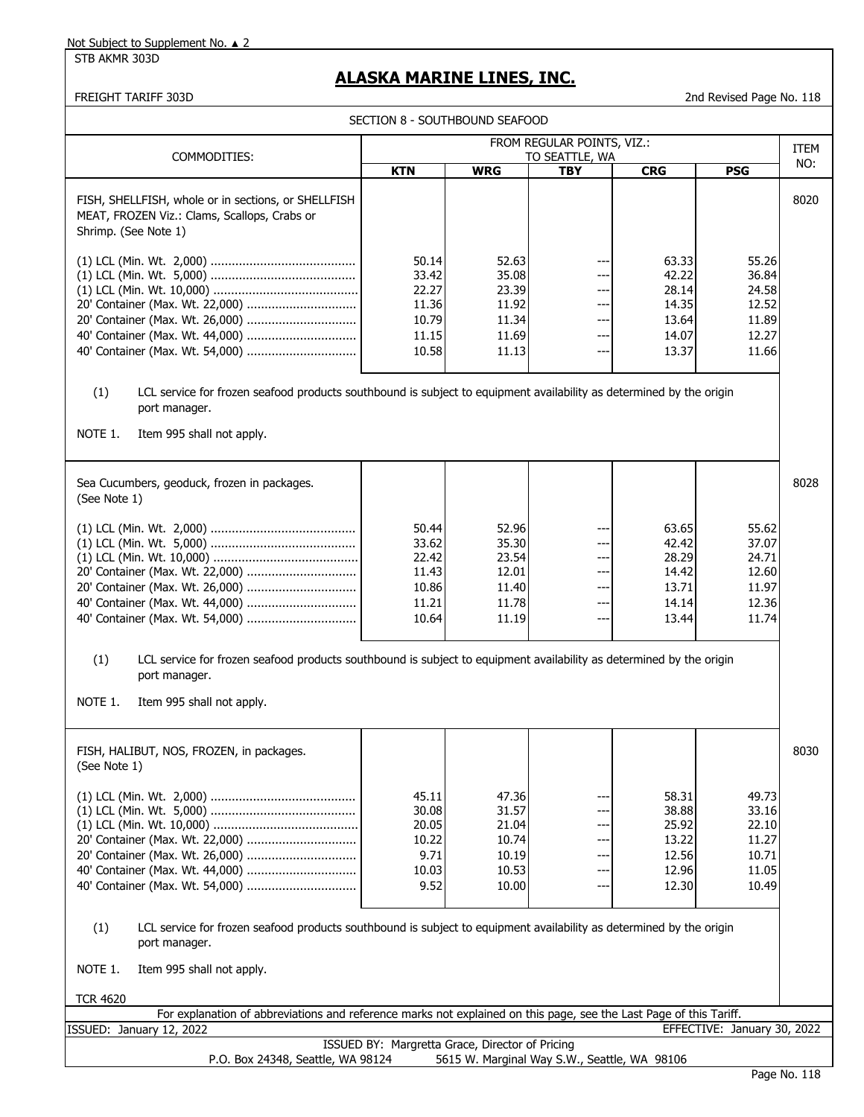STB AKMR 303D

# **ALASKA MARINE LINES, INC.**

| COMMODITIES:                                                                                                                                                                        |                                                             |                                                             | FROM REGULAR POINTS, VIZ.:                      |                                                             |                                                             | ITEM |
|-------------------------------------------------------------------------------------------------------------------------------------------------------------------------------------|-------------------------------------------------------------|-------------------------------------------------------------|-------------------------------------------------|-------------------------------------------------------------|-------------------------------------------------------------|------|
|                                                                                                                                                                                     | <b>KTN</b>                                                  | <b>WRG</b>                                                  | TO SEATTLE, WA<br><b>TBY</b>                    | <b>CRG</b>                                                  | <b>PSG</b>                                                  | NO:  |
| FISH, SHELLFISH, whole or in sections, or SHELLFISH<br>MEAT, FROZEN Viz.: Clams, Scallops, Crabs or<br>Shrimp. (See Note 1)                                                         |                                                             |                                                             |                                                 |                                                             |                                                             | 8020 |
| 20' Container (Max. Wt. 26,000)<br>40' Container (Max. Wt. 44,000)                                                                                                                  | 50.14<br>33.42<br>22.27<br>11.36<br>10.79<br>11.15<br>10.58 | 52.63<br>35.08<br>23.39<br>11.92<br>11.34<br>11.69<br>11.13 | ---<br>---<br>$--$<br>---<br>---<br>---<br>---  | 63.33<br>42.22<br>28.14<br>14.35<br>13.64<br>14.07<br>13.37 | 55.26<br>36.84<br>24.58<br>12.52<br>11.89<br>12.27<br>11.66 |      |
| LCL service for frozen seafood products southbound is subject to equipment availability as determined by the origin<br>(1)<br>port manager.<br>NOTE 1.<br>Item 995 shall not apply. |                                                             |                                                             |                                                 |                                                             |                                                             |      |
| Sea Cucumbers, geoduck, frozen in packages.<br>(See Note 1)                                                                                                                         |                                                             |                                                             |                                                 |                                                             |                                                             | 8028 |
|                                                                                                                                                                                     | 50.44<br>33.62<br>22.42<br>11.43<br>10.86<br>11.21<br>10.64 | 52.96<br>35.30<br>23.54<br>12.01<br>11.40<br>11.78<br>11.19 | ---<br>$--$<br>---<br>$--$<br>---<br>---<br>--- | 63.65<br>42.42<br>28.29<br>14.42<br>13.71<br>14.14<br>13.44 | 55.62<br>37.07<br>24.71<br>12.60<br>11.97<br>12.36<br>11.74 |      |
| LCL service for frozen seafood products southbound is subject to equipment availability as determined by the origin<br>(1)<br>port manager.<br>NOTE 1.<br>Item 995 shall not apply. |                                                             |                                                             |                                                 |                                                             |                                                             |      |
| FISH, HALIBUT, NOS, FROZEN, in packages.<br>(See Note 1)                                                                                                                            |                                                             |                                                             |                                                 |                                                             |                                                             | 8030 |
| 20' Container (Max. Wt. 22,000)<br>20' Container (Max. Wt. 26,000)                                                                                                                  | 45.11<br>30.08<br>20.05<br>10.22<br>9.71<br>10.03<br>9.52   | 47.36<br>31.57<br>21.04<br>10.74<br>10.19<br>10.53<br>10.00 | ---<br>---<br>---<br>---<br>$---$<br>$---$      | 58.31<br>38.88<br>25.92<br>13.22<br>12.56<br>12.96<br>12.30 | 49.73<br>33.16<br>22.10<br>11.27<br>10.71<br>11.05<br>10.49 |      |
| LCL service for frozen seafood products southbound is subject to equipment availability as determined by the origin<br>(1)                                                          |                                                             |                                                             |                                                 |                                                             |                                                             |      |
| port manager.                                                                                                                                                                       |                                                             |                                                             |                                                 |                                                             |                                                             |      |
| NOTE 1.<br>Item 995 shall not apply.                                                                                                                                                |                                                             |                                                             |                                                 |                                                             |                                                             |      |
| <b>TCR 4620</b><br>For explanation of abbreviations and reference marks not explained on this page, see the Last Page of this Tariff.                                               |                                                             |                                                             |                                                 |                                                             |                                                             |      |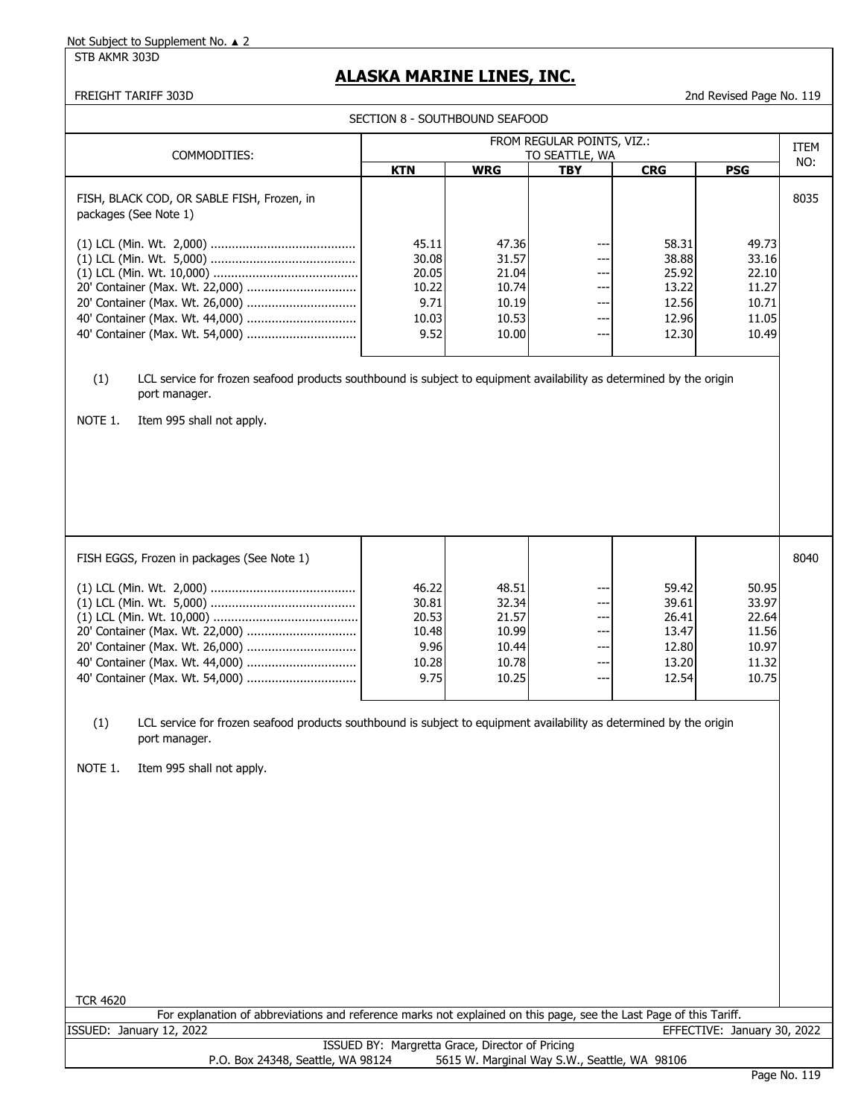STB AKMR 303D

# **ALASKA MARINE LINES, INC.**

|                                                                                                                            |                                              |                | SECTION 8 - SOUTHBOUND SEAFOOD |                |                |      |
|----------------------------------------------------------------------------------------------------------------------------|----------------------------------------------|----------------|--------------------------------|----------------|----------------|------|
| COMMODITIES:                                                                                                               | FROM REGULAR POINTS, VIZ.:<br>TO SEATTLE, WA |                |                                |                |                |      |
|                                                                                                                            | <b>KTN</b>                                   | <b>WRG</b>     | <b>TBY</b>                     | <b>CRG</b>     | <b>PSG</b>     | NO:  |
| FISH, BLACK COD, OR SABLE FISH, Frozen, in<br>packages (See Note 1)                                                        |                                              |                |                                |                |                | 8035 |
|                                                                                                                            | 45.11                                        | 47.36          | ---                            | 58.31          | 49.73          |      |
|                                                                                                                            | 30.08                                        | 31.57          | ---                            | 38.88          | 33.16          |      |
|                                                                                                                            | 20.05                                        | 21.04          | ---                            | 25.92          | 22.10          |      |
| 20' Container (Max. Wt. 22,000)                                                                                            | 10.22                                        | 10.74          | $---$                          | 13.22          | 11.27          |      |
| 20' Container (Max. Wt. 26,000)                                                                                            | 9.71                                         | 10.19          | $---$                          | 12.56          | 10.71          |      |
| 40' Container (Max. Wt. 44,000)                                                                                            | 10.03                                        | 10.53          | ---                            | 12.96          | 11.05          |      |
|                                                                                                                            | 9.52                                         | 10.00          | $---$                          | 12.30          | 10.49          |      |
| port manager.<br>NOTE 1.<br>Item 995 shall not apply.                                                                      |                                              |                |                                |                |                |      |
| FISH EGGS, Frozen in packages (See Note 1)                                                                                 |                                              |                |                                |                |                | 8040 |
|                                                                                                                            |                                              |                |                                |                |                |      |
|                                                                                                                            | 46.22                                        | 48.51          | ---                            | 59.42          | 50.95          |      |
|                                                                                                                            | 30.81                                        | 32.34          | ---                            | 39.61          | 33.97          |      |
|                                                                                                                            | 20.53<br>10.48                               | 21.57          | ---<br>$--$                    | 26.41<br>13.47 | 22.64<br>11.56 |      |
|                                                                                                                            | 9.96                                         | 10.99<br>10.44 | ---                            | 12.80          | 10.97          |      |
|                                                                                                                            | 10.28                                        | 10.78          | ---                            | 13.20          | 11.32          |      |
|                                                                                                                            | 9.75                                         | 10.25          | $--$                           | 12.54          | 10.75          |      |
| (1)<br>LCL service for frozen seafood products southbound is subject to equipment availability as determined by the origin |                                              |                |                                |                |                |      |
| port manager.                                                                                                              |                                              |                |                                |                |                |      |
| NOTE 1.<br>Item 995 shall not apply.                                                                                       |                                              |                |                                |                |                |      |
|                                                                                                                            |                                              |                |                                |                |                |      |
|                                                                                                                            |                                              |                |                                |                |                |      |
|                                                                                                                            |                                              |                |                                |                |                |      |
|                                                                                                                            |                                              |                |                                |                |                |      |
|                                                                                                                            |                                              |                |                                |                |                |      |
|                                                                                                                            |                                              |                |                                |                |                |      |
|                                                                                                                            |                                              |                |                                |                |                |      |
|                                                                                                                            |                                              |                |                                |                |                |      |
|                                                                                                                            |                                              |                |                                |                |                |      |
|                                                                                                                            |                                              |                |                                |                |                |      |
|                                                                                                                            |                                              |                |                                |                |                |      |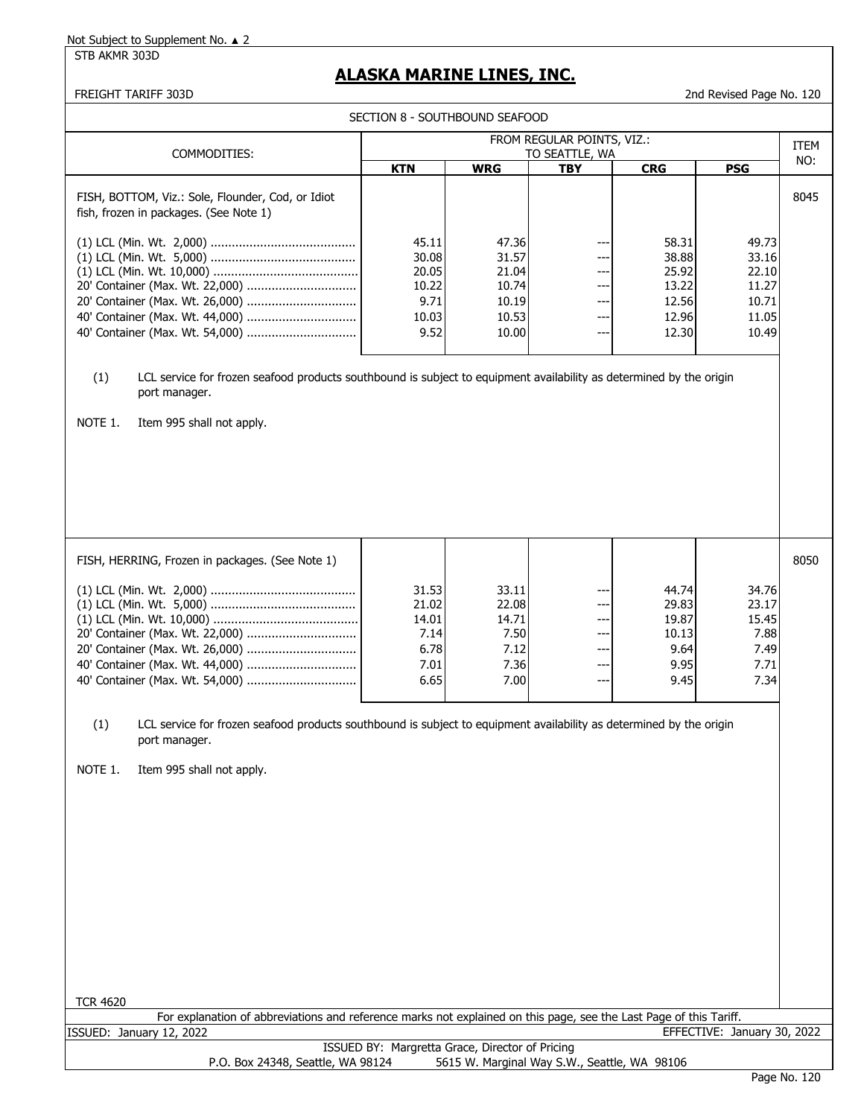#### STB AKMR 303D

## **ALASKA MARINE LINES, INC.**

|                                                                                                                                                                                     | SECTION 8 - SOUTHBOUND SEAFOOD                  |                |                                              |                |                             |             |
|-------------------------------------------------------------------------------------------------------------------------------------------------------------------------------------|-------------------------------------------------|----------------|----------------------------------------------|----------------|-----------------------------|-------------|
|                                                                                                                                                                                     |                                                 |                | FROM REGULAR POINTS, VIZ.:                   |                |                             | <b>ITEM</b> |
| COMMODITIES:                                                                                                                                                                        |                                                 |                | TO SEATTLE, WA                               |                |                             | NO:         |
|                                                                                                                                                                                     | <b>KTN</b>                                      | <b>WRG</b>     | <b>TBY</b>                                   | <b>CRG</b>     | <b>PSG</b>                  |             |
| FISH, BOTTOM, Viz.: Sole, Flounder, Cod, or Idiot<br>fish, frozen in packages. (See Note 1)                                                                                         |                                                 |                |                                              |                |                             | 8045        |
|                                                                                                                                                                                     | 45.11<br>30.08                                  | 47.36<br>31.57 | ---                                          | 58.31<br>38.88 | 49.73<br>33.16              |             |
|                                                                                                                                                                                     | 20.05                                           | 21.04          | ---                                          | 25.92          | 22.10                       |             |
| 20' Container (Max. Wt. 22,000)<br>20' Container (Max. Wt. 26,000)                                                                                                                  | 10.22<br>9.71                                   | 10.74<br>10.19 | ---<br>---                                   | 13.22<br>12.56 | 11.27<br>10.71              |             |
| 40' Container (Max. Wt. 44,000)                                                                                                                                                     | 10.03                                           | 10.53          | $--$                                         | 12.96          | 11.05                       |             |
|                                                                                                                                                                                     | 9.52                                            | 10.00          | $\overline{\phantom{a}}$                     | 12.30          | 10.49                       |             |
|                                                                                                                                                                                     |                                                 |                |                                              |                |                             |             |
| LCL service for frozen seafood products southbound is subject to equipment availability as determined by the origin<br>(1)<br>port manager.<br>NOTE 1.<br>Item 995 shall not apply. |                                                 |                |                                              |                |                             |             |
| FISH, HERRING, Frozen in packages. (See Note 1)                                                                                                                                     |                                                 |                |                                              |                |                             | 8050        |
|                                                                                                                                                                                     | 31.53                                           | 33.11          | ---                                          | 44.74          | 34.76                       |             |
|                                                                                                                                                                                     | 21.02                                           | 22.08          | ---                                          | 29.83          | 23.17                       |             |
|                                                                                                                                                                                     | 14.01                                           | 14.71          | $--$                                         | 19.87          | 15.45                       |             |
| 20' Container (Max. Wt. 22,000)                                                                                                                                                     | 7.14                                            | 7.50           | ---                                          | 10.13          | 7.88                        |             |
| 20' Container (Max. Wt. 26,000)                                                                                                                                                     | 6.78                                            | 7.12           | ---                                          | 9.64           | 7.49                        |             |
| 40' Container (Max. Wt. 44,000)                                                                                                                                                     | 7.01<br>6.65                                    | 7.36           | $--$<br>$- -$                                | 9.95<br>9.45   | 7.71<br>7.34                |             |
|                                                                                                                                                                                     |                                                 | 7.00           |                                              |                |                             |             |
| (1)<br>LCL service for frozen seafood products southbound is subject to equipment availability as determined by the origin<br>port manager.<br>NOTE 1.<br>Item 995 shall not apply. |                                                 |                |                                              |                |                             |             |
| <b>TCR 4620</b><br>For explanation of abbreviations and reference marks not explained on this page, see the Last Page of this Tariff.                                               |                                                 |                |                                              |                |                             |             |
| ISSUED: January 12, 2022                                                                                                                                                            |                                                 |                |                                              |                | EFFECTIVE: January 30, 2022 |             |
| P.O. Box 24348, Seattle, WA 98124                                                                                                                                                   | ISSUED BY: Margretta Grace, Director of Pricing |                | 5615 W. Marginal Way S.W., Seattle, WA 98106 |                |                             |             |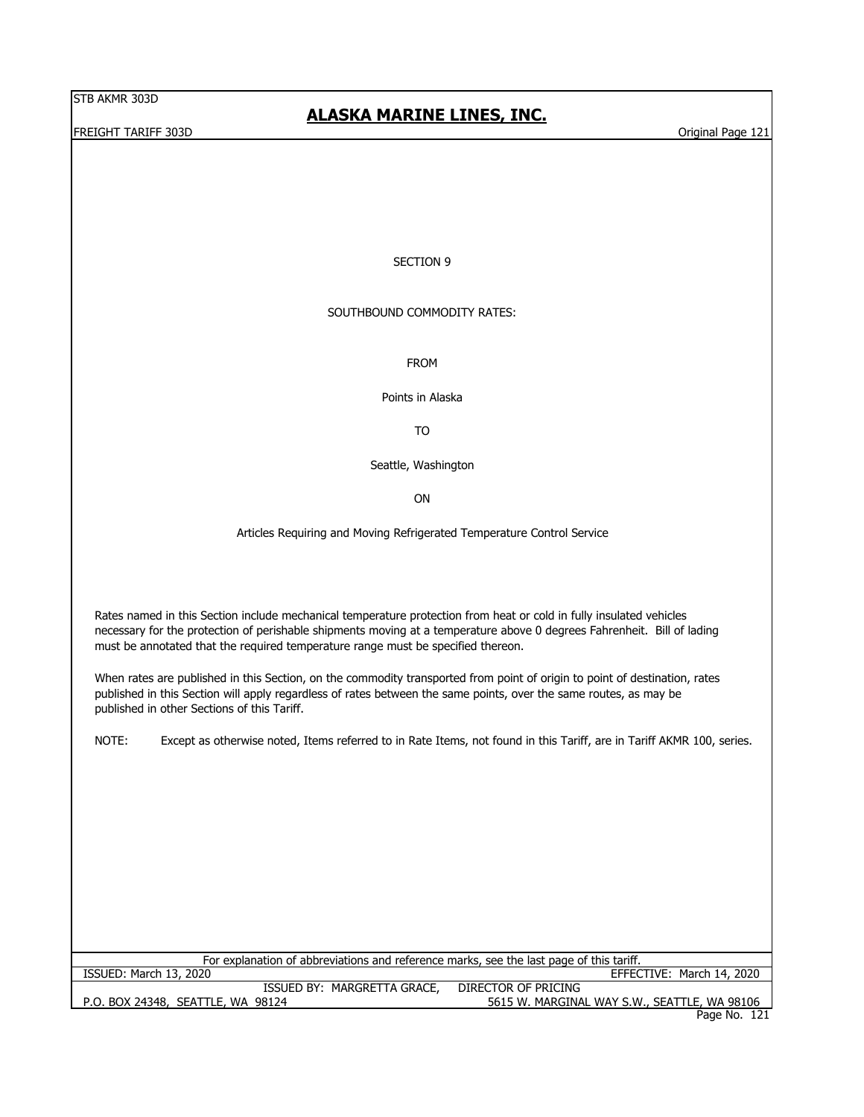FREIGHT TARIFF 303D **Original Page 121** Constants and the Constantine of the Constantine of the Constantine of the Constantine of the Constantine of the Constantine of the Constantine of the Constantine of the Constantine

## **ALASKA MARINE LINES, INC.**

#### SECTION 9

#### SOUTHBOUND COMMODITY RATES:

FROM

Points in Alaska

TO

Seattle, Washington

ON

Articles Requiring and Moving Refrigerated Temperature Control Service

Rates named in this Section include mechanical temperature protection from heat or cold in fully insulated vehicles necessary for the protection of perishable shipments moving at a temperature above 0 degrees Fahrenheit. Bill of lading must be annotated that the required temperature range must be specified thereon.

When rates are published in this Section, on the commodity transported from point of origin to point of destination, rates published in this Section will apply regardless of rates between the same points, over the same routes, as may be published in other Sections of this Tariff.

NOTE: Except as otherwise noted, Items referred to in Rate Items, not found in this Tariff, are in Tariff AKMR 100, series.

| For explanation of abbreviations and reference marks, see the last page of this tariff. |                                              |  |  |  |  |  |
|-----------------------------------------------------------------------------------------|----------------------------------------------|--|--|--|--|--|
| ISSUED: March 13, 2020                                                                  | EFFECTIVE: March 14, 2020                    |  |  |  |  |  |
| ISSUED BY: MARGRETTA GRACE,                                                             | DIRECTOR OF PRICING                          |  |  |  |  |  |
| P.O. BOX 24348, SEATTLE, WA 98124                                                       | 5615 W. MARGINAL WAY S.W., SEATTLE, WA 98106 |  |  |  |  |  |
|                                                                                         | Page No. 121                                 |  |  |  |  |  |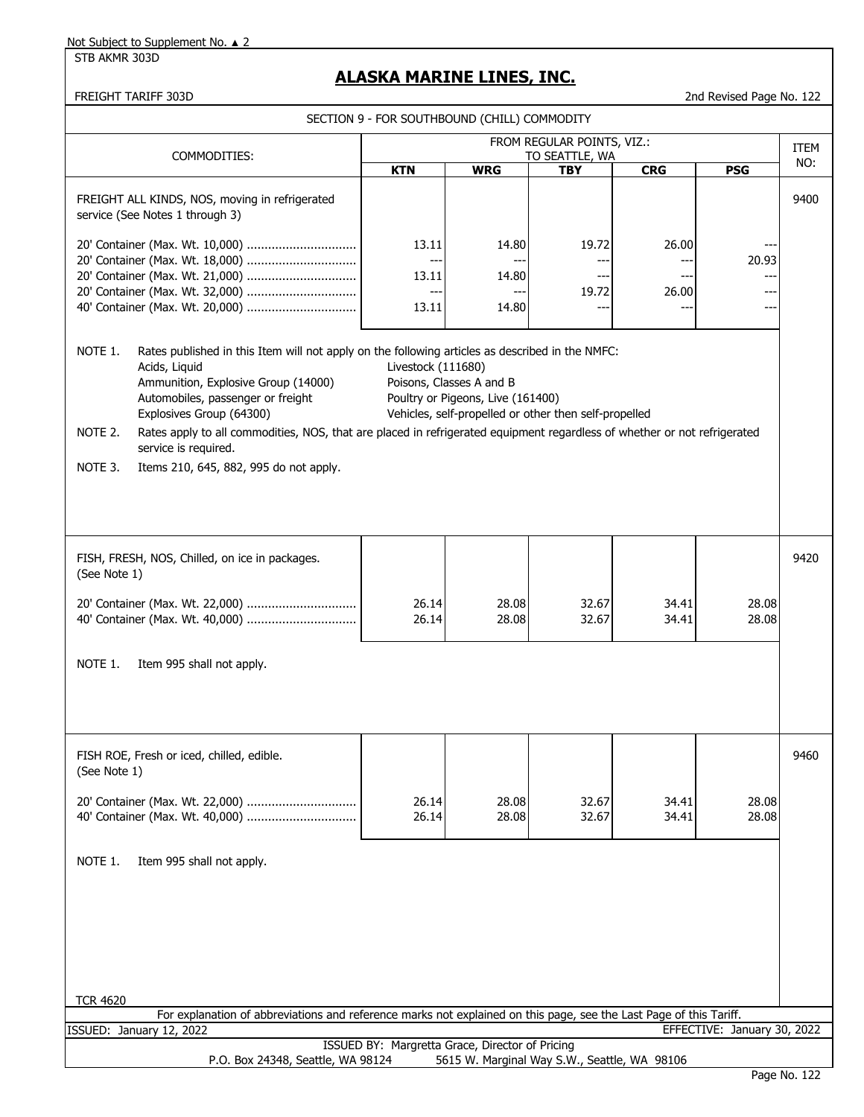STB AKMR 303D

# **ALASKA MARINE LINES, INC.**

| SECTION 9 - FOR SOUTHBOUND (CHILL) COMMODITY                                                                                                                                  |                                                                                                                                                                                                                                                                                                                                                                                                                        |                                                 |                                                               |                                                       |                       |                |             |
|-------------------------------------------------------------------------------------------------------------------------------------------------------------------------------|------------------------------------------------------------------------------------------------------------------------------------------------------------------------------------------------------------------------------------------------------------------------------------------------------------------------------------------------------------------------------------------------------------------------|-------------------------------------------------|---------------------------------------------------------------|-------------------------------------------------------|-----------------------|----------------|-------------|
|                                                                                                                                                                               | FROM REGULAR POINTS, VIZ.:<br>COMMODITIES:<br>TO SEATTLE, WA                                                                                                                                                                                                                                                                                                                                                           |                                                 |                                                               |                                                       |                       |                | <b>ITEM</b> |
|                                                                                                                                                                               |                                                                                                                                                                                                                                                                                                                                                                                                                        | <b>KTN</b>                                      | <b>WRG</b>                                                    | <b>TBY</b>                                            | <b>CRG</b>            | <b>PSG</b>     | NO:         |
|                                                                                                                                                                               | FREIGHT ALL KINDS, NOS, moving in refrigerated<br>service (See Notes 1 through 3)<br>20' Container (Max. Wt. 18,000)<br>20' Container (Max. Wt. 21,000)<br>20' Container (Max. Wt. 32,000)<br>40' Container (Max. Wt. 20,000)                                                                                                                                                                                          | 13.11<br>13.11<br>$--$<br>13.11                 | 14.80<br>14.80<br>---<br>14.80                                | 19.72<br>---<br>19.72<br>--                           | 26.00<br>---<br>26.00 | 20.93<br>---   | 9400        |
| NOTE 1.<br>NOTE 2.<br>NOTE 3.                                                                                                                                                 | Rates published in this Item will not apply on the following articles as described in the NMFC:<br>Acids, Liquid<br>Ammunition, Explosive Group (14000)<br>Automobiles, passenger or freight<br>Explosives Group (64300)<br>Rates apply to all commodities, NOS, that are placed in refrigerated equipment regardless of whether or not refrigerated<br>service is required.<br>Items 210, 645, 882, 995 do not apply. | Livestock (111680)                              | Poisons, Classes A and B<br>Poultry or Pigeons, Live (161400) | Vehicles, self-propelled or other then self-propelled |                       |                |             |
| (See Note 1)                                                                                                                                                                  | FISH, FRESH, NOS, Chilled, on ice in packages.                                                                                                                                                                                                                                                                                                                                                                         |                                                 |                                                               |                                                       |                       |                | 9420        |
|                                                                                                                                                                               | 20' Container (Max. Wt. 22,000)<br>40' Container (Max. Wt. 40,000)                                                                                                                                                                                                                                                                                                                                                     | 26.14<br>26.14                                  | 28.08<br>28.08                                                | 32.67<br>32.67                                        | 34.41<br>34.41        | 28.08<br>28.08 |             |
| NOTE 1.                                                                                                                                                                       | Item 995 shall not apply.                                                                                                                                                                                                                                                                                                                                                                                              |                                                 |                                                               |                                                       |                       |                |             |
| (See Note 1)                                                                                                                                                                  | FISH ROE, Fresh or iced, chilled, edible.                                                                                                                                                                                                                                                                                                                                                                              | 26.14<br>26.14                                  | 28.08<br>28.08                                                | 32.67<br>32.67                                        | 34.41<br>34.41        | 28.08<br>28.08 | 9460        |
| NOTE 1.                                                                                                                                                                       | Item 995 shall not apply.                                                                                                                                                                                                                                                                                                                                                                                              |                                                 |                                                               |                                                       |                       |                |             |
| <b>TCR 4620</b>                                                                                                                                                               |                                                                                                                                                                                                                                                                                                                                                                                                                        |                                                 |                                                               |                                                       |                       |                |             |
| For explanation of abbreviations and reference marks not explained on this page, see the Last Page of this Tariff.<br>ISSUED: January 12, 2022<br>EFFECTIVE: January 30, 2022 |                                                                                                                                                                                                                                                                                                                                                                                                                        |                                                 |                                                               |                                                       |                       |                |             |
|                                                                                                                                                                               | P.O. Box 24348, Seattle, WA 98124                                                                                                                                                                                                                                                                                                                                                                                      | ISSUED BY: Margretta Grace, Director of Pricing |                                                               | 5615 W. Marginal Way S.W., Seattle, WA 98106          |                       |                |             |
|                                                                                                                                                                               |                                                                                                                                                                                                                                                                                                                                                                                                                        |                                                 |                                                               |                                                       |                       |                |             |